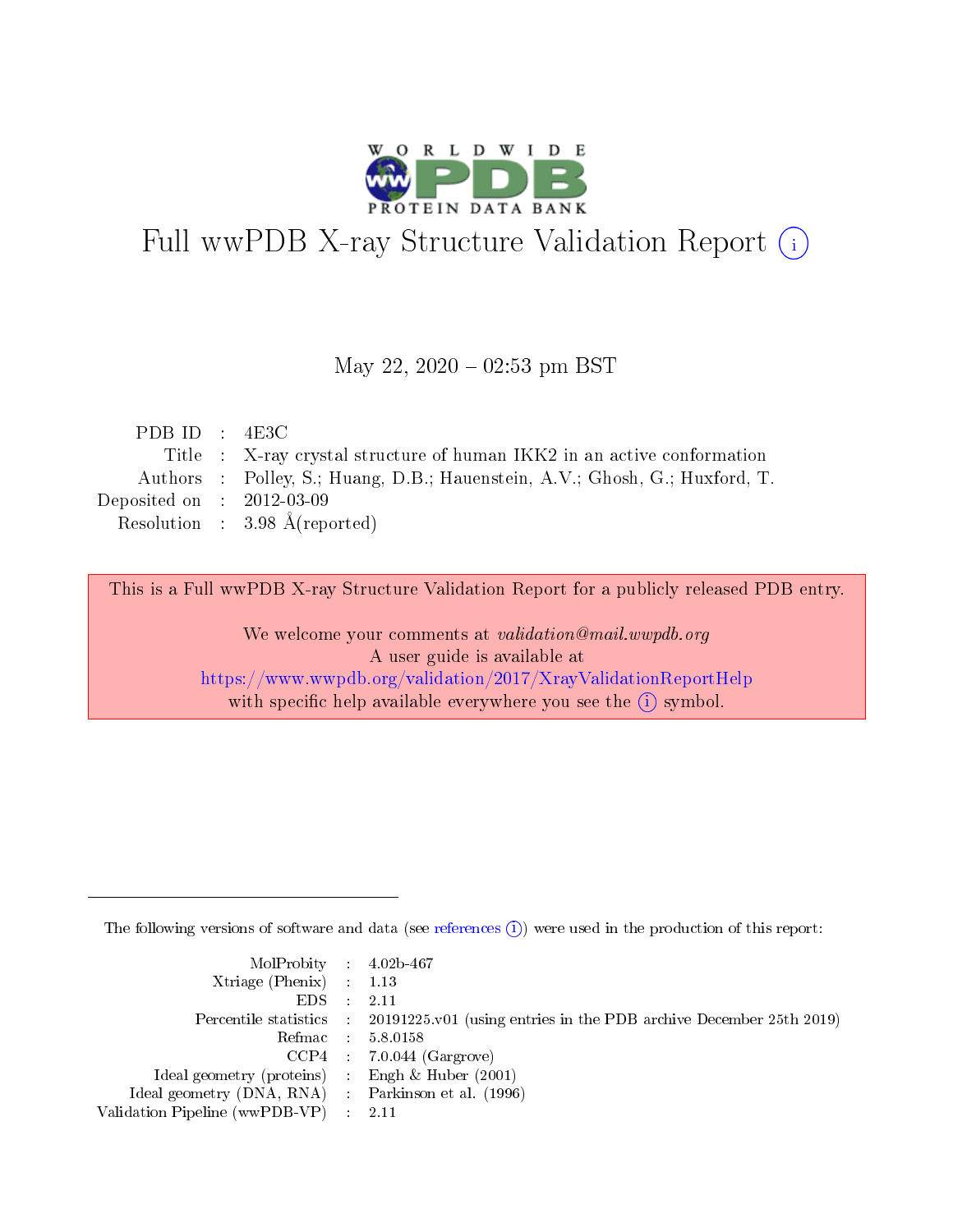

# Full wwPDB X-ray Structure Validation Report (i)

#### May 22,  $2020 - 02:53$  pm BST

| PDB ID : $4E3C$                                                             |
|-----------------------------------------------------------------------------|
| Title : X-ray crystal structure of human IKK2 in an active conformation     |
| Authors : Polley, S.; Huang, D.B.; Hauenstein, A.V.; Ghosh, G.; Huxford, T. |
| Deposited on : $2012-03-09$                                                 |
| Resolution : $3.98 \text{ Å}$ (reported)                                    |
|                                                                             |

This is a Full wwPDB X-ray Structure Validation Report for a publicly released PDB entry.

We welcome your comments at validation@mail.wwpdb.org A user guide is available at <https://www.wwpdb.org/validation/2017/XrayValidationReportHelp> with specific help available everywhere you see the  $(i)$  symbol.

The following versions of software and data (see [references](https://www.wwpdb.org/validation/2017/XrayValidationReportHelp#references)  $(i)$ ) were used in the production of this report:

| MolProbity : $4.02b-467$                            |                                                                                            |
|-----------------------------------------------------|--------------------------------------------------------------------------------------------|
| Xtriage (Phenix) $: 1.13$                           |                                                                                            |
| EDS -                                               | 2.11                                                                                       |
|                                                     | Percentile statistics : 20191225.v01 (using entries in the PDB archive December 25th 2019) |
|                                                     | Refmac 58.0158                                                                             |
|                                                     | $CCP4$ 7.0.044 (Gargrove)                                                                  |
| Ideal geometry (proteins) : Engh $\&$ Huber (2001)  |                                                                                            |
| Ideal geometry (DNA, RNA) : Parkinson et al. (1996) |                                                                                            |
| Validation Pipeline (wwPDB-VP)                      | -2.11                                                                                      |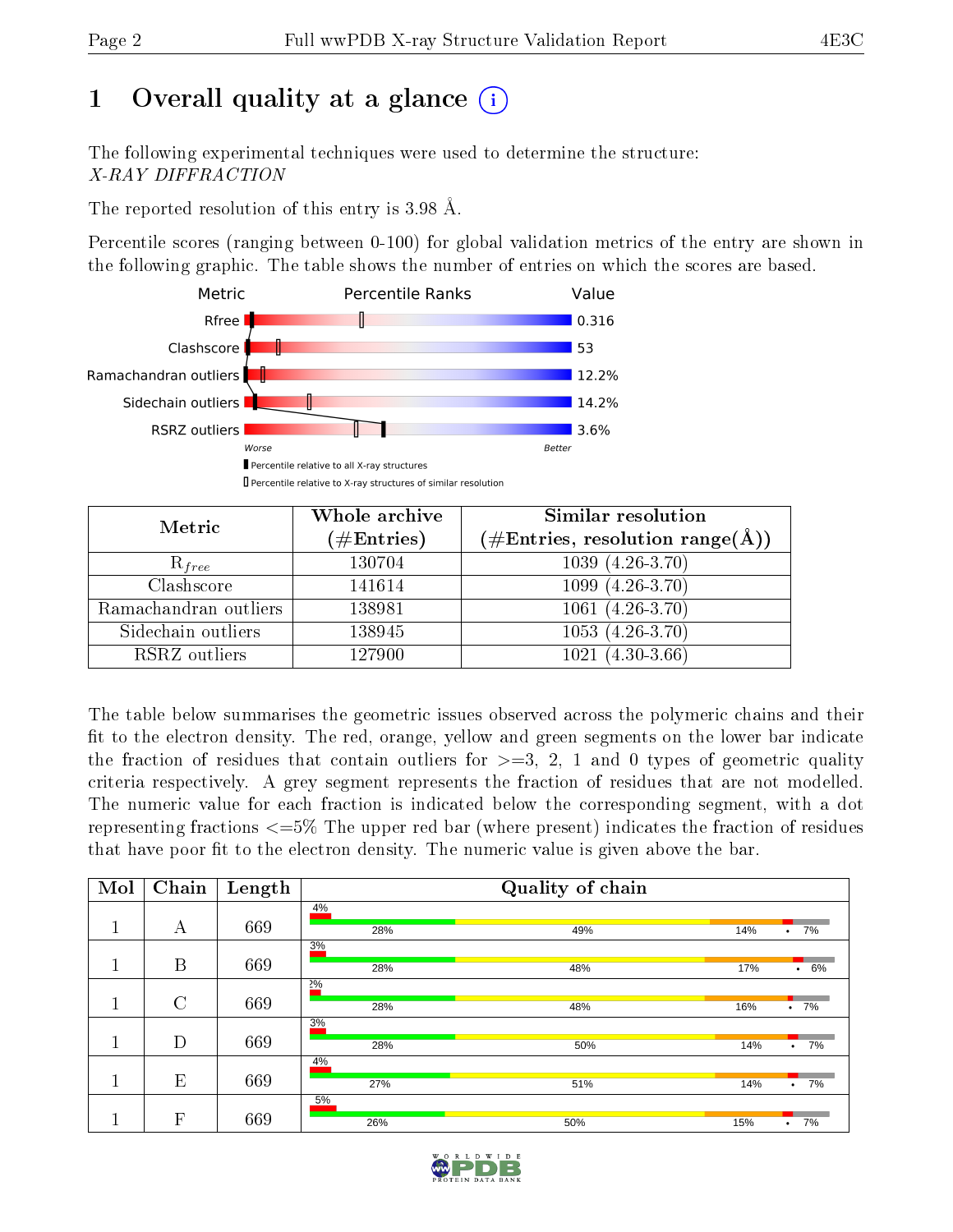## 1 [O](https://www.wwpdb.org/validation/2017/XrayValidationReportHelp#overall_quality)verall quality at a glance  $(i)$

The following experimental techniques were used to determine the structure: X-RAY DIFFRACTION

The reported resolution of this entry is 3.98 Å.

Percentile scores (ranging between 0-100) for global validation metrics of the entry are shown in the following graphic. The table shows the number of entries on which the scores are based.



| Metric                | Whole archive<br>$(\#\mathrm{Entries})$ | Similar resolution<br>$(\#\text{Entries}, \text{resolution range}(\textup{\AA}))$ |
|-----------------------|-----------------------------------------|-----------------------------------------------------------------------------------|
| $R_{free}$            | 130704                                  | $1039(4.26-3.70)$                                                                 |
| Clashscore            | 141614                                  | $1099(4.26-3.70)$                                                                 |
| Ramachandran outliers | 138981                                  | $1061(4.26-3.70)$                                                                 |
| Sidechain outliers    | 138945                                  | $1053(4.26-3.70)$                                                                 |
| RSRZ outliers         | 127900                                  | $1021(4.30-3.66)$                                                                 |

The table below summarises the geometric issues observed across the polymeric chains and their fit to the electron density. The red, orange, yellow and green segments on the lower bar indicate the fraction of residues that contain outliers for  $>=$  3, 2, 1 and 0 types of geometric quality criteria respectively. A grey segment represents the fraction of residues that are not modelled. The numeric value for each fraction is indicated below the corresponding segment, with a dot representing fractions  $\epsilon=5\%$  The upper red bar (where present) indicates the fraction of residues that have poor fit to the electron density. The numeric value is given above the bar.

| Mol | Chain        | Length |     | Quality of chain |     |                 |
|-----|--------------|--------|-----|------------------|-----|-----------------|
|     |              |        | 4%  |                  |     |                 |
|     | А            | 669    | 28% | 49%              | 14% | 7%<br>$\bullet$ |
|     |              |        | 3%  |                  |     |                 |
|     | B            | 669    | 28% | 48%              | 17% | $\cdot$ 6%      |
|     |              |        | 2%  |                  |     |                 |
|     | $\rm C$      | 669    | 28% | 48%              | 16% | $.7\%$          |
|     |              |        | 3%  |                  |     |                 |
|     | D            | 669    | 28% | 50%              | 14% | 7%<br>$\bullet$ |
|     |              |        | 4%  |                  |     |                 |
|     | E            | 669    | 27% | 51%              | 14% | 7%<br>$\bullet$ |
|     |              |        | 5%  |                  |     |                 |
|     | $\mathbf{F}$ | 669    | 26% | 50%              | 15% | 7%<br>٠         |

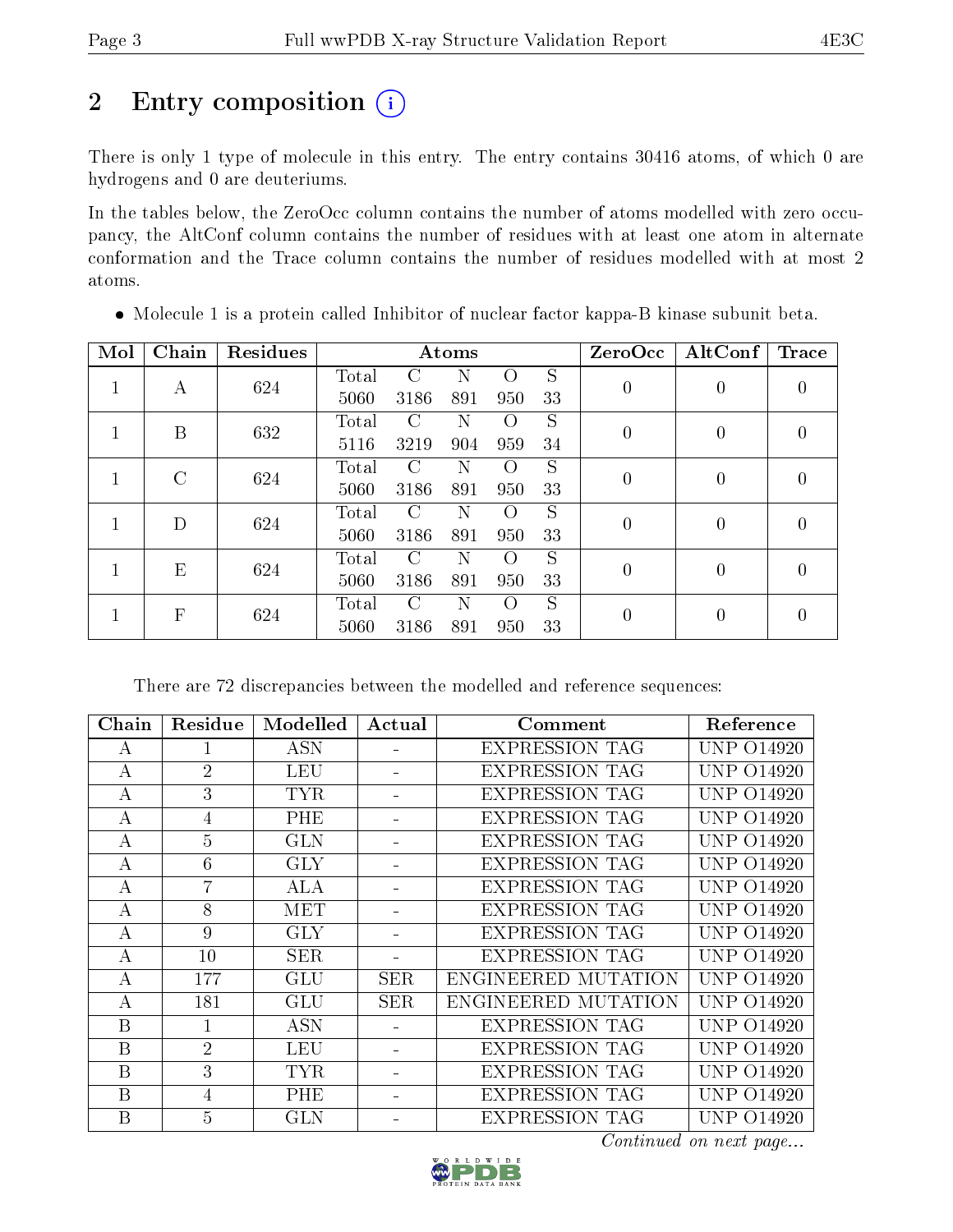# 2 Entry composition (i)

There is only 1 type of molecule in this entry. The entry contains 30416 atoms, of which 0 are hydrogens and 0 are deuteriums.

In the tables below, the ZeroOcc column contains the number of atoms modelled with zero occupancy, the AltConf column contains the number of residues with at least one atom in alternate conformation and the Trace column contains the number of residues modelled with at most 2 atoms.

| Mol | Chain         | Residues |       |               | Atoms |                  |    | ZeroOcc          | $\operatorname{AltConf}$ | Trace            |
|-----|---------------|----------|-------|---------------|-------|------------------|----|------------------|--------------------------|------------------|
|     | A             | 624      | Total | C             | N     | $\Omega$         | S  | $\boldsymbol{0}$ | 0                        | 0                |
|     |               |          | 5060  | 3186          | 891   | 950              | 33 |                  |                          |                  |
|     | B             | 632      | Total | $\Gamma$      |       | $\left( \right)$ | S  | $\theta$         | 0                        | $\left( \right)$ |
|     |               |          | 5116  | 3219          | 904   | 959              | 34 |                  |                          |                  |
|     | $\mathcal{C}$ | 624      | Total | $\mathcal{C}$ | N     | $\left( \right)$ | S  | $\overline{0}$   | $\theta$                 | $\left( \right)$ |
|     |               |          | 5060  | 3186          | 891   | 950              | 33 |                  |                          |                  |
|     | D             | 624      | Total | C             | Ν     | $\left($         | S  | $\boldsymbol{0}$ |                          |                  |
|     |               |          | 5060  | 3186          | 891   | 950              | 33 |                  | 0                        | 0                |
|     | E             | 624      | Total | $\Gamma$      |       | $\left( \right)$ | S  | $\theta$         | 0                        | $\left( \right)$ |
|     |               |          | 5060  | 3186          | 891   | 950              | 33 |                  |                          |                  |
|     | $\mathbf{F}$  | 624      | Total | $\Gamma$      | N     | $\bigcirc$       | S  | $\theta$         | 0                        | 0                |
|     |               |          | 5060  | 3186          | 891   | 950              | 33 |                  |                          |                  |

Molecule 1 is a protein called Inhibitor of nuclear factor kappa-B kinase subunit beta.

There are 72 discrepancies between the modelled and reference sequences:

| Chain | Residue        | Modelled   | Actual     | Comment               | Reference         |
|-------|----------------|------------|------------|-----------------------|-------------------|
| А     |                | <b>ASN</b> |            | <b>EXPRESSION TAG</b> | <b>UNP 014920</b> |
| А     | $\overline{2}$ | LEU        |            | <b>EXPRESSION TAG</b> | UNP 014920        |
| А     | 3              | <b>TYR</b> |            | <b>EXPRESSION TAG</b> | <b>UNP 014920</b> |
| А     | 4              | PHE        |            | <b>EXPRESSION TAG</b> | UNP 014920        |
| А     | 5              | <b>GLN</b> |            | <b>EXPRESSION TAG</b> | UNP 014920        |
| А     | 6              | <b>GLY</b> |            | <b>EXPRESSION TAG</b> | UNP 014920        |
| А     | 7              | ALA        |            | <b>EXPRESSION TAG</b> | UNP 014920        |
| А     | 8              | MET        |            | <b>EXPRESSION TAG</b> | <b>UNP 014920</b> |
| А     | 9              | <b>GLY</b> |            | <b>EXPRESSION TAG</b> | <b>UNP 014920</b> |
| А     | 10             | <b>SER</b> |            | <b>EXPRESSION TAG</b> | <b>UNP 014920</b> |
| А     | 177            | GLU        | <b>SER</b> | ENGINEERED MUTATION   | <b>UNP 014920</b> |
| А     | 181            | <b>GLU</b> | SER        | ENGINEERED MUTATION   | <b>UNP 014920</b> |
| B     |                | <b>ASN</b> |            | <b>EXPRESSION TAG</b> | <b>UNP 014920</b> |
| B     | $\overline{2}$ | <b>LEU</b> |            | <b>EXPRESSION TAG</b> | UNP 014920        |
| B     | 3              | <b>TYR</b> |            | <b>EXPRESSION TAG</b> | <b>UNP 014920</b> |
| B     | $\overline{4}$ | PHE        |            | <b>EXPRESSION TAG</b> | <b>UNP 014920</b> |
| B     | 5              | <b>GLN</b> |            | <b>EXPRESSION TAG</b> | <b>UNP 014920</b> |

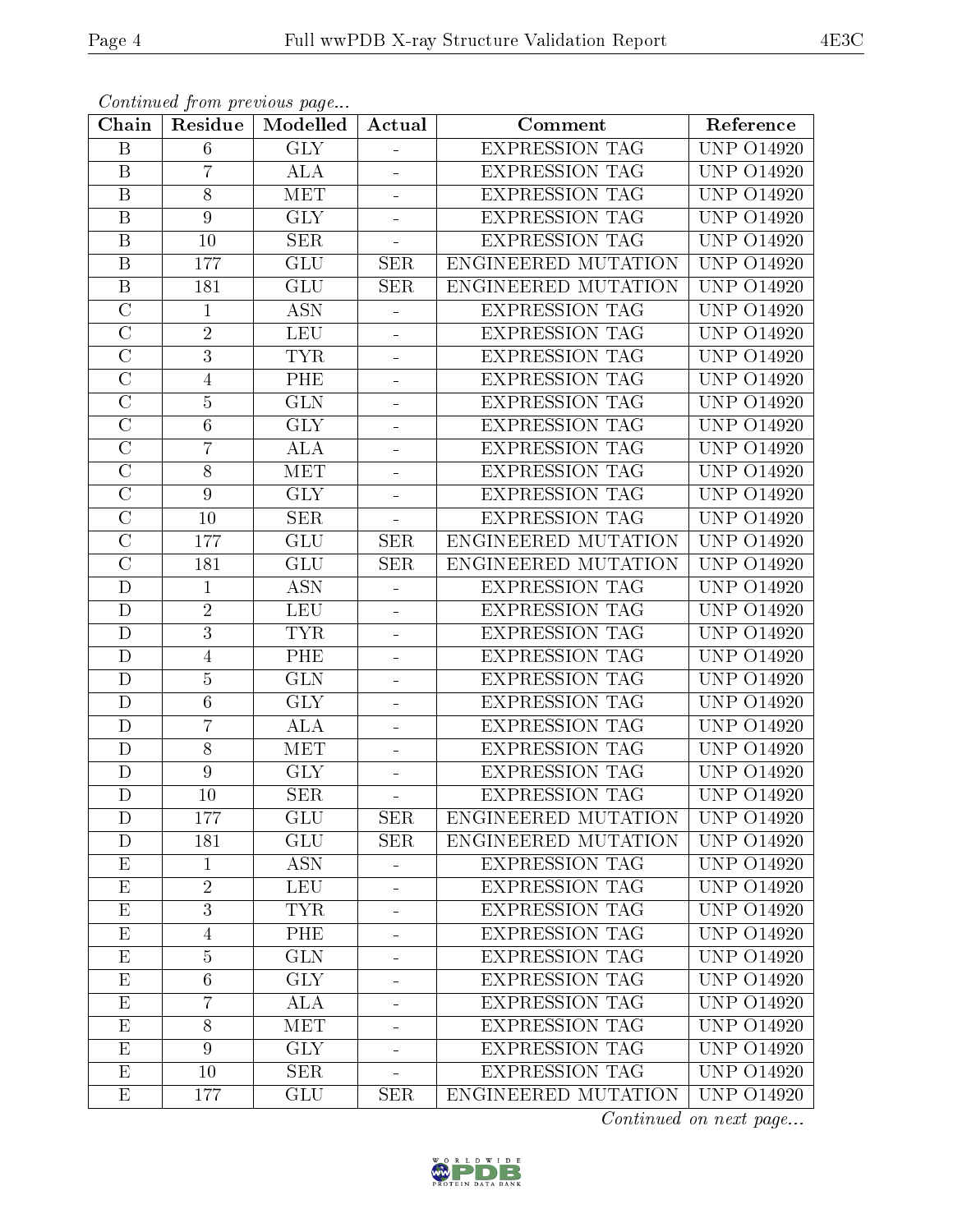| Chain                   | Residue        | Continuou prom provisão pugo<br>Modelled | Actual                   | Comment               | Reference                 |
|-------------------------|----------------|------------------------------------------|--------------------------|-----------------------|---------------------------|
| B                       | 6              | <b>GLY</b>                               |                          | <b>EXPRESSION TAG</b> | <b>UNP 014920</b>         |
| $\mathbf B$             | $\overline{7}$ | <b>ALA</b>                               |                          | <b>EXPRESSION TAG</b> | <b>UNP 014920</b>         |
| $\overline{B}$          | 8              | <b>MET</b>                               | $\blacksquare$           | <b>EXPRESSION TAG</b> | $\overline{UNP}$ 014920   |
| $\overline{B}$          | $9\phantom{.}$ | <b>GLY</b>                               |                          | <b>EXPRESSION TAG</b> | <b>UNP 014920</b>         |
| $\overline{\mathrm{B}}$ | 10             | <b>SER</b>                               |                          | <b>EXPRESSION TAG</b> | <b>UNP 014920</b>         |
| $\overline{B}$          | 177            | GLU                                      | <b>SER</b>               | ENGINEERED MUTATION   | <b>UNP 014920</b>         |
| B                       | 181            | <b>GLU</b>                               | <b>SER</b>               | ENGINEERED MUTATION   | <b>UNP 014920</b>         |
| $\overline{\rm C}$      | $\mathbf{1}$   | <b>ASN</b>                               |                          | <b>EXPRESSION TAG</b> | $\overline{UNP}$ $O14920$ |
| $\overline{\text{C}}$   | $\sqrt{2}$     | <b>LEU</b>                               | $\blacksquare$           | <b>EXPRESSION TAG</b> | <b>UNP 014920</b>         |
| $\overline{\rm C}$      | $\overline{3}$ | <b>TYR</b>                               |                          | <b>EXPRESSION TAG</b> | <b>UNP 014920</b>         |
| $\overline{C}$          | $\overline{4}$ | PHE                                      | $\overline{\phantom{0}}$ | <b>EXPRESSION TAG</b> | <b>UNP 014920</b>         |
| $\overline{\rm C}$      | $\overline{5}$ | $\overline{\text{GLN}}$                  |                          | <b>EXPRESSION TAG</b> | <b>UNP 014920</b>         |
| $\overline{C}$          | $6\,$          | <b>GLY</b>                               | $\equiv$                 | <b>EXPRESSION TAG</b> | <b>UNP 014920</b>         |
| $\overline{C}$          | $\overline{7}$ | <b>ALA</b>                               | $\blacksquare$           | <b>EXPRESSION TAG</b> | <b>UNP 014920</b>         |
| $\overline{\rm C}$      | $\overline{8}$ | <b>MET</b>                               |                          | <b>EXPRESSION TAG</b> | $\overline{UNP}$ 014920   |
| $\overline{C}$          | $9\phantom{.}$ | <b>GLY</b>                               |                          | <b>EXPRESSION TAG</b> | <b>UNP 014920</b>         |
| $\overline{\text{C}}$   | 10             | <b>SER</b>                               |                          | <b>EXPRESSION TAG</b> | <b>UNP 014920</b>         |
| $\overline{C}$          | 177            | GLU                                      | <b>SER</b>               | ENGINEERED MUTATION   | <b>UNP 014920</b>         |
| $\overline{\text{C}}$   | 181            | <b>GLU</b>                               | <b>SER</b>               | ENGINEERED MUTATION   | <b>UNP 014920</b>         |
| $\mathbf D$             | $\mathbf 1$    | <b>ASN</b>                               |                          | <b>EXPRESSION TAG</b> | <b>UNP 014920</b>         |
| D                       | $\sqrt{2}$     | <b>LEU</b>                               |                          | <b>EXPRESSION TAG</b> | <b>UNP 014920</b>         |
| $\mathbf D$             | $\overline{3}$ | <b>TYR</b>                               | ÷                        | <b>EXPRESSION TAG</b> | $\overline{UNP}$ 014920   |
| D                       | $\overline{4}$ | PHE                                      |                          | <b>EXPRESSION TAG</b> | $\overline{UNP}$ 014920   |
| $\mathbf D$             | $\bf 5$        | <b>GLN</b>                               | ÷                        | EXPRESSION TAG        | <b>UNP 014920</b>         |
| D                       | $\,6\,$        | $\overline{\text{GLY}}$                  |                          | <b>EXPRESSION TAG</b> | <b>UNP 014920</b>         |
| D                       | $\overline{7}$ | <b>ALA</b>                               |                          | <b>EXPRESSION TAG</b> | <b>UNP 014920</b>         |
| $\mathbf{D}$            | 8              | <b>MET</b>                               |                          | <b>EXPRESSION TAG</b> | <b>UNP 014920</b>         |
| D                       | $\overline{9}$ | <b>GLY</b>                               | $\frac{1}{2}$            | <b>EXPRESSION TAG</b> | <b>UNP 014920</b>         |
| $\overline{\rm D}$      | 10             | SER                                      |                          | <b>EXPRESSION TAG</b> | <b>UNP 014920</b>         |
| D                       | 177            | <b>GLU</b>                               | <b>SER</b>               | ENGINEERED MUTATION   | <b>UNP 014920</b>         |
| D                       | 181            | <b>GLU</b>                               | <b>SER</b>               | ENGINEERED MUTATION   | <b>UNP 014920</b>         |
| $\mathbf{E}% _{0}$      | $\mathbf{1}$   | <b>ASN</b>                               | $\blacksquare$           | <b>EXPRESSION TAG</b> | <b>UNP 014920</b>         |
| $\overline{E}$          | $\overline{2}$ | <b>LEU</b>                               |                          | <b>EXPRESSION TAG</b> | <b>UNP 014920</b>         |
| $\overline{\mathrm{E}}$ | $\overline{3}$ | <b>TYR</b>                               |                          | <b>EXPRESSION TAG</b> | <b>UNP 014920</b>         |
| E                       | $\overline{4}$ | PHE                                      |                          | <b>EXPRESSION TAG</b> | <b>UNP 014920</b>         |
| $\overline{\mathrm{E}}$ | $\overline{5}$ | $\overline{\text{GLN}}$                  |                          | <b>EXPRESSION TAG</b> | $\overline{UNP}$ $O14920$ |
| $\overline{E}$          | $\sqrt{6}$     | <b>GLY</b>                               |                          | <b>EXPRESSION TAG</b> | <b>UNP 014920</b>         |
| $\mathbf{E}% _{0}$      | $\overline{7}$ | ALA                                      |                          | <b>EXPRESSION TAG</b> | <b>UNP 014920</b>         |
| $\overline{\mathrm{E}}$ | 8              | <b>MET</b>                               |                          | <b>EXPRESSION TAG</b> | <b>UNP 014920</b>         |
| $\mathbf{E}% _{0}$      | 9              | <b>GLY</b>                               |                          | <b>EXPRESSION TAG</b> | <b>UNP 014920</b>         |
| $\overline{\mathrm{E}}$ | 10             | <b>SER</b>                               |                          | <b>EXPRESSION TAG</b> | <b>UNP 014920</b>         |
| $E_{\parallel}$         | 177            | GLU                                      | <b>SER</b>               | ENGINEERED MUTATION   | <b>UNP 014920</b>         |

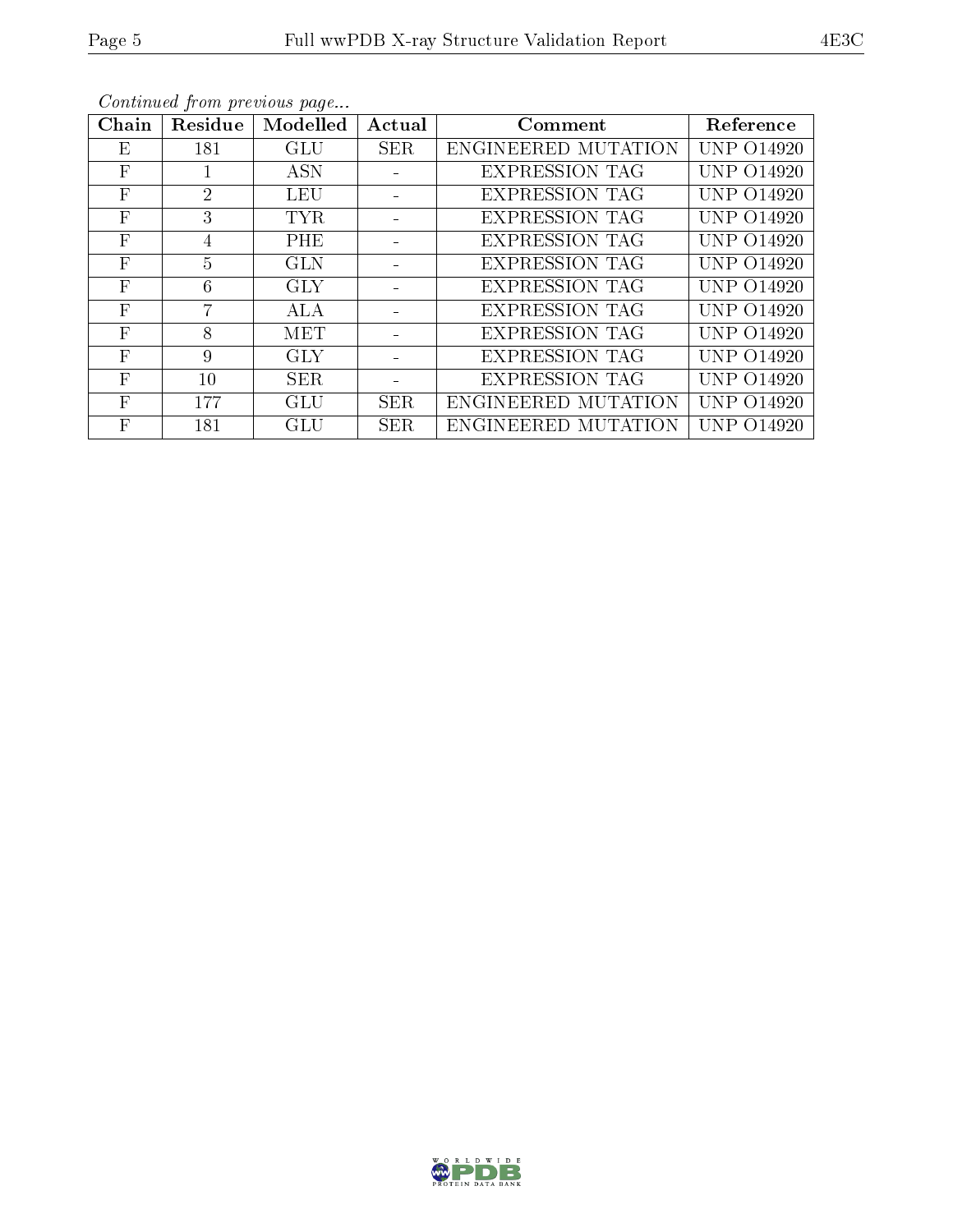| Chain        | Residue        | Modelled   | Actual     | Comment               | Reference         |
|--------------|----------------|------------|------------|-----------------------|-------------------|
| Ε            | 181            | <b>GLU</b> | <b>SER</b> | ENGINEERED MUTATION   | <b>UNP 014920</b> |
| $\mathbf{F}$ | $\mathbf{I}$   | <b>ASN</b> |            | <b>EXPRESSION TAG</b> | <b>UNP 014920</b> |
| $\mathbf{F}$ | $\overline{2}$ | LEU        |            | <b>EXPRESSION TAG</b> | <b>UNP 014920</b> |
| $\mathbf{F}$ | 3              | TYR.       |            | <b>EXPRESSION TAG</b> | <b>UNP 014920</b> |
| $\mathbf{F}$ | 4              | PHE        |            | <b>EXPRESSION TAG</b> | <b>UNP 014920</b> |
| $\mathbf{F}$ | $\overline{5}$ | <b>GLN</b> |            | <b>EXPRESSION TAG</b> | <b>UNP 014920</b> |
| $\mathbf{F}$ | 6              | <b>GLY</b> |            | <b>EXPRESSION TAG</b> | <b>UNP 014920</b> |
| $\mathbf{F}$ | 7              | <b>ALA</b> |            | <b>EXPRESSION TAG</b> | <b>UNP 014920</b> |
| $\mathbf{F}$ | 8              | MET        |            | <b>EXPRESSION TAG</b> | UNP 014920        |
| $\mathbf{F}$ | 9              | <b>GLY</b> |            | <b>EXPRESSION TAG</b> | <b>UNP 014920</b> |
| $\mathbf{F}$ | 10             | <b>SER</b> |            | <b>EXPRESSION TAG</b> | <b>UNP 014920</b> |
| $\mathbf{F}$ | 177            | GLU        | <b>SER</b> | ENGINEERED MUTATION   | <b>UNP 014920</b> |
| $\mathbf{F}$ | 181            | <b>GLU</b> | <b>SER</b> | ENGINEERED MUTATION   | UNP 014920        |

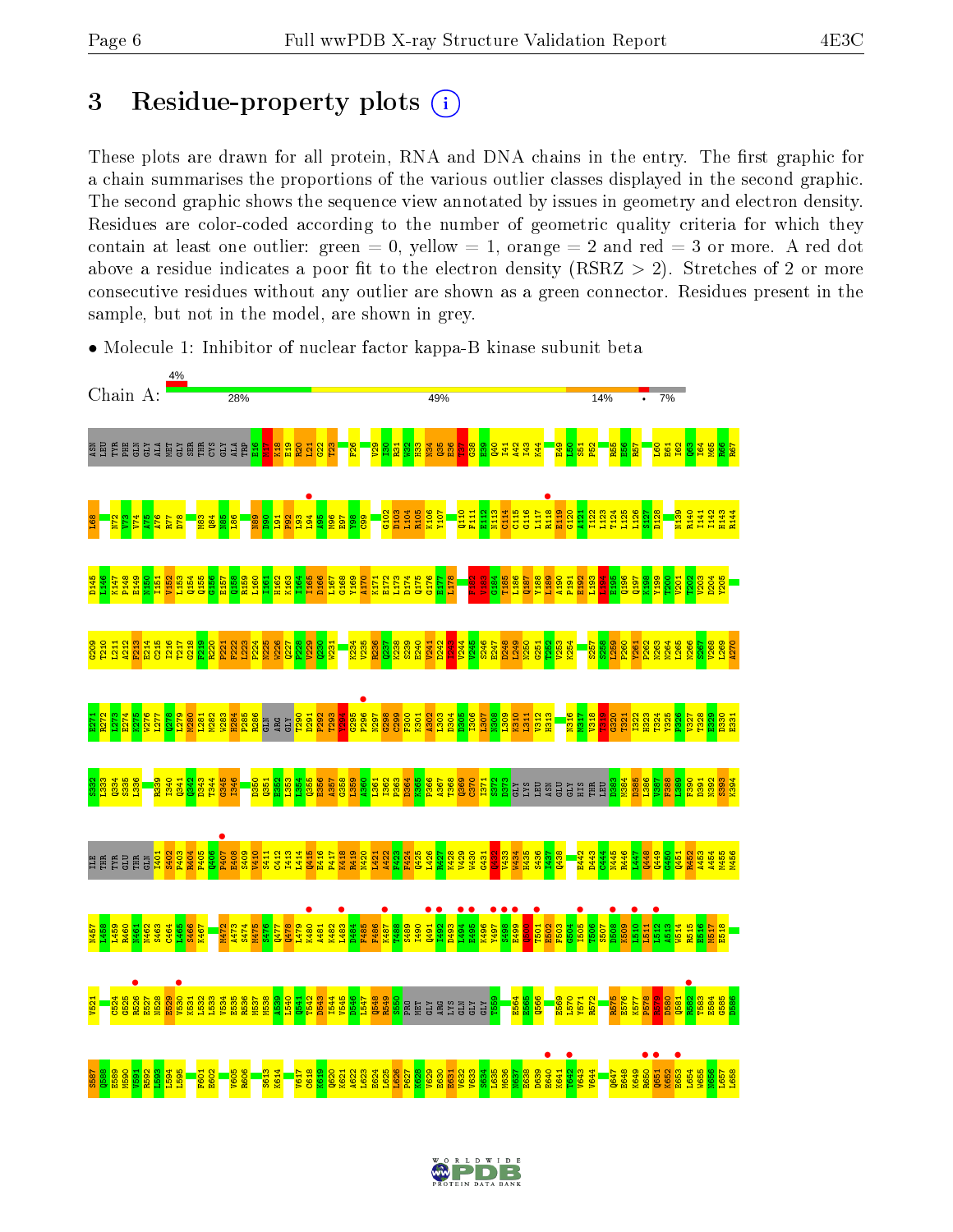#### 3 Residue-property plots  $(i)$

These plots are drawn for all protein, RNA and DNA chains in the entry. The first graphic for a chain summarises the proportions of the various outlier classes displayed in the second graphic. The second graphic shows the sequence view annotated by issues in geometry and electron density. Residues are color-coded according to the number of geometric quality criteria for which they contain at least one outlier: green  $= 0$ , yellow  $= 1$ , orange  $= 2$  and red  $= 3$  or more. A red dot above a residue indicates a poor fit to the electron density (RSRZ  $> 2$ ). Stretches of 2 or more consecutive residues without any outlier are shown as a green connector. Residues present in the sample, but not in the model, are shown in grey.



• Molecule 1: Inhibitor of nuclear factor kappa-B kinase subunit beta

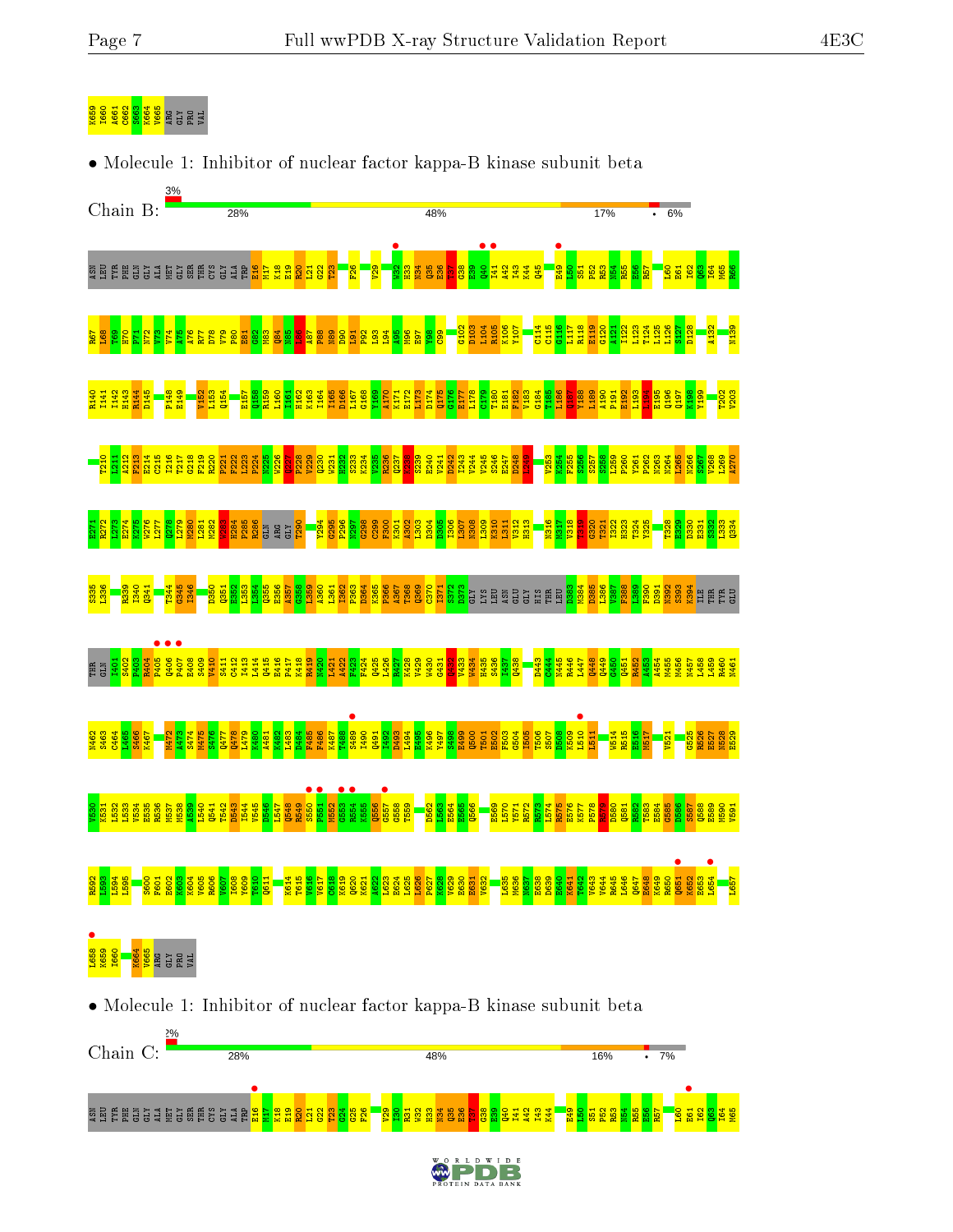#### K660 A66<br><mark>1960 A66</mark><br><mark>1960 A66</mark> S666 A66

See alaay saan ah

e<br>"" M17 K18  $222$  $\frac{23}{2}$  $\frac{24}{2}$  $55$  $\frac{26}{1}$  $\frac{29}{2}$  $\frac{8}{1}$ R31  $\frac{32}{2}$  $\frac{33}{2}$ N34 Q35  $\frac{8}{2}$ <u>គ</u>  $\frac{8}{3}$  $\frac{8}{2}$ Q40 I41  $\frac{42}{4}$ I43  $\overline{14}$ E49  $\frac{8}{1}$  $\frac{51}{2}$  $\frac{52}{2}$ R53  $\frac{1}{2}$ R55  $\frac{8}{10}$  $R57$  $\overline{160}$ **•**<br>E61 I62  $\frac{3}{2}$ I64 M65

28%



48%

 $D$  E

16%

 $\overline{\cdot}$  7%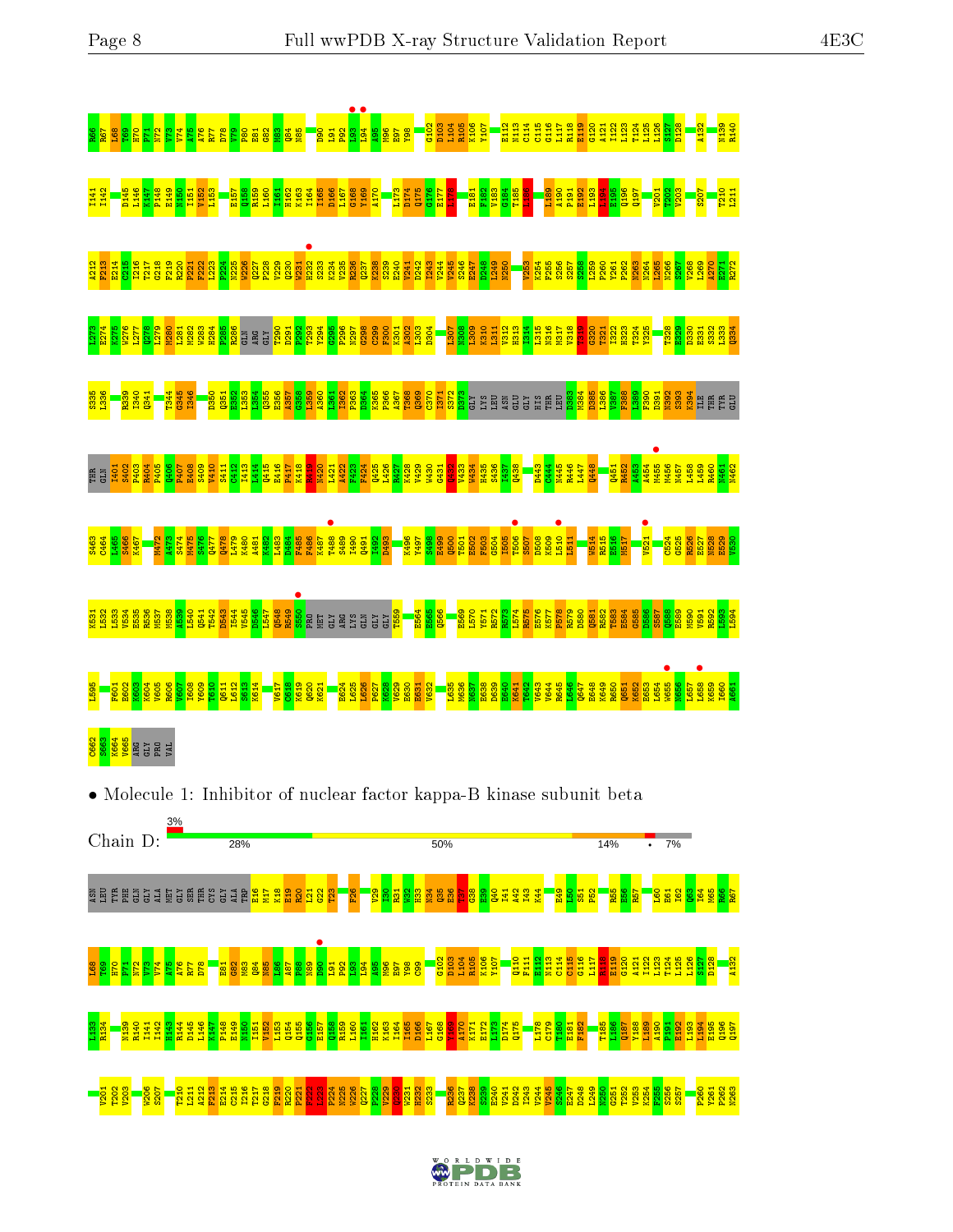





L126 S127 D128 A132

L193  $\frac{195}{195}$ 

P260 Y261 P262 N263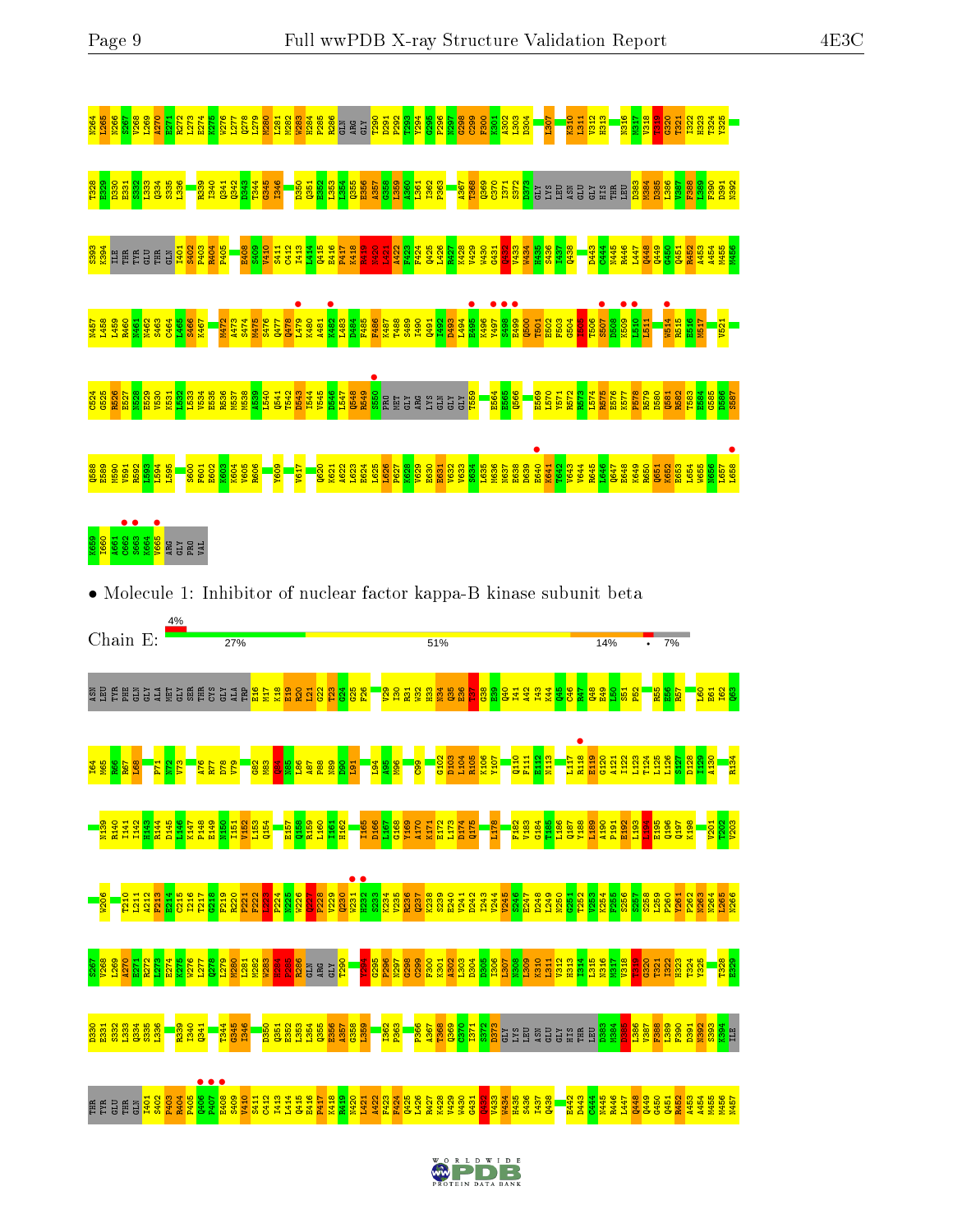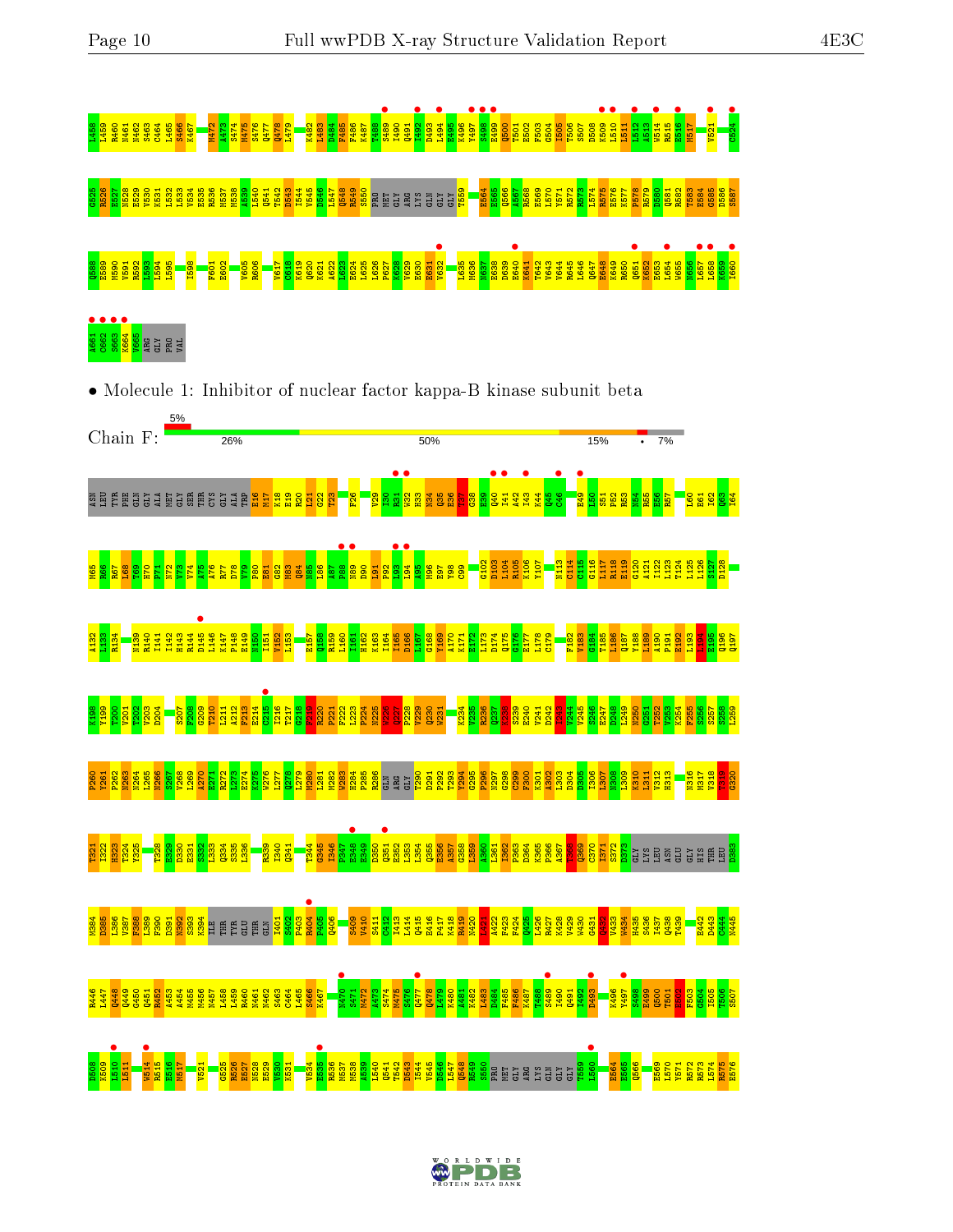

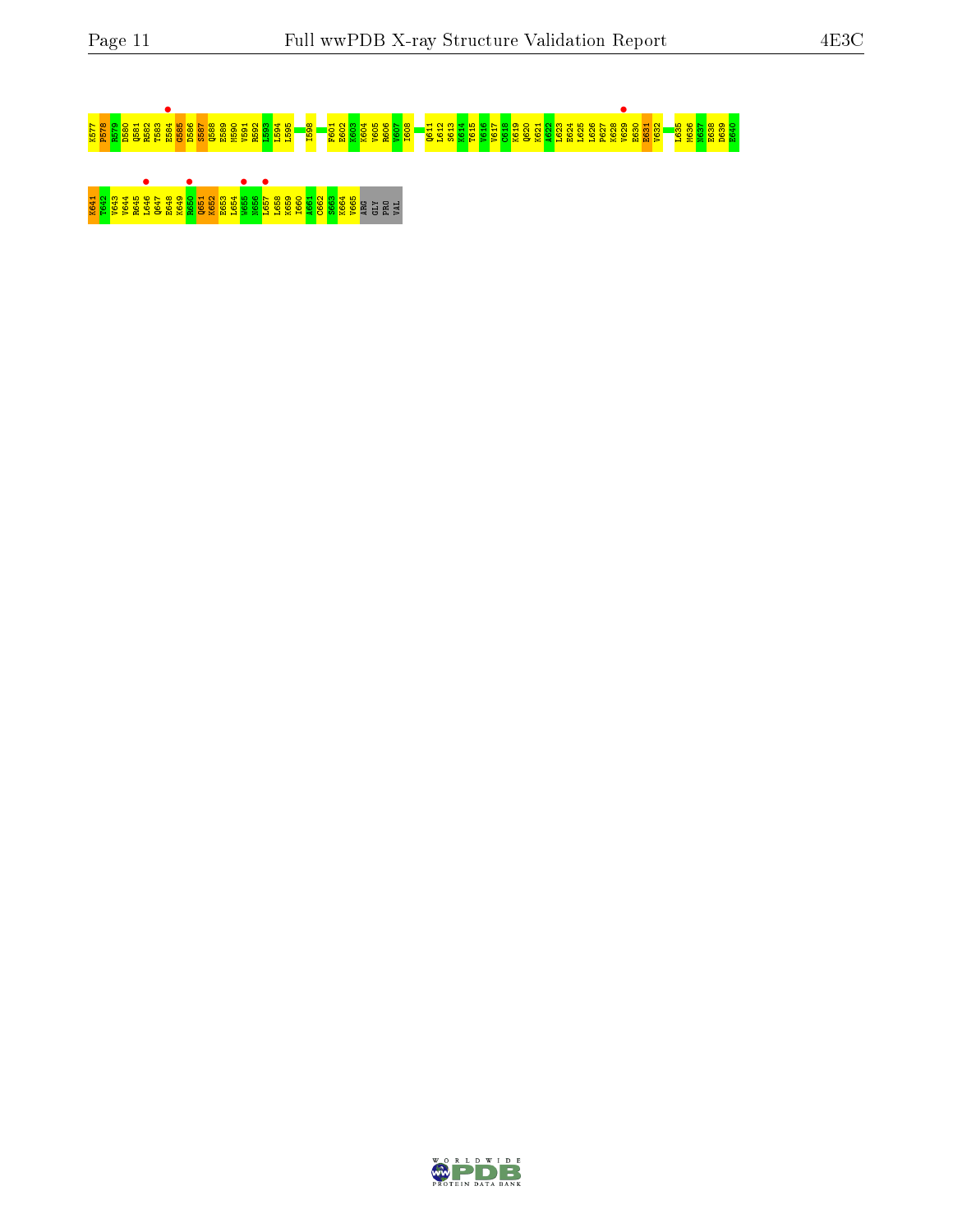# K577 P578 R579 D580 Q581 R582 T583 E584 • G585 D586 S587 Q588 E589 M590 V591 R592 L593 L594 L595 I598 F601 E602 K603 K604 V605 R606 V607 I608 Q611 L612 S613 K614 T615 V616 V617 C618 K619 Q620 K621 A622 L623 E624 L625 L626 P627 K628 V629 • E630 E631 V632 L635 M636 N637 E638 D639 E640 K642 R642 P648 R646 R645 P65<br>1 B64 R64 P648 P65<br>1 B64 R64 P65

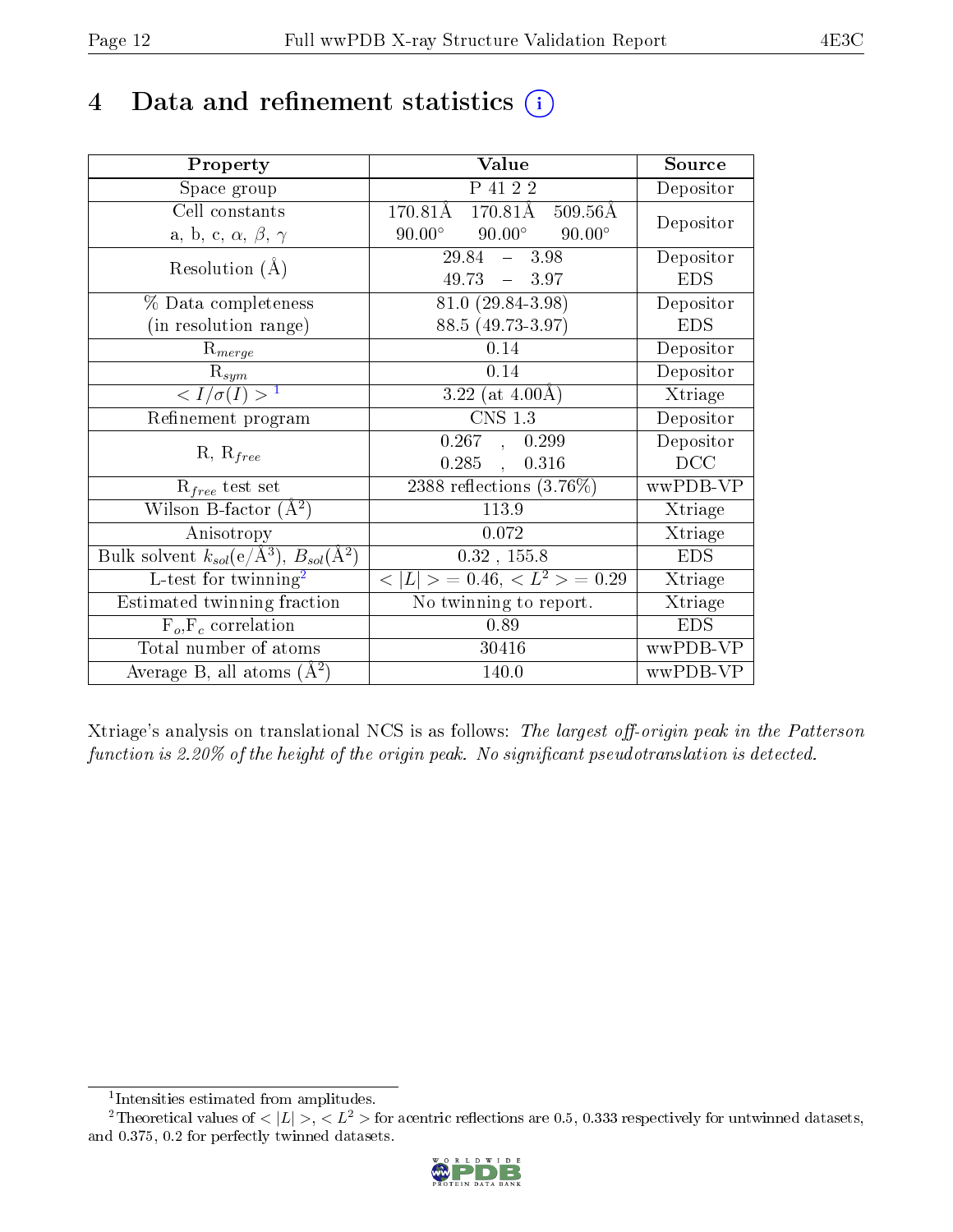#### 4 Data and refinement statistics  $(i)$

| Property                                                                | Value                                               | Source     |
|-------------------------------------------------------------------------|-----------------------------------------------------|------------|
| Space group                                                             | P 41 2 2                                            | Depositor  |
| Cell constants                                                          | $170.81\text{\AA}$<br>170.81Å<br>$509.56\text{\AA}$ | Depositor  |
| a, b, c, $\alpha$ , $\beta$ , $\gamma$                                  | $90.00^{\circ}$<br>$90.00^\circ$<br>$90.00^\circ$   |            |
| Resolution $(A)$                                                        | $29.84 - 3.98$                                      | Depositor  |
|                                                                         | $49.73 = 3.97$                                      | <b>EDS</b> |
| % Data completeness                                                     | 81.0 (29.84-3.98)                                   | Depositor  |
| (in resolution range)                                                   | 88.5 (49.73-3.97)                                   | <b>EDS</b> |
| $R_{merge}$                                                             | 0.14                                                | Depositor  |
| $\mathrm{R}_{sym}$                                                      | 0.14                                                | Depositor  |
| $\langle I/\sigma(I) \rangle^{-1}$                                      | 3.22 (at $4.00\text{\AA}$ )                         | Xtriage    |
| Refinement program                                                      | <b>CNS 1.3</b>                                      | Depositor  |
| $R, R_{free}$                                                           | 0.267, 0.299                                        | Depositor  |
|                                                                         | 0.285,<br>0.316                                     | DCC        |
| $\mathcal{R}_{free}$ test set                                           | $2388$ reflections $(3.76\%)$                       | wwPDB-VP   |
| Wilson B-factor $(A^2)$                                                 | 113.9                                               | Xtriage    |
| Anisotropy                                                              | 0.072                                               | Xtriage    |
| Bulk solvent $k_{sol}(\mathrm{e}/\mathrm{A}^3),\,B_{sol}(\mathrm{A}^2)$ | $0.32$ , 155.8                                      | <b>EDS</b> |
| L-test for twinning <sup>2</sup>                                        | $< L >$ = 0.46, $< L2 >$ = 0.29                     | Xtriage    |
| Estimated twinning fraction                                             | No twinning to report.                              | Xtriage    |
| $F_o, F_c$ correlation                                                  | 0.89                                                | <b>EDS</b> |
| Total number of atoms                                                   | 30416                                               | wwPDB-VP   |
| Average B, all atoms $(A^2)$                                            | 140.0                                               | wwPDB-VP   |

Xtriage's analysis on translational NCS is as follows: The largest off-origin peak in the Patterson function is 2.20% of the height of the origin peak. No significant pseudotranslation is detected.

<sup>&</sup>lt;sup>2</sup>Theoretical values of  $\langle |L| \rangle$ ,  $\langle L^2 \rangle$  for acentric reflections are 0.5, 0.333 respectively for untwinned datasets, and 0.375, 0.2 for perfectly twinned datasets.



<span id="page-11-1"></span><span id="page-11-0"></span><sup>1</sup> Intensities estimated from amplitudes.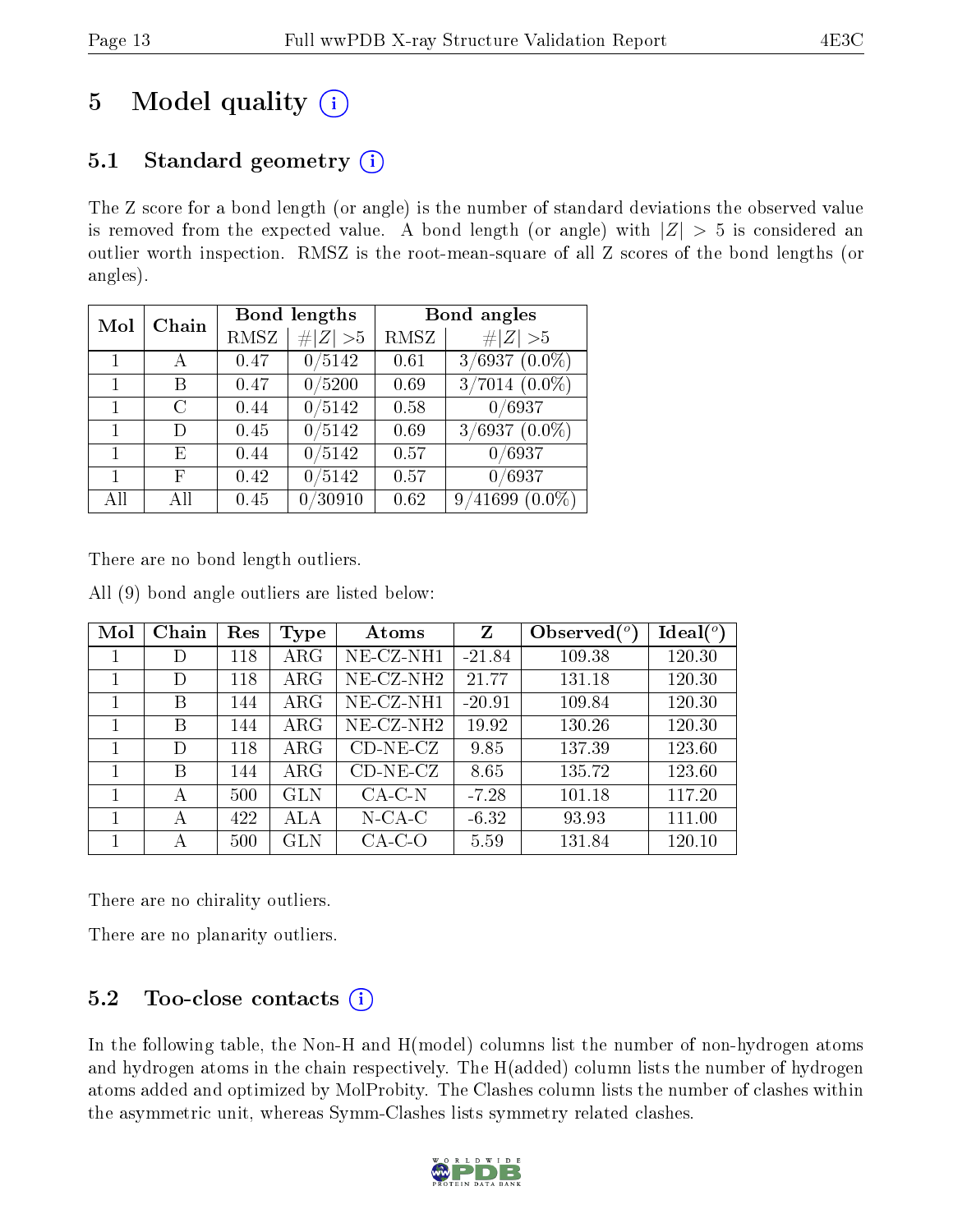## 5 Model quality  $(i)$

#### 5.1 Standard geometry  $(i)$

The Z score for a bond length (or angle) is the number of standard deviations the observed value is removed from the expected value. A bond length (or angle) with  $|Z| > 5$  is considered an outlier worth inspection. RMSZ is the root-mean-square of all Z scores of the bond lengths (or angles).

| Mol | Chain | Bond lengths |             | Bond angles |                                    |  |
|-----|-------|--------------|-------------|-------------|------------------------------------|--|
|     |       | RMSZ         | # $ Z  > 5$ | RMSZ        | Z   > 5                            |  |
|     |       | 0.47         | 0/5142      | 0.61        | $3/6937(0.0\%)$                    |  |
| 1   | В     | 0.47         | 0/5200      | 0.69        | $3/7014~(0.0\%)$                   |  |
| 1   | C     | 0.44         | 0/5142      | 0.58        | $\sqrt{0/6937}$                    |  |
| 1   | D)    | 0.45         | 0/5142      | 0.69        | $3/6937(0.0\%)$                    |  |
| 1   | Е     | 0.44         | 0/5142      | 0.57        | 0/6937                             |  |
|     | F     | 0.42         | 0/5142      | 0.57        | 0/6937                             |  |
| All | Αll   | 0.45         | /30910      | 0.62        | $^{\prime}41699$<br>$(0.0\%)$<br>9 |  |

There are no bond length outliers.

All (9) bond angle outliers are listed below:

| Mol | Chain | Res | Type       | Atoms        | $\mathbf{Z}$ | Observed $\binom{o}{c}$ | $\text{Ideal}({}^{\circ})$ |
|-----|-------|-----|------------|--------------|--------------|-------------------------|----------------------------|
| 1   | D     | 118 | $\rm{ARG}$ | $NE-CZ-NH1$  | $-21.84$     | 109.38                  | 120.30                     |
|     | D     | 118 | $\rm{ARG}$ | $NE-CZ-NH2$  | 21.77        | 131.18                  | 120.30                     |
|     | B     | 144 | $\rm{ARG}$ | NE-CZ-NH1    | $-20.91$     | 109.84                  | 120.30                     |
| 1   | В     | 144 | $\rm{ARG}$ | $NE$ -CZ-NH2 | 19.92        | 130.26                  | 120.30                     |
|     | D     | 118 | $\rm{ARG}$ | $CD-NE- CZ$  | 9.85         | 137.39                  | 123.60                     |
|     | В     | 144 | $\rm{ARG}$ | $CD-NE- CZ$  | 8.65         | 135.72                  | 123.60                     |
| 1   | А     | 500 | <b>GLN</b> | $CA-C-N$     | $-7.28$      | 101.18                  | 117.20                     |
|     | А     | 422 | ALA        | $N$ -CA-C    | $-6.32$      | 93.93                   | 111.00                     |
|     | А     | 500 | GLN        | $CA-C-O$     | 5.59         | 131.84                  | 120.10                     |

There are no chirality outliers.

There are no planarity outliers.

#### $5.2$  Too-close contacts  $(i)$

In the following table, the Non-H and H(model) columns list the number of non-hydrogen atoms and hydrogen atoms in the chain respectively. The H(added) column lists the number of hydrogen atoms added and optimized by MolProbity. The Clashes column lists the number of clashes within the asymmetric unit, whereas Symm-Clashes lists symmetry related clashes.

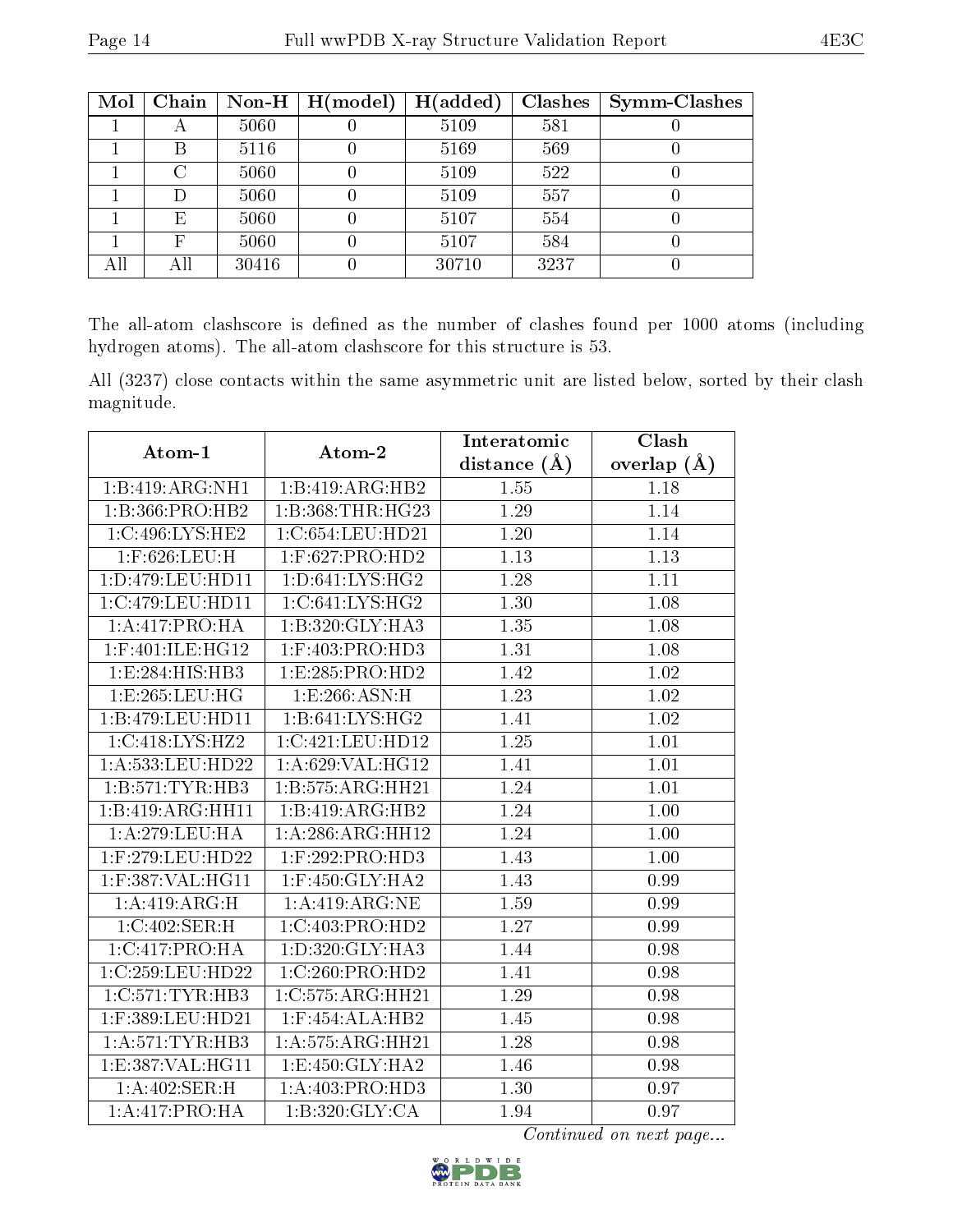| Mol | Chain |       | Non-H $\mid$ H(model) | H(added) | <b>Clashes</b> | <b>Symm-Clashes</b> |
|-----|-------|-------|-----------------------|----------|----------------|---------------------|
|     | А     | 5060  |                       | 5109     | 581            |                     |
|     | Β     | 5116  |                       | 5169     | 569            |                     |
|     | С     | 5060  |                       | 5109     | 522            |                     |
|     | D     | 5060  |                       | 5109     | 557            |                     |
|     | E     | 5060  |                       | 5107     | 554            |                     |
|     | F     | 5060  |                       | 5107     | 584            |                     |
|     | All   | 30416 |                       | 30710    | 3237           |                     |

The all-atom clashscore is defined as the number of clashes found per 1000 atoms (including hydrogen atoms). The all-atom clashscore for this structure is 53.

All (3237) close contacts within the same asymmetric unit are listed below, sorted by their clash magnitude.

|                      |                      | Interatomic      | Clash             |
|----------------------|----------------------|------------------|-------------------|
| Atom-1               | Atom-2               | distance $(\AA)$ | overlap $(\AA)$   |
| 1:B:419:ARG:NH1      | 1:B:419:ARG:HB2      | 1.55             | 1.18              |
| 1:B:366:PRO:HB2      | 1:B:368:THR:HG23     | 1.29             | 1.14              |
| 1:C:496:LYS:HE2      | 1:C:654:LEU:HD21     | 1.20             | 1.14              |
| 1:F:626:LEU:H        | $1:$ F:627:PRO:HD2   | 1.13             | $\overline{1.13}$ |
| 1: D: 479: LEU: HD11 | 1: D:641: LYS: HG2   | 1.28             | 1.11              |
| 1:C:479:LEU:HD11     | 1:C:641:LYS:HG2      | 1.30             | 1.08              |
| 1:A:417:PRO:HA       | 1:B:320:GLY:HA3      | 1.35             | 1.08              |
| $1:$ F:401:ILE:HG12  | $1:$ F:403:PRO:HD3   | 1.31             | 1.08              |
| 1:E:284:HIS:HB3      | 1: E: 285: PRO: HD2  | 1.42             | 1.02              |
| 1:E:265:LEU:HG       | 1:E:266:ASN:H        | 1.23             | 1.02              |
| 1:B:479:LEU:HD11     | 1: B:641: LYS: HG2   | 1.41             | $1.02\,$          |
| 1:C:418:LYS:HZ2      | 1:C:421:LEU:HD12     | 1.25             | 1.01              |
| 1:A:533:LEU:HD22     | 1: A:629: VAL:HG12   | 1.41             | 1.01              |
| 1:B:571:TYR:HB3      | 1:B:575:ARG:HH21     | 1.24             | 1.01              |
| 1:B:419:ARG:HH11     | 1:B:419:ARG:HB2      | 1.24             | 1.00              |
| 1:A:279:LEU:HA       | 1:A:286:ARG:HH12     | 1.24             | 1.00              |
| 1:F:279:LEU:HD22     | $1:$ F:292:PRO:HD3   | 1.43             | 1.00              |
| $1:$ F:387:VAL:HG11  | $1:$ F:450:GLY:HA2   | 1.43             | 0.99              |
| 1:A:419:ARG:H        | 1:A:419:ARG:NE       | 1.59             | 0.99              |
| 1:C:402:SER:H        | 1:C:403:PRO:HD2      | 1.27             | 0.99              |
| 1:C:417:PRO:HA       | 1:D:320:GLY:HA3      | 1.44             | 0.98              |
| 1:C:259:LEU:HD22     | 1:C:260:PRO:HD2      | 1.41             | 0.98              |
| 1:C:571:TYR:HB3      | 1:C:575:ARG:HH21     | 1.29             | 0.98              |
| 1:F:389:LEU:HD21     | $1:$ F:454:ALA:HB2   | 1.45             | 0.98              |
| 1: A:571:TYR:HB3     | 1: A: 575: ARG: HH21 | 1.28             | 0.98              |
| 1: E: 387: VAL:HGI1  | 1: E: 450: GLY: HA2  | 1.46             | 0.98              |
| 1:A:402:SER:H        | 1:A:403:PRO:HD3      | 1.30             | 0.97              |
| 1:A:417:PRO:HA       | 1:B:320:GLY:CA       | 1.94             | 0.97              |

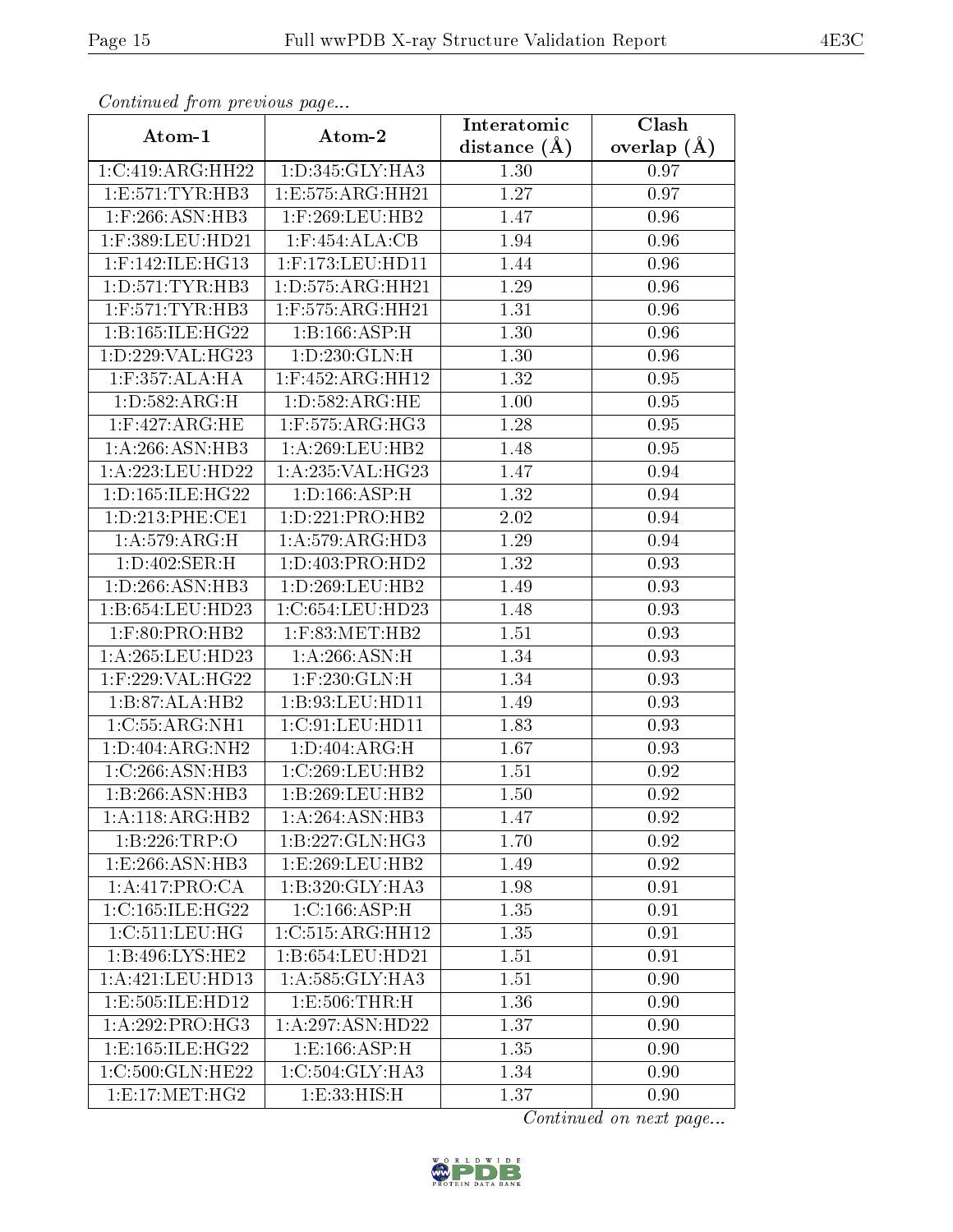| Communa from previous page      |                      | Interatomic    | Clash         |
|---------------------------------|----------------------|----------------|---------------|
| Atom-1                          | Atom-2               | distance $(A)$ | overlap $(A)$ |
| 1:C:419:ARG:HH22                | 1:D:345:GLY:HA3      | 1.30           | 0.97          |
| 1: E: 571: TYR: HB3             | 1:E:575:ARG:HH21     | 1.27           | 0.97          |
| $1:$ F:266:ASN:HB3              | $1:$ F:269:LEU:HB2   | 1.47           | 0.96          |
| 1:F:389:LEU:HD21                | $1:$ F:454:ALA:CB    | 1.94           | 0.96          |
| $1:$ F:142:ILE:HG13             | $1:$ F:173:LEU:HD11  | 1.44           | 0.96          |
| 1: D: 571: TYR: HB3             | 1: D: 575: ARG: HH21 | 1.29           | 0.96          |
| $1:$ F:571:TYR:HB3              | 1:F:575:ARG:HH21     | 1.31           | 0.96          |
| 1:Bi:165:ILE:HG22               | 1:B:166:ASP:H        | 1.30           | 0.96          |
| 1:D:229:VAL:HG23                | 1:D:230:GLN:H        | 1.30           | 0.96          |
| $1:$ F:357:ALA:HA               | 1:F:452:ARG:HH12     | 1.32           | 0.95          |
| 1: D: 582: ARG:H                | 1: D: 582: ARG: HE   | 1.00           | 0.95          |
| $1:$ F:427:ARG:HE               | $1:$ F:575:ARG:HG3   | 1.28           | 0.95          |
| 1:A:266:ASN:HB3                 | 1: A:269:LEU:HB2     | 1.48           | 0.95          |
| 1:A:223:LEU:HD22                | 1: A:235: VAL:HG23   | 1.47           | 0.94          |
| 1: D: 165: ILE: HG22            | 1: D: 166: ASP:H     | 1.32           | 0.94          |
| 1: D: 213: PHE: CE1             | 1:D:221:PRO:HB2      | 2.02           | 0.94          |
| 1: A:579:ARG:H                  | 1: A:579: ARG:HD3    | 1.29           | 0.94          |
| $1: D:402$ : SER: H             | 1: D: 403: PRO: HD2  | 1.32           | 0.93          |
| 1:D:266:ASN:HB3                 | 1: D: 269: LEU: HB2  | 1.49           | 0.93          |
| 1:B:654:LEU:HD23                | 1:C:654:LEU:HD23     | 1.48           | 0.93          |
| $1:$ F:80:PRO:HB2               | 1:F:83:MET:HB2       | 1.51           | 0.93          |
| 1: A:265:LEU:HD23               | 1: A:266: ASN:H      | 1.34           | 0.93          |
| $1:$ F:229:VAL:HG22             | $1:$ F:230: GLN: H   | 1.34           | 0.93          |
| 1:B:87:ALA:HB2                  | 1:B:93:LEU:HD11      | 1.49           | 0.93          |
| 1:C:55:ARG:NH1                  | 1:C:91:LEU:HD11      | 1.83           | 0.93          |
| 1:D:404:ARG:NH2                 | 1: D:404: ARG:H      | 1.67           | 0.93          |
| 1:C:266:ASN:HB3                 | 1:C:269:LEU:HB2      | 1.51           | 0.92          |
| 1:B:266:ASN:HB3                 | 1:B:269:LEU:HB2      | 1.50           | 0.92          |
| $1:A:118:AR\overline{G:HB2}$    | 1:A:264:ASN:HB3      | 1.47           | 0.92          |
| 1:B:226:TRP:O                   | 1:B:227:GLN:HG3      | 1.70           | 0.92          |
| $1: E: 266: \overline{ASN:HB3}$ | 1:E:269:LEU:HB2      | 1.49           | 0.92          |
| 1:A:417:PRO:CA                  | 1:B:320:GLY:HA3      | 1.98           | 0.91          |
| 1:C:165:ILE:HG22                | 1:C:166:ASP:H        | 1.35           | 0.91          |
| 1:C:511:LEU:HG                  | 1:C:515:ARG:HH12     | 1.35           | 0.91          |
| 1:B:496:LYS:HE2                 | 1:B:654:LEU:HD21     | 1.51           | 0.91          |
| 1:A:421:LEU:HD13                | 1:A:585:GLY:HA3      | 1.51           | 0.90          |
| 1:E:505:ILE:HD12                | 1:E:506:THR:H        | 1.36           | 0.90          |
| 1:A:292:PRO:HG3                 | 1:A:297:ASN:HD22     | 1.37           | 0.90          |
| 1:E:165:ILE:HG22                | 1: E: 166: ASP: H    | 1.35           | 0.90          |
| 1:C:500:GLN:HE22                | 1:C:504:GLY:HA3      | 1.34           | 0.90          |
| 1: E:17: MET:HG2                | 1:E:33:HIS:H         | 1.37           | 0.90          |

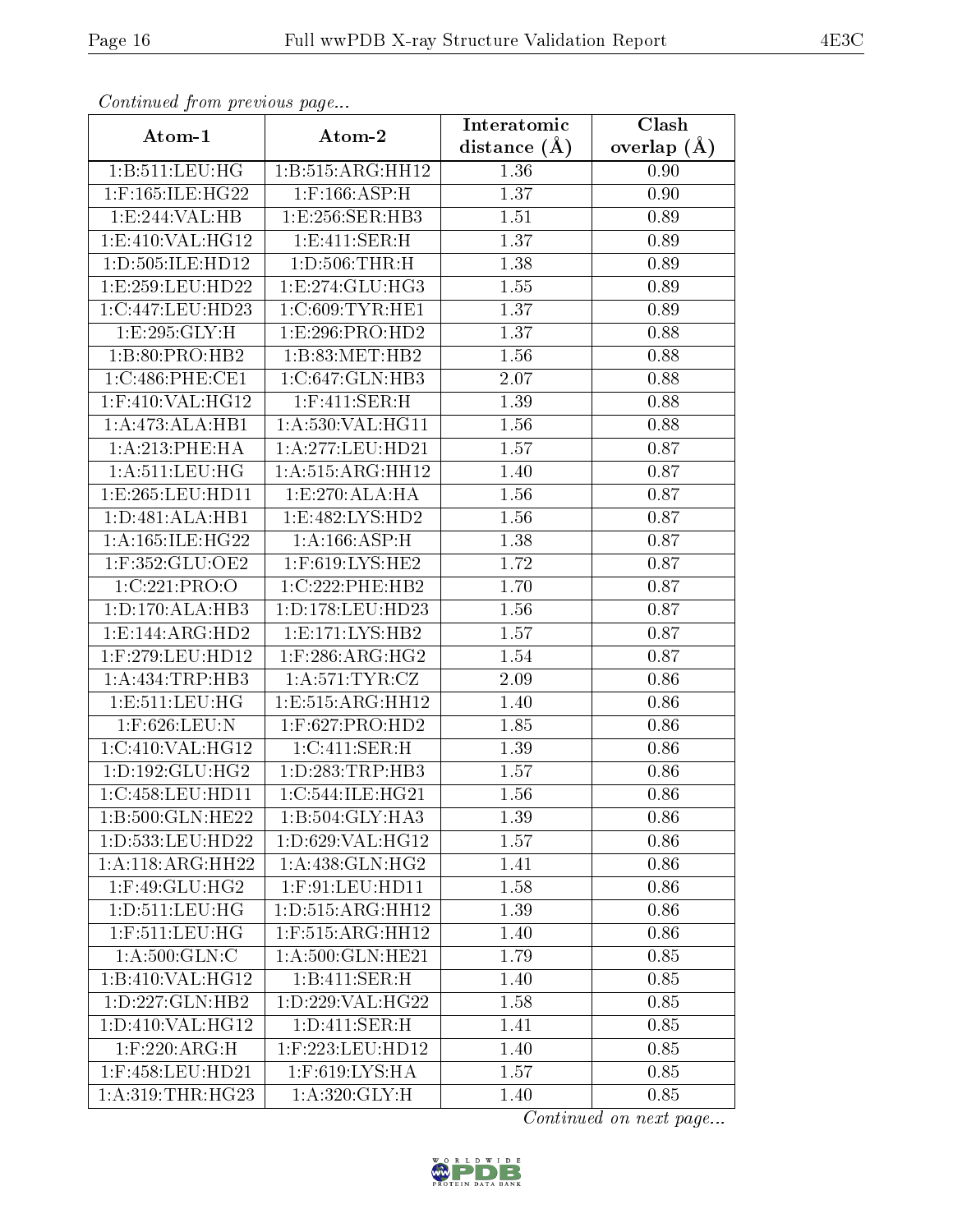| Communa from previous page    |                                     | Interatomic      | Clash           |
|-------------------------------|-------------------------------------|------------------|-----------------|
| Atom-1                        | Atom-2                              | distance $(\AA)$ | overlap $(\AA)$ |
| 1:B:511:LEU:HG                | 1:B:515:ARG:HH12                    | 1.36             | 0.90            |
| 1:F:165:ILE:HG22              | $1:$ F:166:ASP:H                    | 1.37             | 0.90            |
| 1:E:244:VAL:HB                | 1:E:256:SER:HB3                     | 1.51             | 0.89            |
| 1: E:410: VAL: HG12           | 1: E: 411: SER:H                    | 1.37             | 0.89            |
| 1:D:505:ILE:HD12              | 1: D: 506: THR:H                    | 1.38             | 0.89            |
| 1:E:259:EU:HD22               | 1: E: 274: GLU: HG3                 | 1.55             | 0.89            |
| 1:C:447:LEU:HD23              | 1:C:609:TYR:HE1                     | 1.37             | 0.89            |
| 1:E:295:GLY:H                 | 1:E:296:PRO:HD2                     | 1.37             | 0.88            |
| 1:B:80:PRO:HB2                | 1:B:83:MET:HB2                      | 1.56             | 0.88            |
| 1:C:486:PHE:CE1               | 1:C:647:GLN:HB3                     | 2.07             | 0.88            |
| 1:F:410:VAL:HG12              | $1:$ F:411:SER:H                    | 1.39             | 0.88            |
| 1:A:473:ALA:HB1               | 1: A:530:VAL:HG11                   | 1.56             | 0.88            |
| 1:A:213:PHE:HA                | 1:A:277:LEU:HD21                    | 1.57             | 0.87            |
| 1: A: 511: LEU: HG            | 1: A: 515: ARG: HH12                | 1.40             | 0.87            |
| 1:E:265:LEU:HD11              | 1:E:270:ALA:HA                      | 1.56             | 0.87            |
| 1: D:481: ALA:HB1             | 1:E:482:LYS:HD2                     | 1.56             | 0.87            |
| 1: A:165: ILE:HG22            | 1: A: 166: ASP:H                    | 1.38             | 0.87            |
| $1:$ F:352:GLU:OE2            | 1:F:619:LYS:HE2                     | 1.72             | 0.87            |
| 1:C:221:PRO:O                 | 1:C:222:PHE:HB2                     | 1.70             | 0.87            |
| 1: D: 170: ALA: HB3           | 1: D: 178: LEU: HD23                | 1.56             | 0.87            |
| 1:E:144:ARG:HD2               | 1: E: 171: LYS: HB2                 | 1.57             | 0.87            |
| 1:F:279:LEU:HD12              | $1:$ F:286:ARG:HG2                  | 1.54             | 0.87            |
| 1: A: 434: TRP: HB3           | 1: A:571:TYR:CZ                     | 2.09             | 0.86            |
| 1: E: 511: LEU: HG            | 1: E: 515: ARG: HH12                | 1.40             | 0.86            |
| 1:F:626:LEU:N                 | $1:$ F:627:PRO:HD2                  | 1.85             | 0.86            |
| 1:C:410:VAL:HG12              | 1:C:411:SER:H                       | 1.39             | 0.86            |
| 1: D: 192: GLU: HG2           | 1: D: 283: TRP: HB3                 | 1.57             | 0.86            |
| $1:C:458:L\overline{EU:HDI1}$ | $1:C:544:\overline{\text{LE:HG21}}$ | 1.56             | 0.86            |
| $1:B:500:$ GLN:HE22           | $1:B:504:GLY:H\overline{A3}$        | 1.39             | 0.86            |
| 1:D:533:LEU:HD22              | 1:D:629:VAL:HG12                    | 1.57             | 0.86            |
| 1:A:118:ARG:HH22              | 1: A:438: GLN: HG2                  | 1.41             | 0.86            |
| 1:F:49:GLU:HG2                | $1:$ F:91:LEU:HD11                  | 1.58             | 0.86            |
| 1: D: 511: LEU: HG            | 1: D: 515: ARG: HH12                | 1.39             | 0.86            |
| $1:$ F:511:LEU:HG             | 1:F:515:ARG:HH12                    | 1.40             | 0.86            |
| 1: A:500: GLN: C              | 1: A:500: GLN: HE21                 | 1.79             | 0.85            |
| 1:B:410:VAL:HG12              | 1:B:411:SER:H                       | 1.40             | 0.85            |
| 1:D:227:GLN:HB2               | 1:D:229:VAL:HG22                    | 1.58             | 0.85            |
| 1:D:410:VAL:HG12              | 1: D: 411: SER:H                    | 1.41             | 0.85            |
| $1:$ F:220:ARG:H              | $1:$ F:223:LEU:HD12                 | 1.40             | 0.85            |
| 1:F:458:LEU:HD21              | 1:F:619:LYS:HA                      | 1.57             | 0.85            |
| 1: A:319:THR:HG23             | $1: A:320: \overline{GLY:H}$        | 1.40             | 0.85            |

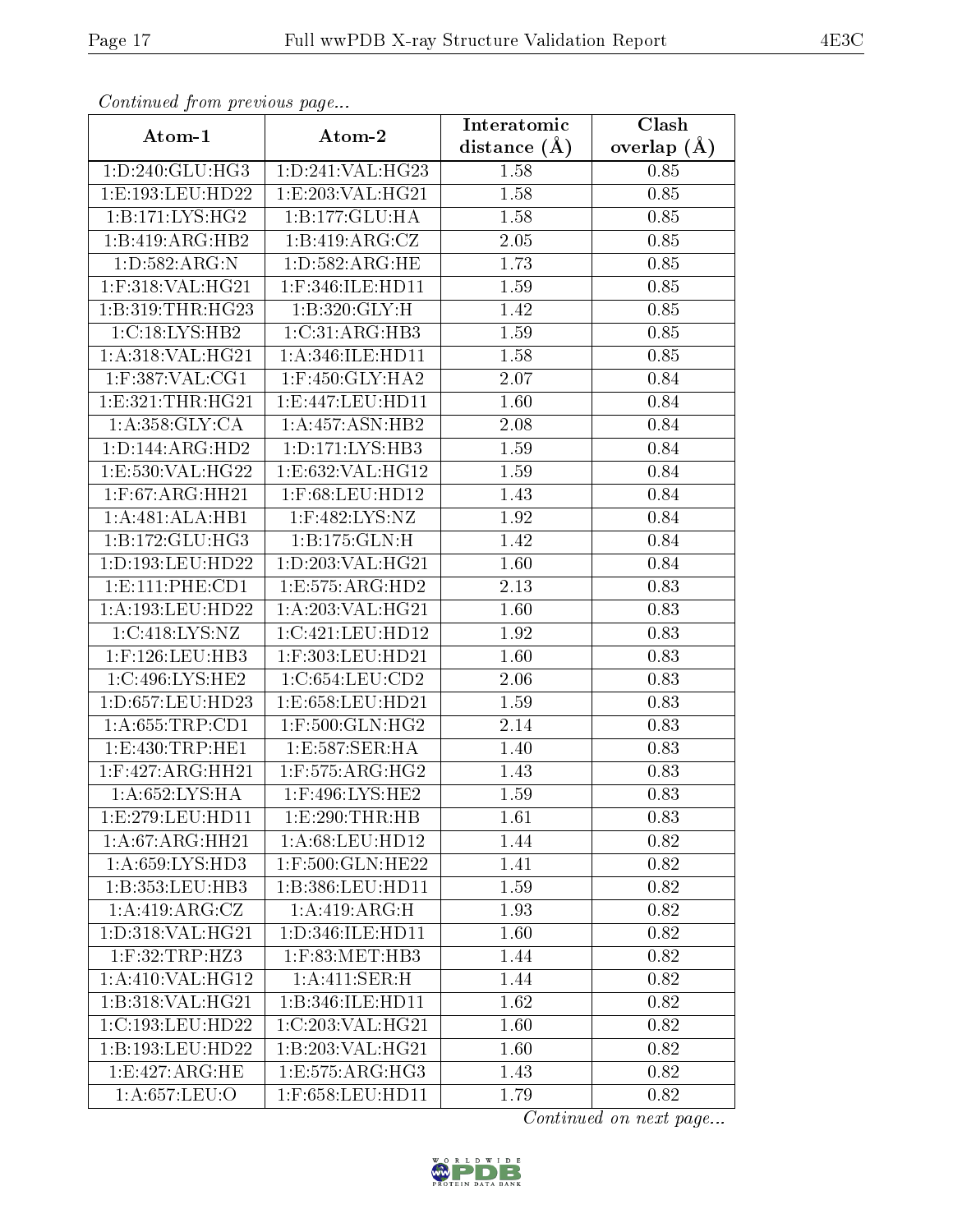| Comunaca jiom previous page |                     | Interatomic    | Clash           |
|-----------------------------|---------------------|----------------|-----------------|
| Atom-1                      | Atom-2              | distance $(A)$ | overlap $(\AA)$ |
| 1: D: 240: GLU: HG3         | 1:D:241:VAL:HG23    | 1.58           | 0.85            |
| 1:E:193:LEU:HD22            | 1:E:203:VAL:HG21    | 1.58           | 0.85            |
| 1:B:171:LYS:HG2             | 1:B:177:GLU:HA      | 1.58           | 0.85            |
| 1:B:419:ARG:HB2             | 1:B:419:ARG:CZ      | 2.05           | 0.85            |
| 1: D: 582: ARG: N           | 1: D: 582: ARG: HE  | 1.73           | 0.85            |
| $1:$ F:318:VAL:HG21         | 1:F:346:ILE:HD11    | 1.59           | 0.85            |
| 1:B:319:THR:HG23            | 1: B: 320: GLY: H   | 1.42           | 0.85            |
| 1:C:18:LYS:HB2              | 1:C:31:ARG:HB3      | 1.59           | 0.85            |
| 1:A:318:VAL:HG21            | 1: A:346: ILE: HD11 | 1.58           | 0.85            |
| $1:$ F:387:VAL:CG1          | $1:$ F:450:GLY:HA2  | 2.07           | 0.84            |
| 1: E: 321: THR: HG21        | 1:E:447:LEU:HD11    | 1.60           | 0.84            |
| 1: A: 358: GLY: CA          | 1:A:457:ASN:HB2     | 2.08           | 0.84            |
| 1: D: 144: ARG: HD2         | 1: D: 171: LYS: HB3 | 1.59           | 0.84            |
| 1:E:530:VAL:HG22            | 1:E:632:VAL:HG12    | 1.59           | 0.84            |
| $1:$ F:67:ARG:HH21          | 1:F:68:LEU:HD12     | 1.43           | 0.84            |
| 1:A:481:ALA:HB1             | 1:F:482:LYS:NZ      | 1.92           | 0.84            |
| 1:B:172:GLU:HG3             | 1:B:175:GLN:H       | 1.42           | 0.84            |
| 1:D:193:LEU:HD22            | 1:D:203:VAL:HG21    | 1.60           | 0.84            |
| 1: E: 111: PHE: CD1         | 1:E:575:ARG:HD2     | 2.13           | 0.83            |
| 1: A: 193: LEU: HD22        | 1: A:203: VAL:HG21  | 1.60           | 0.83            |
| 1:C:418:LYS:NZ              | 1:C:421:LEU:HD12    | 1.92           | 0.83            |
| $1:$ F:126:LEU:HB3          | $1:$ F:303:LEU:HD21 | 1.60           | 0.83            |
| 1:C:496:LYS:HE2             | 1:C:654:LEU:CD2     | 2.06           | 0.83            |
| 1:D:657:LEU:HD23            | 1:E:658:LEU:HD21    | 1.59           | 0.83            |
| 1: A:655:TRP:CD1            | $1:$ F:500:GLN:HG2  | 2.14           | 0.83            |
| 1: E: 430: TRP: HE1         | 1:E:587:SER:HA      | 1.40           | 0.83            |
| 1:F:427:ARG:HH21            | $1:$ F:575:ARG:HG2  | 1.43           | 0.83            |
| 1:A:652:LYS:HA              | 1:F:496:LYS:HE2     | 1.59           | 0.83            |
| 1:E:279:LEU:HD11            | 1:E:290:THR:HB      | 1.61           | 0.83            |
| 1:A:67:ARG:HH21             | 1:A:68:LEU:HD12     | 1.44           | 0.82            |
| 1:A:659:LYS:HD3             | 1:F:500:GLN:HE22    | 1.41           | 0.82            |
| 1:B:353:LEU:HB3             | 1:B:386:LEU:HD11    | 1.59           | 0.82            |
| 1: A:419: ARG: CZ           | 1: A:419: ARG:H     | 1.93           | 0.82            |
| 1:D:318:VAL:HG21            | 1:D:346:ILE:HD11    | 1.60           | 0.82            |
| $1:$ F:32:TRP:HZ3           | $1:$ F:83:MET:HB3   | 1.44           | 0.82            |
| 1:A:410:VAL:HG12            | 1:A:411:SER:H       | 1.44           | 0.82            |
| 1:B:318:VAL:HG21            | 1:B:346:ILE:HD11    | 1.62           | 0.82            |
| 1:C:193:LEU:HD22            | 1:C:203:VAL:HG21    | 1.60           | 0.82            |
| 1:B:193:LEU:HD22            | 1:B:203:VAL:HG21    | 1.60           | 0.82            |
| 1: E:427: ARG: HE           | 1:E:575:ARG:HG3     | 1.43           | 0.82            |
| 1: A:657:LEU:O              | 1:F:658:LEU:HD11    | 1.79           | 0.82            |

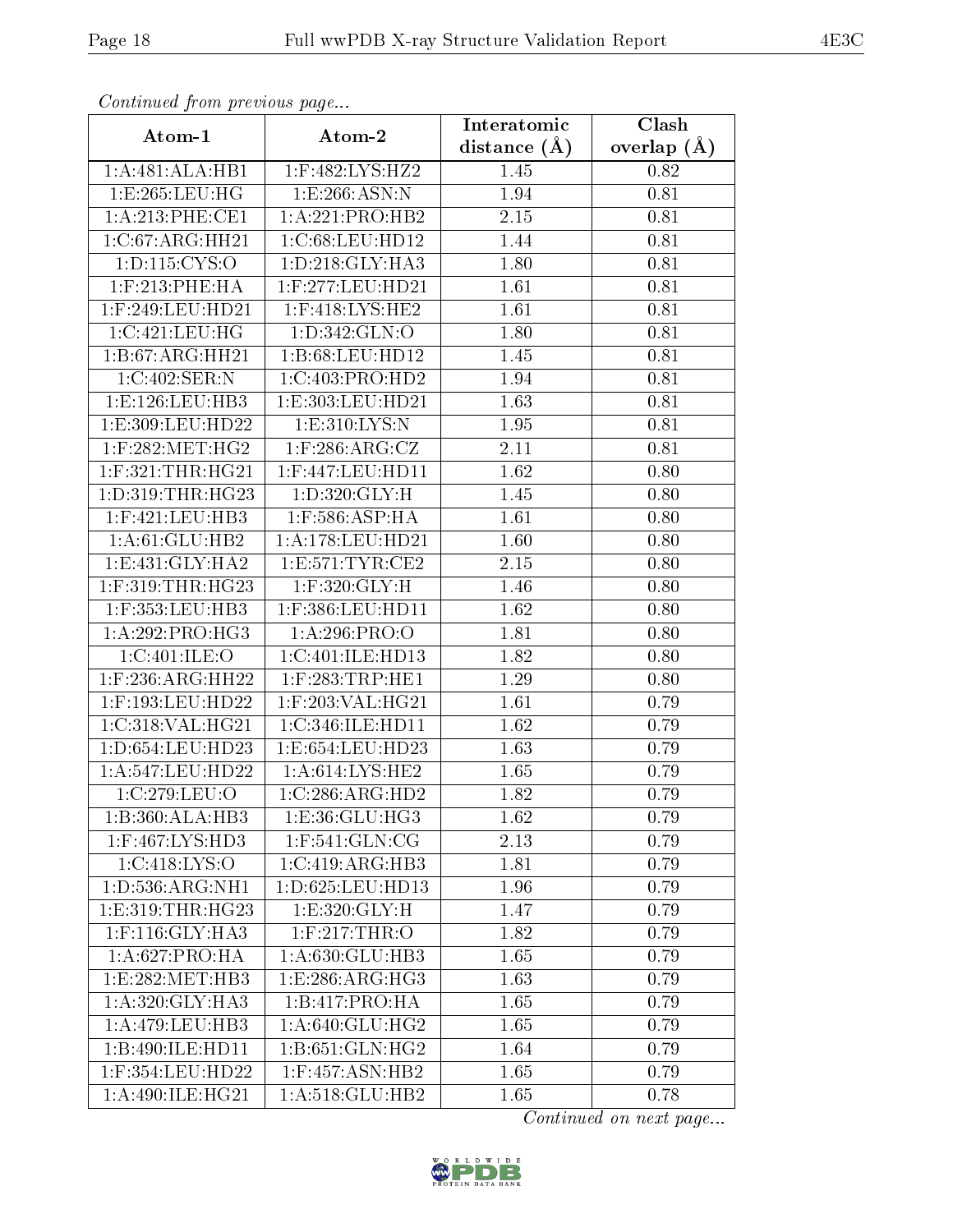| Continuea jioin pievivus page |                                 | Interatomic       | $\overline{\text{Clash}}$ |
|-------------------------------|---------------------------------|-------------------|---------------------------|
| Atom-1                        | Atom-2                          | distance $(\AA)$  | overlap $(A)$             |
| 1:A:481:ALA:HB1               | 1:F:482:LYS:HZ2                 | 1.45              | 0.82                      |
| 1:E:265:LEU:HG                | 1: E: 266: ASN: N               | 1.94              | 0.81                      |
| 1: A:213: PHE:CE1             | 1:A:221:PRO:HB2                 | 2.15              | 0.81                      |
| 1:C:67:ARG:HH21               | 1:C:68:LEU:HD12                 | 1.44              | 0.81                      |
| 1: D: 115: CYS: O             | 1: D: 218: GLY: HA3             | 1.80              | 0.81                      |
| $1:$ F:213:PHE:HA             | $1:$ F:277:LEU:HD21             | 1.61              | 0.81                      |
| $1:$ F:249:LEU:HD21           | $1:$ F:418:LYS:HE2              | 1.61              | 0.81                      |
| 1:C:421:LEU:HG                | 1:D:342:GLN:O                   | 1.80              | 0.81                      |
| 1:B:67:ARG:HH21               | 1:B:68:LEU:HD12                 | 1.45              | 0.81                      |
| 1:C:402:SER:N                 | 1:C:403:PRO:HD2                 | 1.94              | 0.81                      |
| 1: E: 126: LEU: HB3           | 1:E:303:LEU:HD21                | 1.63              | 0.81                      |
| 1:E:309:LEU:HD22              | 1: E:310: LYS:N                 | 1.95              | $\overline{0.81}$         |
| $1:$ F:282:MET:HG2            | $1:$ F:286:ARG:CZ               | 2.11              | 0.81                      |
| $1:$ F:321:THR:HG21           | $1:$ F:447:LEU:HD11             | 1.62              | 0.80                      |
| 1: D: 319: THR: HG23          | 1:D:320:GLY:H                   | 1.45              | 0.80                      |
| $1:$ F:421:LEU:HB3            | $1:$ F:586:ASP:HA               | 1.61              | 0.80                      |
| 1: A:61: GLU:HB2              | 1:A:178:LEU:HD21                | 1.60              | 0.80                      |
| 1: E: 431: GLY: HA2           | 1: E: 571: TYR: CE2             | 2.15              | 0.80                      |
| 1:F:319:THR:HG23              | $1:$ F:320: $GLY:H$             | $\overline{1}.46$ | 0.80                      |
| 1:F:353:LEU:HB3               | 1:F:386:LEU:HD11                | 1.62              | 0.80                      |
| 1: A:292: PRO:HG3             | 1: A:296: PRO:O                 | 1.81              | 0.80                      |
| 1:C:401:ILE:O                 | 1:C:401:ILE:HD13                | 1.82              | 0.80                      |
| 1:F:236:ARG:HH22              | 1:F:283:TRP:HE1                 | 1.29              | 0.80                      |
| 1:F:193:LEU:HD22              | 1:F:203:VAL:HG21                | 1.61              | 0.79                      |
| 1:C:318:VAL:HG21              | 1:C:346:ILE:HD11                | 1.62              | 0.79                      |
| 1:D:654:LEU:HD23              | 1:E:654:LEU:HD23                | 1.63              | 0.79                      |
| 1:A:547:LEU:HD22              | 1: A:614:LYS:HE2                | 1.65              | 0.79                      |
| 1:C:279:LEU:O                 | $1:C:286:ARG:\overline{HD2}$    | 1.82              | 0.79                      |
| 1:B:360:ALA:HB3               | 1: E: 36: GLU: HG3              | 1.62              | 0.79                      |
| $1:$ F:467:LYS:HD3            | $1:$ F:541:GLN:CG               | 2.13              | 0.79                      |
| 1:C:418:LYS:O                 | 1:C:419:ARG:HB3                 | 1.81              | 0.79                      |
| 1: D: 536: ARG: NH1           | $1: D:625:$ LEU:HD $13$         | 1.96              | 0.79                      |
| 1: E: 319: THR: HG23          | 1: E:320: GLY: H                | 1.47              | 0.79                      |
| $1:$ F:116: $GLY:HA3$         | $1:$ F:217:THR:O                | 1.82              | 0.79                      |
| 1:A:627:PRO:HA                | 1: A:630: GLU:HB3               | 1.65              | 0.79                      |
| 1:E:282:MET:HB3               | 1: E: 286: ARG: HG3             | 1.63              | 0.79                      |
| 1: A:320: GLY:HA3             | 1:B:417:PRO:HA                  | 1.65              | 0.79                      |
| 1:A:479:LEU:HB3               | 1:A:640:GLU:HG2                 | 1.65              | 0.79                      |
| 1:B:490:ILE:HD11              | $1: B:651: GLN: H\overline{G2}$ | 1.64              | 0.79                      |
| 1:F:354:LEU:HD22              | $1:$ F:457:ASN:HB2              | 1.65              | 0.79                      |
| 1: A:490: ILE: HG21           | 1: A:518: GLU:HB2               | 1.65              | 0.78                      |

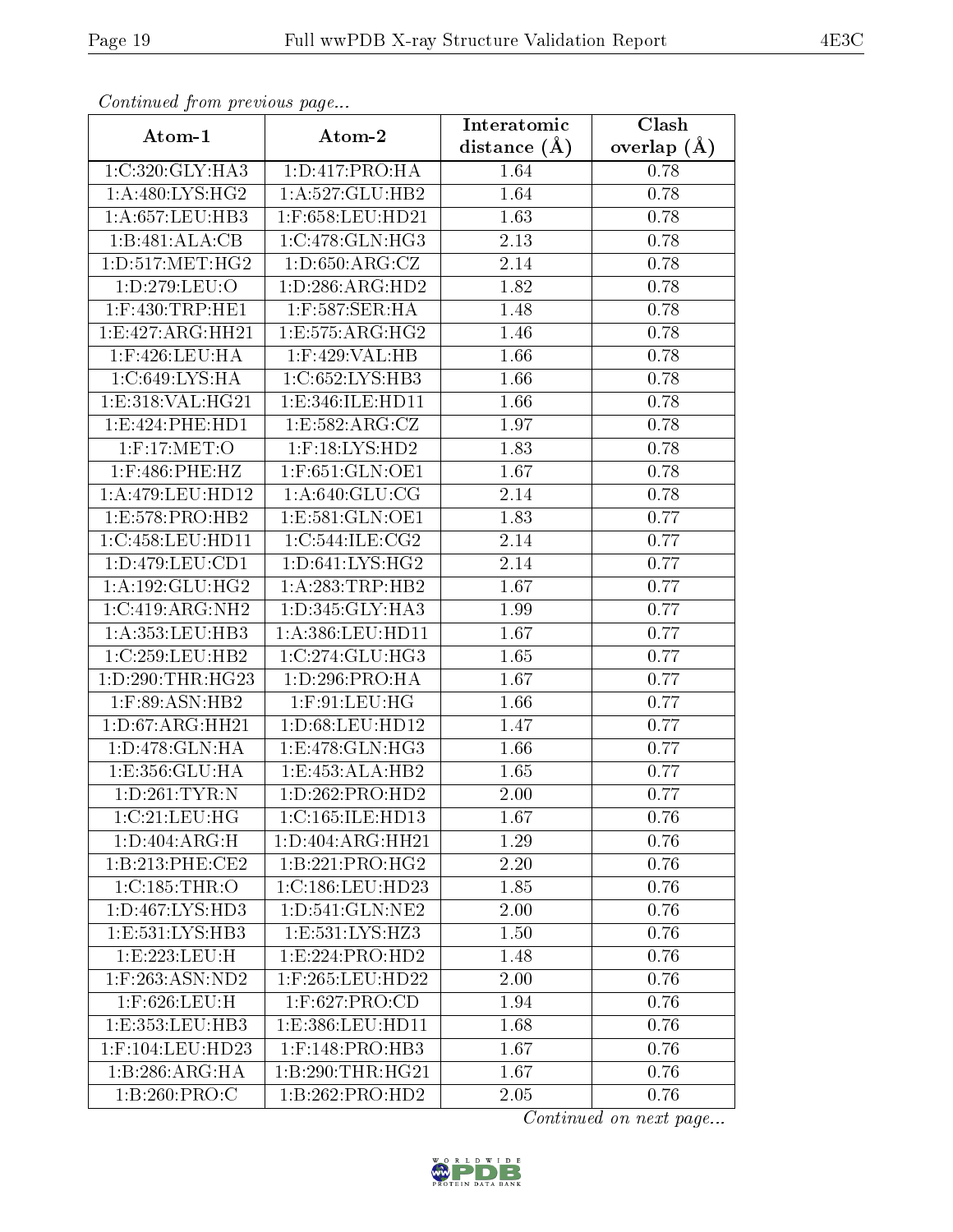| Communa from previous page |                     | Interatomic      | Clash         |
|----------------------------|---------------------|------------------|---------------|
| Atom-1                     | Atom-2              | distance $(\AA)$ | overlap $(A)$ |
| 1:C:320:GLY:HA3            | 1:D:417:PRO:HA      | 1.64             | 0.78          |
| 1: A:480: LYS: HG2         | 1:A:527:GLU:HB2     | 1.64             | 0.78          |
| 1: A:657:LEU:HB3           | $1:$ F:658:LEU:HD21 | 1.63             | 0.78          |
| 1:B:481:ALA:CB             | 1:C:478:GLN:HG3     | 2.13             | 0.78          |
| 1: D: 517: MET:HG2         | 1: D:650: ARG: CZ   | 2.14             | 0.78          |
| 1:D:279:LEU:O              | 1: D:286: ARG:HD2   | 1.82             | 0.78          |
| $1:$ F:430:TRP:HE1         | 1:F:587:SER:HA      | 1.48             | 0.78          |
| 1:E:427:ARG:HH21           | 1:E:575:ARG:HG2     | 1.46             | 0.78          |
| 1:F:426:LEU:HA             | 1:F:429:VAL:HB      | 1.66             | 0.78          |
| 1: C:649: LYS: HA          | 1:C:652:LYS:HB3     | 1.66             | 0.78          |
| 1:E:318:VAL:HG21           | 1:E:346:ILE:HD11    | 1.66             | 0.78          |
| 1: E: 424: PHE: HD1        | 1: E: 582: ARG: CZ  | 1.97             | 0.78          |
| $1:$ F:17:MET:O            | $1:$ F:18:LYS:HD2   | 1.83             | 0.78          |
| $1:$ F:486:PHE:HZ          | $1:$ F:651:GLN:OE1  | 1.67             | 0.78          |
| 1:A:479:LEU:HD12           | 1: A:640: GLU:CG    | 2.14             | 0.78          |
| 1:E:578:PRO:HB2            | 1: E: 581: GLN: OE1 | 1.83             | 0.77          |
| 1:C:458:LEU:HD11           | 1:C:544:ILE:CG2     | 2.14             | 0.77          |
| 1: D: 479: LEU: CD1        | 1: D:641: LYS: HG2  | 2.14             | 0.77          |
| 1: A: 192: GLU: HG2        | 1:A:283:TRP:HB2     | 1.67             | 0.77          |
| 1:C:419:ARG:NH2            | 1: D: 345: GLY: HA3 | 1.99             | 0.77          |
| 1: A: 353: LEU: HB3        | 1:A:386:LEU:HD11    | 1.67             | 0.77          |
| 1:C:259:LEU:HB2            | 1:C:274:CLU:HG3     | 1.65             | 0.77          |
| 1: D: 290: THR: HG23       | 1: D: 296: PRO: HA  | 1.67             | 0.77          |
| 1:F:89:ASN:HB2             | $1:$ F:91:LEU:HG    | 1.66             | 0.77          |
| 1: D: 67: ARG: HH21        | 1: D:68: LEU: HD12  | 1.47             | 0.77          |
| 1:D:478:GLN:HA             | 1:E:478:GLN:HG3     | 1.66             | 0.77          |
| 1:E:356:GLU:HA             | 1: E: 453:ALA:HB2   | 1.65             | 0.77          |
| 1:D:261:TYR:N              | 1:D:262:PRO:HD2     | 2.00             | 0.77          |
| 1:C:21:LEU:HG              | 1:C:165:ILE:HD13    | 1.67             | 0.76          |
| 1: D:404: ARG:H            | 1:D:404:ARG:HH21    | 1.29             | 0.76          |
| 1: B:213: PHE:CE2          | 1:B:221:PRO:HG2     | 2.20             | 0.76          |
| 1:C:185:THR:O              | 1:C:186:LEU:HD23    | 1.85             | 0.76          |
| 1: D: 467: LYS: HD3        | 1:D:541:GLN:NE2     | 2.00             | 0.76          |
| 1:E:531:LYS:HB3            | 1:E:531:LYS:HZ3     | 1.50             | 0.76          |
| 1:E:223:LEU:H              | 1: E: 224: PRO: HD2 | 1.48             | 0.76          |
| $1:$ F:263:ASN:ND2         | 1:F:265:LEU:HD22    | 2.00             | 0.76          |
| 1:F:626:LEU:H              | $1:$ F:627:PRO:CD   | 1.94             | 0.76          |
| 1:E:353:EU:HB3             | 1:E:386:LEU:HD11    | 1.68             | 0.76          |
| 1:F:104:LEU:HD23           | $1:$ F:148:PRO:HB3  | 1.67             | 0.76          |
| 1:B:286:ARG:HA             | 1:B:290:THR:HG21    | 1.67             | 0.76          |
| 1:B:260:PRO:C              | 1:B:262:PRO:HD2     | 2.05             | 0.76          |

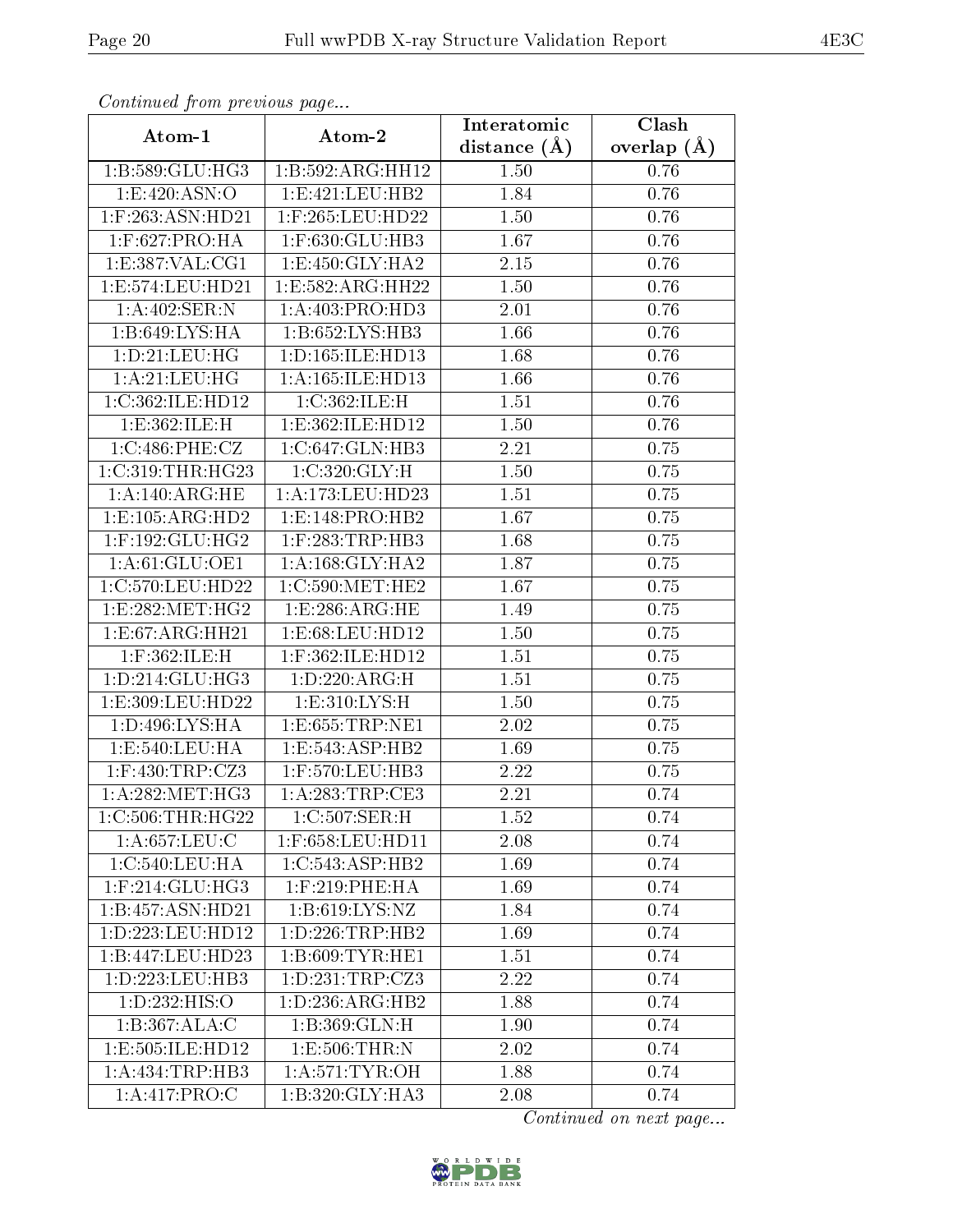| Continuatu jibin previous puge  |                                      | Interatomic      | Clash           |
|---------------------------------|--------------------------------------|------------------|-----------------|
| Atom-1                          | Atom-2                               | distance $(\AA)$ | overlap $(\AA)$ |
| 1:B:589:GLU:HG3                 | 1:B:592:ARG:HH12                     | 1.50             | 0.76            |
| 1:E:420:ASN:O                   | 1:E:421:EU:HB2                       | 1.84             | 0.76            |
| $1:$ F:263:ASN:HD21             | $1:$ F:265:LEU:HD22                  | 1.50             | 0.76            |
| $1:$ F:627:PRO:HA               | $1:$ F:630:GLU:HB3                   | 1.67             | 0.76            |
| 1: E: 387: VAL: CG1             | 1:E:450:GLY:HA2                      | 2.15             | 0.76            |
| 1:E:574:LEU:HD21                | 1:E:582:ARG:HH22                     | 1.50             | 0.76            |
| 1:A:402:SER:N                   | 1:A:403:PRO:HD3                      | 2.01             | 0.76            |
| 1:B:649:LYS:HA                  | $1:B:652:LYS:H\overline{B3}$         | 1.66             | 0.76            |
| 1:D:21:LEU:HG                   | 1:D:165:ILE:HD13                     | 1.68             | 0.76            |
| 1: A:21:LEU:HG                  | 1:A:165:ILE:HD13                     | 1.66             | 0.76            |
| 1:C:362:ILE:HD12                | 1:C:362:ILE:H                        | 1.51             | 0.76            |
| 1:E:362:ILE:H                   | 1:E:362:ILE:HD12                     | 1.50             | 0.76            |
| 1:C:486:PHE:CZ                  | 1:C:647:GLN:HB3                      | 2.21             | 0.75            |
| 1:C:319:THR:HG23                | 1:C:320:GLY:H                        | 1.50             | 0.75            |
| 1:A:140:ARG:HE                  | $1:\overline{A}:173:\text{LEU}:HD23$ | 1.51             | 0.75            |
| 1:E:105:ARG:HD2                 | 1:E:148:PRO:HB2                      | 1.67             | 0.75            |
| $1:$ F:192:GLU:HG2              | $1:$ F:283:TRP:HB3                   | 1.68             | 0.75            |
| 1:A:61:GLU:OE1                  | 1: A: 168: GLY: HA2                  | 1.87             | 0.75            |
| 1:C:570:LEU:HD22                | 1:C:590:MET:HE2                      | 1.67             | 0.75            |
| 1: E: 282: MET: HG2             | 1: E: 286: ARG: HE                   | 1.49             | 0.75            |
| 1:E:67:ARG:HH21                 | 1: E: 68: LEU: HD12                  | 1.50             | 0.75            |
| 1:F:362:ILE:H                   | 1:F:362:ILE:HD12                     | 1.51             | 0.75            |
| 1: D: 214: GLU: HG3             | 1: D: 220: ARG:H                     | 1.51             | 0.75            |
| 1: E: 309: LEU: HD22            | 1: E: 310: LYS: H                    | 1.50             | 0.75            |
| $1: D: 496: LYS: \overline{HA}$ | 1:E:655:TRP:NE1                      | 2.02             | 0.75            |
| 1: E:540:LEU:HA                 | 1:E:543:ASP:HB2                      | 1.69             | 0.75            |
| $1:$ F:430:TRP:CZ3              | 1:F:570:LEU:HB3                      | 2.22             | 0.75            |
| 1: A:282:MET:HG3                | 1:A:283:TRP:CE3                      | 2.21             | 0.74            |
| $1:C:506$ : THR: H $G22$        | $1:C:507:\overline{\text{SER:H}}$    | 1.52             | 0.74            |
| 1: A:657:LEU:C                  | 1:F:658:LEU:HD11                     | 2.08             | 0.74            |
| 1:C:540:LEU:HA                  | 1:C:543:ASP:HB2                      | 1.69             | 0.74            |
| $1:$ F:214:GLU:HG3              | 1:F:219:PHE:HA                       | 1.69             | 0.74            |
| 1:B:457:ASN:HD21                | 1: B:619: LYS: NZ                    | 1.84             | 0.74            |
| 1:D:223:LEU:HD12                | 1: D: 226: TRP: HB2                  | 1.69             | 0.74            |
| 1:B:447:LEU:HD23                | 1:B:609:TYR:HE1                      | 1.51             | 0.74            |
| 1:D:223:LEU:HB3                 | 1: D: 231: TRP: CZ3                  | 2.22             | 0.74            |
| 1:D:232:HIS:O                   | 1: D: 236: ARG: HB2                  | 1.88             | 0.74            |
| 1:B:367:ALA:C                   | 1:B:369:GLN:H                        | 1.90             | 0.74            |
| 1:E:505:ILE:HD12                | 1:E:506:THR:N                        | 2.02             | 0.74            |
| 1:A:434:TRP:HB3                 | 1: A:571:TYR:OH                      | 1.88             | 0.74            |
| 1:A:417:PRO:C                   | 1:B:320:GLY:HA3                      | 2.08             | 0.74            |

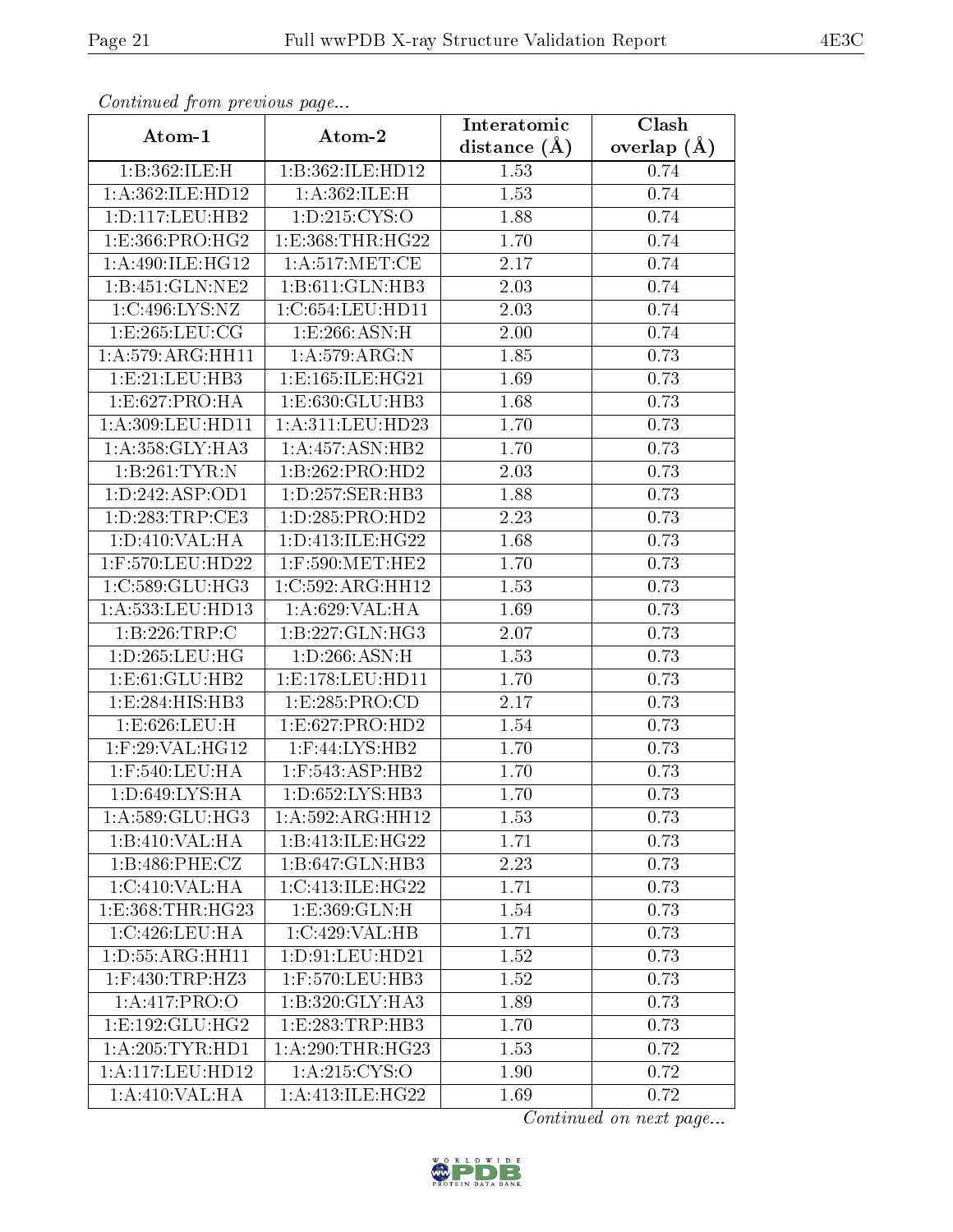| Continuea from previous page                                                                                                                                  |                                                                                                                                                            | Interatomic                                                  | Clash                                                        |
|---------------------------------------------------------------------------------------------------------------------------------------------------------------|------------------------------------------------------------------------------------------------------------------------------------------------------------|--------------------------------------------------------------|--------------------------------------------------------------|
| Atom-1                                                                                                                                                        | Atom-2                                                                                                                                                     | distance $(A)$                                               | overlap $(\AA)$                                              |
| 1:B:362:ILE:H                                                                                                                                                 | 1:B:362:ILE:HD12                                                                                                                                           | 1.53                                                         | 0.74                                                         |
| 1:A:362:ILE:HD12                                                                                                                                              | 1:A:362:ILE:H                                                                                                                                              | 1.53                                                         | 0.74                                                         |
| 1: D: 117: LEU: HB2                                                                                                                                           | 1: D: 215: CYS:O                                                                                                                                           | 1.88                                                         | 0.74                                                         |
| 1:E:366:PRO:HG2                                                                                                                                               | 1:E:368:THR:HG22                                                                                                                                           | 1.70                                                         | 0.74                                                         |
| 1: A:490: ILE: HG12                                                                                                                                           | 1: A:517: MET:CE                                                                                                                                           | 2.17                                                         | 0.74                                                         |
| 1:B:451:GLN:NE2                                                                                                                                               | 1:B:611:GLN:HB3                                                                                                                                            | 2.03                                                         | 0.74                                                         |
| 1:C:496:LYS:NZ                                                                                                                                                | 1:C:654:LEU:HD11                                                                                                                                           | 2.03                                                         | 0.74                                                         |
| 1:E:265:LEU:CG                                                                                                                                                | 1: E: 266: ASN: H                                                                                                                                          | 2.00                                                         | 0.74                                                         |
| 1: A:579: ARG: HH11                                                                                                                                           | 1: A:579:ARG:N                                                                                                                                             | 1.85                                                         | 0.73                                                         |
| 1:E:21:EU:HB3                                                                                                                                                 | 1:E:165:ILE:HG21                                                                                                                                           | 1.69                                                         | 0.73                                                         |
| 1:E:627:PRO:HA                                                                                                                                                | 1: E: 630: GLU: HB3                                                                                                                                        | 1.68                                                         | 0.73                                                         |
| 1:A:309:LEU:HD11                                                                                                                                              | 1:A:311:LEU:HD23                                                                                                                                           | 1.70                                                         | 0.73                                                         |
| 1: A: 358: GLY: HA3                                                                                                                                           | 1: A: 457: ASN: HB2                                                                                                                                        | 1.70                                                         | 0.73                                                         |
| 1:B:261:TYR:N                                                                                                                                                 | 1:B:262:PRO:H <sub>D2</sub>                                                                                                                                | 2.03                                                         | 0.73                                                         |
| 1:D:242:ASP:OD1                                                                                                                                               | 1: D: 257: SER: HB3                                                                                                                                        | 1.88                                                         | 0.73                                                         |
| 1:D:283:TRP:CE3                                                                                                                                               | 1: D: 285: PRO: HD2                                                                                                                                        | 2.23                                                         | 0.73                                                         |
| 1: D: 410: VAL: HA                                                                                                                                            | 1: D: 413: ILE: HG22                                                                                                                                       | 1.68                                                         | 0.73                                                         |
| 1:F:570:LEU:HD22                                                                                                                                              | $1:$ F:590:MET:HE2                                                                                                                                         | 1.70                                                         | 0.73                                                         |
| 1:C:589:GLU:HG3                                                                                                                                               | $1:C:592: \overline{ARG:HH12}$                                                                                                                             | 1.53                                                         | 0.73                                                         |
| $1:\overline{A}:533:\text{LEU}:HD13$                                                                                                                          | 1:A:629:VAL:HA                                                                                                                                             | 1.69                                                         | 0.73                                                         |
| 1:B:226:TRP:C                                                                                                                                                 | 1:B:227:GLN:HG3                                                                                                                                            | 2.07                                                         | 0.73                                                         |
| 1: D: 265: LEU: HG                                                                                                                                            | 1: D:266: ASN:H                                                                                                                                            | 1.53                                                         | 0.73                                                         |
| 1:E:61:GLU:HB2                                                                                                                                                | 1:E:178:LEU:HD11                                                                                                                                           | 1.70                                                         | 0.73                                                         |
| 1:E:284:HIS:HB3                                                                                                                                               | 1:E:285:PRO:CD                                                                                                                                             | 2.17                                                         | 0.73                                                         |
| 1:E:626:LEU:H                                                                                                                                                 | 1:E:627:PRO:HD2                                                                                                                                            | 1.54                                                         | 0.73                                                         |
| $1:$ F:29:VAL:H $\overline{G12}$                                                                                                                              | $1:$ F:44:LYS:HB2                                                                                                                                          | 1.70                                                         | 0.73                                                         |
| $1:$ F:540:LEU:HA                                                                                                                                             | 1:F:543:ASP:HB2                                                                                                                                            | 1.70                                                         | 0.73                                                         |
| 1:D:649:LYS:HA                                                                                                                                                | 1:D:652:LYS:HB3                                                                                                                                            | 1.70                                                         | 0.73                                                         |
| 1:A:589:GLU:HG3                                                                                                                                               | 1:A:592:ARG:HH12                                                                                                                                           | 1.53                                                         | 0.73                                                         |
| 1:B:410:VAL:HA                                                                                                                                                | 1:B:413:ILE:HG22                                                                                                                                           | 1.71                                                         | 0.73                                                         |
| 1:B:486:PHE:CZ                                                                                                                                                | 1:B:647:GLN:HB3                                                                                                                                            | 2.23                                                         | 0.73                                                         |
| 1:C:410:VAL:H A                                                                                                                                               | 1:C:413:ILE:HG22                                                                                                                                           | 1.71                                                         | 0.73                                                         |
| 1:E:368:THR:HG23                                                                                                                                              | 1: E: 369: GLN: H                                                                                                                                          | 1.54                                                         | 0.73                                                         |
|                                                                                                                                                               |                                                                                                                                                            |                                                              |                                                              |
|                                                                                                                                                               |                                                                                                                                                            |                                                              |                                                              |
|                                                                                                                                                               |                                                                                                                                                            |                                                              |                                                              |
|                                                                                                                                                               |                                                                                                                                                            |                                                              |                                                              |
|                                                                                                                                                               |                                                                                                                                                            |                                                              |                                                              |
|                                                                                                                                                               |                                                                                                                                                            |                                                              |                                                              |
|                                                                                                                                                               |                                                                                                                                                            |                                                              |                                                              |
|                                                                                                                                                               |                                                                                                                                                            |                                                              |                                                              |
| 1:C:426:LEU:HA<br>1: D: 55: ARG: HH11<br>$1:$ F:430:TRP:HZ3<br>1: A:417: PRO:O<br>1:E:192:GLU:HG2<br>1: A:205: TYR: HD1<br>1:A:117:LEU:HD12<br>1:A:410:VAL:HA | 1:C:429:VAL:HB<br>1: D: 91: LEU: HD21<br>1:F:570:LEU:HB3<br>1:B:320:GLY:HA3<br>1:E:283:TRP:HB3<br>1: A:290:THR:HG23<br>1: A:215: CYS:O<br>1:A:413:ILE:HG22 | 1.71<br>1.52<br>1.52<br>1.89<br>1.70<br>1.53<br>1.90<br>1.69 | 0.73<br>0.73<br>0.73<br>0.73<br>0.73<br>0.72<br>0.72<br>0.72 |

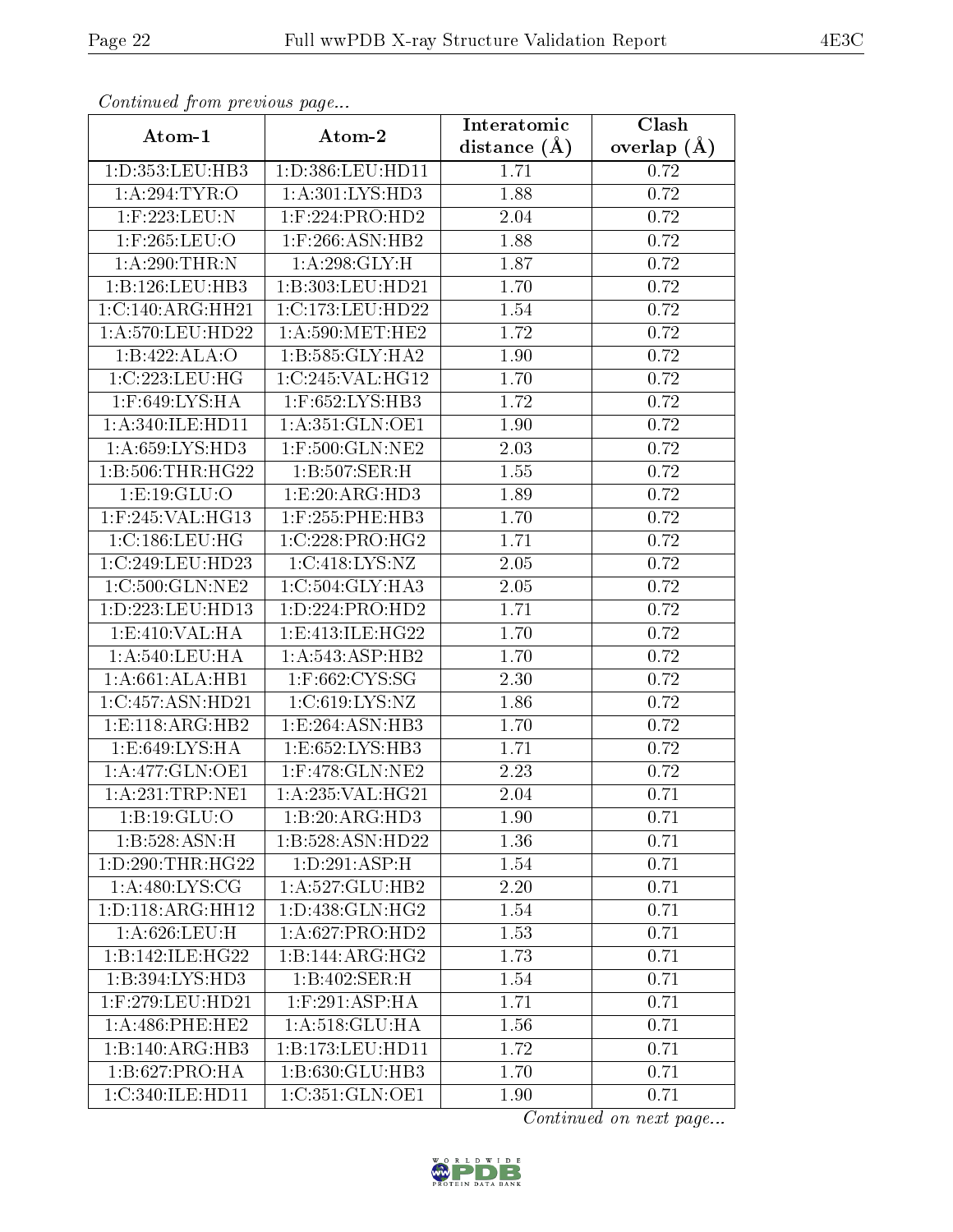| Comunaca jiom previous page |                              | Interatomic    | Clash           |
|-----------------------------|------------------------------|----------------|-----------------|
| Atom-1                      | Atom-2                       | distance $(A)$ | overlap $(\AA)$ |
| 1:D:353:LEU:HB3             | 1:D:386:LEU:HD11             | 1.71           | 0.72            |
| 1: A:294:TYR:O              | 1:A:301:LYS:HD3              | 1.88           | 0.72            |
| $1:$ F:223:LEU:N            | $1:$ F:224:PRO:HD2           | 2.04           | 0.72            |
| $1:$ F:265:LEU:O            | $1:$ F:266:ASN:HB2           | 1.88           | 0.72            |
| 1: A:290:THR:N              | 1:A:298:GLY:H                | 1.87           | 0.72            |
| 1:B:126:LEU:HB3             | 1:B:303:LEU:HD21             | 1.70           | 0.72            |
| 1:C:140:ARG:HH21            | 1:C:173:LEU:HD22             | 1.54           | 0.72            |
| 1:A:570:LEU:HD22            | 1: A:590:MET:HE2             | 1.72           | 0.72            |
| 1:B:422:ALA:O               | 1:B:585:GLY:HA2              | 1.90           | 0.72            |
| 1:C:223:LEU:HG              | 1:C:245:VAL:HG12             | 1.70           | 0.72            |
| 1:F:649:LYS:HA              | 1:F:652:LYS:HB3              | 1.72           | 0.72            |
| 1:A:340:ILE:HD11            | 1: A:351: GLN:OE1            | 1.90           | 0.72            |
| 1: A:659: LYS: HD3          | 1:F:500:GLN:NE2              | 2.03           | 0.72            |
| 1:B:506:THR:HG22            | 1:B:507:SER:H                | 1.55           | 0.72            |
| 1:E:19:GLU:O                | 1:E:20:ARG:HD3               | 1.89           | 0.72            |
| $1:$ F:245:VAL:HG13         | $1:$ F:255:PHE:HB3           | 1.70           | 0.72            |
| 1:C:186:LEU:HG              | 1:C:228:PRO:HG2              | 1.71           | 0.72            |
| 1:C:249:LEU:HD23            | 1: C:418: LYS: NZ            | 2.05           | 0.72            |
| 1:C:500:GLN:NE2             | 1:C:504:GLY:HA3              | 2.05           | 0.72            |
| 1:D:223:LEU:HD13            | 1: D: 224: PRO: HD2          | 1.71           | 0.72            |
| 1:E:410:VAL:HA              | 1:E:413:ILE:HG22             | 1.70           | 0.72            |
| 1: A:540:LEU:HA             | 1: A:543: ASP:HB2            | 1.70           | 0.72            |
| 1: A:661: ALA:HB1           | $1:$ F:662:CYS:SG            | 2.30           | 0.72            |
| 1:C:457:ASN:HD21            | 1: C:619: LYS: NZ            | 1.86           | 0.72            |
| 1:E:118:ARG:HB2             | 1:E:264:ASN:HB3              | 1.70           | 0.72            |
| 1: E:649: LYS: HA           | 1: E: 652: LYS: HB3          | 1.71           | 0.72            |
| 1:A:477:GLN:OE1             | 1:F:478:GLN:NE2              | 2.23           | 0.72            |
| 1:A:231:TRP:NE1             | 1:A:235:VAL:HG21             | 2.04           | 0.71            |
| 1:B:19:GLU:O                | 1:B:20:ARG:HD3               | 1.90           | 0.71            |
| 1:B:528:ASN:H               | 1:B:528:ASN:HD22             | 1.36           | 0.71            |
| 1: D: 290: THR: HG22        | 1: D:291: ASP:H              | 1.54           | 0.71            |
| 1: A:480: LYS: CG           | 1:A:527:GLU:HB2              | 2.20           | 0.71            |
| 1:D:118:ARG:HH12            | 1:D:438:GLN:HG2              | 1.54           | 0.71            |
| 1: A:626:LEU:H              | 1:A:627:PRO:HD2              | 1.53           | 0.71            |
| 1:B:142:ILE:HG22            | 1:B:144:ARG:HG2              | 1.73           | 0.71            |
| 1:B:394:LYS:HD3             | 1:B:402:SER:H                | 1.54           | 0.71            |
| 1:F:279:LEU:HD21            | $1:$ F:291:ASP:HA            | 1.71           | 0.71            |
| 1: A:486: PHE:HE2           | $1:A:518:\overline{GLU:HA}$  | 1.56           | 0.71            |
| 1:B:140:ARG:HB3             | 1:B:173:LEU:HD11             | 1.72           | 0.71            |
| 1:B:627:PRO:HA              | $1:B:630:GLU:H\overline{B3}$ | 1.70           | 0.71            |
| 1:C:340:ILE:HD11            | 1:C:351:GLN:OE1              | 1.90           | 0.71            |

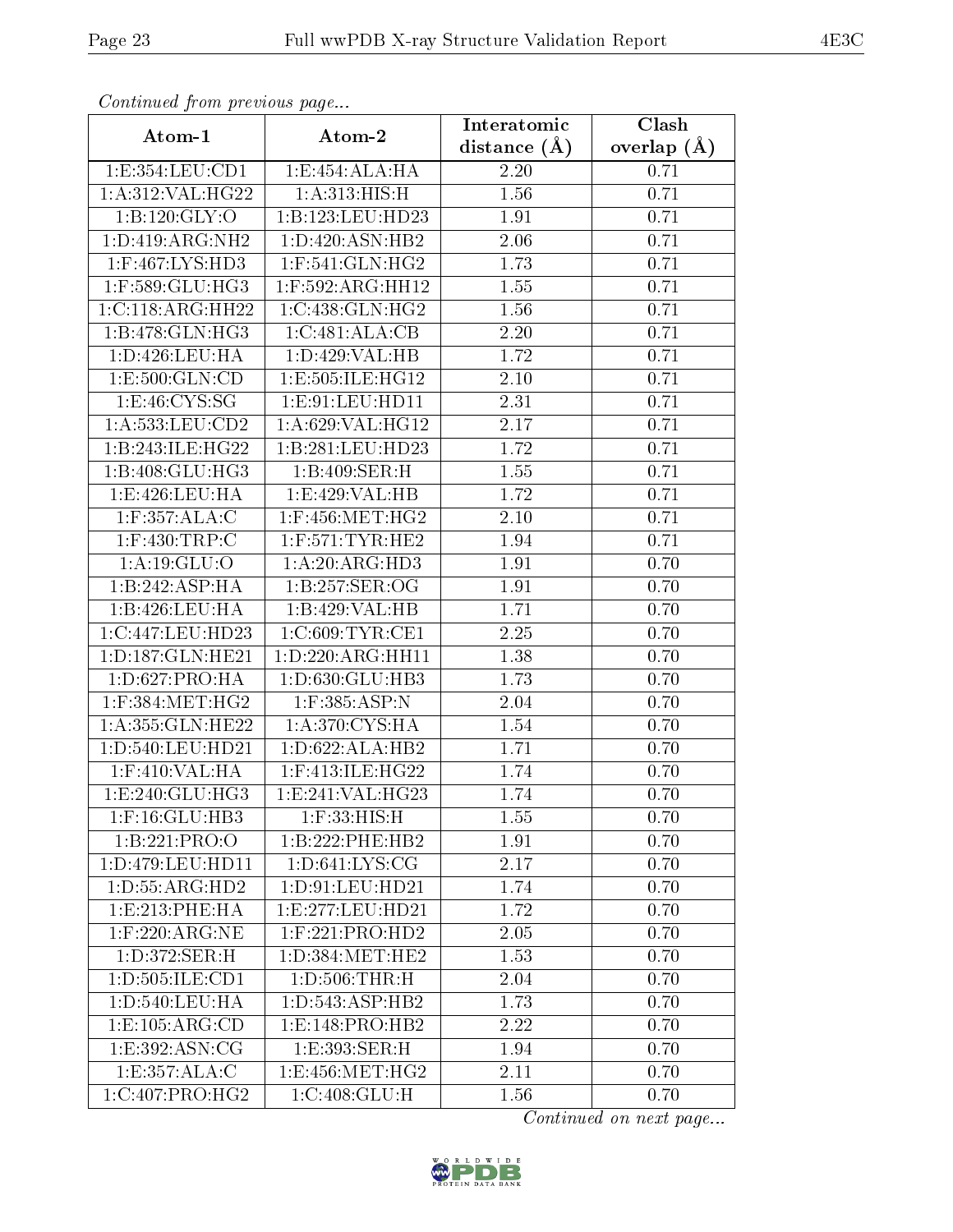| Continuea from previous page |                                     | Interatomic    | Clash           |
|------------------------------|-------------------------------------|----------------|-----------------|
| Atom-1                       | Atom-2                              | distance $(A)$ | overlap $(\AA)$ |
| 1:E:354:LEU:CD1              | 1:E:454:ALA:HA                      | 2.20           | 0.71            |
| 1:A:312:VAL:HG22             | 1: A:313:HIS:H                      | 1.56           | 0.71            |
| 1:B:120:GLY:O                | 1:B:123:LEU:HD23                    | 1.91           | 0.71            |
| 1:D:419:ARG:NH2              | 1:D:420:ASN:HB2                     | 2.06           | 0.71            |
| $1:$ F:467:LYS:HD3           | $1:$ F:541:GLN:HG2                  | 1.73           | 0.71            |
| $1:$ F:589:GLU:HG3           | 1:F:592:ARG:HH12                    | 1.55           | 0.71            |
| 1:C:118:ARG:HH22             | 1:C:438:GLN:HG2                     | 1.56           | 0.71            |
| 1:B:478:GLN:HG3              | 1:C:481:ALA:CB                      | 2.20           | 0.71            |
| 1:D:426:LEU:HA               | 1:D:429:VAL:HB                      | 1.72           | 0.71            |
| 1:E:500:GLN:CD               | 1:E:505:ILE:HG12                    | 2.10           | 0.71            |
| 1: E: 46: CYS: SG            | 1: E: 91: LEU: HD11                 | 2.31           | 0.71            |
| 1:A:533:LEU:CD2              | 1:A:629:VAL:HG12                    | 2.17           | 0.71            |
| 1:B:243:ILE:HG22             | 1:B:281:LEU:HD23                    | 1.72           | 0.71            |
| 1:B:408:GLU:HG3              | 1:B:409:SER:H                       | 1.55           | 0.71            |
| 1: E:426: LEU: HA            | 1:E:429:VAL:HB                      | 1.72           | 0.71            |
| $1:$ F:357:ALA:C             | $1:$ F:456:MET:HG2                  | 2.10           | 0.71            |
| 1:F:430:TRP:C                | $1:$ F:571:TYR:HE2                  | 1.94           | 0.71            |
| 1: A:19: GLU:O               | 1: A:20: ARG:HD3                    | 1.91           | 0.70            |
| 1:B:242:ASP:HA               | 1:B:257:SER:OG                      | 1.91           | 0.70            |
| 1:B:426:LEU:HA               | 1:B:429:VAL:HB                      | 1.71           | 0.70            |
| 1:C:447:LEU:HD23             | 1:C:609:TYR:CE1                     | 2.25           | 0.70            |
| 1:D:187:GLN:HE21             | 1:D:220:ARG:HH11                    | 1.38           | 0.70            |
| 1:D:627:PRO:HA               | 1:D:630:GLU:HB3                     | 1.73           | 0.70            |
| $1:$ F:384:MET:HG2           | 1:F:385:ASP:N                       | 2.04           | 0.70            |
| 1:A:355: GLN: HE22           | 1: A:370: CYS: HA                   | 1.54           | 0.70            |
| 1:D:540:LEU:HD21             | 1: D:622: ALA: HB2                  | 1.71           | 0.70            |
| $1:$ F:410:VAL:HA            | 1:F:413:ILE:HG22                    | 1.74           | 0.70            |
| 1:E:240:GLU:HG3              | 1:E:241:VAL:HG23                    | 1.74           | 0.70            |
| 1:F:16:GLU:HB3               | $1:$ $F:33:$ $HIS:$ $H$             | 1.55           | 0.70            |
| 1:B:221:PRO:O                | 1:B:222:PHE:HB2                     | 1.91           | 0.70            |
| 1:D:479:LEU:HD11             | 1: D:641: LYS: CG                   | 2.17           | 0.70            |
| 1: D: 55: ARG: HD2           | 1: D:91: LEU:HD21                   | 1.74           | 0.70            |
| 1:E:213:PHE:HA               | 1:E:277:LEU:HD21                    | 1.72           | 0.70            |
| $1:$ F:220:ARG:NE            | $1:$ F:221:PRO:HD2                  | 2.05           | 0.70            |
| 1:D:372:SER:H                | 1: D: 384: MET: HE2                 | 1.53           | 0.70            |
| 1: D: 505: ILE: CD1          | 1: D:506:THR:H                      | 2.04           | 0.70            |
| 1: D: 540: LEU: HA           | 1: D: 543: ASP: HB2                 | 1.73           | 0.70            |
| 1: E: 105: ARG: CD           | 1:E:148:PRO:HB2                     | 2.22           | 0.70            |
| 1:E:392:ASN:CG               | 1:E:393:SER:H                       | 1.94           | 0.70            |
| 1:E:357:ALA:C                | 1:E:456:MET:HG2                     | 2.11           | 0.70            |
| 1:C:407:PRO:HG2              | $1:C:408:G\overline{\mathrm{LU:H}}$ | 1.56           | 0.70            |

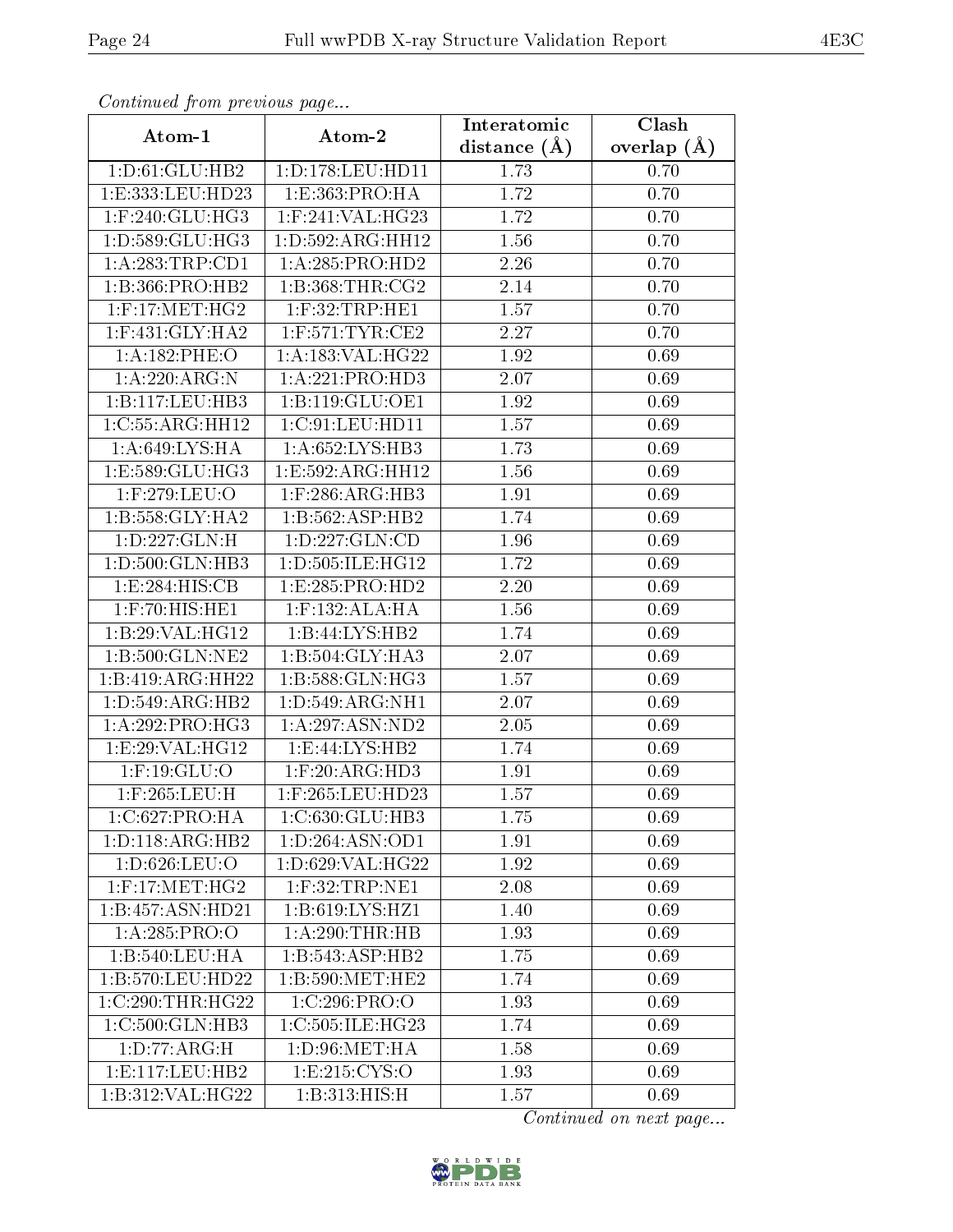| Continuea from previous page |                       | Interatomic    | Clash           |
|------------------------------|-----------------------|----------------|-----------------|
| Atom-1                       | Atom-2                | distance $(A)$ | overlap $(\AA)$ |
| 1: D:61: GLU: HB2            | 1: D: 178: LEU: HD11  | 1.73           | 0.70            |
| 1:E:333:LEU:HD23             | 1:E:363:PRO:HA        | 1.72           | 0.70            |
| $1:$ F:240:GLU:HG3           | $1:$ F:241:VAL:HG23   | 1.72           | 0.70            |
| 1: D: 589: GLU: HG3          | 1: D: 592: ARG: HH12  | 1.56           | 0.70            |
| 1:A:283:TRP:CD1              | 1:A:285:PRO:HD2       | 2.26           | 0.70            |
| 1:B:366:PRO:HB2              | 1: B: 368: THR: CG2   | 2.14           | 0.70            |
| $1:$ F:17:MET:HG2            | $1:$ F:32:TRP:HE1     | 1.57           | 0.70            |
| $1:$ F:431:GLY:HA2           | $1:$ F:571:TYR:CE2    | 2.27           | 0.70            |
| 1:A:182:PHE:O                | 1:A:183:VAL:HG22      | 1.92           | 0.69            |
| 1: A:220: ARG: N             | 1:A:221:PRO:HD3       | 2.07           | 0.69            |
| 1:B:117:LEU:HB3              | 1:B:119:GLU:OE1       | 1.92           | 0.69            |
| 1:C:55:ARG:HH12              | 1:C:91:LEU:HD11       | 1.57           | 0.69            |
| 1: A:649: LYS: HA            | 1: A:652:LYS:HB3      | 1.73           | 0.69            |
| 1:E:589:GLU:HG3              | 1:E:592:ARG:HH12      | 1.56           | 0.69            |
| 1:F:279:LEU:O                | $1:$ F:286:ARG:HB3    | 1.91           | 0.69            |
| 1:B:558:GLY:HA2              | 1:B:562:ASP:HB2       | 1.74           | 0.69            |
| 1: D: 227: GLN: H            | 1: D: 227: GLN: CD    | 1.96           | 0.69            |
| 1:D:500:GLN:HB3              | 1:D:505:ILE:HG12      | 1.72           | 0.69            |
| 1:E:284:HIS:CB               | 1:E:285:PRO:HD2       | 2.20           | 0.69            |
| $1:$ $F:70:$ $HIS:$ $HE1$    | $1:$ F:132:ALA:HA     | 1.56           | 0.69            |
| 1:B:29:VAL:HG12              | 1:B:44:LYS:HB2        | 1.74           | 0.69            |
| $1: B:500:$ GLN:NE2          | 1:B:504:GLY:HA3       | 2.07           | 0.69            |
| 1:B:419:ARG:HH22             | 1: B: 588: GLN: HG3   | 1.57           | 0.69            |
| 1: D:549: ARG: HB2           | 1: D: 549: ARG: NH1   | 2.07           | 0.69            |
| 1: A:292: PRO:HG3            | 1: A:297: ASN:ND2     | 2.05           | 0.69            |
| 1:E:29:VAL:HG12              | 1: E: 44: LYS: HB2    | 1.74           | 0.69            |
| $1:$ F:19:GLU:O              | $1:$ F:20: $ARG$ :HD3 | 1.91           | 0.69            |
| 1:F:265:LEU:H                | $1:$ F:265:LEU:HD23   | 1.57           | 0.69            |
| 1:C:627:PRO:HA               | 1:C:630:GLU:HB3       | 1.75           | 0.69            |
| 1: D: 118: ARG: HB2          | 1:D:264:ASN:OD1       | 1.91           | 0.69            |
| 1:D:626:LEU:O                | 1:D:629:VAL:HG22      | 1.92           | 0.69            |
| $1:$ F:17:MET:HG2            | 1:F:32:TRP:NE1        | 2.08           | 0.69            |
| 1:B:457:ASN:HD21             | 1: B:619: LYS: HZ1    | 1.40           | 0.69            |
| 1:A:285:PRO:O                | 1: A:290:THR:HB       | 1.93           | 0.69            |
| 1:B:540:LEU:HA               | 1:B:543:ASP:HB2       | 1.75           | 0.69            |
| 1:B:570:LEU:HD22             | 1: B:590:MET:HE2      | 1.74           | 0.69            |
| 1:C:290:THR:HG22             | 1:C:296:PRO:O         | 1.93           | 0.69            |
| $1:C:500:\overline{GLN:HB3}$ | 1:C:505:ILE:HG23      | 1.74           | 0.69            |
| 1: D: 77: ARG: H             | 1: D:96: MET:HA       | 1.58           | 0.69            |
| 1: E: 117: LEU: HB2          | 1: E:215: CYS:O       | 1.93           | 0.69            |
| 1:B:312:VAL:HG22             | 1:B:313:HIS:H         | 1.57           | 0.69            |

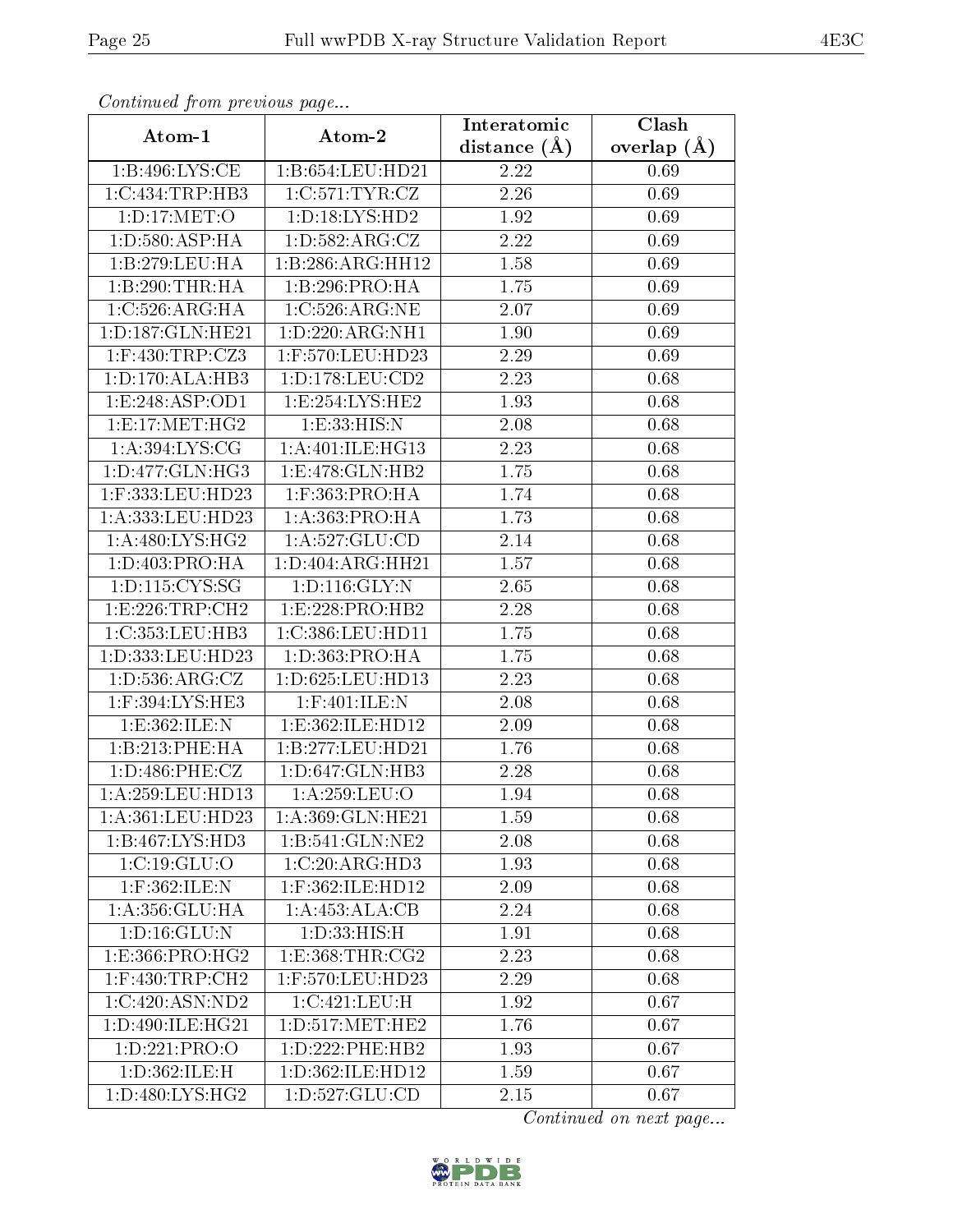| Continued from previous page |                     | Interatomic       | Clash         |
|------------------------------|---------------------|-------------------|---------------|
| Atom-1                       | Atom-2              | distance $(\AA)$  | overlap $(A)$ |
| 1: B:496: LYS: CE            | 1:B:654:LEU:HD21    | 2.22              | 0.69          |
| 1:C:434:TRP:HB3              | 1:C:571:TYR:CZ      | 2.26              | 0.69          |
| 1: D: 17: MET:O              | 1: D: 18: LYS: HD2  | 1.92              | 0.69          |
| 1: D: 580: ASP: HA           | 1: D: 582: ARG: CZ  | 2.22              | 0.69          |
| 1:B:279:LEU:HA               | 1:B:286:ARG:HH12    | 1.58              | 0.69          |
| 1:B:290:THR:HA               | 1:B:296:PRO:HA      | 1.75              | 0.69          |
| 1:C:526:ARG:HA               | 1:C:526:ARG:NE      | 2.07              | 0.69          |
| 1: D: 187: GLN: HE21         | 1:D:220:ARG:NH1     | 1.90              | 0.69          |
| $1:$ F:430:TRP:CZ3           | 1:F:570:LEU:HD23    | 2.29              | 0.69          |
| 1: D: 170: ALA: HB3          | 1: D: 178: LEU: CD2 | 2.23              | 0.68          |
| 1: E: 248: ASP: OD1          | 1:E:254:LYS:HE2     | 1.93              | 0.68          |
| 1: E: 17: MET:HG2            | 1:E:33:HIS:N        | 2.08              | 0.68          |
| 1: A:394: LYS: CG            | 1:A:401:ILE:HG13    | 2.23              | 0.68          |
| 1:D:477:GLN:HG3              | 1:E:478:GLN:HB2     | $1.75\,$          | 0.68          |
| 1:F:333:LEU:HD23             | 1:F:363:PRO:HA      | 1.74              | 0.68          |
| 1:A:333:LEU:HD23             | 1:A:363:PRO:HA      | 1.73              | 0.68          |
| 1: A:480: LYS: HG2           | 1: A:527: GLU:CD    | 2.14              | 0.68          |
| 1: D: 403: PRO: HA           | 1:D:404:ARG:HH21    | 1.57              | 0.68          |
| 1:D:115:CYS:SG               | 1: D: 116: GLY: N   | 2.65              | 0.68          |
| 1: E: 226: TRP:CH2           | 1:E:228:PRO:HB2     | 2.28              | 0.68          |
| 1:C:353:LEU:HB3              | 1:C:386:LEU:HD11    | $\overline{1}.75$ | 0.68          |
| 1:D:333:LEU:HD23             | 1: D: 363: PRO: HA  | 1.75              | 0.68          |
| 1: D: 536: ARG: CZ           | 1:D:625:LEU:HD13    | 2.23              | 0.68          |
| 1:F:394:LYS:HE3              | 1:F:401:ILE:N       | 2.08              | 0.68          |
| 1:E:362:ILE:N                | 1:E:362:ILE:HD12    | 2.09              | 0.68          |
| 1:B:213:PHE:HA               | 1:B:277:LEU:HD21    | 1.76              | 0.68          |
| 1: D:486: PHE: CZ            | 1:D:647:GLN:HB3     | 2.28              | 0.68          |
| 1:A:259:LEU:HD13             | 1:A:259:LEU:O       | 1.94              | 0.68          |
| 1:A:361:LEU:HD23             | 1:A:369:GLN:HE21    | 1.59              | 0.68          |
| 1:B:467:LYS:HD3              | 1:B:541:GLN:NE2     | 2.08              | 0.68          |
| 1:C:19:GLU:O                 | 1:C:20:ARG:HD3      | 1.93              | 0.68          |
| $1:$ F:362:ILE:N             | $1:$ F:362:ILE:HD12 | 2.09              | 0.68          |
| 1:A:356:GLU:HA               | 1:A:453:ALA:CB      | 2.24              | 0.68          |
| 1: D: 16: GLU: N             | 1: D: 33: HIS:H     | 1.91              | 0.68          |
| 1: E: 366: PRO:HG2           | 1: E: 368: THR: CG2 | 2.23              | 0.68          |
| $1:$ F:430:TRP:CH2           | $1:$ F:570:LEU:HD23 | 2.29              | 0.68          |
| 1:C:420:ASN:ND2              | 1:C:421:LEU:H       | 1.92              | 0.67          |
| 1:D:490:ILE:HG21             | 1: D: 517: MET: HE2 | 1.76              | 0.67          |
| 1: D: 221: PRO: O            | 1: D: 222: PHE: HB2 | 1.93              | 0.67          |
| 1: D:362: ILE:H              | 1:D:362:ILE:HD12    | 1.59              | 0.67          |
| 1: D:480: LYS: HG2           | 1:D:527:GLU:CD      | 2.15              | 0.67          |

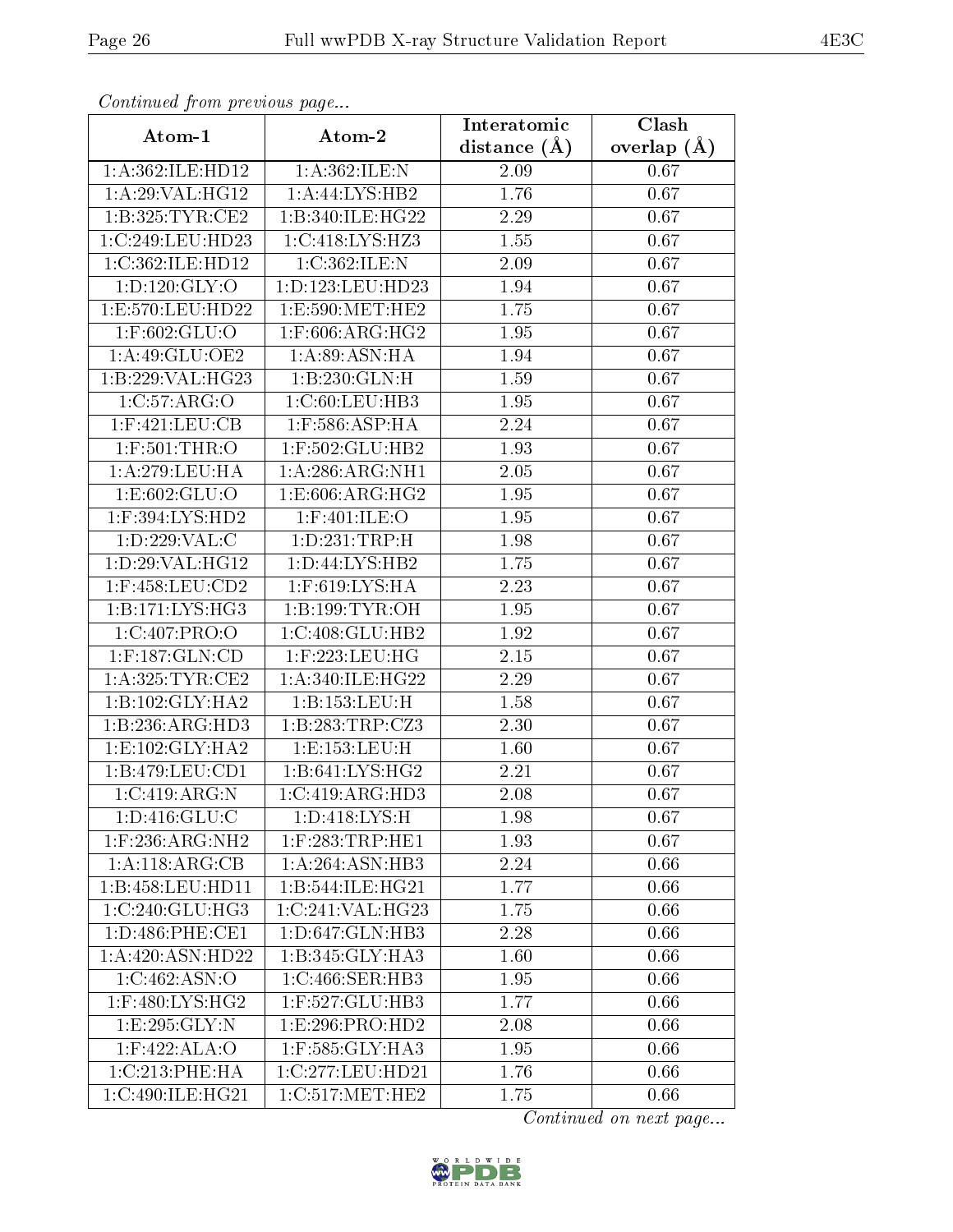| Conningea from previous page |                                       | Interatomic      | Clash             |
|------------------------------|---------------------------------------|------------------|-------------------|
| Atom-1                       | Atom-2                                | distance $(\AA)$ | overlap $(A)$     |
| 1:A:362:ILE:HD12             | 1: A:362: ILE:N                       | 2.09             | 0.67              |
| 1: A:29: VAL:HG12            | 1:A:44:LYS:HB2                        | 1.76             | 0.67              |
| 1:B:325:TYR:CE2              | 1:B:340:ILE:HG22                      | 2.29             | 0.67              |
| 1:C:249:LEU:HD23             | 1:C:418:LYS:HZ3                       | 1.55             | 0.67              |
| 1:C:362:ILE:HD12             | 1:C:362:ILE:N                         | 2.09             | 0.67              |
| 1: D: 120: GLY: O            | 1: D: 123: LEU: HD23                  | 1.94             | 0.67              |
| 1:E:570:LEU:HD22             | 1:E:590:MET:HE2                       | 1.75             | 0.67              |
| $1:$ F:602:GLU:O             | $1:$ F:606:ARG:HG2                    | 1.95             | 0.67              |
| 1:A:49:GLU:OE2               | 1: A:89: ASN: HA                      | 1.94             | 0.67              |
| 1:B:229:VAL:HG23             | 1:B:230:GLN:H                         | 1.59             | 0.67              |
| 1:C:57:ARG:O                 | 1:C:60:LEU:HB3                        | 1.95             | 0.67              |
| $1:$ F:421:LEU:CB            | $1:$ F:586:ASP:HA                     | 2.24             | 0.67              |
| $1:$ F:501:THR:O             | 1:F:502:GLU:HB2                       | 1.93             | 0.67              |
| 1: A:279:LEU:HA              | 1: A:286: ARG: NH1                    | 2.05             | 0.67              |
| 1:E:602:GLU:O                | 1:E:606:ARG:HG2                       | 1.95             | 0.67              |
| $1:$ F:394:LYS:HD2           | $1:$ F:401:ILE:O                      | 1.95             | 0.67              |
| 1: D: 229: VAL:C             | 1:D:231:TRP:H                         | 1.98             | 0.67              |
| 1:D:29:VAL:HG12              | 1: D:44: LYS: HB2                     | 1.75             | 0.67              |
| $1:$ F:458:LEU: $CD2$        | $1:$ F:619:LYS:HA                     | 2.23             | 0.67              |
| 1:B:171:LYS:HG3              | 1:B:199:TYR:OH                        | 1.95             | 0.67              |
| 1:C:407:PRO:O                | 1:C:408:GLU:HB2                       | 1.92             | 0.67              |
| 1:F:187:GLN:CD               | $1:$ F:223:LEU:HG                     | 2.15             | $\overline{0.67}$ |
| 1: A:325: TYR: CE2           | 1: A:340: ILE: HG22                   | 2.29             | 0.67              |
| 1:B:102:GLY:HA2              | 1:B:153:LEU:H                         | 1.58             | 0.67              |
| 1:B:236:ARG:HD3              | 1:B:283:TRP:CZ3                       | 2.30             | 0.67              |
| 1: E: 102: GLY: HA2          | 1:E:153:LEU:H                         | 1.60             | 0.67              |
| 1: B: 479: LEU: CD1          | 1:B:641:LYS:HG2                       | 2.21             | 0.67              |
| 1:C:419:ARG:N                | 1:C:419:ARG:HD3                       | 2.08             | 0.67              |
| 1: D: 416: GLU: C            | 1:D:418:LYS:H                         | 1.98             | 0.67              |
| $1:$ F:236:ARG:NH2           | $1:$ F:283:TRP:HE1                    | 1.93             | 0.67              |
| 1:A:118:ARG:CB               | 1: A:264: ASN:HB3                     | 2.24             | 0.66              |
| 1:B:458:LEU:HD11             | 1:B:544:ILE:HG21                      | 1.77             | 0.66              |
| 1:C:240:GLU:HG3              | 1:C:241:VAL:HG23                      | 1.75             | 0.66              |
| 1:D:486:PHE:CE1              | 1: D: 647: GLN: HB3                   | 2.28             | 0.66              |
| 1:A:420:ASN:HD22             | 1: B:345: GLY:HA3                     | 1.60             | 0.66              |
| 1:C:462:ASN:O                | 1:C:466:SER:HB3                       | 1.95             | 0.66              |
| $1:$ F:480:LYS:HG2           | 1:F:527:GLU:HB3                       | 1.77             | 0.66              |
| 1: E: 295: GLY: N            | 1:E:296:PRO:HD2                       | 2.08             | 0.66              |
| 1:F:422:ALA:O                | $1:$ F:585:GLY:HA3                    | 1.95             | 0.66              |
| 1:C:213:PHE:HA               | 1:C:277:LEU:HD21                      | 1.76             | 0.66              |
| 1:C:490:ILE:HG21             | $1:C:517:\overline{\mathrm{MET:HE2}}$ | 1.75             | 0.66              |

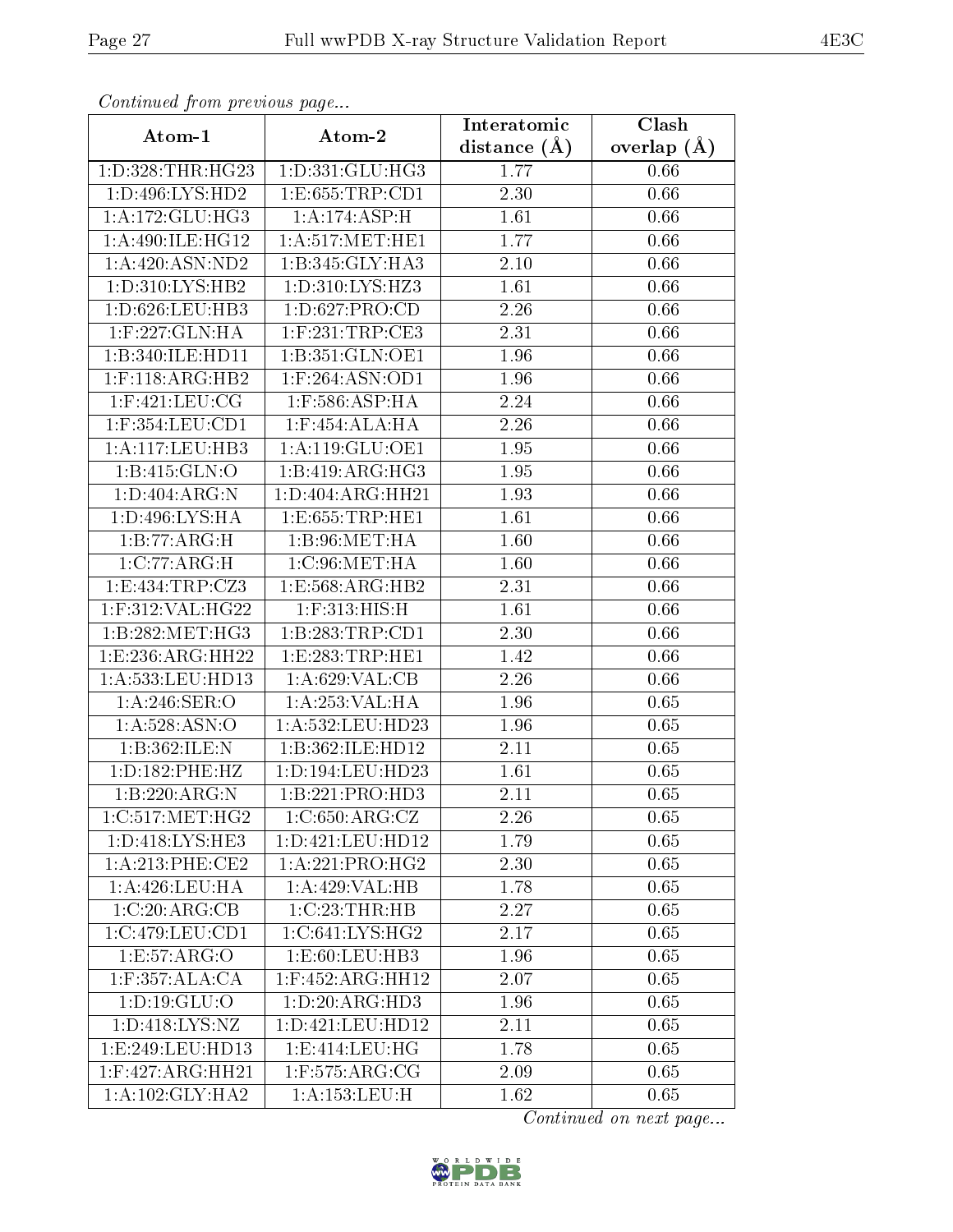| Commaca from previous page          |                     | Interatomic    | Clash           |  |
|-------------------------------------|---------------------|----------------|-----------------|--|
| Atom-1                              | Atom-2              | distance $(A)$ | overlap $(\AA)$ |  |
| 1: D: 328: THR: HG23                | 1:D:331:GLU:HG3     | 1.77           | 0.66            |  |
| 1:D:496:LYS:HD2                     | 1:E:655:TRP:CD1     | 2.30           | 0.66            |  |
| 1: A:172: GLU: HG3                  | 1: A:174: ASP:H     | 1.61           | 0.66            |  |
| 1: A:490: ILE: HG12                 | 1: A:517: MET:HE1   | 1.77           | 0.66            |  |
| 1: A:420: ASN:ND2                   | 1:B:345:GLY:HA3     | 2.10           | 0.66            |  |
| 1: D: 310: LYS: HB2                 | 1:D:310:LYS:HZ3     | 1.61           | 0.66            |  |
| 1:D:626:LEU:HB3                     | 1: D:627: PRO:CD    | 2.26           | 0.66            |  |
| 1:F:227:GLN:HA                      | $1:$ F:231:TRP:CE3  | 2.31           | 0.66            |  |
| 1:B:340:ILE:HD11                    | 1:B:351:GLN:OE1     | 1.96           | 0.66            |  |
| $1:$ F:118:ARG:HB2                  | $1:$ F:264:ASN:OD1  | 1.96           | 0.66            |  |
| $1:$ F:421:LEU:CG                   | $1:$ F:586:ASP:HA   | 2.24           | 0.66            |  |
| $1:$ F:354:LEU:CD1                  | $1:$ F:454:ALA:HA   | 2.26           | 0.66            |  |
| 1:A:117:LEU:HB3                     | 1:A:119:GLU:OE1     | 1.95           | 0.66            |  |
| 1:B:415:GLN:O                       | 1:B:419:ARG:HG3     | 1.95           | 0.66            |  |
| 1:D:404:ARG:N                       | 1:D:404:ARG:HH21    | 1.93           | 0.66            |  |
| 1:D:496:LYS:HA                      | 1: E: 655: TRP: HE1 | 1.61           | 0.66            |  |
| 1:B:77:ARG:H                        | 1: B:96: MET:HA     | 1.60           | 0.66            |  |
| 1:C:77:ARG:H                        | 1:C:96:MET:HA       | 1.60           | 0.66            |  |
| 1:E:434:TRP:CZ3                     | 1:E:568:ARG:HB2     | 2.31           | 0.66            |  |
| 1:F:312:VAL:HG22                    | $1:$ F:313:HIS:H    | 1.61           | 0.66            |  |
| 1:B:282:MET:HG3                     | 1:B:283:TRP:CD1     | 2.30           | 0.66            |  |
| 1: E: 236: ARG: HH22                | 1: E: 283: TRP: HE1 | 1.42           | 0.66            |  |
| 1:A:533:LEU:HD13                    | 1:A:629:VAL:CB      | 2.26           | 0.66            |  |
| 1:A:246:SER:O                       | 1:A:253:VAL:HA      | 1.96           | 0.65            |  |
| 1:A:528:ASN:O                       | 1:A:532:LEU:HD23    | 1.96           | 0.65            |  |
| 1:B:362:ILE:N                       | 1:B:362:ILE:HD12    | 2.11           | 0.65            |  |
| 1:D:182:PHE:HZ                      | 1:D:194:LEU:HD23    | 1.61           | 0.65            |  |
| 1:B:220:ARG:N                       | 1:B:221:PRO:HD3     | 2.11           | 0.65            |  |
| 1:C:517:MET:HG2                     | 1:C:650:ARG:CZ      | 2.26           | 0.65            |  |
| 1: D: 418: LYS: HE3                 | 1:D:421:LEU:HD12    | 1.79           | 0.65            |  |
| $1:A:213:PHE:\overline{\text{CE2}}$ | 1:A:221:PRO:HG2     | 2.30           | 0.65            |  |
| $1:A:426:LEU$ :HA                   | 1:A:429:VAL:HB      | 1.78           | 0.65            |  |
| 1:C:20:ARG:CB                       | 1:C:23:THR:HB       | 2.27           | 0.65            |  |
| 1:C:479:LEU:CD1                     | 1:C:641:LYS:HG2     | 2.17           | 0.65            |  |
| 1:E:57:ARG:O                        | 1: E:60:LEU:HB3     | 1.96           | 0.65            |  |
| 1:F:357:ALA:CA                      | $1:$ F:452:ARG:HH12 | 2.07           | 0.65            |  |
| 1: D: 19: GLU: O                    | 1: D:20: ARG:HD3    | 1.96           | 0.65            |  |
| 1:D:418:LYS:NZ                      | 1:D:421:LEU:HD12    | 2.11           | 0.65            |  |
| 1:E:249:LEU:HD13                    | 1:E:414:LEU:HG      | 1.78           | 0.65            |  |
| 1:F:427:ARG:HH21                    | $1:$ F:575:ARG:CG   | 2.09           | 0.65            |  |
| 1: A:102: GLY:HA2                   | 1:A:153:LEU:H       | 1.62           | 0.65            |  |

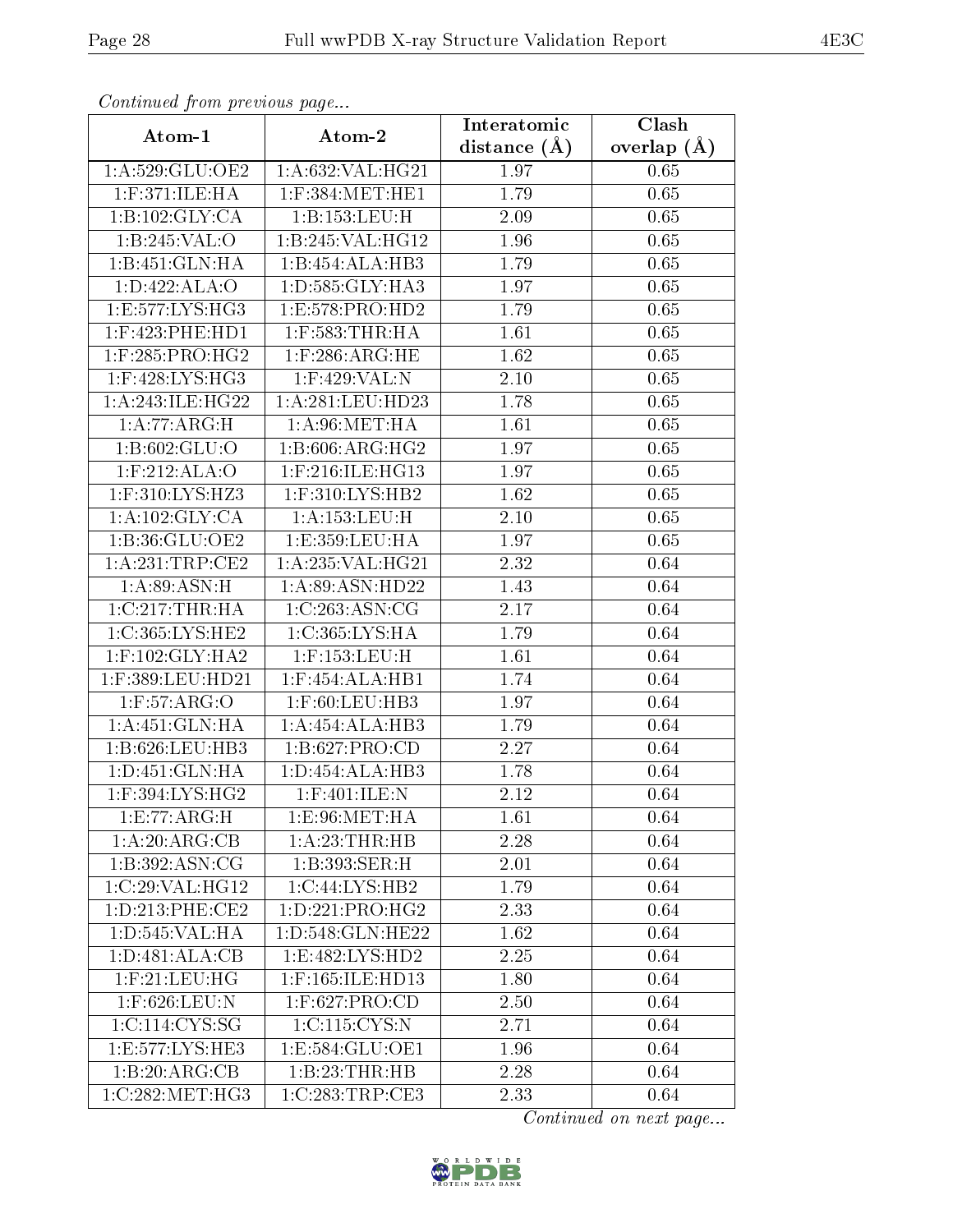| Continued from previous page |                     | Interatomic       | Clash         |
|------------------------------|---------------------|-------------------|---------------|
| Atom-1                       | Atom-2              | distance $(A)$    | overlap $(A)$ |
| 1:A:529:GLU:OE2              | 1:A:632:VAL:HG21    | 1.97              | 0.65          |
| 1:F:371:ILE:HA               | $1:$ F:384:MET:HE1  | $\overline{1}.79$ | 0.65          |
| 1:B:102:GLY:CA               | 1:B:153:LEU:H       | 2.09              | 0.65          |
| 1:B:245:VAL:O                | 1:B:245:VAL:HG12    | 1.96              | 0.65          |
| 1:B:451:GLN:HA               | 1:B:454:ALA:HB3     | 1.79              | 0.65          |
| 1:D:422:ALA:O                | 1:D:585:GLY:HA3     | 1.97              | 0.65          |
| 1:E:577:LYS:HG3              | 1: E: 578: PRO: HD2 | 1.79              | 0.65          |
| $1:$ F:423:PHE:HD1           | $1:$ F:583:THR:HA   | 1.61              | 0.65          |
| $1:$ F:285:PRO:HG2           | $1:$ F:286:ARG:HE   | 1.62              | 0.65          |
| $1:$ F:428:LYS:HG3           | 1:F:429:VAL:N       | 2.10              | 0.65          |
| 1: A:243: ILE: HG22          | 1:A:281:LEU:HD23    | 1.78              | 0.65          |
| 1:A:77:ARG:H                 | 1: A:96:MET:HA      | 1.61              | 0.65          |
| 1:B:602:GLU:O                | 1:B:606:ARG:HG2     | 1.97              | 0.65          |
| 1:F:212:ALA:O                | 1:F:216:ILE:HG13    | 1.97              | 0.65          |
| 1:F:310:LYS:HZ3              | 1:F:310:LYS:HB2     | 1.62              | 0.65          |
| 1:A:102:GLY:CA               | 1: A: 153: LEU:H    | 2.10              | 0.65          |
| 1:B:36:GLU:OE2               | 1:E:359:LEU:HA      | 1.97              | 0.65          |
| 1:A:231:TRP:CE2              | 1:A:235:VAL:HG21    | 2.32              | 0.64          |
| 1: A:89: ASN:H               | 1: A:89: ASN: HD22  | 1.43              | 0.64          |
| 1:C:217:THR:HA               | 1:C:263:ASN:CG      | 2.17              | 0.64          |
| 1:C:365:LYS:HE2              | 1:C:365:LYS:HA      | 1.79              | 0.64          |
| $1:$ F:102:GLY:HA2           | 1:F:153:LEU:H       | 1.61              | 0.64          |
| 1:F:389:LEU:HD21             | 1:F:454:ALA:HB1     | 1.74              | 0.64          |
| 1: F:57: ARG:O               | 1:F:60:LEU:HB3      | 1.97              | 0.64          |
| 1:A:451:GLN:HA               | 1:A:454:ALA:HB3     | 1.79              | 0.64          |
| 1:B:626:LEU:HB3              | 1:B:627:PRO:CD      | 2.27              | 0.64          |
| 1:D:451:GLN:HA               | 1: D: 454: ALA: HB3 | 1.78              | 0.64          |
| 1:F:394:LYS:HG2              | 1:F:401:ILE:N       | 2.12              | 0.64          |
| 1: E: 77: ARG: H             | 1: E:96: MET:HA     | 1.61              | 0.64          |
| 1:A:20:ARG:CB                | 1: A:23:THR:HB      | 2.28              | 0.64          |
| 1:B:392:ASN:CG               | 1:B:393:SER:H       | 2.01              | 0.64          |
| 1:C:29:VAL:HG12              | 1:C:44:LYS:HB2      | 1.79              | 0.64          |
| 1: D: 213: PHE: CE2          | 1: D: 221: PRO:HG2  | 2.33              | 0.64          |
| 1: D: 545: VAL: HA           | 1:D:548:GLN:HE22    | 1.62              | 0.64          |
| 1: D:481: ALA:CB             | 1: E:482: LYS: HD2  | 2.25              | 0.64          |
| $1:$ F:21:LEU:HG             | 1:F:165:ILE:HD13    | 1.80              | 0.64          |
| 1:F:626:LEU:N                | $1:$ F:627:PRO:CD   | 2.50              | 0.64          |
| 1:C:114:CYS:SG               | 1:C:115:CYS:N       | 2.71              | 0.64          |
| 1:E:577:LYS:HE3              | 1:E:584:GLU:OE1     | 1.96              | 0.64          |
| 1:B:20:ARG:CB                | 1:B:23:THR:HB       | 2.28              | 0.64          |
| 1:C:282:MET:HG3              | 1:C:283:TRP:CE3     | 2.33              | 0.64          |

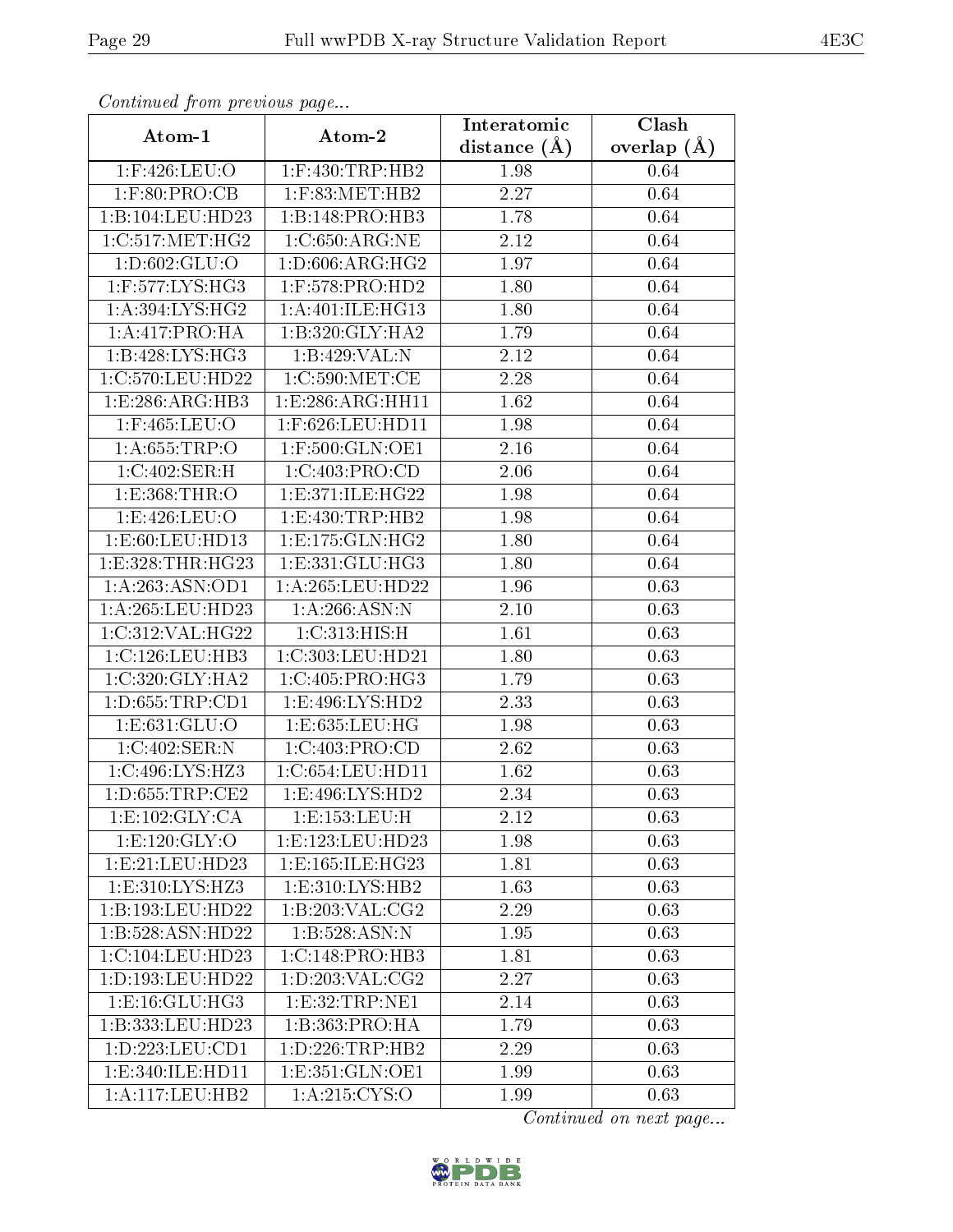| Communica from precious page |                      | Interatomic       | Clash           |
|------------------------------|----------------------|-------------------|-----------------|
| Atom-1                       | Atom-2               | distance $(\AA)$  | overlap $(\AA)$ |
| $1:$ F:426:LEU:O             | $1:$ F:430:TRP:HB2   | 1.98              | 0.64            |
| $1:$ F:80:PRO:CB             | $1:$ F:83:MET:HB $2$ | 2.27              | 0.64            |
| 1:B:104:LEU:HD23             | 1:B:148:PRO:HB3      | 1.78              | 0.64            |
| 1:C:517:MET:HG2              | 1:C:650:ARG:NE       | 2.12              | 0.64            |
| 1: D:602: GLU:O              | 1: D:606: ARG: HG2   | 1.97              | 0.64            |
| $1:$ F:577:LYS:HG3           | $1:$ F:578:PRO:HD2   | 1.80              | 0.64            |
| 1: A:394: LYS: HG2           | 1: A:401: ILE:HG13   | $\overline{1.80}$ | 0.64            |
| 1:A:417:PRO:HA               | 1: B:320: GLY:HA2    | 1.79              | 0.64            |
| 1:B:428:LYS:HG3              | 1:B:429:VAL:N        | 2.12              | 0.64            |
| 1:C:570:LEU:HD22             | 1:C:590:MET:CE       | 2.28              | 0.64            |
| 1:E:286:ARG:HB3              | 1:E:286:ARG:HH11     | 1.62              | 0.64            |
| 1:F:465:LEU:O                | 1:F:626:LEU:HD11     | 1.98              | 0.64            |
| 1: A:655:TRP:O               | 1:F:500:GLN:OE1      | 2.16              | 0.64            |
| 1:C:402:SER:H                | 1:C:403:PRO:CD       | 2.06              | 0.64            |
| 1: E: 368: THR:O             | 1:E:371:ILE:HG22     | 1.98              | 0.64            |
| 1:E:426:LEU:O                | 1:E:430:TRP:HB2      | 1.98              | 0.64            |
| 1:E:60:LEU:HD13              | 1: E: 175: GLN: HG2  | 1.80              | 0.64            |
| 1: E: 328: THR: HG23         | 1: E: 331: GLU: HG3  | 1.80              | 0.64            |
| 1: A:263:ASN:OD1             | 1:A:265:LEU:HD22     | 1.96              | 0.63            |
| 1:A:265:LEU:HD23             | 1: A:266: ASN:N      | 2.10              | 0.63            |
| 1:C:312:VAL:HG22             | 1:C:313:HIS:H        | 1.61              | 0.63            |
| 1:C:126:LEU:HB3              | 1:C:303:LEU:HD21     | 1.80              | 0.63            |
| 1:C:320:GLY:HA2              | 1:C:405:PRO:HG3      | 1.79              | 0.63            |
| 1: D: 655: TRP: CD1          | 1:E:496:LYS:HD2      | 2.33              | 0.63            |
| 1:E:631:GLU:O                | 1:E:635:LEU:HG       | 1.98              | 0.63            |
| 1:C:402:SER:N                | 1:C:403:PRO:CD       | 2.62              | 0.63            |
| 1:C:496:LYS:HZ3              | 1:C:654:LEU:HDI1     | 1.62              | 0.63            |
| 1: D: 655: TRP: CE2          | 1: E:496: LYS: HD2   | 2.34              | 0.63            |
| 1: E: 102: GLY: CA           | 1: E: 153: LEU: H    | 2.12              | 0.63            |
| 1: E: 120: GLY: O            | 1:E:123:LEU:HD23     | 1.98              | 0.63            |
| 1:E:21:EU:HD23               | 1:E:165:ILE:HG23     | 1.81              | 0.63            |
| 1:E:310:LYS:HZ3              | 1: E: 310: LYS: HB2  | 1.63              | 0.63            |
| 1:B:193:LEU:HD22             | 1: B:203: VAL: CG2   | 2.29              | 0.63            |
| 1:B:528:ASN:HD22             | 1:B:528:ASN:N        | 1.95              | 0.63            |
| 1:C:104:LEU:HD23             | 1:C:148:PRO:HB3      | 1.81              | 0.63            |
| 1:D:193:LEU:HD22             | 1: D: 203: VAL: CG2  | 2.27              | 0.63            |
| 1: E: 16: GLU: HG3           | 1: E:32: TRP: NE1    | 2.14              | 0.63            |
| 1:B:333:LEU:HD23             | 1:B:363:PRO:HA       | 1.79              | 0.63            |
| 1:D:223:LEU:CD1              | 1: D: 226: TRP: HB2  | 2.29              | 0.63            |
| 1: E: 340: ILE: HD11         | 1: E: 351: GLN: OE1  | 1.99              | 0.63            |
| 1: A:117: LEU: HB2           | 1: A:215: CYS:O      | 1.99              | 0.63            |

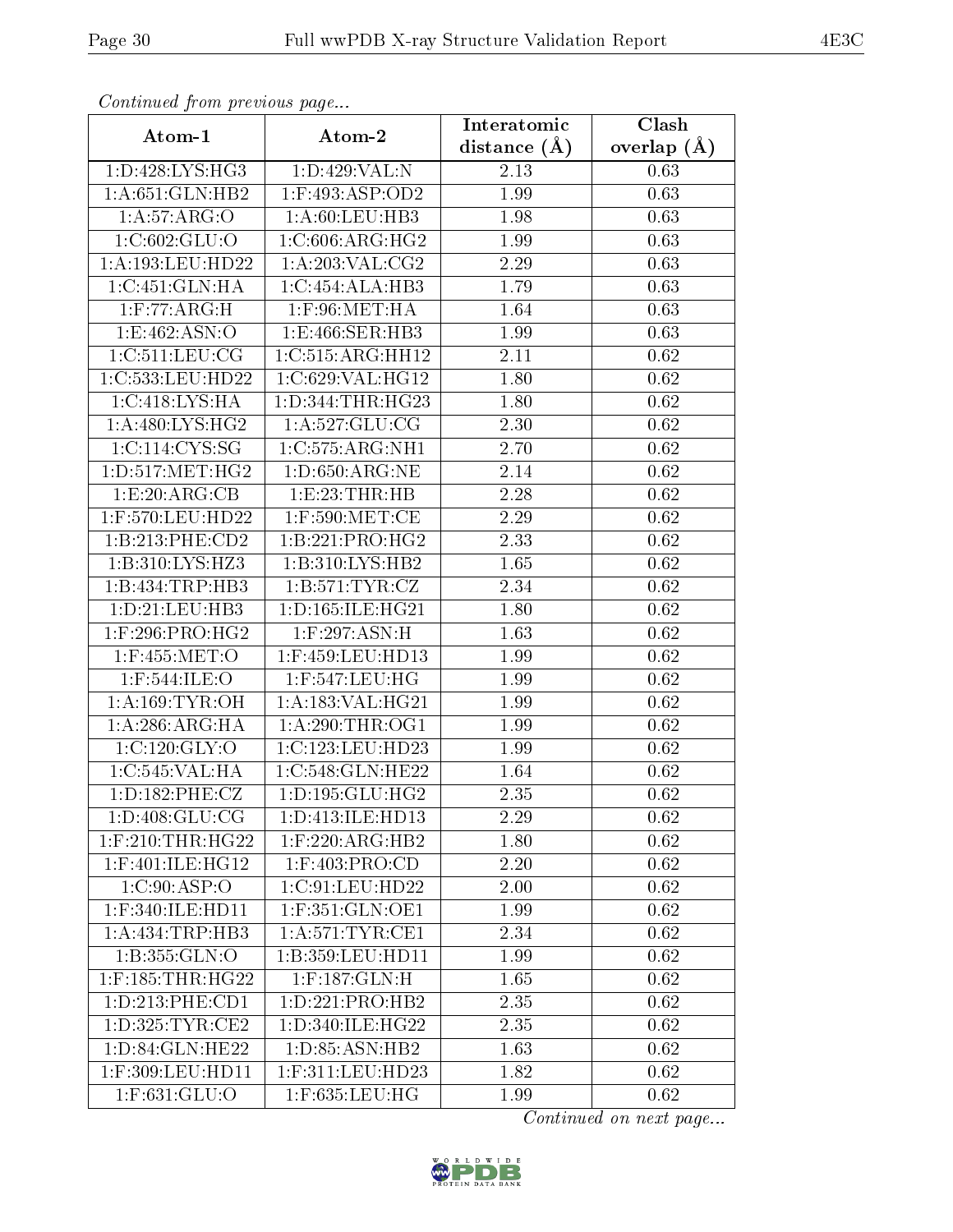| Continued from previous page     |                                 | Interatomic    | Clash         |
|----------------------------------|---------------------------------|----------------|---------------|
| Atom-1                           | Atom-2                          | distance $(A)$ | overlap $(A)$ |
| 1: D:428: LYS: HG3               | 1:D:429:VAL:N                   | 2.13           | 0.63          |
| 1: A:651: GLN:HB2                | $1:$ F:493:ASP:OD2              | 1.99           | 0.63          |
| 1:A:57:ARG:O                     | 1: A:60:LEU:HB3                 | 1.98           | 0.63          |
| 1:C:602:GLU:O                    | 1:C:606:ARG:HG2                 | 1.99           | 0.63          |
| 1:A:193:LEU:HD22                 | 1: A:203:VAL: CG2               | 2.29           | 0.63          |
| 1:C:451:GLN:HA                   | 1:C:454:ALA:HB3                 | 1.79           | 0.63          |
| 1: F:77: ARG:H                   | $1:$ F:96:MET:HA                | 1.64           | 0.63          |
| 1: E:462: ASN:O                  | 1:E:466:SER:HB3                 | 1.99           | 0.63          |
| 1:C:511:LEU:CG                   | 1:C:515:ARG:HH12                | 2.11           | 0.62          |
| 1:C:533:LEU:HD22                 | 1:C:629:VAL:HG12                | 1.80           | 0.62          |
| 1: C:418: LYS: HA                | 1:D:344:THR:HG23                | 1.80           | 0.62          |
| 1: A:480: LYS: HG2               | 1:A:527:GLU:CG                  | 2.30           | 0.62          |
| 1:C:114:CYS:SG                   | 1:C:575:ARG:NH1                 | 2.70           | 0.62          |
| 1: D: 517: MET: HG2              | 1: D:650: ARG: NE               | 2.14           | 0.62          |
| 1:E:20:ARG:CB                    | 1:E:23:THR:HB                   | 2.28           | 0.62          |
| 1:F:570:LEU:HD22                 | $1:$ F:590:MET:CE               | 2.29           | 0.62          |
| 1:B:213:PHE:CD2                  | 1:B:221:PRO:HG2                 | 2.33           | 0.62          |
| 1:B:310:LYS:HZ3                  | 1: B:310: LYS: HB2              | 1.65           | 0.62          |
| 1:B:434:TRP:HB3                  | 1: B:571: TYR: CZ               | 2.34           | 0.62          |
| 1: D: 21: LEU: HB3               | 1: D: 165: ILE: HG21            | 1.80           | 0.62          |
| $1:$ F:296:PRO:HG2               | $1:$ F:297:ASN:H                | 1.63           | 0.62          |
| $1:$ F:455:MET:O                 | 1:F:459:LEU:HD13                | 1.99           | 0.62          |
| $1:$ F:544:ILE:O                 | 1:F:547:LEU:HG                  | 1.99           | 0.62          |
| 1: A:169: TYR:OH                 | 1:A:183:VAL:HG21                | 1.99           | 0.62          |
| 1: A:286: ARG: HA                | 1: A:290:THR:OG1                | 1.99           | 0.62          |
| 1:C:120:GLY:O                    | 1:C:123:LEU:HD23                | 1.99           | 0.62          |
| 1:C:545:VAL:HA                   | 1:C:548:GLN:HE22                | 1.64           | 0.62          |
| 1: D: 182: PHE: CZ               | 1: D: 195: GLU: HG2             | 2.35           | 0.62          |
| 1: D: 408: GLU: CG               | 1:D:413:ILE:HD13                | 2.29           | 0.62          |
| $1:$ F:210:THR:HG22              | $1:$ F:220:ARG:HB2              | 1.80           | 0.62          |
| $1:$ F:401:ILE:HG12              | $1:$ F:403:PRO:CD               | 2.20           | 0.62          |
| 1:C:90:ASP:O                     | 1:C:91:LEU:HD22                 | 2.00           | 0.62          |
| 1:F:340:ILE:HD11                 | 1:F:351:GLN:OE1                 | 1.99           | 0.62          |
| 1:A:434:TRP:HB3                  | 1: A:571:TYR:CE1                | 2.34           | 0.62          |
| 1:B:355:GLN:O                    | 1:B:359:LEU:HD11                | 1.99           | 0.62          |
| $1:$ F:185:THR:HG22              | $1:$ F:187:GLN:H                | 1.65           | 0.62          |
| 1: D: 213: PHE: CD1              | 1: D: 221: PRO: HB2             | 2.35           | 0.62          |
| $1: D: 325: TYR: \overline{CE2}$ | 1: D:340: ILE: HG <sub>22</sub> | 2.35           | 0.62          |
| 1: D:84: GLN: HE22               | 1: D: 85: ASN: HB2              | 1.63           | 0.62          |
| 1:F:309:LEU:HD11                 | $1:$ F:311:LEU:HD23             | 1.82           | 0.62          |
| $1:$ F:631:GLU:O                 | $1:$ F:635:LEU:HG               | 1.99           | 0.62          |

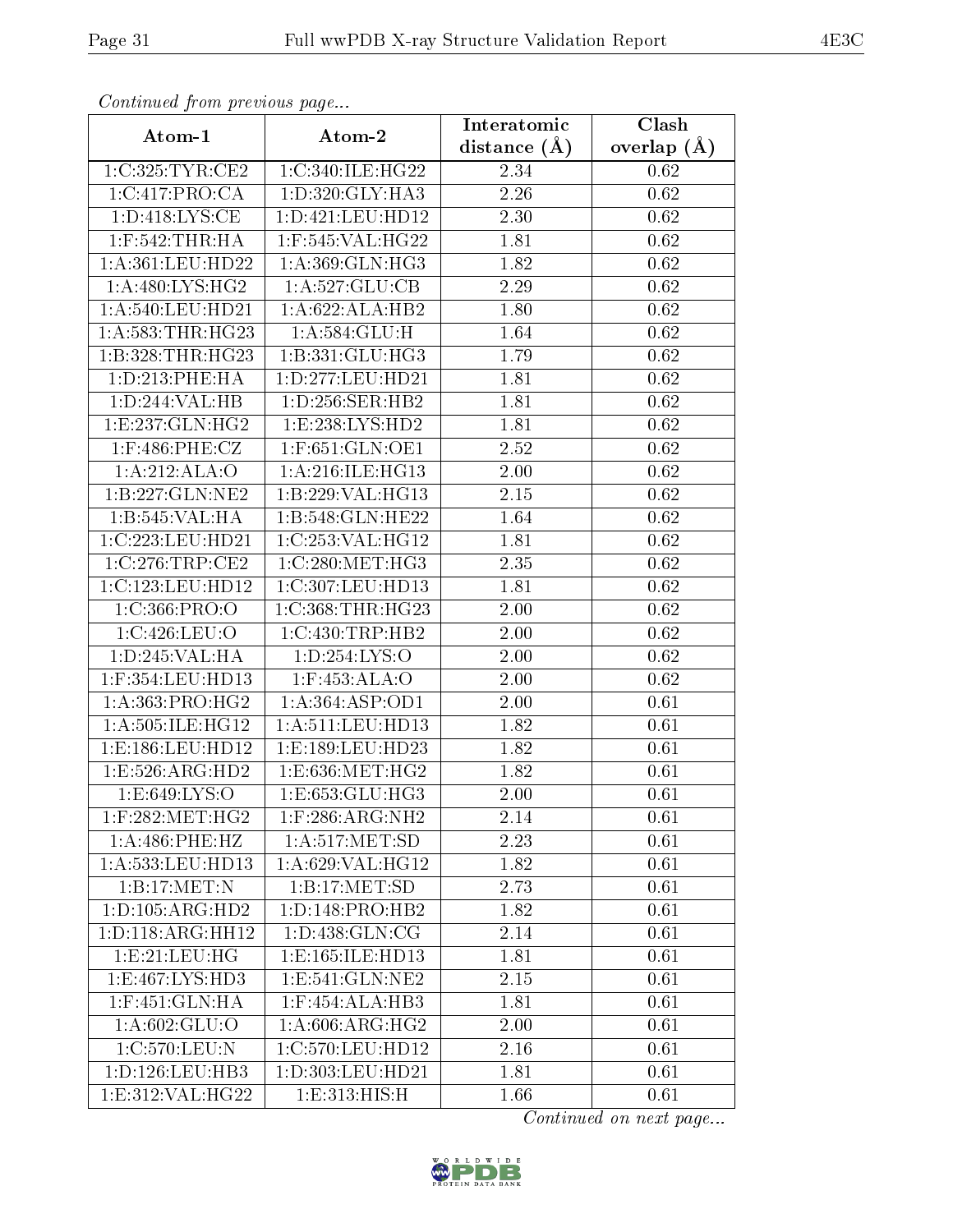| сонинией јтот ртеvиоиз раде           |                      | Interatomic       | Clash         |
|---------------------------------------|----------------------|-------------------|---------------|
| Atom-1                                | Atom-2               | distance $(A)$    | overlap $(A)$ |
| 1:C:325:TYR:CE2                       | 1:C:340:ILE:HG22     | 2.34              | 0.62          |
| 1:C:417:PRO:CA                        | 1: D:320: GLY:HA3    | $\overline{2}.26$ | 0.62          |
| $1: D:418: LYS: \overline{\text{CE}}$ | 1:D:421:LEU:HD12     | 2.30              | 0.62          |
| $1:$ F:542:THR:HA                     | 1:F:545:VAL:HG22     | 1.81              | 0.62          |
| 1: A: 361: LEU: HD22                  | 1:A:369:GLN:HG3      | 1.82              | 0.62          |
| 1: A:480: LYS: HG2                    | 1:A:527:GLU:CB       | 2.29              | 0.62          |
| 1:A:540:LEU:HD21                      | 1:A:622:ALA:HB2      | 1.80              | 0.62          |
| 1: A: 583: THR: HG23                  | 1: A:584: GLU:H      | $\overline{1}.64$ | 0.62          |
| 1:B:328:THR:HG23                      | 1: B: 331: GLU: HG3  | 1.79              | 0.62          |
| 1: D: 213: PHE: HA                    | 1:D:277:LEU:HD21     | 1.81              | 0.62          |
| 1:D:244:VAL:HB                        | 1: D: 256: SER: HB2  | 1.81              | 0.62          |
| 1:E:237:GLN:HG2                       | 1: E: 238: LYS: HD2  | 1.81              | 0.62          |
| $1:$ F:486:PHE:CZ                     | 1:F:651:GLN:OE1      | 2.52              | 0.62          |
| 1:A:212:ALA:O                         | 1: A:216: ILE: HG13  | 2.00              | 0.62          |
| 1:B:227:GLN:NE2                       | 1:B:229:VAL:HG13     | 2.15              | 0.62          |
| 1:B:545:VAL:H A                       | 1:B:548:GLN:HE22     | 1.64              | 0.62          |
| 1:C:223:LEU:HD21                      | 1:C:253:VAL:HG12     | 1.81              | 0.62          |
| $1:C:276$ : $TRP:CE2$                 | 1:C:280:MET:HG3      | 2.35              | 0.62          |
| 1:C:123:LEU:HD12                      | 1:C:307:LEU:HD13     | 1.81              | 0.62          |
| 1:C:366:PRO:O                         | 1:C:368:THR:HG23     | 2.00              | 0.62          |
| 1:C:426:LEU:O                         | 1:C:430:TRP:HB2      | 2.00              | 0.62          |
| 1: D: 245: VAL: HA                    | 1:D:254:LYS:O        | 2.00              | 0.62          |
| 1:F:354:LEU:HD13                      | 1:F:453:ALA:O        | 2.00              | 0.62          |
| $1:A:363:P\overline{RO:HG2}$          | 1: A: 364: ASP: OD1  | 2.00              | 0.61          |
| 1: A:505: ILE:HG12                    | 1:A:511:LEU:HD13     | 1.82              | 0.61          |
| 1:E:186:LEU:HD12                      | 1:E:189:LEU:HD23     | 1.82              | 0.61          |
| 1: E: 526: ARG: HD2                   | 1:E:636:MET:HG2      | 1.82              | 0.61          |
| 1: E:649: LYS:O                       | 1:E:653:GLU:HG3      | $2.00\,$          | 0.61          |
| $1:$ F:282:MET:HG2                    | $1:$ F:286:ARG:NH2   | 2.14              | 0.61          |
| 1: A:486: PHE:HZ                      | 1: A:517: MET:SD     | 2.23              | 0.61          |
| 1:A:533:LEU:HD13                      | 1: A:629: VAL:HG12   | 1.82              | 0.61          |
| 1:B:17:MET:N                          | 1:B:17:MET:SD        | 2.73              | 0.61          |
| 1: D: 105: ARG: HD2                   | 1: D: 148: PRO: HB2  | 1.82              | 0.61          |
| 1: D: 118: ARG: HH12                  | 1: D: 438: GLN: CG   | 2.14              | 0.61          |
| 1:E:21:EU:HG                          | 1: E: 165: ILE: HD13 | 1.81              | 0.61          |
| 1: E: 467: LYS: HD3                   | 1: E: 541: GLN: NE2  | 2.15              | 0.61          |
| $1:$ F:451: $GLN:HA$                  | $1:$ F:454:ALA:HB3   | 1.81              | 0.61          |
| 1:A:602:GLU:O                         | 1: A:606:ARG:HG2     | 2.00              | 0.61          |
| 1:C:570:LEU:N                         | 1:C:570:LEU:HD12     | 2.16              | 0.61          |
| 1:D:126:LEU:HB3                       | 1:D:303:LEU:HD21     | 1.81              | 0.61          |
| 1:E:312:VAL:HG22                      | 1:E:313:HIS:H        | 1.66              | 0.61          |

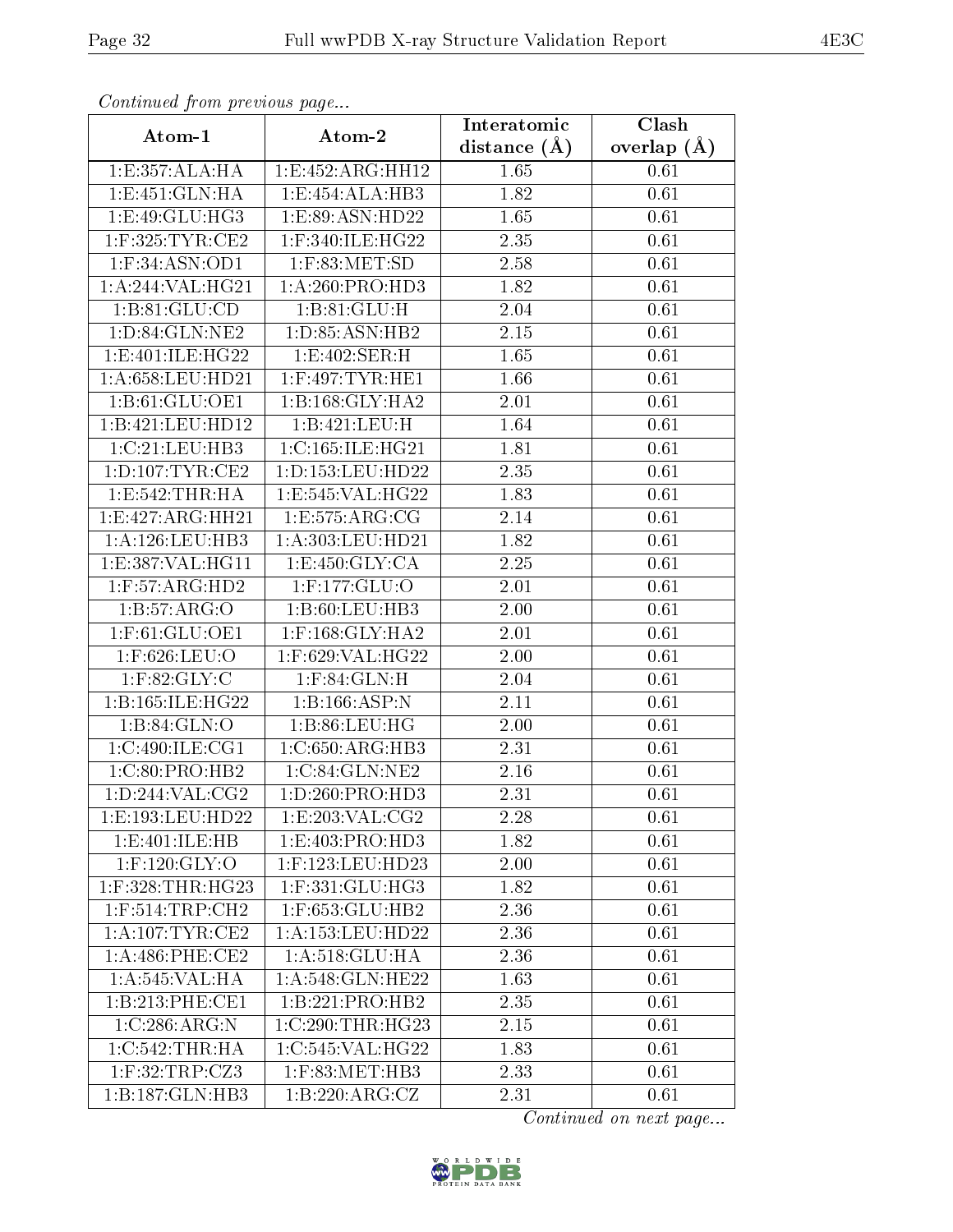| Continuea from previous page          |                        | Interatomic       | Clash         |
|---------------------------------------|------------------------|-------------------|---------------|
| Atom-1                                | Atom-2                 | distance $(A)$    | overlap $(A)$ |
| 1:E:357:ALA:HA                        | 1:E:452:ARG:HH12       | 1.65              | 0.61          |
| 1:E:451:GLN:HA                        | 1:E:454:ALA:HB3        | $\overline{1.82}$ | 0.61          |
| 1:E:49:GLU:HG3                        | 1:E:89:ASN:HD22        | 1.65              | $0.61\,$      |
| $1:$ F:325:TYR:CE2                    | 1:F:340:ILE:HG22       | 2.35              | 0.61          |
| $1:$ F:34:ASN:OD1                     | $1:$ F:83:MET:SD       | 2.58              | 0.61          |
| 1: A:244: VAL:HG21                    | 1:A:260:PRO:HD3        | 1.82              | 0.61          |
| 1: B:81: GLU:CD                       | 1: B:81: GLU:H         | 2.04              | 0.61          |
| 1: D:84: GLN: NE2                     | 1:D:85:ASN:HB2         | 2.15              | 0.61          |
| 1: E:401: ILE: HG22                   | 1:E:402:SER:H          | 1.65              | 0.61          |
| 1:A:658:LEU:HD21                      | $1:$ F:497:TYR:HE1     | 1.66              | 0.61          |
| 1:B:61:GLU:OE1                        | 1:B:168:GLY:HA2        | 2.01              | 0.61          |
| 1:B:421:LEU:HD12                      | 1:B:421:LEU:H          | 1.64              | 0.61          |
| 1:C:21:LEU:HB3                        | 1:C:165:ILE:HG21       | 1.81              | 0.61          |
| 1: D: 107: TYR: CE2                   | 1: D: 153: LEU: HD22   | 2.35              | 0.61          |
| 1:E:542:THR:HA                        | 1:E:545:VAL:HG22       | 1.83              | 0.61          |
| $1:E:427:ARG:\overline{HH21}$         | 1: E: 575: ARG: CG     | 2.14              | 0.61          |
| 1:A:126:LEU:HB3                       | 1:A:303:LEU:HD21       | 1.82              | 0.61          |
| 1: E: 387: VAL:HGI1                   | 1:E:450:GLY:CA         | 2.25              | 0.61          |
| $1:$ F:57:ARG:HD2                     | $1:$ F:177:GLU:O       | 2.01              | 0.61          |
| 1: B: 57: ARG: O                      | 1:B:60:LEU:HB3         | 2.00              | 0.61          |
| $1:$ F:61:GLU:OE1                     | $1:$ F:168:GLY:HA2     | 2.01              | 0.61          |
| 1:F:626:LEU:O                         | 1:F:629:VAL:HG22       | 2.00              | 0.61          |
| $1:$ F:82:GLY:C                       | $1:$ F:84:GLN:H        | 2.04              | 0.61          |
| 1:B:165:ILE:HG22                      | 1:B:166:ASP:N          | 2.11              | 0.61          |
| 1:B:84:GLN:O                          | 1: B:86: LEU: HG       | 2.00              | 0.61          |
| 1:C:490:ILE:CG1                       | 1:C:650:ARG:HB3        | 2.31              | 0.61          |
| 1:C:80:PRO:HB2                        | 1:C:84:GLN:NE2         | 2.16              | 0.61          |
| 1:D:244:VAL:CG2                       | 1:D:260:PRO:HD3        | 2.31              | 0.61          |
| 1:E:193:LEU:HD22                      | 1:E:203:VAL:CG2        | 2.28              | 0.61          |
| 1:E:401:ILE:HB                        | 1:E:403:PRO:HD3        | 1.82              | 0.61          |
| $1:$ F:120: $\overline{\text{GLY:O}}$ | $1:$ F:123:LEU:HD23    | 2.00              | 0.61          |
| $1:$ F:328:THR:HG23                   | $1:$ F:33 $1:$ GLU:HG3 | 1.82              | 0.61          |
| $1:$ F:514:TRP:CH2                    | 1:F:653:GLU:HB2        | 2.36              | 0.61          |
| 1:A:107:TYR:CE2                       | 1:A:153:LEU:HD22       | 2.36              | 0.61          |
| $1: A:486:$ PHE:CE2                   | 1: A:518: GLU: HA      | 2.36              | 0.61          |
| 1: A:545:VAL:HA                       | 1: A:548: GLN: HE22    | 1.63              | 0.61          |
| 1:B:213:PHE:CE1                       | 1:B:221:PRO:HB2        | 2.35              | 0.61          |
| 1:C:286:ARG:N                         | 1:C:290:THR:HG23       | 2.15              | 0.61          |
| 1:C:542:THR:HA                        | 1:C:545:VAL:HG22       | 1.83              | 0.61          |
| 1:F:32:TRP:CZ3                        | 1:F:83:MET:HB3         | 2.33              | 0.61          |
| 1:B:187:GLN:HB3                       | 1:B:220:ARG:CZ         | 2.31              | 0.61          |

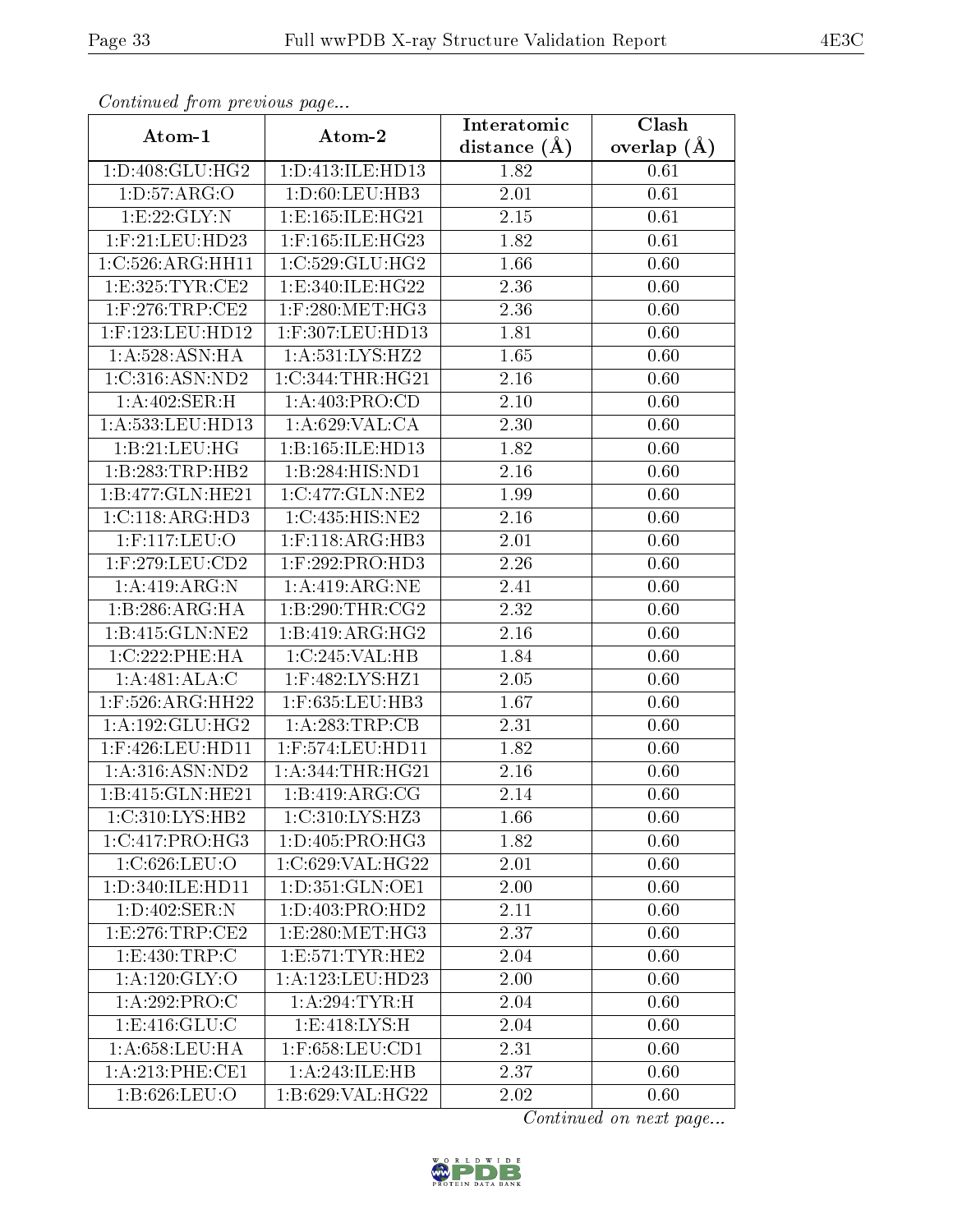| Commuca from previous page |                      | Interatomic    | Clash           |
|----------------------------|----------------------|----------------|-----------------|
| Atom-1                     | Atom-2               | distance $(A)$ | overlap $(\AA)$ |
| 1: D: 408: GLU: HG2        | 1:D:413:ILE:HD13     | 1.82           | 0.61            |
| 1: D: 57: ARG: O           | 1:D:60:LEU:HB3       | 2.01           | 0.61            |
| 1:E:22:GLY:N               | 1:E:165:ILE:HG21     | 2.15           | 0.61            |
| $1:$ F:21:LEU:HD23         | 1:F:165:ILE:HG23     | 1.82           | 0.61            |
| 1:C:526:ARG:HH11           | 1:C:529:GLU:HG2      | 1.66           | 0.60            |
| 1:E:325:TYR:CE2            | 1:E:340:ILE:HG22     | 2.36           | 0.60            |
| $1:$ F:276:TRP:CE2         | $1:$ F:280:MET:HG3   | 2.36           | 0.60            |
| 1:F:123:LEU:HD12           | 1:F:307:LEU:HD13     | 1.81           | 0.60            |
| 1:A:528:ASN:HA             | 1: A:531:LYS:HZ2     | 1.65           | 0.60            |
| 1:C:316:ASN:ND2            | 1:C:344:THR:HG21     | 2.16           | 0.60            |
| 1:A:402:SER:H              | 1: A:403: PRO:CD     | 2.10           | 0.60            |
| 1:A:533:LEU:HD13           | 1: A:629: VAL:CA     | 2.30           | 0.60            |
| 1:B:21:LEU:HG              | 1:B:165:ILE:HD13     | 1.82           | 0.60            |
| 1:B:283:TRP:HB2            | 1:B:284:HIS:ND1      | 2.16           | 0.60            |
| 1:B:477:GLN:HE21           | 1:C:477:GLN:NE2      | 1.99           | 0.60            |
| 1:C:118:ARG:HD3            | 1:C:435:HIS:NE2      | 2.16           | 0.60            |
| 1:F:117:LEU:O              | $1:$ F:118:ARG:HB3   | 2.01           | 0.60            |
| $1:$ F:279:LEU: $CD2$      | $1:$ F:292:PRO:HD3   | 2.26           | 0.60            |
| 1:A:419:ARG:N              | 1:A:419:ARG:NE       | 2.41           | 0.60            |
| 1:B:286:ARG:HA             | 1:B:290:THR:CG2      | 2.32           | 0.60            |
| 1:B:415:GLN:NE2            | 1:B:419:ARG:HG2      | 2.16           | 0.60            |
| 1:C:222:PHE:HA             | 1:C:245:VAL:HB       | 1.84           | 0.60            |
| 1:A:481:ALA:C              | 1:F:482:LYS:HZ1      | 2.05           | 0.60            |
| 1:F:526:ARG:HH22           | 1:F:635:LEU:HB3      | 1.67           | 0.60            |
| 1:A:192:GLU:HG2            | 1:A:283:TRP:CB       | 2.31           | 0.60            |
| 1:F:426:LEU:HD11           | 1:F:574:LEU:HD11     | 1.82           | 0.60            |
| 1: A:316: ASN: ND2         | 1:A:344:THR:HG21     | 2.16           | 0.60            |
| 1:B:415:GLN:HE21           | 1:B:419:ARG:CG       | 2.14           | 0.60            |
| 1:C:310:LYS:HB2            | 1:C:310:LYS:HZ3      | 1.66           | 0.60            |
| 1:C:417:PRO:HG3            | 1: D: 405: PRO: HG3  | 1.82           | 0.60            |
| 1:C.626:LEU:O              | 1:C:629:VAL:HG22     | 2.01           | 0.60            |
| 1: D: 340: ILE: HD11       | 1:D:351:GLN:OE1      | 2.00           | 0.60            |
| 1:D:402:SER:N              | 1:D:403:PRO:HD2      | 2.11           | 0.60            |
| 1:E:276:TRP:CE2            | 1:E:280:MET:HG3      | 2.37           | 0.60            |
| 1:E:430:TRP:C              | 1: E: 571: TYR: HE2  | 2.04           | 0.60            |
| 1:A:120:GLY:O              | 1: A: 123: LEU: HD23 | 2.00           | 0.60            |
| 1:A:292:PRO:C              | 1:A:294:TYR:H        | 2.04           | 0.60            |
| 1: E: 416: GLU:C           | 1: E:418: LYS:H      | 2.04           | 0.60            |
| 1: A:658:LEU:HA            | $1:$ F:658:LEU:CD1   | 2.31           | 0.60            |
| 1: A:213: PHE:CE1          | 1:A:243:ILE:HB       | 2.37           | 0.60            |
| 1:B:626:LEU:O              | 1:B:629:VAL:HG22     | 2.02           | 0.60            |

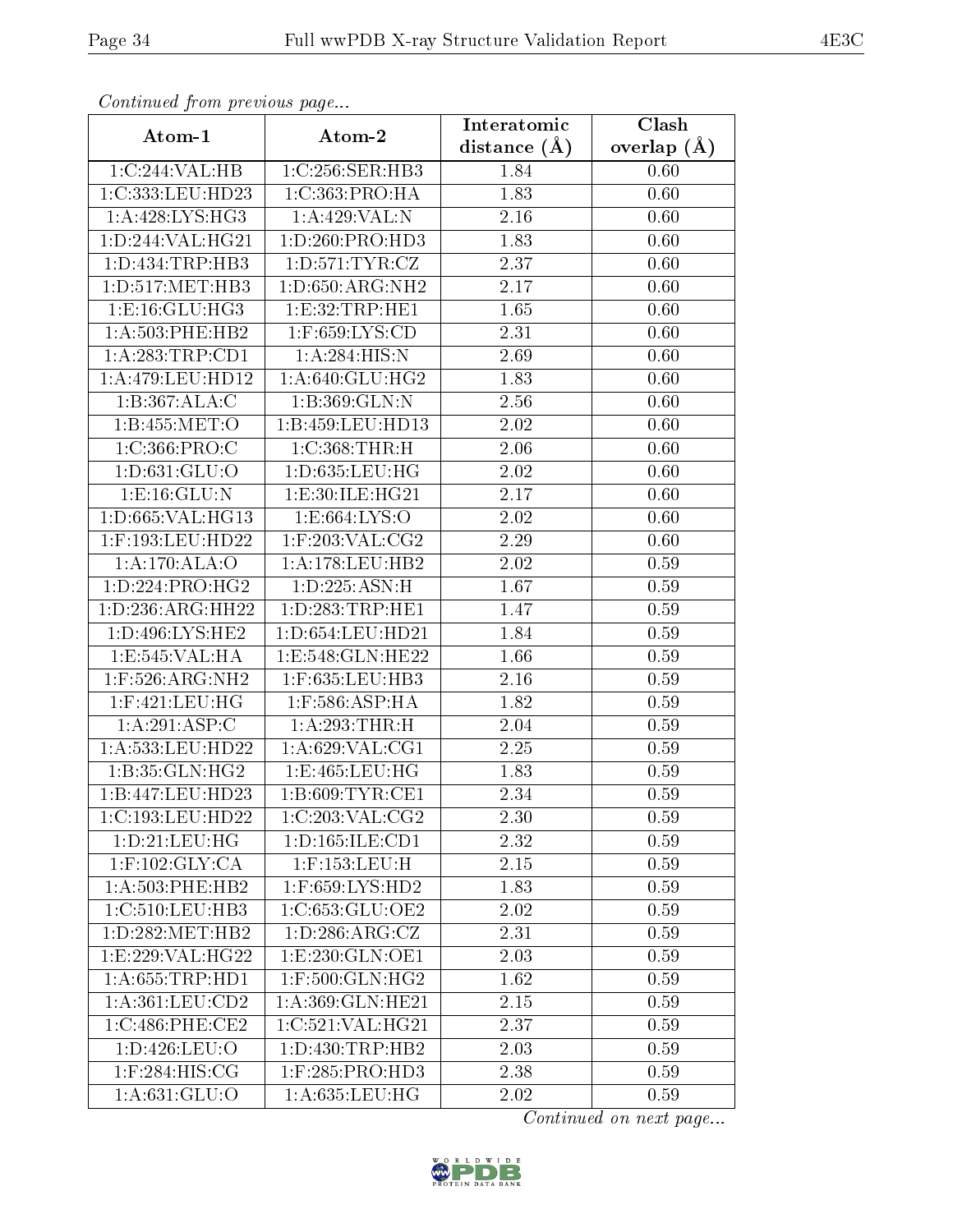| Continuation from providuo puga |                     | Interatomic       | $\overline{\text{Clash}}$ |
|---------------------------------|---------------------|-------------------|---------------------------|
| Atom-1                          | Atom-2              | distance $(A)$    | overlap $(A)$             |
| 1:C:244:VAL:HB                  | 1:C:256:SER:HB3     | 1.84              | 0.60                      |
| 1:C:333:LEU:HD23                | 1:C:363:PRO:HA      | 1.83              | 0.60                      |
| 1: A:428: LYS: HG3              | 1:A:429:VAL:N       | $2.16\,$          | 0.60                      |
| 1:D:244:VAL:HG21                | 1: D: 260: PRO: HD3 | 1.83              | 0.60                      |
| 1: D: 434: TRP: HB3             | 1: D: 571: TYR: CZ  | $\overline{2.37}$ | 0.60                      |
| 1: D: 517: MET: HB3             | 1: D:650: ARG: NH2  | 2.17              | 0.60                      |
| 1: E: 16: GLU: HG3              | 1:E:32:TRP:HE1      | 1.65              | 0.60                      |
| 1:A:503:PHE:HB2                 | $1:$ F:659:LYS:CD   | 2.31              | 0.60                      |
| 1:A:283:TRP:CD1                 | 1: A:284: HIS:N     | 2.69              | 0.60                      |
| 1:A:479:LEU:HD12                | 1: A:640: GLU: HG2  | 1.83              | 0.60                      |
| 1:B:367:ALA:C                   | 1:B:369:GLN:N       | 2.56              | 0.60                      |
| 1:B:455:MET:O                   | 1:B:459:LEU:HD13    | 2.02              | 0.60                      |
| 1:C:366:PRO:C                   | 1: C: 368: THR:H    | 2.06              | 0.60                      |
| 1:D:631:GLU:O                   | 1:D:635:LEU:HG      | 2.02              | 0.60                      |
| 1:E:16:GLU:N                    | 1: E:30: ILE: HG21  | 2.17              | 0.60                      |
| 1: D: 665: VAL: HG13            | 1: E: 664: LYS: O   | 2.02              | 0.60                      |
| 1:F:193:LEU:HD22                | $1:$ F:203:VAL:CG2  | 2.29              | 0.60                      |
| 1:A:170:ALA:O                   | 1:A:178:LEU:HB2     | 2.02              | 0.59                      |
| 1: D: 224: PRO:HG2              | 1: D: 225: ASN:H    | 1.67              | 0.59                      |
| 1: D: 236: ARG: HH22            | 1: D: 283: TRP: HE1 | 1.47              | 0.59                      |
| 1: D: 496: LYS: HE2             | 1:D:654:LEU:HD21    | 1.84              | 0.59                      |
| 1:E:545:VAL:HA                  | 1:E:548:GLN:HE22    | 1.66              | 0.59                      |
| $1:$ F:526:ARG:NH2              | 1:F:635:LEU:HB3     | 2.16              | 0.59                      |
| $1:$ F:421:LEU:HG               | $1:$ F:586:ASP:HA   | 1.82              | 0.59                      |
| 1:A:291:ASP:C                   | 1:A:293:THR:H       | $2.04\,$          | 0.59                      |
| 1:A:533:LEU:HD22                | 1:A:629:VAL:CG1     | 2.25              | 0.59                      |
| 1:B:35:GLN:HG2                  | 1:E:465:LEU:HG      | 1.83              | 0.59                      |
| 1:B:447:LEU:HD23                | 1: B:609: TYR: CE1  | 2.34              | 0.59                      |
| 1:C:193:LEU:HD22                | 1:C:203:VAL:CG2     | 2.30              | 0.59                      |
| 1:D:21:LEU:HG                   | 1: D: 165: ILE: CD1 | 2.32              | 0.59                      |
| $1:$ F:102:GLY:CA               | $1:$ F:153:LEU:H    | 2.15              | 0.59                      |
| 1: A:503: PHE:HB2               | $1:$ F:659:LYS:HD2  | 1.83              | 0.59                      |
| 1:C:510:LEU:HB3                 | 1:C:653:GLU:OE2     | 2.02              | 0.59                      |
| 1: D:282:MET:HB2                | 1: D: 286: ARG: CZ  | 2.31              | 0.59                      |
| 1: E: 229: VAL: HG22            | 1:E:230:GLN:OE1     | 2.03              | 0.59                      |
| 1: A:655:TRP:HD1                | $1:$ F:500:GLN:HG2  | 1.62              | 0.59                      |
| 1: A: 361: LEU: CD2             | 1:A:369:GLN:HE21    | 2.15              | 0.59                      |
| 1:C:486:PHE:CE2                 | 1:C:521:VAL:HG21    | 2.37              | 0.59                      |
| 1: D: 426: LEU: O               | 1: D: 430: TRP: HB2 | 2.03              | 0.59                      |
| $1:$ F:284:HIS:CG               | $1:$ F:285:PRO:HD3  | 2.38              | 0.59                      |
| 1:A:631:GLU:O                   | 1:A:635:LEU:HG      | 2.02              | 0.59                      |

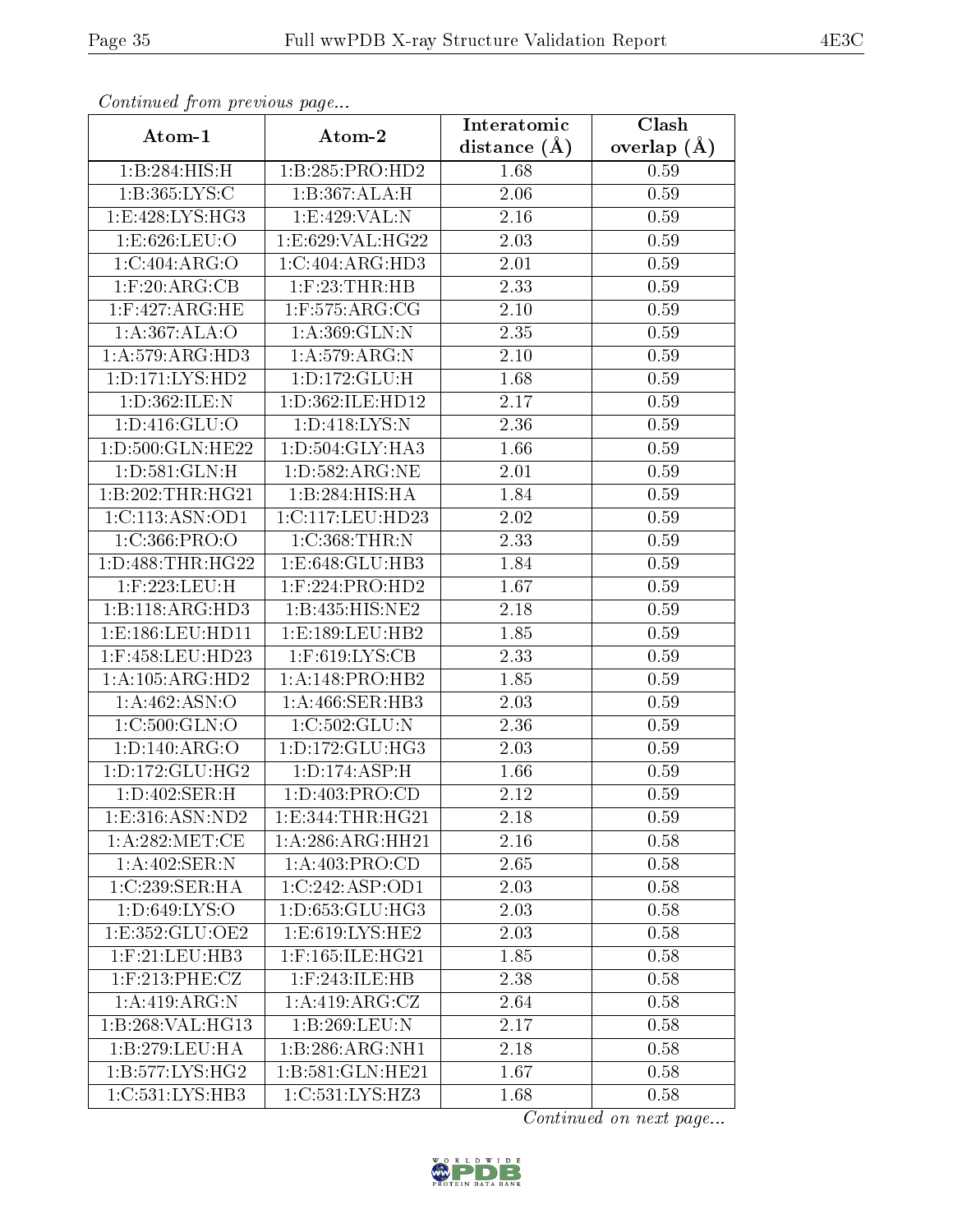| Commaca jibin previous page  |                                     | Interatomic    | Clash         |  |
|------------------------------|-------------------------------------|----------------|---------------|--|
| Atom-1                       | Atom-2                              | distance $(A)$ | overlap $(A)$ |  |
| 1:B:284:HIS:H                | 1:B:285:PRO:HD2                     | 1.68           | 0.59          |  |
| 1:B:365:LYS:C                | 1:B:367:ALA:H                       | 2.06           | 0.59          |  |
| 1:E:428:LYS:HG3              | 1:E:429:VAL:N                       | 2.16           | 0.59          |  |
| 1:E:626:LEU:O                | 1:E:629:VAL:HG22                    | 2.03           | 0.59          |  |
| 1:C:404:ARG:O                | 1:C:404:ARG:HD3                     | 2.01           | 0.59          |  |
| $1:$ F:20:ARG:CB             | $1:$ $F:23:$ THR: $HB$              | 2.33           | 0.59          |  |
| 1:F:427:ARG:HE               | $1:$ F:575:ARG:CG                   | 2.10           | 0.59          |  |
| 1:A:367:ALA:O                | 1: A:369: GLN:N                     | 2.35           | 0.59          |  |
| 1:A:579:ARG:HD3              | 1:A:579:ARG:N                       | 2.10           | 0.59          |  |
| 1: D: 171: LYS: HD2          | 1: D: 172: GLU: H                   | 1.68           | 0.59          |  |
| 1:D:362:ILE:N                | 1:D:362:ILE:HD12                    | 2.17           | 0.59          |  |
| 1: D: 416: GLU: O            | 1: D: 418: LYS: N                   | 2.36           | 0.59          |  |
| 1:D:500:GLN:HE22             | 1:D:504:GLY:HA3                     | 1.66           | 0.59          |  |
| 1: D:581: GLN: H             | 1: D: 582: ARG: NE                  | 2.01           | 0.59          |  |
| 1:B:202:THR:HG21             | 1:B:284:HIS:HA                      | 1.84           | 0.59          |  |
| 1:C:113:ASN:OD1              | 1:C:117:LEU:HD23                    | 2.02           | 0.59          |  |
| 1:C:366:PRO:O                | 1:C:368:THR:N                       | 2.33           | 0.59          |  |
| 1: D: 488: THR: HG22         | 1:E:648:GLU:HB3                     | 1.84           | 0.59          |  |
| 1:F:223:LEU:H                | 1:F:224:PRO:HD2                     | 1.67           | 0.59          |  |
| 1:B:118:ARG:HD3              | 1:B:435:HIS:NE2                     | 2.18           | 0.59          |  |
| 1:E:186:LEU:HD11             | 1:E:189:LEU:HB2                     | 1.85           | 0.59          |  |
| 1:F:458:LEU:HD23             | $1:$ F:619:LYS:CB                   | 2.33           | 0.59          |  |
| $1:A:105:ARG:H\overline{D2}$ | 1:A:148:PRO:HB2                     | 1.85           | 0.59          |  |
| 1:A:462:ASN:O                | 1: A:466: SER:HB3                   | 2.03           | 0.59          |  |
| 1:C:500:GLN:O                | 1:C:502:GLU:N                       | 2.36           | 0.59          |  |
| 1:D:140:ARG:O                | 1: D: 172: GLU: HG3                 | 2.03           | 0.59          |  |
| 1: D: 172: GLU: HG2          | 1: D: 174: ASP:H                    | 1.66           | 0.59          |  |
| 1: D:402: SER: H             | 1:D:403:PRO:CD                      | 2.12           | 0.59          |  |
| 1:E:316:ASN:ND2              | 1: E: 344: THR: HG21                | 2.18           | 0.59          |  |
| 1: A:282:MET:CE              | $1:A:286:A\overline{RG:HH21}$       | 2.16           | 0.58          |  |
| 1:A:402:SER:N                | 1:A:403:PRO:CD                      | 2.65           | 0.58          |  |
| 1:C:239:SER:HA               | 1:C:242:ASP:OD1                     | 2.03           | 0.58          |  |
| 1: D:649: LYS: O             | 1:D:653:GLU:HG3                     | 2.03           | 0.58          |  |
| 1:E:352:GLU:OE2              | 1:E:619:LYS:HE2                     | 2.03           | 0.58          |  |
| $1:$ F:21:LEU:HB3            | $1:$ F:165:ILE:HG21                 | 1.85           | 0.58          |  |
| 1:F:213:PHE:CZ               | 1:F:243:ILE:HB                      | 2.38           | 0.58          |  |
| 1: A:419: ARG: N             | 1: A:419: ARG: CZ                   | 2.64           | 0.58          |  |
| 1:B:268:VAL:HG13             | 1:B:269:LEU:N                       | 2.17           | 0.58          |  |
| 1:B:279:LEU:HA               | 1:B:286:ARG:NH1                     | 2.18           | 0.58          |  |
| 1:B:577:LYS:HG2              | 1:B:581:GLN:HE21                    | 1.67           | 0.58          |  |
| 1:C:531:LYS:HB3              | $1:C:531:\overline{\text{LYS:HZ3}}$ | 1.68           | 0.58          |  |

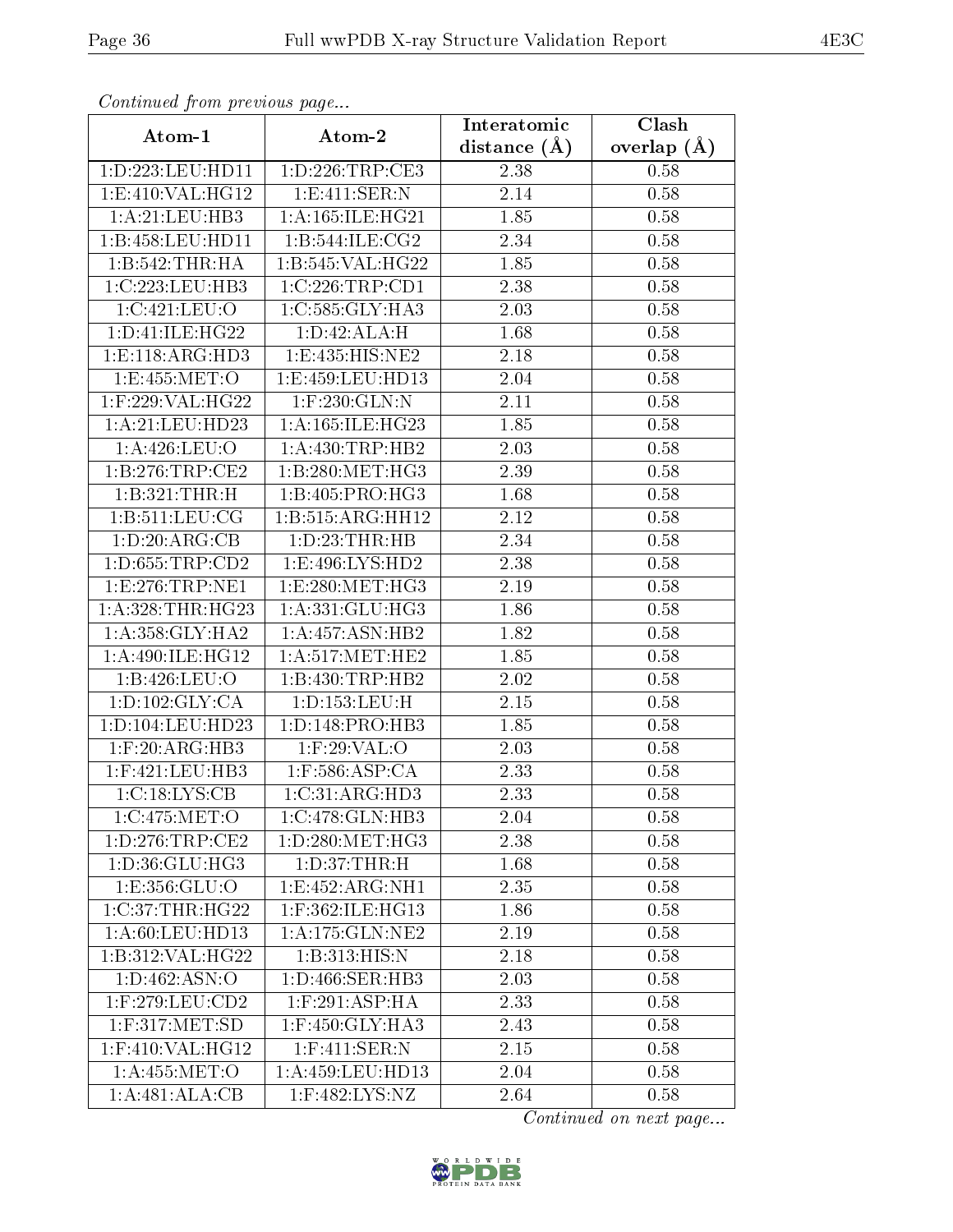| Continuea from previous page |                              | Interatomic       | Clash         |
|------------------------------|------------------------------|-------------------|---------------|
| Atom-1                       | Atom-2                       | distance $(A)$    | overlap $(A)$ |
| 1: D: 223: LEU: HD11         | 1:D:226:TRP:CE3              | 2.38              | 0.58          |
| 1:E:410:VAL:HG12             | 1: E:411: SER: N             | 2.14              | 0.58          |
| 1: A:21:LEU:HB3              | 1: A: 165: ILE: HG21         | 1.85              | 0.58          |
| 1:B:458:LEU:HD11             | 1:B:544:ILE:CG2              | 2.34              | 0.58          |
| 1:B:542:THR:H                | 1:B:545:VAL:HG22             | 1.85              | 0.58          |
| 1:C:223:LEU:HB3              | 1:C:226:TRP:CD1              | 2.38              | 0.58          |
| 1:C:421:LEU:O                | 1:C:585:GLY:HA3              | 2.03              | 0.58          |
| 1: D: 41: ILE: HG22          | 1:D:42:ALA:H                 | 1.68              | 0.58          |
| 1: E: 118: ARG: HD3          | 1:E:435:HIS:NE2              | 2.18              | 0.58          |
| 1:E:455:MET:O                | 1:E:459:LEU:HD13             | 2.04              | 0.58          |
| 1:F:229:VAL:HG22             | $1:$ F:230:GLN:N             | 2.11              | 0.58          |
| 1:A:21:LEU:HD23              | 1: A: 165: ILE: HG23         | $\overline{1.85}$ | 0.58          |
| 1:A:426:LEU:O                | 1: A: 430: TRP: HB2          | 2.03              | 0.58          |
| 1: B: 276: TRP: CE2          | $1:B:280:MET:H\overline{G3}$ | 2.39              | 0.58          |
| 1:B:321:THR:H                | 1:B:405:PRO:HG3              | 1.68              | 0.58          |
| 1: B: 511: LEU: CG           | 1:B:515:ARG:HH12             | 2.12              | 0.58          |
| 1:D:20:ARG:CB                | 1: D: 23: THR: HB            | 2.34              | 0.58          |
| 1: D: 655: TRP: CD2          | 1:E:496:LYS:HD2              | 2.38              | 0.58          |
| 1:E:276:TRP:NE1              | 1:E:280:MET:HG3              | 2.19              | 0.58          |
| 1: A:328:THR:HG23            | 1: A: 331: GLU: HG3          | 1.86              | 0.58          |
| 1: A: 358: GLY: HA2          | 1: A:457: ASN:HB2            | 1.82              | 0.58          |
| 1: A:490: ILE: HG12          | 1: A:517: MET:HE2            | 1.85              | 0.58          |
| 1:B:426:LEU:O                | 1:B:430:TRP:HB2              | 2.02              | 0.58          |
| 1: D: 102: GLY: CA           | 1: D: 153: LEU: H            | 2.15              | 0.58          |
| 1: D: 104: LEU: HD23         | 1: D: 148: PRO: HB3          | 1.85              | 0.58          |
| $1:$ F:20:ARG:HB3            | $1:$ F:29:VAL:O              | 2.03              | 0.58          |
| $1:$ F:421:LEU:HB3           | $1:$ F:586:ASP:CA            | 2.33              | 0.58          |
| 1:C:18:LYS:CB                | 1:C:31:ARG:HD3               | 2.33              | 0.58          |
| 1:C:475:MET:O                | 1:C:478:GLN:HB3              | 2.04              | 0.58          |
| 1: D: 276: TRP: CE2          | 1: D: 280: MET:HG3           | 2.38              | 0.58          |
| 1:D:36:GLU:HG3               | 1: D:37:THR:H                | 1.68              | 0.58          |
| 1:E:356:GLU:O                | 1: E: 452: ARG: NH1          | 2.35              | 0.58          |
| 1:C:37:THR:HG22              | 1:F:362:ILE:HG13             | 1.86              | 0.58          |
| 1: A:60:LEU:HD13             | 1: A:175: GLN:NE2            | 2.19              | 0.58          |
| 1:B:312:VAL:HG22             | 1:B:313:HIS:N                | 2.18              | 0.58          |
| 1: D: 462. A SN: O           | 1:D:466:SER:HB3              | 2.03              | 0.58          |
| $1:$ F:279:LEU:CD2           | $1:$ F:291:ASP:HA            | 2.33              | 0.58          |
| $1:$ F:317:MET:SD            | 1:F:450:GLY:HA3              | 2.43              | 0.58          |
| $1:$ F:410:VAL:H $G12$       | $1:$ F:411:SER:N             | 2.15              | 0.58          |
| 1: A: 455: MET:O             | 1:A:459:LEU:HD13             | 2.04              | 0.58          |
| 1:A:481:ALA:CB               | 1:F:482:LYS:NZ               | 2.64              | 0.58          |

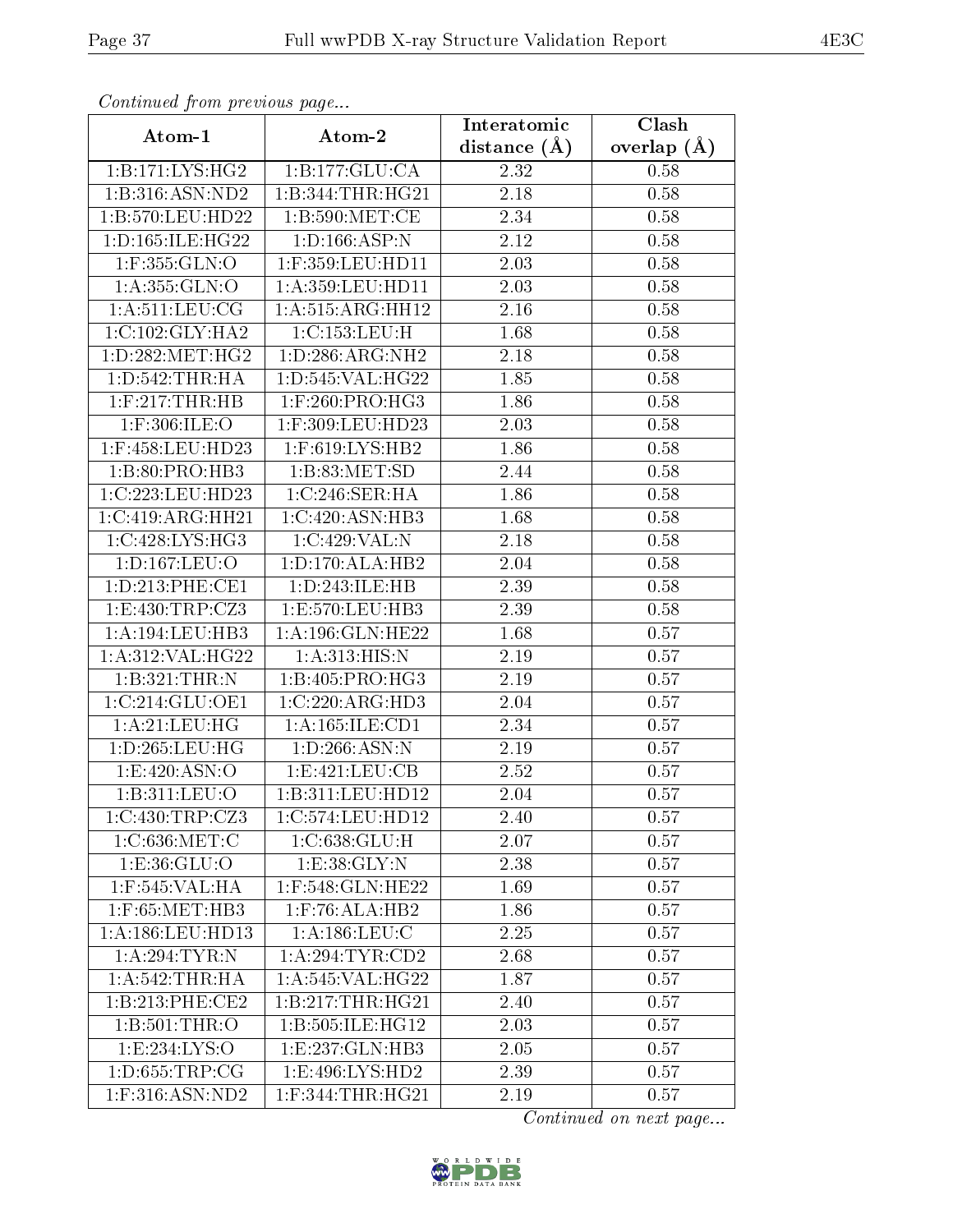| Continuea from previous page |                              | Interatomic       | Clash           |
|------------------------------|------------------------------|-------------------|-----------------|
| Atom-1                       | Atom-2                       | distance $(A)$    | overlap $(\AA)$ |
| 1:B:171:LYS:HG2              | 1:B:177:GLU:CA               | 2.32              | 0.58            |
| 1:B:316:ASN:ND2              | 1:B:344:THR:HG21             | $\overline{2}.18$ | 0.58            |
| 1:B:570:LEU:HD22             | 1: B:590:MET:CE              | 2.34              | 0.58            |
| 1: D: 165: ILE: HG22         | 1: D: 166: ASP: N            | 2.12              | 0.58            |
| $1:$ F:355:GLN:O             | 1:F:359:LEU:HD11             | 2.03              | 0.58            |
| 1:A:355:GLN:O                | 1: A:359: LEU: HD11          | 2.03              | 0.58            |
| 1: A:511:LEV:CG              | 1:A:515:ARG:HH12             | 2.16              | 0.58            |
| 1:C:102:GLY:HA2              | 1:C:153:LEU:H                | 1.68              | 0.58            |
| 1: D: 282: MET: HG2          | 1: D: 286: ARG: NH2          | 2.18              | 0.58            |
| 1: D: 542: THR: HA           | 1: D: 545: VAL: HG22         | 1.85              | 0.58            |
| $1:$ F:217:THR:HB            | $1:$ F:260:PRO:HG3           | 1.86              | 0.58            |
| $1:$ F:306:ILE:O             | 1:F:309:LEU:HD23             | 2.03              | 0.58            |
| $1:$ F:458:LEU:HD23          | 1:F:619:LYS:HB2              | 1.86              | 0.58            |
| 1:B:80:PRO:HB3               | 1:B:83:MET:SD                | 2.44              | 0.58            |
| 1:C:223:LEU:HD23             | 1:C:246:SER:HA               | 1.86              | 0.58            |
| 1:C:419:ARG:HH21             | 1:C:420:ASN:HB3              | 1.68              | 0.58            |
| 1:C:428:LYS:HG3              | 1:C:429:VAL:N                | 2.18              | 0.58            |
| 1: D: 167: LEU: O            | 1: D: 170: ALA: HB2          | 2.04              | 0.58            |
| 1: D: 213: PHE: CE1          | 1:D:243:ILE:HB               | 2.39              | 0.58            |
| 1: E: 430: TRP: CZ3          | 1:E:570:LEU:HB3              | 2.39              | 0.58            |
| 1: A: 194: LEU: HB3          | 1:A:196:GLN:HE22             | 1.68              | 0.57            |
| 1:A:312:VAL:HG22             | 1: A:313:HIS:N               | 2.19              | 0.57            |
| 1:B:321:THR:N                | 1: B:405: PRO:HG3            | 2.19              | 0.57            |
| 1:C:214:GLU:OE1              | 1:C:220:ARG:HD3              | 2.04              | 0.57            |
| 1: A:21:LEU:HG               | 1: A: 165: ILE: CD1          | 2.34              | 0.57            |
| 1: D: 265: LEU: HG           | 1: D: 266: ASN: N            | $\overline{2.19}$ | 0.57            |
| 1: E:420: ASN:O              | 1: E: 421: LEU: CB           | 2.52              | 0.57            |
| 1:B:311:LEU:O                | 1:B:311:LEU:HD12             | 2.04              | 0.57            |
| 1:C:430:TRP:CZ3              | 1:C:574:LEU:HD12             | 2.40              | 0.57            |
| 1:C:636:MET:C                | 1: C: 638: GLU: H            | 2.07              | 0.57            |
| 1: E: 36: GLU:O              | $1: E:38: \overline{GLY: N}$ | 2.38              | 0.57            |
| 1:F:545:VAL:HA               | $1:$ F:548:GLN:HE22          | 1.69              | 0.57            |
| $1:$ F:65:MET:HB3            | $1:$ F:76:ALA:HB2            | 1.86              | 0.57            |
| 1: A: 186: LEU: HD13         | 1: A: 186: LEU: C            | 2.25              | 0.57            |
| 1:A:294:TYR:N                | 1: A:294:TYR:CD2             | 2.68              | 0.57            |
| 1: A:542:THR:HA              | 1: A:545: VAL:HG22           | 1.87              | 0.57            |
| 1:B:213:PHE:CE2              | 1:B:217:THR:HG21             | 2.40              | 0.57            |
| 1:B:501:THR:O                | 1:B:505:ILE:HG12             | 2.03              | 0.57            |
| 1:E:234:LYS:O                | 1:E:237:GLN:HB3              | 2.05              | 0.57            |
| 1: D: 655: TRP: CG           | 1: E:496: LYS: HD2           | 2.39              | 0.57            |
| $1:$ F:316:ASN:ND2           | $1:$ F:344:THR:HG21          | 2.19              | 0.57            |

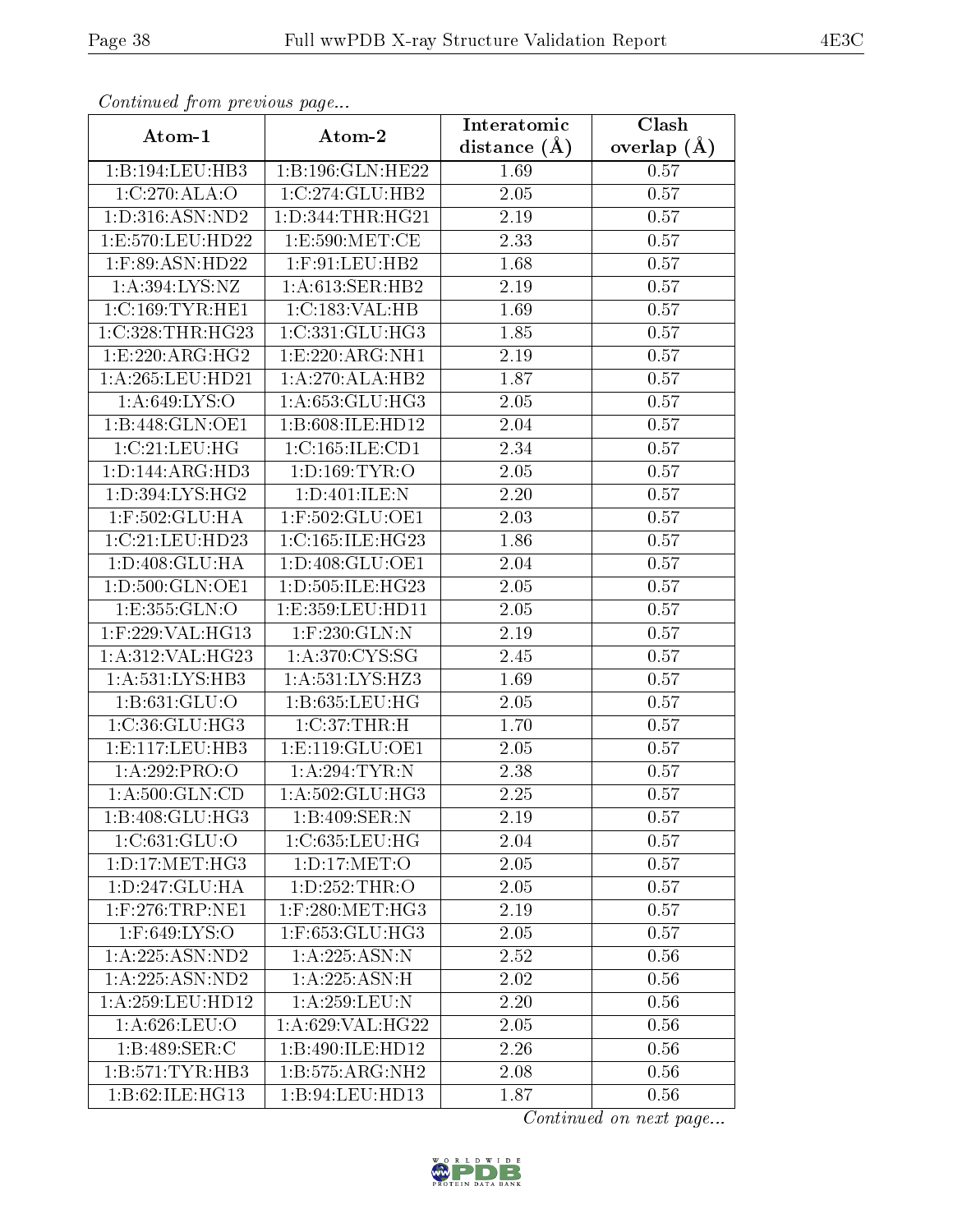| Communa from previous page     |                      | Interatomic      | Clash           |
|--------------------------------|----------------------|------------------|-----------------|
| Atom-1                         | Atom-2               | distance $(\AA)$ | overlap $(\AA)$ |
| 1:B:194:LEU:HB3                | 1:B:196:GLN:HE22     | 1.69             | 0.57            |
| 1:C:270:ALA:O                  | 1:C:274:GLU:HB2      | $2.05\,$         | 0.57            |
| 1: D:316: ASN: ND2             | 1: D: 344: THR: HG21 | 2.19             | 0.57            |
| 1:E:570:LEU:HD22               | 1: E:590:MET:CE      | 2.33             | 0.57            |
| $1:$ F:89:ASN:HD22             | $1:$ F:91:LEU:HB2    | 1.68             | 0.57            |
| 1: A:394: LYS: NZ              | 1: A:613: SER: HB2   | 2.19             | 0.57            |
| 1:C:169:TYR:HE1                | 1:C:183:VAL:HB       | 1.69             | 0.57            |
| 1:C:328:THR:HG23               | 1:C:331:GLU:HG3      | 1.85             | 0.57            |
| 1:E:220:ARG:HG2                | 1:E:220:ARG:NH1      | 2.19             | 0.57            |
| 1:A:265:LEU:HD21               | 1:A:270:ALA:HB2      | 1.87             | 0.57            |
| 1: A:649: LYS:O                | 1: A:653: GLU:HG3    | 2.05             | 0.57            |
| 1:B:448:GLN:OE1                | 1:B:608:ILE:HD12     | 2.04             | 0.57            |
| 1:C:21:LEU:HG                  | 1:C:165:ILE:CD1      | 2.34             | 0.57            |
| 1:D:144:ARG:HD3                | 1: D: 169: TYR: O    | 2.05             | 0.57            |
| 1:D:394:LYS:HG2                | 1:D:401:ILE:N        | 2.20             | 0.57            |
| 1:F:502:GLU:HA                 | $1:$ F:502:GLU:OE1   | 2.03             | 0.57            |
| 1:C:21:LEU:HD23                | 1:C:165:ILE:HG23     | 1.86             | 0.57            |
| 1:D:408:GLU:HA                 | 1: D:408: GLU: OE1   | 2.04             | 0.57            |
| 1:D:500:GLN:OE1                | 1:D:505:ILE:HG23     | 2.05             | 0.57            |
| 1:E:355:GLN:O                  | 1: E: 359: LEU: HD11 | 2.05             | 0.57            |
| 1:F:229:VAL:HG13               | 1:F:230:GLN:N        | 2.19             | 0.57            |
| 1:A:312:VAL:HG23               | 1: A:370: CYS:SG     | 2.45             | 0.57            |
| 1: A:531:LYS:HB3               | 1:A:531:LYS:HZ3      | 1.69             | 0.57            |
| 1: B:631: GLU:O                | 1:B:635:LEU:HG       | 2.05             | 0.57            |
| 1:C:36:GLU:HG3                 | 1:C:37:THR:H         | 1.70             | 0.57            |
| 1: E: 117: LEU: HB3            | 1: E: 119: GLU: OE1  | 2.05             | 0.57            |
| 1:A:292:PRO:O                  | 1: A:294:TYR:N       | 2.38             | 0.57            |
| 1: A:500: GLN:CD               | 1: A: 502: GLU: HG3  | 2.25             | 0.57            |
| 1:B:408:GLU:HG3                | 1:B:409:SER:N        | 2.19             | 0.57            |
| 1: C:631: GLU:O                | 1:C:635:LEU:HG       | 2.04             | 0.57            |
| 1: D: 17: MET: HG3             | 1: D: 17: MET:O      | 2.05             | 0.57            |
| $1: D: 247: \overline{GLU:HA}$ | 1:D:252:THR:O        | 2.05             | 0.57            |
| $1:$ F:276:TRP:NE1             | $1:$ F:280:MET:HG3   | 2.19             | 0.57            |
| 1:F:649:LYS:O                  | 1:F:653:GLU:HG3      | 2.05             | 0.57            |
| 1:A:225:ASN:ND2                | 1: A: 225: ASN: N    | 2.52             | 0.56            |
| 1:A:225:ASN:ND2                | 1: A: 225: ASN:H     | 2.02             | 0.56            |
| 1:A:259:LEU:HD12               | 1:A:259:LEU:N        | 2.20             | 0.56            |
| 1:A:626:LEU:O                  | 1:A:629:VAL:HG22     | 2.05             | 0.56            |
| 1: B:489: SER: C               | 1:B:490:ILE:HD12     | 2.26             | 0.56            |
| 1:B:571:TYR:HB3                | 1:B:575:ARG:NH2      | 2.08             | 0.56            |
| 1:B:62:ILE:HG13                | 1:B:94:LEU:HD13      | 1.87             | 0.56            |

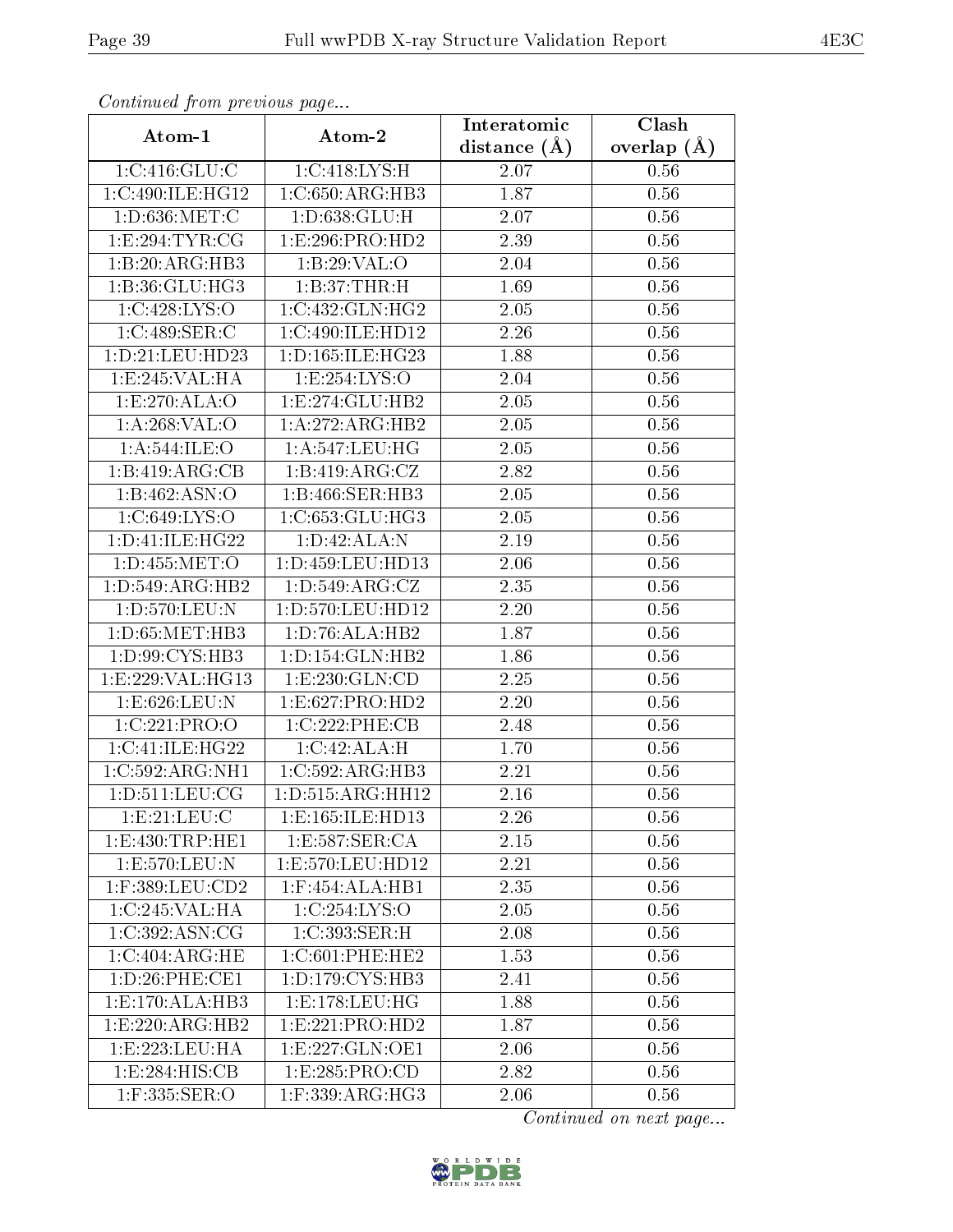| Continuatu from previous page |                       | Interatomic       | Clash         |
|-------------------------------|-----------------------|-------------------|---------------|
| Atom-1                        | Atom-2                | distance $(A)$    | overlap $(A)$ |
| 1:C:416:GLU:C                 | 1:C:418:LYS:H         | $2.07\,$          | 0.56          |
| 1:C:490:ILE:HG12              | 1:C:650:ARG:HB3       | 1.87              | 0.56          |
| 1:D:636:MET:C                 | 1: D:638: GLU: H      | 2.07              | 0.56          |
| 1:E:294:TYR:CG                | 1:E:296:PRO:HD2       | 2.39              | 0.56          |
| 1:B:20:ARG:HB3                | 1:B:29:VAL:O          | 2.04              | 0.56          |
| 1: B:36: GLU: HG3             | 1:B:37:THR:H          | 1.69              | 0.56          |
| 1:C:428:LYS:O                 | 1:C:432:GLN:HG2       | 2.05              | 0.56          |
| 1:C:489:SER:C                 | 1:C:490:ILE:HD12      | 2.26              | 0.56          |
| 1: D: 21: LEU: HD23           | 1:D:165:ILE:HG23      | $\overline{1.88}$ | 0.56          |
| 1:E:245:VAL:HA                | 1:E:254:LYS:O         | 2.04              | 0.56          |
| 1:E:270:ALA:O                 | 1:E:274:GLU:HB2       | 2.05              | 0.56          |
| 1:A:268:VAL:O                 | 1:A:272:ARG:HB2       | 2.05              | 0.56          |
| 1:A:544:ILE:O                 | 1:A:547:LEU:HG        | 2.05              | 0.56          |
| 1:B:419:ARG:CB                | 1:B:419:ARG:CZ        | 2.82              | 0.56          |
| 1:B:462:ASN:O                 | 1:B:466:SER:HB3       | 2.05              | $0.56\,$      |
| 1:C:649:LYS:O                 | 1:C:653:GLU:HG3       | 2.05              | 0.56          |
| 1: D: 41: ILE: HG22           | 1: D:42: ALA: N       | $\overline{2.19}$ | 0.56          |
| 1: D: 455: MET:O              | 1: D: 459: LEU: HD13  | $2.06\,$          | 0.56          |
| 1: D:549: ARG: HB2            | 1: D: 549: ARG: CZ    | 2.35              | 0.56          |
| 1: D: 570: LEU: N             | 1:D:570:LEU:HD12      | 2.20              | 0.56          |
| 1: D: 65: MET: HB3            | 1:D:76:ALA:HB2        | 1.87              | 0.56          |
| 1:D:99:CYS:HB3                | 1: D: 154: GLN: HB2   | 1.86              | 0.56          |
| 1:E:229:VAL:HG13              | 1:E:230:GLN:CD        | 2.25              | 0.56          |
| 1:E:626:LEU:N                 | 1:E:627:PRO:HD2       | 2.20              | 0.56          |
| 1:C:221:PRO:O                 | 1:C:222:PHE:CB        | 2.48              | 0.56          |
| 1:C:41:ILE:HG22               | 1:C:42:ALA:H          | 1.70              | 0.56          |
| 1:C:592:ARG:NH1               | 1:C:592:ARG:HB3       | 2.21              | 0.56          |
| 1: D: 511: LEU: CG            | 1: D: 515: ARG: HH12  | 2.16              | 0.56          |
| 1: E: 21: LEU: C              | 1:E:165:ILE:HD13      | 2.26              | 0.56          |
| 1:E:430:TRP:HE1               | 1:E:587:SER:CA        | 2.15              | 0.56          |
| 1:E:570:LEU:N                 | 1:E:570:LEU:HD12      | 2.21              | 0.56          |
| 1:F:389:LEU:CD2               | $1:$ F:454:ALA:HB1    | 2.35              | 0.56          |
| 1:C:245:VAL:HA                | 1:C:254:LYS:O         | 2.05              | 0.56          |
| 1:C:392:ASN:CG                | 1:C:393:SER:H         | 2.08              | 0.56          |
| 1:C:404:ARG:HE                | 1:C:601:PHE:HE2       | 1.53              | 0.56          |
| 1: D:26: PHE:CE1              | 1: D: 179: CYS: HB3   | 2.41              | 0.56          |
| 1: E: 170: ALA: HB3           | 1:E:178:EU:HG         | 1.88              | 0.56          |
| 1:E:220:ARG:HB2               | 1:E:221:PRO:HD2       | 1.87              | 0.56          |
| 1:E:223:EU:HA                 | 1: E: 227: GLN: OE1   | 2.06              | 0.56          |
| 1: E: 284: HIS: CB            | 1:E:285:PRO:CD        | 2.82              | 0.56          |
| 1:F:335:SER:O                 | $1:$ F:339: $ARG:HG3$ | 2.06              | 0.56          |

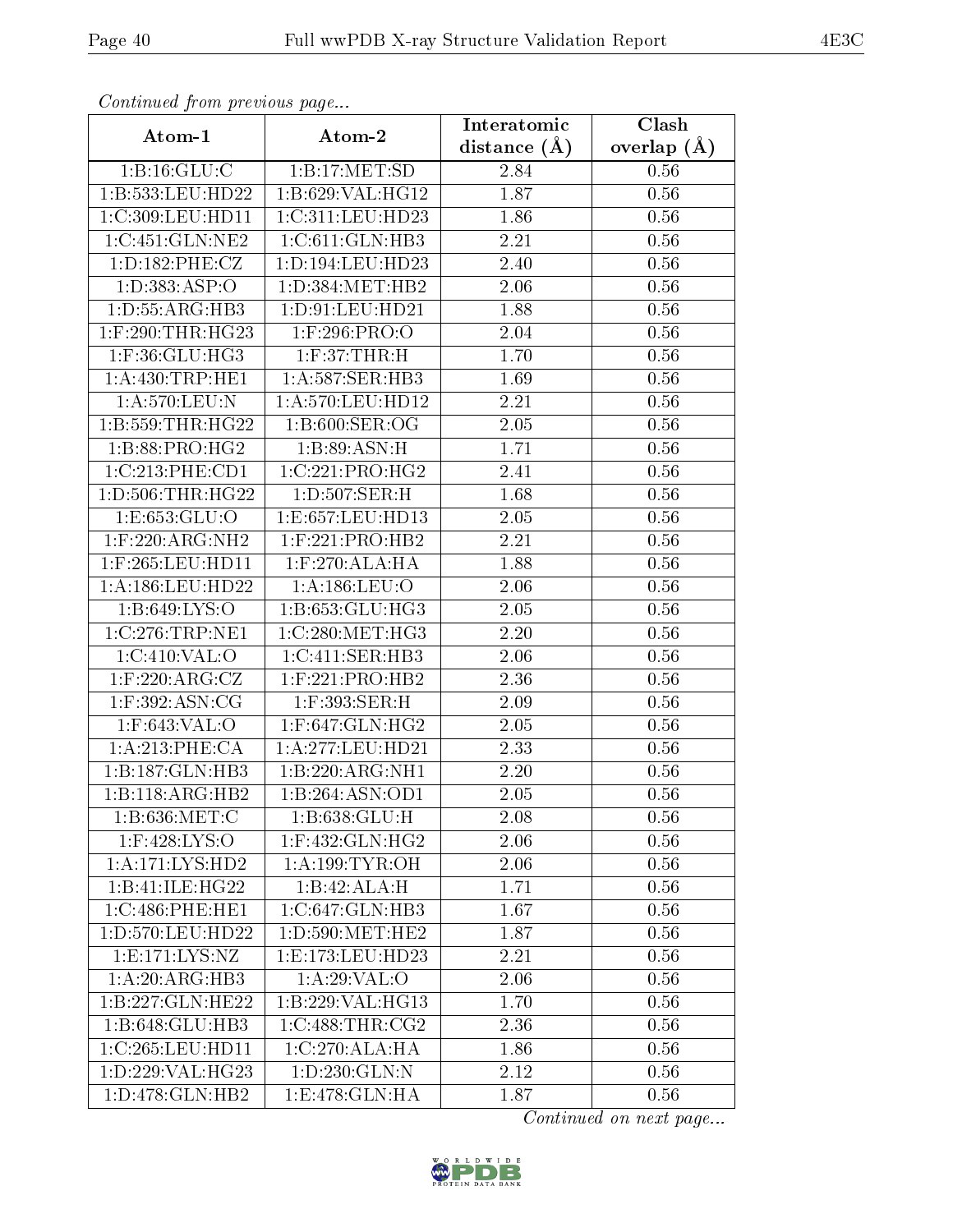| Continuation from providuo puga<br>Atom-1 | Atom-2               | Interatomic       | Clash         |
|-------------------------------------------|----------------------|-------------------|---------------|
|                                           |                      | distance $(A)$    | overlap $(A)$ |
| 1:B:16:GLU:C                              | 1:B:17:MET:SD        | 2.84              | 0.56          |
| 1:B:533:LEU:HD22                          | 1:B:629:VAL:HG12     | 1.87              | 0.56          |
| 1:C:309:LEU:HD11                          | 1:C:311:LEU:HD23     | 1.86              | 0.56          |
| 1:C:451:GLN:NE2                           | 1:C:611:GLN:HB3      | 2.21              | 0.56          |
| 1: D: 182: PHE: CZ                        | 1: D: 194: LEU: HD23 | 2.40              | 0.56          |
| 1:D:383:ASP:O                             | 1: D: 384: MET: HB2  | 2.06              | 0.56          |
| 1:D:55:ARG:HB3                            | 1: D:91: LEU: HD21   | 1.88              | 0.56          |
| 1:F:290:THR:HG23                          | $1:$ F:296:PRO:O     | 2.04              | 0.56          |
| 1:F:36:GLU:HG3                            | 1: F:37:THR:H        | 1.70              | 0.56          |
| 1: A: 430: TRP: HE1                       | 1:A:587:SER:HB3      | 1.69              | 0.56          |
| 1:A:570:LEU:N                             | 1:A:570:LEU:HD12     | 2.21              | 0.56          |
| 1:B:559:THR:HG22                          | 1:B:600:SER:OG       | 2.05              | 0.56          |
| 1:B:88:PRO:HG2                            | 1:B:89:ASN:H         | 1.71              | 0.56          |
| 1:C:213:PHE:CD1                           | 1:C:221:PRO:HG2      | 2.41              | 0.56          |
| 1: D: 506: THR: HG22                      | 1: D: 507: SER:H     | 1.68              | 0.56          |
| 1: E: 653: GLU: O                         | 1:E:657:LEU:HD13     | 2.05              | 0.56          |
| $1:$ F:220:ARG:NH2                        | $1:$ F:221:PRO:HB2   | 2.21              | 0.56          |
| $1:$ F:265:LEU:HD11                       | $1:$ F:270:ALA:HA    | 1.88              | 0.56          |
| 1:A:186:LEU:HD22                          | 1: A: 186: LEU: O    | 2.06              | 0.56          |
| 1:B:649:LYS:O                             | 1:B:653:GLU:HG3      | 2.05              | 0.56          |
| $1:C:276$ : $TRP:NE1$                     | 1:C:280:MET:HG3      | 2.20              | 0.56          |
| 1:C:410:VAL:O                             | 1:C:411:SER:HB3      | 2.06              | 0.56          |
| $1:$ F:220:ARG:CZ                         | $1:$ F:221:PRO:HB2   | 2.36              | 0.56          |
| $1:$ F:392:ASN:CG                         | 1:F:393:SER:H        | 2.09              | 0.56          |
| $1:$ F:643:VAL:O                          | $1:$ F:647:GLN:HG2   | 2.05              | 0.56          |
| 1: A:213:PHE:CA                           | $1:$ A:277:LEU:HD21  | $\overline{2.33}$ | 0.56          |
| 1:B:187:GLN:HB3                           | 1:B:220:ARG:NH1      | 2.20              | 0.56          |
| 1:B:118:ARG:HB2                           | 1:B:264:A SN:OD1     | 2.05              | 0.56          |
| 1:B:636:MET:C                             | 1: B:638: GLU: H     | 2.08              | 0.56          |
| $1:$ F:428:LYS:O                          | $1:$ F:432:GLN:HG2   | 2.06              | 0.56          |
| 1:A:171:LYS:HD2                           | 1: A:199: TYR:OH     | 2.06              | 0.56          |
| 1:B:41:ILE:HG22                           | 1:B:42:ALA:H         | 1.71              | 0.56          |
| 1:C:486:PHE:HE1                           | 1:C:647:GLN:HB3      | 1.67              | 0.56          |
| 1:D:570:LEU:HD22                          | 1: D: 590:MET: HE2   | 1.87              | 0.56          |
| 1: E: 171: LYS: NZ                        | 1:E:173:EU:HD23      | 2.21              | 0.56          |
| $1:A:20:A\overline{RG:H}B3$               | 1: A:29:VAL:O        | 2.06              | 0.56          |
| 1:B:227:GLN:HE22                          | 1:B:229:VAL:HG13     | 1.70              | 0.56          |
| 1:B:648:GLU:HB3                           | 1:C:488:THR:CG2      | 2.36              | 0.56          |
| 1:C:265:LEU:HD11                          | 1:C:270:ALA:HA       | 1.86              | 0.56          |
| 1:D:229:VAL:HG23                          | 1:D:230:GLN:N        | 2.12              | 0.56          |
| 1:D:478:GLN:HB2                           | 1:E:478:GLN:HA       | 1.87              | 0.56          |

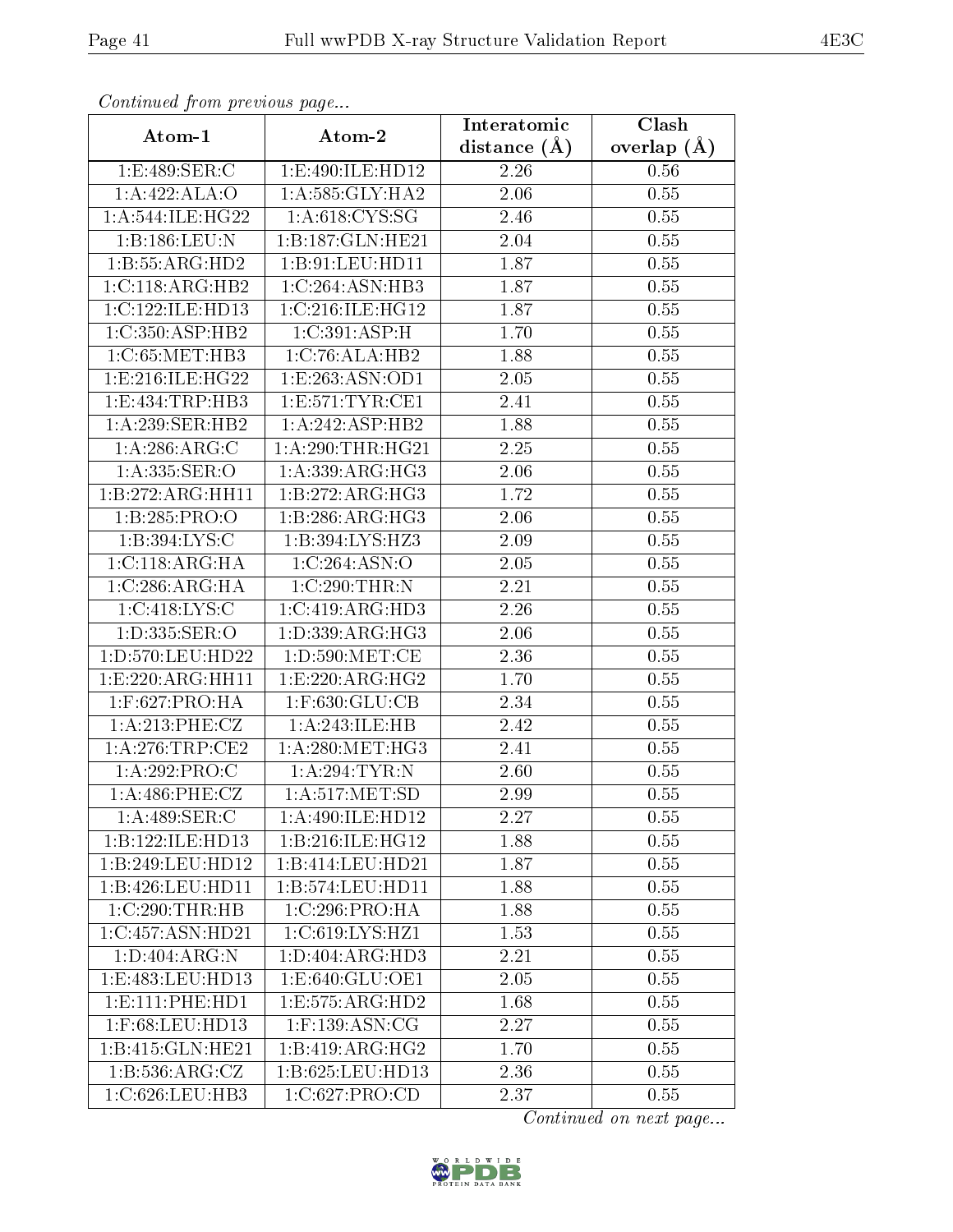| Continuea from previous page |                       | Interatomic    | Clash         |
|------------------------------|-----------------------|----------------|---------------|
| Atom-1                       | Atom-2                | distance $(A)$ | overlap $(A)$ |
| 1:E:489:SER:C                | 1:E:490:ILE:HD12      | 2.26           | 0.56          |
| 1:A:422:ALA:O                | 1:A:585:GLY:HA2       | 2.06           | 0.55          |
| 1: A:544: ILE: HG22          | 1: A:618:CYS:SG       | 2.46           | 0.55          |
| 1:B:186:LEU:N                | 1:B:187:GLN:HE21      | 2.04           | 0.55          |
| 1:B:55:ARG:HD2               | 1: B:91: LEU: HD11    | 1.87           | 0.55          |
| 1:C:118:ARG:HB2              | 1:C:264:ASN:HB3       | 1.87           | 0.55          |
| 1:C:122:ILE:HD13             | 1:C:216:ILE:HG12      | 1.87           | 0.55          |
| 1:C:350:ASP:HB2              | 1:C:391:ASP:H         | 1.70           | 0.55          |
| 1:C:65:MET:HB3               | 1:C:76:ALA:HB2        | 1.88           | 0.55          |
| 1: E: 216: ILE: HG22         | 1:E:263:ASN:OD1       | 2.05           | 0.55          |
| 1:E:434:TRP:HB3              | 1:E:571:TYR:CE1       | 2.41           | 0.55          |
| 1:A:239:SER:HB2              | 1:A:242:ASP:HB2       | 1.88           | 0.55          |
| 1: A:286: ARG: C             | 1: A:290:THR:HG21     | 2.25           | 0.55          |
| 1: A: 335: SER: O            | 1: A: 339: ARG: HG3   | 2.06           | 0.55          |
| 1:B:272:ARG:HH11             | 1:B:272:ARG:HG3       | 1.72           | 0.55          |
| 1:B:285:PRO:O                | 1:B:286:ARG:HG3       | 2.06           | 0.55          |
| 1:B:394:LYS:C                | 1:B:394:LYS:HZ3       | 2.09           | $0.55\,$      |
| 1:C:118:ARG:HA               | 1:C:264:ASN:O         | 2.05           | 0.55          |
| 1:C:286:ARG:HA               | 1:C:290:THR:N         | 2.21           | 0.55          |
| 1:C:418:LYS:C                | 1:C:419:ARG:HD3       | 2.26           | 0.55          |
| 1:D:335:SER:O                | 1: D: 339: ARG: HG3   | 2.06           | 0.55          |
| 1:D:570:LEU:HD22             | 1: D: 590:MET:CE      | 2.36           | 0.55          |
| 1:E:220:ARG:HH11             | 1:E:220:ARG:HG2       | 1.70           | 0.55          |
| $1:$ F:627:PRO:HA            | $1:$ F:630: $GLU$ :CB | 2.34           | 0.55          |
| 1: A:213: PHE: CZ            | 1:A:243:ILE:HB        | 2.42           | 0.55          |
| 1: A:276:TRP:CE2             | 1: A:280:MET:HG3      | 2.41           | $0.55\,$      |
| 1:A:292:PRO:C                | 1:A:294:TYR:N         | 2.60           | 0.55          |
| $1: A:486:$ PHE:CZ           | 1: A:517: MET:SD      | 2.99           | 0.55          |
| 1: A:489: SER: C             | 1:A:490:ILE:HD12      | 2.27           | 0.55          |
| 1:B:122:ILE:HD13             | 1:B:216:ILE:HG12      | 1.88           | 0.55          |
| 1:B:249:LEU:HD12             | 1:B:414:LEU:HD21      | 1.87           | 0.55          |
| 1:B:426:LEU:HD11             | 1:B:574:LEU:HD11      | 1.88           | 0.55          |
| 1:C:290:THR:HB               | 1:C:296:PRO:HA        | 1.88           | 0.55          |
| 1:C:457:ASN:HD21             | 1:C:619:LYS:HZ1       | 1.53           | 0.55          |
| 1: D:404: ARG: N             | 1:D:404:ARG:HD3       | 2.21           | 0.55          |
| 1: E:483: LEU: HD13          | 1: E: 640: GLU: OE1   | 2.05           | 0.55          |
| 1: E: 111: PHE: HD1          | 1: E: 575: ARG: HD2   | 1.68           | 0.55          |
| 1:F:68:LEU:HD13              | $1:$ F:139:ASN:CG     | 2.27           | 0.55          |
| 1:B:415:GLN:HE21             | 1:B:419:ARG:HG2       | 1.70           | 0.55          |
| 1: B: 536: ARG: CZ           | 1:B:625:LEU:HD13      | 2.36           | 0.55          |
| 1:C:626:LEU:HB3              | 1:C:627:PRO:CD        | 2.37           | 0.55          |

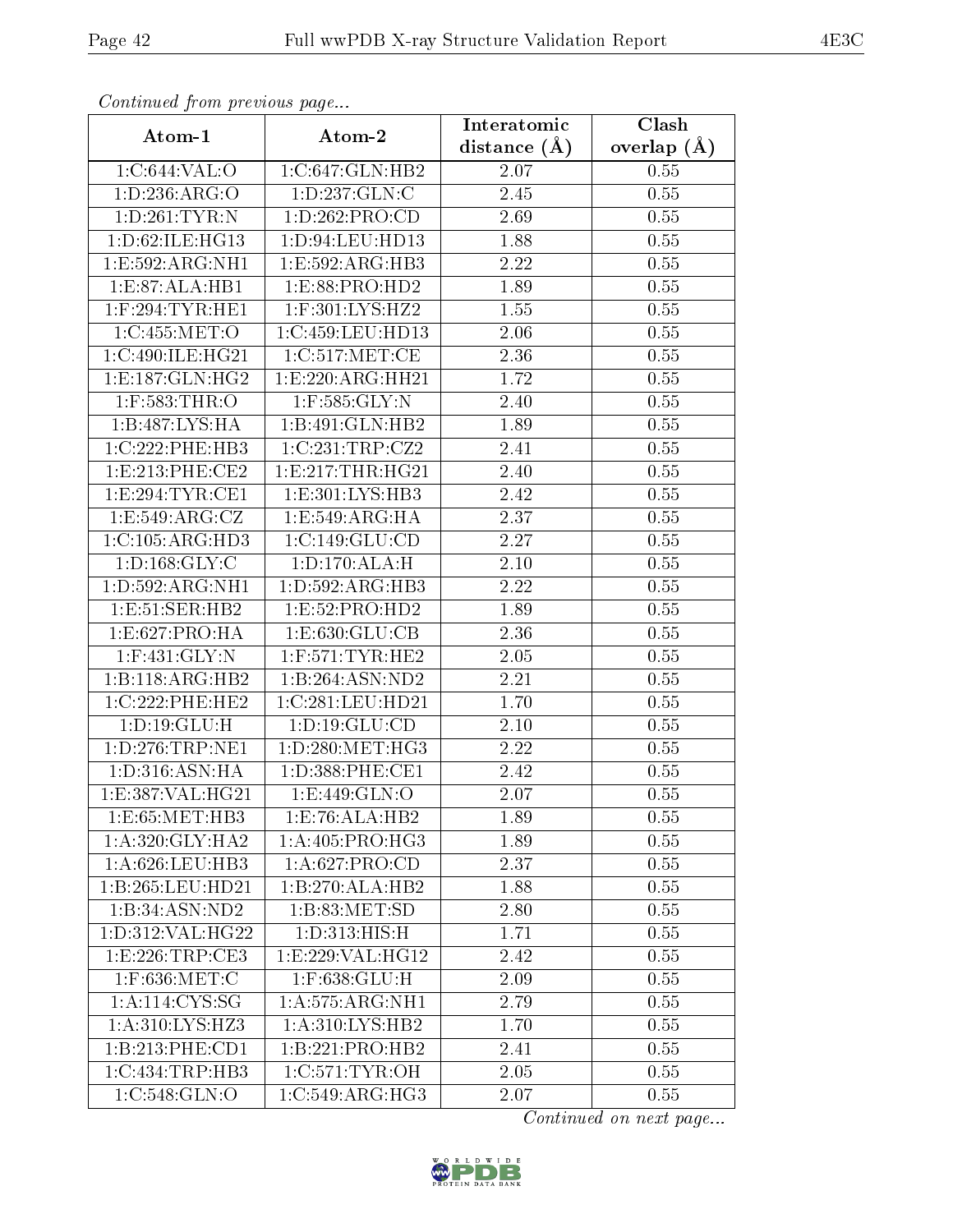| Communica from previous page |                                         | Interatomic       | Clash         |
|------------------------------|-----------------------------------------|-------------------|---------------|
| Atom-1                       | Atom-2                                  | distance $(A)$    | overlap $(A)$ |
| 1:C:644:VAL:O                | 1:C:647:GLN:HB2                         | 2.07              | 0.55          |
| 1:D:236:ARG:O                | 1:D:237:GLN:C                           | 2.45              | 0.55          |
| 1:D:261:TYR:N                | 1:D:262:PRO:CD                          | 2.69              | 0.55          |
| 1:D:62:ILE:HG13              | 1:D:94:LEU:HD13                         | 1.88              | 0.55          |
| 1: E: 592: ARG: NH1          | 1:E:592:ARG:HB3                         | 2.22              | 0.55          |
| 1:E:87:ALA:HB1               | 1:ES:88:PRO:HD2                         | 1.89              | 0.55          |
| $1:$ F:294:TYR:HE1           | $1:$ F:301:LYS: $\overline{\text{HZ2}}$ | 1.55              | 0.55          |
| 1:C:455:MET:O                | 1:C:459:LEU:HD13                        | 2.06              | 0.55          |
| 1:C:490:ILE:HG21             | 1:C:517:MET:CE                          | 2.36              | 0.55          |
| 1: E: 187: GLN: HG2          | 1:E:220:ARG:HH21                        | 1.72              | 0.55          |
| $1:$ F:583:THR:O             | $1:$ F:585:GLY:N                        | 2.40              | 0.55          |
| 1:B:487:LYS:HA               | 1:B:491:GLN:HB2                         | 1.89              | 0.55          |
| 1:C:222:PHE:HB3              | 1:C:231:TRP:CZ2                         | 2.41              | 0.55          |
| 1: E: 213: PHE: CE2          | 1: E: 217: THR: HG21                    | 2.40              | 0.55          |
| 1:E:294:TYR:CE1              | 1:E:301:LYS:HB3                         | 2.42              | 0.55          |
| 1: E: 549: ARG: CZ           | 1:E:549:ARG:HA                          | 2.37              | 0.55          |
| 1:C:105:ARG:HD3              | 1:C:149:GLU:CD                          | 2.27              | 0.55          |
| 1: D: 168: GLY: C            | 1: D: 170: ALA:H                        | 2.10              | 0.55          |
| 1:D:592:ARG:NH1              | 1: D: 592: ARG: HB3                     | 2.22              | 0.55          |
| 1:E:51:SER:HB2               | 1:E:52:PRO:HD2                          | 1.89              | 0.55          |
| 1:E:627:PRO:HA               | 1: E: 630: GLU: CB                      | 2.36              | 0.55          |
| $1:$ F:431:GLY:N             | $1:$ F:571:TYR:HE2                      | 2.05              | 0.55          |
| $1:B:118:ARG:H\overline{B2}$ | 1:B:264:ASN:ND2                         | 2.21              | 0.55          |
| 1:C:222:PHE:HE2              | 1:C:281:LEU:HD21                        | 1.70              | 0.55          |
| 1: D: 19: GLU: H             | 1: D: 19: GLU: CD                       | <b>2.10</b>       | 0.55          |
| 1: D: 276: TRP: NE1          | 1: D: 280: MET:HG3                      | $\overline{2}.22$ | 0.55          |
| 1: D: 316: ASN: HA           | 1: D: 388: PHE: CE1                     | 2.42              | 0.55          |
| 1: E: 387: VAL: HG21         | 1: E:449: GLN:O                         | 2.07              | 0.55          |
| 1:E:65:MET:HB3               | 1:E:76:ALA:HB2                          | 1.89              | 0.55          |
| 1: A:320: GLY:HA2            | 1: A:405: PRO:HG3                       | 1.89              | 0.55          |
| 1: A:626:LEU:HB3             | 1:A:627:PRO:CD                          | 2.37              | 0.55          |
| 1:B:265:LEU:HD21             | 1:B:270:ALA:HB2                         | 1.88              | 0.55          |
| 1:B:34:ASN:ND2               | $1: B: 83: MET: S\overline{D}$          | 2.80              | 0.55          |
| 1:D:312:VAL:HG22             | 1: D: 313: HIS:H                        | 1.71              | 0.55          |
| 1:E:226:TRP:CE3              | 1:E:229:VAL:HG12                        | 2.42              | 0.55          |
| $1:$ F:636:MET:C             | 1:F:638:GLU:H                           | 2.09              | 0.55          |
| 1:A:114:CYS:SG               | 1: A: 575: ARG: NH1                     | 2.79              | 0.55          |
| 1:A:310:LYS:HZ3              | 1: A:310: LYS: HB2                      | 1.70              | 0.55          |
| 1:B:213:PHE:CD1              | 1:B:221:PRO:HB2                         | 2.41              | 0.55          |
| 1:C:434:TRP:HB3              | 1:C:571:TYR:OH                          | 2.05              | 0.55          |
| 1:C:548:GLN:O                | 1:C:549:ARG:HG3                         | 2.07              | 0.55          |

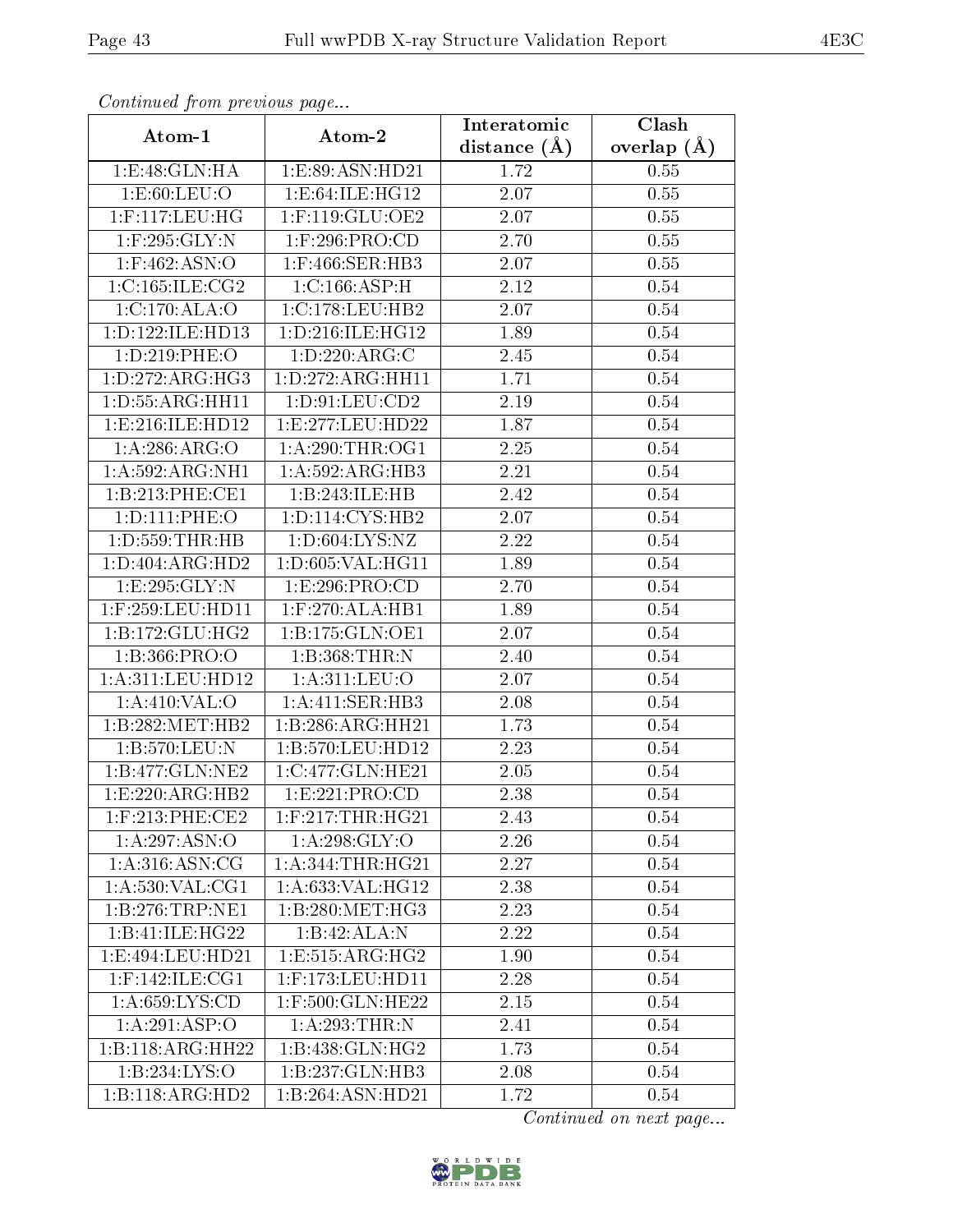| Commaca jibin previous page |                               | Interatomic       | Clash         |
|-----------------------------|-------------------------------|-------------------|---------------|
| Atom-1                      | Atom-2                        | distance $(A)$    | overlap $(A)$ |
| 1:E:48:GLN:HA               | 1:E:89:ASN:HD21               | 1.72              | 0.55          |
| 1: E:60: LEU:O              | 1:E:64:ILE:HG12               | 2.07              | 0.55          |
| $1:$ F:117:LEU:HG           | $1:$ F:119:GLU:OE2            | 2.07              | 0.55          |
| $1:$ F:295:GLY:N            | 1:F:296:PRO:CD                | 2.70              | 0.55          |
| $1:$ F:462:ASN:O            | $1:$ F:466:SER:HB3            | $2.07\,$          | 0.55          |
| 1:C:165:ILE:CG2             | 1:C:166:ASP:H                 | 2.12              | 0.54          |
| 1:C:170:ALA:O               | 1:C:178:LEU:HB2               | 2.07              | $0.54\,$      |
| 1:D:122:ILE:HD13            | 1: D: 216: ILE: HG12          | 1.89              | 0.54          |
| 1:D:219:PHE:O               | 1:D:220:ARG:C                 | 2.45              | 0.54          |
| 1:D:272:ARG:HG3             | 1:D:272:ARG:HH11              | 1.71              | 0.54          |
| 1: D: 55: ARG: HH11         | 1: D: 91: LEU: CD2            | 2.19              | 0.54          |
| 1:E:216:ILE:HD12            | 1:E:277:LEU:HD22              | 1.87              | 0.54          |
| 1: A:286: ARG:O             | 1: A:290:THR:OG1              | 2.25              | $0.54\,$      |
| 1:A:592:ARG:NH1             | 1:A:592:ARG:HB3               | 2.21              | 0.54          |
| 1:B:213:PHE:CE1             | 1:B:243:ILE:HB                | 2.42              | 0.54          |
| 1: D: 111: PHE: O           | 1: D: 114: CYS: HB2           | 2.07              | 0.54          |
| 1: D: 559: THR: HB          | 1: D:604: LYS: NZ             | 2.22              | $0.54\,$      |
| 1: D: 404: ARG: HD2         | 1: D:605: VAL:HGI1            | 1.89              | 0.54          |
| 1:E:295:GLY:N               | 1:E:296:PRO:CD                | 2.70              | 0.54          |
| 1:F:259:LEU:HD11            | $1:$ F:270:ALA:HB1            | 1.89              | 0.54          |
| 1:B:172:GLU:HG2             | 1:B:175:GLN:OE1               | 2.07              | 0.54          |
| 1:B:366:PRO:O               | 1:B:368:THR:N                 | 2.40              | 0.54          |
| 1:A:311:LEU:HD12            | 1:A:311:LEU:O                 | 2.07              | 0.54          |
| 1:A:410:VAL:O               | 1:A:411:SER:HB3               | 2.08              | 0.54          |
| 1:B:282:MET:HB2             | 1:B:286:ARG:HH21              | 1.73              | 0.54          |
| 1:B:570:LEU:N               | 1:B:570:LEU:HD12              | $\overline{2}.23$ | $0.54\,$      |
| 1:B:477:GLN:NE2             | 1:C:477:GLN:HE21              | $2.05\,$          | 0.54          |
| 1:E:220:ARG:HB2             | 1: E: 221: PRO:CD             | $\overline{2.38}$ | 0.54          |
| $1:$ F:213:PHE:CE2          | $1:$ F:217:THR:HG21           | 2.43              | 0.54          |
| 1:A:297:ASN:O               | 1: A:298: GLY:O               | 2.26              | 0.54          |
| 1: A:316: ASN: CG           | 1: A:344:THR:HG21             | 2.27              | 0.54          |
| 1: A:530: VAL: CG1          | 1: A:633: VAL:HG12            | 2.38              | 0.54          |
| 1:B:276:TRP:NE1             | 1:B:280:MET:HG3               | 2.23              | 0.54          |
| 1:B:41:ILE:HG22             | 1:B:42:ALA:N                  | 2.22              | 0.54          |
| 1: E: 494: LEU: HD21        | 1:E:515:ARG:HG2               | 1.90              | 0.54          |
| 1:F:142:ILE:CG1             | $1:$ F:173:LEU:HD11           | 2.28              | 0.54          |
| 1: A:659: LYS:CD            | 1:F:500:GLN:HE22              | 2.15              | 0.54          |
| 1:A:291:ASP:O               | 1:A:293:THR:N                 | 2.41              | 0.54          |
| 1:B:118:ARG:HH22            | 1:B:438:GLN:HG2               | 1.73              | 0.54          |
| 1:B:234:LYS:O               | 1:B:237:GLN:HB3               | 2.08              | 0.54          |
| 1:B:118:ARG:HD2             | $1:B:264:A\overline{SN:HD21}$ | 1.72              | 0.54          |

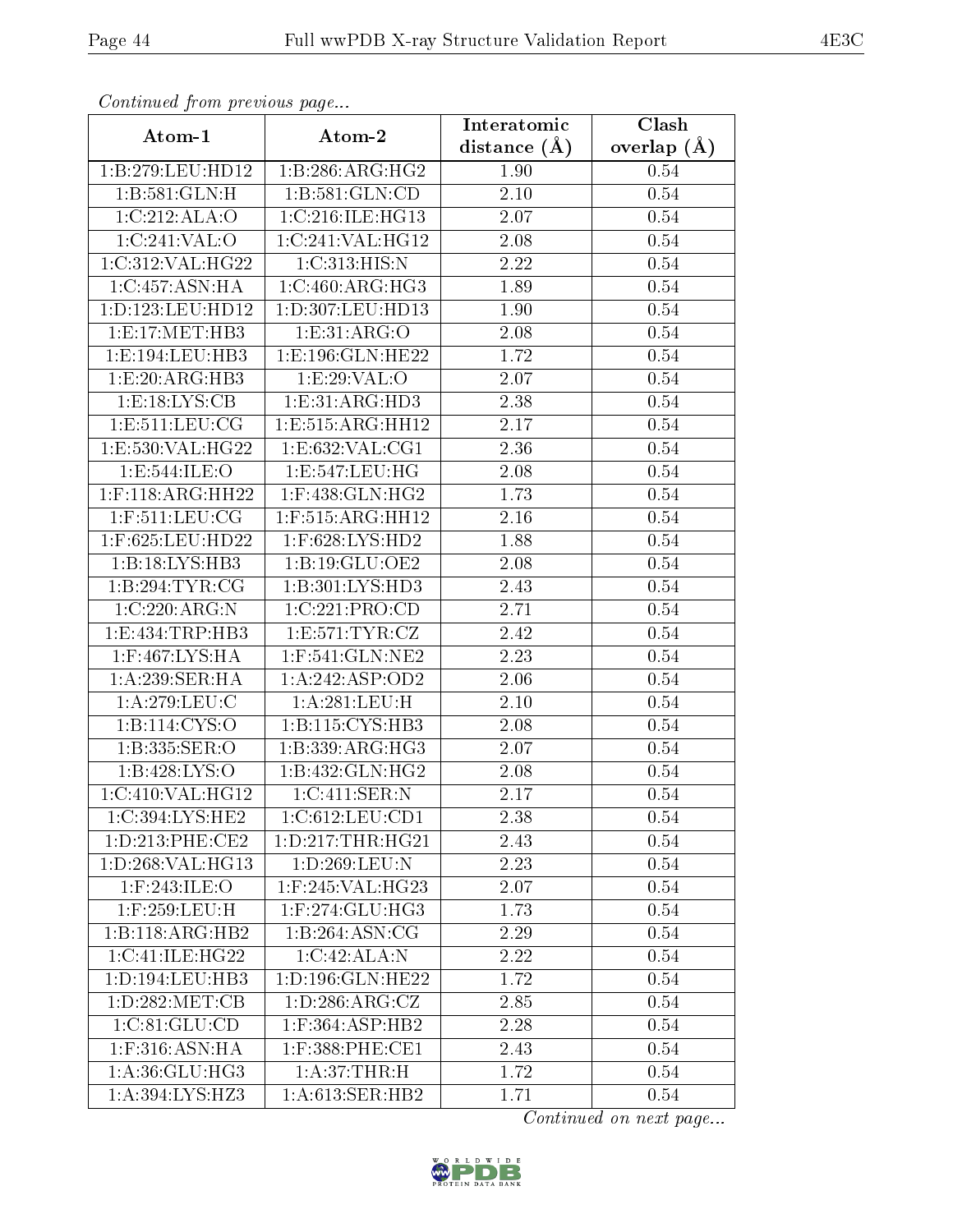| Commuca from previous page |                            | Interatomic       | Clash           |
|----------------------------|----------------------------|-------------------|-----------------|
| Atom-1                     | Atom-2                     | distance $(A)$    | overlap $(\AA)$ |
| 1:B:279:LEU:HD12           | 1:B:286:ARG:HG2            | 1.90              | 0.54            |
| 1: B:581: GLN:H            | 1:B:581:GLN:CD             | $\overline{2.10}$ | 0.54            |
| 1:C:212:ALA:O              | 1:C:216:ILE:HG13           | 2.07              | 0.54            |
| 1:C:241:VAL:O              | 1:C:241:VAL:HG12           | 2.08              | 0.54            |
| 1:C:312:VAL:HG22           | 1:C:313:HIS:N              | 2.22              | 0.54            |
| 1:C:457:ASN:HA             | 1:C:460:ARG:HG3            | 1.89              | 0.54            |
| 1:D:123:LEU:HD12           | 1:D:307:LEU:HD13           | 1.90              | 0.54            |
| 1: E: 17: MET: HB3         | 1: E: 31: ARG: O           | 2.08              | 0.54            |
| 1: E: 194: LEU: HB3        | 1:E:196:GLN:HE22           | 1.72              | 0.54            |
| 1:E:20:ARG:HB3             | 1:E:29:VAL:O               | 2.07              | 0.54            |
| 1: E: 18: LYS: CB          | 1:E:31:ARG:HD3             | 2.38              | 0.54            |
| 1: E: 511: LEU: CG         | 1:E:515:ARG:HH12           | 2.17              | 0.54            |
| 1:E:530:VAL:HG22           | 1:E:632:VAL:CG1            | 2.36              | 0.54            |
| 1:E:544:ILE:O              | 1:E:547:LEU:HG             | 2.08              | 0.54            |
| $1:$ F:118:ARG:HH22        | $1:$ F:438:GLN:HG2         | 1.73              | 0.54            |
| $1:$ F:511:LEU:CG          | 1:F:515:ARG:HH12           | 2.16              | 0.54            |
| 1:F:625:LEU:HD22           | $1:$ F:628:LYS:HD2         | 1.88              | 0.54            |
| 1:B:18:LYS:HB3             | 1: B:19: GLU:OE2           | 2.08              | 0.54            |
| 1:B:294:TYR:CG             | 1:B:301:LYS:HD3            | 2.43              | 0.54            |
| 1:C:220:ARG:N              | 1:C:221:PRO:CD             | 2.71              | 0.54            |
| 1:E:434:TRP:HB3            | 1: E:571: TYR: CZ          | 2.42              | 0.54            |
| 1:F:467:LYS:HA             | 1:F:541:GLN:NE2            | 2.23              | 0.54            |
| 1:A:239:SER:HA             | 1:A:242:ASP:OD2            | 2.06              | 0.54            |
| 1: A:279:LEU: C            | 1: A:281:LEU:H             | 2.10              | 0.54            |
| 1: B: 114: CYS: O          | 1: B: 115: CYS: HB3        | 2.08              | 0.54            |
| 1:B:335:SER:O              | 1:B:339:ARG:HG3            | 2.07              | 0.54            |
| 1:B:428:LYS:O              | 1:B:432:GLN:HG2            | 2.08              | 0.54            |
| 1:C:410:VAL:HG12           | $1:C:411:SER:\overline{N}$ | 2.17              | 0.54            |
| 1:C:394:LYS:HE2            | 1:C:612:LEU:CD1            | 2.38              | 0.54            |
| 1: D: 213: PHE: CE2        | 1: D: 217: THR: HG21       | 2.43              | 0.54            |
| 1:D:268:VAL:HG13           | 1:D:269:LEU:N              | 2.23              | 0.54            |
| $1:$ F:243:ILE:O           | 1:F:245:VAL:HG23           | 2.07              | 0.54            |
| 1:F:259:LEU:H              | $1:$ F:274:GLU:HG3         | 1.73              | 0.54            |
| 1:B:118:ARG:HB2            | 1:B:264:ASN:CG             | 2.29              | 0.54            |
| 1:C:41:ILE:HG22            | 1:C:42:ALA:N               | 2.22              | 0.54            |
| 1: D: 194: LEU: HB3        | 1:D:196:GLN:HE22           | 1.72              | 0.54            |
| 1: D:282: MET:CB           | 1: D: 286: ARG: CZ         | 2.85              | 0.54            |
| 1:C:81:GLU:CD              | $1:$ F:364:ASP:HB2         | 2.28              | 0.54            |
| 1:F:316:ASN:HA             | $1:$ F:388:PHE:CE1         | 2.43              | 0.54            |
| 1:A:36:GLU:HG3             | 1:A:37:THR:H               | 1.72              | 0.54            |
| 1:A:394:LYS:HZ3            | 1: A:613: SER: HB2         | 1.71              | 0.54            |

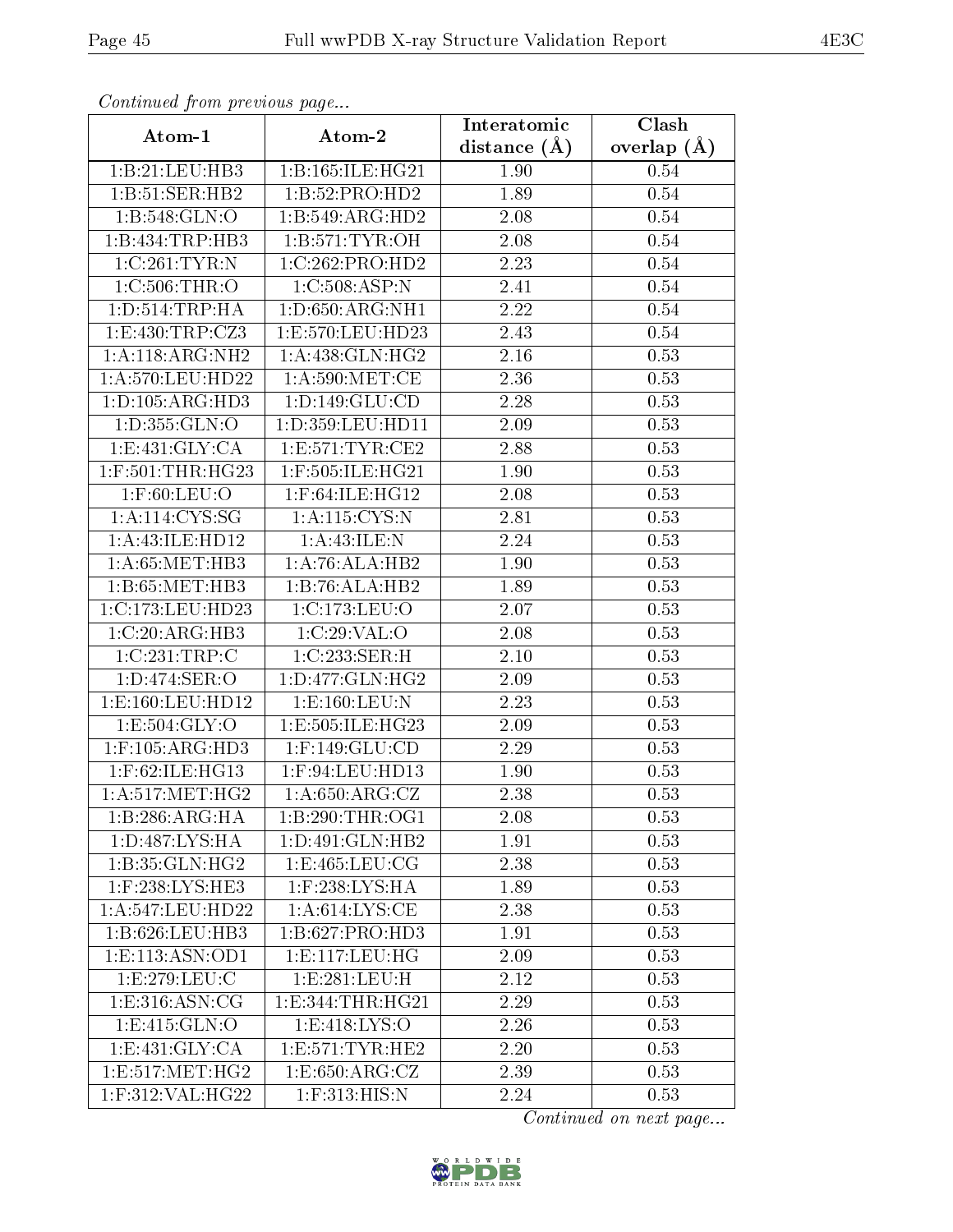| Continuea from previous page |                                     | Interatomic    | Clash         |
|------------------------------|-------------------------------------|----------------|---------------|
| Atom-1                       | Atom-2                              | distance $(A)$ | overlap $(A)$ |
| 1:B:21:LEU:HB3               | 1:B:165:ILE:HG21                    | 1.90           | 0.54          |
| 1:B:51:SER:HB2               | 1:B:52:PRO:HD2                      | 1.89           | 0.54          |
| 1:B:548:GLN:O                | 1:B:549:ARG:HD2                     | 2.08           | 0.54          |
| 1:B:434:TRP:HB3              | 1: B: 571: TYR: OH                  | 2.08           | 0.54          |
| 1:C:261:TYR:N                | 1:C:262:PRO:HD2                     | 2.23           | 0.54          |
| 1:C:506:THR:O                | 1:C:508:ASP:N                       | 2.41           | 0.54          |
| 1: D: 514: TRP: HA           | $1: D:650: ARG: \overline{NH1}$     | 2.22           | 0.54          |
| 1: E: 430: TRP: CZ3          | 1:E:570:LEU:HD23                    | 2.43           | 0.54          |
| 1:A:118:ARG:NH2              | 1: A:438: GLN: HG2                  | 2.16           | 0.53          |
| 1:A:570:LEU:HD22             | 1: A:590:MET:CE                     | 2.36           | 0.53          |
| 1: D: 105: ARG: HD3          | 1: D: 149: GLU: CD                  | 2.28           | 0.53          |
| 1: D: 355: GLN: O            | 1:D:359:LEU:HD11                    | 2.09           | 0.53          |
| 1: E:431: GLY: CA            | 1:E:571:TYR:CE2                     | 2.88           | 0.53          |
| $1:$ F:501:THR:HG23          | 1:F:505:ILE:HG21                    | 1.90           | 0.53          |
| $1:$ F:60:LEU:O              | $1:$ F:64:ILE:HG12                  | 2.08           | 0.53          |
| 1: A:114: CYS:SG             | 1:A:115:CYS:N                       | 2.81           | 0.53          |
| 1:A:43:ILE:HD12              | 1:A:43:ILE:N                        | 2.24           | 0.53          |
| 1: A:65: MET:HB3             | 1:A:76:ALA:HB2                      | 1.90           | 0.53          |
| 1:B:65:MET:HB3               | 1:B:76:ALA:HB2                      | 1.89           | 0.53          |
| 1:C:173:LEU:HD23             | 1:C:173:LEU:O                       | 2.07           | 0.53          |
| 1:C:20:ARG:HB3               | 1:C:29:VAL:O                        | 2.08           | 0.53          |
| 1:C:231:TRP:C                | 1:C:233:SER:H                       | $2.10\,$       | 0.53          |
| 1:D:474:SER:O                | 1: D: 477: GLN: HG2                 | 2.09           | 0.53          |
| 1:E:160:LEU:HD12             | 1: E: 160: LEU: N                   | 2.23           | 0.53          |
| 1:E:504:GLY:O                | 1:E:505:ILE:HG23                    | $2.09\,$       | 0.53          |
| $1:$ F:105:ARG:HD3           | $1:$ F:149:GLU:CD                   | 2.29           | 0.53          |
| 1:F:62:ILE:HG13              | $1:$ F:94:LEU:HD13                  | 1.90           | 0.53          |
| 1: A:517: MET:HG2            | $1: A:650:ARG:\overline{\text{CZ}}$ | 2.38           | 0.53          |
| 1:B:286:ARG:HA               | 1:B:290:THR:OG1                     | 2.08           | 0.53          |
| 1:D:487:LYS:HA               | 1:D:491:GLN:HB2                     | 1.91           | 0.53          |
| 1: B:35: GLN: HG2            | 1: E: 465: LEU: CG                  | 2.38           | 0.53          |
| $1:$ F:238:LYS:HE3           | $1:$ $F:238:LYS:HA$                 | 1.89           | 0.53          |
| 1:A:547:LEU:HD22             | 1: A:614:LYS:CE                     | 2.38           | 0.53          |
| 1:B:626:LEU:HB3              | 1:B:627:PRO:HD3                     | 1.91           | 0.53          |
| 1: E: 113: ASN: OD1          | 1: E: 117: LEU: HG                  | 2.09           | 0.53          |
| 1:E:279:LEU:C                | 1: E: 281: LEU: H                   | 2.12           | 0.53          |
| 1: E: 316: ASN: CG           | 1:E:344:THR:HG21                    | 2.29           | 0.53          |
| 1:E:415:GLN:O                | 1:E:418:LYS:O                       | 2.26           | 0.53          |
| 1: E: 431: GLY: CA           | 1: E: 571: TYR: HE2                 | 2.20           | 0.53          |
| 1:E:517:MET:HG2              | 1:E:650:ARG:CZ                      | 2.39           | 0.53          |
| $1:$ F:312:VAL:HG22          | $1:$ F:313:HIS:N                    | 2.24           | 0.53          |

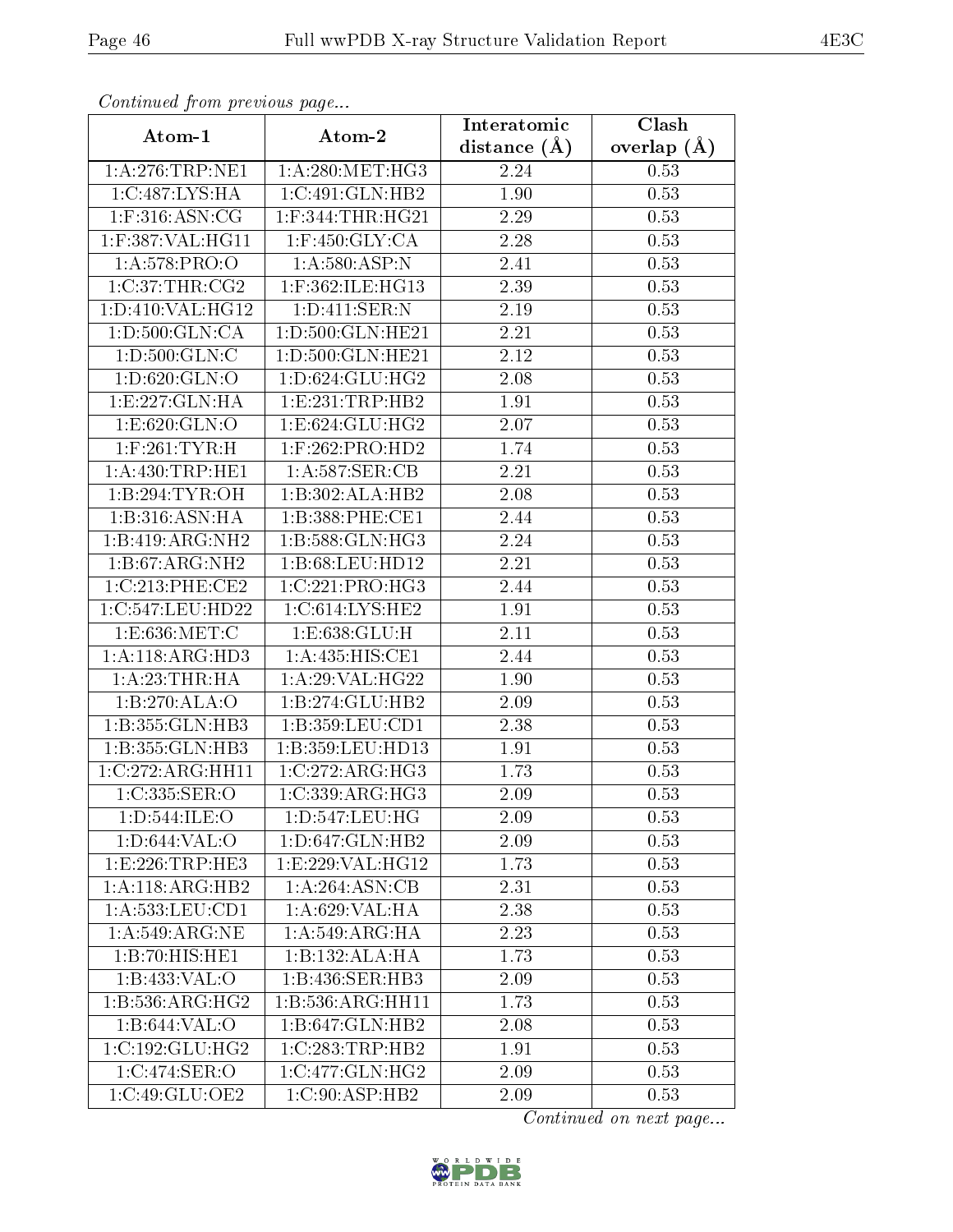| Comunaca jiom previous page |                              | Interatomic       | Clash           |
|-----------------------------|------------------------------|-------------------|-----------------|
| Atom-1                      | Atom-2                       | distance $(A)$    | overlap $(\AA)$ |
| 1: A:276:TRP:NE1            | 1: A:280:MET:HG3             | 2.24              | 0.53            |
| 1:C:487:LYS:HA              | 1:C:491:GLN:HB2              | 1.90              | 0.53            |
| $1:$ F:316:ASN:CG           | $1:$ F:344:THR:HG21          | 2.29              | 0.53            |
| $1:$ F:387:VAL:H $G11$      | $1:$ F:450: $GLY:CA$         | 2.28              | 0.53            |
| 1: A:578: PRO:O             | 1: A:580:ASP:N               | 2.41              | 0.53            |
| 1:C:37:THR:CG2              | 1:F:362:ILE:HG13             | 2.39              | 0.53            |
| 1: D: 410: VAL:HG12         | 1: D: 411: SER: N            | 2.19              | 0.53            |
| 1: D:500: GLN:CA            | 1: D:500: GLN: HE21          | 2.21              | 0.53            |
| 1:D:500:GLN:C               | 1:D:500:GLN:HE21             | 2.12              | 0.53            |
| 1: D:620: GLN:O             | 1: D:624: GLU: HG2           | 2.08              | 0.53            |
| 1:E:227:GLN:HA              | 1:E:231:TRP:HB2              | 1.91              | 0.53            |
| 1: E:620: GLN:O             | 1:E:624:GLU:HG2              | 2.07              | 0.53            |
| $1:$ F:261:TYR:H            | $1:$ F:262:PRO:HD2           | 1.74              | 0.53            |
| 1: A:430:TRP:HE1            | 1:A:587:SER:CB               | 2.21              | 0.53            |
| 1:B:294:TYR:OH              | 1:B:302:ALA:HB2              | 2.08              | 0.53            |
| 1:B:316:ASN:HA              | 1:B:388:PHE:CE1              | 2.44              | 0.53            |
| 1:B:419:ARG:NH2             | 1:B:588:GLN:HG3              | 2.24              | 0.53            |
| 1: B:67: ARG: NH2           | 1:B:68:LEU:HD12              | 2.21              | 0.53            |
| 1:C:213:PHE:CE2             | 1:C:221:PRO:HG3              | 2.44              | 0.53            |
| 1:C:547:LEU:HD22            | 1:C:614:LYS:HE2              | 1.91              | 0.53            |
| 1:E:636:MET:C               | 1:E:638:GLU:H                | $\overline{2.11}$ | 0.53            |
| 1:A:118:ARG:HD3             | 1: A: 435: HIS: CE1          | 2.44              | 0.53            |
| 1: A:23:THR:HA              | 1: A:29: VAL:HG22            | 1.90              | 0.53            |
| 1:B:270:ALA:O               | 1:B:274:GLU:HB2              | 2.09              | 0.53            |
| 1:B:355:GLN:HB3             | 1: B: 359: LEU: CD1          | 2.38              | 0.53            |
| 1:B:355:GLN:HB3             | 1:B:359:LEU:HD13             | 1.91              | 0.53            |
| 1:C:272:ARG:HH11            | 1:C:272:ARG:HG3              | 1.73              | 0.53            |
| 1:C:335:SER:O               | 1:C:339:ARG:HG3              | 2.09              | 0.53            |
| 1: D: 544: ILE: O           | 1: D: 547: LEU: HG           | 2.09              | 0.53            |
| 1:D:644:VAL:O               | 1: D:647: GLN: HB2           | 2.09              | 0.53            |
| 1:E:226:TRP:HE3             | 1:E:229:VAL:HG12             | 1.73              | 0.53            |
| 1:A:118:ARG:HB2             | 1:A:264:ASN:CB               | 2.31              | 0.53            |
| 1: A: 533: LEU: CD1         | 1: A:629: VAL: HA            | 2.38              | 0.53            |
| 1:A:549:ARG:NE              | 1:A:549:ARG:HA               | 2.23              | 0.53            |
| $1:B:70:HIS:H\overline{E1}$ | 1:B:132:ALA:HA               | 1.73              | 0.53            |
| 1:B:433:VAL:O               | 1:B:436:SER:HB3              | 2.09              | 0.53            |
| 1: B: 536: ARG: HG2         | 1: B: 536: ARG: HH11         | 1.73              | 0.53            |
| 1:B:644:VAL:O               | 1:B:647:GLN:HB2              | 2.08              | 0.53            |
| 1:C:192:GLU:HG2             | 1:C:283:TRP:HB2              | 1.91              | 0.53            |
| 1:C:474:SER:O               | $1:C:477:GLN:H\overline{G2}$ | 2.09              | 0.53            |
| 1:C:49:GLU:OE2              | 1:C:90:ASP:HB2               | 2.09              | 0.53            |

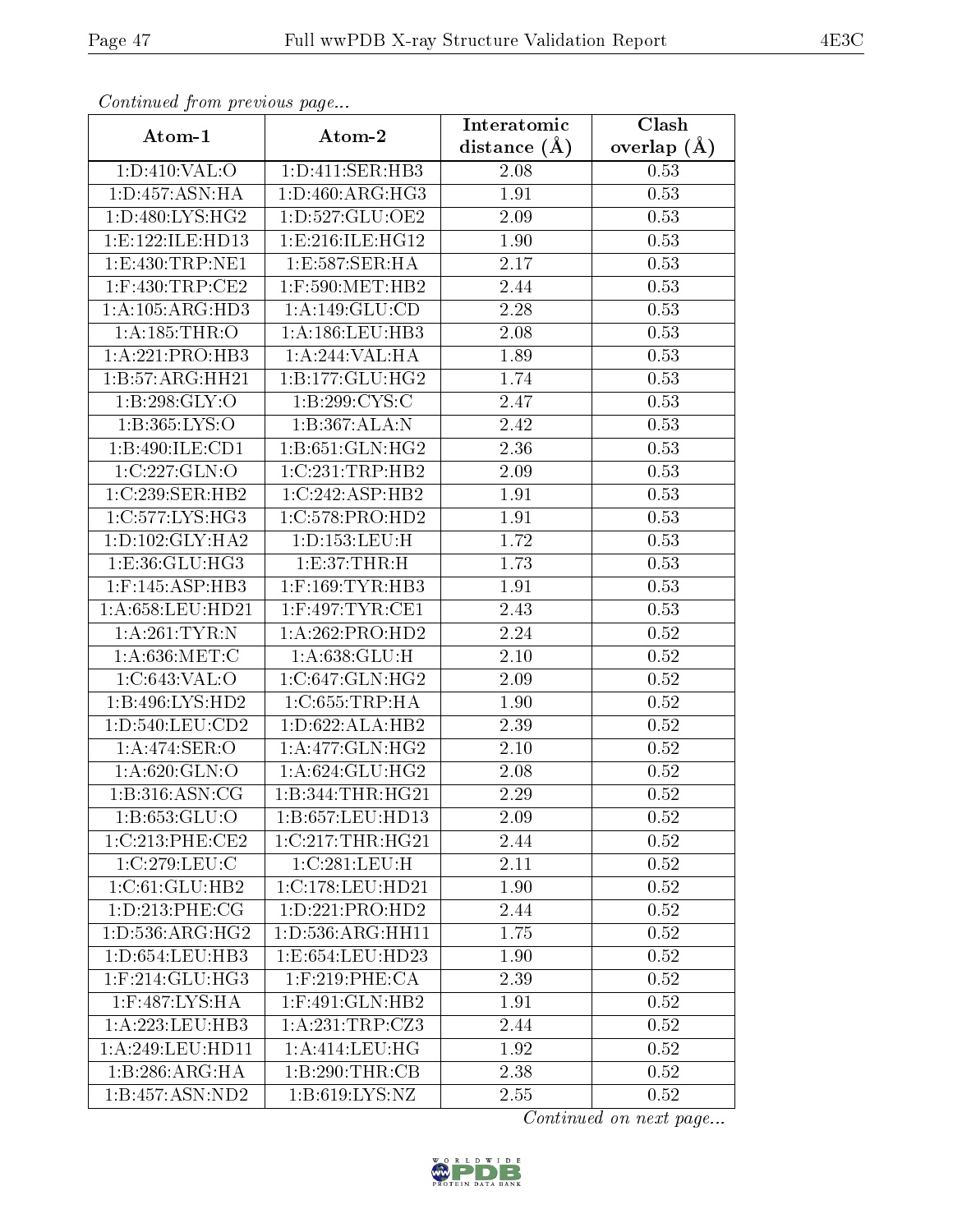| Communica from precious page |                      | Interatomic    | Clash           |
|------------------------------|----------------------|----------------|-----------------|
| Atom-1                       | Atom-2               | distance $(A)$ | overlap $(\AA)$ |
| 1: D:410: VAL:O              | 1:D:411:SER:HB3      | 2.08           | 0.53            |
| 1: D: 457: ASN: HA           | 1: D: 460: ARG: HG3  | 1.91           | 0.53            |
| 1: D:480: LYS: HG2           | 1: D: 527: GLU: OE2  | $2.09\,$       | 0.53            |
| 1: E: 122: ILE: HD13         | 1: E: 216: ILE: HG12 | 1.90           | 0.53            |
| 1: E: 430: TRP: NE1          | 1:E:587:SER:HA       | 2.17           | 0.53            |
| $1:$ F:430:TRP:CE2           | $1:$ F:590:MET:HB2   | 2.44           | 0.53            |
| 1:A:105:ARG:HD3              | 1:A:149:GLU:CD       | 2.28           | 0.53            |
| 1: A: 185: THR: O            | 1: A:186:LEU:HB3     | 2.08           | 0.53            |
| 1:A:221:PRO:HB3              | 1:A:244:VAL:HA       | 1.89           | 0.53            |
| 1:B:57:ARG:HH21              | 1: B: 177: GLU: HG2  | 1.74           | 0.53            |
| 1: B:298: GLY:O              | 1:B:299:CYS:C        | 2.47           | 0.53            |
| 1:B:365:LYS:O                | 1:B:367:ALA:N        | 2.42           | 0.53            |
| 1:B:490:ILE:CD1              | 1:B:651:GLN:HG2      | 2.36           | 0.53            |
| 1:C:227:GLN:O                | 1:C:231:TRP:HB2      | 2.09           | 0.53            |
| 1:C:239:SER:HB2              | 1:C:242:ASP:HB2      | 1.91           | 0.53            |
| 1:C:577:LYS:HG3              | 1:C:578:PRO:HD2      | 1.91           | 0.53            |
| 1: D: 102: GLY: HA2          | 1: D: 153: LEU:H     | 1.72           | 0.53            |
| 1:E:36:GLU:HG3               | 1: E: 37: THR:H      | 1.73           | 0.53            |
| 1:F:145:ASP:HB3              | $1:$ F:169:TYR:HB3   | 1.91           | 0.53            |
| 1: A:658:LEU:HD21            | $1:$ F:497:TYR:CE1   | 2.43           | 0.53            |
| 1: A:261:TYR:N               | 1:A:262:PRO:HD2      | 2.24           | 0.52            |
| 1: A:636:MET:C               | 1: A:638: GLU:H      | $2.10\,$       | 0.52            |
| 1:C:643:VAL:O                | 1:C:647:GLN:HG2      | 2.09           | 0.52            |
| 1:B:496:LYS:HD2              | 1:C:655:TRP:HA       | 1.90           | 0.52            |
| 1: D: 540: LEU: CD2          | 1: D:622: ALA: HB2   | 2.39           | 0.52            |
| 1:A:474:SER:O                | 1: A:477: GLN: HG2   | $2.10\,$       | $0.52\,$        |
| 1: A:620: GLN:O              | 1: A:624: GLU: HG2   | 2.08           | 0.52            |
| 1:B:316:ASN:CG               | 1:B:344:THR:HG21     | 2.29           | 0.52            |
| 1: B:653: GLU:O              | 1:B:657:LEU:HD13     | 2.09           | 0.52            |
| 1:C:213:PHE:CE2              | 1:C:217:THR:HG21     | 2.44           | 0.52            |
| 1:C:279:LEU:C                | 1:C:281:LEU:H        | 2.11           | 0.52            |
| 1:C:61:GLU:HB2               | 1:C:178:LEU:HD21     | 1.90           | 0.52            |
| 1: D: 213: PHE: CG           | 1:D:221:PRO:HD2      | 2.44           | 0.52            |
| 1: D: 536: ARG: HG2          | 1: D: 536: ARG: HH11 | 1.75           | 0.52            |
| 1: D: 654: LEU: HB3          | 1:E:654:LEU:HD23     | 1.90           | 0.52            |
| $1:$ F:214:GLU:HG3           | $1:$ F:219:PHE:CA    | 2.39           | 0.52            |
| $1:$ F:487:LYS:HA            | 1:F:491:GLN:HB2      | 1.91           | 0.52            |
| 1: A: 223: LEU: HB3          | 1: A:231:TRP: CZ3    | 2.44           | 0.52            |
| 1: A:249:LEU:HD11            | 1: A:414:LEU:HG      | 1.92           | 0.52            |
| 1:B:286:ARG:HA               | 1:B:290:THR:CB       | 2.38           | 0.52            |
| 1:B:457:ASN:ND2              | 1: B:619: LYS: NZ    | 2.55           | 0.52            |

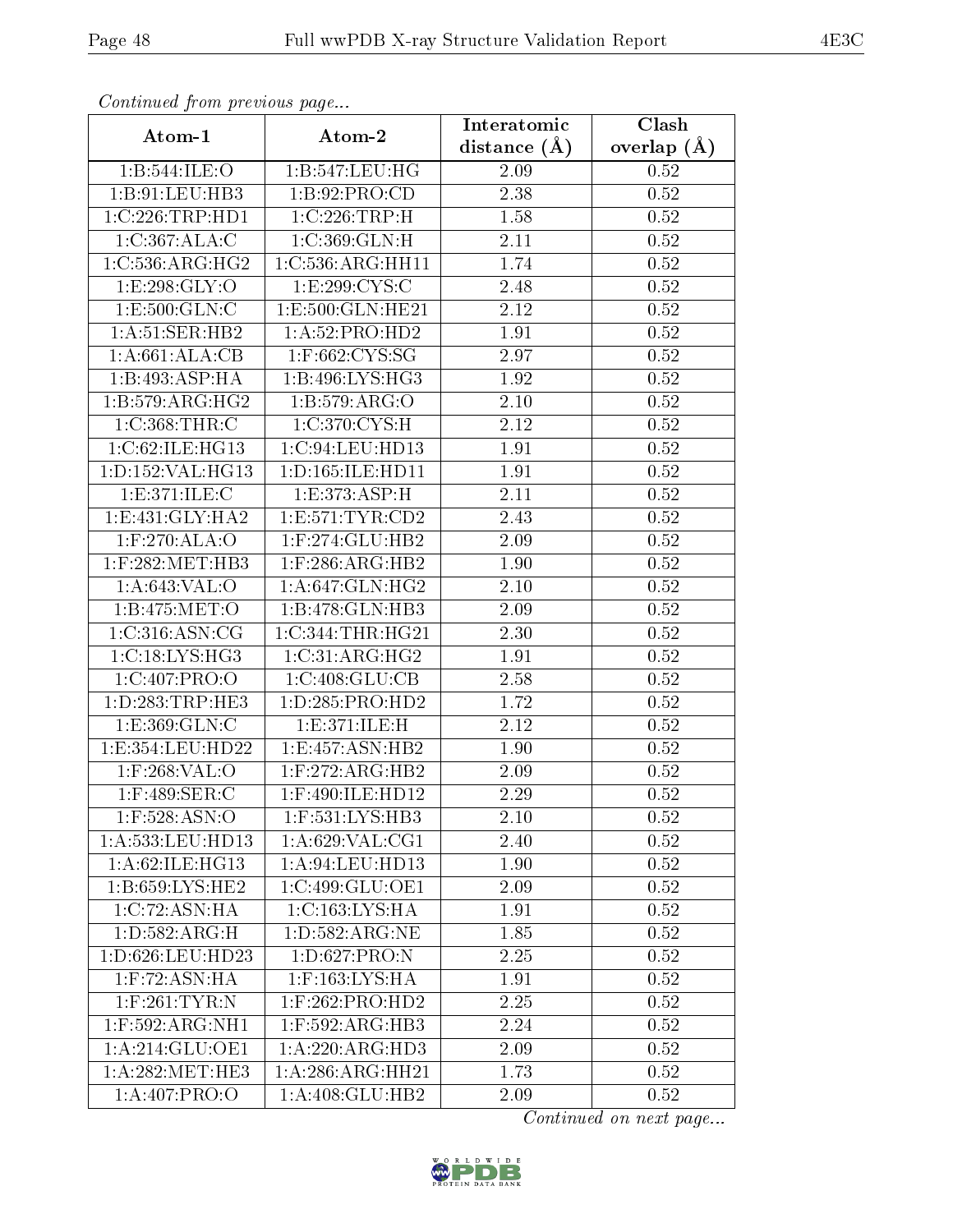| Continued from previous page      |                              | Interatomic    | Clash         |
|-----------------------------------|------------------------------|----------------|---------------|
| Atom-1                            | Atom-2                       | distance $(A)$ | overlap $(A)$ |
| 1:B:544:ILE:O                     | 1:B:547:LEU:HG               | 2.09           | 0.52          |
| 1:B:91:LEU:HB3                    | 1: B:92: PRO:CD              | 2.38           | 0.52          |
| 1:C:226:TRP:HD1                   | 1:C:226:TRP:H                | 1.58           | 0.52          |
| 1:C:367:ALA:C                     | 1:C:369:GLN:H                | 2.11           | 0.52          |
| 1:C:536:ARG:HG2                   | 1:C:536:ARG:HH11             | 1.74           | 0.52          |
| 1:E:298:GLY:O                     | 1:E:299:CYS:C                | 2.48           | 0.52          |
| 1:E:500:GLN:C                     | 1:E:500:GLN:HE21             | 2.12           | $0.52\,$      |
| 1:A:51:SER:HB2                    | 1: A:52: PRO:HD2             | 1.91           | $0.52\,$      |
| 1:A:661:ALA:CB                    | $1:$ F:662:CYS:SG            | 2.97           | 0.52          |
| 1:B:493:ASP:HA                    | 1:B:496:LYS:HG3              | 1.92           | $0.52\,$      |
| 1:B:579:ARG:HG2                   | 1:B:579:ARG:O                | 2.10           | $0.52\,$      |
| $1:C:368:\overline{\text{THR}:C}$ | 1:C:370:CYS:H                | 2.12           | 0.52          |
| 1:C:62:ILE:HG13                   | 1:C:94:LEU:HD13              | 1.91           | 0.52          |
| 1:D:152:VAL:HG13                  | 1: D: 165: ILE: HD11         | 1.91           | 0.52          |
| 1:E:371:ILE:C                     | 1:E:373:ASP:H                | 2.11           | 0.52          |
| 1: E: 431: GLY: HA2               | 1: E: 571: TYR: CD2          | 2.43           | 0.52          |
| $1:$ F:270:ALA:O                  | $1:$ F:274:GLU:HB2           | 2.09           | 0.52          |
| $1:$ F:282:MET:HB3                | $1:$ F:286:ARG:HB2           | 1.90           | 0.52          |
| 1: A:643: VAL:O                   | 1: A:647: GLN: HG2           | 2.10           | 0.52          |
| 1:B:475:MET:O                     | $1:B:478:GLN:H\overline{B3}$ | 2.09           | 0.52          |
| 1:C:316:ASN:CG                    | 1:C:344:THR:HG21             | 2.30           | 0.52          |
| 1:C:18:LYS:HG3                    | 1:C:31:ARG:HG2               | 1.91           | 0.52          |
| 1:C:407:PRO:O                     | 1:C:408:GLU:CB               | 2.58           | 0.52          |
| 1: D: 283: TRP: HE3               | 1: D: 285: PRO: HD2          | 1.72           | $0.52\,$      |
| 1: E: 369: GLN: C                 | 1: E: 371: ILE:H             | 2.12           | 0.52          |
| 1:E:354:LEU:HD22                  | 1: E: 457: ASN: HB2          | 1.90           | 0.52          |
| $1:$ F:268:VAL:O                  | $1:$ F:272:ARG:HB2           | 2.09           | 0.52          |
| $1:$ F:489:SER:C                  | $1:$ F:490:ILE:HD12          | 2.29           | 0.52          |
| $1:$ F:528:ASN:O                  | 1:F:531:LYS:HB3              | 2.10           | 0.52          |
| 1:A:533:LEU:HD13                  | 1: A:629: VAL:CG1            | 2.40           | 0.52          |
| 1:A:62:ILE:HG13                   | 1: A:94:LEU:HD13             | 1.90           | 0.52          |
| 1:B:659:LYS:HE2                   | 1:C:499:GLU:OE1              | 2.09           | 0.52          |
| 1:C:72:ASN:HA                     | 1:C:163:LYS:HA               | 1.91           | 0.52          |
| 1: D: 582: ARG:H                  | 1:D:582:ARG:NE               | 1.85           | 0.52          |
| 1:D:626:LEU:HD23                  | 1: D:627: PRO: N             | 2.25           | 0.52          |
| $1:$ F:72:ASN:HA                  | $1:$ F:163:LYS:HA            | 1.91           | 0.52          |
| $1:$ F:261:TYR:N                  | $1:$ F:262:PRO:HD2           | 2.25           | 0.52          |
| $1:$ F:592:ARG:NH1                | $1:$ F:592:ARG:HB3           | 2.24           | 0.52          |
| 1: A:214: GLU:OE1                 | 1:A:220:ARG:HD3              | 2.09           | 0.52          |
| 1: A:282: MET:HE3                 | 1:A:286:ARG:HH21             | 1.73           | 0.52          |
| 1: A:407: PRO:O                   | 1:A:408:GLU:HB2              | 2.09           | 0.52          |

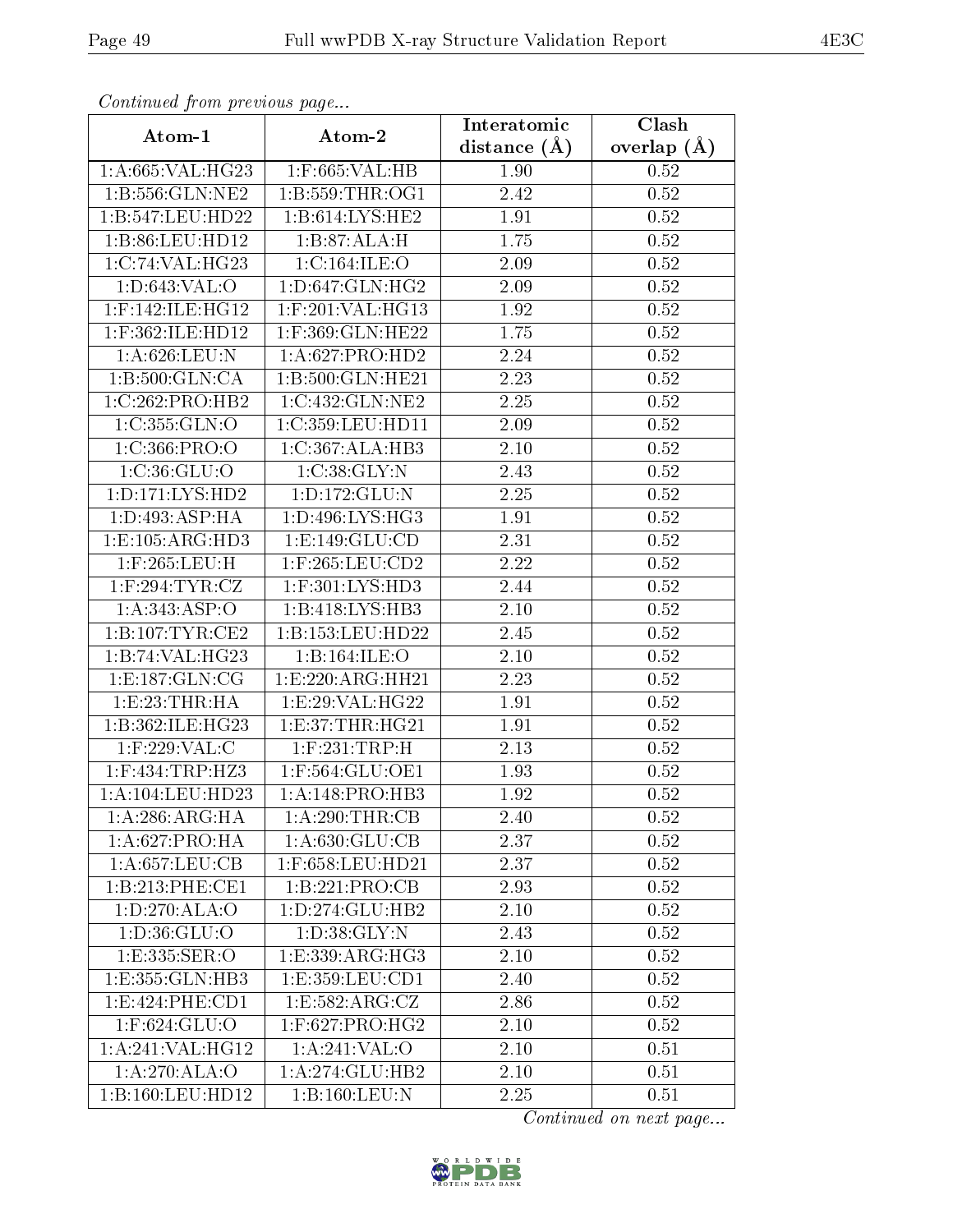| Continuati pont previous page |                                  | Interatomic      | Clash           |
|-------------------------------|----------------------------------|------------------|-----------------|
| Atom-1                        | Atom-2                           | distance $(\AA)$ | overlap $(\AA)$ |
| 1:A:665:VAL:HG23              | 1:F:665:VAL:HB                   | 1.90             | 0.52            |
| 1:B:556:GLN:NE2               | 1: B: 559: THR: OG1              | 2.42             | 0.52            |
| 1:B:547:LEU:HD22              | 1: B:614: LYS: HE2               | 1.91             | 0.52            |
| 1:B:86:LEU:HD12               | 1:B:87:ALA:H                     | 1.75             | 0.52            |
| 1:C:74:VAL:HG23               | 1:C:164:ILE:O                    | 2.09             | 0.52            |
| 1: D:643: VAL:O               | 1: D:647: GLN: HG2               | 2.09             | 0.52            |
| $1:$ F:142:ILE:HG12           | $1:$ F:201:VAL:HG13              | 1.92             | $0.52\,$        |
| 1:F:362:ILE:HD12              | 1:F:369:GLN:HE22                 | 1.75             | 0.52            |
| 1:A:626:LEU:N                 | 1:A:627:PRO:HD2                  | 2.24             | 0.52            |
| 1:B:500:GLN:CA                | 1:B:500:GLN:HE21                 | 2.23             | 0.52            |
| 1:C:262:PRO:HB2               | 1:C:432:GLN:NE2                  | 2.25             | $0.52\,$        |
| 1:C:355:GLN:O                 | 1:C:359:LEU:HD11                 | 2.09             | $0.52\,$        |
| 1:C:366:PRO:O                 | 1:C:367:ALA:HB3                  | 2.10             | $0.52\,$        |
| 1: C:36: GLU:O                | 1:C:38:GLY:N                     | 2.43             | $0.52\,$        |
| 1:D:171:LYS:HD2               | 1:D:172:GLU:N                    | 2.25             | $0.52\,$        |
| 1: D: 493: ASP: HA            | 1:D:496:LYS:HG3                  | 1.91             | 0.52            |
| 1:E:105:ARG:HD3               | 1: E: 149: GLU: CD               | 2.31             | 0.52            |
| $1:$ F:265:LEU:H              | $1:$ F:265:LEU:CD2               | 2.22             | 0.52            |
| $1:$ F:294:TYR:CZ             | 1:F:301:LYS:HD3                  | 2.44             | 0.52            |
| 1: A: 343: ASP:O              | 1:B:418:LYS:HB3                  | 2.10             | 0.52            |
| 1: B: 107: TYR: CE2           | 1:B:153:LEU:HD22                 | 2.45             | 0.52            |
| 1:B:74:VAL:HG23               | 1:B:164:ILE:O                    | $2.10\,$         | 0.52            |
| 1: E: 187: GLN: CG            | 1: E: 220: ARG: HH21             | 2.23             | 0.52            |
| 1: E: 23: THR: HA             | 1:E:29:VAL:HG22                  | 1.91             | 0.52            |
| 1:B:362:ILE:HG23              | 1: E:37:THR:HG21                 | 1.91             | 0.52            |
| 1:F:229:VAL:C                 | $1:$ F:231:TRP:H                 | 2.13             | 0.52            |
| $1:$ F:434:TRP:HZ3            | $1:$ F:564:GLU:OE1               | 1.93             | 0.52            |
| 1:A:104:LEU:HD23              | 1:A:148:PRO:HB3                  | 1.92             | 0.52            |
| $1:A:286:A\overline{RG:HA}$   | 1: A:290:THR:CB                  | 2.40             | 0.52            |
| 1:A:627:PRO:HA                | 1: A:630: GLU:CB                 | 2.37             | 0.52            |
| 1:A:657:LEU:CB                | 1:F:658:LEU:HD21                 | 2.37             | 0.52            |
| 1:B:213:PHE:CE1               | 1:B:221:PRO:CB                   | 2.93             | 0.52            |
| 1:D:270:ALA:O                 | 1:D:274:GLU:HB2                  | 2.10             | 0.52            |
| 1: D: 36: GLU: O              | 1: D:38: GLY:N                   | 2.43             | 0.52            |
| 1:E:335:SER:O                 | $1: E: 339: ARG: H\overline{G3}$ | 2.10             | 0.52            |
| 1:E:355:GLN:HB3               | 1:E:359:LEU:CD1                  | 2.40             | 0.52            |
| 1:E:424:PHE:CD1               | 1:E:582:ARG:CZ                   | 2.86             | 0.52            |
| 1:F:624:GLU:O                 | 1:F:627:PRO:HG2                  | 2.10             | 0.52            |
| 1: A:241:VAL:HG12             | 1:A:241:VAL:O                    | 2.10             | 0.51            |
| 1:A:270:ALA:O                 | 1:A:274:GLU:HB2                  | 2.10             | 0.51            |
| 1:B:160:LEU:HD12              | 1:B:160:LEU:N                    | 2.25             | 0.51            |

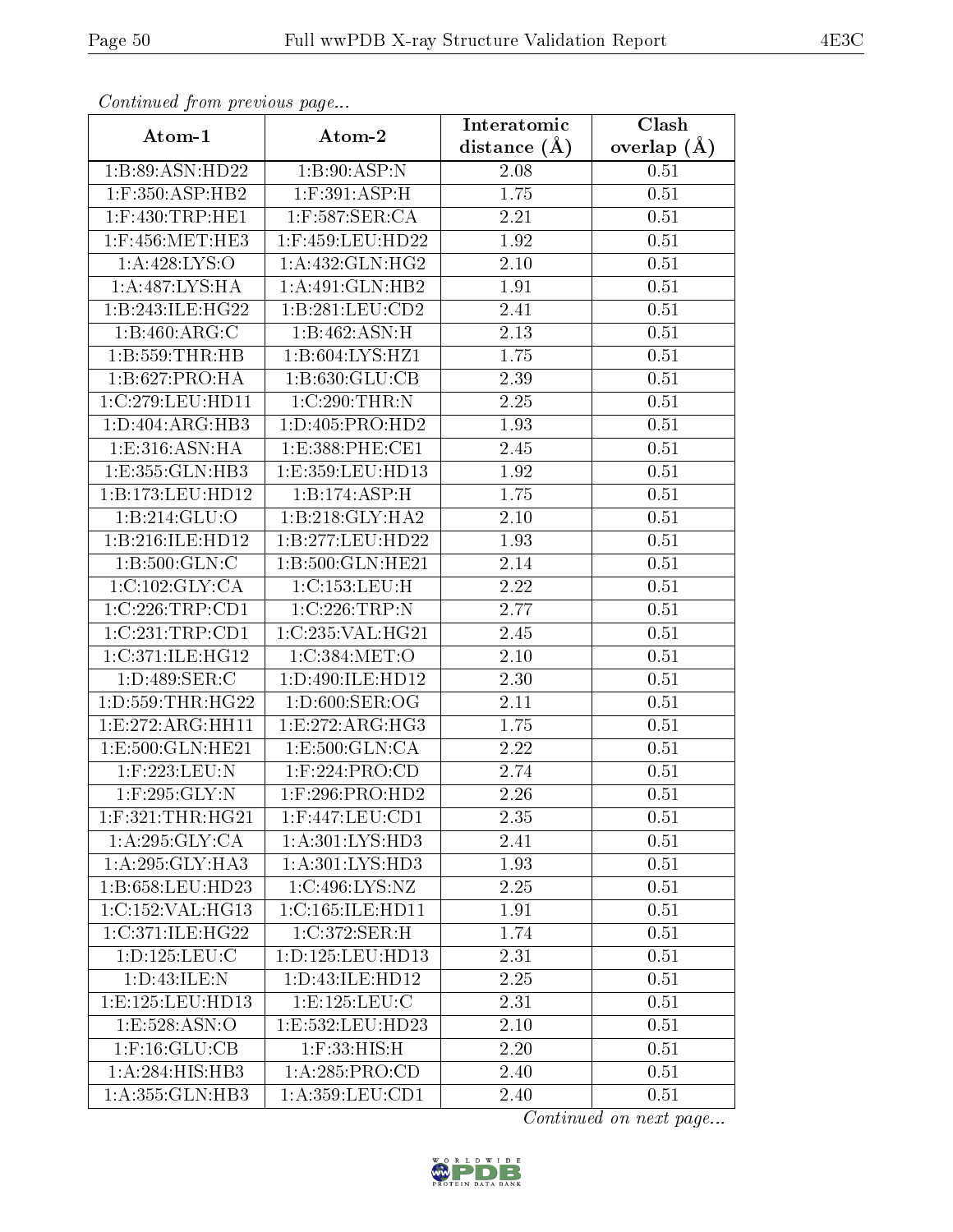| Contentaca from precious page |                         | Interatomic    | Clash           |
|-------------------------------|-------------------------|----------------|-----------------|
| Atom-1                        | Atom-2                  | distance $(A)$ | overlap $(\AA)$ |
| 1:B:89:ASN:HD22               | 1: B:90: ASP: N         | 2.08           | 0.51            |
| $1:$ F:350:ASP:HB2            | $1:$ F:391:ASP:H        | 1.75           | 0.51            |
| $1:$ F:430:TRP:HE1            | $1:$ F:587:SER:CA       | 2.21           | 0.51            |
| $1:$ F:456:MET:HE3            | 1:F:459:LEU:HD22        | 1.92           | 0.51            |
| 1:A:428:LYS:O                 | 1:A:432:GLN:HG2         | 2.10           | 0.51            |
| 1:A:487:LYS:HA                | 1:A:491:GLN:HB2         | 1.91           | 0.51            |
| 1:B:243:ILE:HG22              | 1:B:281:LEU:CD2         | 2.41           | 0.51            |
| 1:B:460:ARG:C                 | 1:B:462:ASN:H           | 2.13           | 0.51            |
| 1:B:559:THR:HB                | 1:B:604:LYS:HZ1         | 1.75           | 0.51            |
| 1: B:627: PRO:HA              | 1:B:630:GLU:CB          | 2.39           | 0.51            |
| 1:C:279:LEU:HD11              | 1:C:290:THR:N           | 2.25           | 0.51            |
| 1: D:404: ARG:HB3             | 1:D:405:PRO:HD2         | 1.93           | 0.51            |
| 1:E:316:ASN:HA                | 1:E:388:PHE:CE1         | 2.45           | 0.51            |
| 1:E:355:GLN:HB3               | 1:E:359:LEU:HD13        | 1.92           | 0.51            |
| 1:B:173:LEU:HD12              | 1:B:174:ASP:H           | 1.75           | 0.51            |
| 1:B:214:GLU:O                 | 1:B:218:GLY:HA2         | 2.10           | 0.51            |
| 1:B:216:ILE:HD12              | 1:B:277:LEU:HD22        | 1.93           | 0.51            |
| 1: B: 500: GLN: C             | 1:B:500:GLN:HE21        | 2.14           | 0.51            |
| 1:C:102:GLY:CA                | 1:C:153:LEU:H           | 2.22           | 0.51            |
| 1:C:226:TRP:CD1               | 1:C:226:TRP:N           | 2.77           | 0.51            |
| 1:C:231:TRP:CD1               | 1:C:235:VAL:HG21        | 2.45           | 0.51            |
| 1:C:371:ILE:HG12              | 1:C:384:MET:O           | 2.10           | 0.51            |
| 1: D: 489: SER: C             | 1:D:490:ILE:HD12        | 2.30           | 0.51            |
| 1:D:559:THR:HG22              | 1: D:600: SER:OG        | 2.11           | 0.51            |
| 1: E: 272: ARG: HH11          | 1:E:272:ARG:HG3         | 1.75           | 0.51            |
| 1: E: 500: GLN: HE21          | 1:E:500:GLN:CA          | 2.22           | 0.51            |
| 1:F:223:LEU:N                 | $1:$ F:224:PRO:CD       | 2.74           | 0.51            |
| $1:$ F:295: $GLY:N$           | 1:F:296:PRO:HD2         | 2.26           | 0.51            |
| $1:$ F:321:THR:HG21           | $1:$ F:447:LEU:CD1      | 2.35           | 0.51            |
| 1: A:295: GLY:CA              | 1: A:301:LYS:HD3        | 2.41           | 0.51            |
| 1: A:295: GLY:HA3             | 1:A:301:LYS:HD3         | 1.93           | 0.51            |
| 1:B:658:LEU:HD23              | 1: C:496: LYS: NZ       | 2.25           | 0.51            |
| 1:C:152:VAL:HG13              | 1:C:165:ILE:HD11        | 1.91           | 0.51            |
| 1:C:371:ILE:HG22              | 1:C:372:SER:H           | 1.74           | 0.51            |
| 1: D: 125: LEU: C             | 1: D: 125: LEU: HD13    | 2.31           | 0.51            |
| 1:D:43:ILE:N                  | 1:D:43:ILE:HD12         | 2.25           | 0.51            |
| 1:E:125:LEU:HD13              | 1: E: 125: LEU: C       | 2.31           | 0.51            |
| 1:E:528:ASN:O                 | 1:E:532:LEU:HD23        | 2.10           | 0.51            |
| $1:$ F:16: $GLU$ :CB          | $1:$ $F:33:$ $HIS:$ $H$ | 2.20           | 0.51            |
| $1:A:284:\overline{HIS:HB3}$  | 1:A:285:PRO:CD          | 2.40           | 0.51            |
| 1: A: 355: GLN: HB3           | 1: A: 359: LEU: CD1     | 2.40           | 0.51            |

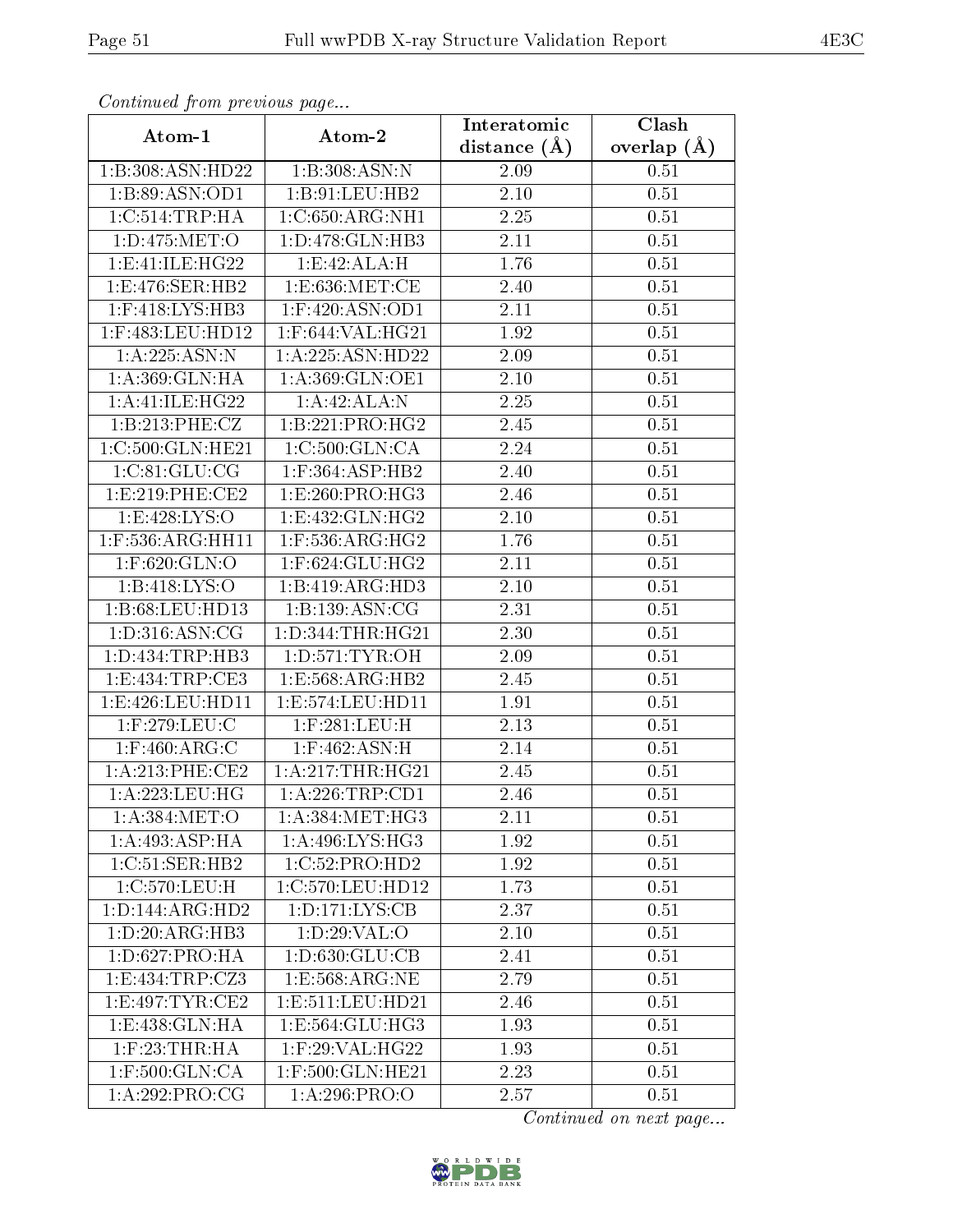| Continuea jioin pievivus page |                                      | Interatomic    | Clash         |
|-------------------------------|--------------------------------------|----------------|---------------|
| Atom-1                        | Atom-2                               | distance $(A)$ | overlap $(A)$ |
| 1:B:308:ASN:HD22              | 1:B:308:ASN:N                        | 2.09           | 0.51          |
| 1:B:89:ASN:OD1                | 1:B:91:LEU:HB2                       | 2.10           | 0.51          |
| 1:C:514:TRP:HA                | 1:C:650:ARG:NH1                      | 2.25           | 0.51          |
| 1:D:475:MET:O                 | 1:D:478:GLN:HB3                      | 2.11           | 0.51          |
| 1: E: 41: ILE: HG22           | 1:E:42:ALA:H                         | 1.76           | 0.51          |
| 1:E:476:SER:HB2               | 1: E:636:MET:CE                      | 2.40           | 0.51          |
| $1:$ F:418:LYS:HB3            | $1:$ F:420:ASN:OD1                   | 2.11           | 0.51          |
| 1:F:483:LEU:HD12              | 1:F:644:VAL:HG21                     | 1.92           | 0.51          |
| 1:A:225:ASN:N                 | 1:A:225:ASN:HD22                     | 2.09           | 0.51          |
| 1: A:369: GLN: HA             | 1: A:369: GLN:OE1                    | 2.10           | 0.51          |
| 1: A: 41: ILE: HG22           | 1:A:42:ALA:N                         | 2.25           | 0.51          |
| 1:B:213:PHE:CZ                | 1:B:221:PRO:HG2                      | 2.45           | 0.51          |
| 1:C:500:GLN:HE21              | 1:C:500:GLN:CA                       | 2.24           | 0.51          |
| 1:C:81:GLU:CG                 | $1:$ F:364:ASP:HB2                   | 2.40           | 0.51          |
| 1: E: 219: PHE: CE2           | 1: E:260: PRO:HG3                    | 2.46           | 0.51          |
| 1: E:428: LYS:O               | 1:E:432:GLN:HG2                      | 2.10           | 0.51          |
| $1:$ F:536:ARG:HH11           | $1:$ F:536:ARG:HG2                   | 1.76           | 0.51          |
| $1:$ F:620: $GLN$ :O          | $1:$ F:624:GLU:HG2                   | 2.11           | 0.51          |
| 1:B:418:LYS:O                 | $1:B:419: \overline{\text{ARG:HD3}}$ | 2.10           | 0.51          |
| 1:B:68:LEU:HD13               | 1:B:139:ASN:CG                       | 2.31           | 0.51          |
| 1: D:316: ASN: CG             | 1: D: 344: THR: HG21                 | 2.30           | 0.51          |
| 1: D: 434: TRP: HB3           | 1: D: 571: TYR: OH                   | 2.09           | 0.51          |
| 1:E:434:TRP:CE3               | 1:E:568:ARG:HB2                      | 2.45           | 0.51          |
| 1:E:426:LEU:HD11              | 1:E:574:LEU:HD11                     | 1.91           | 0.51          |
| 1:F:279:LEU:C                 | 1:F:281:LEU:H                        | 2.13           | 0.51          |
| $1:$ F:460:ARG:C              | 1:F:462:ASN:H                        | 2.14           | 0.51          |
| 1: A:213: PHE:CE2             | 1: A:217:THR:HG21                    | 2.45           | 0.51          |
| 1:A:223:LEU:HG                | 1:A:226:TRP:CD1                      | 2.46           | 0.51          |
| 1: A:384: MET:O               | 1: A: 384: MET:HG3                   | 2.11           | 0.51          |
| 1:A:493:ASP:HA                | 1: A:496: LYS: HG3                   | 1.92           | 0.51          |
| 1:C:51:SER:HB2                | 1:C:52:PRO:HD2                       | 1.92           | 0.51          |
| 1:C:570:LEU:H                 | 1:C:570:LEU:HD12                     | 1.73           | 0.51          |
| 1: D: 144: ARG: HD2           | 1: D: 171: LYS: CB                   | 2.37           | 0.51          |
| 1: D:20: ARG:HB3              | 1: D:29: VAL:O                       | 2.10           | 0.51          |
| 1: D:627: PRO:HA              | 1: D: 630: GLU: CB                   | 2.41           | 0.51          |
| 1:E:434:TRP:CZ3               | 1: E: 568: ARG: NE                   | 2.79           | 0.51          |
| 1: E:497: TYR: CE2            | 1: E: 511: LEU: HD21                 | 2.46           | 0.51          |
| 1:E:438:GLN:HA                | 1:E:564:GLU:HG3                      | 1.93           | 0.51          |
| $1:$ F:23:THR:HA              | 1:F:29:VAL:HG22                      | 1.93           | 0.51          |
| $1:$ F:500:GLN:CA             | $1:$ F:500:GLN:HE21                  | 2.23           | 0.51          |
| 1:A:292:PRO:CG                | 1:A:296:PRO:O                        | 2.57           | 0.51          |

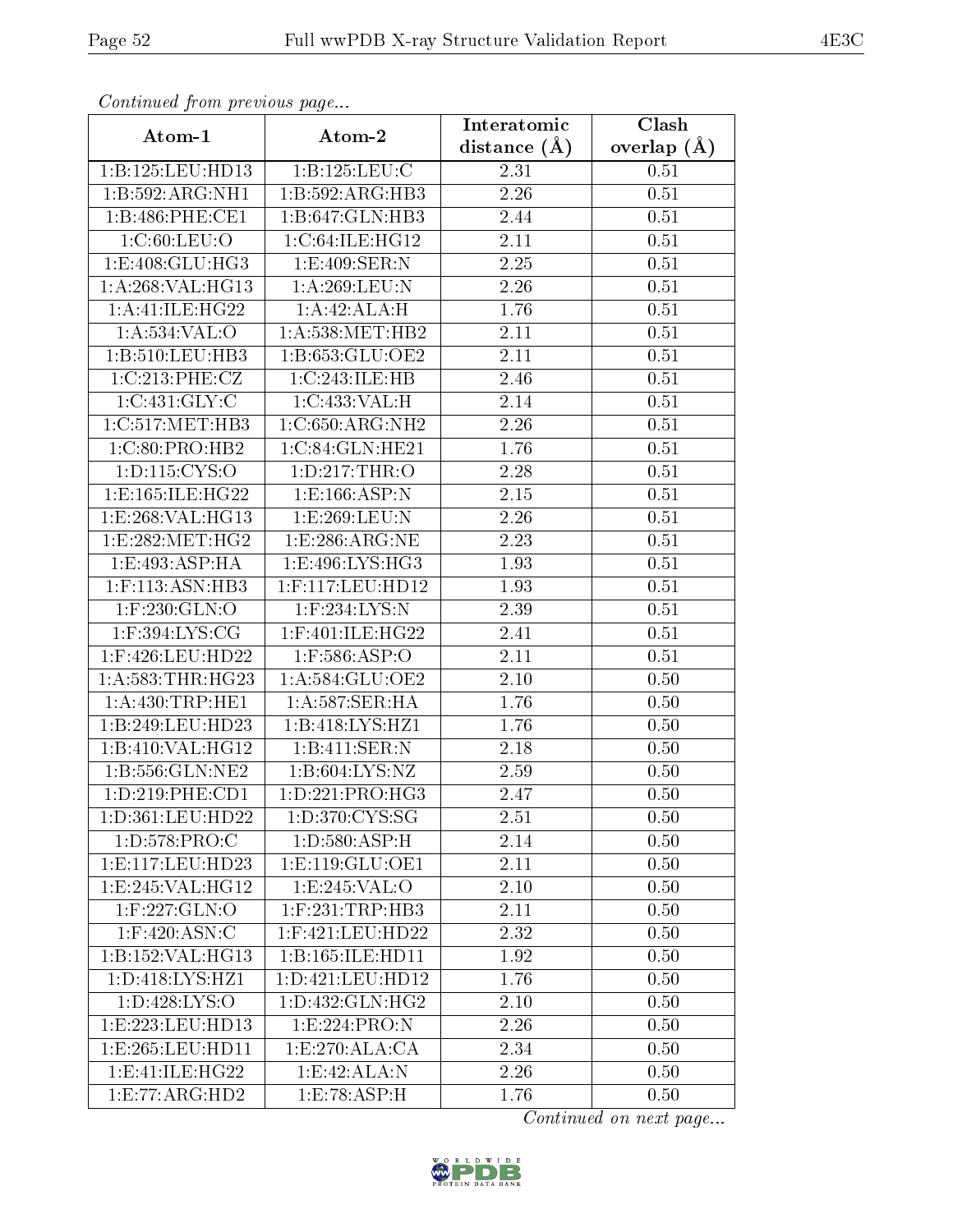| Commaca from previous page   |                               | Interatomic       | Clash         |
|------------------------------|-------------------------------|-------------------|---------------|
| Atom-1                       | Atom-2                        | distance $(A)$    | overlap $(A)$ |
| 1:B:125:LEU:HD13             | 1: B: 125: LEU: C             | 2.31              | 0.51          |
| 1:B:592:ARG:NH1              | 1:B:592:ARG:HB3               | 2.26              | 0.51          |
| 1:B:486:PHE:CE1              | 1:B:647:GLN:HB3               | 2.44              | 0.51          |
| 1:C:60:LEU:O                 | 1:C:64:ILE:HG12               | 2.11              | 0.51          |
| 1:E:408:GLU:HG3              | 1:E:409:SER:N                 | $\overline{2.25}$ | 0.51          |
| 1: A:268: VAL:HG13           | 1: A:269:LEU:N                | 2.26              | 0.51          |
| 1:A:41:ILE:HG22              | 1:A:42:ALA:H                  | 1.76              | 0.51          |
| $1: A:534:VAL:$ <sup>O</sup> | 1: A: 538: MET: HB2           | 2.11              | 0.51          |
| 1:B:510:LEU:HB3              | 1:B:653:GLU:OE2               | 2.11              | 0.51          |
| 1:C:213:PHE:CZ               | 1:C:243:ILE:HB                | 2.46              | 0.51          |
| 1:C:431:GLY:C                | 1:C:433:VAL:H                 | 2.14              | 0.51          |
| 1:C:517:MET:HB3              | 1:C:650:ARG:NH2               | 2.26              | 0.51          |
| 1:C:80:PRO:HB2               | 1:C:84:GLN:HE21               | 1.76              | 0.51          |
| 1:D:115:CYS:O                | 1: D: 217: THR:O              | 2.28              | 0.51          |
| 1:E:165:ILE:HG22             | 1:E:166:ASP:N                 | $2.15\,$          | 0.51          |
| 1:E:268:VAL:HG13             | 1:E:269:LEU:N                 | 2.26              | 0.51          |
| 1:E:282:MET:HG2              | 1: E:286: ARG: NE             | 2.23              | 0.51          |
| 1:E:493:ASP:HA               | 1:E:496:LYS:HG3               | 1.93              | 0.51          |
| 1:F:113:ASN:HB3              | 1:F:117:LEU:HD12              | 1.93              | 0.51          |
| $1:$ F:230: $GLN$ :O         | $1:$ F:234:LYS:N              | 2.39              | 0.51          |
| 1:F:394:LYS:CG               | $1:$ F:401:ILE:HG22           | $\overline{2}.41$ | 0.51          |
| 1:F:426:LEU:HD22             | $1:$ F:586:ASP:O              | 2.11              | 0.51          |
| 1: A: 583: THR: HG23         | 1:A:584:GLU:OE2               | 2.10              | 0.50          |
| 1:A:430:TRP:HE1              | 1:A:587:SER:HA                | 1.76              | 0.50          |
| 1:B:249:LEU:HD23             | 1:B:418:LYS:HZ1               | 1.76              | 0.50          |
| 1:B:410:VAL:HG12             | 1:B:411:SER:N                 | $\overline{2}.18$ | 0.50          |
| 1:B:556:GLN:NE2              | 1: B:604: LYS: NZ             | 2.59              | 0.50          |
| 1:D:219:PHE:CD1              | 1: D: 221: PRO: HG3           | 2.47              | 0.50          |
| 1:D:361:LEU:HD22             | 1: D:370: CYS:SG              | 2.51              | 0.50          |
| 1: D: 578: PRO: C            | 1: D: 580: ASP:H              | 2.14              | 0.50          |
| 1:E:117:LEU:HD23             | 1: E: 119: GLU: OE1           | 2.11              | 0.50          |
| 1:E:245:VAL:HG12             | 1:E:245:VAL:O                 | 2.10              | 0.50          |
| $1:$ F:227:GLN:O             | $1:$ F:231:TRP:HB3            | 2.11              | 0.50          |
| $1:$ F:420:ASN:C             | $1:$ F:421:LEU:HD22           | 2.32              | 0.50          |
| 1:B:152:VAL:HG13             | 1:B:165:ILE:HD11              | 1.92              | 0.50          |
| 1:D:418:LYS:HZ1              | 1:D:421:LEU:HD12              | 1.76              | 0.50          |
| 1: D: 428: LYS: O            | 1: D: 432: GLN: HG2           | 2.10              | 0.50          |
| 1:E:223:LEU:HD13             | 1: E: 224: PRO: N             | 2.26              | 0.50          |
| 1:E:265:LEU:HD11             | 1: E:270: ALA:CA              | 2.34              | 0.50          |
| 1:E:41:ILE:HG22              | 1:E:42:ALA:N                  | 2.26              | 0.50          |
| 1:E:77:ARG:HD2               | $1: E: 78: A \overline{SP:H}$ | 1.76              | 0.50          |

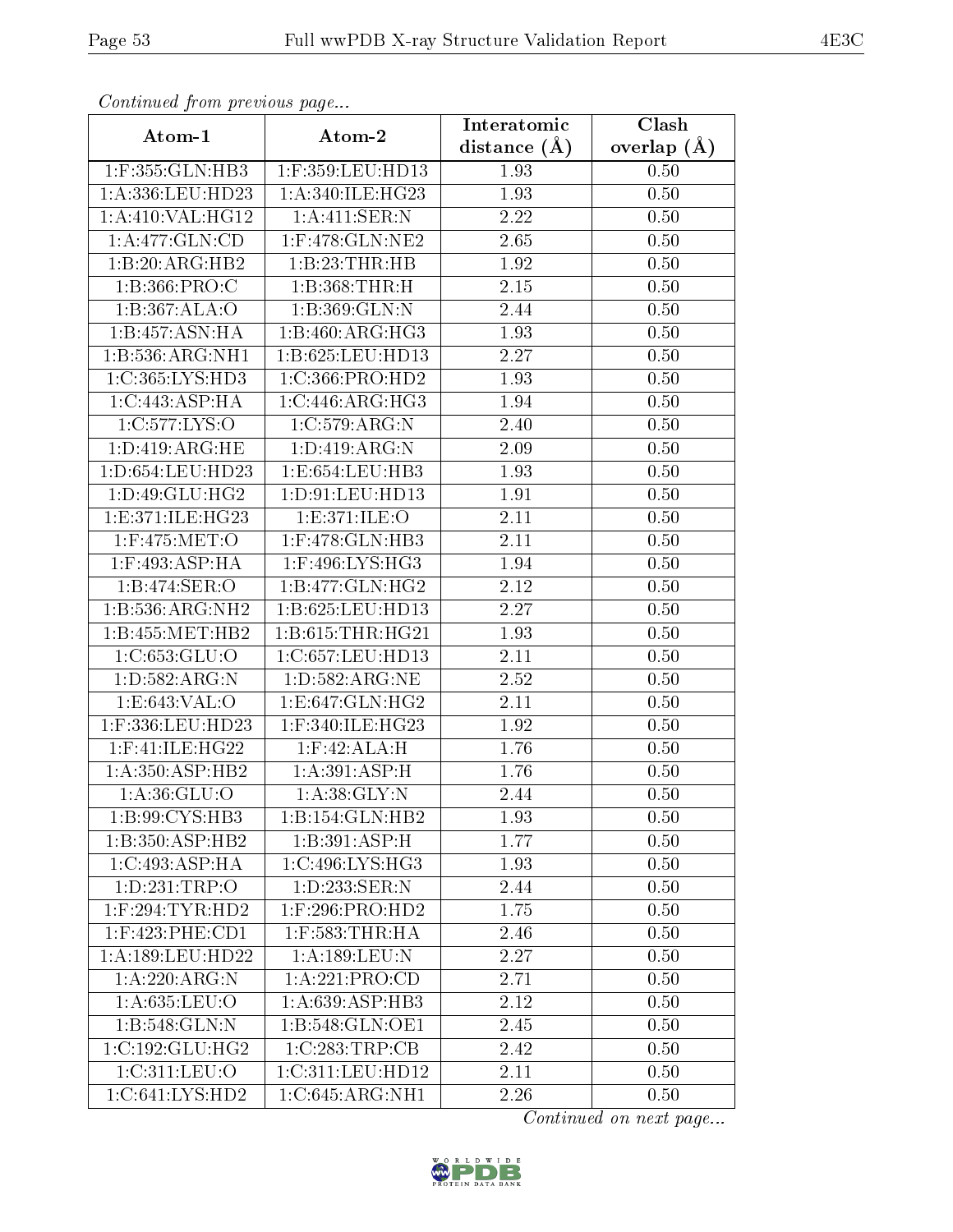| Commuca from previous page |                       | Interatomic       | Clash         |
|----------------------------|-----------------------|-------------------|---------------|
| Atom-1                     | Atom-2                | distance $(A)$    | overlap $(A)$ |
| 1:F:355:GLN:HB3            | 1:F:359:LEU:HD13      | 1.93              | 0.50          |
| 1:A:336:LEU:HD23           | 1:A:340:ILE:HG23      | 1.93              | 0.50          |
| 1: A:410: VAL:HG12         | 1:A:411:SER:N         | 2.22              | 0.50          |
| 1:A:477:GLN:CD             | $1:$ F:478: $GLN:NE2$ | 2.65              | 0.50          |
| 1:B:20:ARG:HB2             | 1:B:23:THR:HB         | 1.92              | 0.50          |
| 1:B:366:PRO:C              | 1:B:368:THR:H         | 2.15              | 0.50          |
| 1:B:367:ALA:O              | 1:B:369:GLN:N         | 2.44              | 0.50          |
| 1:B:457:ASN:HA             | 1:B:460:ARG:HG3       | 1.93              | 0.50          |
| 1:B:536:ARG:NH1            | 1:B:625:LEU:HD13      | 2.27              | 0.50          |
| 1: C: 365: LYS: HD3        | 1:C:366:PRO:HD2       | 1.93              | 0.50          |
| 1:C:443:ASP:HA             | 1:C:446:ARG:HG3       | 1.94              | 0.50          |
| 1:C:577:LYS:O              | 1:C:579:ARG:N         | 2.40              | 0.50          |
| 1:D:419:ARG:HE             | 1: D: 419: ARG: N     | 2.09              | 0.50          |
| 1:D:654:LEU:HD23           | 1:E:654:LEU:HB3       | 1.93              | 0.50          |
| 1:D:49:GLU:HG2             | 1: D: 91: LEU: HD13   | 1.91              | 0.50          |
| 1:E:371:ILE:HG23           | 1:E:371:ILE:O         | 2.11              | 0.50          |
| 1:F:475:MET:O              | 1:F:478:GLN:HB3       | 2.11              | 0.50          |
| 1:F:493:ASP:HA             | 1:F:496:LYS:HG3       | 1.94              | 0.50          |
| 1:B:474:SER:O              | 1:B:477:GLN:HG2       | 2.12              | 0.50          |
| 1:B:536:ARG:NH2            | 1:B:625:LEU:HD13      | 2.27              | 0.50          |
| 1:B:455:MET:HB2            | 1:B:615:THR:HG21      | 1.93              | 0.50          |
| 1:C:653:GLU:O              | 1:C:657:LEU:HD13      | 2.11              | 0.50          |
| 1:D:582:ARG:N              | 1:D:582:ARG:NE        | 2.52              | 0.50          |
| 1:E:643:VAL:O              | 1:E:647:GLN:HG2       | $\overline{2}.11$ | 0.50          |
| 1:F:336:LEU:HD23           | 1:F:340:ILE:HG23      | 1.92              | 0.50          |
| 1:F:41:ILE:HG22            | $1:$ F:42:ALA:H       | 1.76              | 0.50          |
| 1: A:350: ASP:HB2          | 1: A:391: ASP:H       | 1.76              | 0.50          |
| $1:A:36:\overline{GLU:O}$  | 1: A:38: GLY:N        | 2.44              | 0.50          |
| 1:B:99:CYS:HB3             | 1:B:154:GLN:HB2       | 1.93              | 0.50          |
| 1:B:350:ASP:HB2            | 1:B:391:ASP:H         | 1.77              | 0.50          |
| 1:C:493:ASP:HA             | 1:C:496:LYS:HG3       | 1.93              | 0.50          |
| 1: D: 231: TRP:O           | 1: D: 233: SER: N     | 2.44              | 0.50          |
| $1:$ F:294:TYR:HD2         | $1:$ F:296:PRO:HD2    | 1.75              | 0.50          |
| $1:$ F:423:PHE:CD1         | $1:$ F:583:THR:HA     | 2.46              | 0.50          |
| 1: A: 189: LEU: HD22       | 1: A: 189: LEU: N     | 2.27              | 0.50          |
| 1: A:220:ARG:N             | 1:A:221:PRO:CD        | 2.71              | 0.50          |
| 1: A:635:LEU:O             | 1: A:639: ASP:HB3     | 2.12              | 0.50          |
| 1:B:548:GLN:N              | 1:B:548:GLN:OE1       | 2.45              | 0.50          |
| 1:C:192:GLU:HG2            | 1:C:283:TRP:CB        | 2.42              | 0.50          |
| 1: C:311: LEU:O            | 1:C:311:LEU:HD12      | 2.11              | 0.50          |
| 1:C:641:LYS:HD2            | 1:C:645:ARG:NH1       | 2.26              | 0.50          |

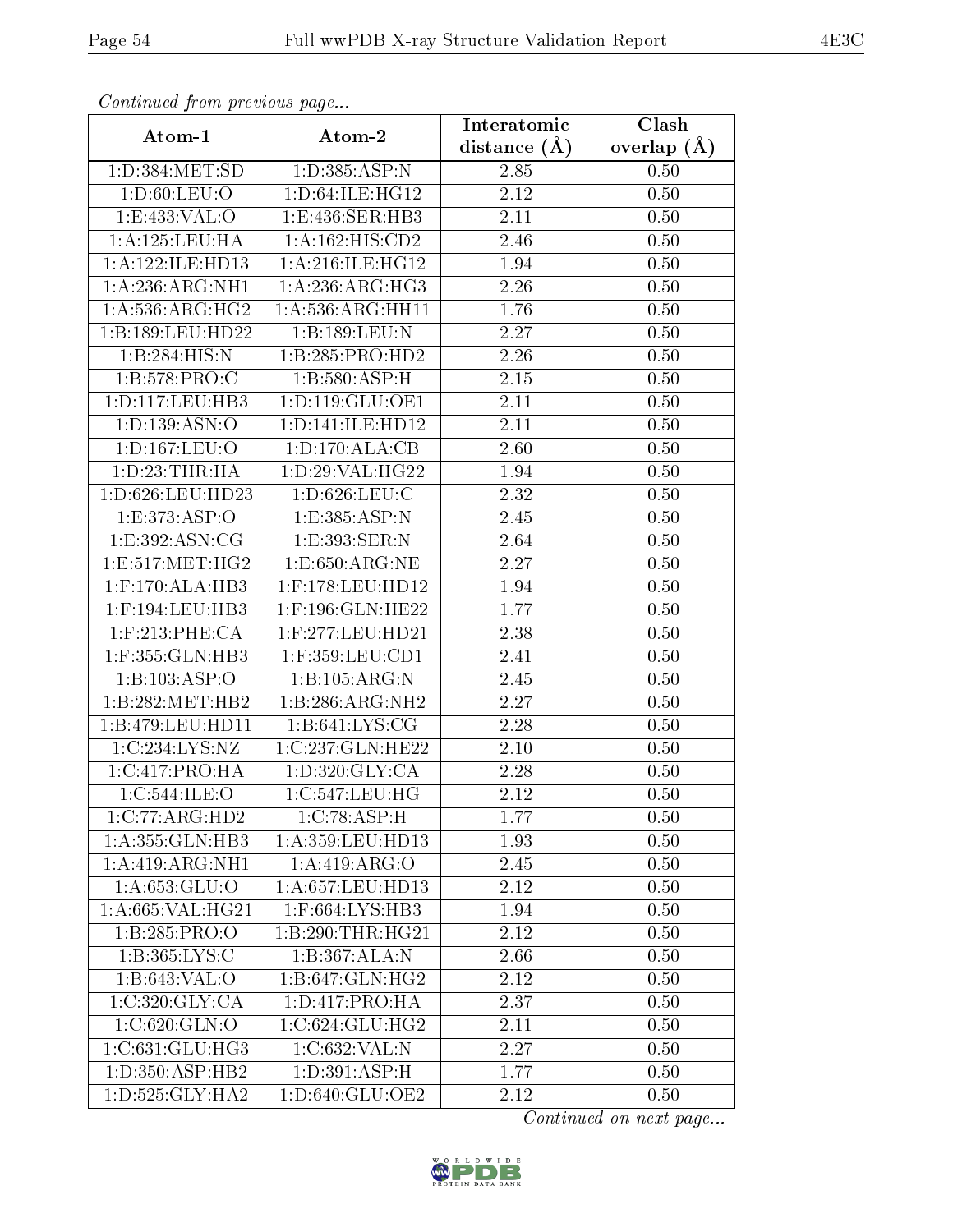| Continuation providuo puga  |                      | Interatomic      | Clash           |
|-----------------------------|----------------------|------------------|-----------------|
| Atom-1                      | Atom-2               | distance $(\AA)$ | overlap $(\AA)$ |
| 1: D: 384: MET: SD          | 1:D:385:ASP:N        | 2.85             | 0.50            |
| 1: D:60: LEU:O              | 1: D:64: ILE: HG12   | 2.12             | 0.50            |
| 1: E: 433: VAL: O           | 1:E:436:SER:HB3      | 2.11             | 0.50            |
| 1:A:125:LEU:HA              | 1: A: 162: HIS: CD2  | 2.46             | 0.50            |
| 1:A:122:ILE:HD13            | 1: A:216: ILE: HG12  | 1.94             | 0.50            |
| 1:A:236:ARG:NH1             | 1: A:236:ARG:HG3     | 2.26             | 0.50            |
| 1: A: 536: ARG: HG2         | 1: A: 536: ARG: HH11 | 1.76             | 0.50            |
| 1:B:189:LEU:HD22            | 1:B:189:LEU:N        | 2.27             | 0.50            |
| 1:B:284:HIS:N               | 1:B:285:PRO:HD2      | 2.26             | 0.50            |
| 1:B:578:PRO:C               | 1:B:580:ASP:H        | 2.15             | 0.50            |
| 1: D: 117: LEU: HB3         | 1: D: 119: GLU: OE1  | 2.11             | 0.50            |
| 1:D:139:ASN:O               | 1: D: 141: ILE: HD12 | 2.11             | 0.50            |
| 1:D:167:LEU:O               | 1: D: 170: ALA: CB   | 2.60             | 0.50            |
| 1: D: 23: THR: HA           | 1:D:29:VAL:HG22      | 1.94             | 0.50            |
| 1:D:626:LEU:HD23            | 1:D:626:LEU:C        | 2.32             | 0.50            |
| 1: E: 373: ASP:O            | 1:E:385:ASP:N        | 2.45             | 0.50            |
| 1: E: 392: ASN: CG          | 1:E:393:SER:N        | 2.64             | 0.50            |
| $1:$ E:517:MET:HG2          | 1: E:650: ARG: NE    | 2.27             | 0.50            |
| $1:$ F:170:ALA:HB3          | 1:F:178:LEU:HD12     | 1.94             | 0.50            |
| $1:$ F:194:LEU:HB3          | $1:$ F:196:GLN:HE22  | 1.77             | 0.50            |
| $1:$ F:213:PHE:CA           | 1:F:277:LEU:HD21     | 2.38             | 0.50            |
| 1:F:355:GLN:HB3             | $1:$ F:359:LEU:CD1   | 2.41             | 0.50            |
| 1:B:103:ASP:O               | 1:B:105:ARG:N        | 2.45             | 0.50            |
| 1:B:282:MET:HB2             | 1:B:286:ARG:NH2      | 2.27             | 0.50            |
| 1:B:479:LEU:HD11            | 1: B:641: LYS: CG    | 2.28             | 0.50            |
| 1:C:234:LYS:NZ              | 1:C:237:GLN:HE22     | 2.10             | 0.50            |
| 1:C:417:PRO:HA              | 1: D:320: GLY:CA     | 2.28             | 0.50            |
| 1:C:544:ILE:O               | 1:C:547:LEU:HG       | 2.12             | 0.50            |
| 1:C:77:ARG:HD2              | 1:C:78:ASP:H         | 1.77             | 0.50            |
| 1:A:355:GLN:HB3             | 1:A:359:LEU:HD13     | 1.93             | $0.50\,$        |
| 1:A:419:ARG:NH1             | 1:A:419:ARG:O        | 2.45             | 0.50            |
| 1:A:653:GLU:O               | 1: A:657:LEU:HD13    | 2.12             | 0.50            |
| 1: A:665: VAL:HG21          | 1:F:664:LYS:HB3      | 1.94             | 0.50            |
| 1:B:285:PRO:O               | 1:B:290:THR:HG21     | 2.12             | 0.50            |
| 1: B: 365: LYS: C           | 1:B:367:ALA:N        | 2.66             | 0.50            |
| 1:B:643:VAL:O               | 1:B:647:GLN:HG2      | 2.12             | 0.50            |
| $1:C:320:GLY:C\overline{A}$ | 1: D: 417: PRO:HA    | 2.37             | 0.50            |
| 1:C:620:GLN:O               | 1:C:624:GLU:HG2      | 2.11             | 0.50            |
| 1:C:631:GLU:HG3             | 1:C:632:VAL:N        | 2.27             | 0.50            |
| 1: D: 350: ASP: HB2         | 1: D:391: ASP:H      | 1.77             | 0.50            |
| 1: D: 525: GLY: HA2         | 1:D:640:GLU:OE2      | 2.12             | 0.50            |

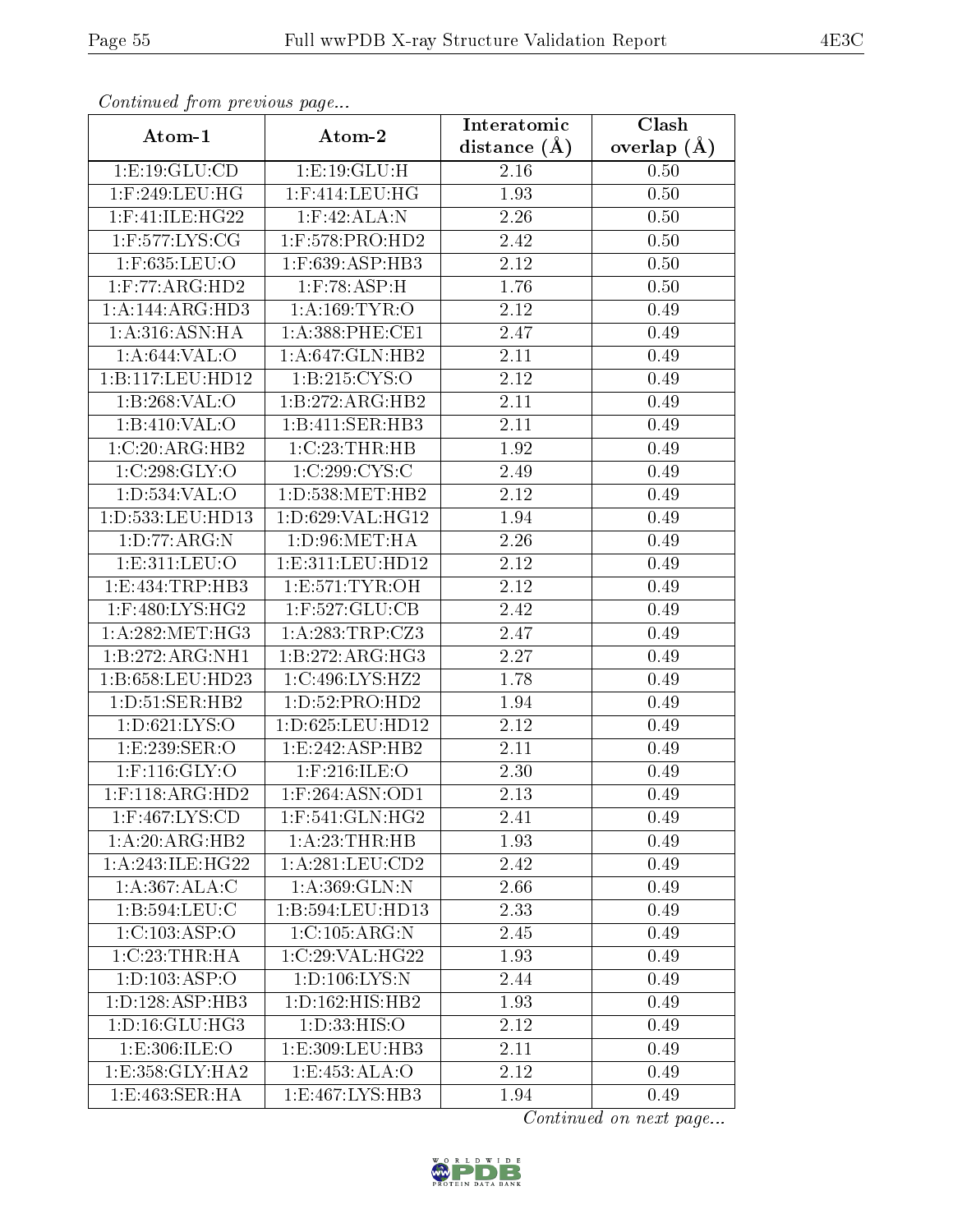| contentava promono ao pago |                                 | Interatomic       | $\overline{\text{Clash}}$ |
|----------------------------|---------------------------------|-------------------|---------------------------|
| Atom-1                     | Atom-2                          | distance $(A)$    | overlap $(A)$             |
| 1:E:19:GLU:CD              | 1:E:19:GLU:H                    | $2.16\,$          | 0.50                      |
| $1:$ F:249:LEU:HG          | $1:$ F:414:LEU:HG               | 1.93              | 0.50                      |
| $1:$ F:41:ILE:HG22         | $1:$ F:42:ALA:N                 | 2.26              | 0.50                      |
| 1:F:577:LYS:CG             | $1:$ F:578:PRO:HD2              | 2.42              | 0.50                      |
| 1:F:635:LEU:O              | 1:F:639:ASP:HB3                 | 2.12              | 0.50                      |
| $1:$ F:77:ARG:HD2          | $1:$ F:78:ASP:H                 | 1.76              | 0.50                      |
| 1:A:144:ARG:HD3            | 1: A: 169: TYR: O               | 2.12              | 0.49                      |
| 1: A:316: ASN: HA          | $1: A:388:$ PHE:CE1             | 2.47              | 0.49                      |
| 1:A:644:VAL:O              | 1:A:647:GLN:HB2                 | 2.11              | 0.49                      |
| 1:B:117:LEU:HD12           | 1:B:215:CYS:O                   | 2.12              | 0.49                      |
| 1:B:268:VAL:O              | 1:B:272:ARG:HB2                 | 2.11              | 0.49                      |
| 1:B:410:VAL:O              | 1:B:411:SER:HB3                 | 2.11              | 0.49                      |
| 1:C:20:ARG:HB2             | $1:C:23$ : THR:HB               | 1.92              | 0.49                      |
| 1:C:298:GLY:O              | 1:C:299:CYS:C                   | 2.49              | 0.49                      |
| 1: D: 534: VAL: O          | 1: D: 538: MET: HB2             | 2.12              | 0.49                      |
| 1: D: 533: LEU: HD13       | 1: D:629: VAL:HG12              | 1.94              | 0.49                      |
| 1: D: 77: ARG: N           | 1: D:96: MET:HA                 | 2.26              | 0.49                      |
| 1:E:311:LEU:O              | 1: E: 311: LEU: HD12            | 2.12              | 0.49                      |
| 1:E:434:TRP:HB3            | 1: E: 571: TYR: OH              | 2.12              | 0.49                      |
| $1:$ F:480:LYS:HG2         | $1:$ F:527:GLU:CB               | 2.42              | 0.49                      |
| 1: A:282:MET:HG3           | 1:A:283:TRP:CZ3                 | 2.47              | 0.49                      |
| 1:B:272:ARG:NH1            | 1:B:272:ARG:HG3                 | 2.27              | 0.49                      |
| 1:B:658:LEU:HD23           | 1:C:496:LYS:HZ2                 | 1.78              | 0.49                      |
| 1:D:51:SER:HB2             | 1:D:52:PRO:HD2                  | 1.94              | 0.49                      |
| 1: D:621: LYS:O            | 1: D:625: LEU: HD12             | 2.12              | 0.49                      |
| 1: E: 239: SER:O           | 1:E:242:ASP:HB2                 | $\overline{2.11}$ | 0.49                      |
| $1:$ F:116:GLY:O           | $1:$ F:216:ILE:O                | 2.30              | 0.49                      |
| $1:$ F:118:ARG:HD2         | 1:F:264:ASN:OD1                 | 2.13              | 0.49                      |
| $1:$ F:467:LYS:CD          | $1:$ F:541:GLN:HG2              | 2.41              | 0.49                      |
| 1:A:20:ARG:HB2             | 1: A:23:THR:HB                  | 1.93              | 0.49                      |
| 1: A:243: ILE:HG22         | 1:A:281:LEU:CD2                 | 2.42              | 0.49                      |
| 1:A:367:ALA:C              | 1:A:369:GLN:N                   | 2.66              | 0.49                      |
| $1: B: 594:$ LEU:C         | 1:B:594:LEU:HD13                | 2.33              | 0.49                      |
| 1:C:103:ASP:O              | 1:C:105:ARG:N                   | 2.45              | 0.49                      |
| 1:C:23:THR:HA              | 1:C:29:VAL:HG22                 | 1.93              | 0.49                      |
| 1: D: 103: ASP:O           | 1: D: 106: LYS:N                | 2.44              | 0.49                      |
| 1: D: 128: ASP: HB3        | 1: D: 162: HIS: HB2             | 1.93              | 0.49                      |
| 1: D: 16: GLU: HG3         | 1: D: 33: HIS: O                | 2.12              | 0.49                      |
| 1: E: 306: ILE: O          | 1:E:309:LEU:HB3                 | 2.11              | 0.49                      |
| 1: E: 358: GLY: HA2        | 1:E:453:ALA:O                   | 2.12              | 0.49                      |
| 1:E:463:SER:HA             | $1: E: 467: LY\overline{S:HB3}$ | 1.94              | 0.49                      |

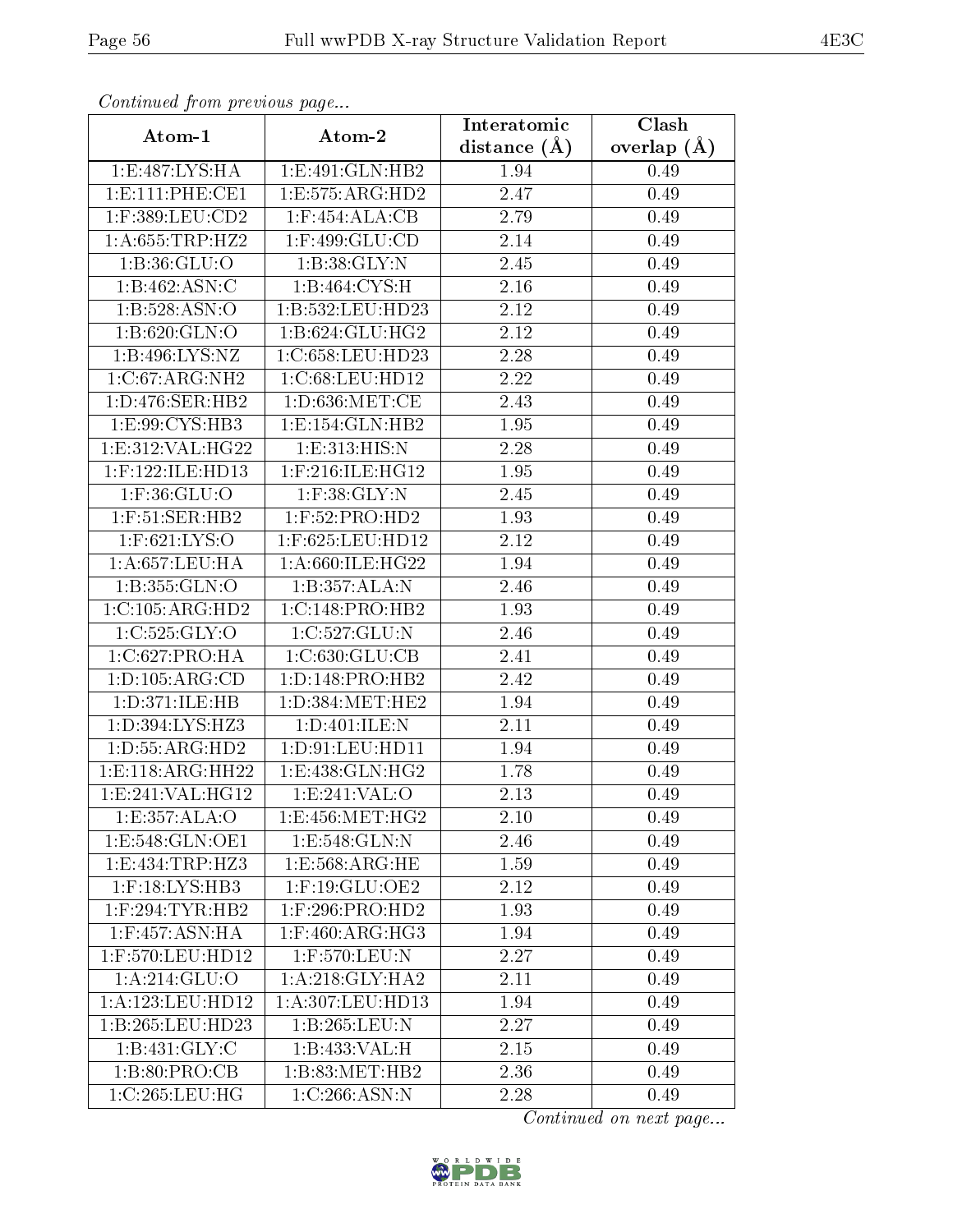| Communa from previous page |                                 | Interatomic       | Clash           |
|----------------------------|---------------------------------|-------------------|-----------------|
| Atom-1                     | Atom-2                          | distance $(A)$    | overlap $(\AA)$ |
| 1:E:487:LYS:HA             | $1: E:491: GLN: \overline{HB2}$ | 1.94              | 0.49            |
| 1: E: 111: PHE: CE1        | 1:E:575:ARG:HD2                 | 2.47              | 0.49            |
| $1:$ F:389:LEU: $CD2$      | $1:$ F:454:ALA:CB               | 2.79              | 0.49            |
| 1: A:655:TRP:HZ2           | $1:$ F:499:GLU:CD               | $\overline{2.14}$ | 0.49            |
| 1: B: 36: GLU:O            | 1:B:38:GLY:N                    | 2.45              | 0.49            |
| 1:B:462:ASN:C              | 1:B:464:CYS:H                   | 2.16              | 0.49            |
| 1: B: 528: ASN:O           | 1:B:532:LEU:HD23                | 2.12              | 0.49            |
| 1:B:620:GLN:O              | 1:B:624:GLU:HG2                 | 2.12              | 0.49            |
| 1:B:496:LYS:NZ             | 1:C:658:LEU:HD23                | 2.28              | 0.49            |
| 1:C:67:ARG:NH2             | 1:C:68:LEU:HD12                 | 2.22              | 0.49            |
| 1: D: 476: SER: HB2        | $1: D:636$ :MET:CE              | 2.43              | 0.49            |
| 1:E:99:CYS:HB3             | 1: E: 154: GLN: HB2             | 1.95              | 0.49            |
| 1: E: 312: VAL: HG22       | 1:E:313:HIS:N                   | 2.28              | 0.49            |
| $1:$ F:122:ILE:HD13        | 1:F:216:ILE:HG12                | 1.95              | 0.49            |
| 1:F:36:GLU:O               | $1:$ F:38: $GLY:$ N             | 2.45              | 0.49            |
| $1:$ F:51:SER:HB2          | 1:F:52:PRO:HD2                  | 1.93              | 0.49            |
| 1:F:621:LYS:O              | 1:F:625:LEU:HD12                | 2.12              | 0.49            |
| $1:$ A:657:LEU:HA          | 1:A:660:ILE:HG22                | 1.94              | 0.49            |
| 1:B:355:GLN:O              | 1:B:357:ALA:N                   | 2.46              | 0.49            |
| 1:C:105:ARG:HD2            | 1:C:148:PRO:HB2                 | 1.93              | 0.49            |
| 1:C:525:GLY:O              | 1:C:527:GLU:N                   | 2.46              | 0.49            |
| 1:C:627:PRO:HA             | 1:C:630:GLU:CB                  | 2.41              | 0.49            |
| 1: D: 105: ARG: CD         | 1: D: 148: PRO: HB2             | 2.42              | 0.49            |
| 1:D:371:ILE:HB             | 1: D: 384: MET: HE2             | 1.94              | 0.49            |
| 1:D:394:LYS:HZ3            | 1:D:401:ILE:N                   | 2.11              | 0.49            |
| 1: D: 55: ARG: HD2         | 1: D: 91: LEU: HD11             | 1.94              | 0.49            |
| 1: E: 118: ARG: HH22       | 1:E:438:GLN:HG2                 | 1.78              | 0.49            |
| 1: E: 241: VAL: HG12       | 1:E:241:VAL:O                   | 2.13              | 0.49            |
| 1:E:357:ALA:O              | 1:E:456:MET:HG2                 | 2.10              | 0.49            |
| 1:E:548:GLN:OE1            | 1:E:548:GLN:N                   | 2.46              | 0.49            |
| 1: E: 434: TRP: HZ3        | 1: E: 568: ARG: HE              | 1.59              | 0.49            |
| $1:$ $F:18:LYS:HB3$        | $1:$ F:19:GLU:OE2               | 2.12              | 0.49            |
| $1:$ F:294:TYR:HB2         | $1:$ F:296:PRO:HD2              | 1.93              | 0.49            |
| 1:F:457:ASN:HA             | $1:$ F:460:ARG:HG3              | 1.94              | 0.49            |
| $1:$ F:570:LEU:HD12        | 1:F:570:LEU:N                   | 2.27              | 0.49            |
| 1: A:214: GLU:O            | 1:A:218:GLY:HA2                 | 2.11              | 0.49            |
| 1:A:123:LEU:HD12           | 1:A:307:LEU:HD13                | 1.94              | 0.49            |
| 1:B:265:LEU:HD23           | 1:B:265:LEU:N                   | 2.27              | 0.49            |
| 1: B: 431: GLY: C          | 1:B:433:VAL:H                   | 2.15              | 0.49            |
| 1: B:80: PRO:CB            | 1:B:83:MET:HB2                  | 2.36              | 0.49            |
| 1:C:265:LEU:HG             | 1:C:266:ASN:N                   | 2.28              | 0.49            |

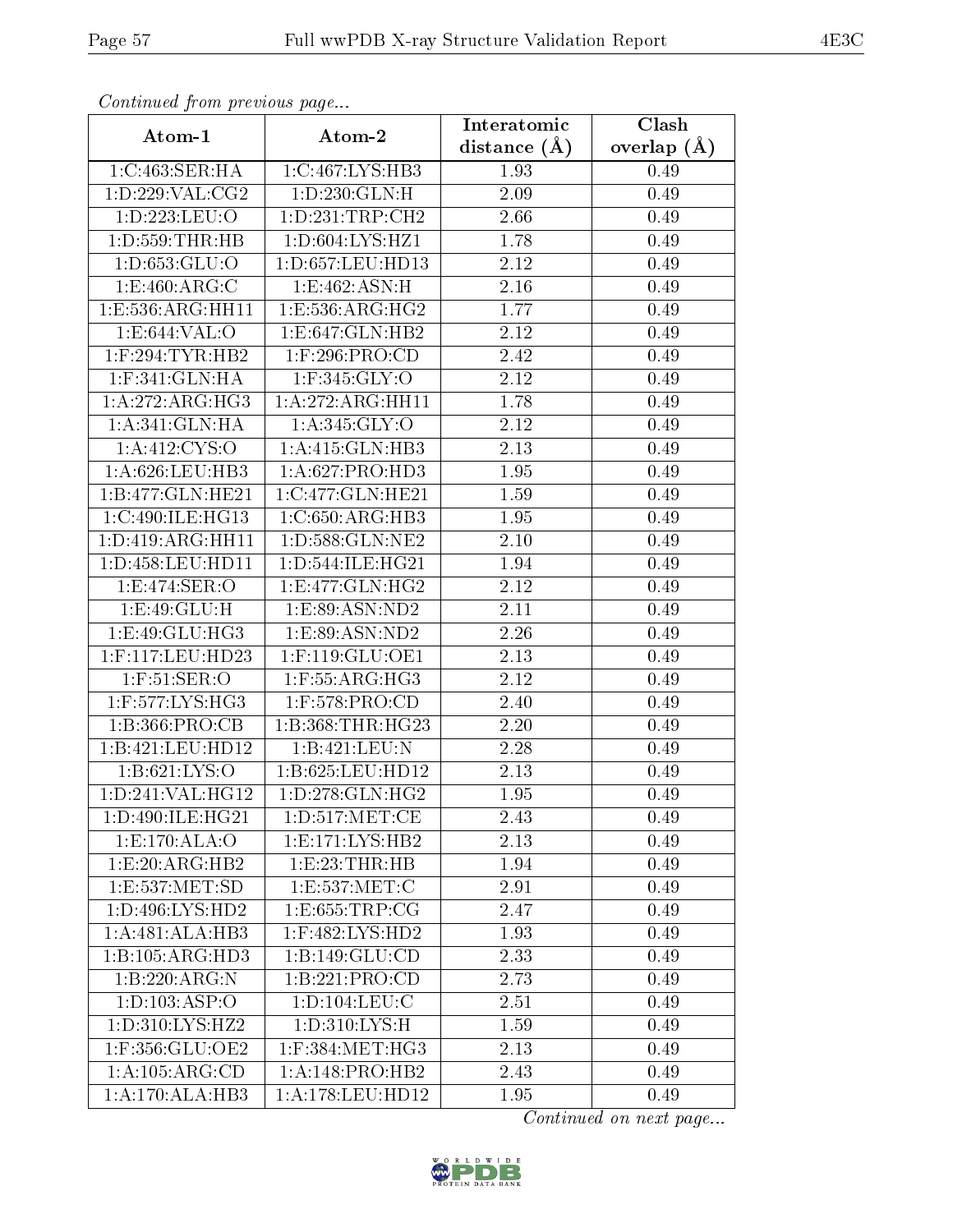| Continuation providuo puga |                                  | Interatomic       | Clash         |
|----------------------------|----------------------------------|-------------------|---------------|
| Atom-1                     | Atom-2                           | distance $(\AA)$  | overlap $(A)$ |
| 1:C:463:SER:HA             | 1:C:467:LYS:HB3                  | 1.93              | 0.49          |
| 1: D: 229: VAL: CG2        | $1: D: 230:$ $\overline{GLN:H}$  | 2.09              | 0.49          |
| 1:D:223:LEU:O              | 1: D: 231: TRP: CH2              | 2.66              | 0.49          |
| $1:$ D:559:THR:HB          | 1: D:604: LYS: HZ1               | 1.78              | 0.49          |
| 1: D: 653: GLU: O          | 1:D:657:LEU:HD13                 | 2.12              | 0.49          |
| 1: E:460: ARG: C           | 1:E:462:ASN:H                    | 2.16              | 0.49          |
| 1:E:536:ARG:HH11           | 1:E:536:ARG:HG2                  | 1.77              | 0.49          |
| 1: E: 644: VAL: O          | $1: E: 647: GLN: H\overline{B2}$ | 2.12              | 0.49          |
| $1:$ F:294:TYR:HB2         | 1:F:296:PRO:CD                   | 2.42              | 0.49          |
| $1:$ F:341:GLN:HA          | 1:F:345:GLY:O                    | 2.12              | 0.49          |
| 1: A:272:ARG:HG3           | 1:A:272:ARG:HH11                 | 1.78              | 0.49          |
| 1:A:341:GLN:HA             | 1:A:345:GLY:O                    | 2.12              | 0.49          |
| 1: A: 412: CYS:O           | 1:A:415:GLN:HB3                  | 2.13              | 0.49          |
| 1: A:626:LEU:HB3           | 1:A:627:PRO:HD3                  | 1.95              | 0.49          |
| 1:B:477:GLN:HE21           | 1:C:477:GLN:HE21                 | 1.59              | 0.49          |
| 1:C:490:ILE:HG13           | 1:C:650:ARG:HB3                  | 1.95              | 0.49          |
| 1: D: 419: ARG: HH11       | 1:D:588:GLN:NE2                  | $\overline{2}.10$ | 0.49          |
| 1:D:458:LEU:HD11           | 1: D: 544: ILE: HG21             | 1.94              | 0.49          |
| 1:E:474:SER:O              | 1: E: 477: GLN: HG2              | 2.12              | 0.49          |
| 1:E:49:GLU:H               | 1:E:89:ASN:ND2                   | 2.11              | 0.49          |
| 1:E:49:GLU:HG3             | 1: E:89: ASN:ND2                 | 2.26              | 0.49          |
| 1:F:117:LEU:HD23           | 1:F:119:GLU:OE1                  | 2.13              | 0.49          |
| $1:$ F:51:SER:O            | 1:F:55:ARG:HG3                   | 2.12              | 0.49          |
| $1:$ F:577:LYS:HG3         | 1:F:578:PRO:CD                   | 2.40              | 0.49          |
| 1:B:366:PRO:CB             | 1:B:368:THR:HG23                 | 2.20              | 0.49          |
| 1:B:421:LEU:HD12           | 1:B:421:LEU:N                    | 2.28              | 0.49          |
| 1: B:621: LYS:O            | 1:B:625:LEU:HD12                 | 2.13              | 0.49          |
| 1:D:241:VAL:HG12           | 1: D: 278: GLN: HG2              | 1.95              | 0.49          |
| 1:D:490:ILE:HG21           | 1:D:517:MET:CE                   | 2.43              | 0.49          |
| 1:E:170:ALA:O              | 1:E:171:LYS:HB2                  | 2.13              | 0.49          |
| 1:E:20:ARG:HB2             | 1:E:23:THR:HB                    | 1.94              | 0.49          |
| 1:E:537:MET:SD             | 1:E:537:MET:C                    | 2.91              | 0.49          |
| 1: D: 496: LYS: HD2        | 1: E: 655: TRP: CG               | 2.47              | 0.49          |
| 1:A:481:ALA:HB3            | 1:F:482:LYS:HD2                  | 1.93              | 0.49          |
| 1:B:105:ARG:HD3            | 1: B: 149: GLU: CD               | 2.33              | 0.49          |
| 1:B:220:ARG:N              | 1:B:221:PRO:CD                   | 2.73              | 0.49          |
| 1:D:103:ASP:O              | 1: D: 104: LEU: C                | 2.51              | 0.49          |
| 1: D: 310: LYS: HZ2        | 1: D: 310: LYS: H                | 1.59              | 0.49          |
| 1:F:356:GLU:OE2            | $1:$ F:384:MET:HG3               | 2.13              | 0.49          |
| 1:A:105:ARG:CD             | 1:A:148:PRO:HB2                  | 2.43              | 0.49          |
| 1: A:170:ALA:HB3           | 1:A:178:LEU:HD12                 | 1.95              | 0.49          |

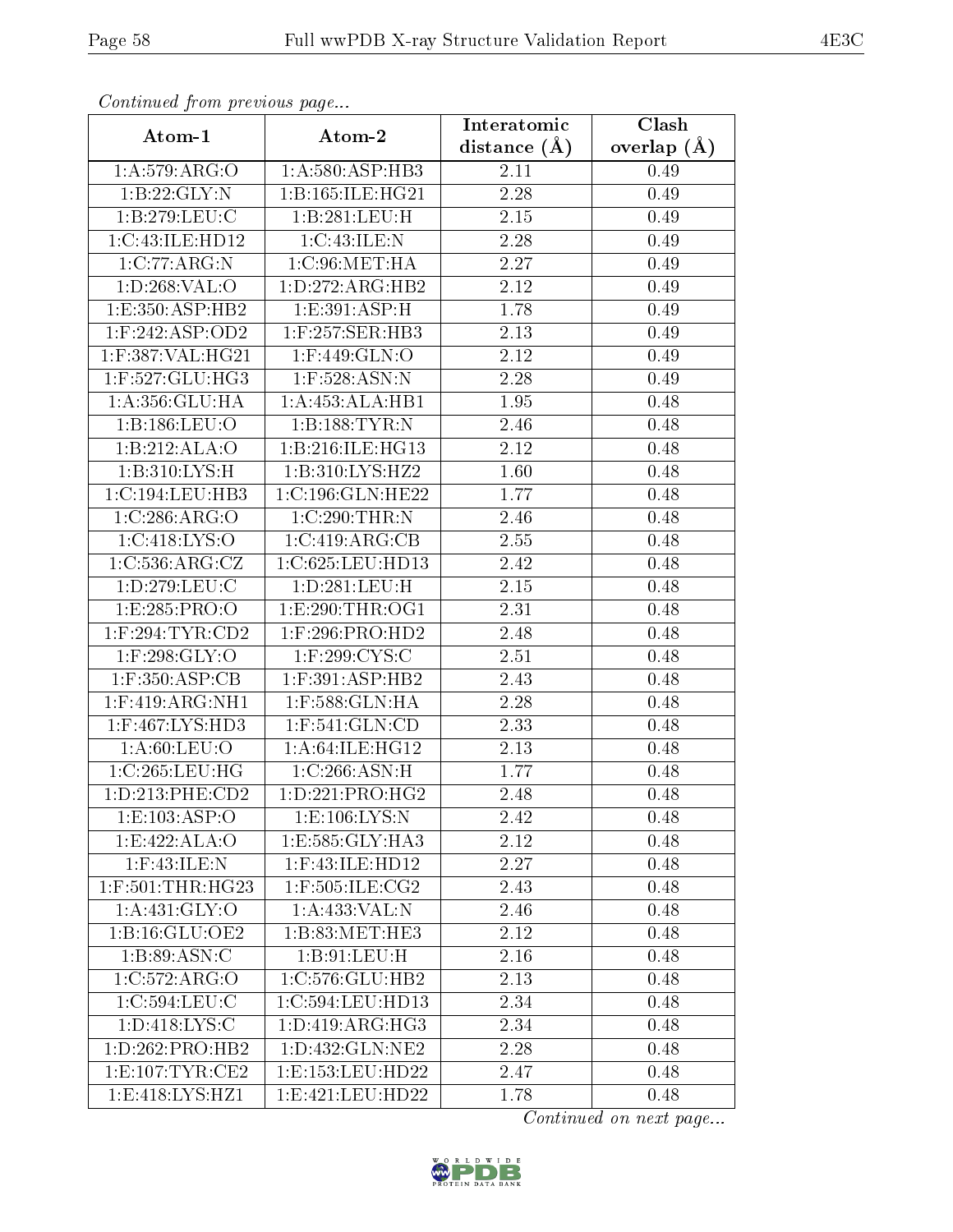| Continuation providuo paga |                      | Interatomic       | Clash         |
|----------------------------|----------------------|-------------------|---------------|
| Atom-1                     | Atom-2               | distance $(A)$    | overlap $(A)$ |
| 1: A:579: ARG:O            | 1: A:580: ASP:HB3    | 2.11              | 0.49          |
| 1:B:22:GLY:N               | 1:B:165:ILE:HG21     | 2.28              | 0.49          |
| 1:B:279:LEU:C              | 1:B:281:LEU:H        | 2.15              | 0.49          |
| 1:C:43:ILE:HD12            | 1:C:43:ILE:N         | 2.28              | 0.49          |
| 1:C:77:ARG:N               | 1:C:96:MET:HA        | 2.27              | 0.49          |
| 1: D:268: VAL:O            | 1: D: 272: ARG: HB2  | 2.12              | 0.49          |
| 1:E:350:ASP:HB2            | 1:E:391:ASP:H        | 1.78              | 0.49          |
| $1:$ F:242:ASP:OD2         | $1:$ F:257:SER:HB3   | 2.13              | 0.49          |
| 1:F:387:VAL:HG21           | 1:F:449:GLN:O        | 2.12              | 0.49          |
| 1:F:527:GLU:HG3            | 1:F:528:ASN:N        | 2.28              | 0.49          |
| 1:A:356:GLU:HA             | 1:A:453:ALA:HB1      | 1.95              | 0.48          |
| 1:B:186:LEU:O              | 1:B:188:TYR:N        | 2.46              | 0.48          |
| 1:B:212:ALA:O              | 1:B:216:ILE:HG13     | 2.12              | 0.48          |
| 1: B: 310: LYS:H           | 1: B:310: LYS: HZ2   | 1.60              | 0.48          |
| 1:C:194:LEU:HB3            | 1:C:196:GLN:HE22     | 1.77              | 0.48          |
| 1:C:286:ARG:O              | 1:C:290:THR:N        | 2.46              | 0.48          |
| 1:C:418:LYS:O              | 1:C:419:ARG:CB       | $\overline{2}.55$ | 0.48          |
| 1:C:536:ARG:CZ             | 1:C:625:LEU:HD13     | 2.42              | 0.48          |
| 1: D: 279: LEU: C          | 1:D:281:LEU:H        | 2.15              | 0.48          |
| 1:E:285:PRO:O              | 1: E:290: THR:OG1    | 2.31              | 0.48          |
| $1:$ F:294:TYR:CD2         | $1:$ F:296:PRO:HD2   | 2.48              | 0.48          |
| $1:$ F:298:GLY:O           | $1:$ F:299:CYS:C     | 2.51              | 0.48          |
| $1:$ F:350:ASP:CB          | $1:$ F:391:ASP:HB2   | 2.43              | 0.48          |
| $1:$ F:419:ARG:NH1         | $1:$ F:588:GLN:HA    | 2.28              | 0.48          |
| $1:$ F:467:LYS:HD3         | $1:$ F:541: $GLN:CD$ | 2.33              | 0.48          |
| 1: A:60: LEU:O             | 1: A:64: ILE: HG12   | 2.13              | 0.48          |
| 1:C:265:LEU:HG             | 1:C:266:ASN:H        | 1.77              | 0.48          |
| 1: D: 213: PHE: CD2        | 1: D: 221: PRO: HG2  | 2.48              | 0.48          |
| 1: E: 103: ASP: O          | 1: E: 106: LYS: N    | 2.42              | 0.48          |
| 1:E:422:ALA:O              | 1:E:585:GLY:HA3      | 2.12              | 0.48          |
| $1:$ F:43:ILE:N            | $1:$ F:43:ILE:HD12   | 2.27              | 0.48          |
| $1:$ F:501:THR:HG23        | 1:F:505:ILE:CG2      | 2.43              | 0.48          |
| 1:A:431:GLY:O              | 1:A:433:VAL:N        | 2.46              | 0.48          |
| 1:B:16:GLU:OE2             | 1:B:83:MET:HE3       | 2.12              | 0.48          |
| 1:B:89:ASN:C               | 1:B:91:LEU:H         | 2.16              | 0.48          |
| 1:C:572:ARG:O              | 1:C:576:GLU:HB2      | 2.13              | 0.48          |
| 1:C:594:LEU:C              | 1:C:594:LEU:HD13     | 2.34              | 0.48          |
| 1: D: 418: LYS: C          | 1: D: 419: ARG: HG3  | 2.34              | 0.48          |
| 1: D: 262: PRO: HB2        | 1:D:432:GLN:NE2      | 2.28              | 0.48          |
| 1:E:107:TYR:CE2            | 1: E: 153: LEU: HD22 | 2.47              | 0.48          |
| 1:E:418:LYS:HZ1            | 1: E: 421: LEU: HD22 | 1.78              | 0.48          |

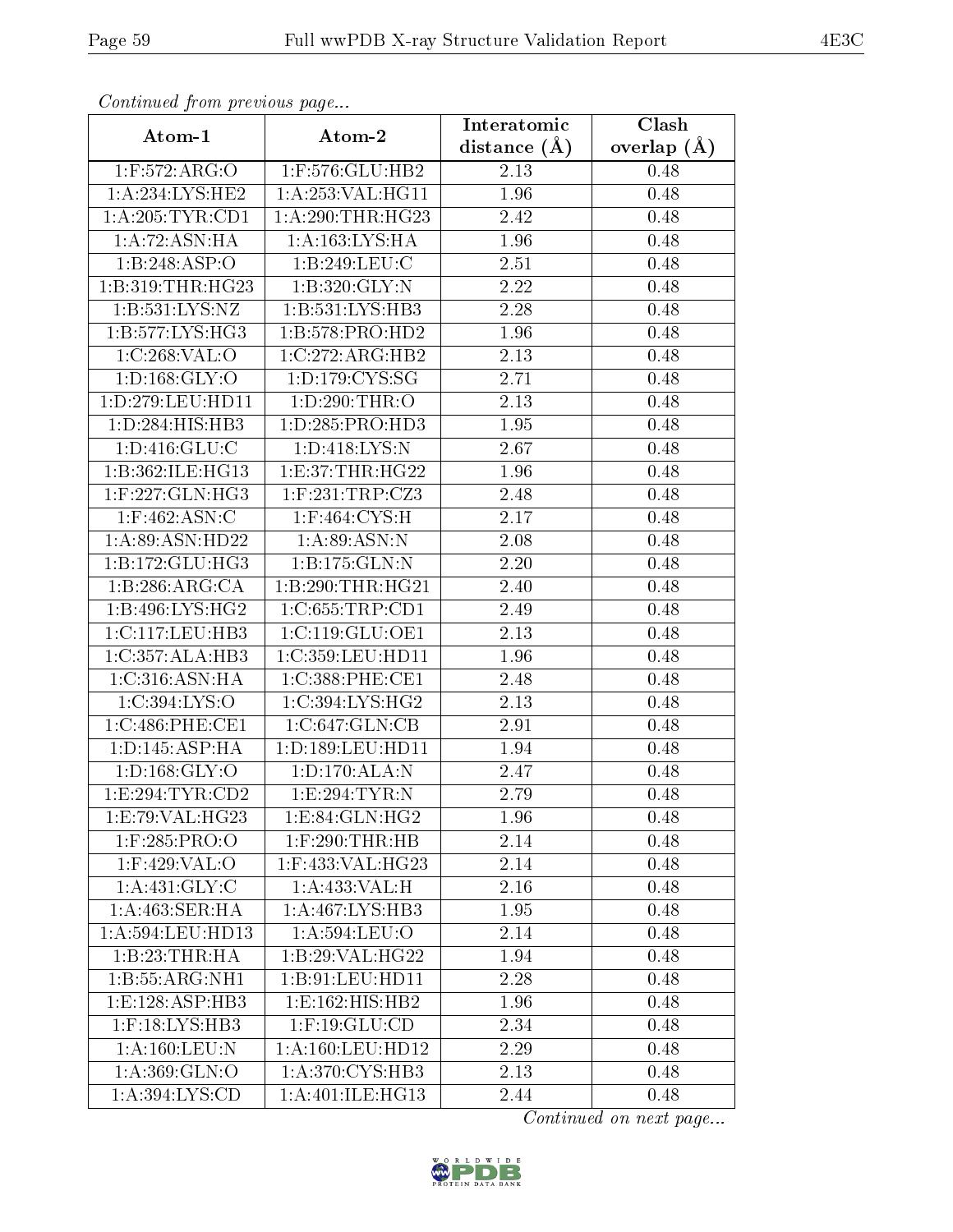| Comunaca jiom previous page |                                | Interatomic    | Clash           |
|-----------------------------|--------------------------------|----------------|-----------------|
| Atom-1                      | Atom-2                         | distance $(A)$ | overlap $(\AA)$ |
| 1:F:572:ARG:O               | 1:F:576:GLU:HB2                | 2.13           | 0.48            |
| 1:A:234:LYS:HE2             | 1:A:253:VAL:HG11               | 1.96           | 0.48            |
| 1: A:205:TYR:CD1            | 1: A:290:THR:HG23              | 2.42           | 0.48            |
| 1:A:72:ASN:HA               | 1: A: 163: LYS: HA             | 1.96           | 0.48            |
| 1:B:248:ASP:O               | 1:B:249:LEU:C                  | 2.51           | 0.48            |
| 1:B:319:THR:HG23            | 1:B:320:GLY:N                  | 2.22           | 0.48            |
| 1: B: 531: LYS: NZ          | 1:B:531:LYS:HB3                | 2.28           | 0.48            |
| 1: B: 577: LYS: HG3         | 1:B:578:PRO:HD2                | 1.96           | 0.48            |
| 1:C:268:VAL:O               | 1:C:272:ARG:HB2                | 2.13           | 0.48            |
| 1: D: 168: GLY: O           | 1:D:179:CYS:SG                 | 2.71           | 0.48            |
| 1:D:279:LEU:HD11            | 1:D:290:THR:O                  | 2.13           | 0.48            |
| 1:D:284:HIS:HB3             | 1:D:285:PRO:HD3                | 1.95           | 0.48            |
| 1: D: 416: GLU: C           | 1:D:418:LYS:N                  | 2.67           | 0.48            |
| 1:B:362:ILE:HG13            | 1: E:37:THR:HG22               | 1.96           | 0.48            |
| $1:$ F:227:GLN:HG3          | $1:$ F:231:TRP:CZ3             | 2.48           | 0.48            |
| $1:$ F:462:ASN:C            | 1:F:464:CYS:H                  | 2.17           | 0.48            |
| 1:A:89:ASN:HD22             | 1: A:89: ASN: N                | 2.08           | 0.48            |
| 1:B:172:GLU:HG3             | 1:B:175:GLN:N                  | 2.20           | 0.48            |
| 1:B:286:ARG:CA              | 1:B:290:THR:HG21               | 2.40           | 0.48            |
| 1:B:496:LYS:HG2             | 1:C:655:TRP:CD1                | 2.49           | 0.48            |
| 1:C:117:LEU:HB3             | 1:C:119:GLU:OE1                | 2.13           | 0.48            |
| 1:C:357:ALA:HB3             | 1:C:359:LEU:HD11               | 1.96           | 0.48            |
| 1:C:316:ASN:HA              | 1:C:388:PHE:CE1                | 2.48           | 0.48            |
| 1:C:394:LYS:O               | 1:C:394:LYS:HG2                | 2.13           | 0.48            |
| 1:C:486:PHE:CE1             | 1:C:647:GLN:CB                 | 2.91           | 0.48            |
| 1: D: 145: ASP: HA          | 1:D:189:LEU:HD11               | 1.94           | 0.48            |
| 1: D: 168: GLY: O           | 1: D: 170: ALA: N              | 2.47           | 0.48            |
| 1: E:294: TYR: CD2          | 1:E:294:TYR:N                  | 2.79           | 0.48            |
| 1:E:79:VAL:HG23             | $1: E:84: GLN: H\overline{G2}$ | 1.96           | 0.48            |
| 1:F:285:PRO:O               | $1:$ $F:290:THR:HB$            | 2.14           | 0.48            |
| 1:F:429:VAL:O               | $1:$ F:433:VAL:HG23            | 2.14           | 0.48            |
| 1:A:431:GLY:C               | 1:A:433:VAL:H                  | 2.16           | 0.48            |
| 1: A:463: SER: HA           | 1:A:467:LYS:HB3                | 1.95           | 0.48            |
| 1:A:594:LEU:HD13            | 1:A:594:LEU:O                  | 2.14           | 0.48            |
| 1:B:23:THR:HA               | 1:B:29:VAL:HG22                | 1.94           | 0.48            |
| 1:B:55:ARG:NH1              | 1:B:91:LEU:HD11                | 2.28           | 0.48            |
| 1: E: 128: ASP: HB3         | 1: E: 162: HIS: HB2            | 1.96           | 0.48            |
| $1:$ F:18:LYS:HB3           | $1:$ F:19:GLU:CD               | 2.34           | 0.48            |
| 1: A: 160: LEU: N           | 1: A: 160: LEU: HD12           | 2.29           | 0.48            |
| 1: A:369: GLN:O             | 1:A:370:CYS:HB3                | 2.13           | 0.48            |
| 1: A:394: LYS: CD           | 1:A:401:ILE:HG13               | 2.44           | 0.48            |

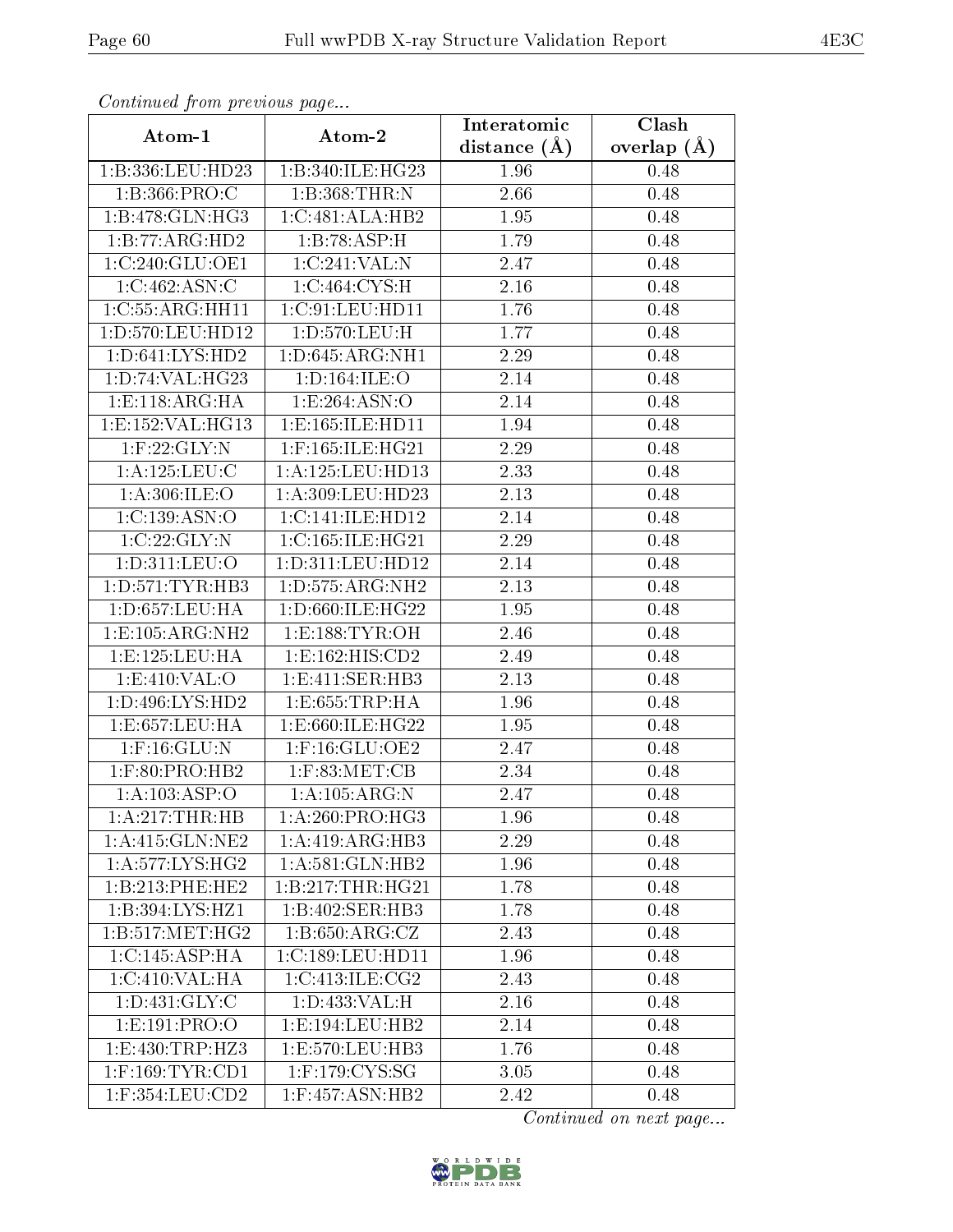| сонинией јтот ртеvиоиз раде |                              | Interatomic       | Clash         |
|-----------------------------|------------------------------|-------------------|---------------|
| Atom-1                      | Atom-2                       | distance $(A)$    | overlap $(A)$ |
| 1:B:336:LEU:HD23            | 1:B:340:ILE:HG23             | 1.96              | 0.48          |
| 1:B:366:PRO:C               | 1:B:368:THR:N                | $\overline{2.66}$ | 0.48          |
| 1:B:478:GLN:HG3             | $1:C:481:ALA:H\overline{B2}$ | 1.95              | 0.48          |
| 1:B:77:ARG:HD2              | 1:B:78:ASP:H                 | 1.79              | 0.48          |
| 1:C:240:GLU:OE1             | 1:C:241:VAL:N                | 2.47              | 0.48          |
| 1:C:462:ASN:C               | 1:C:464:CYS:H                | 2.16              | 0.48          |
| 1:C:55:ARG:HH11             | 1:C:91:LEU:HD11              | 1.76              | 0.48          |
| 1:D:570:LEU:HD12            | 1:D:570:LEU:H                | 1.77              | 0.48          |
| 1: D: 641: LYS: HD2         | 1: D:645: ARG: NH1           | 2.29              | 0.48          |
| 1: D: 74: VAL:HG23          | 1: D: 164: ILE: O            | 2.14              | 0.48          |
| 1:E:118:ARG:HA              | 1:E:264:ASN:O                | 2.14              | 0.48          |
| 1:E:152:VAL:HG13            | 1:E:165:ILE:HD11             | 1.94              | 0.48          |
| $1:$ F:22:GLY:N             | $1:$ F:165:ILE:HG21          | 2.29              | 0.48          |
| 1: A: 125: LEU: C           | 1:A:125:LEU:HD13             | 2.33              | 0.48          |
| 1: A:306: ILE:O             | 1: A:309: LEU: HD23          | 2.13              | 0.48          |
| 1:C:139:ASN:O               | 1:C:141:ILE:HD12             | 2.14              | 0.48          |
| 1:C:22:GLY:N                | 1:C:165:ILE:HG21             | 2.29              | 0.48          |
| 1:D:311:LEU:O               | 1: D: 311: LEU: HD12         | 2.14              | 0.48          |
| 1: D: 571: TYR: HB3         | 1:D:575:ARG:NH2              | 2.13              | 0.48          |
| 1: D: 657: LEU: HA          | 1:D:660:ILE:HG22             | 1.95              | 0.48          |
| 1: E: 105: ARG: NH2         | 1: E: 188: TYR: OH           | 2.46              | 0.48          |
| 1: E: 125: LEU: HA          | 1:E:162:HIS:CD2              | 2.49              | 0.48          |
| 1:E:410:VAL:O               | 1:E:411:SER:HB3              | 2.13              | 0.48          |
| 1: D: 496: LYS: HD2         | 1:E:655:TRP:HA               | 1.96              | 0.48          |
| 1:E:657:LEU:HA              | 1:E:660:ILE:HG22             | 1.95              | 0.48          |
| $1:$ F:16: $GLU:$ N         | 1:F:16:GLU:OE2               | 2.47              | 0.48          |
| $1:$ F:80:PRO:HB2           | $1:$ F:83:MET:CB             | 2.34              | 0.48          |
| 1:A:103:ASP:O               | 1:A:105:ARG:N                | 2.47              | 0.48          |
| 1:A:217:THR:HB              | 1: A:260:PRO:HG3             | 1.96              | 0.48          |
| 1: A:415: GLN: NE2          | 1:A:419:ARG:HB3              | 2.29              | 0.48          |
| 1: A:577: LYS: HG2          | 1: A:581: GLN:HB2            | 1.96              | 0.48          |
| 1:B:213:PHE:HE2             | 1: B: 217: THR: HG21         | 1.78              | 0.48          |
| 1:B:394:LYS:HZ1             | 1:B:402:SER:HB3              | 1.78              | 0.48          |
| 1:B:517:MET:HG2             | 1:B:650:ARG:CZ               | 2.43              | 0.48          |
| 1:C:145:ASP:HA              | 1:C:189:LEU:HD11             | 1.96              | 0.48          |
| 1:C:410:VAL:H A             | 1:C:413:ILE:CG2              | 2.43              | 0.48          |
| 1: D:431: GLY: C            | 1:D:433:VAL:H                | 2.16              | 0.48          |
| 1:E:191:PRO:O               | 1:E:194:LEU:HB2              | 2.14              | 0.48          |
| 1: E: 430: TRP: HZ3         | 1:E:570:LEU:HB3              | 1.76              | 0.48          |
| $1:$ F:169:TYR:CD1          | $1:$ F:179:CYS:SG            | 3.05              | 0.48          |
| $1:$ F:354:LEU: $CD2$       | 1:F:457:ASN:HB2              | 2.42              | 0.48          |

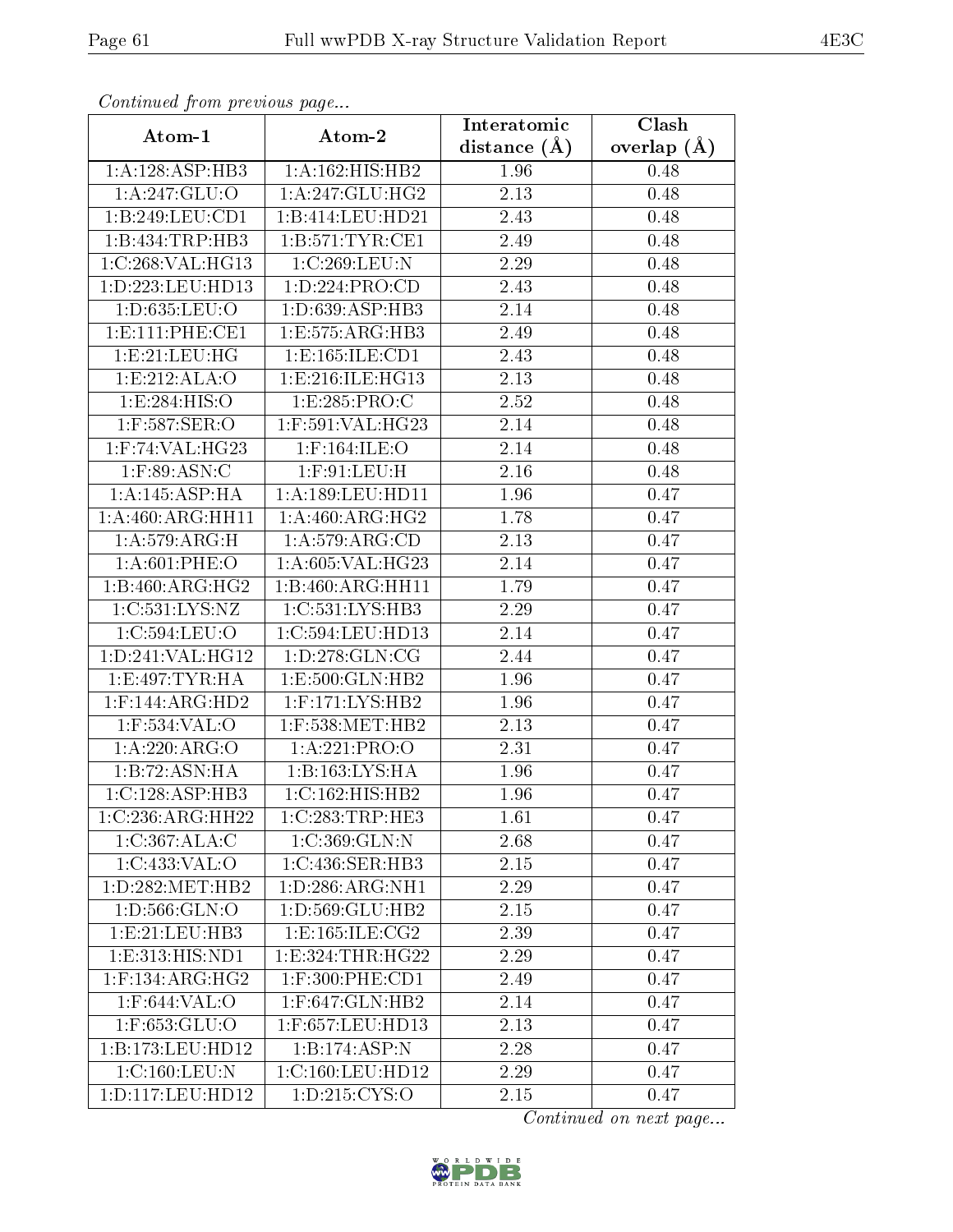| Continuea jioin pievivus page        |                                  | Interatomic       | $\overline{\text{Clash}}$ |
|--------------------------------------|----------------------------------|-------------------|---------------------------|
| Atom-1                               | Atom-2                           | distance $(A)$    | overlap $(A)$             |
| 1:A:128:ASP:HB3                      | 1:A:162:HIS:HB2                  | 1.96              | 0.48                      |
| 1: A:247: GLU:O                      | 1:A:247:GLU:HG2                  | 2.13              | 0.48                      |
| 1:B:249:LEU:CD1                      | 1:B:414:LEU:HD21                 | 2.43              | 0.48                      |
| 1:B:434:TRP:HB3                      | 1: B:571: TYR: CE1               | 2.49              | 0.48                      |
| 1:C:268:VAL:HG13                     | 1:C:269:LEU:N                    | 2.29              | 0.48                      |
| 1:D:223:LEU:HD13                     | 1:D:224:PRO:CD                   | 2.43              | 0.48                      |
| 1:D:635:LEU:O                        | 1:D:639:ASP:HB3                  | $\overline{2}.14$ | 0.48                      |
| 1: E: 111: PHE: CE1                  | 1:E:575:ARG:HB3                  | 2.49              | 0.48                      |
| 1:E:21:EU:HG                         | 1:E:165:ILE:CD1                  | $\overline{2}.43$ | 0.48                      |
| 1:E:212:ALA:O                        | 1: E: 216: ILE: HG13             | 2.13              | 0.48                      |
| 1:E:284:HIS:O                        | 1:E:285:PRO:C                    | 2.52              | 0.48                      |
| $1:$ F:587:SER:O                     | $1:$ F:591:VAL:HG23              | 2.14              | 0.48                      |
| $1:$ F:74:VAL:HG23                   | $1:$ F:164:ILE:O                 | 2.14              | 0.48                      |
| $1:$ F:89:ASN:C                      | $1:$ F:91:LEU:H                  | 2.16              | 0.48                      |
| 1:A:145:ASP:HA                       | 1: A: 189: LEU: HD11             | 1.96              | 0.47                      |
| 1:A:460:ARG:HH11                     | 1: A:460:ARG:HG2                 | 1.78              | 0.47                      |
| 1: A:579:ARG:H                       | 1: A:579: ARG:CD                 | 2.13              | 0.47                      |
| 1: A:601:PHE:O                       | 1:A:605:VAL:HG23                 | 2.14              | 0.47                      |
| $1:B:460:A\overline{RG:HG2}$         | 1:B:460:ARG:HH11                 | $\overline{1}.79$ | 0.47                      |
| 1:C:531:LYS:NZ                       | 1:C:531:LYS:HB3                  | 2.29              | 0.47                      |
| 1:C:594:LEU:O                        | 1:C:594:LEU:HD13                 | 2.14              | 0.47                      |
| 1:D:241:VAL:HG12                     | 1: D: 278: GLN: CG               | 2.44              | 0.47                      |
| 1:E:497:TYR:HA                       | 1:E:500:GLN:HB2                  | 1.96              | 0.47                      |
| $1:$ F:144:ARG:HD2                   | 1:F:171:LYS:HB2                  | 1.96              | 0.47                      |
| 1:F:534:VAL:O                        | 1:F:538:MET:HB2                  | 2.13              | 0.47                      |
| 1:A:220:ARG:O                        | 1:A:221:PRO:O                    | $\overline{2}.31$ | 0.47                      |
| 1:B:72:ASN:HA                        | 1:B:163:LYS:HA                   | 1.96              | 0.47                      |
| $1:C:128:ASP:H\overline{B3}$         | 1:C:162:HIS:HB2                  | 1.96              | 0.47                      |
| $1:C:236:ARG:\overline{\text{HH22}}$ | 1:C:283:TRP:HE3                  | 1.61              | 0.47                      |
| 1:C:367:ALA:C                        | 1:C:369:GLN:N                    | 2.68              | 0.47                      |
| 1:C:433:VAL:O                        | 1:C:436:SER:HB3                  | 2.15              | 0.47                      |
| 1: D: 282: MET: HB2                  | 1:D:286:ARG:NH1                  | 2.29              | 0.47                      |
| 1: D: 566: GLN: O                    | 1:D:569:GLU:HB2                  | 2.15              | 0.47                      |
| 1:E:21:LEU:HB3                       | 1:E:165:ILE:CG2                  | 2.39              | 0.47                      |
| 1: E: 313: HIS: ND1                  | 1: E: 324: THR: HG22             | 2.29              | 0.47                      |
| $1:$ F:134:ARG:HG2                   | $1:$ F:300:PHE:CD1               | 2.49              | 0.47                      |
| $1:$ F:644:VAL: $\overline{O}$       | $1:$ F:647:GLN:H $\overline{B2}$ | 2.14              | 0.47                      |
| 1:F:653:GLU:O                        | 1:F:657:LEU:HD13                 | 2.13              | 0.47                      |
| 1:B:173:LEU:HD12                     | 1:B:174:ASP:N                    | 2.28              | 0.47                      |
| 1:C:160:LEU:N                        | 1:C:160:LEU:HD12                 | 2.29              | 0.47                      |
| 1: D: 117: LEU: HD12                 | 1:D:215:CYS:O                    | 2.15              | 0.47                      |

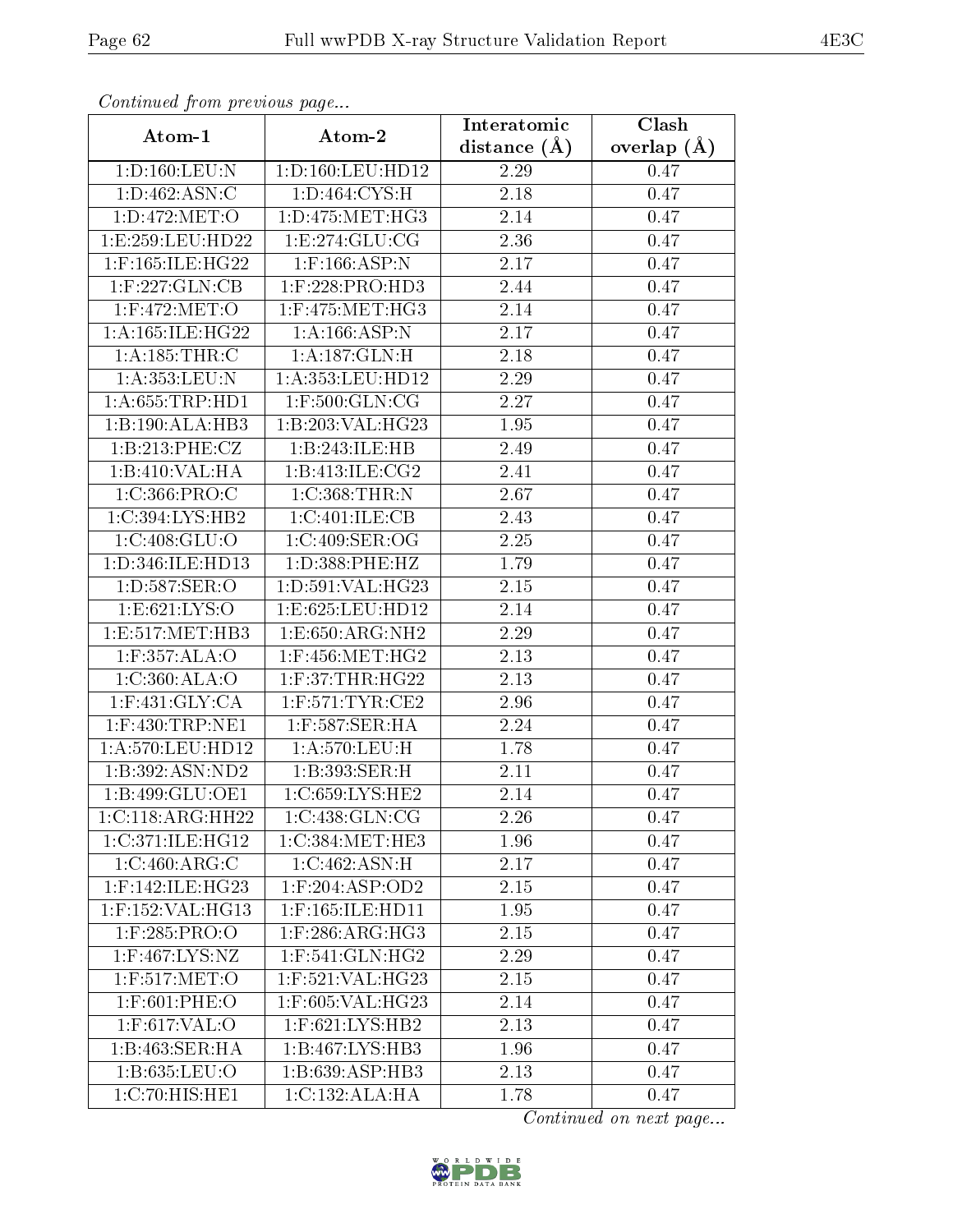| Communica from precious page |                                   | Interatomic       | Clash           |
|------------------------------|-----------------------------------|-------------------|-----------------|
| Atom-1                       | Atom-2                            | distance $(A)$    | overlap $(\AA)$ |
| 1: D: 160: LEU: N            | 1:D:160:LEU:HD12                  | 2.29              | 0.47            |
| 1: D: 462: ASN: C            | 1: D:464: CYS:H                   | $\overline{2}.18$ | 0.47            |
| 1: D: 472: MET: O            | 1: D: 475: MET:HG3                | 2.14              | 0.47            |
| 1:E:259:EU:HD22              | 1: E: 274: GLU: CG                | 2.36              | 0.47            |
| 1:F:165:ILE:HG22             | $1:$ F:166:ASP:N                  | 2.17              | 0.47            |
| $1:$ F:227: $GLN:CB$         | $1:$ F:228:PRO:HD3                | 2.44              | 0.47            |
| $1:$ F:472:MET:O             | $1:$ F:475:MET:HG3                | 2.14              | 0.47            |
| 1: A:165: ILE:HG22           | 1:A:166:ASP:N                     | 2.17              | 0.47            |
| 1:A:185:THR:C                | 1: A:187: GLN:H                   | 2.18              | 0.47            |
| 1:A:353:LEU:N                | 1:A:353:LEU:HD12                  | 2.29              | 0.47            |
| 1: A:655:TRP:HD1             | $1:$ F:500:GLN:CG                 | 2.27              | 0.47            |
| 1:B:190:ALA:HB3              | 1:B:203:VAL:HG23                  | 1.95              | 0.47            |
| 1:B:213:PHE:CZ               | 1:B:243:ILE:HB                    | 2.49              | 0.47            |
| 1:B:410:VAL:HA               | 1:B:413:ILE:CG2                   | 2.41              | 0.47            |
| 1:C:366:PRO:C                | 1:C:368:THR:N                     | 2.67              | 0.47            |
| 1:C:394:LYS:HB2              | 1:C:401:ILE:CB                    | 2.43              | 0.47            |
| 1:C:408:GLU:O                | 1:C:409:SER:OG                    | 2.25              | 0.47            |
| 1:D:346:ILE:HD13             | 1:D:388:PHE:HZ                    | 1.79              | 0.47            |
| 1:D:587:SER:O                | 1:D:591:VAL:HG23                  | 2.15              | 0.47            |
| 1: E:621: LYS:O              | 1:E:625:LEU:HD12                  | 2.14              | 0.47            |
| 1:E:517:MET:HB3              | 1: E: 650: ARG: NH2               | 2.29              | 0.47            |
| 1:F:357:ALA:O                | $1:$ F:456:MET:HG2                | 2.13              | 0.47            |
| 1:C:360:ALA:O                | $1:$ F:37:THR:HG22                | 2.13              | 0.47            |
| $1:$ F:431:GLY:CA            | $1:$ F:571:TYR:CE2                | $\overline{2.96}$ | 0.47            |
| $1:$ F:430:TRP:NE1           | $1:$ F:587:SER:HA                 | 2.24              | 0.47            |
| 1:A:570:LEU:HD12             | 1:A:570:LEU:H                     | 1.78              | 0.47            |
| 1:B:392:ASN:ND2              | 1:B:393:SER:H                     | 2.11              | 0.47            |
| 1:B:499:GLU:OE1              | 1:C:659:LYS:HE2                   | 2.14              | 0.47            |
| 1:C:118:ARG:HH22             | 1:C:438:GLN:CG                    | 2.26              | 0.47            |
| 1:C:371:ILE:HG12             | 1:C:384:MET:HE3                   | 1.96              | 0.47            |
| 1:C:460:ARG:C                | $1:C:462.\overline{\text{ASN:H}}$ | 2.17              | 0.47            |
| $1:$ F:142:ILE:HG23          | $1:$ F:204:ASP:OD2                | 2.15              | 0.47            |
| 1:F:152:VAL:HG13             | 1:F:165:ILE:HD11                  | 1.95              | 0.47            |
| 1:F:285:PRO:O                | $1:$ F:286:ARG:HG3                | 2.15              | 0.47            |
| 1:F:467:LYS:NZ               | $1:$ F:541:GLN:HG2                | 2.29              | 0.47            |
| 1:F:517:MET:O                | 1:F:521:VAL:HG23                  | 2.15              | 0.47            |
| 1:F:601:PHE:O                | 1:F:605:VAL:HG23                  | 2.14              | 0.47            |
| $1:$ F:617:VAL:O             | $1:$ F:621:LYS:HB2                | 2.13              | 0.47            |
| 1:B:463:SER:HA               | 1:B:467:LYS:HB3                   | 1.96              | 0.47            |
| 1: B: 635: LEU: O            | 1:B:639:ASP:HB3                   | 2.13              | 0.47            |
| 1:C:70:HIS:HE1               | 1:C:132:ALA:HA                    | 1.78              | 0.47            |

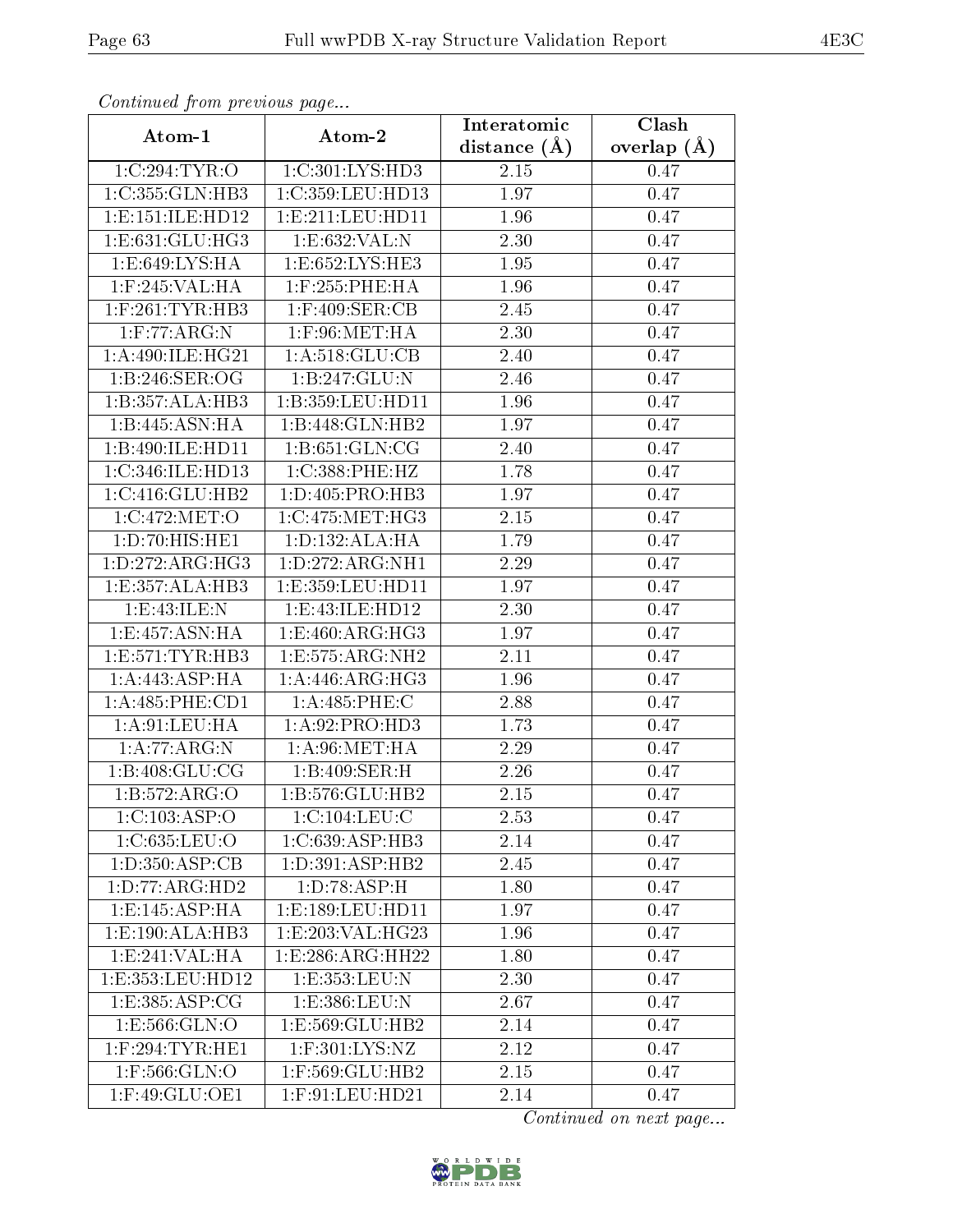| Commuca from previous page         |                               | Interatomic       | Clash         |
|------------------------------------|-------------------------------|-------------------|---------------|
| Atom-1                             | Atom-2                        | distance $(A)$    | overlap $(A)$ |
| 1:C:294:TYR:O                      | 1:C:301:LYS:HD3               | 2.15              | 0.47          |
| 1:C:355:GLN:HB3                    | 1:C:359:LEU:HD13              | 1.97              | 0.47          |
| 1: E: 151: ILE: HD12               | 1: E: 211: LEU: HD11          | 1.96              | 0.47          |
| 1:E:631:GLU:HG3                    | 1:E:632:VAL:N                 | 2.30              | 0.47          |
| 1: E:649: LYS: HA                  | 1: E: 652: LYS: HE3           | 1.95              | 0.47          |
| 1:F:245:VAL:HA                     | 1:F:255:PHE:HA                | 1.96              | 0.47          |
| $1:$ F:261:TYR:HB3                 | $1:$ F:409:SER:CB             | 2.45              | 0.47          |
| 1: F:77: ARG:N                     | $1:$ F:96:MET:HA              | 2.30              | 0.47          |
| 1: A:490: ILE: HG21                | 1: A:518: GLU:CB              | 2.40              | 0.47          |
| 1:B:246:SER:OG                     | 1:B:247:GLU:N                 | 2.46              | 0.47          |
| 1:B:357:ALA:HB3                    | 1:B:359:LEU:HD11              | 1.96              | 0.47          |
| 1:B:445:ASN:HA                     | 1:B:448:GLN:HB2               | 1.97              | 0.47          |
| 1:B:490:ILE:HD11                   | 1: B:651: GLN:CG              | 2.40              | 0.47          |
| 1:C:346:ILE:HD13                   | 1:C:388:PHE:HZ                | 1.78              | 0.47          |
| 1:C:416:GLU:HB2                    | 1:D:405:PRO:HB3               | 1.97              | 0.47          |
| 1:C:472:MET:O                      | 1:C:475:MET:HG3               | 2.15              | 0.47          |
| 1:D:70:HIS:HE1                     | 1: D: 132: ALA: HA            | $\overline{1}.79$ | 0.47          |
| 1: D: 272: ARG: HG3                | 1:D:272:ARG:NH1               | 2.29              | 0.47          |
| 1:E:357:ALA:HB3                    | $1:E:359:LEU:H\overline{D11}$ | 1.97              | 0.47          |
| 1: E:43: ILE:N                     | 1:E:43:ILE:HD12               | 2.30              | 0.47          |
| 1:E:457:ASN:HA                     | 1:E:460:ARG:HG3               | 1.97              | 0.47          |
| 1: E: 571: TYR: HB3                | 1:E:575:ARG:NH2               | 2.11              | 0.47          |
| 1:A:443:ASP:HA                     | 1:A:446:ARG:HG3               | 1.96              | 0.47          |
| 1:A:485:PHE:CD1                    | 1: A:485: PHE: C              | 2.88              | 0.47          |
| 1: A:91: LEU: HA                   | 1: A:92: PRO:HD3              | 1.73              | 0.47          |
| 1:A:77:ARG:N                       | 1: A:96: MET:HA               | 2.29              | 0.47          |
| 1:B:408:GLU:CG                     | 1:B:409:SER:H                 | 2.26              | 0.47          |
| 1:B:572:ARG:O                      | 1:B:576:GLU:HB2               | 2.15              | 0.47          |
| 1: C: 103: ASP: O                  | 1:C:104:LEU:C                 | 2.53              | 0.47          |
| 1:C:635:LEU:O                      | 1:C:639:ASP:HB3               | 2.14              | 0.47          |
| $1:D:\overline{350:ASP:CB}$        | 1: D:391: ASP:HB2             | 2.45              | 0.47          |
| 1:D:77:ARG:HD2                     | 1: D: 78: ASP:H               | 1.80              | 0.47          |
| $1: E: 145: \overline{\rm ASP:HA}$ | 1:E:189:LEU:HD11              | 1.97              | 0.47          |
| 1:E:190:ALA:HB3                    | 1:E:203:VAL:HG23              | 1.96              | 0.47          |
| 1:E:241:VAL:HA                     | 1: E: 286: ARG: HH22          | 1.80              | 0.47          |
| 1:E:353:LEU:HD12                   | 1:E:353:LEU:N                 | 2.30              | 0.47          |
| 1:E:385:ASP:CG                     | 1:E:386:LEU:N                 | 2.67              | 0.47          |
| 1: E: 566: GLN:O                   | 1:E:569:GLU:HB2               | 2.14              | 0.47          |
| $1:$ F:294:TYR:HE1                 | $1:$ F:301:LYS:NZ             | 2.12              | 0.47          |
| 1:F:566:GLN:O                      | 1:F:569:GLU:HB2               | 2.15              | 0.47          |
| $1:$ F:49:GL $\overline{U:OE1}$    | $1:$ F:91:LEU:HD21            | 2.14              | 0.47          |

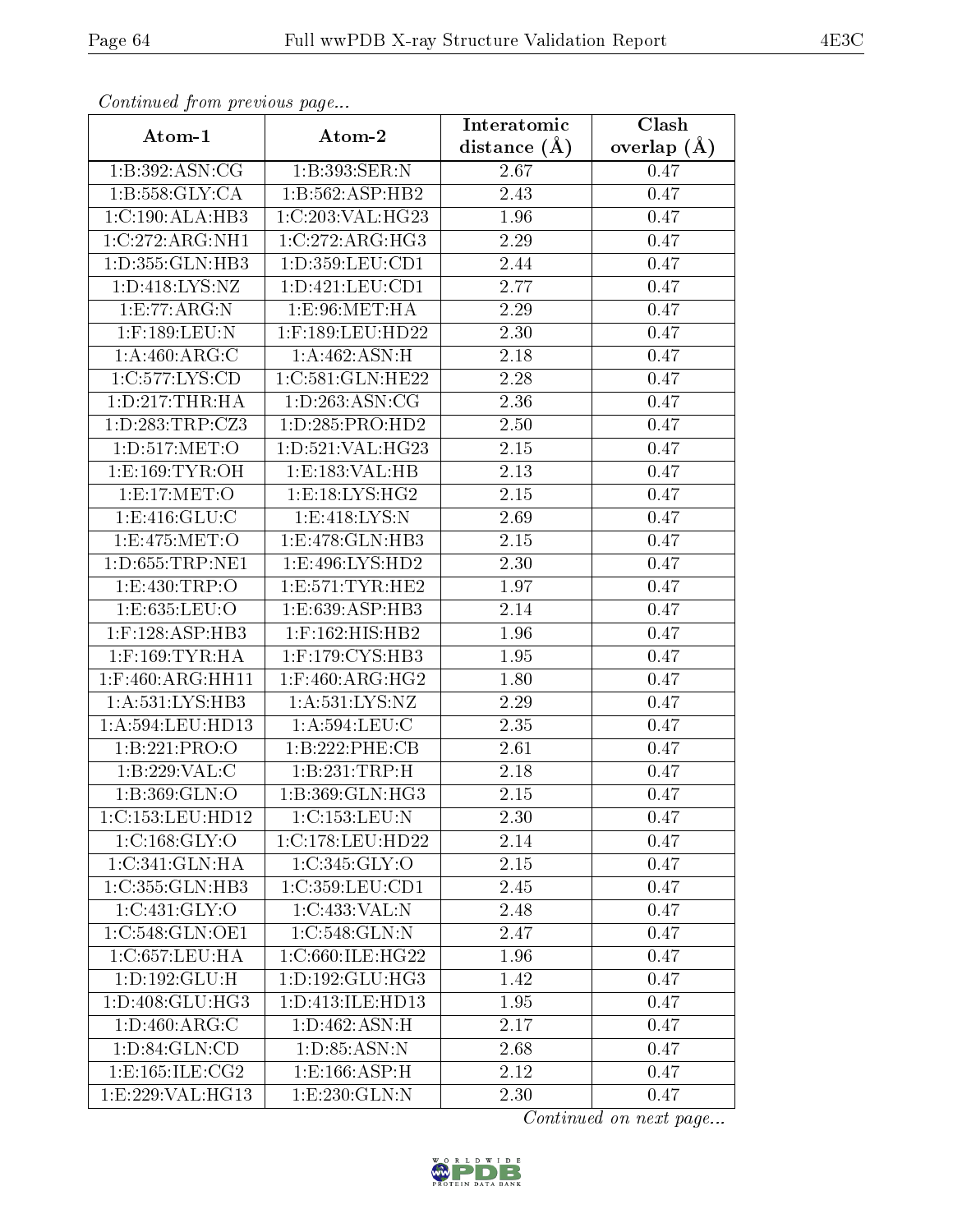| Continuea from previous page |                            | Interatomic       | Clash           |
|------------------------------|----------------------------|-------------------|-----------------|
| Atom-1                       | Atom-2                     | distance $(A)$    | overlap $(\AA)$ |
| 1:B:392:ASN:CG               | 1:B:393:SER:N              | 2.67              | 0.47            |
| 1: B: 558: GLY: CA           | 1:B:562:ASP:HB2            | $\overline{2}.43$ | 0.47            |
| 1:C:190:ALA:HB3              | 1:C:203:VAL:HG23           | 1.96              | 0.47            |
| 1:C:272:ARG:NH1              | 1:C:272:ARG:HG3            | 2.29              | 0.47            |
| 1:D:355:GLN:HB3              | 1: D: 359: LEU: CD1        | 2.44              | 0.47            |
| 1:D:418:LYS:NZ               | 1: D: 421: LEU: CD1        | 2.77              | 0.47            |
| 1: E: 77: ARG: N             | 1: E:96: MET:HA            | 2.29              | 0.47            |
| 1:F:189:LEU:N                | 1:F:189:LEU:HD22           | 2.30              | 0.47            |
| 1:A:460:ARG:C                | 1:A:462:ASN:H              | 2.18              | 0.47            |
| 1:C:577:LYS:CD               | 1:C:581:GLN:HE22           | 2.28              | 0.47            |
| 1: D: 217: THR: HA           | 1: D: 263: ASN: CG         | 2.36              | 0.47            |
| 1: D: 283: TRP: CZ3          | 1:D:285:PRO:HD2            | 2.50              | 0.47            |
| 1:D:517:MET:O                | 1:D:521:VAL:HG23           | 2.15              | 0.47            |
| 1: E: 169: TYR: OH           | 1:E:183:VAL:HB             | 2.13              | 0.47            |
| 1:E:17:MET:O                 | 1: E: 18: LYS: HG2         | 2.15              | 0.47            |
| 1: E:416: GLU: C             | 1: E:418: LYS:N            | 2.69              | 0.47            |
| 1:E:475:MET:O                | 1:E:478:GLN:HB3            | 2.15              | 0.47            |
| 1: D:655: TRP: NE1           | 1: E:496: LYS: HD2         | 2.30              | 0.47            |
| 1:E:430:TRP:O                | 1: E: 571: TYR: HE2        | 1.97              | 0.47            |
| 1:E:635:LEU:O                | 1: E: 639: ASP: HB3        | 2.14              | 0.47            |
| $1:$ F:128:ASP:HB3           | $1:$ F:162:HIS:HB2         | 1.96              | 0.47            |
| $1:$ F:169:TYR:HA            | $1:$ F:179:CYS:HB3         | 1.95              | 0.47            |
| $1:$ F:460:ARG:HH11          | $1:$ F:460:ARG:HG2         | 1.80              | 0.47            |
| 1: A:531:LYS:HB3             | 1: A: 531: LYS: NZ         | 2.29              | 0.47            |
| 1:A:594:LEU:HD13             | 1: A:594:LEU: C            | 2.35              | 0.47            |
| 1:B:221:PRO:O                | 1:B:222:PHE:CB             | $\overline{2}.61$ | 0.47            |
| 1:B:229:VAL:C                | 1:B:231:TRP:H              | 2.18              | 0.47            |
| 1:B:369:GLN:O                | 1:B:369:GLN:HG3            | 2.15              | 0.47            |
| 1:C:153:LEU:HD12             | 1:C:153:LEU:N              | 2.30              | 0.47            |
| 1:C:168:GLY:O                | 1:C:178:LEU:HD22           | 2.14              | 0.47            |
| 1:C:341:GLN:HA               | 1:C:345:GLY:O              | 2.15              | 0.47            |
| 1:C:355:GLN:HB3              | 1:C:359:LEU:CD1            | 2.45              | 0.47            |
| 1:C:431:GLY:O                | 1:C:433:VAL:N              | 2.48              | 0.47            |
| 1:C:548:GLN:OE1              | $1:C:548:GLN:\overline{N}$ | 2.47              | 0.47            |
| 1:C:657:LEU:HA               | 1:C:660:ILE:HG22           | 1.96              | 0.47            |
| 1: D: 192: GLU: H            | 1:D:192:GLU:HG3            | 1.42              | 0.47            |
| 1: D: 408: GLU: HG3          | 1:D:413:ILE:HD13           | 1.95              | 0.47            |
| 1: D: 460: ARG: C            | 1: D:462: ASN:H            | 2.17              | 0.47            |
| 1:D:84:GLN:CD                | 1: D: 85: ASN: N           | 2.68              | 0.47            |
| 1: E: 165: ILE: CG2          | 1: E: 166: ASP:H           | 2.12              | 0.47            |
| 1:E:229:VAL:HG13             | 1: E: 230: GLN: N          | 2.30              | 0.47            |

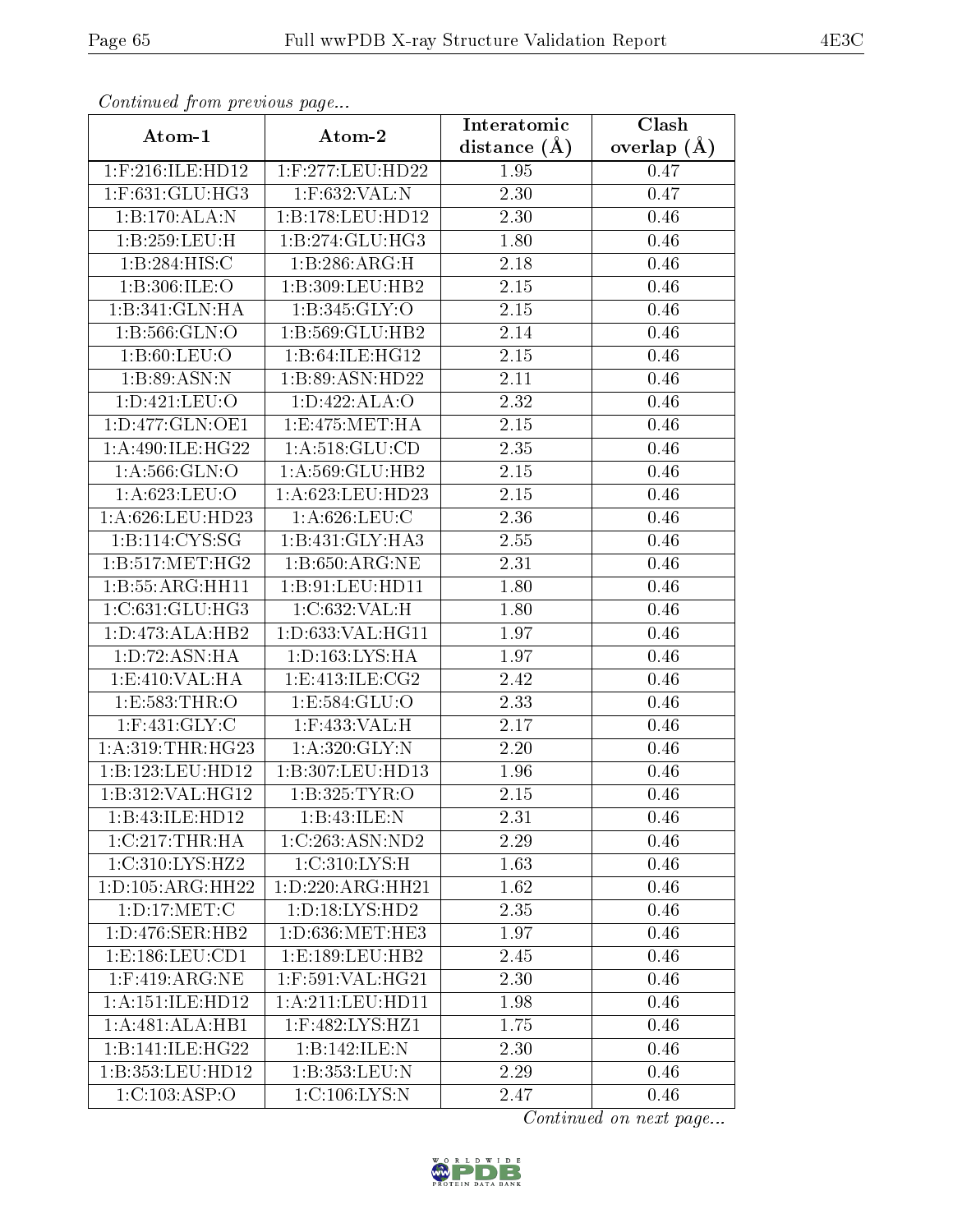| Communa from previous page |                                      | Interatomic       | Clash           |
|----------------------------|--------------------------------------|-------------------|-----------------|
| Atom-1                     | Atom-2                               | distance $(\AA)$  | overlap $(\AA)$ |
| 1:F:216:ILE:HD12           | 1:F:277:LEU:HD22                     | 1.95              | 0.47            |
| $1:$ F:631:GLU:HG3         | 1:F:632:VAL:N                        | $\overline{2.30}$ | 0.47            |
| 1:B:170:ALA:N              | 1:B:178:LEU:HD12                     | 2.30              | 0.46            |
| 1:B:259:LEU:H              | 1:B:274:GLU:HG3                      | 1.80              | 0.46            |
| 1:B:284:HIS:C              | 1:B:286:ARG:H                        | 2.18              | 0.46            |
| 1:B:306:ILE:O              | 1:B:309:LEU:HB2                      | 2.15              | 0.46            |
| 1:B:341:GLN:HA             | 1: B:345: GLY:O                      | 2.15              | 0.46            |
| 1:B:566:GLN:O              | 1:B:569:GLU:HB2                      | 2.14              | 0.46            |
| 1: B:60: LEU:O             | 1:B:64:ILE:HG12                      | 2.15              | 0.46            |
| 1:B:89:ASN:N               | 1:B:89:ASN:HD22                      | 2.11              | 0.46            |
| 1:D:421:LEU:O              | 1: D: 422: ALA: O                    | 2.32              | 0.46            |
| 1:D:477:GLN:OE1            | 1: E:475: MET:HA                     | 2.15              | 0.46            |
| 1: A:490: ILE:HG22         | 1: A:518: GLU:CD                     | 2.35              | 0.46            |
| 1: A:566: GLN:O            | 1:A:569:GLU:HB2                      | 2.15              | 0.46            |
| 1:A:623:LEU:O              | $1:\overline{A}:623:\text{LEU}:HD23$ | 2.15              | 0.46            |
| 1:A:626:LEU:HD23           | 1: A:626:LEU:C                       | 2.36              | 0.46            |
| 1:B:114:CYS:SG             | 1:B:431:GLY:HA3                      | 2.55              | 0.46            |
| 1: B: 517: MET: HG2        | 1:B:650:ARG:NE                       | 2.31              | 0.46            |
| 1:B:55:ARG:HH11            | 1:B:91:LEU:HD11                      | 1.80              | 0.46            |
| 1:C:631:GLU:HG3            | 1:C:632:VAL:H                        | 1.80              | 0.46            |
| 1: D: 473: ALA: HB2        | 1:D:633:VAL:HG11                     | 1.97              | 0.46            |
| 1: D: 72: ASN: HA          | 1: D: 163: LYS: HA                   | 1.97              | 0.46            |
| 1:E:410:VAL:HA             | 1: E: 413: ILE: CG2                  | 2.42              | 0.46            |
| 1:E:583:THR:O              | 1:E:584:GLU:O                        | $\overline{2}.33$ | 0.46            |
| $1:$ F:431:GLY:C           | $1:$ F:433:VAL:H                     | 2.17              | 0.46            |
| 1: A:319:THR:HG23          | 1: A:320: GLY:N                      | 2.20              | 0.46            |
| 1:B:123:LEU:HD12           | 1:B:307:LEU:HD13                     | 1.96              | 0.46            |
| 1:B:312:VAL:HG12           | 1:B:325:TYR:O                        | 2.15              | 0.46            |
| 1:B:43:ILE:HD12            | 1:B:43:ILE:N                         | 2.31              | 0.46            |
| 1:C:217:THR:HA             | 1:C:263:ASN:ND2                      | 2.29              | 0.46            |
| 1:C:310:LYS:HZ2            | 1:C:310:LYS:H                        | 1.63              | 0.46            |
| 1: D: 105: ARG: HH22       | 1:D:220:ARG:HH21                     | 1.62              | 0.46            |
| 1: D: 17: MET: C           | 1: D: 18: LYS: HD2                   | 2.35              | 0.46            |
| 1: D: 476: SER: HB2        | 1:D:636:MET:HE3                      | 1.97              | 0.46            |
| 1: E: 186: LEU: CD1        | 1:E:189:EU:HB2                       | 2.45              | 0.46            |
| $1:$ F:419:ARG:NE          | 1:F:591:VAL:HG21                     | 2.30              | 0.46            |
| 1:A:151:ILE:HD12           | 1: A:211:LEV:HD11                    | 1.98              | 0.46            |
| 1:A:481:ALA:HB1            | 1:F:482:LYS:HZ1                      | 1.75              | 0.46            |
| 1:B:141:ILE:HG22           | 1:B:142:ILE:N                        | 2.30              | 0.46            |
| 1:B:353:LEU:HD12           | 1:B:353:LEU:N                        | 2.29              | 0.46            |
| 1:C:103:ASP:O              | 1:C:106:LYS:N                        | 2.47              | 0.46            |

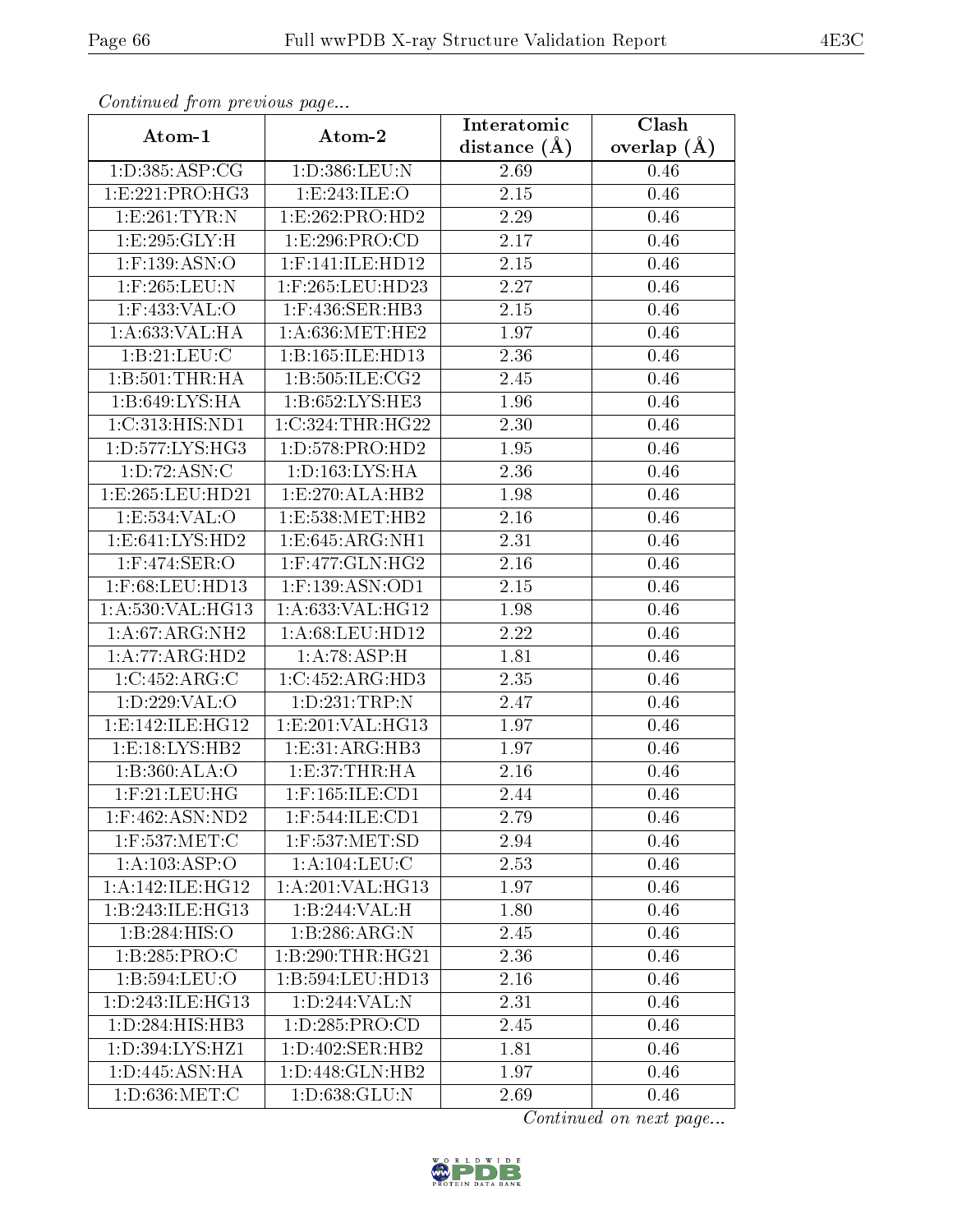| Contentaca prom providuo pago<br>Atom-1 | Atom-2              | Interatomic       | Clash           |
|-----------------------------------------|---------------------|-------------------|-----------------|
|                                         |                     | distance $(A)$    | overlap $(\AA)$ |
| 1: D: 385: ASP: CG                      | 1:D:386:LEU:N       | 2.69              | $0.46\,$        |
| 1:E:221:PRO:HG3                         | 1:E:243:ILE:O       | $\overline{2.15}$ | 0.46            |
| 1:E:261:TYR:N                           | 1:E:262:PRO:HD2     | 2.29              | 0.46            |
| 1:E:295:GLY:H                           | 1:E:296:PRO:CD      | 2.17              | 0.46            |
| 1:F:139:ASN:O                           | $1:$ F:141:ILE:HD12 | $2.15\,$          | 0.46            |
| 1:F:265:LEU:N                           | $1:$ F:265:LEU:HD23 | 2.27              | 0.46            |
| $1:$ F:433:VAL:O                        | 1:F:436:SER:HB3     | $2.15\,$          | 0.46            |
| 1: A:633: VAL:HA                        | 1: A:636:MET:HE2    | 1.97              | 0.46            |
| 1: B: 21: LEU: C                        | 1:B:165:ILE:HD13    | 2.36              | 0.46            |
| 1:B:501:THR:HA                          | 1: B: 505: ILE: CG2 | 2.45              | 0.46            |
| 1:B:649:LYS:HA                          | 1:B:652:LYS:HE3     | 1.96              | 0.46            |
| 1:C:313:HIS:ND1                         | 1:C:324:THR:HG22    | 2.30              | 0.46            |
| 1: D: 577: LYS: HG3                     | 1: D: 578: PRO: HD2 | 1.95              | 0.46            |
| 1: D: 72: ASN: C                        | 1: D: 163: LYS: HA  | 2.36              | 0.46            |
| 1:E:265:LEU:HD21                        | 1: E: 270: ALA: HB2 | 1.98              | 0.46            |
| 1:E:534:VAL:O                           | 1:E:538:MET:HB2     | 2.16              | 0.46            |
| 1: E:641: LYS: HD2                      | 1: E: 645: ARG: NH1 | 2.31              | 0.46            |
| $1:$ F:474:SER:O                        | $1:$ F:477:GLN:HG2  | 2.16              | 0.46            |
| $1:$ F:68:LEU:HD13                      | $1:$ F:139:ASN:OD1  | 2.15              | 0.46            |
| 1:A:530:VAL:HG13                        | 1:A:633:VAL:HG12    | 1.98              | 0.46            |
| 1:A:67:ARG:NH2                          | 1: A:68:LEU:HD12    | 2.22              | 0.46            |
| 1:A:77:ARG:HD2                          | 1:A:78:ASP:H        | 1.81              | 0.46            |
| 1:C:452:ARG:C                           | 1:C:452:ARG:HD3     | 2.35              | 0.46            |
| 1:D:229:VAL:O                           | 1:D:231:TRP:N       | 2.47              | 0.46            |
| 1: E: 142: ILE: HG12                    | 1:E:201:VAL:HG13    | 1.97              | 0.46            |
| 1: E: 18: LYS: HB2                      | 1:E:31:ARG:HB3      | 1.97              | 0.46            |
| 1:B:360:ALA:O                           | 1:E:37:THR:HA       | 2.16              | 0.46            |
| $1:$ F: $21:$ LEU:HG                    | $1:$ F:165:ILE:CD1  | 2.44              | 0.46            |
| $1:$ F:462:ASN:ND2                      | $1:$ F:544:ILE:CD1  | 2.79              | 0.46            |
| $1:$ F:537:MET:C                        | 1:F:537:MET:SD      | 2.94              | 0.46            |
| 1:A:103:ASP:O                           | 1: A: 104: LEU: C   | 2.53              | 0.46            |
| 1: A:142: ILE: HG12                     | 1: A:201:VAL:HG13   | 1.97              | 0.46            |
| 1:B:243:ILE:HG13                        | 1:B:244:VAL:H       | 1.80              | 0.46            |
| 1:B:284:HIS:O                           | 1:B:286:ARG:N       | 2.45              | 0.46            |
| 1:B:285:PRO:C                           | 1:B:290:THR:HG21    | 2.36              | 0.46            |
| 1:B:594:LEU:O                           | 1:B:594:LEU:HD13    | 2.16              | 0.46            |
| 1: D: 243: ILE: HG13                    | 1:D:244:VAL:N       | 2.31              | 0.46            |
| 1: D: 284: HIS: HB3                     | 1: D: 285: PRO:CD   | 2.45              | 0.46            |
| 1: D: 394: LYS: HZ1                     | 1: D:402: SER:HB2   | 1.81              | 0.46            |
| 1: D:445: ASN: HA                       | 1: D: 448: GLN: HB2 | 1.97              | 0.46            |
| 1:D:636:MET:C                           | 1:D:638:GLU:N       | 2.69              | 0.46            |

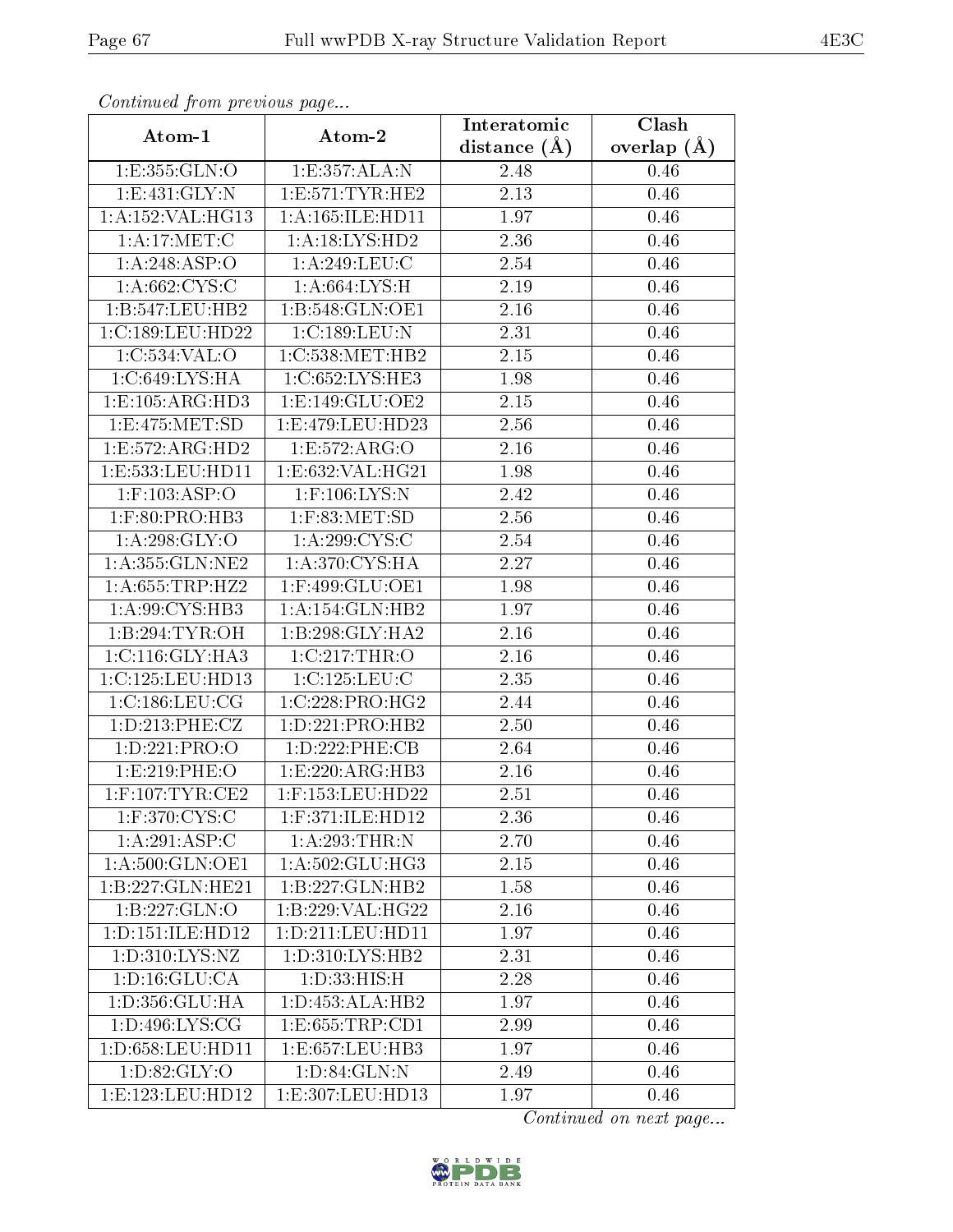| Commuca from previous page |                      | Interatomic       | Clash           |
|----------------------------|----------------------|-------------------|-----------------|
| Atom-1                     | Atom-2               | distance $(A)$    | overlap $(\AA)$ |
| 1:E:355:GLN:O              | 1:E:357:ALA:N        | 2.48              | 0.46            |
| 1: E:431: GLY:N            | 1: E: 571: TYR: HE2  | 2.13              | 0.46            |
| 1: A: 152: VAL: HG13       | 1: A: 165: ILE: HD11 | 1.97              | 0.46            |
| 1: A:17: MET:C             | 1:A:18:LYS:HD2       | 2.36              | 0.46            |
| 1: A:248: ASP:O            | 1:A:249:LEU:C        | 2.54              | 0.46            |
| 1: A:662:CYS:C             | 1: A:664: LYS:H      | 2.19              | 0.46            |
| 1:B:547:LEU:HB2            | 1:B:548:GLN:OE1      | 2.16              | 0.46            |
| 1:C:189:LEU:HD22           | 1:C:189:LEU:N        | 2.31              | 0.46            |
| 1:C:534:VAL:O              | 1:C:538:MET:HB2      | $2.15\,$          | 0.46            |
| 1: C:649: LYS: HA          | 1:C:652:LYS:HE3      | 1.98              | 0.46            |
| 1:E:105:ARG:HD3            | 1:E:149:GLU:OE2      | 2.15              | 0.46            |
| 1: E: 475: MET: SD         | 1:E:479:LEU:HD23     | 2.56              | 0.46            |
| 1:E:572:ARG:HD2            | 1:E:572:ARG:O        | 2.16              | 0.46            |
| $1:$ E:533:LEU:HD11        | 1: E: 632: VAL: HG21 | 1.98              | 0.46            |
| $1:$ F:103:ASP:O           | $1:$ F:106:LYS:N     | 2.42              | 0.46            |
| $1:$ F:80:PRO:HB3          | $1:$ F:83:MET:SD     | 2.56              | 0.46            |
| 1: A:298: GLY:O            | 1: A:299: CYS:C      | 2.54              | 0.46            |
| 1: A: 355: GLN: NE2        | 1:A:370:CYS:HA       | 2.27              | 0.46            |
| 1:A:655:TRP:HZ2            | 1:F:499:GLU:OE1      | 1.98              | 0.46            |
| 1:A:99:CYS:HB3             | 1:A:154:GLN:HB2      | 1.97              | 0.46            |
| 1:B:294:TYR:OH             | 1:B:298:GLY:HA2      | 2.16              | 0.46            |
| 1: C: 116: GLY: HA3        | 1:C:217:THR:O        | 2.16              | 0.46            |
| 1:C:125:LEU:HD13           | 1:C:125:LEU:C        | 2.35              | 0.46            |
| 1:C:186:LEU:CG             | 1:C:228:PRO:HG2      | 2.44              | 0.46            |
| 1: D: 213: PHE: CZ         | 1: D: 221: PRO: HB2  | 2.50              | 0.46            |
| 1:D:221:PRO:O              | 1: D: 222: PHE: CB   | $\overline{2.64}$ | 0.46            |
| 1:E:219:PHE:O              | 1:E:220:ARG:HB3      | 2.16              | 0.46            |
| $1:$ F:107:TYR:CE2         | 1:F:153:LEU:HD22     | 2.51              | 0.46            |
| 1:F:370:CYS:C              | 1:F:371:ILE:HD12     | 2.36              | 0.46            |
| 1:A:291:ASP:C              | 1:A:293:THR:N        | 2.70              | 0.46            |
| 1:A:500:GLN:OE1            | 1: A:502: GLU:HG3    | 2.15              | 0.46            |
| 1:B:227:GLN:HE21           | 1:B:227:GLN:HB2      | 1.58              | 0.46            |
| 1:B:227:GLN:O              | 1:B:229:VAL:HG22     | 2.16              | 0.46            |
| 1: D: 151: ILE: HD12       | 1: D: 211: LEU: HD11 | 1.97              | 0.46            |
| 1:D:310:LYS:NZ             | 1: D: 310: LYS: HB2  | 2.31              | 0.46            |
| 1: D: 16: GLU: CA          | 1:D:33:HIS:H         | 2.28              | $0.46\,$        |
| 1: D: 356: GLU: HA         | 1: D: 453: ALA: HB2  | 1.97              | 0.46            |
| 1: D: 496: LYS: CG         | 1:E:655:TRP:CD1      | 2.99              | 0.46            |
| 1: D: 658: LEU: HD11       | 1:E:657:LEU:HB3      | 1.97              | 0.46            |
| 1: D:82: GLY:O             | 1: D:84: GLN:N       | 2.49              | 0.46            |
| 1:E:123:LEU:HD12           | 1:E:307:LEU:HD13     | 1.97              | 0.46            |

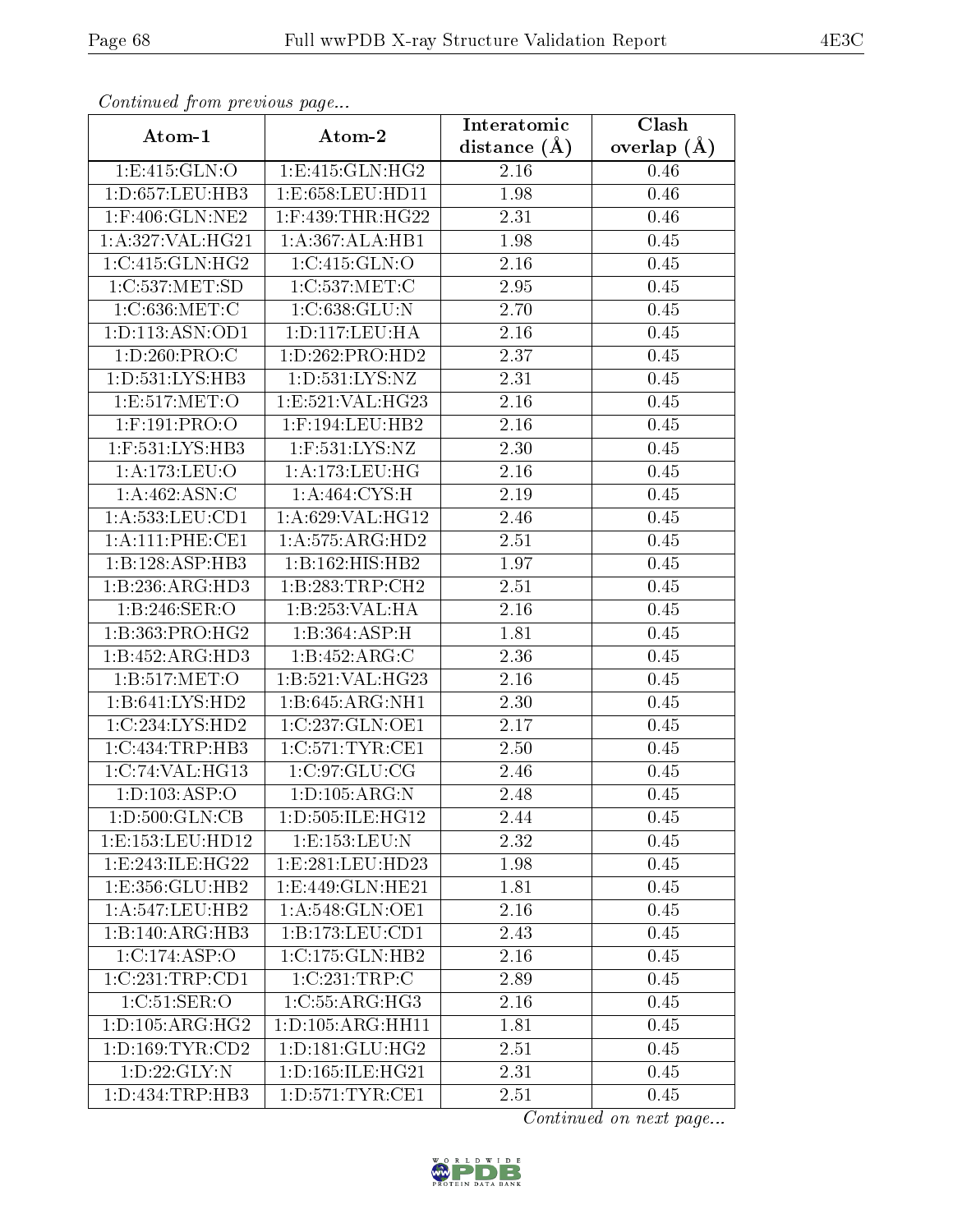| Commaca jibin previous page |                      | Interatomic       | Clash         |
|-----------------------------|----------------------|-------------------|---------------|
| Atom-1                      | Atom-2               | distance $(\AA)$  | overlap $(A)$ |
| 1: E:415: GLN:O             | 1: E: 415: GLN: HG2  | 2.16              | 0.46          |
| 1:D:657:LEU:HB3             | 1:E:658:LEU:HD11     | 1.98              | 0.46          |
| 1:F:406:GLN:NE2             | $1:$ F:439:THR:HG22  | 2.31              | 0.46          |
| 1:A:327:VAL:HG21            | 1:A:367:ALA:HB1      | 1.98              | 0.45          |
| 1:C:415:GLN:HG2             | 1:C:415:GLN:O        | 2.16              | 0.45          |
| 1:C:537:MET:SD              | 1:C:537:MET:C        | 2.95              | 0.45          |
| 1:C:636:MET:C               | 1:C:638:GLU:N        | 2.70              | 0.45          |
| 1: D: 113: ASN: OD1         | 1: D: 117: LEU: HA   | 2.16              | 0.45          |
| 1: D:260: PRO: C            | 1:D:262:PRO:HD2      | 2.37              | 0.45          |
| 1: D: 531: LYS: HB3         | 1: D: 531: LYS: NZ   | 2.31              | 0.45          |
| 1:E:517:MET:O               | 1:E:521:VAL:HG23     | 2.16              | 0.45          |
| 1:F:191:PRO:O               | $1:$ F:194:LEU:HB2   | 2.16              | 0.45          |
| 1:F:531:LYS:HB3             | 1:F:531:LYS:NZ       | 2.30              | 0.45          |
| 1:A:173:LEU:O               | 1:A:173:LEU:HG       | 2.16              | 0.45          |
| 1:A:462:ASN:C               | 1: A:464: CYS:H      | 2.19              | 0.45          |
| 1: A: 533: LEU: CD1         | 1:A:629:VAL:HG12     | 2.46              | 0.45          |
| 1:A:111:PHE:CE1             | 1:A:575:ARG:HD2      | 2.51              | 0.45          |
| 1:B:128:ASP:HB3             | 1:B:162:HIS:HB2      | 1.97              | 0.45          |
| 1:B:236:ARG:HD3             | 1:B:283:TRP:CH2      | 2.51              | 0.45          |
| 1:B:246:SER:O               | 1:B:253:VAL:HA       | 2.16              | 0.45          |
| 1:B:363:PRO:HG2             | 1:B:364:ASP:H        | 1.81              | 0.45          |
| 1:B:452:ARG:HD3             | 1:B:452:ARG:C        | 2.36              | 0.45          |
| 1:B:517:MET:O               | 1:B:521:VAL:HG23     | 2.16              | 0.45          |
| 1:B:641:LYS:HD2             | 1:B:645:ARG:NH1      | $\overline{2}.30$ | 0.45          |
| 1:C:234:LYS:HD2             | 1:C:237:GLN:OE1      | $\overline{2.17}$ | 0.45          |
| 1:C:434:TRP:HB3             | 1:C:571:TYR:CE1      | $\overline{2}.50$ | 0.45          |
| 1:C:74:VAL:HG13             | 1:C:97:GLU:CG        | 2.46              | 0.45          |
| 1: D: 103: ASP: O           | 1: D: 105: ARG: N    | 2.48              | 0.45          |
| 1: D: 500: GLN: CB          | 1: D: 505: ILE: HG12 | 2.44              | 0.45          |
| 1:E:153:EU:HD12             | $1: E: 153:$ LEU:N   | 2.32              | 0.45          |
| 1:E:243:ILE:HG22            | 1: E: 281: LEU: HD23 | 1.98              | 0.45          |
| 1:E:356:GLU:HB2             | 1:E:449:GLN:HE21     | 1.81              | 0.45          |
| 1: A:547:LEU:HB2            | 1: A:548: GLN:OE1    | 2.16              | 0.45          |
| 1:B:140:ARG:HB3             | 1:B:173:LEU:CD1      | 2.43              | 0.45          |
| 1:C:174:ASP:O               | 1:C:175:GLN:HB2      | 2.16              | 0.45          |
| 1:C:231:TRP:CD1             | 1:C:231:TRP:C        | 2.89              | 0.45          |
| 1:C:51:SER:O                | 1:C:55:ARG:HG3       | 2.16              | 0.45          |
| 1: D: 105: ARG: HG2         | 1:D:105:ARG:HH11     | 1.81              | 0.45          |
| 1: D: 169: TYR: CD2         | 1: D: 181: GLU: HG2  | 2.51              | 0.45          |
| 1: D: 22: GLY:N             | 1: D: 165: ILE: HG21 | 2.31              | 0.45          |
| 1: D: 434: TRP: HB3         | 1: D: 571: TYR: CE1  | 2.51              | 0.45          |

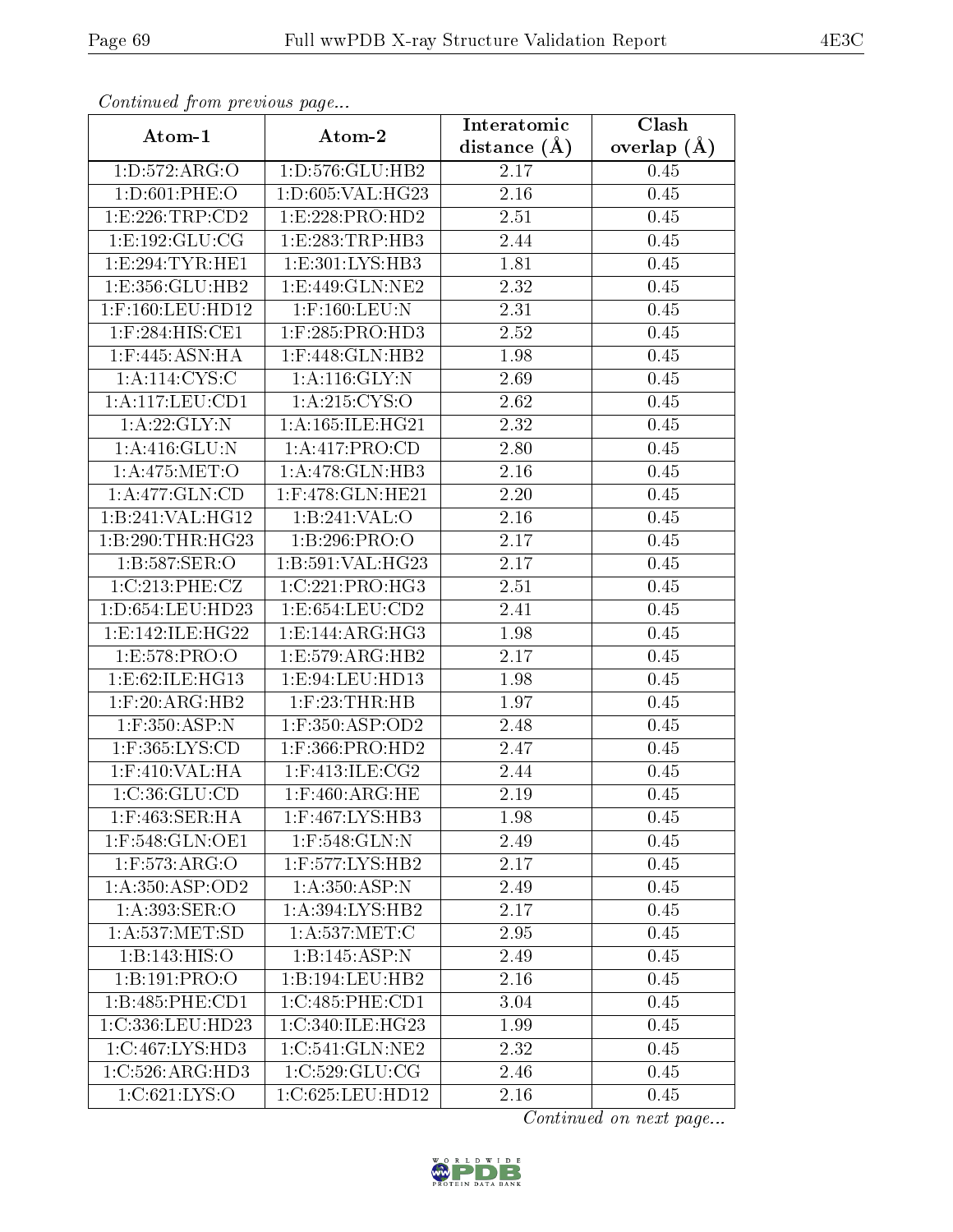| Comunaca jiom previous page       |                                  | Interatomic       | Clash           |
|-----------------------------------|----------------------------------|-------------------|-----------------|
| Atom-1                            | Atom-2                           | distance $(A)$    | overlap $(\AA)$ |
| 1:D:572:ARG:O                     | 1: D: 576: GLU: HB2              | 2.17              | 0.45            |
| 1: D:601: PHE:O                   | 1:D:605:VAL:HG23                 | $\overline{2.16}$ | 0.45            |
| 1:E:226:TRP:CD2                   | 1: E: 228: PRO: HD2              | 2.51              | 0.45            |
| 1: E: 192: GLU: CG                | 1:E:283:TRP:HB3                  | 2.44              | 0.45            |
| 1: E: 294: TYR: HE1               | 1:E:301:LYS:HB3                  | 1.81              | 0.45            |
| 1:E:356:GLU:HB2                   | 1:E:449:GLN:NE2                  | 2.32              | 0.45            |
| 1:F:160:LEU:HD12                  | $1:$ F:160:LEU:N                 | 2.31              | 0.45            |
| $1:$ F:284:HIS:CE1                | $1:$ F:285:PRO:HD3               | 2.52              | 0.45            |
| $1:$ F:445:ASN:HA                 | $1:$ F:448:GLN:HB2               | 1.98              | 0.45            |
| 1: A: 114: CYS: C                 | 1: A:116: GLY:N                  | 2.69              | 0.45            |
| 1:A:117:LEU:CD1                   | 1:A:215:CYS:O                    | 2.62              | 0.45            |
| 1:A:22:GLY:N                      | 1:A:165:ILE:HG21                 | 2.32              | 0.45            |
| 1: A:416: GLU:N                   | 1: A: 417: PRO: CD               | 2.80              | 0.45            |
| 1: A:475: MET:O                   | 1:A:478:GLN:HB3                  | 2.16              | 0.45            |
| 1: A:477: GLN:CD                  | 1:F:478:GLN:HE21                 | 2.20              | 0.45            |
| 1:B:241:VAL:HG12                  | 1:B:241:VAL:O                    | 2.16              | 0.45            |
| 1:B:290:THR:HG23                  | 1:B:296:PRO:O                    | 2.17              | 0.45            |
| 1:B:587:SER:O                     | 1:B:591:VAL:HG23                 | 2.17              | 0.45            |
| 1:C:213:PHE:CZ                    | 1:C:221:PRO:HG3                  | 2.51              | 0.45            |
| 1: D: 654: LEU: HD23              | 1: E: 654: LEU: CD2              | 2.41              | 0.45            |
| 1: E: 142: ILE: HG22              | $1: E: 144: ARG: \overline{HG3}$ | 1.98              | 0.45            |
| 1:E:578:PRO:O                     | 1:E:579:ARG:HB2                  | 2.17              | 0.45            |
| 1: E:62: ILE: HG13                | 1:E:94:LEU:HD13                  | 1.98              | 0.45            |
| $1:$ F:20:ARG:HB2                 | $1:$ $F:23:THR:HB$               | 1.97              | 0.45            |
| $1:$ F:350:ASP:N                  | $1:$ F:350:ASP:OD2               | 2.48              | 0.45            |
| 1:F:365:LYS:CD                    | $1:$ F:366:PRO:HD2               | 2.47              | 0.45            |
| 1:F:410:VAL:HA                    | $1:$ F:413:ILE:CG2               | 2.44              | 0.45            |
| 1:C:36:GLU:CD                     | $1:$ F:460:ARG:HE                | 2.19              | 0.45            |
| $1:$ F:463:SER:HA                 | 1:F:467:LYS:HB3                  | 1.98              | 0.45            |
| 1:F:548:GLN:OE1                   | $1:$ F:548:GLN:N                 | 2.49              | 0.45            |
| $1:$ F:573:AR $\overline{G:O}$    | $1:$ F:577:LYS:HB2               | 2.17              | 0.45            |
| 1: A: 350: ASP: OD2               | 1: A:350:ASP:N                   | 2.49              | 0.45            |
| $1:A:393:\overline{\text{SER:O}}$ | 1: A:394: LYS: HB2               | 2.17              | 0.45            |
| 1: A: 537: MET: SD                | 1: A: 537: MET: C                | 2.95              | 0.45            |
| 1:B:143:HIS:O                     | 1:B:145:ASP:N                    | 2.49              | 0.45            |
| 1:B:191:PRO:O                     | 1:B:194:LEU:HB2                  | 2.16              | 0.45            |
| 1:B:485:PHE:CD1                   | 1:C:485:PHE:CD1                  | 3.04              | 0.45            |
| 1:C:336:LEU:HD23                  | 1:C:340:ILE:HG23                 | 1.99              | 0.45            |
| 1:C:467:LYS:HD3                   | 1:C:541:GLN:NE2                  | 2.32              | 0.45            |
| 1:C:526:ARG:HD3                   | 1:C:529:GLU:CG                   | 2.46              | 0.45            |
| 1:C:621:LYS:O                     | $1:C:625:LE\overline{U:HD12}$    | 2.16              | 0.45            |

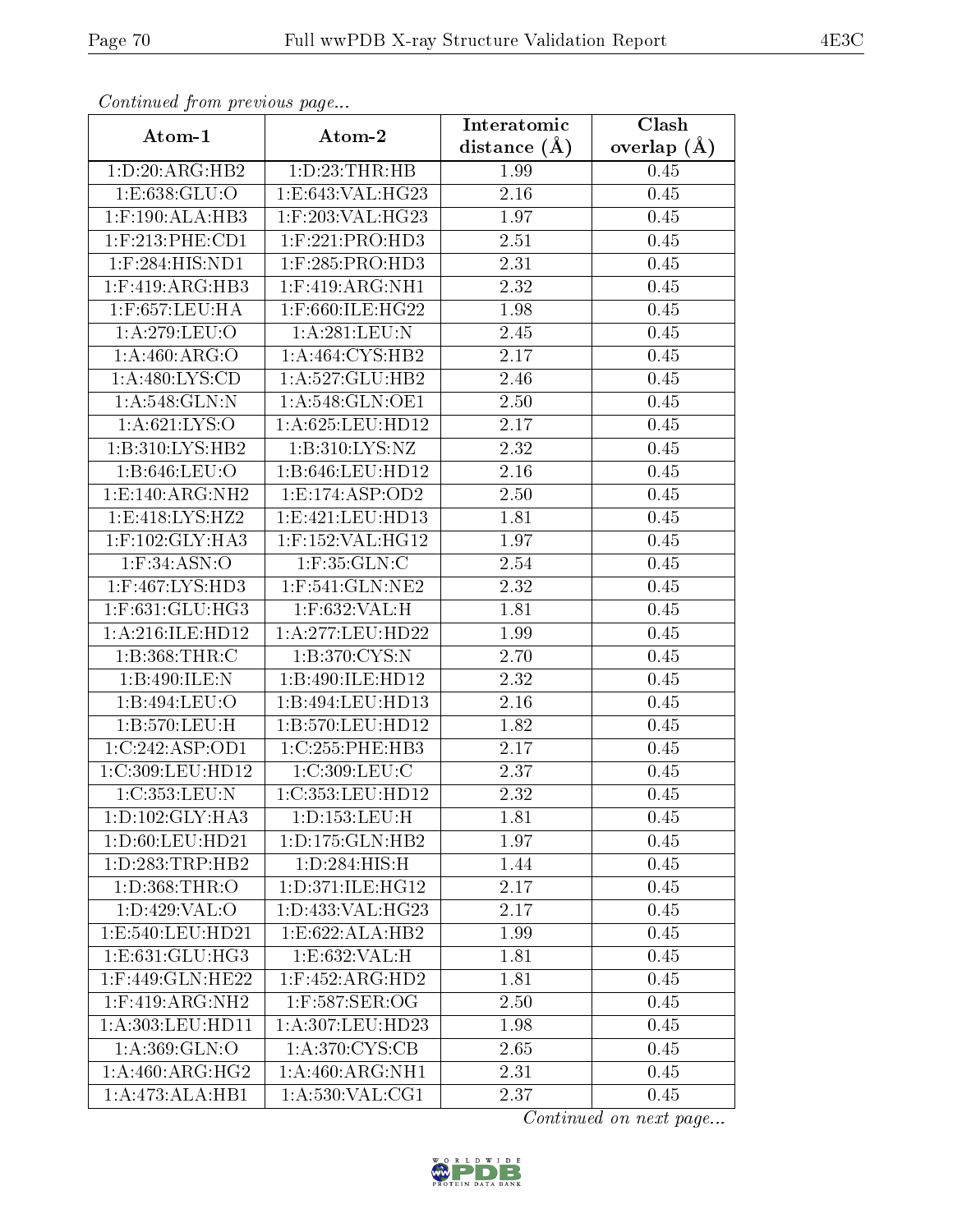| Communa from previous page       |                     | Interatomic    | Clash           |
|----------------------------------|---------------------|----------------|-----------------|
| Atom-1                           | Atom-2              | distance $(A)$ | overlap $(\AA)$ |
| 1: D:20: ARG:HB2                 | 1: D: 23: THR: HB   | 1.99           | 0.45            |
| 1:E:638:GLU:O                    | 1:E:643:VAL:HG23    | 2.16           | 0.45            |
| $1:$ F:190:ALA:HB3               | 1:F:203:VAL:HG23    | 1.97           | 0.45            |
| $1:$ F:213:PHE:CD1               | $1:$ F:221:PRO:HD3  | 2.51           | 0.45            |
| $1:$ F:284:HIS:ND1               | $1:$ F:285:PRO:HD3  | 2.31           | 0.45            |
| $1:$ F:419:ARG:HB3               | $1:$ F:419:ARG:NH1  | 2.32           | 0.45            |
| $1:$ F:657:LEU:HA                | 1:F:660:ILE:HG22    | 1.98           | 0.45            |
| 1:A:279:LEU:O                    | 1: A:281:LEU: N     | 2.45           | 0.45            |
| 1:A:460:ARG:O                    | 1: A:464: CYS:HB2   | 2.17           | 0.45            |
| 1: A:480: LYS:CD                 | 1:A:527:GLU:HB2     | 2.46           | 0.45            |
| 1:A:548:GLN:N                    | 1: A:548: GLN:OE1   | 2.50           | 0.45            |
| 1: A:621:LYS:O                   | 1: A:625: LEU: HD12 | 2.17           | 0.45            |
| 1:B:310:LYS:HB2                  | 1:B:310:LYS:NZ      | 2.32           | 0.45            |
| 1:B:646:LEU:O                    | 1:B:646:LEU:HD12    | 2.16           | 0.45            |
| 1:E:140:ARG:NH2                  | 1:E:174:ASP:OD2     | 2.50           | 0.45            |
| 1:E:418:LYS:HZ2                  | 1:E:421:EU:HD13     | 1.81           | 0.45            |
| $1:$ F:102:GLY:HA3               | 1:F:152:VAL:HG12    | 1.97           | 0.45            |
| $1:$ F:34:ASN:O                  | 1:F:35:GLN:C        | 2.54           | 0.45            |
| 1:F:467:LYS:HD3                  | 1:F:541:GLN:NE2     | 2.32           | 0.45            |
| $1:$ F:631:GLU:HG3               | $1:$ F:632:VAL:H    | 1.81           | 0.45            |
| 1:A:216:ILE:HD12                 | 1:A:277:LEU:HD22    | 1.99           | 0.45            |
| 1: B: 368: THR:C                 | 1: B:370: CYS:N     | 2.70           | 0.45            |
| 1:B:490:ILE:N                    | 1:B:490:ILE:HD12    | 2.32           | 0.45            |
| 1:B:494:LEU:O                    | 1:B:494:LEU:HD13    | 2.16           | 0.45            |
| 1:B:570:LEU:H                    | 1:B:570:LEU:HD12    | 1.82           | 0.45            |
| 1:C:242:ASP:OD1                  | 1:C:255:PHE:HB3     | 2.17           | 0.45            |
| 1:C:309:LEU:HD12                 | 1:C:309:LEU:C       | 2.37           | 0.45            |
| 1:C:353:LEU:N                    | 1:C:353:LEU:HD12    | 2.32           | 0.45            |
| 1: D: 102: GLY: HA3              | 1: D: 153: LEU: H   | 1.81           | 0.45            |
| 1: D:60: LEU:HD21                | 1: D: 175: GLN: HB2 | 1.97           | 0.45            |
| 1: D: 283: TRP: HB2              | 1: D: 284: HIS:H    | 1.44           | 0.45            |
| 1:D:368:THR:O                    | 1: D:371: ILE: HG12 | 2.17           | 0.45            |
| 1: D:429: VAL:O                  | 1:D:433:VAL:HG23    | 2.17           | 0.45            |
| 1:E:540:LEU:HD21                 | 1:E:622:ALA:HB2     | 1.99           | 0.45            |
| $1: E: 631: GLU: H\overline{G3}$ | 1:E:632:VAL:H       | 1.81           | 0.45            |
| 1:F:449:GLN:HE22                 | $1:$ F:452:ARG:HD2  | 1.81           | 0.45            |
| $1:$ F:419:ARG:NH2               | 1:F:587:SER:OG      | 2.50           | 0.45            |
| 1:A:303:LEU:HD11                 | 1:A:307:LEU:HD23    | 1.98           | 0.45            |
| 1: A:369: GLN:O                  | 1: A:370: CYS:CB    | 2.65           | 0.45            |
| 1: A:460:ARG:HG2                 | 1:A:460:ARG:NH1     | 2.31           | 0.45            |
| 1:A:473:ALA:HB1                  | 1: A:530: VAL:CG1   | 2.37           | 0.45            |

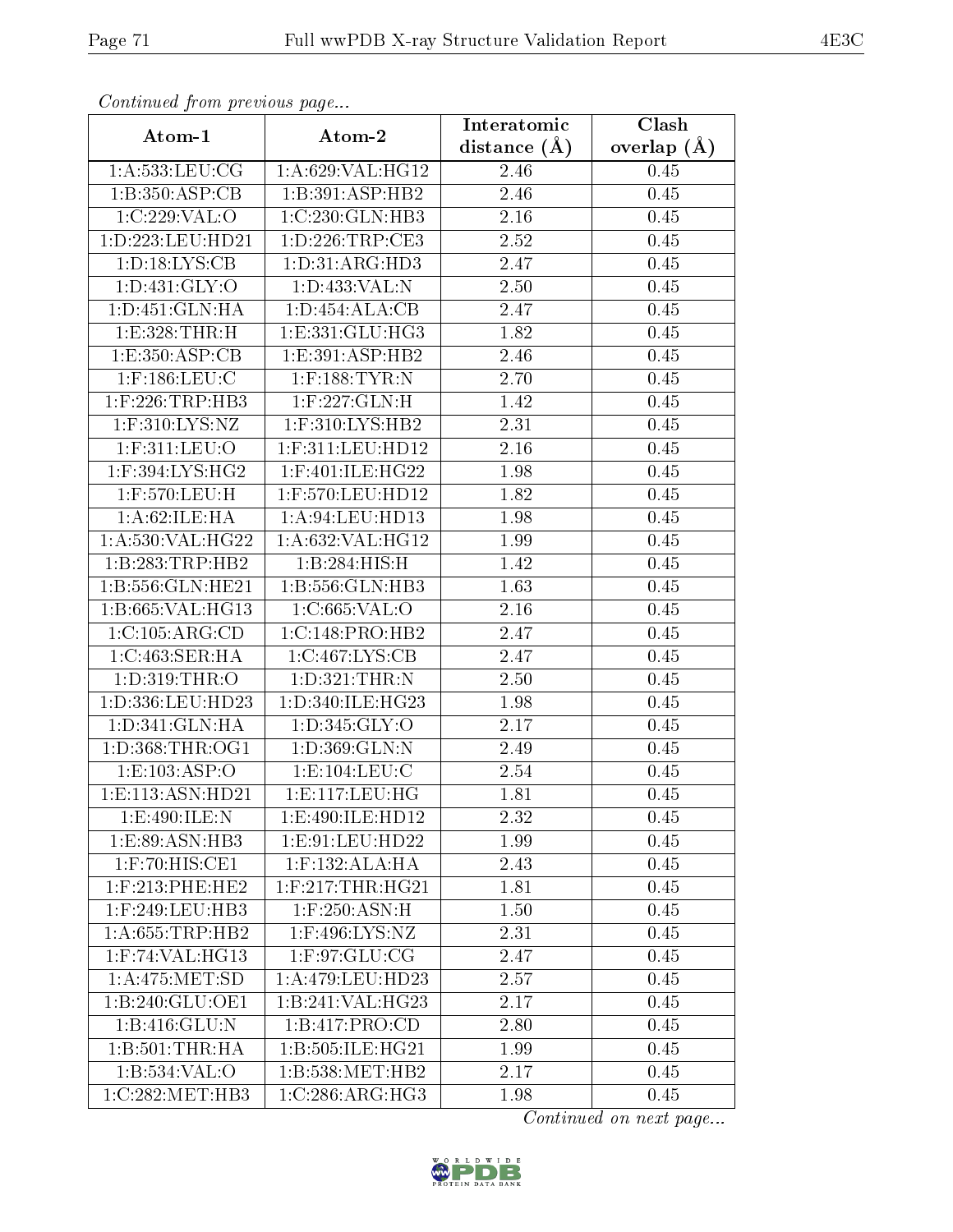| Commuca from previous page                     |                     | Interatomic    | Clash         |
|------------------------------------------------|---------------------|----------------|---------------|
| Atom-1                                         | Atom-2              | distance $(A)$ | overlap $(A)$ |
| 1: A: 533: LEU: CG                             | 1:A:629:VAL:HG12    | 2.46           | 0.45          |
| 1:B:350:ASP:CB                                 | 1:B:391:ASP:HB2     | 2.46           | 0.45          |
| 1:C:229:VAL:O                                  | 1:C:230:GLN:HB3     | 2.16           | 0.45          |
| 1:D:223:LEU:HD21                               | 1:D:226:TRP:CE3     | 2.52           | 0.45          |
| 1: D: 18: LYS: CB                              | 1: D: 31: ARG: HD3  | 2.47           | 0.45          |
| 1: D: 431: GLY: O                              | 1:D:433:VAL:N       | 2.50           | 0.45          |
| 1:D:451:GLN:HA                                 | 1: D: 454: ALA: CB  | 2.47           | 0.45          |
| 1:E:328:THR:H                                  | 1: E: 331: GLU: HG3 | 1.82           | 0.45          |
| 1:E:350:ASP:CB                                 | 1:E:391:ASP:HB2     | 2.46           | 0.45          |
| $1:$ F:186:LEU:C                               | $1:$ F:188:TYR:N    | 2.70           | 0.45          |
| $1:$ F:226:TRP:HB3                             | $1:$ F:227:GLN:H    | 1.42           | 0.45          |
| 1:F:310:LYS:NZ                                 | 1:F:310:LYS:HB2     | 2.31           | 0.45          |
| 1:F:311:LEU:O                                  | 1:F:311:LEU:HD12    | 2.16           | 0.45          |
| $1:$ F:394:LYS:HG2                             | $1:$ F:401:ILE:HG22 | 1.98           | 0.45          |
| $1:$ F:570:LEU:H                               | 1:F:570:LEU:HD12    | 1.82           | 0.45          |
| 1: A:62: ILE: HA                               | 1: A:94:LEU:HD13    | 1.98           | 0.45          |
| 1:A:530:VAL:HG22                               | 1:A:632:VAL:HG12    | 1.99           | 0.45          |
| 1:B:283:TRP:HB2                                | 1:B:284:HIS:H       | 1.42           | 0.45          |
| 1:B:556:GLN:HE21                               | 1:B:556:GLN:HB3     | 1.63           | 0.45          |
| 1:B:665:VAL:HG13                               | 1:C:665:VAL:O       | 2.16           | 0.45          |
| 1:C:105:ARG:CD                                 | 1:C:148:PRO:HB2     | 2.47           | 0.45          |
| 1:C:463:SER:HA                                 | 1:C:467:LYS:CB      | 2.47           | 0.45          |
| 1:D:319:THR:O                                  | 1: D:321: THEN: N   | 2.50           | 0.45          |
| 1:D:336:LEU:HD23                               | 1:D:340:ILE:HG23    | 1.98           | 0.45          |
| 1:D:341:GLN:HA                                 | 1: D:345: GLY:O     | 2.17           | 0.45          |
| 1: D: 368: THR: OG1                            | 1:D:369:GLN:N       | 2.49           | 0.45          |
| 1:E:103:ASP:O                                  | 1:E:104:LEU:C       | 2.54           | 0.45          |
| 1: E: 113: ASN: HD21                           | 1: E: 117: LEU: HG  | 1.81           | 0.45          |
| 1:E:490:ILE:N                                  | 1:E:490:ILE:HD12    | 2.32           | 0.45          |
| 1:E:89:ASN:HB3                                 | 1:E:91:LEU:HD22     | 1.99           | 0.45          |
| 1:F:70:HIS:CE1                                 | $1:$ F:132:ALA:HA   | 2.43           | 0.45          |
| $1:$ F:213:PHE:HE2                             | $1:$ F:217:THR:HG21 | 1.81           | 0.45          |
| $1:$ F:249:LEU:HB3                             | $1:$ F:250:ASN:H    | 1.50           | 0.45          |
| 1:A:655:TRP:HB2                                | $1:$ F:496:LYS:NZ   | 2.31           | 0.45          |
| $1:$ F:74:VAL:HG13                             | 1: F:97: GLU:CG     | 2.47           | 0.45          |
| 1:A:475:MET:SD                                 | 1:A:479:LEU:HD23    | 2.57           | 0.45          |
| 1:B:240:GLU:OE1                                | 1:B:241:VAL:HG23    | 2.17           | 0.45          |
| 1: B:416: GLU:N                                | 1:B:417:PRO:CD      | 2.80           | 0.45          |
| 1:B:501:THR:HA                                 | 1:B:505:ILE:HG21    | 1.99           | 0.45          |
| 1:B:534:VAL:O                                  | 1:B:538:MET:HB2     | 2.17           | 0.45          |
| $1:C:282:\overline{\mathrm{MET}:\mathrm{HB}3}$ | 1:C:286:ARG:HG3     | 1.98           | 0.45          |

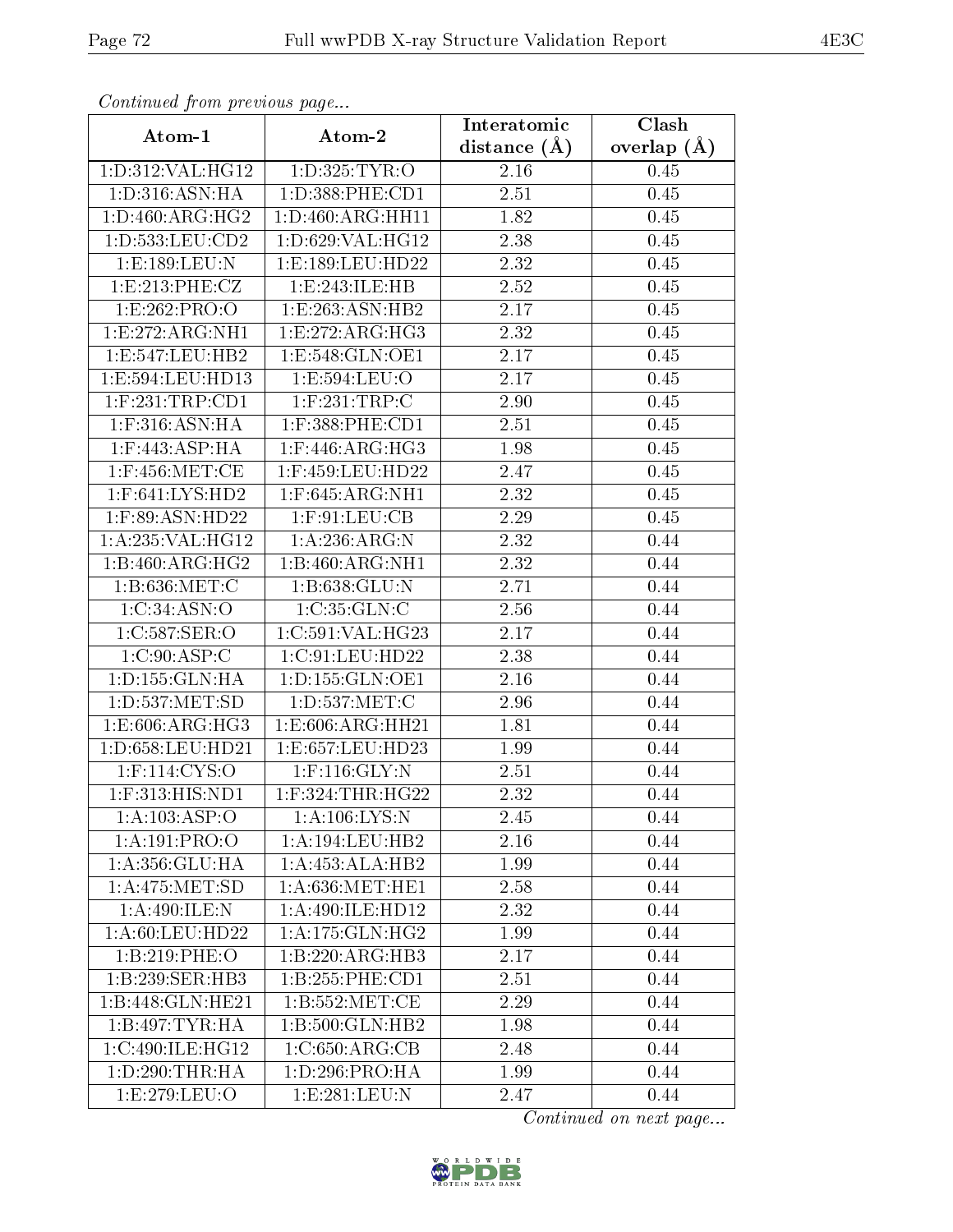| Commaca from previous page |                      | Interatomic    | Clash         |
|----------------------------|----------------------|----------------|---------------|
| Atom-1                     | Atom-2               | distance $(A)$ | overlap $(A)$ |
| 1:D:312:VAL:HG12           | 1:D:325:TYR:O        | 2.16           | 0.45          |
| 1: D: 316: ASN: HA         | 1:D:388:PHE:CD1      | 2.51           | 0.45          |
| 1: D:460: ARG:HG2          | 1: D: 460: ARG: HH11 | 1.82           | 0.45          |
| 1:D:533:LEU:CD2            | 1:D:629:VAL:HG12     | 2.38           | 0.45          |
| 1:E:189:LEU:N              | 1:E:189:LEU:HD22     | 2.32           | 0.45          |
| 1: E: 213: PHE: CZ         | 1:E:243:ILE:HB       | 2.52           | 0.45          |
| 1:E:262:PRO:O              | 1:E:263:ASN:HB2      | 2.17           | 0.45          |
| 1: E: 272: ARG: NH1        | 1:E:272:ARG:HG3      | 2.32           | 0.45          |
| 1:E:547:LEU:HB2            | 1:E:548:GLN:OE1      | 2.17           | 0.45          |
| 1:E:594:LEU:HD13           | 1:E:594:LEU:O        | 2.17           | 0.45          |
| $1:$ F:231:TRP:CD1         | $1:$ F:231:TRP:C     | 2.90           | 0.45          |
| $1:$ F:316:ASN:HA          | 1:F:388:PHE:CD1      | 2.51           | 0.45          |
| $1:$ F:443:ASP:HA          | $1:$ F:446:ARG:HG3   | 1.98           | 0.45          |
| $1:$ F:456:MET:CE          | 1:F:459:LEU:HD22     | 2.47           | 0.45          |
| $1:$ F:641:LYS:HD2         | $1:$ F:645:ARG:NH1   | 2.32           | 0.45          |
| $1:$ F:89:ASN:HD22         | $1:$ F:91:LEU:CB     | 2.29           | 0.45          |
| 1:A:235:VAL:HG12           | 1:A:236:ARG:N        | 2.32           | 0.44          |
| 1:B:460:ARG:HG2            | 1:B:460:ARG:NH1      | 2.32           | 0.44          |
| 1:B:636:MET:C              | 1:B:638:GLU:N        | 2.71           | 0.44          |
| 1:C:34:ASN:O               | 1:C:35:GLN:C         | 2.56           | 0.44          |
| 1:C:587:SER:O              | 1:C:591:VAL:HG23     | 2.17           | 0.44          |
| 1:C:90:ASP:C               | 1:C:91:LEU:HD22      | 2.38           | 0.44          |
| 1:D:155:GLN:HA             | 1: D: 155: GLN: OE1  | 2.16           | 0.44          |
| 1: D: 537: MET: SD         | 1:D:537:MET:C        | 2.96           | 0.44          |
| 1:E:606:ARG:HG3            | 1:E:606:ARG:HH21     | 1.81           | 0.44          |
| 1:D:658:LEU:HD21           | 1:E:657:LEU:HD23     | 1.99           | 0.44          |
| $1:$ F:114:CYS:O           | $1:$ F:116:GLY:N     | 2.51           | 0.44          |
| 1:F:313:HIS:ND1            | $1:$ F:324:THR:HG22  | 2.32           | 0.44          |
| 1:A:103:ASP:O              | 1: A: 106: LYS: N    | 2.45           | 0.44          |
| 1:A:191:PRO:O              | 1:A:194:LEU:HB2      | 2.16           | 0.44          |
| 1: A: 356: GLU: HA         | 1:A:453:ALA:HB2      | 1.99           | 0.44          |
| 1: A:475: MET:SD           | 1: A:636:MET:HE1     | 2.58           | 0.44          |
| 1:A:490:ILE:N              | 1:A:490:ILE:HD12     | 2.32           | 0.44          |
| 1: A:60:LEU:HD22           | 1: A:175: GLN: HG2   | 1.99           | 0.44          |
| 1:B:219:PHE:O              | 1:B:220:ARG:HB3      | 2.17           | 0.44          |
| 1:B:239:SER:HB3            | 1: B: 255: PHE: CD1  | 2.51           | 0.44          |
| 1:B:448:GLN:HE21           | 1: B: 552: MET:CE    | 2.29           | 0.44          |
| 1:B:497:TYR:HA             | 1:B:500:GLN:HB2      | 1.98           | 0.44          |
| 1:C:490:ILE:HG12           | 1:C:650:ARG:CB       | 2.48           | 0.44          |
| 1: D:290:THR:HA            | 1:D:296:PRO:HA       | 1.99           | 0.44          |
| 1:E:279:EEU:O              | 1:E:281:EU:N         | 2.47           | 0.44          |

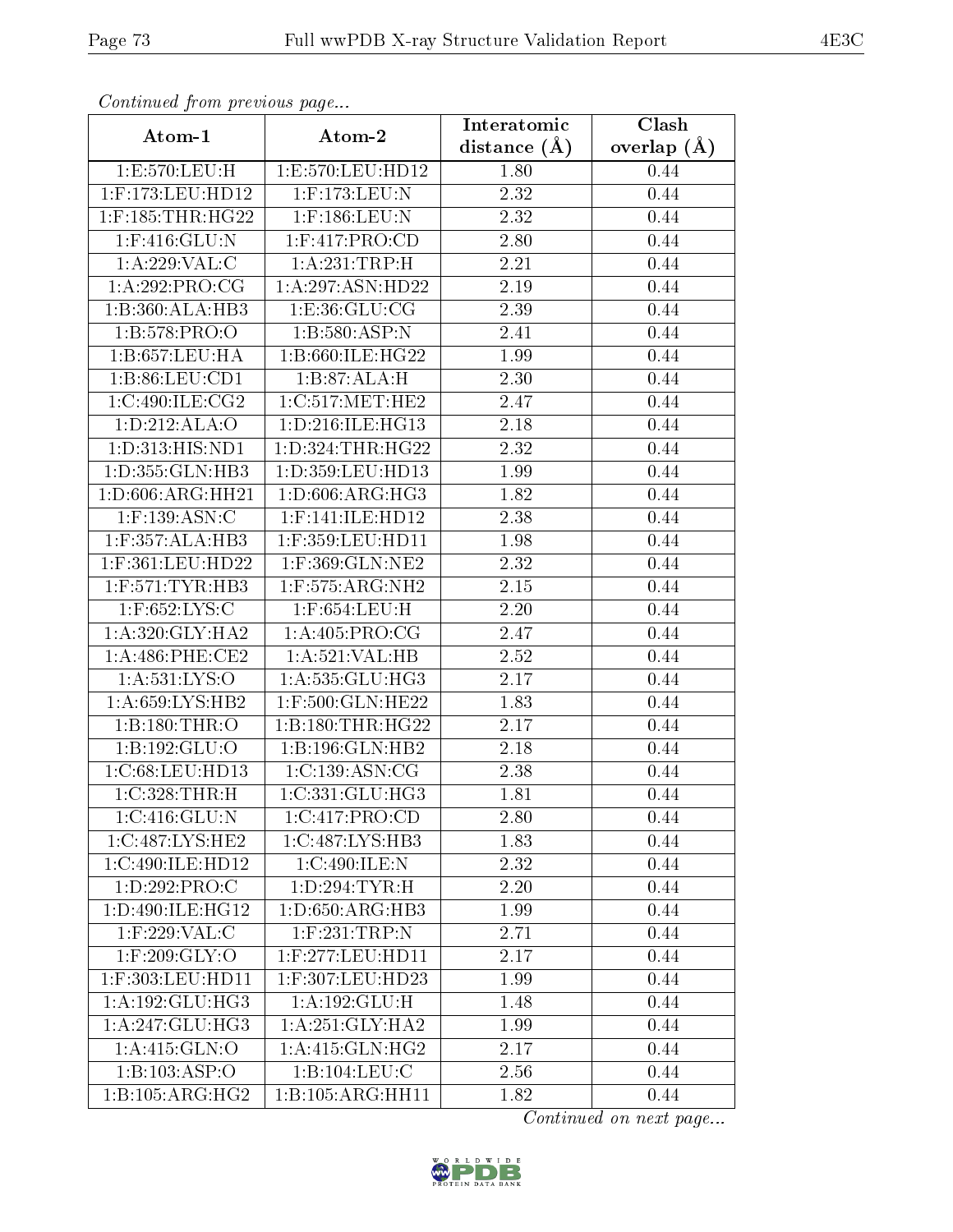| Commaca from previous page |                     | Interatomic       | Clash           |
|----------------------------|---------------------|-------------------|-----------------|
| Atom-1                     | Atom-2              | distance $(A)$    | overlap $(\AA)$ |
| 1:E:570:LEU:H              | 1:E:570:LEU:HD12    | 1.80              | 0.44            |
| 1:F:173:LEU:HD12           | $1:$ F:173:LEU:N    | 2.32              | 0.44            |
| $1:$ F:185:THR:HG22        | $1:$ F:186:LEU:N    | 2.32              | 0.44            |
| 1:F:416:GLU:N              | 1:F:417:PRO:CD      | 2.80              | 0.44            |
| 1:A:229:VAL:CC             | 1:A:231:TRP:H       | 2.21              | 0.44            |
| 1:A:292:PRO:CG             | 1:A:297:ASN:HD22    | 2.19              | 0.44            |
| 1:B:360:ALA:HB3            | 1: E: 36: GLU: CG   | $\overline{2}.39$ | 0.44            |
| 1:B:578:PRO:O              | 1:B:580:ASP:N       | 2.41              | 0.44            |
| 1:5:657:LEU:HA             | 1:B:660:ILE:HG22    | 1.99              | 0.44            |
| 1: B:86: LEU:CD1           | 1:B:87:ALA:H        | 2.30              | 0.44            |
| 1:C:490:ILE:CG2            | 1:C:517:MET:HE2     | 2.47              | 0.44            |
| 1: D: 212: ALA: O          | 1:D:216:ILE:HG13    | 2.18              | 0.44            |
| 1:D:313:HIS:ND1            | 1:D:324:THR:HG22    | 2.32              | 0.44            |
| 1:D:355:GLN:HB3            | 1:D:359:LEU:HD13    | 1.99              | 0.44            |
| 1:D:606:ARG:HH21           | 1: D:606: ARG: HG3  | 1.82              | 0.44            |
| $1:$ F:139:ASN:C           | $1:$ F:141:ILE:HD12 | 2.38              | 0.44            |
| $1:$ F:357:ALA:HB3         | 1:F:359:LEU:HD11    | 1.98              | 0.44            |
| 1:F:361:LEU:HD22           | 1:F:369:GLN:NE2     | 2.32              | 0.44            |
| $1:$ F:571:TYR:HB3         | 1:F:575:ARG:NH2     | $2.15\,$          | 0.44            |
| $1:$ F:652:LYS:C           | $1:$ F:654:LEU:H    | 2.20              | 0.44            |
| 1: A:320: GLY:HA2          | 1: A:405: PRO:CG    | 2.47              | 0.44            |
| 1: A:486: PHE:CE2          | 1: A:521: VAL:HB    | 2.52              | 0.44            |
| 1: A:531:LYS:O             | 1:A:535:GLU:HG3     | 2.17              | 0.44            |
| 1: A:659: LYS: HB2         | 1:F:500:GLN:HE22    | 1.83              | 0.44            |
| 1:B:180:THR:O              | 1:B:180:THR:HG22    | 2.17              | 0.44            |
| 1:B:192:GLU:O              | 1:B:196:GLN:HB2     | 2.18              | 0.44            |
| 1:C:68:LEU:HD13            | 1:C:139:ASN:CG      | 2.38              | 0.44            |
| $1:C:328$ : THR: H         | 1:C:331:GLU:HG3     | 1.81              | 0.44            |
| $1:C:416:\overline{GLU:N}$ | 1:C:417:PRO:CD      | 2.80              | 0.44            |
| 1:C:487:LYS:HE2            | 1:C:487:LYS:HB3     | 1.83              | 0.44            |
| 1:C:490:ILE:HD12           | 1:C:490:ILE:N       | 2.32              | 0.44            |
| 1:D:292:PRO:C              | 1: D: 294: TYR:H    | 2.20              | 0.44            |
| 1:D:490:ILE:HG12           | 1: D:650: ARG:HB3   | 1.99              | 0.44            |
| 1:F:229:VAL:C              | $1:$ F:231:TRP:N    | 2.71              | 0.44            |
| $1:$ F:209:GLY:O           | $1:$ F:277:LEU:HD11 | 2.17              | 0.44            |
| 1:F:303:LEU:HD11           | 1:F:307:LEU:HD23    | 1.99              | 0.44            |
| 1:A:192:GLU:HG3            | 1: A: 192: GLU: H   | 1.48              | 0.44            |
| 1:A:247:GLU:HG3            | 1: A:251: GLY:HA2   | 1.99              | 0.44            |
| 1:A:415:GLN:O              | 1: A:415: GLN: HG2  | 2.17              | 0.44            |
| 1:B:103:ASP:O              | 1:B:104:LEU:C       | 2.56              | 0.44            |
| 1: B:105: ARG: HG2         | 1:B:105:ARG:HH11    | 1.82              | 0.44            |

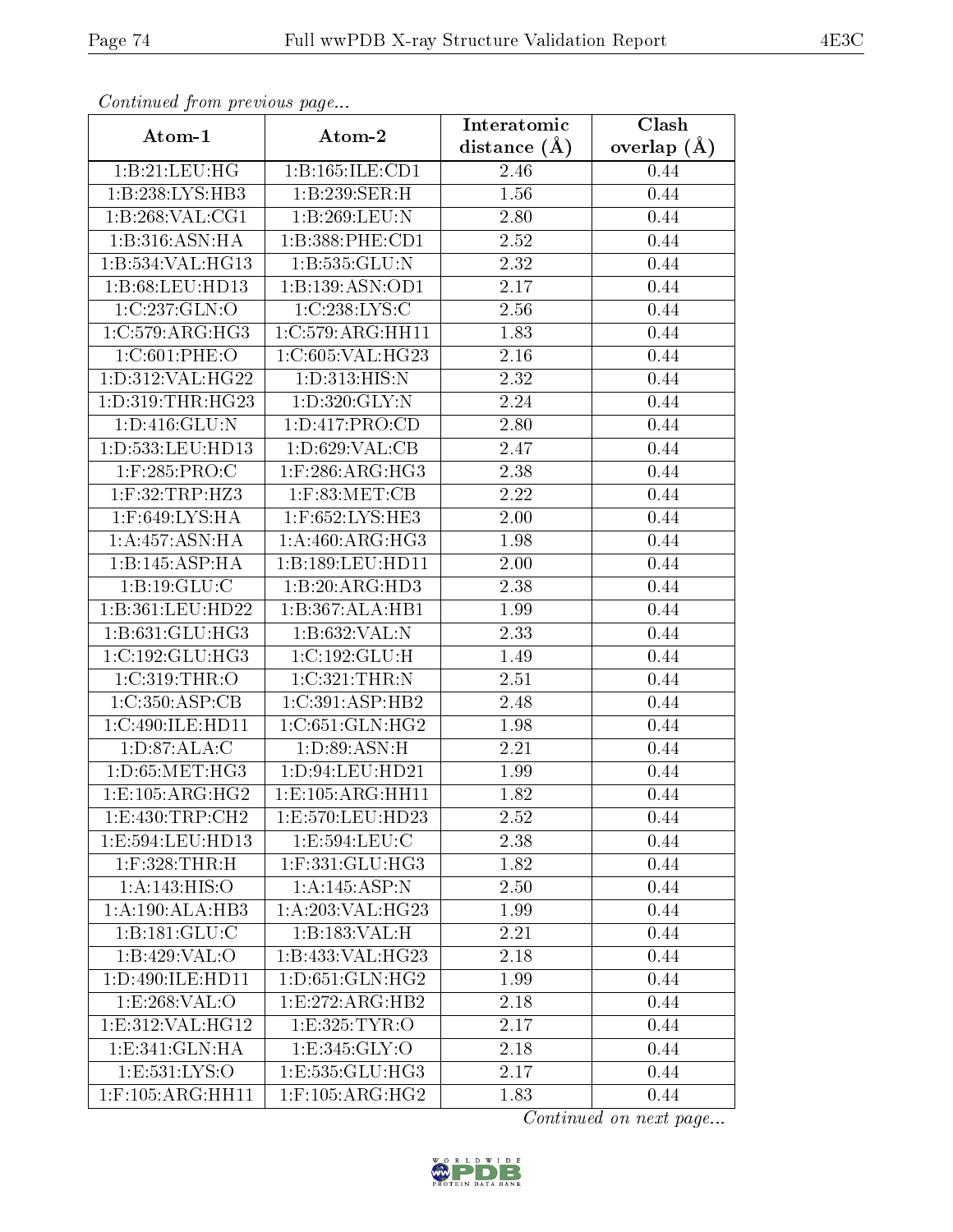| Comunaca jiom previous page |                           | Interatomic  | Clash           |
|-----------------------------|---------------------------|--------------|-----------------|
| Atom-1                      | Atom-2                    | distance (Å) | overlap $(\AA)$ |
| 1:B:21:LEU:HG               | 1:B:165:ILE:CD1           | 2.46         | 0.44            |
| 1:B:238:LYS:HB3             | 1:B:239:SER:H             | 1.56         | 0.44            |
| 1:B:268:VAL:CG1             | 1:B:269:LEU:N             | 2.80         | 0.44            |
| 1:B:316:ASN:HA              | 1:B:388:PHE:CD1           | 2.52         | 0.44            |
| 1:B:534:VAL:HG13            | 1:B:535:GLU:N             | 2.32         | 0.44            |
| 1:B:68:LEU:HD13             | 1:B:139:ASN:OD1           | 2.17         | 0.44            |
| 1:C:237:GLN:O               | 1:C:238:LYS:C             | 2.56         | 0.44            |
| 1:C:579:ARG:HG3             | 1:C:579:ARG:HH11          | 1.83         | 0.44            |
| 1:C:601:PHE:O               | 1:C:605:VAL:HG23          | 2.16         | 0.44            |
| 1:D:312:VAL:HG22            | 1:D:313:HIS:N             | 2.32         | 0.44            |
| 1:D:319:THR:HG23            | 1:D:320:GLY:N             | 2.24         | 0.44            |
| 1: D: 416: GLU: N           | 1:D:417:PRO:CD            | 2.80         | 0.44            |
| 1:D:533:LEU:HD13            | 1: D:629: VAL:CB          | 2.47         | 0.44            |
| $1:$ F:285:PRO:C            | $1:$ F:286:ARG:HG3        | 2.38         | 0.44            |
| 1:F:32:TRP:HZ3              | $1:$ F:83:MET:CB          | 2.22         | 0.44            |
| 1:F:649:LYS:HA              | $1:$ F:652:LYS:HE3        | 2.00         | 0.44            |
| 1:A:457:ASN:HA              | 1:A:460:ARG:HG3           | 1.98         | 0.44            |
| 1:B:145:ASP:HA              | 1:B:189:LEU:HD11          | 2.00         | 0.44            |
| 1:B:19:GLU:C                | 1:B:20:ARG:HD3            | 2.38         | 0.44            |
| 1:B:361:LEU:HD22            | 1:B:367:ALA:HB1           | 1.99         | 0.44            |
| 1: B: 631: GLU: HG3         | 1:B:632:VAL:N             | 2.33         | 0.44            |
| 1:C:192:GLU:HG3             | 1:C:192:GLU:H             | 1.49         | 0.44            |
| 1:C:319:THR:O               | 1: C: 321: THR:N          | 2.51         | 0.44            |
| 1:C:350:ASP:CB              | 1:C:391:ASP:HB2           | 2.48         | 0.44            |
| 1:C:490:ILE:HD11            | 1:C:651:GLN:HG2           | 1.98         | 0.44            |
| 1: D:87: ALA: C             | 1: D: 89: ASN:H           | 2.21         | 0.44            |
| 1: D: 65: MET: HG3          | 1: D: 94: LEU: HD21       | 1.99         | 0.44            |
| 1:E:105:ARG:HG2             | 1:E:105:ARG:HH11          | 1.82         | 0.44            |
| 1: E: 430: TRP: CH2         | 1:E:570:LEU:HD23          | 2.52         | 0.44            |
| 1:E:594:LEU:HD13            | 1:E:594:LEU:C             | 2.38         | 0.44            |
| $1:$ F:328:THR:H            | $1:$ F:33 $1:$ GLU: $HG3$ | 1.82         | 0.44            |
| 1: A: 143: HIS: O           | 1:A:145:ASP:N             | 2.50         | 0.44            |
| 1:A:190:ALA:HB3             | 1:A:203:VAL:HG23          | 1.99         | 0.44            |
| 1:B:181:GLU:C               | 1:B:183:VAL:H             | 2.21         | 0.44            |
| 1:B:429:VAL:O               | 1:B:433:VAL:HG23          | 2.18         | 0.44            |
| 1:D:490:ILE:HD11            | 1: D:651: GLN: HG2        | 1.99         | 0.44            |
| 1:E:268:VAL:O               | 1:E:272:ARG:HB2           | 2.18         | 0.44            |
| 1:E:312:VAL:HG12            | 1: E: 325: TYR: O         | 2.17         | 0.44            |
| 1:E:341:GLN:HA              | 1: E: 345: GLY: O         | 2.18         | 0.44            |
| 1: E: 531: LYS: O           | 1: E: 535: GLU: HG3       | 2.17         | 0.44            |
| $1:$ F:105:ARG:HH11         | $1:$ F:105:ARG:HG2        | 1.83         | 0.44            |

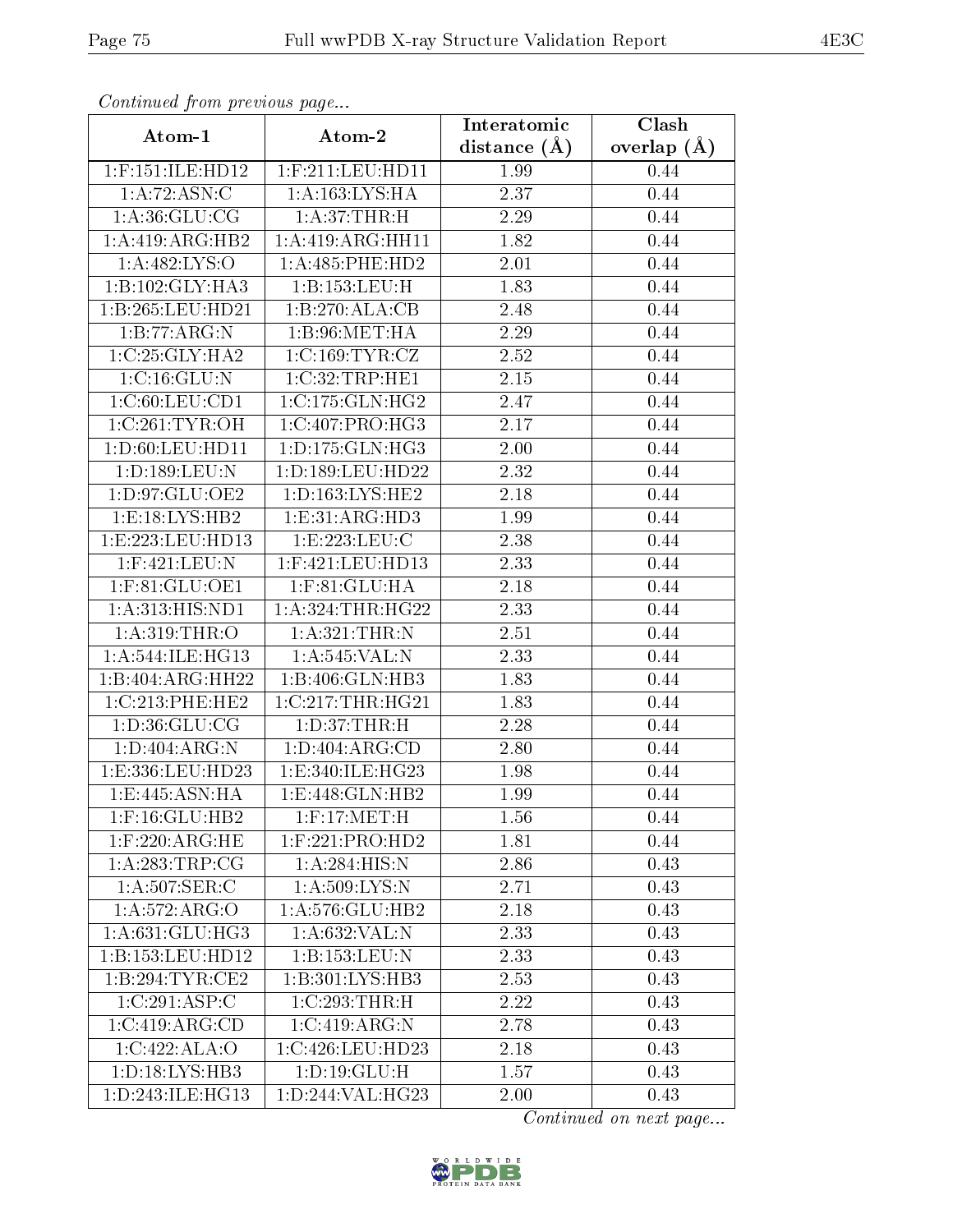| Continuatu from previous page |                                      | Interatomic       | Clash         |
|-------------------------------|--------------------------------------|-------------------|---------------|
| Atom-1                        | Atom-2                               | distance $(A)$    | overlap $(A)$ |
| $1:$ F:151:ILE:HD12           | $1:$ F:211:LEU:HD11                  | 1.99              | 0.44          |
| 1: A:72: ASN: C               | 1: A: 163: LYS: HA                   | 2.37              | 0.44          |
| 1: A:36: GLU:CG               | 1: A:37:THR:H                        | 2.29              | 0.44          |
| 1:A:419:ARG:HB2               | 1:A:419:ARG:HH11                     | 1.82              | 0.44          |
| 1: A: 482: LYS: O             | 1:A:485:PHE:HD2                      | 2.01              | 0.44          |
| 1:B:102:GLY:HA3               | 1:B:153:LEU:H                        | 1.83              | 0.44          |
| 1:B:265:LEU:HD21              | 1:B:270:ALA:CB                       | 2.48              | 0.44          |
| 1:B:77:ARG:N                  | 1: B:96: MET:HA                      | 2.29              | 0.44          |
| 1:C:25:GLY:HA2                | 1:C:169:TYR:CZ                       | 2.52              | 0.44          |
| 1:C:16:GLU:N                  | 1:C:32:TRP:HE1                       | 2.15              | 0.44          |
| 1:C:60:LEU:CD1                | 1:C:175:GLN:HG2                      | 2.47              | 0.44          |
| 1:C:261:TYR:OH                | 1:C:407:PRO:HG3                      | 2.17              | 0.44          |
| 1:D:60:LEU:HD11               | 1: D: 175: GLN: HG3                  | 2.00              | 0.44          |
| 1:D:189:LEU:N                 | 1:D:189:LEU:HD22                     | $\overline{2.32}$ | 0.44          |
| 1:D:97:GLU:OE2                | 1:D:163:LYS:HE2                      | 2.18              | 0.44          |
| 1: E: 18: LYS: HB2            | 1:E:31:ARG:HD3                       | 1.99              | 0.44          |
| 1:E:223:LEU:HD13              | 1:E:223:EU:C                         | $\overline{2.38}$ | 0.44          |
| 1:F:421:LEU:N                 | 1:F:421:LEU:HD13                     | 2.33              | 0.44          |
| $1:$ F:81:GLU:OE1             | $1:$ F:81: $GLU:HA$                  | 2.18              | 0.44          |
| 1:A:313:HIS:ND1               | 1: A:324:THR:HG22                    | 2.33              | 0.44          |
| 1: A:319:THR:O                | 1:A:321:THR:N                        | 2.51              | 0.44          |
| 1: A:544: ILE: HG13           | 1: A:545: VAL:N                      | 2.33              | 0.44          |
| 1:B:404:ARG:HH22              | 1:B:406:GLN:HB3                      | 1.83              | 0.44          |
| 1:C:213:PHE:HE2               | $1:C:217:\overline{\text{THR:HG21}}$ | 1.83              | 0.44          |
| 1: D: 36: GLU: CG             | 1: D:37:THR:H                        | 2.28              | 0.44          |
| 1: D:404: ARG: N              | 1: D: 404: ARG: CD                   | 2.80              | 0.44          |
| 1:E:336:LEU:HD23              | 1:E:340:ILE:HG23                     | 1.98              | 0.44          |
| 1: E:445: ASN: HA             | 1:E:448:GLN:HB2                      | 1.99              | 0.44          |
| $1:$ F:16: $GLU$ :HB2         | $1:$ F:17:MET:H                      | 1.56              | 0.44          |
| $1:$ F:220:ARG:HE             | $1:$ F:221:PRO:HD2                   | 1.81              | 0.44          |
| $1:A:\overline{283:TRP:CG}$   | 1: A:284: HIS:N                      | 2.86              | 0.43          |
| 1: A:507: SER: C              | 1: A:509: LYS:N                      | 2.71              | 0.43          |
| 1: A: 572: ARG: O             | 1:A:576:GLU:HB2                      | 2.18              | 0.43          |
| 1:A:631:GLU:HG3               | 1:A:632:VAL:N                        | 2.33              | 0.43          |
| 1:B:153:LEU:HD12              | 1:B:153:LEU:N                        | 2.33              | 0.43          |
| 1:B:294:TYR:CE2               | 1:B:301:LYS:HB3                      | 2.53              | 0.43          |
| 1:C:291:ASP:C                 | $1:C:293$ : THR: H                   | 2.22              | 0.43          |
| 1:C:419:ARG:CD                | 1:C:419:ARG:N                        | 2.78              | 0.43          |
| 1:C:422:ALA:O                 | 1:C:426:LEU:HD23                     | 2.18              | 0.43          |
| 1: D: 18: LYS: HB3            | 1: D: 19: GLU: H                     | 1.57              | 0.43          |
| 1: D: 243: ILE: HG13          | 1:D:244:VAL:HG23                     | 2.00              | 0.43          |

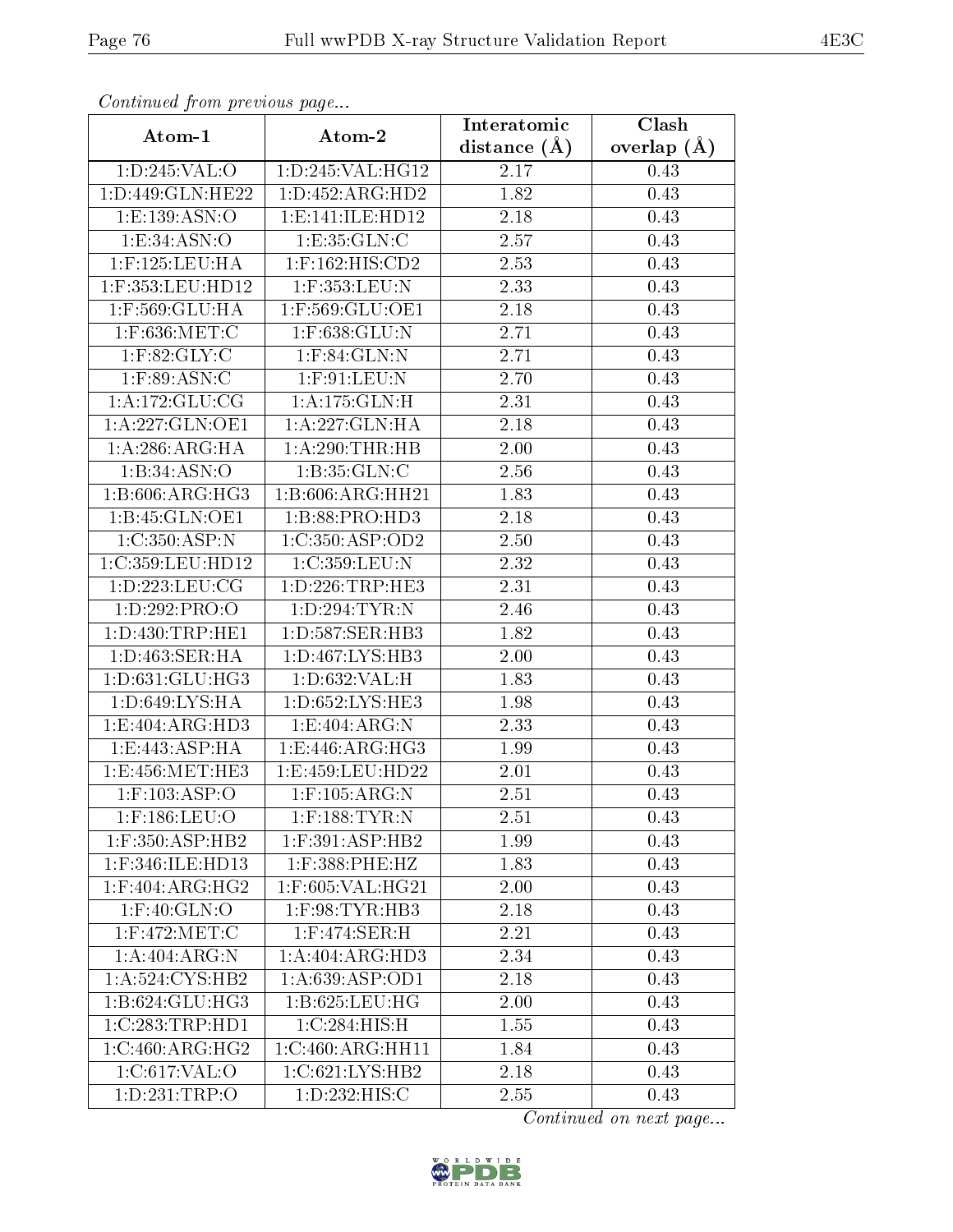| Continuation providus page    |                                      | Interatomic       | Clash         |
|-------------------------------|--------------------------------------|-------------------|---------------|
| Atom-1                        | Atom-2                               | distance $(A)$    | overlap $(A)$ |
| 1:D:245:VAL:O                 | 1:D:245:VAL:HG12                     | 2.17              | 0.43          |
| 1:D:449:GLN:HE22              | 1: D: 452: ARG: HD2                  | 1.82              | 0.43          |
| 1:E:139:ASN:O                 | 1: E:141: ILE: HD12                  | 2.18              | 0.43          |
| 1: E:34: ASN:O                | 1:E:35:GLN:C                         | 2.57              | 0.43          |
| $1:$ F:125:LEU:HA             | 1:F:162:HIS:CD2                      | 2.53              | 0.43          |
| 1:F:353:LEU:HD12              | 1:F:353:LEU:N                        | 2.33              | 0.43          |
| 1:F:569:GLU:HA                | 1:F:569:GLU:OE1                      | 2.18              | 0.43          |
| 1:F:636:MET:C                 | $1:$ F:638:GLU:N                     | 2.71              | 0.43          |
| $1:$ F:82:GLY:C               | $1:$ F:84:GLN:N                      | 2.71              | 0.43          |
| $1:$ F:89:ASN:C               | $1:$ F:91:LEU:N                      | 2.70              | 0.43          |
| 1:A:172:GLU:CG                | 1:A:175:GLN:H                        | 2.31              | 0.43          |
| 1:A:227:GLN:OE1               | 1:A:227:GLN:HA                       | 2.18              | 0.43          |
| 1:A:286:ARG:HA                | 1:A:290:THR:HB                       | 2.00              | 0.43          |
| 1:B:34:ASN:O                  | 1:B:35:GLN:C                         | 2.56              | 0.43          |
| 1:B:606:ARG:HG3               | 1:B:606:ARG:HH21                     | 1.83              | 0.43          |
| 1:B:45:GLN:OE1                | 1: B:88: PRO:HD3                     | 2.18              | 0.43          |
| 1:C:350:ASP:N                 | 1:C:350:ASP:OD2                      | 2.50              | 0.43          |
| 1:C:359:LEU:HD12              | 1:C:359:LEU:N                        | 2.32              | 0.43          |
| 1: D: 223: LEU: CG            | 1: D: 226: TRP: HE3                  | 2.31              | 0.43          |
| 1: D: 292: PRO: O             | 1:D:294:TYR:N                        | 2.46              | 0.43          |
| 1: D: 430: TRP: HE1           | 1: D: 587: SER: HB3                  | $\overline{1.82}$ | 0.43          |
| 1:D:463:SER:HA                | 1: D: 467: LYS: HB3                  | 2.00              | 0.43          |
| 1: D: 631: GLU: HG3           | 1:D:632:VAL:H                        | 1.83              | 0.43          |
| 1:D:649:LYS:HA                | 1:D:652:LYS:HE3                      | 1.98              | 0.43          |
| 1:E:404:ARG:HD3               | 1:E:404:ARG:N                        | 2.33              | 0.43          |
| 1: E: 443: ASP: HA            | 1:E:446:ARG:HG3                      | 1.99              | 0.43          |
| 1:E:456:MET:HE3               | 1:E:459:LEU:HD22                     | 2.01              | 0.43          |
| $1:$ F:103:ASP:O              | $1:$ F:105:ARG:N                     | 2.51              | 0.43          |
| 1:F:186:LEU:O                 | $1:$ F:188:TYR:N                     | 2.51              | 0.43          |
| $1:$ F:350:ASP:HB2            | $1:$ F:391:ASP:HB2                   | 1.99              | 0.43          |
| 1:F:346:ILE:HD13              | 1:F:388:PHE:HZ                       | 1.83              | 0.43          |
| $1:$ F:404:ARG:HG2            | 1:F:605:VAL:HG21                     | 2.00              | 0.43          |
| $1:$ F:40:GLN: $\overline{O}$ | $1:$ F:98:TYR:HB3                    | 2.18              | 0.43          |
| 1:F:472:MET:C                 | $1:$ F:474:SER:H                     | 2.21              | 0.43          |
| 1: A:404: ARG: N              | 1:A:404:ARG:HD3                      | 2.34              | 0.43          |
| 1: A:524: CYS:HB2             | $1:A:639: \overline{\text{ASP:OD1}}$ | 2.18              | 0.43          |
| 1:B:624:GLU:H <sub>G3</sub>   | 1:B:625:LEU:HG                       | 2.00              | 0.43          |
| 1:C:283:TRP:HD1               | 1:C:284:HIS:H                        | 1.55              | 0.43          |
| 1:C:460:ARG:HG2               | 1:C:460:ARG:HH11                     | 1.84              | 0.43          |
| 1:C:617:VAL:O                 | $1:C:621:LYS:H\overline{B2}$         | 2.18              | 0.43          |
| 1: D: 231: TRP:O              | 1: D: 232: HIS:C                     | 2.55              | 0.43          |

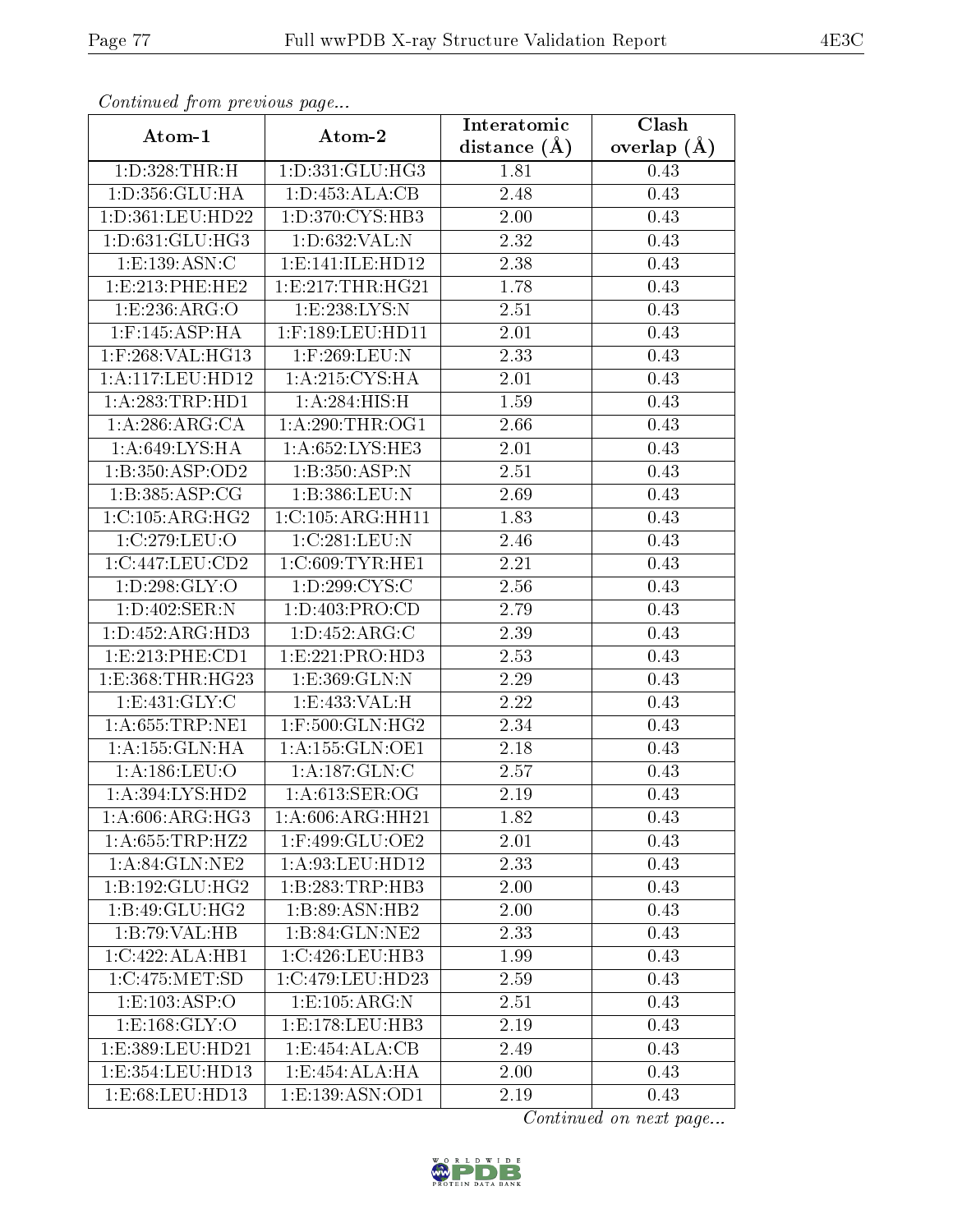| Communa from previous page    |                      | Interatomic       | Clash           |
|-------------------------------|----------------------|-------------------|-----------------|
| Atom-1                        | Atom-2               | distance $(\AA)$  | overlap $(\AA)$ |
| 1:D:328:THR:H                 | 1:D:331:GLU:HG3      | 1.81              | 0.43            |
| 1:D:356:GLU:HA                | 1: D: 453: ALA: CB   | 2.48              | 0.43            |
| 1:D:361:LEU:HD22              | 1: D: 370: CYS: HB3  | $2.00\,$          | 0.43            |
| 1: D: 631: GLU: HG3           | 1: D: 632: VAL:N     | 2.32              | 0.43            |
| 1:E:139:ASN:C                 | 1: E: 141: ILE: HD12 | 2.38              | 0.43            |
| 1:E:213:PHE:HE2               | 1: E: 217: THR: HG21 | 1.78              | 0.43            |
| 1:E:236:ARG:O                 | 1:E:238:LYS:N        | 2.51              | 0.43            |
| $1:$ F:145:ASP:HA             | $1:$ F:189:LEU:HD11  | 2.01              | 0.43            |
| 1:F:268:VAL:HG13              | 1:F:269:LEU:N        | 2.33              | 0.43            |
| 1: A:117: LEU: HD12           | 1: A:215: CYS: HA    | 2.01              | 0.43            |
| 1: A:283:TRP:HD1              | 1: A:284: HIS:H      | 1.59              | 0.43            |
| 1:A:286:ARG:CA                | 1: A:290:THR:OG1     | 2.66              | 0.43            |
| 1:A:649:LYS:HA                | 1:A:652:LYS:HE3      | 2.01              | 0.43            |
| 1:B:350:ASP:OD2               | 1:B:350:ASP:N        | 2.51              | 0.43            |
| 1:B:385:ASP:CG                | 1:B:386:LEU:N        | 2.69              | 0.43            |
| 1:C:105:ARG:HG2               | 1:C:105:ARG:HH11     | 1.83              | 0.43            |
| 1:C:279:LEU:O                 | 1:C:281:LEU:N        | 2.46              | 0.43            |
| 1:C:447:LEU:CD2               | 1:C:609:TYR:HE1      | 2.21              | 0.43            |
| 1:D:298:GLY:O                 | 1: D:299:CYS:C       | $\overline{2}.56$ | 0.43            |
| 1: D:402: SER: N              | 1: D: 403: PRO:CD    | 2.79              | 0.43            |
| 1: D: 452: ARG: HD3           | 1: D: 452: ARG: C    | 2.39              | 0.43            |
| 1: E: 213: PHE: CD1           | 1: E: 221: PRO: HD3  | 2.53              | 0.43            |
| 1: E: 368: THR: HG23          | 1:E:369:GLN:N        | 2.29              | 0.43            |
| 1: E: 431: GLY: C             | 1:E:433:VAL:H        | 2.22              | 0.43            |
| 1: A:655:TRP:NE1              | $1:$ F:500:GLN:HG2   | 2.34              | 0.43            |
| 1: A: 155: GLN: HA            | 1: A: 155: GLN: OE1  | 2.18              | 0.43            |
| 1: A: 186: LEU: O             | 1:A:187:GLN:C        | 2.57              | 0.43            |
| 1:A:394:LYS:HD2               | $1: A:613:$ SER:OG   | $\overline{2.19}$ | 0.43            |
| 1: A:606:ARG:HG3              | 1: A:606: ARG: HH21  | 1.82              | 0.43            |
| 1: A:655:TRP:HZ2              | 1:F:499:GLU:OE2      | 2.01              | 0.43            |
| $1: A:84: \overline{GLN:NE2}$ | 1: A:93: LEU: HD12   | 2.33              | 0.43            |
| 1:B:192:GLU:HG2               | 1:B:283:TRP:HB3      | 2.00              | 0.43            |
| 1: B:49: GLU: HG2             | 1:B:89:ASN:HB2       | 2.00              | 0.43            |
| 1:B:79:VAL:HB                 | 1:B:84:GLN:NE2       | 2.33              | 0.43            |
| 1:C:422:ALA:HB1               | 1:C:426:LEU:HB3      | 1.99              | 0.43            |
| 1:C:475:MET:SD                | 1:C:479:LEU:HD23     | 2.59              | 0.43            |
| 1: E: 103: ASP:O              | 1:E:105:ARG:N        | 2.51              | 0.43            |
| 1: E: 168: GLY: O             | 1:E:178:LEU:HB3      | 2.19              | 0.43            |
| 1:E:389:LEU:HD21              | 1:E:454:ALA:CB       | 2.49              | 0.43            |
| 1:E:354:LEU:HD13              | 1:E:454:ALA:HA       | 2.00              | 0.43            |
| 1: E:68: LEU: HD13            | 1: E: 139: ASN: OD1  | $2.19\,$          | 0.43            |

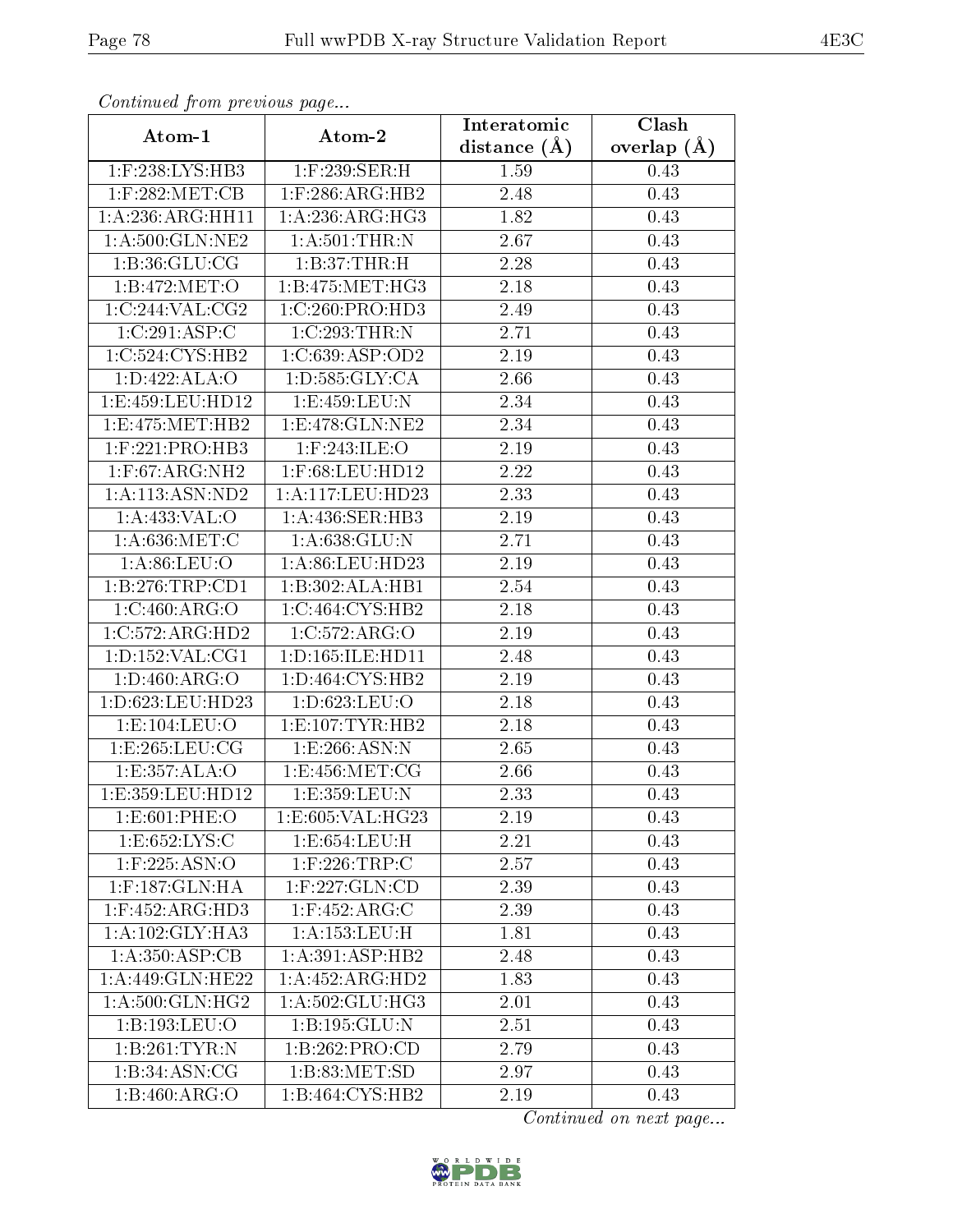| Continuatu from previous page       |                                | Interatomic    | Clash         |
|-------------------------------------|--------------------------------|----------------|---------------|
| Atom-1                              | Atom-2                         | distance $(A)$ | overlap $(A)$ |
| 1:F:238:LYS:HB3                     | $1:$ F:239:SER:H               | 1.59           | 0.43          |
| $1:$ F:282:MET:CB                   | $1:$ F:286:ARG:HB2             | 2.48           | 0.43          |
| 1:A:236:ARG:HH11                    | 1: A:236:ARG:HG3               | 1.82           | 0.43          |
| 1: A:500: GLN: NE2                  | $1:$ A:501:THR:N               | 2.67           | 0.43          |
| 1: B:36: GLU:CG                     | 1:B:37:THR:H                   | 2.28           | 0.43          |
| 1:B:472:MET:O                       | 1: B: 475: MET:HG3             | 2.18           | 0.43          |
| 1:C:244:VAL:CG2                     | 1:C:260:PRO:HD3                | 2.49           | 0.43          |
| 1:C:291:ASP:C                       | 1:C:293:THR:N                  | 2.71           | 0.43          |
| 1:C:524:CYS:HB2                     | 1:C:639:ASP:OD2                | 2.19           | 0.43          |
| 1:D:422:ALA:O                       | 1: D: 585: GLY: CA             | 2.66           | 0.43          |
| 1:E:459:LEU:HD12                    | 1:E:459:LEU:N                  | 2.34           | 0.43          |
| 1:E:475:MET:HB2                     | $1: E:478: \overline{GLN:NE2}$ | 2.34           | 0.43          |
| $1:$ F:221:PRO:HB3                  | 1:F:243:ILE:O                  | 2.19           | 0.43          |
| $1:$ F:67:ARG:NH2                   | $1:$ F:68:LEU:HD $12$          | 2.22           | 0.43          |
| 1:A:113:ASN:ND2                     | 1:A:117:LEU:HD23               | 2.33           | 0.43          |
| 1: A:433: VAL:O                     | 1: A:436: SER:HB3              | 2.19           | 0.43          |
| 1: A:636:MET:C                      | 1: A:638: GLU:N                | 2.71           | 0.43          |
| 1: A:86: LEU:O                      | 1: A:86: LEU:HD23              | $2.19\,$       | 0.43          |
| 1:B:276:TRP:CD1                     | 1:B:302:ALA:HB1                | 2.54           | 0.43          |
| 1:C:460:ARG:O                       | 1:C:464:CYS:HB2                | 2.18           | 0.43          |
| $1:C:572: \overline{\text{RG:HD2}}$ | 1:C:572:ARG:O                  | 2.19           | 0.43          |
| 1: D: 152: VAL: CG1                 | 1:D:165:ILE:HD11               | 2.48           | 0.43          |
| 1: D:460: ARG:O                     | 1: D: 464: CYS: HB2            | 2.19           | 0.43          |
| 1:D:623:LEU:HD23                    | 1:D:623:LEU:O                  | 2.18           | 0.43          |
| 1: E: 104: LEU: O                   | 1: E: 107: TYR: HB2            | 2.18           | 0.43          |
| 1: E: 265: LEU: CG                  | 1:E:266:ASN:N                  | 2.65           | 0.43          |
| 1:E:357:ALA:O                       | 1: E: 456: MET: CG             | 2.66           | 0.43          |
| 1: E: 359: LEU: HD12                | 1:E:359:LEU:N                  | 2.33           | 0.43          |
| 1:E:601:PHE:O                       | 1:E:605:VAL:HG23               | 2.19           | 0.43          |
| 1:E:652:LYS:C                       | 1:E:654:LEU:H                  | 2.21           | 0.43          |
| $1:$ F:225:ASN:O                    | $1:$ F:226:TRP:C               | 2.57           | 0.43          |
| 1:F:187:GLN:HA                      | 1:F:227:GLN:CD                 | 2.39           | 0.43          |
| $1:$ F:452:ARG:HD3                  | $1:$ F:452:ARG:C               | 2.39           | 0.43          |
| 1:A:102:GLY:HA3                     | 1: A: 153: LEU: H              | 1.81           | 0.43          |
| 1: A:350: ASP:CB                    | 1: A:391: ASP:HB2              | 2.48           | 0.43          |
| 1: A:449: GLN: HE22                 | 1:A:452:ARG:HD2                | 1.83           | 0.43          |
| 1: A:500: GLN: HG2                  | 1: A:502: GLU:HG3              | 2.01           | 0.43          |
| 1:B:193:LEU:O                       | 1: B: 195: GLU:N               | 2.51           | 0.43          |
| 1:B:261:TYR:N                       | 1:B:262:PRO:CD                 | 2.79           | 0.43          |
| 1:B:34:ASN:CG                       | 1:B:83:MET:SD                  | 2.97           | 0.43          |
| 1:B:460:ARG:O                       | 1:B:464:CYS:HB2                | 2.19           | 0.43          |

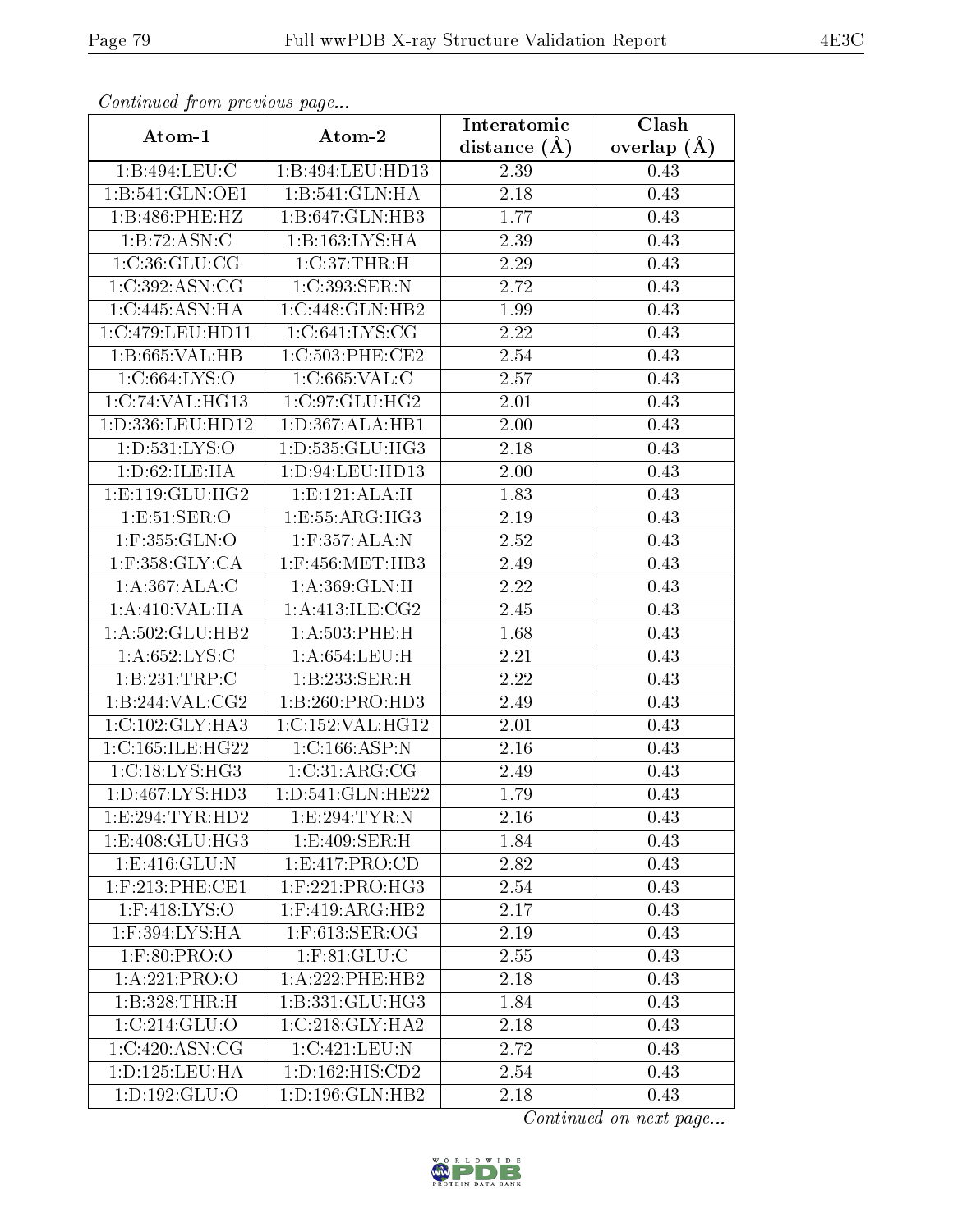| Continuatu from previous page |                      | Interatomic      | Clash           |
|-------------------------------|----------------------|------------------|-----------------|
| Atom-1                        | Atom-2               | distance $(\AA)$ | overlap $(\AA)$ |
| 1:B:494:LEU:C                 | 1:B:494:LEU:HD13     | 2.39             | 0.43            |
| 1: B:541: GLN:OE1             | 1:B:541:GLN:HA       | 2.18             | 0.43            |
| 1:B:486:PHE:HZ                | 1:B:647:GLN:HB3      | 1.77             | 0.43            |
| 1:B:72:ASN:C                  | 1:B:163:LYS:HA       | 2.39             | 0.43            |
| 1:C:36:GLU:CG                 | 1:C:37:THR:H         | 2.29             | 0.43            |
| 1:C:392:ASN:CG                | 1:C:393:SER:N        | 2.72             | 0.43            |
| 1:C:445:ASN:HA                | 1:C:448:GLN:HB2      | 1.99             | 0.43            |
| 1:C:479:LEU:HD11              | 1: C:641: LYS: CG    | 2.22             | 0.43            |
| 1:B:665:VAL:HB                | 1:C:503:PHE:CE2      | 2.54             | 0.43            |
| 1:C:664:LYS:O                 | 1:C:665:VAL:C        | 2.57             | 0.43            |
| 1:C:74:VAL:HG13               | 1:C:97:GLU:HG2       | 2.01             | 0.43            |
| 1:D:336:LEU:HD12              | 1: D: 367: ALA: HB1  | 2.00             | 0.43            |
| 1: D: 531: LYS: O             | 1:D:535:GLU:HG3      | 2.18             | 0.43            |
| 1: D:62: ILE: HA              | 1: D: 94: LEU: HD13  | 2.00             | 0.43            |
| 1: E: 119: GLU: HG2           | 1:E:121:ALA:H        | 1.83             | 0.43            |
| 1: E:51: SER:O                | 1:E:55:ARG:HG3       | 2.19             | 0.43            |
| 1:F:355:GLN:O                 | 1:F:357:ALA:N        | 2.52             | 0.43            |
| $1:$ F:358: $GLY:CA$          | 1:F:456:MET:HB3      | 2.49             | 0.43            |
| 1:A:367:ALA:C                 | 1: A:369: GLN:H      | 2.22             | 0.43            |
| 1:A:410:VAL:HA                | 1:A:413:ILE:CG2      | 2.45             | 0.43            |
| 1:A:502:GLU:HB2               | $1: A:503:$ PHE:H    | 1.68             | 0.43            |
| 1: A:652: LYS:C               | 1: A:654:LEU:H       | 2.21             | 0.43            |
| 1:B:231:TRP:C                 | 1:B:233:SER:H        | 2.22             | 0.43            |
| 1:B:244:VAL:CG2               | 1:B:260:PRO:HD3      | 2.49             | 0.43            |
| 1:C:102:GLY:HA3               | 1:C:152:VAL:HG12     | 2.01             | 0.43            |
| 1:C:165:ILE:HG22              | 1:C:166:ASP:N        | 2.16             | 0.43            |
| 1:C:18:LYS:HG3                | 1:C:31:ARG:CG        | 2.49             | 0.43            |
| 1: D: 467: LYS: HD3           | 1: D: 541: GLN: HE22 | 1.79             | 0.43            |
| 1:E:294:TYR:HD2               | 1:E:294:TYR:N        | 2.16             | 0.43            |
| 1:E:408:GLU:HG3               | 1:E:409:SER:H        | 1.84             | 0.43            |
| 1: E:416: GLU:N               | 1: E: 417: PRO: CD   | 2.82             | 0.43            |
| $1:$ F:213:PHE:CE1            | $1:$ F:221:PRO:HG3   | 2.54             | 0.43            |
| $1:$ F:418:LYS:O              | $1:$ F:419:ARG:HB2   | 2.17             | 0.43            |
| 1:F:394:LYS:HA                | 1:F:613:SER:OG       | 2.19             | 0.43            |
| $1:$ F:80:PRO:O               | $1:$ F:81:GLU:C      | 2.55             | 0.43            |
| 1:A:221:PRO:O                 | 1:A:222:PHE:HB2      | 2.18             | 0.43            |
| 1:B:328:THR:H                 | 1:B:331:GLU:HG3      | 1.84             | 0.43            |
| 1:C:214:GLU:O                 | 1:C:218:GLY:HA2      | 2.18             | 0.43            |
| 1:C:420:ASN:CG                | 1:C:421:LEU:N        | 2.72             | 0.43            |
| 1: D: 125: LEU: HA            | 1: D: 162: HIS: CD2  | 2.54             | 0.43            |
| 1: D: 192: GLU: O             | 1: D: 196: GLN: HB2  | 2.18             | 0.43            |

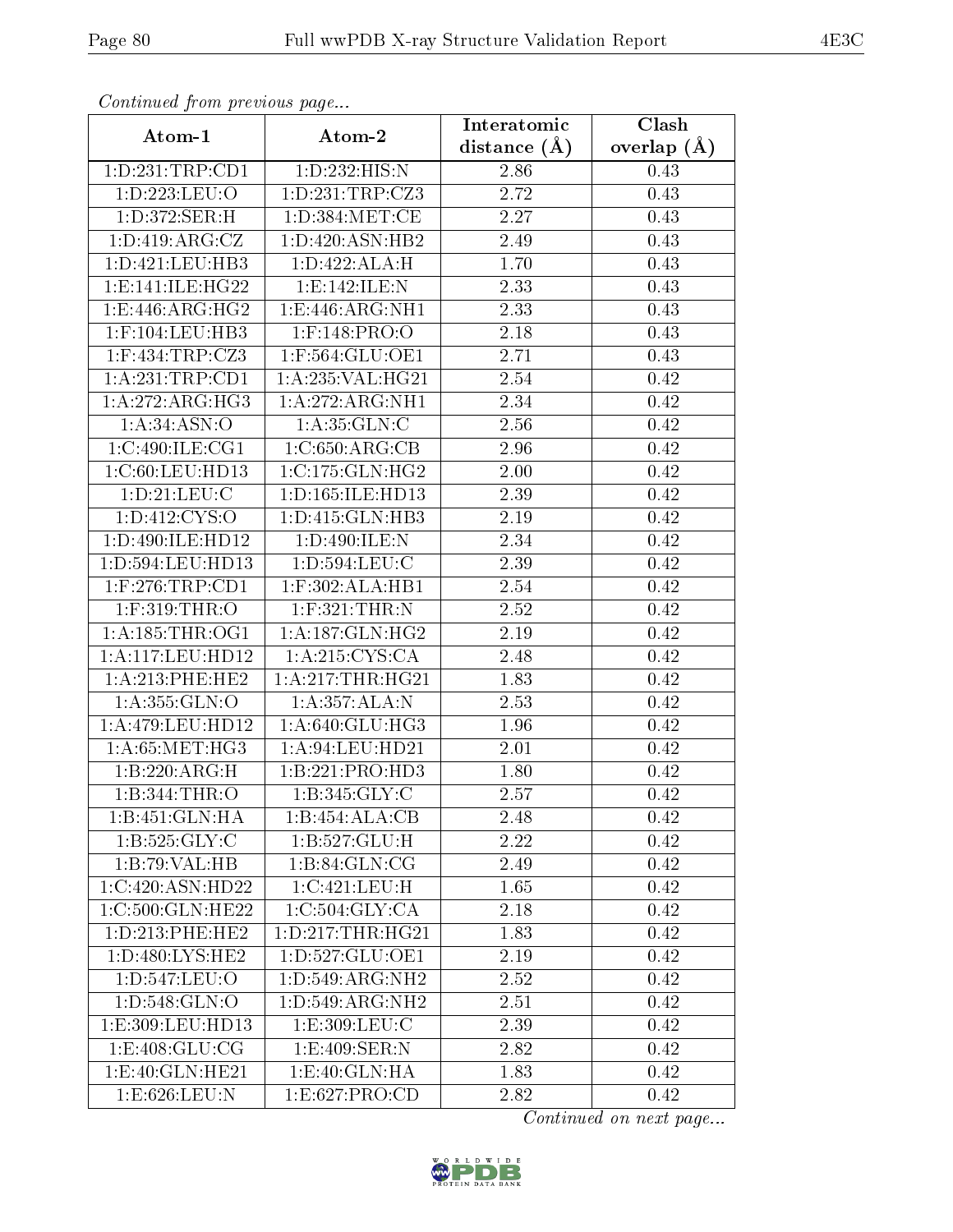| Comunaca jiom previous page |                               | Interatomic    | Clash           |
|-----------------------------|-------------------------------|----------------|-----------------|
| Atom-1                      | Atom-2                        | distance $(A)$ | overlap $(\AA)$ |
| 1: D: 231: TRP: CD1         | 1:D:232:HIS:N                 | 2.86           | 0.43            |
| 1:D:223:LEU:O               | 1: D: 231: TRP: CZ3           | 2.72           | 0.43            |
| 1:D:372:SER:H               | 1: D: 384: MET: CE            | 2.27           | 0.43            |
| 1: D: 419: ARG: CZ          | 1: D:420: ASN: HB2            | 2.49           | 0.43            |
| 1: D: 421: LEU: HB3         | 1:D:422:ALA:H                 | 1.70           | 0.43            |
| 1: E: 141: ILE: HG22        | 1:E:142:ILE:N                 | 2.33           | 0.43            |
| 1:E:446:ARG:HG2             | 1:E:446:ARG:NH1               | 2.33           | 0.43            |
| $1:$ F:104:LEU:HB3          | $1:$ F:148:PRO:O              | 2.18           | 0.43            |
| $1:$ F:434:TRP:CZ3          | 1:F:564:GLU:OE1               | 2.71           | 0.43            |
| 1:A:231:TRP:CD1             | 1:A:235:VAL:HG21              | 2.54           | 0.42            |
| 1:A:272:ARG:HG3             | 1:A:272:ARG:NH1               | 2.34           | 0.42            |
| 1: A:34: ASN:O              | 1: A:35: GLN:C                | 2.56           | 0.42            |
| 1:C:490:ILE:CG1             | 1:C:650:ARG:CB                | 2.96           | 0.42            |
| 1:C:60:LEU:HD13             | $1:C:175:GLN:\overline{HG2}$  | 2.00           | 0.42            |
| 1: D: 21: LEU: C            | 1: D: 165: ILE: HD13          | 2.39           | 0.42            |
| 1: D: 412: CYS:O            | 1: D: 415: GLN: HB3           | 2.19           | 0.42            |
| 1:D:490:ILE:HD12            | 1:D:490:ILE:N                 | 2.34           | 0.42            |
| 1:D:594:LEU:HD13            | 1:D:594:LEU:C                 | 2.39           | 0.42            |
| $1:$ F:276:TRP:CD1          | $1:$ F:302:ALA:HB1            | 2.54           | 0.42            |
| $1:$ F:319:THR:O            | $1:$ F:321:THR:N              | 2.52           | 0.42            |
| 1: A: 185: THR: OG1         | 1: A: 187: GLN: HG2           | 2.19           | 0.42            |
| $1:$ A:117:LEU:HD12         | 1: A:215: CYS:CA              | 2.48           | 0.42            |
| 1: A:213: PHE:HE2           | 1: A:217:THR:HG21             | 1.83           | 0.42            |
| 1:A:355:GLN:O               | 1:A:357:ALA:N                 | 2.53           | 0.42            |
| 1:A:479:LEU:HD12            | 1:A:640:GLU:HG3               | 1.96           | 0.42            |
| 1: A:65:MET:HG3             | 1: A:94:LEU:HD21              | 2.01           | 0.42            |
| 1:B:220:ARG:H               | 1:B:221:PRO:HD3               | 1.80           | 0.42            |
| 1:B:344:THR:O               | 1: B:345: GLY: C              | 2.57           | 0.42            |
| 1:B:451:GLN:HA              | 1:B:454:ALA:CB                | 2.48           | 0.42            |
| 1:B:525:GLY:C               | 1: B: 527: GLU: H             | 2.22           | 0.42            |
| 1:B:79:VAL:HB               | 1: B:84: GLN:CG               | 2.49           | 0.42            |
| 1:C:420:ASN:HD22            | 1:C:421:LEU:H                 | 1.65           | 0.42            |
| 1:C:500:GLN:HE22            | 1:C:504:GLY:CA                | 2.18           | 0.42            |
| 1: D: 213: PHE: HE2         | 1: D: 217: THR: HG21          | 1.83           | 0.42            |
| 1: D:480: LYS: HE2          | 1: D: 527: GLU: OE1           | 2.19           | 0.42            |
| 1:D:547:LEU:O               | 1: D: 549: ARG: NH2           | 2.52           | 0.42            |
| 1: D: 548: GLN: O           | 1:D:549:ARG:NH2               | 2.51           | 0.42            |
| 1:E:309:LEU:HD13            | 1:E:309:LEU:C                 | 2.39           | 0.42            |
| 1: E:408: GLU: CG           | 1:E:409:SER:N                 | 2.82           | 0.42            |
| 1: E:40: GLN: HE21          | $1: E:40: GLN: H\overline{A}$ | 1.83           | 0.42            |
| 1:E:626:LEU:N               | 1:E:627:PRO:CD                | 2.82           | 0.42            |

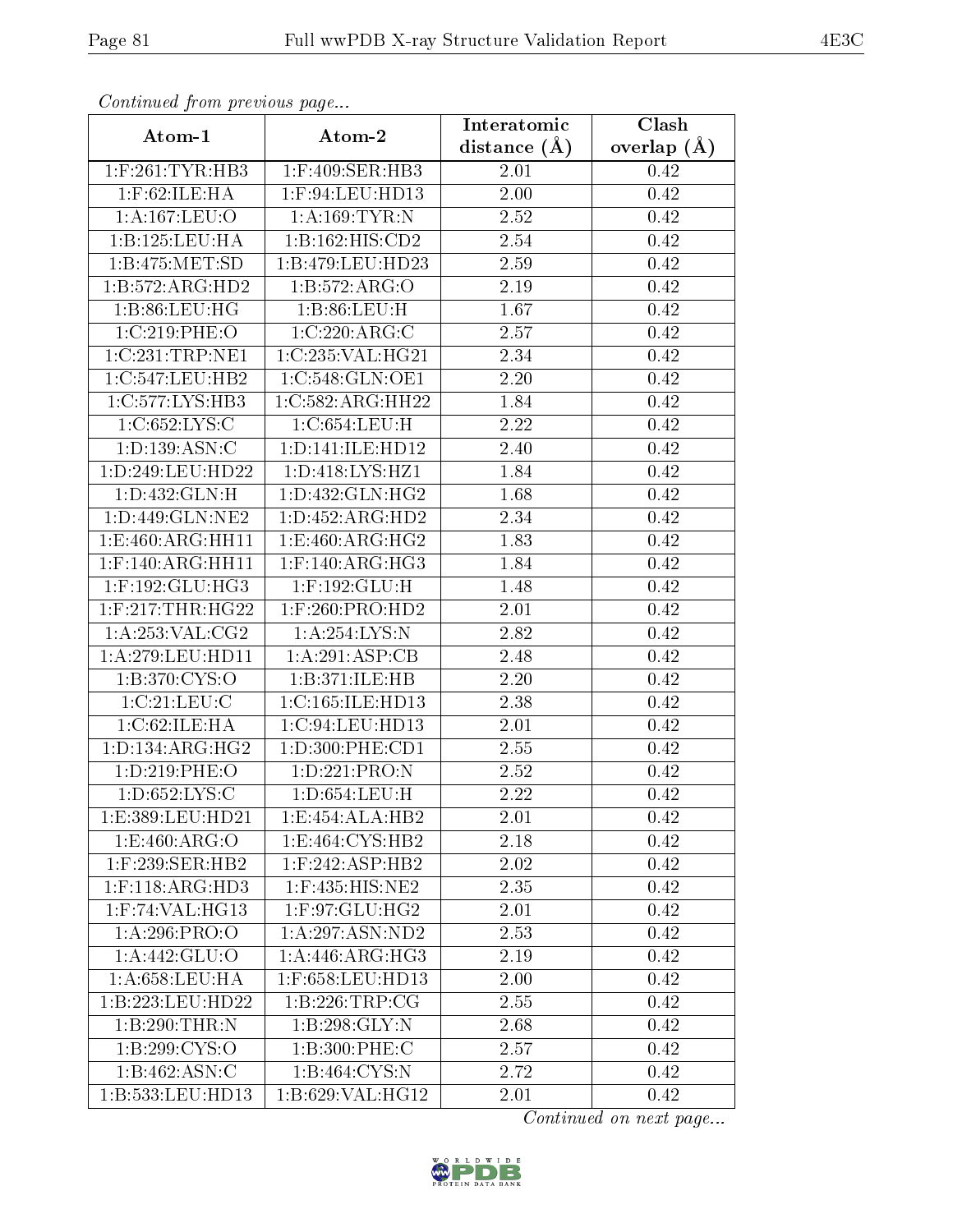| Continuea from previous page   |                     | Interatomic    | Clash           |
|--------------------------------|---------------------|----------------|-----------------|
| Atom-1                         | Atom-2              | distance $(A)$ | overlap $(\AA)$ |
| $1:$ F:261:TYR:HB3             | 1:F:409:SER:HB3     | 2.01           | 0.42            |
| $1:$ F:62:ILE: $\overline{HA}$ | 1:F:94:LEU:HD13     | $2.00\,$       | 0.42            |
| 1:A:167:LEU:O                  | 1: A: 169: TYR: N   | 2.52           | 0.42            |
| 1:B:125:LEU:HA                 | 1:B:162:HIS:CD2     | 2.54           | 0.42            |
| 1:B:475:MET:SD                 | 1:B:479:LEU:HD23    | 2.59           | 0.42            |
| 1:B:572:ARG:HD2                | 1: B: 572: ARG: O   | 2.19           | 0.42            |
| 1:B:86:LEU:HG                  | 1: B:86: LEU:H      | 1.67           | 0.42            |
| 1:C:219:PHE:O                  | 1:C:220:ARG:C       | 2.57           | 0.42            |
| 1:C:231:TRP:NE1                | 1:C:235:VAL:HG21    | 2.34           | 0.42            |
| 1:C:547:LEU:HB2                | 1:C:548:GLN:OE1     | 2.20           | 0.42            |
| 1:C:577:LYS:HB3                | 1:C:582:ARG:HH22    | 1.84           | 0.42            |
| 1:C:652:LYS:C                  | 1:C:654:LEU:H       | 2.22           | 0.42            |
| 1: D: 139: ASN: C              | 1:D:141:ILE:HD12    | 2.40           | 0.42            |
| 1:D:249:LEU:HD22               | 1: D: 418: LYS: HZ1 | 1.84           | 0.42            |
| 1: D: 432: GLN: H              | 1:D:432:GLN:HG2     | 1.68           | 0.42            |
| 1: D: 449: GLN: NE2            | 1:D:452:ARG:HD2     | 2.34           | 0.42            |
| 1:E:460:ARG:HH11               | 1:E:460:ARG:HG2     | 1.83           | 0.42            |
| $1:$ F:140:ARG:HH11            | $1:$ F:140:ARG:HG3  | 1.84           | 0.42            |
| $1:$ F:192:GLU:HG3             | 1:F:192:GLU:H       | 1.48           | 0.42            |
| $1:$ F:217:THR:HG22            | $1:$ F:260:PRO:HD2  | 2.01           | 0.42            |
| 1:A:253:VAL:CG2                | 1: A:254:LYS:N      | 2.82           | 0.42            |
| 1:A:279:LEU:HD11               | 1:A:291:ASP:CB      | 2.48           | 0.42            |
| 1:B:370:CYS:O                  | 1:B:371:ILE:HB      | 2.20           | 0.42            |
| 1:C:21:LEU:C                   | 1:C:165:ILE:HD13    | 2.38           | 0.42            |
| 1:C:62:ILE:HA                  | 1:C:94:LEU:HD13     | $2.01\,$       | 0.42            |
| 1: D: 134: ARG: HG2            | 1:D:300:PHE:CD1     | 2.55           | 0.42            |
| 1:D:219:PHE:O                  | 1:D:221:PRO:N       | 2.52           | 0.42            |
| 1: D: 652: LYS: C              | $1: D: 654:$ LEU:H  | 2.22           | 0.42            |
| 1:E:389:LEU:HD21               | 1:E:454:ALA:HB2     | 2.01           | 0.42            |
| 1:E:460:ARG:O                  | 1: E:464: CYS:HB2   | 2.18           | 0.42            |
| $1:$ F:239:SER:HB2             | $1:$ F:242:ASP:HB2  | 2.02           | 0.42            |
| $1:$ F:118:ARG:HD3             | $1:$ F:435:HIS:NE2  | 2.35           | 0.42            |
| $1:$ F:74:VAL:H $G13$          | $1:$ F:97:GLU:HG2   | 2.01           | 0.42            |
| 1:A:296:PRO:OO                 | 1: A:297: ASN:ND2   | 2.53           | 0.42            |
| 1: A:442: GLU:O                | 1: A:446: ARG: HG3  | 2.19           | 0.42            |
| 1:A:658:LEU:HA                 | 1:F:658:LEU:HD13    | 2.00           | 0.42            |
| 1:B:223:LEU:HD22               | 1: B: 226: TRP: CG  | 2.55           | 0.42            |
| 1:B:290:THR:N                  | 1:B:298:GLY:N       | 2.68           | 0.42            |
| 1:B:299:CYS:O                  | 1:B:300:PHE:C       | 2.57           | 0.42            |
| 1:B:462:ASN:C                  | 1:B:464:CYS:N       | 2.72           | 0.42            |
| 1:B:533:LEU:HD13               | 1:B:629:VAL:HG12    | 2.01           | 0.42            |

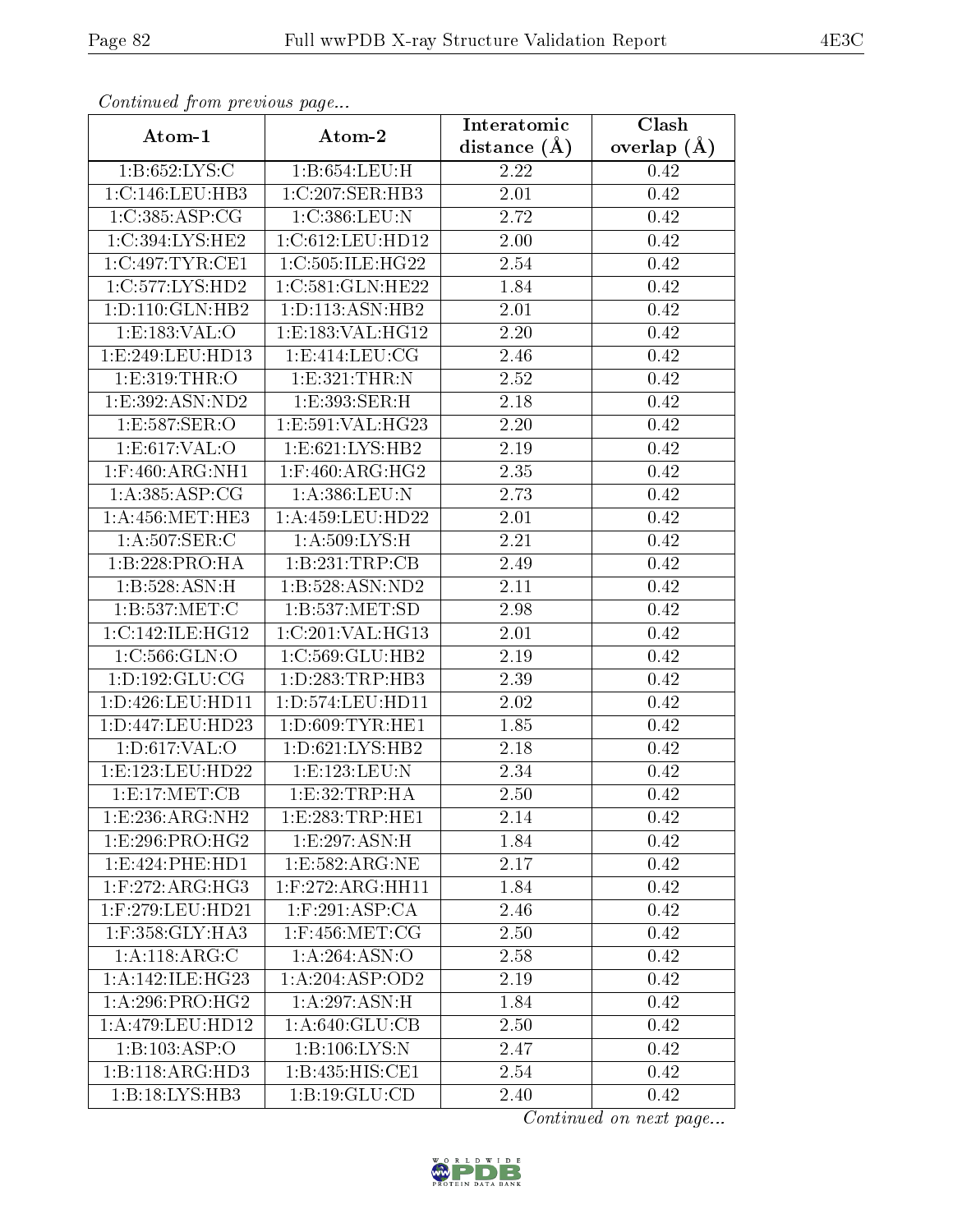| Communica from precious page |                                        | Interatomic       | Clash           |
|------------------------------|----------------------------------------|-------------------|-----------------|
| Atom-1                       | Atom-2                                 | distance $(A)$    | overlap $(\AA)$ |
| 1:B:652:LYS:C                | 1:B:654:LEU:H                          | 2.22              | 0.42            |
| 1:C:146:LEU:HB3              | $1:C:207$ : $\overline{\text{ER:HB3}}$ | $\overline{2}.01$ | 0.42            |
| 1:C:385:ASP:CG               | 1:C:386:LEU:N                          | 2.72              | 0.42            |
| $1:C:394:LYS:H\overline{E2}$ | 1:C:612:LEU:HD12                       | 2.00              | 0.42            |
| 1:C:497:TYR:CE1              | 1:C:505:ILE:HG22                       | 2.54              | 0.42            |
| 1:C:577:LYS:HD2              | 1:C:581:GLN:HE22                       | 1.84              | 0.42            |
| 1:D:110:GLN:HB2              | 1: D: 113: ASN: HB2                    | $\overline{2.01}$ | 0.42            |
| 1: E: 183: VAL: O            | 1:E:183:VAL:HG12                       | 2.20              | 0.42            |
| 1:E:249:LEU:HD13             | 1: E: 414: LEU: CG                     | 2.46              | 0.42            |
| 1: E: 319: THR: O            | 1: E:321: THEN: N                      | 2.52              | 0.42            |
| 1:E:392:ASN:ND2              | 1:E:393:SER:H                          | 2.18              | 0.42            |
| 1:E:587:SER:O                | 1:E:591:VAL:HG23                       | 2.20              | 0.42            |
| 1:E:617:VAL:O                | 1:E:621:LYS:HB2                        | 2.19              | 0.42            |
| $1:$ F:460:ARG:NH $1$        | $1:$ F:460:ARG:HG2                     | 2.35              | 0.42            |
| 1: A:385: ASP:CG             | 1:A:386:LEU:N                          | 2.73              | 0.42            |
| 1: A: 456: MET: HE3          | $1: A: 459:$ LEU:HD22                  | 2.01              | 0.42            |
| 1:A:507:SER:C                | 1: A:509: LYS:H                        | 2.21              | 0.42            |
| 1:B:228:PRO:HA               | 1:B:231:TRP:CB                         | 2.49              | 0.42            |
| 1:B:528:ASN:H                | 1:B:528:ASN:ND2                        | 2.11              | 0.42            |
| 1: B: 537: MET: C            | 1: B: 537: MET: SD                     | 2.98              | 0.42            |
| 1:C:142:ILE:HG12             | 1:C:201:VAL:HG13                       | 2.01              | 0.42            |
| 1:C:566:GLN:O                | 1:C:569:GLU:HB2                        | 2.19              | 0.42            |
| 1: D: 192: GLU: CG           | 1: D: 283: TRP: HB3                    | 2.39              | 0.42            |
| 1:D:426:LEU:HD11             | 1: D: 574: LEU: HD11                   | 2.02              | 0.42            |
| 1:D:447:LEU:HD23             | 1: D:609: TYR: HE1                     | 1.85              | 0.42            |
| 1: D:617: VAL:O              | 1: D:621: LYS: HB2                     | 2.18              | 0.42            |
| 1:E:123:LEU:HD22             | 1:E:123:EU:N                           | 2.34              | 0.42            |
| 1: E: 17: MET: CB            | 1:E:32:TRP:HA                          | 2.50              | 0.42            |
| 1:E:236:ARG:NH2              | 1: E: 283: TRP: HE1                    | 2.14              | 0.42            |
| 1:E:296:PRO:HG2              | 1:E:297:ASN:H                          | 1.84              | 0.42            |
| 1:E:424:PHE:HD1              | 1:E:582:ARG:NE                         | 2.17              | 0.42            |
| $1:$ F:272:ARG:HG3           | $1:$ F:272:ARG:HH11                    | 1.84              | 0.42            |
| 1:F:279:LEU:HD21             | $1:$ F:291:ASP:CA                      | 2.46              | 0.42            |
| 1:F:358:GLY:HA3              | 1:F:456:MET:CG                         | 2.50              | 0.42            |
| 1:A:118:ARG:C                | 1: A:264: ASN:O                        | 2.58              | 0.42            |
| 1: A:142: ILE:HG23           | 1:A:204:ASP:OD2                        | 2.19              | 0.42            |
| 1:A:296:PRO:HG2              | 1: A:297: ASN:H                        | 1.84              | 0.42            |
| 1:A:479:LEU:HD12             | $1: A:640: \overline{GLU:CB}$          | 2.50              | 0.42            |
| 1:B:103:ASP:O                | 1:B:106:LYS:N                          | 2.47              | 0.42            |
| 1:B:118:ARG:HD3              | 1:B:435:HIS:CE1                        | 2.54              | 0.42            |
| 1:B:18:LYS:HB3               | 1:B:19:GLU:CD                          | 2.40              | 0.42            |

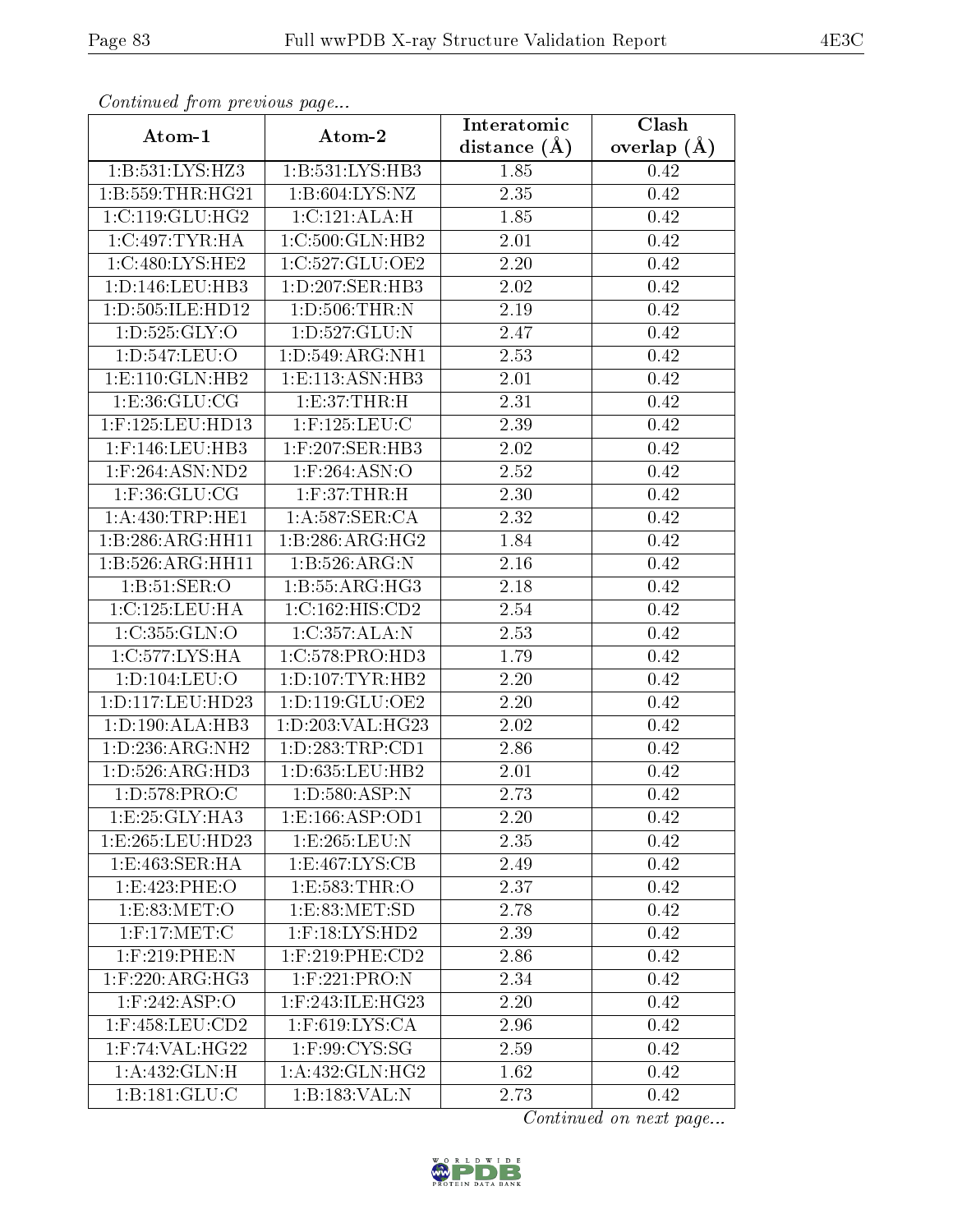| Comunaca jiom previous page |                                      | Interatomic       | Clash           |
|-----------------------------|--------------------------------------|-------------------|-----------------|
| Atom-1                      | Atom-2                               | distance $(A)$    | overlap $(\AA)$ |
| 1:B:531:LYS:HZ3             | 1:B:531:LYS:HB3                      | 1.85              | 0.42            |
| 1:B:559:THR:HG21            | 1: B:604: LYS: NZ                    | 2.35              | 0.42            |
| 1:C:119:GLU:HG2             | 1: C: 121: ALA: H                    | 1.85              | 0.42            |
| $1:C:497:TYR:H\overline{A}$ | 1:C:500:GLN:HB2                      | 2.01              | 0.42            |
| 1:C:480:LYS:HE2             | 1:C:527:GLU:OE2                      | 2.20              | 0.42            |
| 1: D: 146: LEU: HB3         | 1: D: 207: SER: HB3                  | 2.02              | 0.42            |
| 1:D:505:ILE:HD12            | 1: D: 506: THR:N                     | 2.19              | 0.42            |
| 1: D: 525: GLY: O           | 1:D:527:GLU:N                        | 2.47              | 0.42            |
| 1:D:547:LEU:O               | 1: D: 549: ARG: NH1                  | 2.53              | 0.42            |
| 1: E: 110: GLN: HB2         | 1: E: 113: ASN: HB3                  | 2.01              | 0.42            |
| 1:E:36:GLU:CG               | 1:E:37:THR:H                         | 2.31              | 0.42            |
| 1:F:125:LEU:HD13            | $1:$ F:125:LEU:C                     | 2.39              | 0.42            |
| $1:$ F:146:LEU:HB3          | $1:$ F:207:SER:HB3                   | 2.02              | 0.42            |
| $1:$ F:264:ASN:ND2          | $1:$ F:264:ASN:O                     | 2.52              | 0.42            |
| $1:$ F:36: $GLU$ :CG        | $1:$ F:37:THR:H                      | 2.30              | 0.42            |
| 1: A:430:TRP:HE1            | $1: A:587:$ SER: CA                  | 2.32              | 0.42            |
| 1:B:286:ARG:HH11            | 1:B:286:ARG:HG2                      | 1.84              | 0.42            |
| 1: B: 526: ARG: HH11        | 1:B:526:ARG:N                        | 2.16              | 0.42            |
| 1: B:51: SER:O              | $1:B:55:A\overline{\mathrm{RG:HG3}}$ | 2.18              | 0.42            |
| 1:C:125:LEU:HA              | 1:C:162:HIS:CD2                      | 2.54              | 0.42            |
| 1:C:355:GLN:O               | 1:C:357:ALA:N                        | 2.53              | 0.42            |
| 1:C:577:LYS:HA              | 1:C:578:PRO:HD3                      | 1.79              | 0.42            |
| 1: D: 104: LEU: O           | 1: D: 107: TYR: HB2                  | 2.20              | 0.42            |
| 1:D:117:LEU:HD23            | 1: D: 119: GLU: OE2                  | 2.20              | 0.42            |
| 1: D: 190: ALA: HB3         | 1:D:203:VAL:HG23                     | 2.02              | 0.42            |
| 1:D:236:ARG:NH2             | 1: D: 283: TRP: CD1                  | $\overline{2}.86$ | 0.42            |
| 1: D: 526: ARG: HD3         | 1: D: 635: LEU: HB2                  | 2.01              | 0.42            |
| 1:D:578:PRO:C               | 1: D: 580: ASP: N                    | 2.73              | 0.42            |
| 1: E:25: GLY:HA3            | 1:E:166:ASP:OD1                      | 2.20              | 0.42            |
| 1:E:265:LEU:HD23            | 1:E:265:LEU:N                        | 2.35              | 0.42            |
| 1: E:463: SER: HA           | 1: E: 467: LYS: CB                   | 2.49              | 0.42            |
| 1: E: 423: PHE: O           | 1:E:583:THR:O                        | 2.37              | 0.42            |
| 1:E:83:MET:O                | 1: E: 83: MET: SD                    | 2.78              | 0.42            |
| $1:$ F:17:MET:C             | $1:$ F:18:LYS:HD2                    | 2.39              | 0.42            |
| $1:$ F:219:PHE:N            | $1:$ F:219:PHE:CD2                   | 2.86              | 0.42            |
| $1:$ F:220:ARG:HG3          | 1:F:221:PRO:N                        | 2.34              | 0.42            |
| $1:$ F:242:ASP:O            | 1:F:243:ILE:HG23                     | 2.20              | 0.42            |
| $1:$ F:458:LEU: $CD2$       | $1:$ F:619:LYS:CA                    | 2.96              | 0.42            |
| $1:$ F:74:VAL:HG $22$       | $1:$ F:99:CYS:SG                     | 2.59              | 0.42            |
| 1:A:432:GLN:H               | 1: A: 432: GLN: HG2                  | 1.62              | 0.42            |
| 1:B:181:GLU:C               | 1:B:183:VAL:N                        | 2.73              | 0.42            |

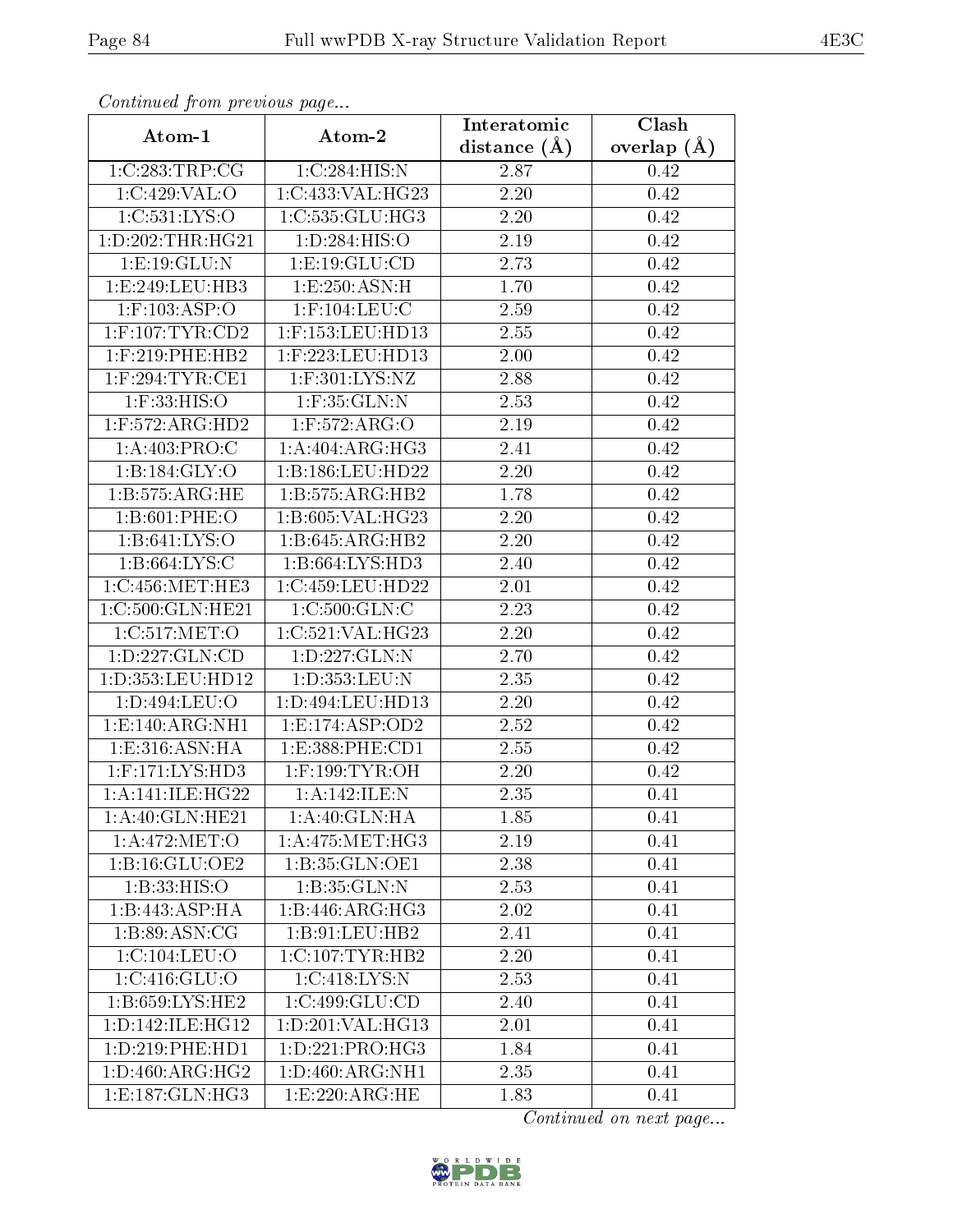| Continued from previous page |                      | Interatomic       | Clash         |
|------------------------------|----------------------|-------------------|---------------|
| Atom-1                       | Atom-2               | distance $(A)$    | overlap $(A)$ |
| 1:C:283:TRP:CG               | 1:C:284:HIS:N        | 2.87              | 0.42          |
| 1:C:429:VAL:O                | 1:C:433:VAL:HG23     | 2.20              | 0.42          |
| 1:C:531:LYS:O                | 1:C:535:GLU:HG3      | 2.20              | 0.42          |
| 1: D: 202: THR: HG21         | 1:D:284:HIS:O        | 2.19              | 0.42          |
| 1:E:19:GLU:N                 | 1:E:19:GLU:CD        | 2.73              | 0.42          |
| 1:E:249:LEU:HB3              | 1:E:250:ASN:H        | 1.70              | 0.42          |
| $1:$ F:103:ASP:O             | $1:$ F:104:LEU:C     | 2.59              | 0.42          |
| $1:$ F:107:TYR:CD2           | $1:$ F:153:LEU:HD13  | 2.55              | 0.42          |
| $1:$ F:219:PHE:HB2           | $1:$ F:223:LEU:HD13  | $\overline{2}.00$ | 0.42          |
| $1:$ F:294:TYR:CE1           | $1:$ F:301:LYS:NZ    | 2.88              | 0.42          |
| $1:$ F:33:HIS:O              | $1:$ F:35:GLN:N      | 2.53              | 0.42          |
| $1:$ F:572:ARG:HD2           | $1:$ F:572:ARG:O     | 2.19              | 0.42          |
| 1:A:403:PRO:C                | 1:A:404:ARG:HG3      | 2.41              | 0.42          |
| 1: B: 184: GLY:O             | 1:B:186:LEU:HD22     | 2.20              | 0.42          |
| 1:B:575:ARG:HE               | 1:B:575:ARG:HB2      | 1.78              | 0.42          |
| 1: B:601: PHE:O              | 1:B:605:VAL:HG23     | 2.20              | 0.42          |
| 1: B:641: LYS:O              | 1:B:645:ARG:HB2      | 2.20              | 0.42          |
| 1:B:664:LYS:C                | 1:B:664:LYS:HD3      | 2.40              | 0.42          |
| 1:C:456:MET:HE3              | 1:C:459:LEU:HD22     | 2.01              | 0.42          |
| 1:C:500:GLN:HE21             | 1: C:500: GLN: C     | 2.23              | 0.42          |
| $1: C:517$ :MET:O            | 1:C:521:VAL:HG23     | 2.20              | 0.42          |
| 1: D: 227: GLN: CD           | 1:D:227:GLN:N        | 2.70              | 0.42          |
| 1:D:353:LEU:HD12             | 1:D:353:LEU:N        | 2.35              | 0.42          |
| 1:D:494:LEU:O                | 1:D:494:LEU:HD13     | 2.20              | 0.42          |
| 1:E:140:ARG:NH1              | 1: E: 174: ASP: OD2  | 2.52              | 0.42          |
| 1: E: 316: ASN: HA           | 1:E:388:PHE:CD1      | $\overline{2.55}$ | 0.42          |
| $1:$ F:171:LYS:HD3           | $1:$ F:199:TYR:OH    | 2.20              | 0.42          |
| 1: A:141: ILE:H G22          | 1:A:142:ILE:N        | 2.35              | 0.41          |
| 1:A:40:GLN:HE21              | 1:A:40:GLN:HA        | 1.85              | 0.41          |
| 1:A:472:MET:O                | 1: A:475: MET:HG3    | 2.19              | 0.41          |
| 1: B: 16: GLU: OE2           | 1:B:35:GLN:OE1       | 2.38              | 0.41          |
| 1:B:33:HIS:O                 | 1:B:35:GLN:N         | 2.53              | 0.41          |
| 1:B:443:ASP:HA               | 1:B:446:ARG:HG3      | 2.02              | 0.41          |
| 1: B:89: ASN: CG             | 1:B:91:LEU:HB2       | 2.41              | 0.41          |
| 1:C:104:LEU:O                | $1:C:107$ : TYR: HB2 | 2.20              | 0.41          |
| 1:C:416:GLU:O                | 1:C:418:LYS:N        | 2.53              | 0.41          |
| 1:B:659:LYS:HE2              | 1:C:499:GLU:CD       | 2.40              | 0.41          |
| 1: D: 142: ILE: HG12         | 1:D:201:VAL:HG13     | 2.01              | 0.41          |
| 1: D: 219: PHE: HD1          | 1:D:221:PRO:HG3      | 1.84              | 0.41          |
| 1: D:460: ARG:HG2            | 1:D:460:ARG:NH1      | 2.35              | 0.41          |
| 1:E:187:GLN:HG3              | 1:E:220:ARG:HE       | 1.83              | 0.41          |

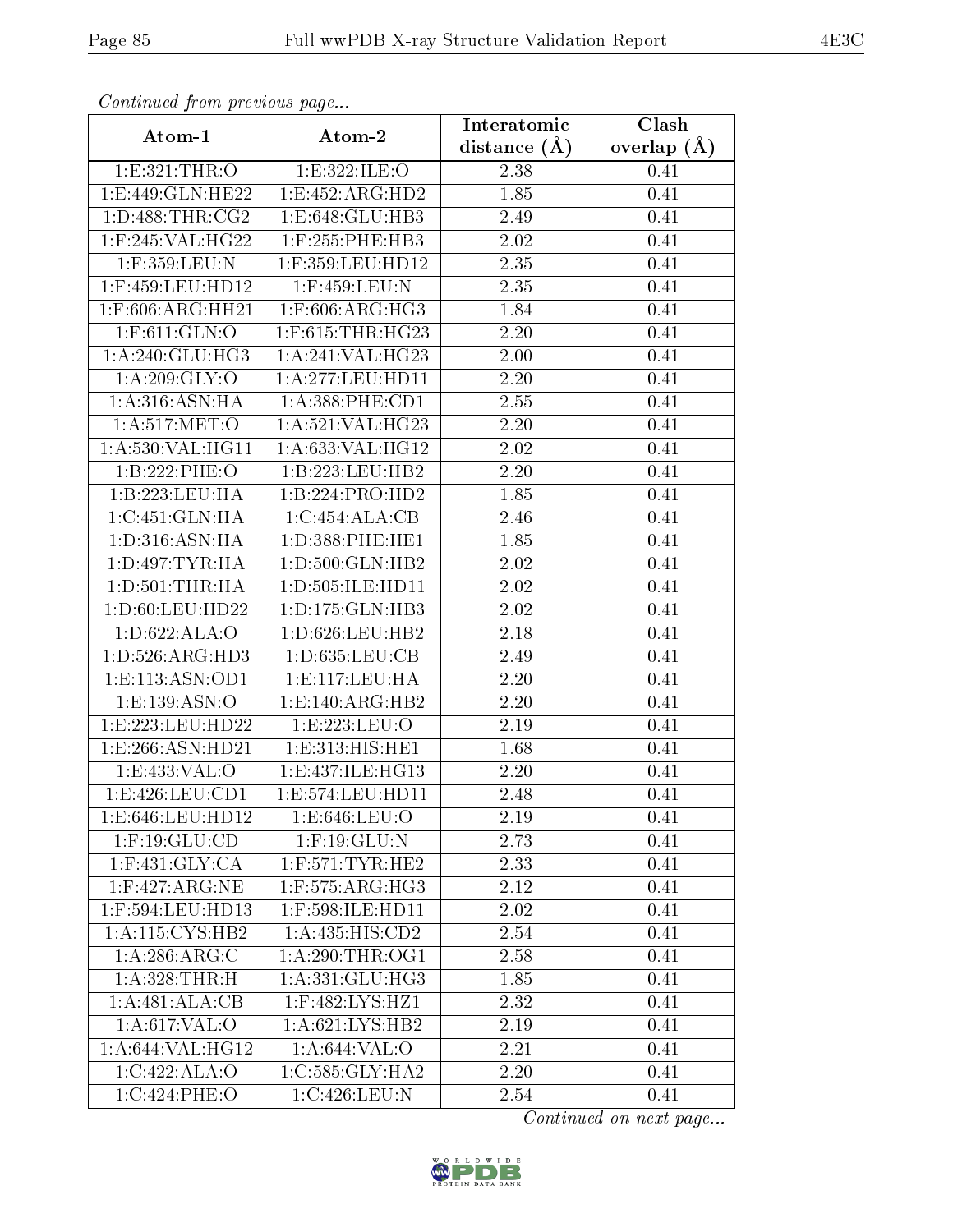| Continuou prome providuo pugo |                                         | Interatomic       | Clash           |  |
|-------------------------------|-----------------------------------------|-------------------|-----------------|--|
| Atom-1                        | Atom-2                                  | distance $(A)$    | overlap $(\AA)$ |  |
| 1: E: 321: THR:O              | 1:E:322:ILE:O                           | 2.38              | 0.41            |  |
| 1:E:449:GLN:HE22              | 1:E:452:ARG:HD2                         | 1.85              | 0.41            |  |
| 1: D:488: THR:CG2             | 1:E:648:GLU:HB3                         | 2.49              | 0.41            |  |
| 1:F:245:VAL:HG22              | $1:$ F:255:PHE:HB3                      | 2.02              | 0.41            |  |
| 1:F:359:LEU:N                 | 1:F:359:LEU:HD12                        | 2.35              | 0.41            |  |
| 1:F:459:LEU:HD12              | 1:F:459:LEU:N                           | 2.35              | 0.41            |  |
| 1:F:606:ARG:HH21              | $1:$ F:606:ARG:HG3                      | 1.84              | 0.41            |  |
| $1:$ F:611:GLN:O              | $1:$ F:615:THR:HG23                     | 2.20              | 0.41            |  |
| 1:A:240:GLU:HG3               | 1: A:241:VAL:HG23                       | 2.00              | 0.41            |  |
| $1:A:209:\overline{GLY:O}$    | 1:A:277:LEU:HDI1                        | 2.20              | 0.41            |  |
| 1: A:316: ASN: HA             | 1: A: 388: PHE: CD1                     | 2.55              | 0.41            |  |
| 1: A:517: MET:O               | 1:A:521:VAL:HG23                        | $\overline{2}.20$ | 0.41            |  |
| 1:A:530:VAL:HG11              | 1:A:633:VAL:HG12                        | 2.02              | 0.41            |  |
| 1:B:222:PHE:O                 | 1:B:223:LEU:HB2                         | $\overline{2}.20$ | 0.41            |  |
| 1:B:223:LEU:HA                | 1:B:224:PRO:HD2                         | 1.85              | 0.41            |  |
| 1:C:451:GLN:HA                | 1:C:454:ALA:CB                          | 2.46              | 0.41            |  |
| 1: D: 316: ASN: HA            | 1:D:388:PHE:HE1                         | 1.85              | 0.41            |  |
| 1: D: 497: TYR: HA            | $1: D:500: GLN: \overline{HB2}$         | 2.02              | 0.41            |  |
| 1: D: 501: THR: HA            | 1:D:505:ILE:HD11                        | 2.02              | 0.41            |  |
| 1:D:60:LEU:HD22               | 1: D: 175: GLN: HB3                     | 2.02              | 0.41            |  |
| 1:D:622:ALA:O                 | 1: D:626: LEU: HB2                      | 2.18              | 0.41            |  |
| 1: D: 526: ARG: HD3           | 1: D:635: LEU: CB                       | 2.49              | 0.41            |  |
| 1: E: 113: ASN: OD1           | 1: E: 117: LEU: HA                      | 2.20              | 0.41            |  |
| 1: E: 139: ASN: O             | 1:E:140:ARG:HB2                         | 2.20              | 0.41            |  |
| 1:E:223:LEU:HD22              | 1:E:223:EU:O                            | 2.19              | 0.41            |  |
| 1:E:266:ASN:HD21              | 1:E:313:HIS:HE1                         | 1.68              | 0.41            |  |
| 1:E:433:VAL:O                 | 1:E:437:ILE:HG13                        | 2.20              | 0.41            |  |
| 1:E:426:LEU:CD1               | 1:E:574:LEU:HD11                        | 2.48              | 0.41            |  |
| 1:E:646:LEU:HD12              | 1: E:646:LEU:O                          | 2.19              | 0.41            |  |
| $1:$ F:19:GLU:CD              | $1:$ F:19:GLU:N                         | 2.73              | 0.41            |  |
| $1:$ F:431:GLY:CA             | $1:$ F:571:TYR:HE2                      | 2.33              | 0.41            |  |
| $1:$ F:427:ARG:NE             | $1:$ F:575:AR $\overline{\text{G:HG3}}$ | 2.12              | 0.41            |  |
| 1:F:594:LEU:HD13              | $1:$ F:598:ILE:HD11                     | 2.02              | 0.41            |  |
| 1: A: 115: CYS: HB2           | 1: A: 435: HIS: CD2                     | 2.54              | 0.41            |  |
| 1:A:286:ARG:C                 | 1: A:290:THR:OG1                        | 2.58              | 0.41            |  |
| 1:A:328:THR:H                 | 1: A: 331: GLU: HG3                     | 1.85              | 0.41            |  |
| 1:A:481:ALA:CB                | $1:$ F:482:LYS:HZ1                      | 2.32              | 0.41            |  |
| 1: A:617: VAL:O               | 1: A:621:LYS:HB2                        | 2.19              | 0.41            |  |
| 1: A:644: VAL:HG12            | 1: A:644:VAL:O                          | 2.21              | 0.41            |  |
| 1:C:422:ALA:O                 | 1:C:585:GLY:HA2                         | 2.20              | 0.41            |  |
| 1:C:424:PHE:O                 | 1:C:426:LEU:N                           | 2.54              | 0.41            |  |

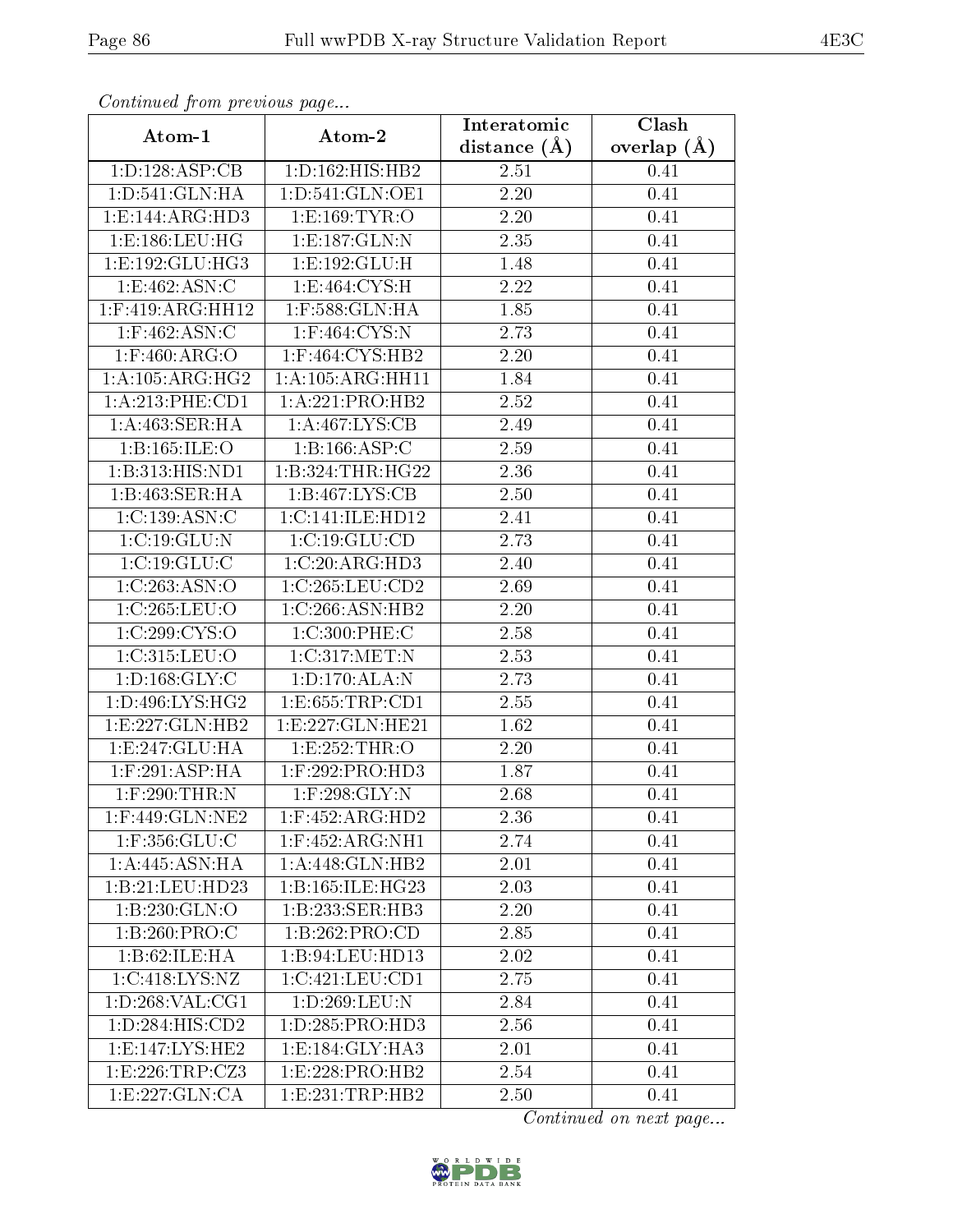| Continuatu from previous page            |                      | Interatomic       | Clash         |  |
|------------------------------------------|----------------------|-------------------|---------------|--|
| Atom-1                                   | Atom-2               | distance $(A)$    | overlap $(A)$ |  |
| 1:D:128:ASP:CB                           | 1:D:162:HIS:HB2      | 2.51              | 0.41          |  |
| 1: D: 541: GLN: HA                       | 1: D: 541: GLN: OE1  | 2.20              | 0.41          |  |
| 1:E:144:ARG:HD3                          | 1:E:169:TYR:O        | 2.20              | 0.41          |  |
| 1:E:186:LEU:HG                           | 1:E:187:GLN:N        | 2.35              | 0.41          |  |
| 1:E:192:GLU:HG3                          | 1:E:192:GLU:H        | 1.48              | 0.41          |  |
| 1:E:462:ASN:C                            | 1: E:464: CYS:H      | 2.22              | 0.41          |  |
| $1:$ F:419: $\overline{\text{ARG:HH12}}$ | 1:F:588:GLN:HA       | 1.85              | 0.41          |  |
| $1:$ F:462:ASN:C                         | $1:$ F:464:CYS:N     | 2.73              | 0.41          |  |
| $1:$ F:460:ARG:O                         | $1:$ F:464:CYS:HB2   | 2.20              | 0.41          |  |
| 1: A: 105: ARG: HG2                      | 1: A: 105: ARG: HH11 | 1.84              | 0.41          |  |
| 1:A:213:PHE:CD1                          | 1:A:221:PRO:HB2      | 2.52              | 0.41          |  |
| 1:A:463:SER:HA                           | 1: A:467: LYS: CB    | 2.49              | 0.41          |  |
| 1:B:165:ILE:O                            | 1:B:166:ASP:C        | 2.59              | 0.41          |  |
| 1:B:313:HIS:ND1                          | 1:B:324:THR:HG22     | 2.36              | 0.41          |  |
| $1:B:463:SER:H\overline{A}$              | 1: B: 467: LYS: CB   | 2.50              | 0.41          |  |
| 1:C:139:ASN:C                            | 1:C:141:ILE:HD12     | 2.41              | 0.41          |  |
| 1:C:19:GLU:N                             | 1: C: 19: GLU: CD    | $\overline{2.73}$ | 0.41          |  |
| 1:C:19:GLU:C                             | 1:C:20:ARG:HD3       | 2.40              | 0.41          |  |
| 1:C:263:ASN:O                            | 1:C:265:LEU:CD2      | 2.69              | 0.41          |  |
| 1:C:265:LEU:O                            | 1:C:266:ASN:HB2      | 2.20              | 0.41          |  |
| $1:C:299:C\overline{YS:O}$               | 1:C:300:PHE:C        | 2.58              | 0.41          |  |
| 1:C:315:LEU:O                            | 1:C:317:MET:N        | 2.53              | 0.41          |  |
| 1: D: 168: GLY: C                        | 1:D:170:ALA:N        | 2.73              | 0.41          |  |
| 1: D:496: LYS:HG2                        | 1: E: 655: TRP: CD1  | 2.55              | 0.41          |  |
| 1:E:227:GLN:HB2                          | 1:E:227:GLN:HE21     | 1.62              | 0.41          |  |
| 1:E:247:GLU:HA                           | 1:E:252:THR:O        | 2.20              | 0.41          |  |
| $1:$ F:291:ASP:HA                        | $1:$ F:292:PRO:HD3   | 1.87              | 0.41          |  |
| $1:$ $F:290:$ THR: N                     | $1:$ F:298:GLY:N     | 2.68              | 0.41          |  |
| $1:$ F:449:GL $\overline{\text{N:NE2}}$  | 1:F:452:ARG:HD2      | 2.36              | 0.41          |  |
| 1:F:356:GLU:C                            | $1:$ F:452:ARG:NH1   | 2.74              | 0.41          |  |
| 1:A:445:ASN:HA                           | 1:A:448:GLN:HB2      | 2.01              | 0.41          |  |
| 1:B:21:LEU:HD23                          | 1:B:165:ILE:HG23     | 2.03              | 0.41          |  |
| 1:B:230:GLN:O                            | 1:B:233:SER:HB3      | 2.20              | 0.41          |  |
| 1:B:260:PRO:C                            | 1:B:262:PRO:CD       | 2.85              | 0.41          |  |
| 1:B:62:ILE: HA                           | 1:B:94:LEU:HD13      | 2.02              | 0.41          |  |
| 1:C:418:LYS:NZ                           | 1:C:421:LEU:CD1      | 2.75              | 0.41          |  |
| 1: D: 268: VAL: CG1                      | $1: D: 269:$ LEU:N   | 2.84              | 0.41          |  |
| 1: D: 284: HIS: CD2                      | 1: D: 285: PRO: HD3  | 2.56              | 0.41          |  |
| 1:E:147:LYS:HE2                          | 1: E: 184: GLY: HA3  | 2.01              | 0.41          |  |
| 1:E:226:TRP:CZ3                          | 1:E:228:PRO:HB2      | 2.54              | 0.41          |  |
| 1:E:227:GLN:CA                           | 1: E: 231: TRP: HB2  | 2.50              | 0.41          |  |

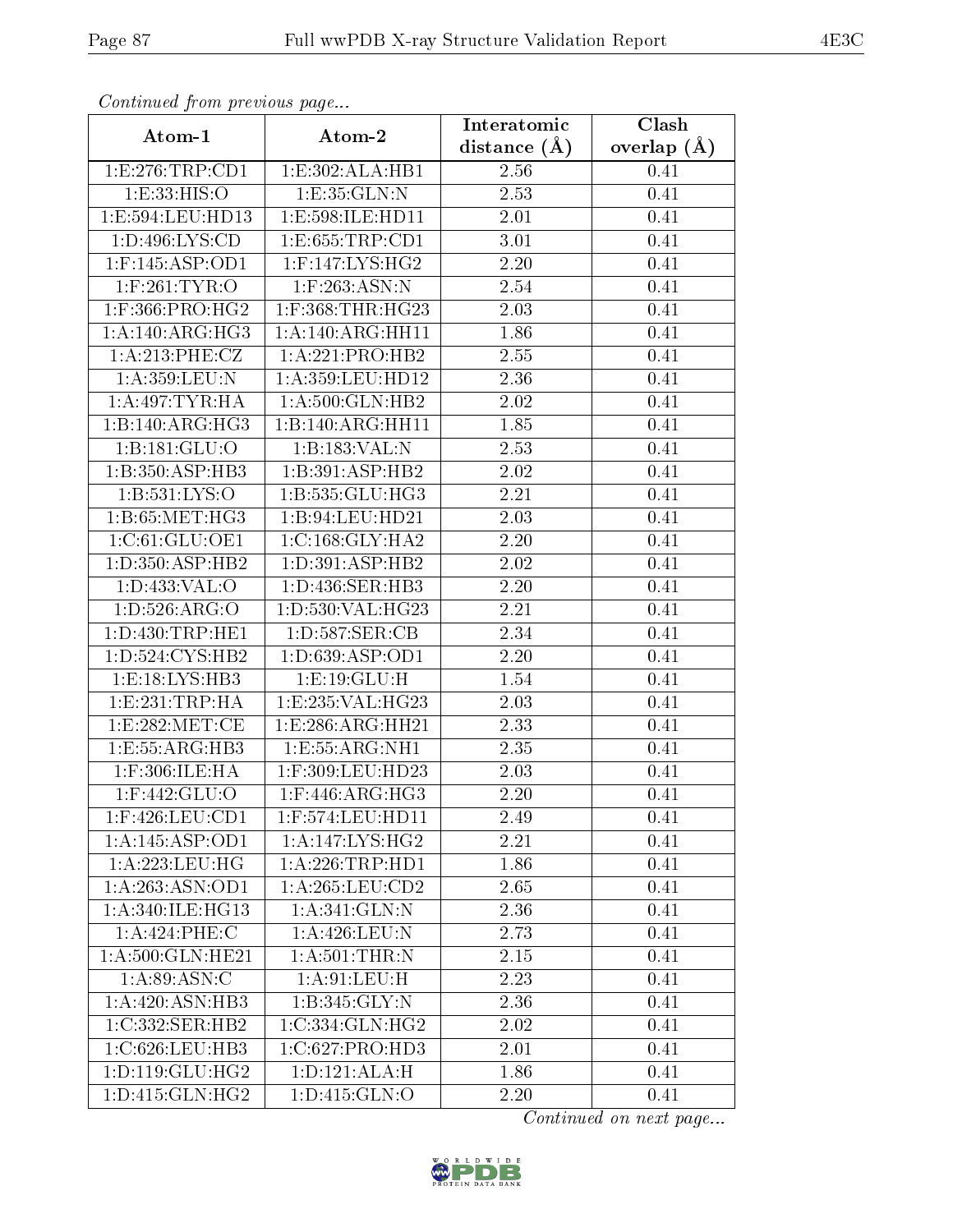| Communa from previous page   |                                 | Interatomic       | Clash           |  |
|------------------------------|---------------------------------|-------------------|-----------------|--|
| Atom-1                       | Atom-2                          | distance $(A)$    | overlap $(\AA)$ |  |
| 1:E:276:TRP:CD1              | 1:E:302:ALA:HB1                 | 2.56              | 0.41            |  |
| 1:E:33:HIS:O                 | 1: E: 35: GLN:N                 | 2.53              | 0.41            |  |
| 1: E: 594: LEU: HD13         | 1:E:598:ILE:HD11                | 2.01              | 0.41            |  |
| 1: D: 496: LYS: CD           | 1:E:655:TRP:CD1                 | $\overline{3}.01$ | 0.41            |  |
| $1:$ F:145:ASP:OD1           | $1:$ F:147:LYS:HG2              | 2.20              | 0.41            |  |
| $1:$ F:261:TYR:O             | $1:$ F:263:ASN:N                | 2.54              | 0.41            |  |
| $1:$ F:366:PRO:HG2           | 1:F:368:THR:HG23                | 2.03              | 0.41            |  |
| 1:A:140:ARG:HG3              | 1:A:140:ARG:HH11                | 1.86              | 0.41            |  |
| 1: A:213: PHE: CZ            | 1:A:221:PRO:HB2                 | 2.55              | 0.41            |  |
| 1:A:359:LEU:N                | 1:A:359:LEU:HD12                | 2.36              | 0.41            |  |
| 1: A:497:TYR:HA              | 1:A:500:GLN:HB2                 | 2.02              | 0.41            |  |
| $1:B:140:ARG:\overline{HG3}$ | 1:B:140:ARG:HH11                | 1.85              | 0.41            |  |
| 1:B:181:GLU:O                | 1:B:183:VAL:N                   | $\overline{2.53}$ | 0.41            |  |
| 1:B:350:ASP:HB3              | 1:B:391:ASP:HB2                 | 2.02              | 0.41            |  |
| 1:B:531:LYS:O                | 1:B:535:GLU:HG3                 | 2.21              | 0.41            |  |
| 1:B:65:MET:HG3               | 1:B:94:LEU:HD21                 | 2.03              | 0.41            |  |
| 1:C:61:GLU:OE1               | 1:C:168:GLY:HA2                 | 2.20              | 0.41            |  |
| 1: D: 350: ASP: HB2          | $1: D:391: ASP: \overline{HB2}$ | 2.02              | 0.41            |  |
| 1:D:433:VAL:O                | 1:D:436:SER:HB3                 | 2.20              | 0.41            |  |
| 1: D: 526: ARG: O            | 1:D:530:VAL:HG23                | 2.21              | 0.41            |  |
| 1: D: 430: TRP: HE1          | 1:D:587:SER:CB                  | 2.34              | 0.41            |  |
| 1: D: 524: CYS: HB2          | 1: D: 639: ASP: OD1             | 2.20              | 0.41            |  |
| 1:E:18:LYS:HB3               | 1: E: 19: GLU: H                | $\overline{1}.54$ | 0.41            |  |
| 1: E: 231: TRP: HA           | 1:E:235:VAL:HG23                | 2.03              | 0.41            |  |
| 1:E:282:MET:CE               | 1:E:286:ARG:HH21                | 2.33              | 0.41            |  |
| 1:E:55:ARG:HB3               | 1:E:55:ARG:NH1                  | 2.35              | 0.41            |  |
| 1:F:306:ILE:HA               | 1:F:309:LEU:HD23                | 2.03              | 0.41            |  |
| 1:F:442:GLU:O                | $1:$ F:446:ARG:HG3              | 2.20              | 0.41            |  |
| $1:$ F:426:LEU:CD1           | 1:F:574:LEU:HD11                | 2.49              | 0.41            |  |
| 1:A:145:ASP:OD1              | 1:A:147:LYS:HG2                 | 2.21              | 0.41            |  |
| 1:A:223:LEU:HG               | 1:A:226:TRP:HD1                 | 1.86              | 0.41            |  |
| 1:A:263:ASN:OD1              | 1: A:265:LEU:CD2                | 2.65              | 0.41            |  |
| 1: A:340: ILE: HG13          | 1: A:341: GLN:N                 | 2.36              | 0.41            |  |
| 1:A:424:PHE:C                | 1:A:426:LEU:N                   | 2.73              | 0.41            |  |
| 1:A:500:GLN:HE21             | $1:A:501$ : THR:N               | 2.15              | 0.41            |  |
| 1: A:89: ASN:C               | 1:A:91:LEU:H                    | 2.23              | 0.41            |  |
| 1: A:420: ASN:HB3            | 1:B:345:GLY:N                   | 2.36              | 0.41            |  |
| 1:C:332:SER:HB2              | 1:C:334:GLN:HG2                 | 2.02              | 0.41            |  |
| 1:C:626:LEU:HB3              | 1:C:627:PRO:HD3                 | 2.01              | 0.41            |  |
| 1: D: 119: GLU: HG2          | 1: D: 121: ALA:H                | 1.86              | 0.41            |  |
| 1:D:415:GLN:HG2              | 1:D:415:GLN:O                   | 2.20              | 0.41            |  |

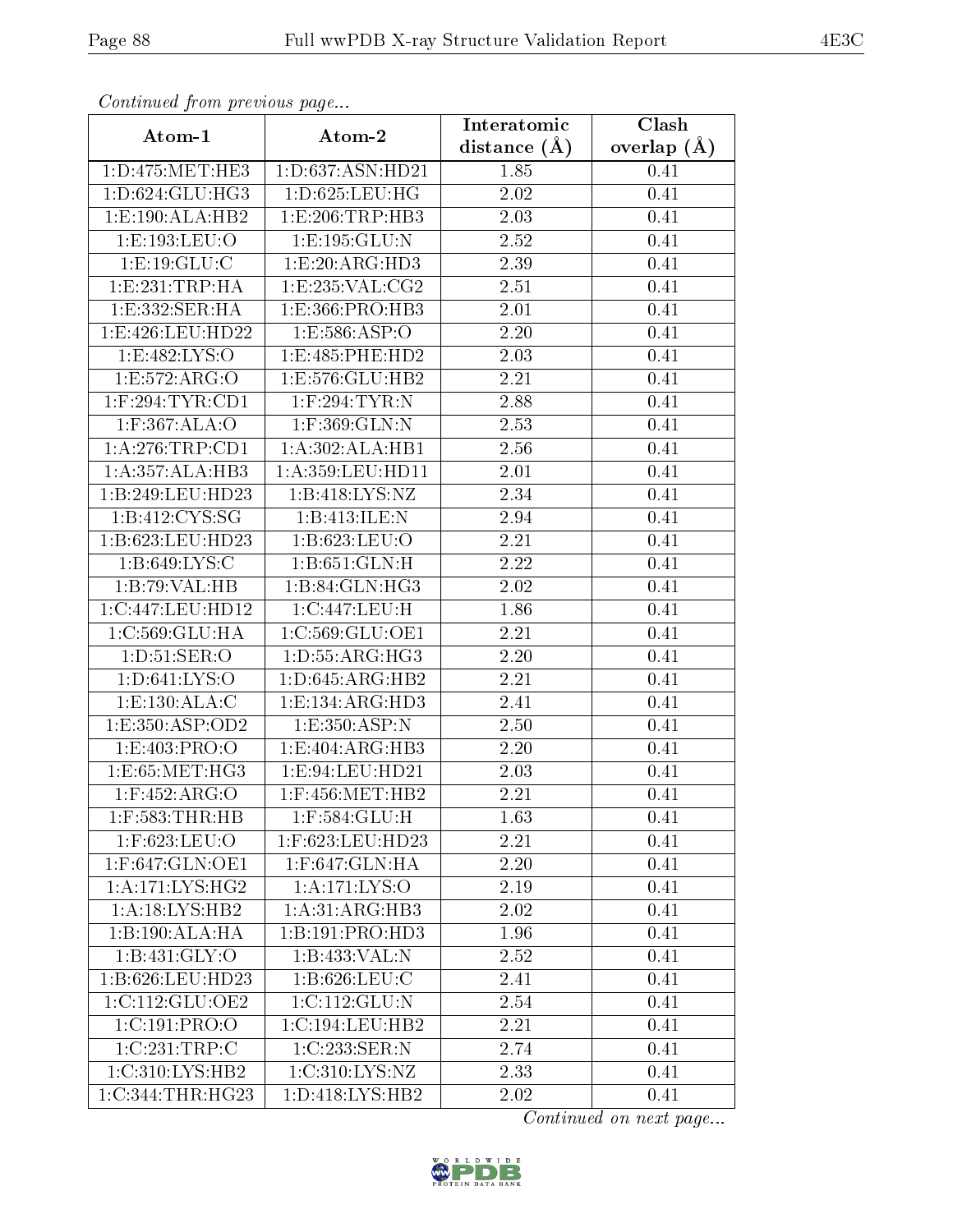| Continuatu jibin previous puge |                                   | Interatomic      | Clash           |  |
|--------------------------------|-----------------------------------|------------------|-----------------|--|
| Atom-1                         | Atom-2                            | distance $(\AA)$ | overlap $(\AA)$ |  |
| 1: D: 475: MET: HE3            | $1: D: 637: \overline{A}$ SN:HD21 | 1.85             | 0.41            |  |
| 1: D:624: GLU: HG3             | 1:D:625:LEU:HG                    | 2.02             | 0.41            |  |
| 1: E: 190: ALA: HB2            | 1:E:206:TRP:HB3                   | $2.03\,$         | 0.41            |  |
| 1:E:193:LEU:O                  | 1:E:195:GLU:N                     | 2.52             | 0.41            |  |
| 1: E: 19: GLU: C               | 1: E: 20: ARG: HD3                | 2.39             | 0.41            |  |
| 1: E: 231: TRP: HA             | 1:E:235:VAL:CG2                   | 2.51             | 0.41            |  |
| 1:E:332:SER:HA                 | 1:E:366:PRO:HB3                   | 2.01             | 0.41            |  |
| 1: E:426: LEU: HD22            | 1: E: 586: ASP: O                 | 2.20             | 0.41            |  |
| 1:E:482:LYS:O                  | 1:E:485:PHE:HD2                   | 2.03             | 0.41            |  |
| 1:E:572:ARG:O                  | 1: E: 576: GLU: HB2               | 2.21             | 0.41            |  |
| $1:$ F:294:TYR:CD1             | 1:F:294:TYR:N                     | 2.88             | 0.41            |  |
| 1:F:367:ALA:O                  | $1:$ F:369:GLN:N                  | 2.53             | 0.41            |  |
| 1: A:276:TRP:CD1               | 1:A:302:ALA:HB1                   | 2.56             | 0.41            |  |
| 1:A:357:ALA:HB3                | 1: A:359: LEU: HD11               | 2.01             | 0.41            |  |
| 1:B:249:LEU:HD23               | 1:B:418:LYS:NZ                    | 2.34             | 0.41            |  |
| 1:B:412:CYS:SG                 | 1:B:413:ILE:N                     | 2.94             | 0.41            |  |
| 1:B:623:LEU:HD23               | 1:B:623:LEU:O                     | 2.21             | 0.41            |  |
| 1: B:649: LYS: C               | 1: B:651: GLN:H                   | 2.22             | 0.41            |  |
| 1:B:79:VAL:HB                  | 1:B:84:GLN:HG3                    | 2.02             | 0.41            |  |
| 1:C:447:LEU:HD12               | 1:C:447:LEU:H                     | 1.86             | 0.41            |  |
| 1:C:569:GLU:HA                 | 1:C:569:GLU:OE1                   | 2.21             | 0.41            |  |
| 1: D: 51: SER: O               | 1: D: 55: ARG: HG3                | 2.20             | 0.41            |  |
| 1: D:641: LYS:O                | 1: D:645: ARG: HB2                | 2.21             | 0.41            |  |
| 1:E:130:ALA:C                  | 1:E:134:ARG:HD3                   | 2.41             | 0.41            |  |
| 1:E:350:ASP:OD2                | 1: E: 350: ASP:N                  | 2.50             | 0.41            |  |
| 1:E:403:PRO:O                  | 1:E:404:ARG:HB3                   | 2.20             | 0.41            |  |
| 1:E:65:MET:HG3                 | 1:E:94:LEU:HD21                   | 2.03             | 0.41            |  |
| $1:$ F:452:ARG:O               | $1:$ F:456:MET:HB2                | 2.21             | 0.41            |  |
| $1:$ F:583:THR:HB              | $1:$ F:584: $GLU$ :H              | 1.63             | 0.41            |  |
| 1:F:623:LEU:O                  | 1:F:623:LEU:HD23                  | 2.21             | 0.41            |  |
| 1:F:647:GLN:OE1                | 1:F:647:GLN:HA                    | 2.20             | 0.41            |  |
| 1: A:171: LYS: HG2             | $1:A:171:L\overline{YS:O}$        | 2.19             | 0.41            |  |
| 1:A:18:LYS:HB2                 | $1:A:31:ARG:H\overline{B3}$       | 2.02             | 0.41            |  |
| 1:B:190:ALA:HA                 | 1:B:191:PRO:HD3                   | 1.96             | 0.41            |  |
| 1:B:431:GLY:O                  | 1:B:433:VAL:N                     | 2.52             | 0.41            |  |
| 1:B:626:LEU:HD23               | 1:B:626:LEU:C                     | 2.41             | 0.41            |  |
| 1:C:112:GLU:OE2                | 1:C:112:GLU:N                     | 2.54             | 0.41            |  |
| 1:C:191:PRO:O                  | 1:C:194:LEU:HB2                   | 2.21             | 0.41            |  |
| 1:C:231:TRP:C                  | 1:C:233:SER:N                     | 2.74             | 0.41            |  |
| 1:C:310:LYS:HB2                | 1: C:310: LYS: NZ                 | 2.33             | 0.41            |  |
| 1:C:344:THR:HG23               | 1: D: 418: LYS: HB2               | 2.02             | 0.41            |  |

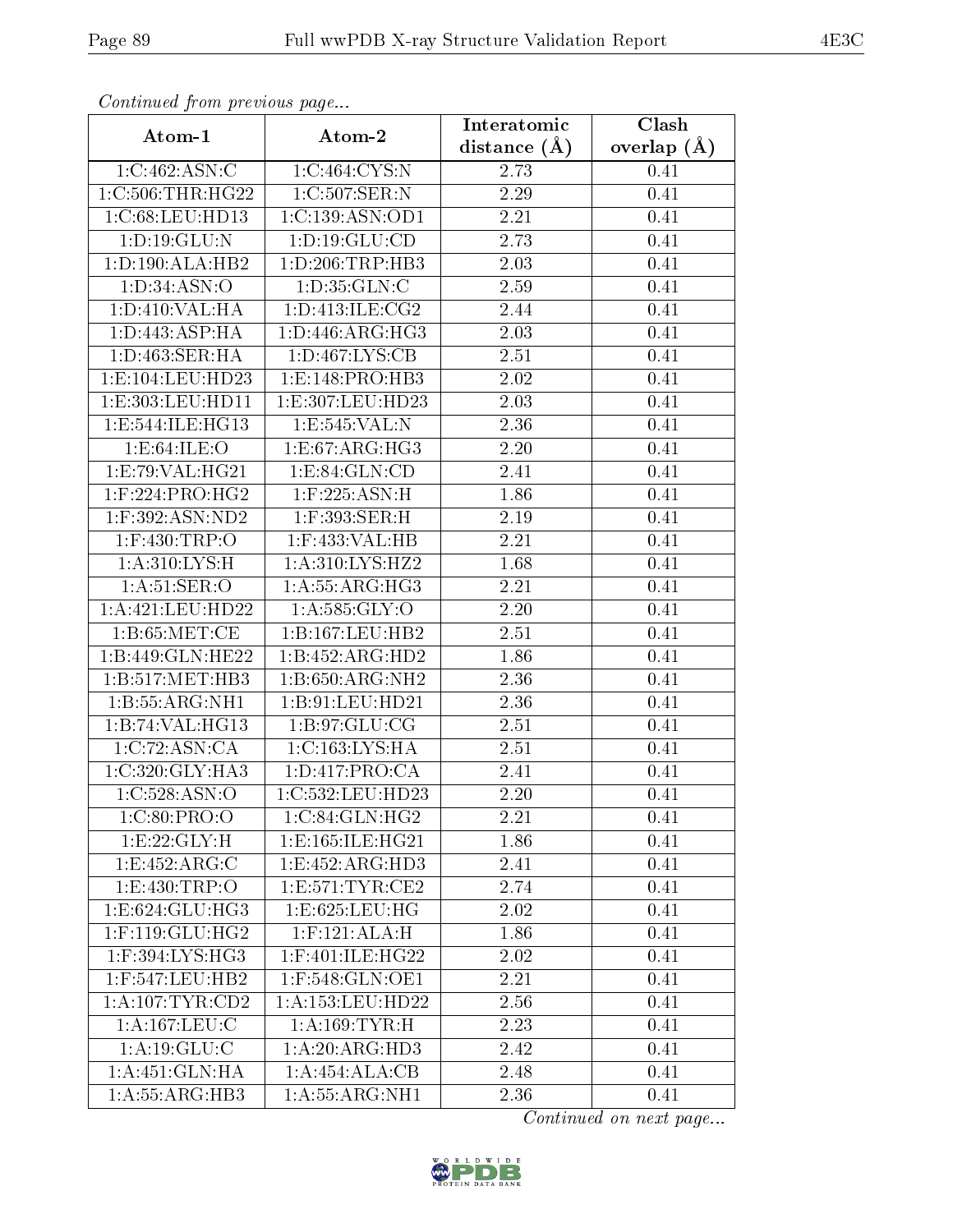| Continuatu from previous page  |                             | Interatomic       | Clash         |  |
|--------------------------------|-----------------------------|-------------------|---------------|--|
| Atom-1                         | Atom-2                      | distance $(A)$    | overlap $(A)$ |  |
| 1:C:462:ASN:C                  | 1:C:464:CYS:N               | 2.73              | 0.41          |  |
| 1:C:506:THR:HG22               | 1:C:507:SER:N               | 2.29              | 0.41          |  |
| 1:C:68:LEU:HD13                | 1:C:139:ASN:OD1             | 2.21              | 0.41          |  |
| 1: D: 19: GLU: N               | 1: D: 19: GLU: CD           | 2.73              | 0.41          |  |
| 1:D:190:ALA:HB2                | 1:D:206:TRP:HB3             | $\overline{2.03}$ | 0.41          |  |
| 1: D:34: ASN:O                 | 1: D: 35: GLN: C            | 2.59              | 0.41          |  |
| 1: D:410: VAL: HA              | 1: D: 413: ILE: CG2         | 2.44              | 0.41          |  |
| 1: D: 443: ASP: HA             | 1: D: 446: ARG: HG3         | 2.03              | 0.41          |  |
| 1: D: 463: SER: HA             | 1: D: 467: LYS: CB          | 2.51              | 0.41          |  |
| 1:E:104:LEU:HD23               | 1:E:148:PRO:HB3             | 2.02              | 0.41          |  |
| 1:E:303:LEU:HD11               | 1:E:307:LEU:HD23            | 2.03              | 0.41          |  |
| 1:E:544:ILE:HG13               | 1:E:545:VAL:N               | 2.36              | 0.41          |  |
| 1:E:64:ILE:O                   | 1:E:67:ARG:HG3              | 2.20              | 0.41          |  |
| 1: E: 79: VAL: HG21            | 1: E:84: GLN:CD             | 2.41              | 0.41          |  |
| 1:F:224:PRO:HG2                | 1:F:225:ASN:H               | 1.86              | 0.41          |  |
| 1:F:392:ASN:ND2                | $1:$ F:393:SER:H            | 2.19              | 0.41          |  |
| $1:$ F:430:TRP:O               | 1:F:433:VAL:HB              | 2.21              | 0.41          |  |
| 1: A:310: LYS:H                | 1:A:310:LYS:HZ2             | 1.68              | 0.41          |  |
| 1: A:51: SER:O                 | 1:A:55:ARG:HG3              | 2.21              | 0.41          |  |
| 1:A:421:LEU:HD22               | 1: A: 585: GLY:O            | 2.20              | 0.41          |  |
| 1: B:65: MET:CE                | 1: B: 167: LEU: HB2         | 2.51              | 0.41          |  |
| 1:B:449:GLN:HE22               | 1:B:452:ARG:HD2             | 1.86              | 0.41          |  |
| 1:B:517:MET:HB3                | 1:B:650:ARG:NH2             | 2.36              | 0.41          |  |
| 1:B:55:ARG:NH1                 | 1:B:91:LEU:HD21             | 2.36              | 0.41          |  |
| 1:B:74:VAL:HG13                | 1: B:97: GLU:CG             | 2.51              | 0.41          |  |
| 1:C:72:ASN:CA                  | 1:C:163:LYS:HA              | 2.51              | 0.41          |  |
| 1:C:320:GLY:HA3                | 1: D: 417: PRO: CA          | 2.41              | 0.41          |  |
| 1:C:528:ASN:O                  | 1:C:532:LEU:HD23            | 2.20              | 0.41          |  |
| 1:C:80:PRO:O                   | 1:C:84:GLN:HG2              | 2.21              | 0.41          |  |
| 1:E:22:GLY:H                   | 1:E:165:ILE:HG21            | 1.86              | 0.41          |  |
| 1:E:452:ARG:C                  | 1:E:452:ARG:HD3             | 2.41              | 0.41          |  |
| 1:E:430:TRP:O                  | 1: E: 571: TYR: CE2         | 2.74              | 0.41          |  |
| 1:E:624:GLU:HG3                | 1:E:625:LEU:HG              | 2.02              | 0.41          |  |
| $1:$ F:119:GLU:HG2             | $1:$ F:121:ALA:H            | 1.86              | 0.41          |  |
| $1:$ F:394:LYS:HG3             | 1:F:401:ILE:HG22            | 2.02              | 0.41          |  |
| $1:$ F:547:LEU:HB2             | 1:F:548:GLN:OE1             | 2.21              | 0.41          |  |
| 1: A: 107: TYR: CD2            | 1:A:153:LEU:HD22            | 2.56              | 0.41          |  |
| 1:A:167:LEU:C                  | 1: A: 169: TYR:H            | 2.23              | 0.41          |  |
| 1: A: 19: GLU: C               | 1: A:20: ARG:HD3            | 2.42              | 0.41          |  |
| 1: A:451: GLN: HA              | $1:A:454:ALA:\overline{CB}$ | 2.48              | 0.41          |  |
| $1: A: 55: \overline{ARG:HB3}$ | 1:A:55:ARG:NH1              | 2.36              | 0.41          |  |

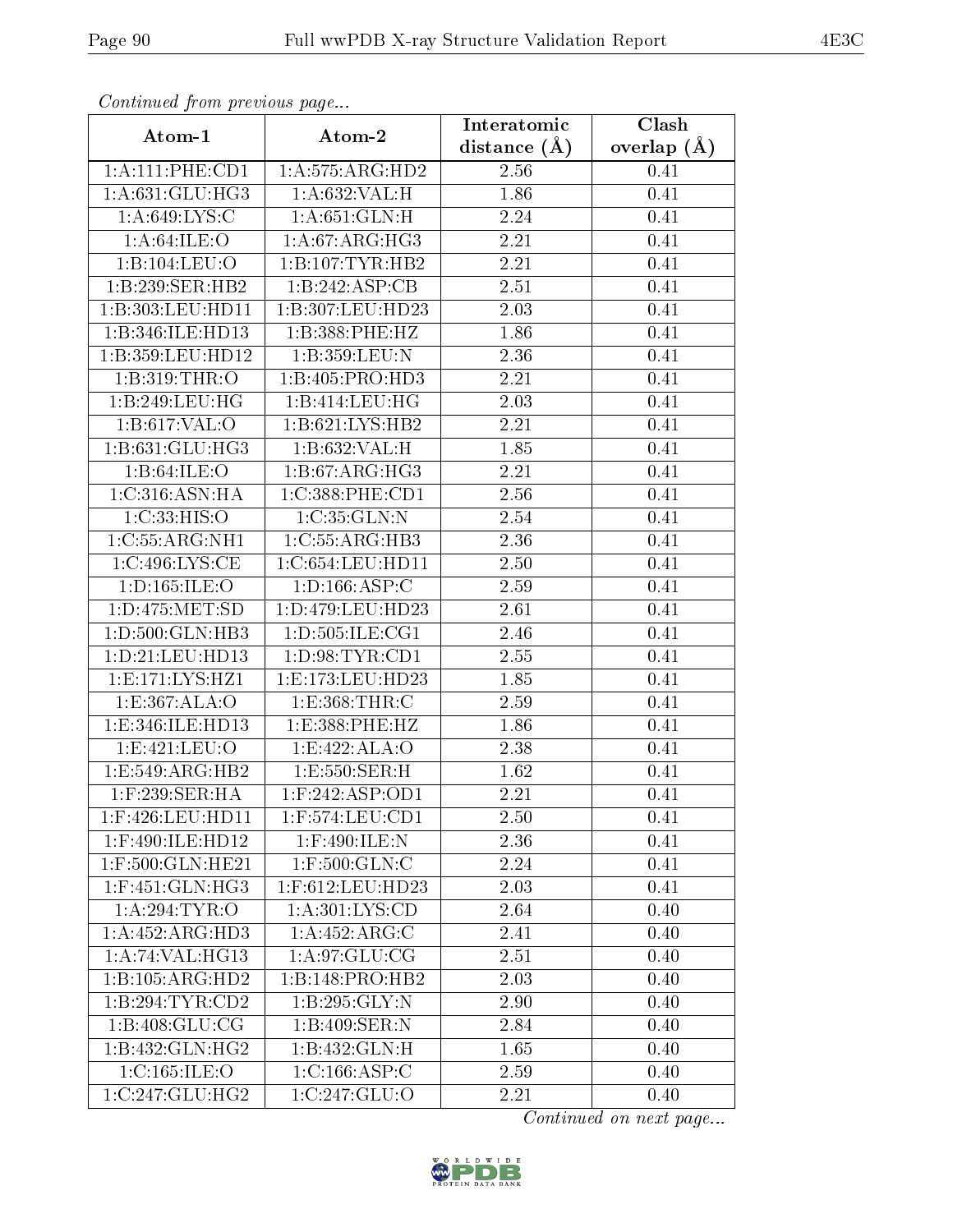| Communa from previous page |                              | Interatomic       | Clash           |  |
|----------------------------|------------------------------|-------------------|-----------------|--|
| Atom-1                     | Atom-2                       | distance $(A)$    | overlap $(\AA)$ |  |
| 1: A: 111: PHE: CD1        | 1: A:575: ARG:HD2            | 2.56              | 0.41            |  |
| 1:A:631:GLU:HG3            | 1:A:632:VAL:H                | 1.86              | 0.41            |  |
| 1: A:649: LYS:C            | $1: A:651: GLN:\overline{H}$ | 2.24              | 0.41            |  |
| 1: A:64:ILE:O              | 1: A:67: ARG: HG3            | 2.21              | 0.41            |  |
| 1:B:104:LEU:O              | 1:B:107:TYR:HB2              | 2.21              | 0.41            |  |
| 1:B:239:SER:HB2            | 1:B:242:ASP:CB               | 2.51              | 0.41            |  |
| 1:B:303:LEU:HD11           | 1:B:307:LEU:HD23             | 2.03              | 0.41            |  |
| 1:B:346:ILE:HD13           | 1:B:388:PHE:HZ               | 1.86              | 0.41            |  |
| 1:B:359:LEU:HD12           | 1:B:359:LEU:N                | 2.36              | 0.41            |  |
| 1:B:319:THR:O              | 1:B:405:PRO:HD3              | 2.21              | 0.41            |  |
| 1:B:249:LEU:HG             | 1:B:414:LEU:HG               | 2.03              | 0.41            |  |
| 1:B:617:VAL:O              | 1:B:621:LYS:HB2              | 2.21              | 0.41            |  |
| 1:B:631:GLU:HG3            | 1:B:632:VAL:H                | 1.85              | 0.41            |  |
| 1:B:64:ILE:O               | 1:B:67:ARG:HG3               | 2.21              | 0.41            |  |
| 1:C:316:ASN:HA             | 1:C:388:PHE:CD1              | 2.56              | 0.41            |  |
| 1:C:33:HIS:O               | 1:C:35:GLN:N                 | 2.54              | 0.41            |  |
| 1:C:55:ARG:NH1             | 1:C:55:ARG:HB3               | 2.36              | 0.41            |  |
| 1:C:496:LYS:CE             | 1:C:654:LEU:HDI1             | 2.50              | 0.41            |  |
| 1:D:165:ILE:O              | 1: D: 166: ASP: C            | 2.59              | 0.41            |  |
| 1: D: 475: MET: SD         | 1:D:479:LEU:HD23             | 2.61              | 0.41            |  |
| 1:D:500:GLN:HB3            | 1:D:505:ILE:CG1              | $\overline{2.46}$ | 0.41            |  |
| 1: D: 21: LEU: HD13        | 1: D:98: TYR: CD1            | $2.55\,$          | 0.41            |  |
| 1:E:171:LYS:HZ1            | 1: E: 173: LEU: HD23         | 1.85              | 0.41            |  |
| 1: E: 367: ALA: O          | 1: E: 368: THR: C            | 2.59              | 0.41            |  |
| 1:E:346:ILE:HD13           | 1:E:388:PHE:HZ               | 1.86              | 0.41            |  |
| 1:E:421:LEU:O              | 1:E:422:ALA:O                | 2.38              | 0.41            |  |
| 1:E:549:ARG:HB2            | 1:E:550:SER:H                | 1.62              | 0.41            |  |
| $1:$ F:239:SER:HA          | $1:$ F:242:ASP:OD1           | 2.21              | 0.41            |  |
| 1:F:426:LEU:HD11           | $1:$ F:574:LEU:CD1           | 2.50              | 0.41            |  |
| 1:F:490:ILE:HD12           | 1:F:490:ILE:N                | 2.36              | 0.41            |  |
| 1:F:500:GLN:HE21           | $1:$ F:500: $GLN$ :C         | 2.24              | 0.41            |  |
| $1:$ F:451:GLN:HG3         | 1:F:612:LEU:HD23             | 2.03              | 0.41            |  |
| 1: A:294:TYR:O             | 1: A:301: LYS:CD             | 2.64              | 0.40            |  |
| 1:A:452:ARG:HD3            | 1:A:452:ARG:C                | 2.41              | 0.40            |  |
| 1:A:74:VAL:HG13            | 1: A:97: GLU:CG              | 2.51              | 0.40            |  |
| 1:B:105:ARG:HD2            | 1:B:148:PRO:HB2              | 2.03              | 0.40            |  |
| 1:B:294:TYR:CD2            | 1:B:295:GLY:N                | 2.90              | 0.40            |  |
| 1: B:408: GLU: CG          | 1:B:409:SER:N                | 2.84              | 0.40            |  |
| 1:B:432:GLN:HG2            | 1:B:432:GLN:H                | 1.65              | 0.40            |  |
| 1:C:165:ILE:O              | 1:C:166:ASP:C                | 2.59              | 0.40            |  |
| 1:C:247:GLU:HG2            | 1:C:247:GLU:O                | 2.21              | 0.40            |  |

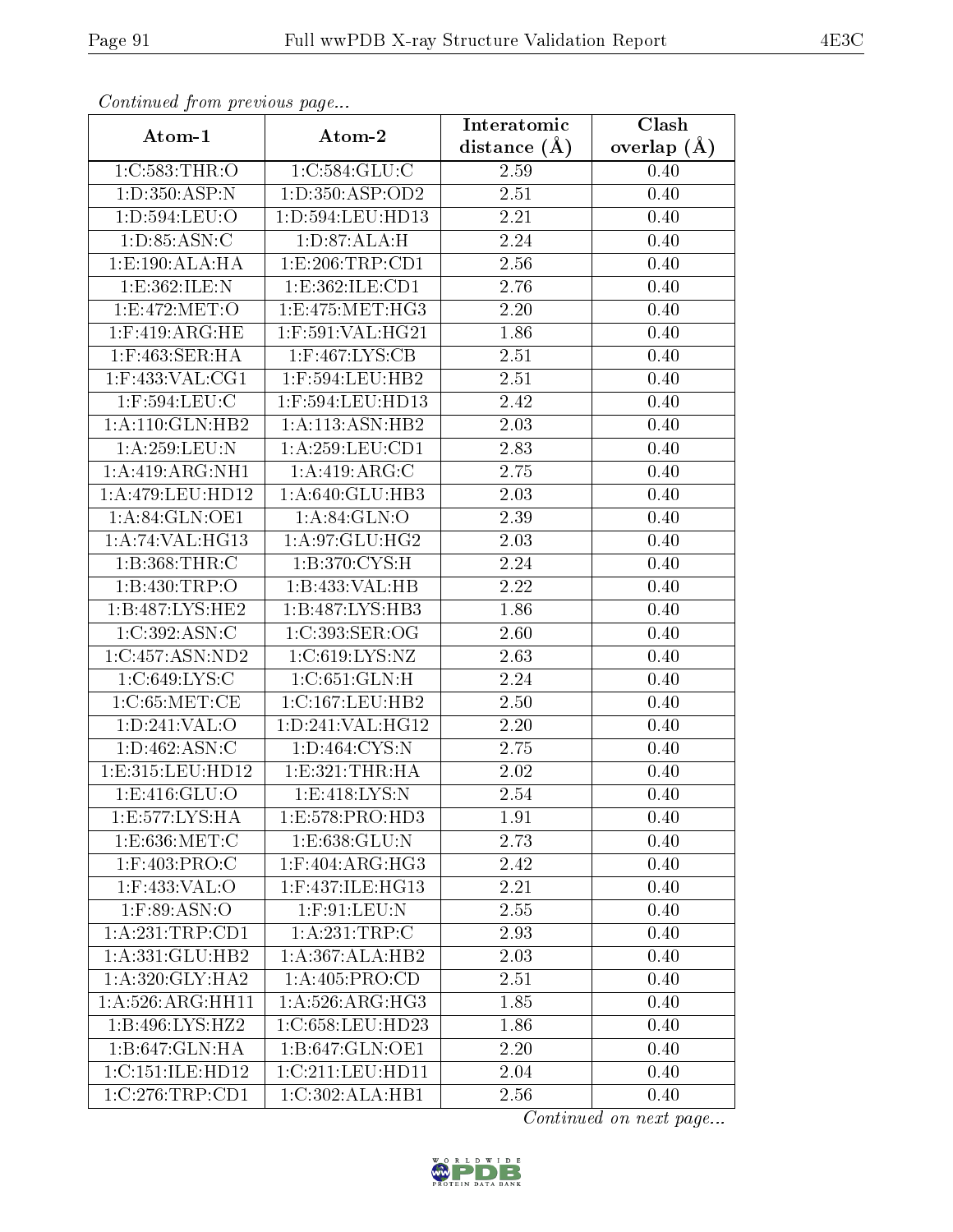| Continuati pont previous page |                                  | Interatomic | Clash           |  |
|-------------------------------|----------------------------------|-------------|-----------------|--|
| Atom-1                        | Atom-2                           |             | overlap $(\AA)$ |  |
| 1:C:583:THR:O                 | 1:C:584:GLU:C                    | 2.59        | 0.40            |  |
| 1:D:350:ASP:N                 | 1: D: 350: ASP: OD2              | 2.51        | 0.40            |  |
| 1:D:594:LEU:O                 | $1: D: 594:$ LEU:HD $13$         | 2.21        | 0.40            |  |
| 1: D: 85: ASN: C              | 1: D:87: ALA:H                   | 2.24        | 0.40            |  |
| 1: E: 190: ALA: HA            | 1:E:206:TRP:CD1                  | 2.56        | 0.40            |  |
| 1:E:362:ILE:N                 | 1: E: 362: ILE: CD1              | 2.76        | 0.40            |  |
| 1:E:472:MET:O                 | 1:E:475:MET:HG3                  | 2.20        | 0.40            |  |
| $1:$ F:419:ARG:HE             | $1:$ F:591:VAL:HG21              | 1.86        | 0.40            |  |
| $1:$ F:463:SER:HA             | $1:$ F:467:LYS:CB                | 2.51        | 0.40            |  |
| $1:$ F:433:VAL:CG1            | $1:$ F:594:LEU:HB2               | 2.51        | 0.40            |  |
| 1:F:594:LEU:C                 | 1:F:594:LEU:HD13                 | 2.42        | 0.40            |  |
| 1:A:110:GLN:HB2               | 1: A:113: ASN: HB2               | 2.03        | 0.40            |  |
| 1:A:259:LEU:N                 | 1:A:259:LEU:CD1                  | 2.83        | 0.40            |  |
| 1:A:419:ARG:NH1               | 1:A:419:ARG:C                    | 2.75        | 0.40            |  |
| $1:A:479:LEU:H\overline{D12}$ | 1:A:640:GLU:HB3                  | 2.03        | 0.40            |  |
| 1:A:84:GLN:OE1                | 1: A:84: GLN:O                   | 2.39        | 0.40            |  |
| 1: A:74: VAL:HG13             | 1:A:97:GLU:HG2                   | 2.03        | 0.40            |  |
| 1:B:368:THR:C                 | 1:B:370:CYS:H                    | 2.24        | 0.40            |  |
| 1:B:430:TRP:O                 | 1:B:433:VAL:HB                   | 2.22        | 0.40            |  |
| 1: B:487: LYS: HE2            | 1:B:487:LYS:HB3                  | 1.86        | 0.40            |  |
| 1:C:392:ASN:C                 | 1:C:393:SER:OG                   | 2.60        | 0.40            |  |
| 1:C:457:ASN:ND2               | 1: C:619: LYS: NZ                | 2.63        | 0.40            |  |
| 1:C:649:LYS:C                 | 1:C:651:GLN:H                    | 2.24        | 0.40            |  |
| 1: C:65: MET:CE               | 1:C:167:LEU:HB2                  | 2.50        | 0.40            |  |
| 1: D:241: VAL:O               | 1:D:241:VAL:HG12                 | 2.20        | 0.40            |  |
| 1: D: 462: ASN: C             | 1: D: 464: CYS:N                 | 2.75        | 0.40            |  |
| 1:E:315:LEU:HD12              | 1: E: 321: THR: HA               | 2.02        | 0.40            |  |
| 1: E: 416: GLU: O             | 1: E:418: LYS: N                 | 2.54        | 0.40            |  |
| 1:E:577:LYS:HA                | 1:E:578:PRO:HD3                  | 1.91        | 0.40            |  |
| 1:E:636:MET:C                 | 1:E:638:GLU:N                    | 2.73        | 0.40            |  |
| $1:$ F:403:PRO:C              | $1:$ F:404:ARG: $\overline{HG3}$ | 2.42        | 0.40            |  |
| 1:F:433:VAL:O                 | 1:F:437:ILE:HG13                 | 2.21        | 0.40            |  |
| $1:$ F:89:ASN:O               | $1:$ F:91:LEU:N                  | 2.55        | 0.40            |  |
| 1:A:231:TRP:CD1               | 1: A: 231: TRP: C                | 2.93        | 0.40            |  |
| 1:A:331:GLU:HB2               | 1:A:367:ALA:HB2                  | 2.03        | 0.40            |  |
| 1: A:320: GLY: HA2            | 1:A:405:PRO:CD                   | 2.51        | 0.40            |  |
| 1: A:526: ARG: HH11           | 1: A:526: ARG: HG3               | 1.85        | 0.40            |  |
| 1:B:496:LYS:HZ2               | 1:C:658:LEU:HD23                 | 1.86        | 0.40            |  |
| 1:B:647:GLN:HA                | 1:B:647:GLN:OE1                  | 2.20        | 0.40            |  |
| 1:C:151:ILE:HD12              | 1:C:211:LEU:HD11                 | 2.04        | 0.40            |  |
| 1:C:276:TRP:CD1               | 1:C:302:ALA:HB1                  | 2.56        | 0.40            |  |

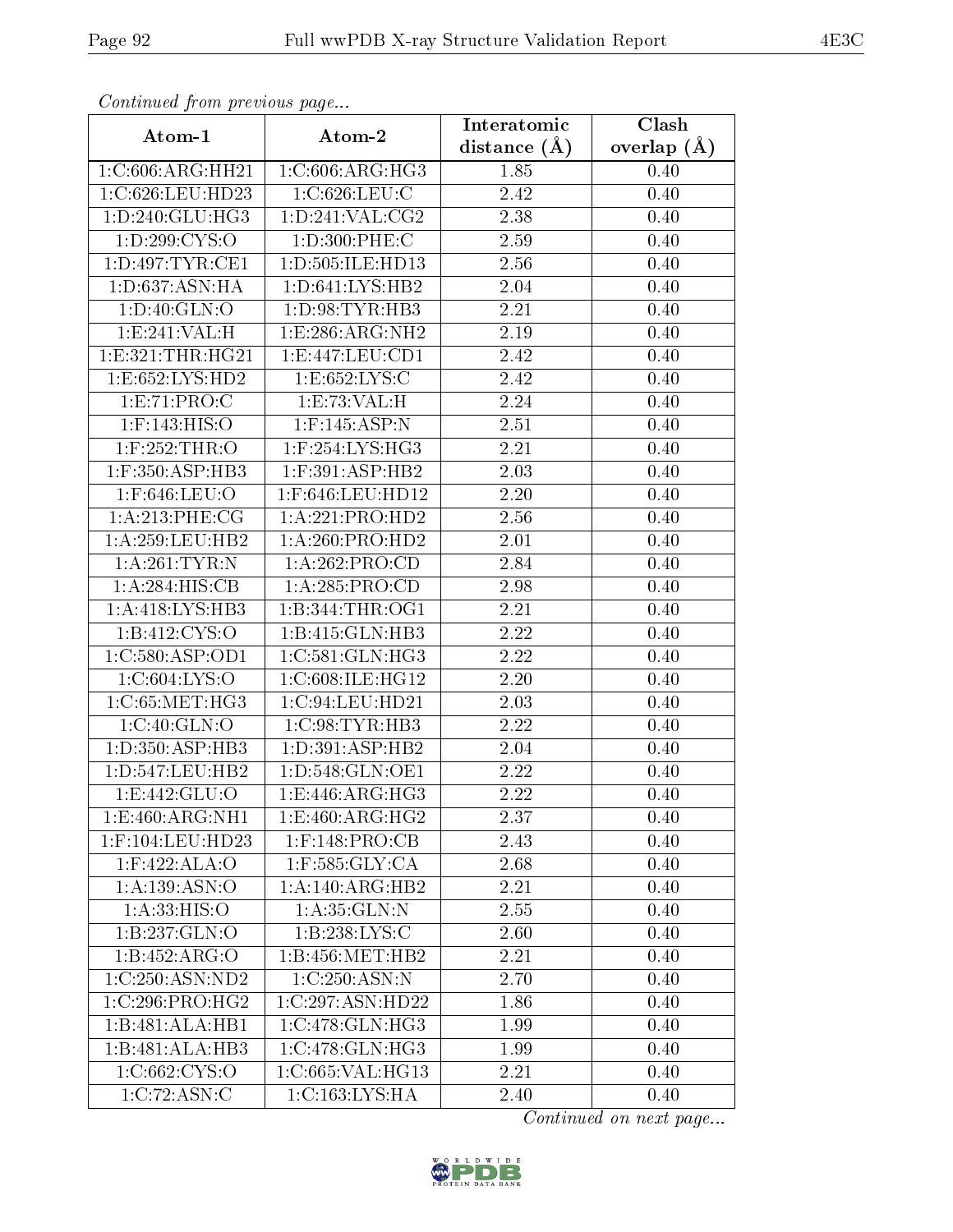| Continued from previous page |                              | Interatomic       | Clash         |  |
|------------------------------|------------------------------|-------------------|---------------|--|
| Atom-1                       | Atom-2                       | distance $(A)$    | overlap $(A)$ |  |
| 1:C:606:ARG:HH21             | 1:C:606:ARG:HG3              | 1.85              | 0.40          |  |
| 1:C:626:LEU:HD23             | 1:C:626:LEU:C                | 2.42              | 0.40          |  |
| 1: D: 240: GLU: HG3          | 1: D: 241: VAL: CG2          | 2.38              | 0.40          |  |
| 1: D:299: CYS:O              | 1:D:300:PHE:C                | 2.59              | 0.40          |  |
| 1:D:497:TYR:CE1              | 1:D:505:ILE:HD13             | 2.56              | 0.40          |  |
| 1:D:637:ASN:HA               | 1: D:641: LYS: HB2           | 2.04              | 0.40          |  |
| 1: D:40: GLN:O               | 1: D: 98: TYR: HB3           | 2.21              | 0.40          |  |
| 1:E:241:VAL:H                | 1:E:286:ARG:NH2              | $\overline{2}.19$ | 0.40          |  |
| 1: E: 321: THR: HG21         | 1: E: 447: LEU: CD1          | 2.42              | 0.40          |  |
| 1: E: 652: LYS: HD2          | 1: E: 652: LYS: C            | 2.42              | 0.40          |  |
| 1:E:71:PRO:C                 | 1:E:73:VAL:H                 | 2.24              | 0.40          |  |
| $1:$ F:143: HIS: O           | $1:$ F:145:ASP:N             | 2.51              | 0.40          |  |
| $1:$ $F:252:THR:$ $O$        | $1:$ F:254:LYS:HG3           | 2.21              | 0.40          |  |
| $1:$ F:350:ASP:HB3           | $1:$ F:391:ASP:HB2           | 2.03              | 0.40          |  |
| 1:F:646:LEU:O                | 1:F:646:LEU:HD12             | 2.20              | 0.40          |  |
| 1:A:213:PHE:CG               | 1:A:221:PRO:HD2              | 2.56              | 0.40          |  |
| 1: A:259:LEU:HB2             | 1:A:260:PRO:HD2              | 2.01              | 0.40          |  |
| 1: A:261:TYR:N               | 1:A:262:PRO:CD               | 2.84              | 0.40          |  |
| 1:A:284:HIS:CB               | 1:A:285:PRO:CD               | 2.98              | 0.40          |  |
| 1:A:418:LYS:HB3              | 1: B: 344: THR: OG1          | 2.21              | 0.40          |  |
| 1:B:412:CYS:O                | 1:B:415:GLN:HB3              | 2.22              | 0.40          |  |
| 1:C:580:ASP:OD1              | 1:C:581:GLN:HG3              | 2.22              | 0.40          |  |
| 1:C:604:LYS:O                | 1:C:608:ILE:HG12             | 2.20              | 0.40          |  |
| 1:C:65:MET:HG3               | 1:C:94:LEU:HD21              | $\overline{2}.03$ | 0.40          |  |
| 1:C:40:GLN:O                 | 1:C:98:TYR:HB3               | 2.22              | 0.40          |  |
| 1:D:350:ASP:HB3              | 1: D:391: ASP:HB2            | $2.04\,$          | 0.40          |  |
| 1: D: 547: LEU: HB2          | 1:D:548:GLN:OE1              | 2.22              | 0.40          |  |
| 1: E: 442: GLU: O            | 1: E:446: ARG: HG3           | $\overline{2}.22$ | 0.40          |  |
| 1:E:460:ARG:NH1              | 1:E:460:ARG:HG2              | 2.37              | 0.40          |  |
| $1:$ F:104:LEU:HD23          | $1:$ F:148:PRO:CB            | 2.43              | 0.40          |  |
| $1:$ F:422:ALA:O             | $1:$ F:585: $GLY:CA$         | 2.68              | 0.40          |  |
| 1:A:139:ASN:O                | 1:A:140:ARG:HB2              | 2.21              | 0.40          |  |
| 1: A:33:HIS:O                | 1: A:35: GLN:N               | 2.55              | 0.40          |  |
| 1:B:237:GLN:O                | 1:B:238:LYS:C                | 2.60              | 0.40          |  |
| 1:B:452:ARG:O                | 1:B:456:MET:HB2              | 2.21              | 0.40          |  |
| 1:C:250:ASN:ND2              | 1:C:250:ASN:N                | 2.70              | 0.40          |  |
| 1:C:296:PRO:HG2              | 1:C:297:ASN:HD22             | 1.86              | 0.40          |  |
| 1:B:481:ALA:HB1              | 1:C:478:GLN:HG3              | 1.99              | 0.40          |  |
| 1:B:481:ALA:HB3              | $1:C:478:GLN:H\overline{G3}$ | 1.99              | 0.40          |  |
| 1:C:662:CYS:O                | 1:C:665:VAL:HG13             | 2.21              | 0.40          |  |
| 1:C:72:ASN:C                 | 1: C: 163: LYS: HA           | 2.40              | 0.40          |  |

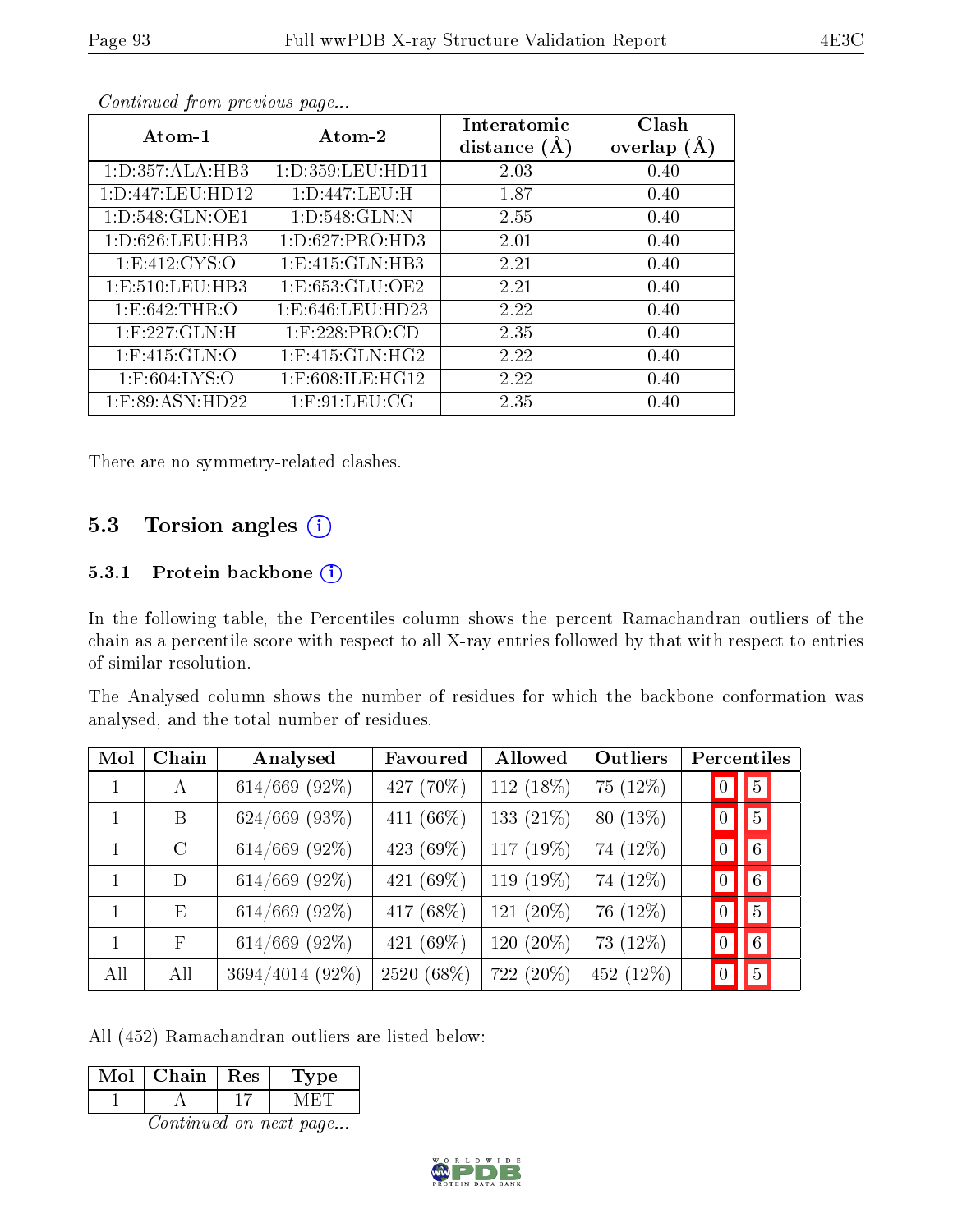| Atom-1              | Atom-2               | Interatomic<br>distance $(A)$ | Clash<br>overlap $(A)$ |
|---------------------|----------------------|-------------------------------|------------------------|
| 1: D: 357: ALA: HB3 | 1: D: 359: LEU: HD11 | 2.03                          | 0.40                   |
| 1:D:447:LEU:HD12    | 1: D: 447: LEU: H    | 1.87                          | 0.40                   |
| 1: D: 548: GLN: OE1 | 1: D:548: GLN:N      | 2.55                          | 0.40                   |
| 1: D:626: LEU:HB3   | 1: D:627: PRO:HD3    | 2.01                          | 0.40                   |
| 1:E:412:CYS:O       | 1: E: 415: GLN: HB3  | 2.21                          | 0.40                   |
| 1: E: 510: LEU: HB3 | 1: E: 653: GLU: OE2  | 2.21                          | 0.40                   |
| 1: E:642: THR:O     | 1: E: 646: LEU: HD23 | 2.22                          | 0.40                   |
| $1:$ F:227:GLN:H    | $1:$ F:228:PRO:CD    | 2.35                          | 0.40                   |
| $1:$ F:415:GLN:O    | $1:$ F:415:GLN:HG2   | 2.22                          | 0.40                   |
| $1:$ F:604:LYS:O    | 1:F:608:ILE:HG12     | 2.22                          | 0.40                   |
| $1:$ F:89:ASN:HD22  | $1:$ F:91:LEU:CG     | 2.35                          | 0.40                   |

There are no symmetry-related clashes.

## 5.3 Torsion angles (i)

## 5.3.1 Protein backbone  $(i)$

In the following table, the Percentiles column shows the percent Ramachandran outliers of the chain as a percentile score with respect to all X-ray entries followed by that with respect to entries of similar resolution.

The Analysed column shows the number of residues for which the backbone conformation was analysed, and the total number of residues.

| Mol          | Chain        | Analysed        | Favoured     | Allowed      | Outliers    | Percentiles                       |
|--------------|--------------|-----------------|--------------|--------------|-------------|-----------------------------------|
| $\mathbf{1}$ | A            | $614/669$ (92%) | 427 (70%)    | 112 (18%)    | 75 (12%)    | $\overline{5}$<br>$\overline{0}$  |
|              | B            | $624/669$ (93%) | 411 $(66\%)$ | 133 $(21\%)$ | $80(13\%)$  | 5<br>$\vert 0 \vert$              |
| 1            | $\rm C$      | 614/669 (92%)   | 423 (69%)    | 117 $(19%)$  | 74 (12%)    | 6 <br>$\overline{0}$              |
| $\mathbf{1}$ | D            | $614/669$ (92%) | 421 (69%)    | 119 (19%)    | 74 (12%)    | $6\overline{6}$<br>$\overline{0}$ |
|              | E            | $614/669$ (92%) | 417 (68%)    | 121 (20%)    | 76 (12%)    | $\vert 5 \vert$<br>$\overline{0}$ |
| 1            | $\mathbf{F}$ | $614/669$ (92%) | 421 $(69\%)$ | 120 $(20\%)$ | 73 $(12\%)$ | $6\overline{6}$<br>$\mathbf{0}$   |
| All          | All          | 3694/4014 (92%) | 2520 (68%)   | 722 (20%)    | 452 (12%)   | $\overline{5}$                    |

All (452) Ramachandran outliers are listed below:

| MoL | Chain   Res | Type |
|-----|-------------|------|
|     |             |      |

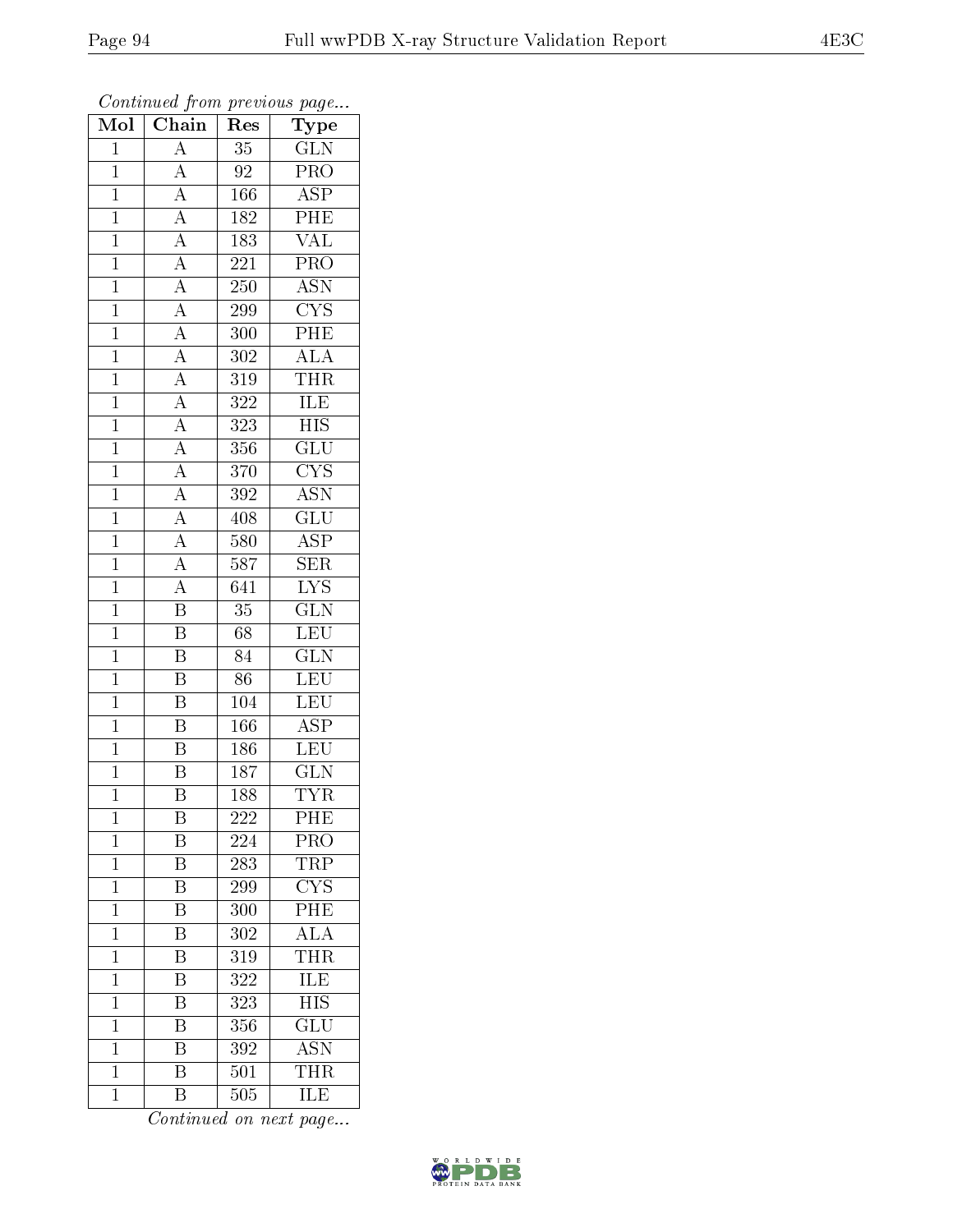| Mol            | $\overline{\text{Chain}}$                                                                                   | Res              | Type                      |
|----------------|-------------------------------------------------------------------------------------------------------------|------------------|---------------------------|
| $\mathbf{1}$   | $\overline{A}$                                                                                              | 35               | <b>GLN</b>                |
| $\mathbf 1$    | $\overline{A}$                                                                                              | 92               | $\overline{\mathrm{PRO}}$ |
| $\mathbf{1}$   |                                                                                                             | 166              | $\overline{\text{ASP}}$   |
| $\overline{1}$ |                                                                                                             | 182              | $\overline{\text{PHE}}$   |
| $\overline{1}$ | $\frac{\overline{A}}{\overline{A}}$ $\frac{\overline{A}}{\overline{A}}$                                     | 183              | <b>VAL</b>                |
| $\mathbf{1}$   |                                                                                                             | $\overline{2}21$ | $\overline{\text{PRO}}$   |
| $\mathbf{1}$   |                                                                                                             | 250              | $\overline{\mathrm{ASN}}$ |
| $\mathbf{1}$   |                                                                                                             | 299              | $\overline{\text{CYS}}$   |
| $\mathbf{1}$   |                                                                                                             | 300              | $\overline{\text{PHE}}$   |
| $\overline{1}$ |                                                                                                             | 302              | $\overline{ALA}$          |
| $\mathbf{1}$   |                                                                                                             | 319              | $T\bar{H}R$               |
| $\mathbf{1}$   | $\frac{\overline{A}}{\overline{A}}$ $\frac{\overline{A}}{\overline{A}}$ $\frac{\overline{A}}{\overline{A}}$ | $3\sqrt{2}2$     | $\overline{\text{ILE}}$   |
| $\mathbf{1}$   |                                                                                                             | 323              | $\overline{HIS}$          |
| $\overline{1}$ | $\frac{\overline{A}}{\overline{A}}$ $\frac{\overline{A}}{\overline{A}}$                                     | 356              | $\overline{\text{GLU}}$   |
| $\overline{1}$ |                                                                                                             | 370              | $\overline{\text{CYS}}$   |
| $\mathbf{1}$   |                                                                                                             | 392              | $\overline{\mathrm{ASN}}$ |
| $\overline{1}$ | $\frac{\overline{A}}{\overline{A}}$                                                                         | 408              | $\overline{{\rm GLU}}$    |
| $\mathbf{1}$   |                                                                                                             | 580              | <b>ASP</b>                |
| $\overline{1}$ |                                                                                                             | 587              | $\overline{\text{SER}}$   |
| $\overline{1}$ | $\overline{A}$                                                                                              | 641              | $\overline{\text{LYS}}$   |
| $\mathbf{1}$   | $\overline{\mathbf{B}}$                                                                                     | $\overline{35}$  | $\overline{\text{GLN}}$   |
| $\mathbf{1}$   | $\overline{\mathbf{B}}$                                                                                     | 68               | LEU                       |
| $\overline{1}$ | $\overline{\mathrm{B}}$                                                                                     | 84               | $\overline{\text{GLN}}$   |
| $\overline{1}$ | $\overline{\mathbf{B}}$                                                                                     | $\overline{86}$  | $\overline{\text{LEU}}$   |
| $\mathbf{1}$   | $\overline{\mathrm{B}}$                                                                                     | $\overline{104}$ | LEU                       |
| $\mathbf{1}$   | $\overline{\mathrm{B}}$                                                                                     | 166              | <b>ASP</b>                |
| $\mathbf{1}$   | $\overline{\mathrm{B}}$                                                                                     | 186              | LEU                       |
| $\overline{1}$ | $\overline{\mathrm{B}}$                                                                                     | 187              | <b>GLN</b>                |
| $\overline{1}$ | $\overline{\mathrm{B}}$                                                                                     | 188              | <b>TYR</b>                |
| 1              | Β                                                                                                           | 222              | PHE                       |
| $\mathbf{1}$   | Β                                                                                                           | 224              | PRO                       |
| $\mathbf{1}$   | $\overline{\mathrm{B}}$                                                                                     | 283              | <b>TRP</b>                |
| $\mathbf 1$    | Β                                                                                                           | 299              | CYS                       |
| $\mathbf 1$    | $\overline{\mathrm{B}}$                                                                                     | 300              | $\overline{\mathrm{PHE}}$ |
| $\mathbf 1$    | Β                                                                                                           | 302              | $\overline{\rm ALA}$      |
| $\mathbf{1}$   | $\overline{\mathrm{B}}$                                                                                     | 319              | <b>THR</b>                |
| $\mathbf 1$    | $\overline{\mathrm{B}}$                                                                                     | 322              | ILE                       |
| $\overline{1}$ | B                                                                                                           | 323              | $\overline{\text{HIS}}$   |
| $\mathbf 1$    | Β                                                                                                           | 356              | $\overline{{\rm GLU}}$    |
| $\mathbf{1}$   | B                                                                                                           | 392              | ASN                       |
| $\mathbf{1}$   | $\overline{\mathrm{B}}$                                                                                     | 501              | THR                       |
| $\mathbf{1}$   | B                                                                                                           | 505              | ILE                       |

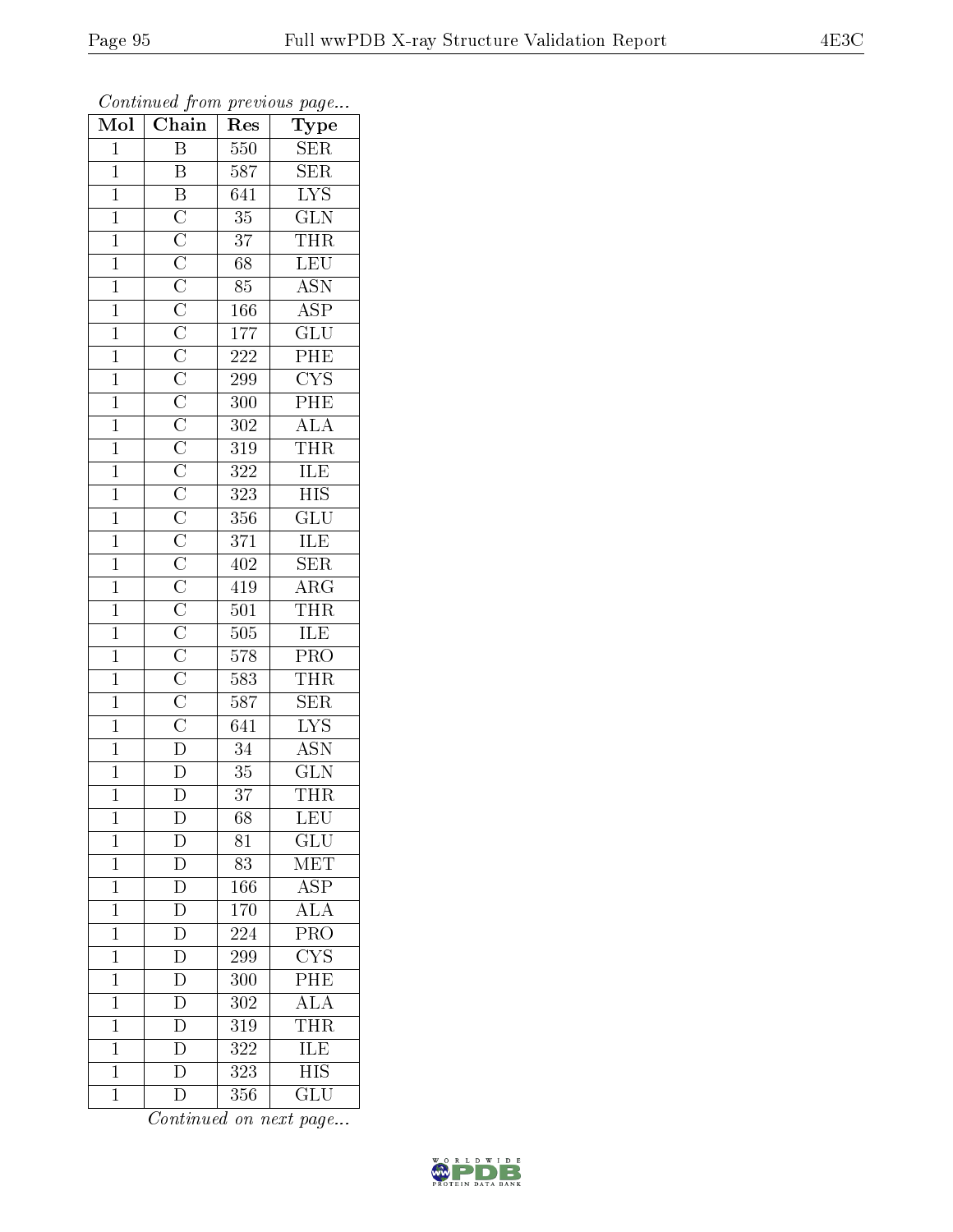| Mol            | $\overline{\text{Chain}}$           | Res              | ${\rm Type}$                                                                                                                                                                            |
|----------------|-------------------------------------|------------------|-----------------------------------------------------------------------------------------------------------------------------------------------------------------------------------------|
| $\mathbf{1}$   | $\overline{\mathbf{B}}$             | 550              | <b>SER</b>                                                                                                                                                                              |
| $\overline{1}$ | $\overline{\mathrm{B}}$             | 587              | SER                                                                                                                                                                                     |
| $\overline{1}$ |                                     | 641              | $\overline{\text{LYS}}$                                                                                                                                                                 |
| $\mathbf{1}$   |                                     | $\overline{35}$  | $\overline{\text{GLN}}$                                                                                                                                                                 |
| $\overline{1}$ |                                     | $\overline{37}$  | <b>THR</b>                                                                                                                                                                              |
| $\mathbf{1}$   |                                     | $\overline{68}$  | LEU                                                                                                                                                                                     |
| $\overline{1}$ |                                     | $8\overline{5}$  | <b>ASN</b>                                                                                                                                                                              |
| $\overline{1}$ |                                     | 166              | $\overline{\text{ASP}}$                                                                                                                                                                 |
| $\mathbf{1}$   |                                     | 177              | $\overline{\mathrm{GLU}}$                                                                                                                                                               |
| $\overline{1}$ |                                     | $\overline{222}$ | PHE                                                                                                                                                                                     |
| $\mathbf{1}$   |                                     | 299              | $\overline{\text{C}^\text{YS}}$                                                                                                                                                         |
| $\overline{1}$ |                                     | $\overline{300}$ |                                                                                                                                                                                         |
| $\overline{1}$ |                                     | 302              |                                                                                                                                                                                         |
| $\mathbf{1}$   |                                     | $\overline{319}$ | $\frac{\overbrace{\text{PHE}}^{\text{1.5}}}{\overbrace{\text{THR}}^{\text{1.6}}}\nonumber\\ \frac{\overbrace{\text{HLE}}^{\text{1.6}}}{\overbrace{\text{ILE}}^{\text{1.6}}}\nonumber\\$ |
| $\overline{1}$ |                                     | $\overline{322}$ |                                                                                                                                                                                         |
| $\mathbf{1}$   |                                     | 323              | <b>HIS</b>                                                                                                                                                                              |
| $\overline{1}$ |                                     | 356              | $\overline{\text{GLU}}$                                                                                                                                                                 |
| $\mathbf{1}$   |                                     | 371              | ILE                                                                                                                                                                                     |
| $\overline{1}$ |                                     | $402\,$          | $\overline{\text{SER}}$                                                                                                                                                                 |
| $\mathbf{1}$   |                                     | 419              | $\overline{\text{ARG}}$                                                                                                                                                                 |
| $\overline{1}$ |                                     | 501              | <b>THR</b>                                                                                                                                                                              |
| $\overline{1}$ |                                     | $\overline{505}$ | ILE                                                                                                                                                                                     |
| $\mathbf{1}$   |                                     | 578              | PRO                                                                                                                                                                                     |
| $\overline{1}$ |                                     | $\overline{583}$ | <b>THR</b>                                                                                                                                                                              |
| $\mathbf{1}$   |                                     | $\overline{587}$ | $\overline{\text{SER}}$                                                                                                                                                                 |
| $\overline{1}$ |                                     | 641              | $\overline{\text{LYS}}$                                                                                                                                                                 |
| $\overline{1}$ |                                     | $\overline{34}$  | <b>ASN</b>                                                                                                                                                                              |
| $\mathbf{1}$   |                                     | 35               | $\overline{\text{GLN}}$                                                                                                                                                                 |
| $\mathbf 1$    |                                     | $\overline{3}7$  | <b>THR</b>                                                                                                                                                                              |
| $\mathbf 1$    | $\mathbf D$                         | 68               | LEU                                                                                                                                                                                     |
| $\mathbf 1$    | D                                   | 81               | GLU                                                                                                                                                                                     |
| $\mathbf 1$    | $\overline{\rm D}$                  | 83               | $\overline{\text{MET}}$                                                                                                                                                                 |
| $\mathbf{1}$   | $\frac{\overline{D}}{\overline{D}}$ | 166              | $\overline{\text{ASP}}$                                                                                                                                                                 |
| $\mathbf{1}$   |                                     | 170              | $\overline{\rm ALA}$                                                                                                                                                                    |
| $\mathbf 1$    | D                                   | 224              | $\overline{\text{PRO}}$                                                                                                                                                                 |
| $\mathbf 1$    | $\overline{D}$                      | 299              | $\overline{\text{CYS}}$                                                                                                                                                                 |
| $\mathbf 1$    | $\overline{\rm D}$                  | 300              | $\overline{\rm PHE}$                                                                                                                                                                    |
| $\mathbf 1$    | $\overline{\text{D}}$               | 302              | $\overline{ALA}$                                                                                                                                                                        |
| $\mathbf{1}$   | $\overline{\rm D}$                  | 319              | THR                                                                                                                                                                                     |
| $\mathbf{1}$   | $\overline{D}$                      | 322              | ILE                                                                                                                                                                                     |
| $\mathbf{1}$   | $\overline{\mathrm{D}}$             | 323              | $\overline{HIS}$                                                                                                                                                                        |
| $\mathbf{1}$   | $\overline{\rm D}$                  | 356              | GLU                                                                                                                                                                                     |

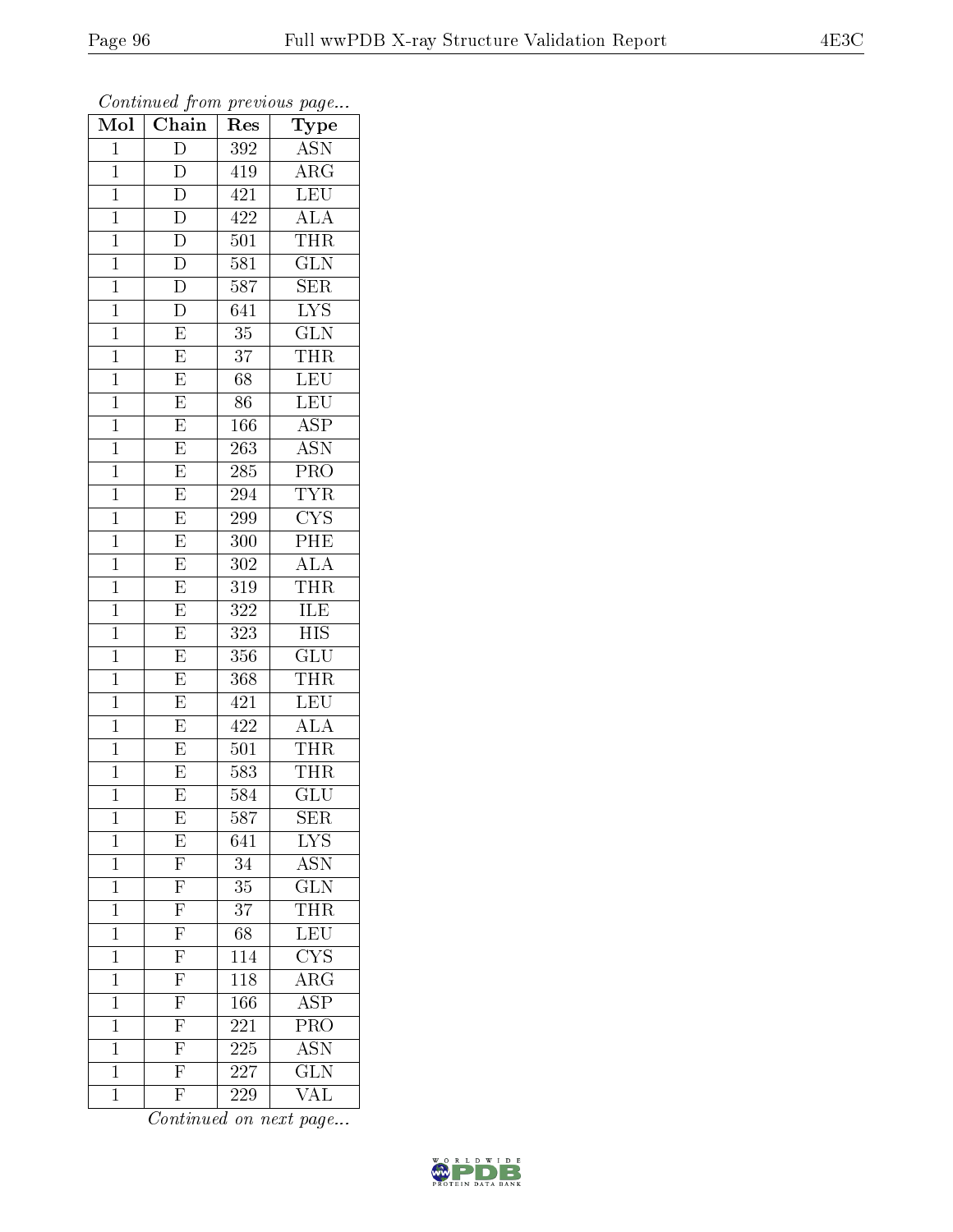| Mol            | Chain                                  | $\operatorname{Res}% \left( \mathcal{N}\right) \equiv\operatorname{Res}(\mathcal{N}_{0})\cap\mathcal{N}_{1}$ | ${\rm \bar{Ty}pe}$                                       |
|----------------|----------------------------------------|--------------------------------------------------------------------------------------------------------------|----------------------------------------------------------|
| $\mathbf{1}$   | $\overline{D}$                         | 392                                                                                                          | <b>ASN</b>                                               |
| $\mathbf{1}$   | $\overline{D}$                         | 419                                                                                                          | $\rm{ARG}$                                               |
| $\mathbf{1}$   | $\overline{\rm D}$                     | 421                                                                                                          | $\overline{\text{LEU}}$                                  |
| $\mathbf{1}$   | $\overline{\rm D}$                     | $\overline{4}22$                                                                                             | <b>ALA</b>                                               |
| $\overline{1}$ | $\overline{D}$                         | 501                                                                                                          | <b>THR</b>                                               |
| $\mathbf{1}$   | $\overline{\rm D}$                     | 581                                                                                                          | $\overline{\text{GLN}}$                                  |
| $\overline{1}$ | $\overline{\rm D}$                     | $58\overline{7}$                                                                                             | $\overline{\text{SER}}$                                  |
| $\mathbf{1}$   | $\overline{D}$                         | 641                                                                                                          | $\overline{\text{LYS}}$                                  |
| $\mathbf{1}$   | $\mathbf E$                            | 35                                                                                                           | $\overline{\text{GLN}}$                                  |
| $\mathbf 1$    | $\overline{E}$                         | 37                                                                                                           | <b>THR</b>                                               |
| $\mathbf{1}$   | $\overline{E}$                         | $\overline{68}$                                                                                              | LEU                                                      |
| $\overline{1}$ | $\overline{E}$                         | 86                                                                                                           | $\overline{\text{LEU}}$                                  |
| $\mathbf{1}$   | $\overline{\mathrm{E}}$                | 166                                                                                                          | $\overline{\text{ASP}}$                                  |
| $\mathbf{1}$   | $\overline{E}$                         | $\overline{2}63$                                                                                             | $\overline{\text{ASN}}$                                  |
| $\overline{1}$ | $\overline{\mathrm{E}}$                | 285                                                                                                          | $\overline{\text{PRO}}$                                  |
| $\mathbf{1}$   | $\overline{\mathrm{E}}$                | 294                                                                                                          | <b>TYR</b>                                               |
| $\overline{1}$ | $\overline{\mathrm{E}}$                | 299                                                                                                          | $\overline{\text{CYS}}$                                  |
| $\mathbf{1}$   | $\overline{E}$                         | 300                                                                                                          | PHE                                                      |
| $\mathbf 1$    | $\overline{E}$                         | 302                                                                                                          | $\overline{ALA}$                                         |
| $\mathbf{1}$   | $\overline{E}$                         | 319                                                                                                          | THR                                                      |
| $\overline{1}$ | $\overline{\mathrm{E}}$                | 322                                                                                                          | ILE                                                      |
| $\overline{1}$ | $\overline{\mathrm{E}}$                | 323                                                                                                          | <b>HIS</b>                                               |
| $\mathbf{1}$   | $\overline{\mathrm{E}}$                | 356                                                                                                          | $\overline{\text{GLU}}$                                  |
| $\overline{1}$ | $\overline{\mathrm{E}}$                | 368                                                                                                          | THR                                                      |
| $\mathbf{1}$   | $\overline{E}$                         | 421                                                                                                          | LEU                                                      |
| $\mathbf{1}$   | $\overline{\mathrm{E}}$                | 422                                                                                                          | $\overline{ALA}$                                         |
| $\mathbf{1}$   | $\overline{E}$                         | 501                                                                                                          | <b>THR</b>                                               |
| $\mathbf{1}$   | E                                      | 583                                                                                                          | THR                                                      |
| $\mathbf 1$    | $\overline{\mathrm{E}}$                | 584                                                                                                          | $\overline{{\rm GLU}}$                                   |
| 1              | E                                      | 587                                                                                                          | <b>SER</b>                                               |
| $\mathbf 1$    | E                                      | 641                                                                                                          | $\overline{\text{LYS}}$                                  |
| $\mathbf 1$    | $\frac{\overline{F}}{\overline{F}}$    | 34                                                                                                           | $\frac{\overline{\mathrm{ASN}}}{\overline{\phantom{1}}}$ |
| $\mathbf 1$    |                                        | 35                                                                                                           | $\overline{\text{GLN}}$                                  |
| $\mathbf 1$    |                                        | $\overline{37}$                                                                                              | <b>THR</b>                                               |
| $\mathbf 1$    | $\overline{\mathrm{F}}$                | 68                                                                                                           | $\overline{\text{LEU}}$                                  |
| $\overline{1}$ | $\frac{\overline{\text{F}}}{\text{F}}$ | 114                                                                                                          | $\overline{\text{C} \text{YS}}$                          |
| $\mathbf 1$    |                                        | 118                                                                                                          | $\overline{\rm{ARG}}$                                    |
| $\mathbf 1$    | $\overline{\mathrm{F}}$                | 166                                                                                                          | $\overline{\text{ASP}}$                                  |
| $\mathbf 1$    | $\overline{\mathrm{F}}$                | 221                                                                                                          | $\overline{\text{PRO}}$                                  |
| $\mathbf 1$    | $\frac{\overline{\text{F}}}{\text{F}}$ | 225                                                                                                          | $\overline{\mathrm{ASN}}$                                |
| $\mathbf 1$    |                                        | 227                                                                                                          | $\overline{\text{GLN}}$                                  |
| $\mathbf 1$    | $\overline{\mathrm{F}}$                | 229                                                                                                          | VAL                                                      |

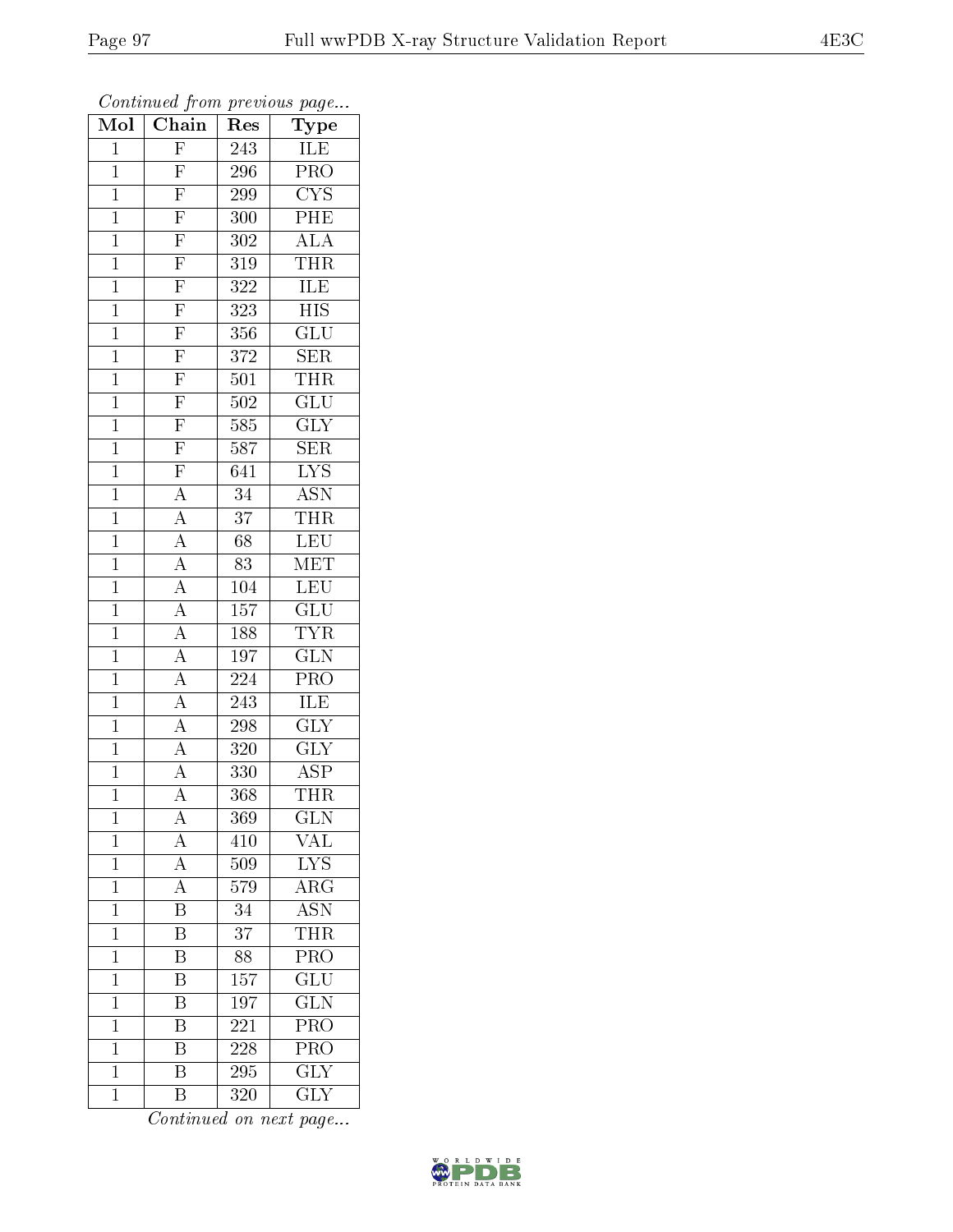| Mol            | Chain                               | $\bar{R}$ es     | $r \sim 3$<br>Type      |
|----------------|-------------------------------------|------------------|-------------------------|
| $\mathbf 1$    | $\overline{F}$                      | 243              | <b>ILE</b>              |
| $\mathbf{1}$   | F                                   | 296              | PRO                     |
| $\mathbf{1}$   |                                     | 299              | $\overline{\text{CYS}}$ |
| $\mathbf{1}$   |                                     | 300              | $\overline{\text{PHE}}$ |
| $\overline{1}$ | $\frac{\overline{F}}{\overline{F}}$ | 302              | <b>ALA</b>              |
| $\mathbf 1$    | F                                   | 319              | THR                     |
| $\overline{1}$ | $\overline{F}$                      | 322              | ILE                     |
| $\mathbf{1}$   | $\overline{\mathrm{F}}$             | 323              | $\overline{HIS}$        |
| $\mathbf{1}$   | $\overline{F}$                      | 356              | GLU                     |
| $\mathbf 1$    | $\overline{\mathrm{F}}$             | 372              | $\overline{\text{SER}}$ |
| $\mathbf{1}$   | $\overline{\mathrm{F}}$             | 501              | THR                     |
| $\overline{1}$ |                                     | 502              | $\overline{{\rm GLU}}$  |
| $\mathbf{1}$   | $\frac{\overline{F}}{\overline{F}}$ | 585              | $\overline{\text{GLY}}$ |
| $\mathbf{1}$   | $\overline{F}$                      | $\overline{5}87$ | SER                     |
| $\overline{1}$ | $\frac{\overline{F}}{A}$            | 641              | $\overline{\text{LYS}}$ |
| $\mathbf{1}$   |                                     | 34               | <b>ASN</b>              |
| $\overline{1}$ | $\frac{\overline{A}}{\overline{A}}$ | $\overline{37}$  | <b>THR</b>              |
| $\mathbf{1}$   |                                     | 68               | LEU                     |
| $\mathbf{1}$   | $\frac{\overline{A}}{\overline{A}}$ | 83               | MET                     |
| $\mathbf{1}$   |                                     | 104              | <b>LEU</b>              |
| $\overline{1}$ | $\frac{1}{A}$                       | 157              | GLU                     |
| $\overline{1}$ | $\frac{\overline{A}}{\overline{A}}$ | 188              | <b>TYR</b>              |
| $\mathbf{1}$   |                                     | 197              | GLN                     |
| $\overline{1}$ |                                     | 224              | $\overline{\text{PRO}}$ |
| $\mathbf{1}$   | $\overline{A}$                      | 243              | ILE                     |
| $\overline{1}$ | $\overline{A}$                      | 298              | <b>GLY</b>              |
| $\mathbf{1}$   | $\overline{A}$                      | 320              | $\overline{\text{GLY}}$ |
| $\mathbf{1}$   | $\overline{A}$                      | 330              | $\overline{\text{ASP}}$ |
| $\overline{1}$ | $\overline{\rm A}$                  | $\overline{3}68$ | <b>THR</b>              |
| 1              | A                                   | 369              | <b>GLN</b>              |
| $\mathbf{1}$   | $\overline{A}$                      | 410              | VAL                     |
| $\mathbf{1}$   | $\overline{A}$                      | 509              | $\overline{\text{LYS}}$ |
| $\mathbf{1}$   | $\overline{A}$                      | 579              | $\rm{ARG}$              |
| $\mathbf{1}$   | $\overline{\mathrm{B}}$             | 34               | $\overline{\text{ASN}}$ |
| $\mathbf{1}$   | B                                   | 37               | <b>THR</b>              |
| $\overline{1}$ | $\overline{\mathrm{B}}$             | $\overline{88}$  | $\overline{\text{PRO}}$ |
| $\mathbf 1$    | $\overline{\mathrm{B}}$             | $\overline{157}$ | $\overline{\text{GLU}}$ |
| $\overline{1}$ | B                                   | $\overline{1}97$ | $\overline{\text{GLN}}$ |
| $\mathbf 1$    | $\overline{\mathrm{B}}$             | 221              | PRO                     |
| $\mathbf{1}$   | $\overline{\mathrm{B}}$             | 228              | PRO                     |
| $\mathbf 1$    | $\overline{\mathrm{B}}$             | 295              | $\overline{\text{GLY}}$ |
| $\mathbf{1}$   | $\overline{\mathrm{B}}$             | 320              | <b>GLY</b>              |

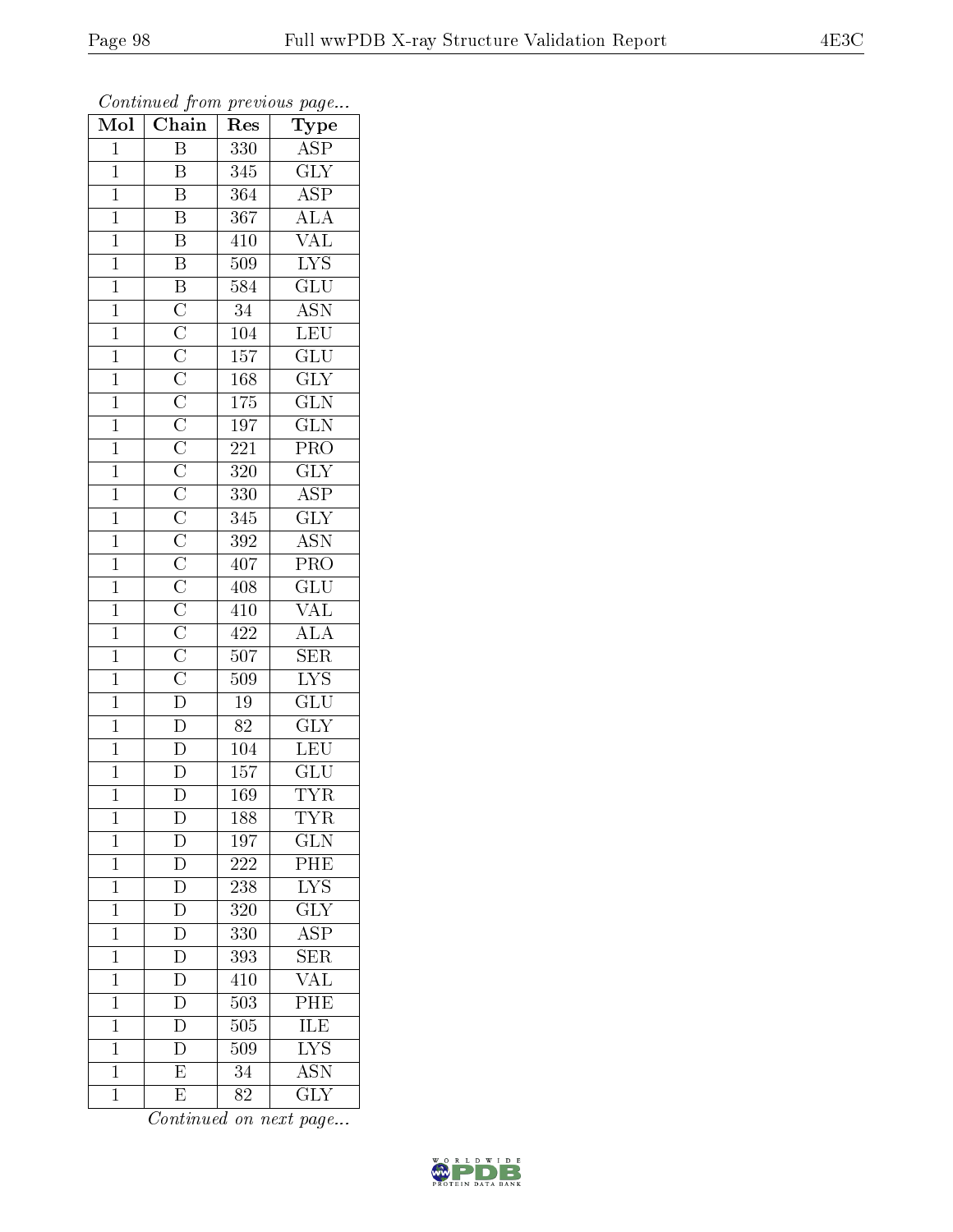| Mol            | Chain                   | Res              | Type                      |
|----------------|-------------------------|------------------|---------------------------|
| $\mathbf{1}$   | Β                       | 330              | ASP                       |
| $\mathbf{1}$   | B                       | 345              | $\overline{\text{GLY}}$   |
| $\mathbf{1}$   | $\overline{\mathrm{B}}$ | 364              | $\overline{\rm ASP}$      |
| $\overline{1}$ | $\overline{\mathrm{B}}$ | 367              | $\overline{\rm ALA}$      |
| $\overline{1}$ | $\overline{\mathbf{B}}$ | 410              | <b>VAL</b>                |
| $\mathbf{1}$   | $\overline{\mathrm{B}}$ | 509              | $\overline{\text{LYS}}$   |
| $\mathbf{1}$   |                         | 584              | $\overline{\text{GLU}}$   |
| $\mathbf{1}$   |                         | 34               | $\overline{\text{ASN}}$   |
| $\overline{1}$ |                         | 104              | LEU                       |
| $\overline{1}$ |                         | $\overline{157}$ | $\overline{{\rm GLU}}$    |
| $\mathbf{1}$   |                         | 168              | $\overline{\text{GLY}}$   |
| $\overline{1}$ |                         | $\overline{175}$ | $\overline{\text{GLN}}$   |
| $\overline{1}$ |                         | $\overline{197}$ | $\overline{\text{GLN}}$   |
| $\overline{1}$ |                         | $\overline{221}$ | $\overline{\text{PRO}}$   |
| $\overline{1}$ |                         | 320              | $\overline{\text{GLY}}$   |
| $\mathbf{1}$   |                         | 330              | $\overline{\rm ASP}$      |
| $\overline{1}$ |                         | 345              | $\overline{\text{GLY}}$   |
| $\mathbf{1}$   |                         | 392              | <b>ASN</b>                |
| $\overline{1}$ |                         | 407              | $\overline{\text{PRO}}$   |
| $\overline{1}$ |                         | 408              | $\overline{\text{GLU}}$   |
| $\overline{1}$ |                         | 410              | $\overline{\text{VAL}}$   |
| $\mathbf{1}$   |                         | 422              | $\overline{ALA}$          |
| $\overline{1}$ |                         | $\overline{50}7$ | $\overline{\text{SER}}$   |
| $\overline{1}$ |                         | 509              | $\overline{\text{LYS}}$   |
| $\mathbf{1}$   |                         | $19\,$           | $\overline{\text{GLU}}$   |
| $\mathbf{1}$   |                         | $8\overline{2}$  | $\overline{\text{GLY}}$   |
| $\mathbf{1}$   |                         | 104              | LEU                       |
| $\overline{1}$ |                         | 157              | GLU                       |
| $\overline{1}$ | $\overline{\text{D}}$   | $\overline{169}$ | <b>TYR</b>                |
| 1              | $\mathbf{D}$            | 188              | TYR                       |
| $\mathbf{1}$   | $\mathbf D$             | 197              | <b>GLN</b>                |
| $\mathbf{1}$   | $\overline{D}$          | 222              | PHE                       |
| $\mathbf{1}$   | D                       | 238              | $\overline{\text{LYS}}$   |
| $\mathbf 1$    | $\overline{\rm D}$      | 320              | $\overline{\text{GLY}}$   |
| $\mathbf{1}$   | $\overline{\rm D}$      | 330              | ASP                       |
| $\mathbf 1$    | $\overline{D}$          | 393              | $\overline{\text{SER}}$   |
| $\mathbf 1$    | $\overline{\mathrm{D}}$ | 410              | <b>VAL</b>                |
| $\overline{1}$ | D                       | 503              | PHE                       |
| $\mathbf 1$    | D                       | 505              | $\overline{\text{ILE}}$   |
| $\mathbf{1}$   | D                       | 509              | $\overline{\text{LYS}}$   |
| $\mathbf 1$    | $\overline{\mathrm{E}}$ | 34               | $\overline{\mathrm{ASN}}$ |
| $\mathbf{1}$   | E                       | $8\bar{2}$       | <b>GLY</b>                |

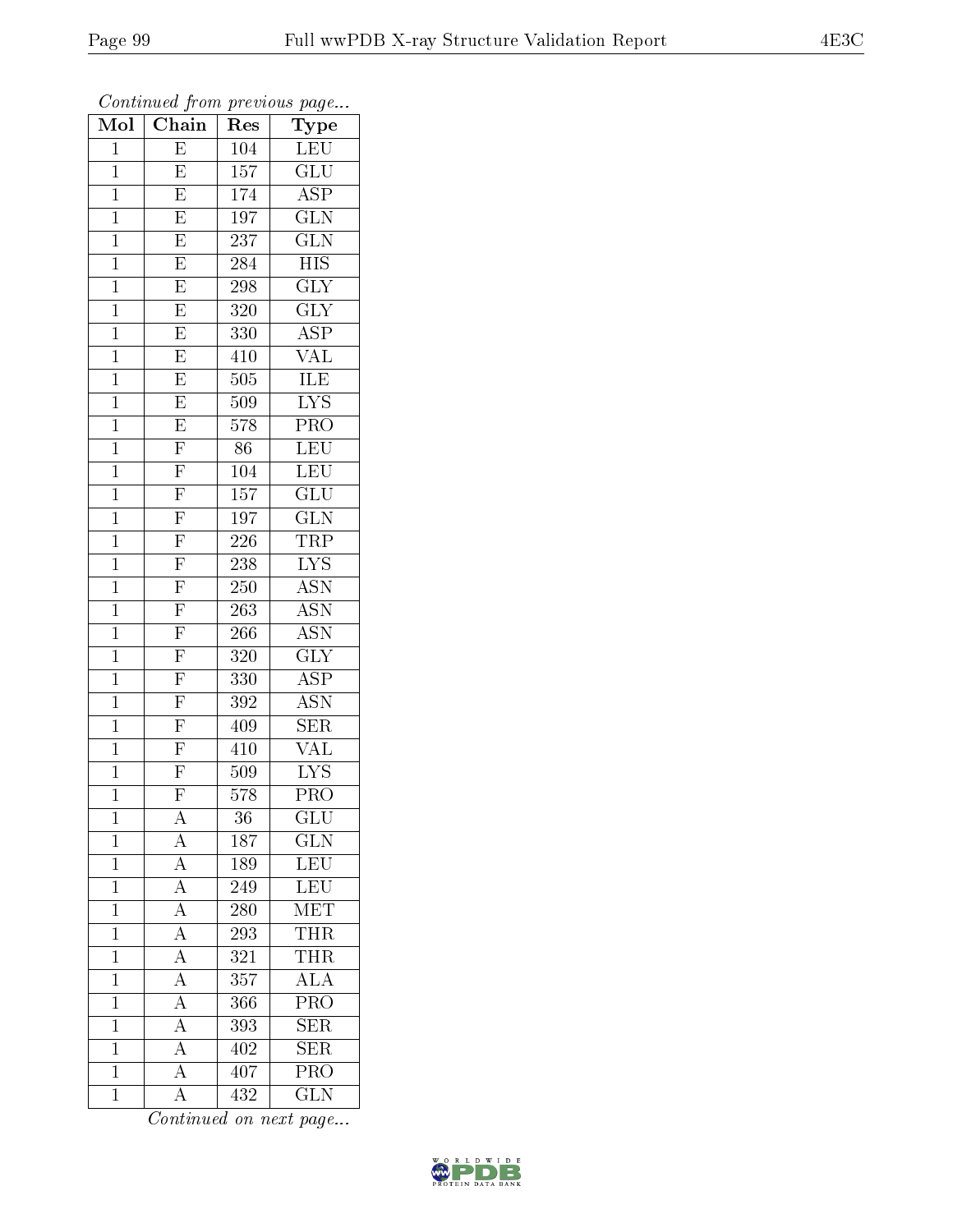| Mol            | $\cdot$ , , ,<br>$\overline{\text{Chain}}$ | r -<br>Res       | x.<br>$\sim$<br>Type      |
|----------------|--------------------------------------------|------------------|---------------------------|
| $\mathbf 1$    | $\overline{\mathrm{E}}$                    | 104              | LEU                       |
| $\mathbf{1}$   | E                                          | $\overline{157}$ | $\overline{\text{GLU}}$   |
| $\mathbf{1}$   | $\overline{\mathrm{E}}$                    | 174              | $\overline{\text{ASP}}$   |
| $\mathbf 1$    | E                                          | 197              | $\overline{\text{GLN}}$   |
| $\overline{1}$ | $\overline{\mathrm{E}}$                    | 237              | $\overline{\text{GLN}}$   |
| $\mathbf 1$    | $\overline{\mathrm{E}}$                    | 284              | $\overline{HIS}$          |
| $\mathbf{1}$   | $\overline{\mathrm{E}}$                    | 298              | <b>GLY</b>                |
| $\mathbf 1$    | $\overline{E}$                             | 320              | $\overline{\text{GLY}}$   |
| $\overline{1}$ | $\overline{E}$                             | 330              | $A\overline{SP}$          |
| $\mathbf{1}$   | $\overline{\mathrm{E}}$                    | 410              | $\overline{\text{VAL}}$   |
| $\mathbf{1}$   | $\overline{\mathrm{E}}$                    | 505              | ILE                       |
| $\mathbf{1}$   | $\overline{\mathrm{E}}$                    | 509              | $\overline{\text{LYS}}$   |
| $\mathbf{1}$   | $\overline{E}$                             | 578              | PRO                       |
| $\mathbf 1$    | $\overline{\mathrm{F}}$                    | 86               | <b>LEU</b>                |
| $\mathbf{1}$   | $\overline{F}$                             | 104              | LEU                       |
| $\mathbf{1}$   | $\overline{F}$                             | 157              | GLU                       |
| $\mathbf{1}$   | $\overline{F}$                             | 197              | $\overline{\text{GLN}}$   |
| $\mathbf{1}$   | $\overline{F}$                             | 226              | TRP                       |
| $\mathbf{1}$   | $\overline{F}$                             | 238              | $\overline{\text{LYS}}$   |
| $\mathbf{1}$   | $\frac{\overline{F}}{\overline{F}}$        | 250              | $\overline{\mathrm{ASN}}$ |
| $\mathbf{1}$   |                                            | 263              | <b>ASN</b>                |
| $\mathbf{1}$   | $\overline{F}$                             | 266              | $\overline{\text{ASN}}$   |
| $\mathbf 1$    | $\mathbf{F}$                               | 320              | $\overline{\text{GLY}}$   |
| $\overline{1}$ | $\overline{F}$                             | 330              | $\overline{\text{ASP}}$   |
| $\overline{1}$ | $\overline{F}$                             | 392              | $\overline{\mathrm{ASN}}$ |
| $\mathbf{1}$   | $\overline{\mathrm{F}}$                    | 409              | <b>SER</b>                |
| $\mathbf{1}$   | $\overline{F}$                             | 410              | $\overline{\text{VAL}}$   |
| $\mathbf{1}$   | $\overline{\mathrm{F}}$                    | 509              | $\overline{\text{LYS}}$   |
| $\overline{1}$ | $\overline{\mathrm{F}}$                    | $\overline{578}$ | $\overline{\mathrm{PRO}}$ |
| 1              | А                                          | 36               | $_{\rm GLU}$              |
| $\mathbf{1}$   | $\boldsymbol{A}$                           | 187              | GLN                       |
| $\mathbf{1}$   | $\overline{A}$                             | 189              | <b>LEU</b>                |
| $\mathbf{1}$   | $\overline{A}$                             | 249              | <b>LEU</b>                |
| $\overline{1}$ | $\overline{A}$                             | 280              | $\overline{\text{MET}}$   |
| $\mathbf 1$    | $\overline{A}$                             | 293              | <b>THR</b>                |
| $\mathbf 1$    | $\overline{A}$                             | 321              | <b>THR</b>                |
| $\mathbf 1$    | $\overline{A}$                             | 357              | $\overline{\text{ALA}}$   |
| $\overline{1}$ | $\overline{A}$                             | 366              | $\overline{\text{PRO}}$   |
| $\mathbf{1}$   | $\overline{A}$                             | 393              | SER                       |
| $\mathbf 1$    | $\overline{A}$                             | 402              | <b>SER</b>                |
| $\mathbf 1$    | $\overline{A}$                             | 407              | $\overline{\text{PRO}}$   |
| $\mathbf{1}$   | $\overline{\rm A}$                         | 432              | $\overline{\text{GLN}}$   |

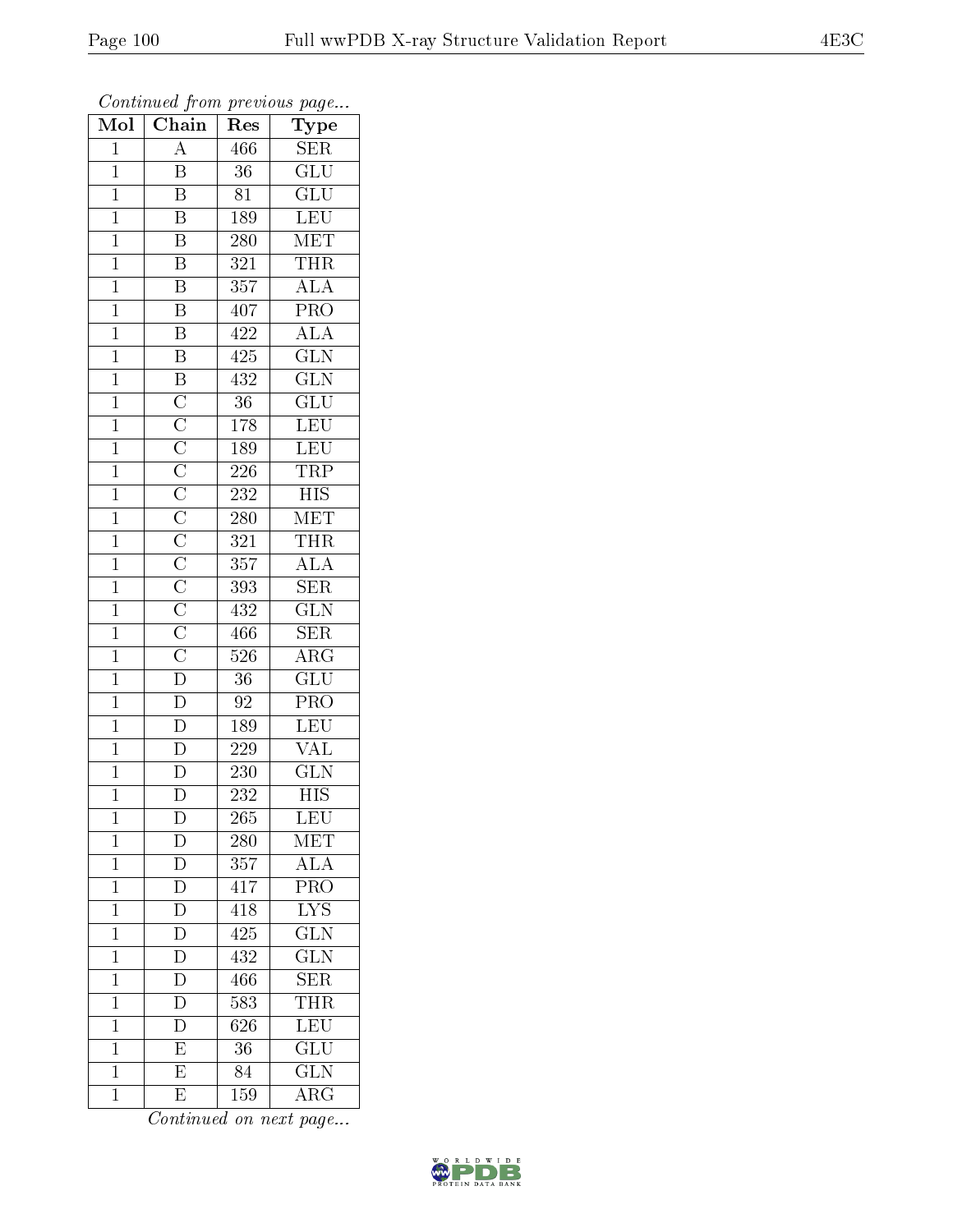| Mol            | $\overline{\phantom{a}}$<br>$\overline{\text{Chain}}$                                                                                                                                                                                   | r -<br>Res       | $\mathbf{r}$ $\sim$ $\mathbf{v}$<br>Type |
|----------------|-----------------------------------------------------------------------------------------------------------------------------------------------------------------------------------------------------------------------------------------|------------------|------------------------------------------|
| $\mathbf{1}$   | $\overline{\rm A}$                                                                                                                                                                                                                      | 466              | <b>SER</b>                               |
| $\mathbf{1}$   | B                                                                                                                                                                                                                                       | 36               | $\overline{\mathrm{GLU}}$                |
| $\overline{1}$ | $\overline{\mathrm{B}}$                                                                                                                                                                                                                 | 81               | $\overline{\text{GLU}}$                  |
| $\mathbf{1}$   | B                                                                                                                                                                                                                                       | 189              | <b>LEU</b>                               |
| $\overline{1}$ | $\overline{\mathrm{B}}$                                                                                                                                                                                                                 | 280              | $\overline{\text{MET}}$                  |
| $\mathbf 1$    | $\overline{\mathrm{B}}$                                                                                                                                                                                                                 | 321              | <b>THR</b>                               |
| $\overline{1}$ | $\overline{\mathrm{B}}$                                                                                                                                                                                                                 | 357              | $\overline{\rm ALA}$                     |
| $\mathbf{1}$   | $\overline{\mathrm{B}}$                                                                                                                                                                                                                 | 407              | $\overline{\text{PRO}}$                  |
| $\overline{1}$ | $\overline{\mathbf{B}}$                                                                                                                                                                                                                 | 422              | $\overline{\rm ALA}$                     |
| $\mathbf 1$    | $\overline{\mathbf{B}}$                                                                                                                                                                                                                 | 425              | $\overline{\text{GLN}}$                  |
| $\mathbf{1}$   |                                                                                                                                                                                                                                         | 432              | $\overline{\text{GLN}}$                  |
| $\mathbf{1}$   |                                                                                                                                                                                                                                         | $\overline{36}$  | $\overline{{\rm GLU}}$                   |
| $\overline{1}$ |                                                                                                                                                                                                                                         | $\overline{178}$ | LEU                                      |
| $\mathbf{1}$   | $\frac{\overline{B}}{C} \frac{\overline{C}}{C} \frac{\overline{C}}{C} \frac{\overline{C}}{C} \frac{\overline{C}}{C} \frac{\overline{C}}{C} \frac{\overline{C}}{C} \frac{\overline{C}}{C} \frac{\overline{C}}{C} \frac{\overline{C}}{D}$ | 189              | LEU                                      |
| $\overline{1}$ |                                                                                                                                                                                                                                         | 226              | <b>TRP</b>                               |
| $\mathbf{1}$   |                                                                                                                                                                                                                                         | 232              | <b>HIS</b>                               |
| $\mathbf{1}$   |                                                                                                                                                                                                                                         | 280              | MET                                      |
| $\mathbf{1}$   |                                                                                                                                                                                                                                         | 321              | THR                                      |
| $\mathbf{1}$   |                                                                                                                                                                                                                                         | 357              | $\overline{\rm ALA}$                     |
| $\mathbf{1}$   |                                                                                                                                                                                                                                         | 393              | $\overline{\text{SER}}$                  |
| $\mathbf{1}$   |                                                                                                                                                                                                                                         | 432              | $\overline{\text{GLN}}$                  |
| $\overline{1}$ |                                                                                                                                                                                                                                         | 466              | $\overline{\text{SER}}$                  |
| $\mathbf 1$    |                                                                                                                                                                                                                                         | 526              | ARG                                      |
| $\overline{1}$ |                                                                                                                                                                                                                                         | 36               | $\overline{{\rm GLU}}$                   |
| $\overline{1}$ | $\overline{D}$                                                                                                                                                                                                                          | 92               | PRO                                      |
| $\mathbf{1}$   | $\overline{\mathbf{D}}$                                                                                                                                                                                                                 | 189              | <b>LEU</b>                               |
| $\mathbf{1}$   | $\overline{D}$                                                                                                                                                                                                                          | 229              | $\overline{\text{VAL}}$                  |
| $\overline{1}$ | $\overline{\overline{\mathrm{D}}}$                                                                                                                                                                                                      | 230              | $\widetilde{{\rm GLN}}$                  |
| $\overline{1}$ | $\overline{\rm D}$                                                                                                                                                                                                                      | $\overline{23}2$ | $\overline{\mathrm{HIS}}$                |
| 1              | D                                                                                                                                                                                                                                       | 265              | LEU                                      |
| $\mathbf{1}$   | $\mathbf D$                                                                                                                                                                                                                             | 280              | MET                                      |
| $\mathbf{1}$   | $\overline{\rm D}$                                                                                                                                                                                                                      | 357              | <b>ALA</b>                               |
| $\mathbf{1}$   | D                                                                                                                                                                                                                                       | 417              | PRO                                      |
| $\mathbf 1$    | $\overline{\rm D}$                                                                                                                                                                                                                      | 418              | $\overline{\text{LYS}}$                  |
| $\mathbf{1}$   | $\mathbf D$                                                                                                                                                                                                                             | 425              | <b>GLN</b>                               |
| $\mathbf 1$    | $\overline{\rm D}$                                                                                                                                                                                                                      | 432              | $\overline{\text{GLN}}$                  |
| $\mathbf 1$    | $\overline{\rm D}$                                                                                                                                                                                                                      | 466              | $\overline{\text{SER}}$                  |
| $\overline{1}$ | $\overline{\rm D}$                                                                                                                                                                                                                      | 583              | THR                                      |
| $\mathbf 1$    | $\overline{\rm D}$                                                                                                                                                                                                                      | 626              | LEU <sup></sup>                          |
| $\mathbf{1}$   | $\overline{\mathrm{E}}$                                                                                                                                                                                                                 | 36               | $\overline{\text{GLU}}$                  |
| $\mathbf 1$    | $\overline{\mathrm{E}}$                                                                                                                                                                                                                 | 84               | $\overline{\text{GLN}}$                  |
| $\mathbf{1}$   | E                                                                                                                                                                                                                                       | 159              | $\rm{\overline{A}RG}$                    |

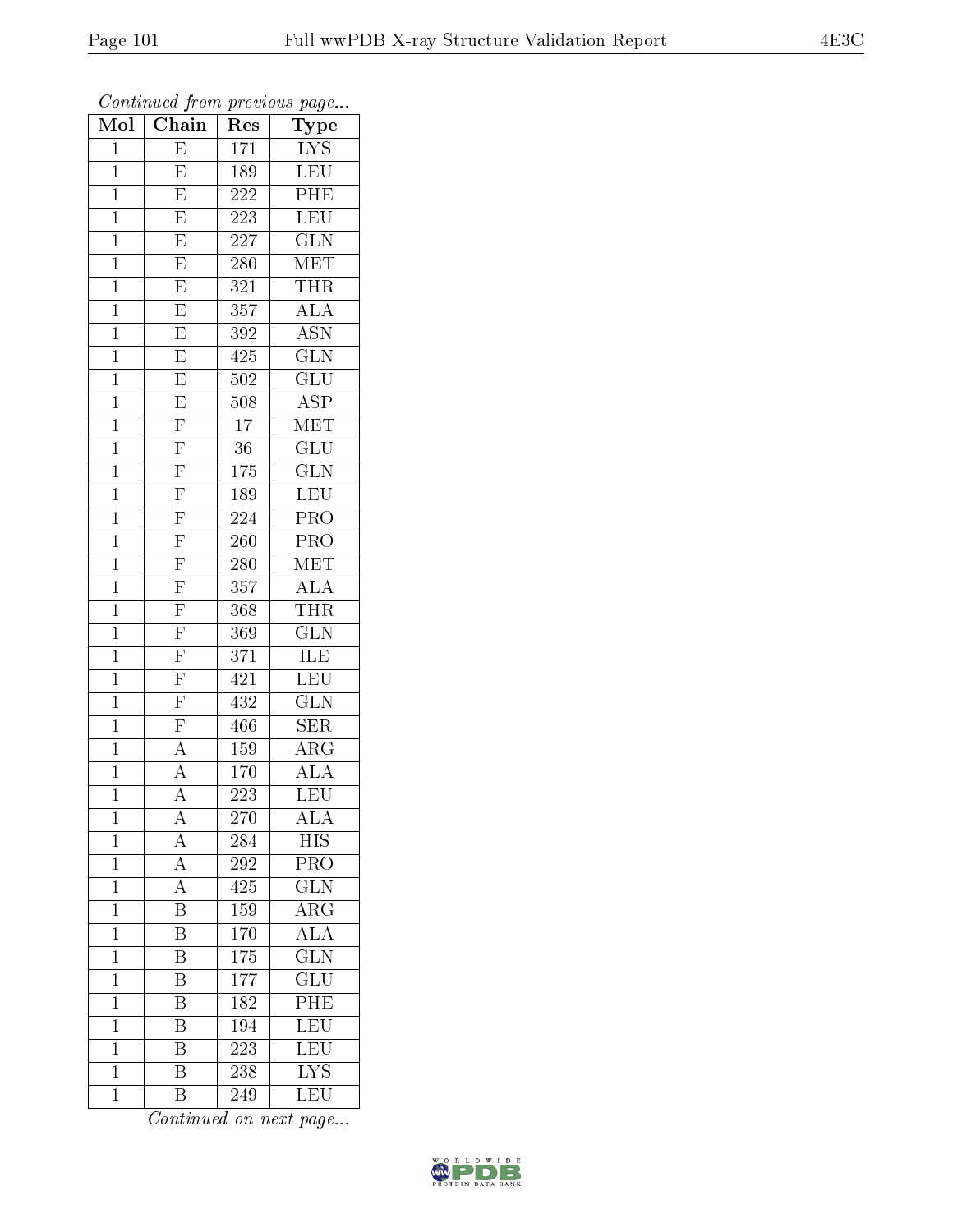| .<br>Mol                       | . <i>.</i><br>$\overline{\text{Chain}}$            | $\mathbf{r}$<br>Res | $r \sim 3$<br>Type                              |
|--------------------------------|----------------------------------------------------|---------------------|-------------------------------------------------|
| $\mathbf 1$                    | E                                                  | 171                 | LYS                                             |
| $\mathbf{1}$                   | E                                                  | 189                 | <b>LEU</b>                                      |
| $\mathbf{1}$                   | $\overline{\mathrm{E}}$                            | 222                 | PHE                                             |
| $\mathbf{1}$                   | $\overline{\mathrm{E}}$                            | $\overline{2}23$    | LEU                                             |
| $\mathbf{1}$                   | $\overline{E}$                                     | $\overline{227}$    | $\overline{\text{GLN}}$                         |
| $\mathbf 1$                    | E                                                  | 280                 | MET                                             |
| $\mathbf{1}$                   | E                                                  | 321                 | <b>THR</b>                                      |
| $\mathbf{1}$                   | $\overline{\mathrm{E}}$                            | 357                 | ALA                                             |
| $\mathbf{1}$                   | $\overline{\mathrm{E}}$                            | 392                 | <b>ASN</b>                                      |
| $\mathbf 1$                    | $\overline{\mathrm{E}}$                            | 425                 | $\overline{\text{GLN}}$                         |
| $\mathbf{1}$                   | $\overline{E}$                                     | 502                 | $\widetilde{{\rm GLU}}$                         |
| $\overline{1}$                 | $\overline{E}$                                     | 508                 | $\overline{\text{ASP}}$                         |
| $\mathbf{1}$                   | $\overline{\mathrm{F}}$                            | 17                  | $\overline{\text{MET}}$                         |
| $\mathbf{1}$                   | $\overline{F}$                                     | 36                  | $\overline{\text{GLU}}$                         |
| $\overline{1}$                 | $\overline{F}$                                     | 175                 | $\overline{\text{GLN}}$                         |
| $\mathbf{1}$                   | $\overline{\mathrm{F}}$                            | 189                 | LEU                                             |
| $\overline{1}$                 | $\overline{F}$                                     | $\overline{224}$    | $\overline{\text{PRO}}$                         |
| $\mathbf{1}$                   | $\overline{F}$                                     | <b>260</b>          | PRO                                             |
| $\mathbf{1}$                   | $\overline{F}$                                     | <b>280</b>          | $\operatorname{MET}$                            |
| $\mathbf{1}$                   |                                                    | 357                 | ALA                                             |
| $\mathbf{1}$                   | $\frac{\overline{F}}{\overline{F}}$                | 368                 | <b>THR</b>                                      |
| $\overline{1}$                 |                                                    | 369                 | $\overline{\text{GLN}}$                         |
| $\mathbf{1}$                   | $\frac{\overline{F}}{\overline{F}}$                | 371                 | ILE                                             |
| $\mathbf{1}$                   |                                                    | 421                 | LEU                                             |
| $\mathbf 1$                    | $\overline{F}$                                     | 432                 | $\overline{\text{GLN}}$                         |
| $\mathbf{1}$                   | $\overline{F}$                                     | 466                 | <b>SER</b>                                      |
| $\mathbf{1}$                   | $\overline{A}$                                     | 159                 | $\overline{\rm{ARG}}$                           |
| $\mathbf{1}$                   | $\overline{A}$                                     | 170                 | <b>ALA</b>                                      |
| $\overline{1}$                 | $\overline{\rm A}$                                 | $\overline{223}$    | $\overline{\text{LEU}}$                         |
| 1                              | A                                                  | 270                 | $\overline{\text{ALA}}$                         |
| $\mathbf 1$                    | $\overline{\rm A}$                                 | 284                 | <b>HIS</b>                                      |
| $\mathbf{1}$                   | $\overline{A}$                                     | 292                 | PRO                                             |
| $\mathbf{1}$                   | $\overline{A}$<br>$\overline{\mathrm{B}}$          | 425                 | $\overline{\text{GLN}}$                         |
| $\overline{1}$                 |                                                    | 159                 | $\overline{\rm{ARG}}$                           |
| $\mathbf{1}$<br>$\overline{1}$ | $\overline{\mathrm{B}}$<br>$\overline{\mathrm{B}}$ | 170                 | $\overline{\rm ALA}$<br>$\overline{\text{GLN}}$ |
| $\mathbf 1$                    | $\overline{\mathrm{B}}$                            | 175<br>177          | $\overline{{\rm GLU}}$                          |
| $\mathbf 1$                    | B                                                  | 182                 | $\overline{PHE}$                                |
| $\mathbf 1$                    | $\overline{\mathrm{B}}$                            | 194                 | LEU                                             |
| $\mathbf{1}$                   | $\overline{\mathrm{B}}$                            | 223                 | <b>LEU</b>                                      |
| $\mathbf 1$                    | $\overline{\mathrm{B}}$                            | 238                 | $\overline{\text{LYS}}$                         |
| $\mathbf 1$                    | $\overline{\mathrm{B}}$                            | 249                 | LEU                                             |
|                                |                                                    |                     |                                                 |

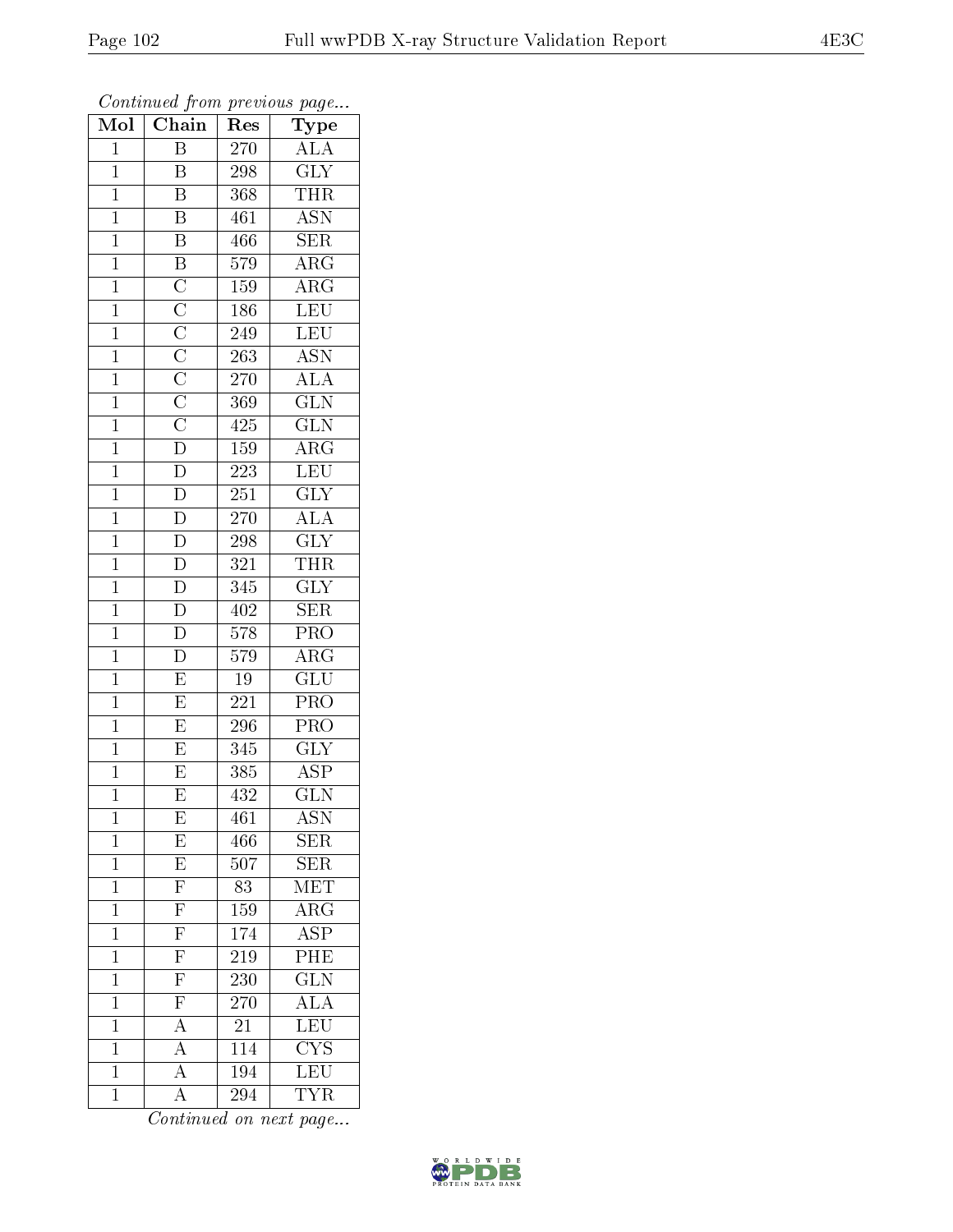| Mol            | Chain                                                                                                                   | Res              | Type                      |
|----------------|-------------------------------------------------------------------------------------------------------------------------|------------------|---------------------------|
| $\mathbf{1}$   | Β                                                                                                                       | 270              | $\overline{A}LA$          |
| $\mathbf{1}$   | Β                                                                                                                       | 298              | $\overline{\mathrm{GLY}}$ |
| $\mathbf{1}$   | $\overline{\mathrm{B}}$                                                                                                 | 368              | <b>THR</b>                |
| $\mathbf{1}$   | $\overline{\mathrm{B}}$                                                                                                 | 461              | <b>ASN</b>                |
| $\overline{1}$ | $\overline{B}$                                                                                                          | 466              | $\overline{\text{SER}}$   |
| $\mathbf{1}$   |                                                                                                                         | 579              | $\overline{\rm{ARG}}$     |
| $\mathbf{1}$   |                                                                                                                         | 159              | $\overline{\text{ARG}}$   |
| $\mathbf{1}$   |                                                                                                                         | 186              | LEU                       |
| $\mathbf{1}$   |                                                                                                                         | 249              | LEU                       |
| $\overline{1}$ |                                                                                                                         | 263              | $\overline{\text{ASN}}$   |
| $\mathbf{1}$   |                                                                                                                         | 270              | <b>ALA</b>                |
| $\overline{1}$ |                                                                                                                         | 369              | $\overline{\text{GLN}}$   |
| $\mathbf{1}$   | $\overline{B}$ $\overline{C}$ $\overline{C}$ $\overline{C}$ $\overline{C}$ $\overline{C}$ $\overline{C}$ $\overline{D}$ | 425              | $\overline{\text{GLN}}$   |
| $\overline{1}$ |                                                                                                                         | 159              | $\overline{\rm{ARG}}$     |
| $\mathbf{1}$   | $\overline{\rm D}$                                                                                                      | $223\,$          | LEU                       |
| $\mathbf{1}$   | $\overline{D}$                                                                                                          | 251              | $\overline{\text{GLY}}$   |
| $\overline{1}$ | $\overline{D}$                                                                                                          | 270              | $\overline{\rm ALA}$      |
| $\mathbf{1}$   | $\overline{D}$                                                                                                          | 298              | $\overline{\text{GLY}}$   |
| $\overline{1}$ | $\overline{D}$                                                                                                          | 321              | <b>THR</b>                |
| $\mathbf{1}$   | $\overline{D}$                                                                                                          | 345              | $\overline{\text{GLY}}$   |
| $\mathbf{1}$   | $\overline{D}$                                                                                                          | 402              | <b>SER</b>                |
| $\mathbf{1}$   | $\overline{D}$                                                                                                          | $\overline{578}$ | $\overline{\text{PRO}}$   |
| $\mathbf{1}$   | $\overline{\rm D}$                                                                                                      | 579              | $\overline{\rm{ARG}}$     |
| $\overline{1}$ | $\overline{\mathrm{E}}$                                                                                                 | 19               | $\overline{\text{GLU}}$   |
| $\mathbf{1}$   | $\overline{\mathrm{E}}$                                                                                                 | 221              | $\overline{\text{PRO}}$   |
| $\mathbf{1}$   | $\overline{E}$                                                                                                          | 296              | PRO                       |
| $\mathbf{1}$   | $\overline{\mathrm{E}}$                                                                                                 | 345              | $\overline{\text{GLY}}$   |
| $\mathbf 1$    | E                                                                                                                       | 385              | <b>ASP</b>                |
| $\overline{1}$ | $\overline{\mathrm{E}}$                                                                                                 | 432              | $\overline{\text{GLN}}$   |
| $\mathbf 1$    | $\boldsymbol{\mathrm{E}}$                                                                                               | 461              | ASN                       |
| $\mathbf 1$    | $\overline{E}$                                                                                                          | 466              | SER                       |
| $\mathbf{1}$   | $\frac{\overline{E}}{\overline{F}}$                                                                                     | 507              | SER                       |
| $\mathbf 1$    |                                                                                                                         | 83               | MET                       |
| $\mathbf{1}$   | $\overline{\mathrm{F}}$                                                                                                 | 159              | $\overline{\rm{ARG}}$     |
| $\mathbf{1}$   | $\frac{\overline{F}}{\overline{F}}$                                                                                     | 174              | <b>ASP</b>                |
| $\mathbf{1}$   |                                                                                                                         | $\overline{219}$ | PHE                       |
| $\mathbf{1}$   | $\overline{\mathrm{F}}$                                                                                                 | 230              | $\overline{\text{GLN}}$   |
| $\mathbf 1$    | $\overline{\mathrm{F}}$                                                                                                 | 270              | $\bar{\rm ALA}$           |
| $\mathbf 1$    | $\overline{A}$                                                                                                          | 21               | LEU                       |
| $\mathbf 1$    | $\overline{A}$                                                                                                          | 114              | $\overline{\text{CYS}}$   |
| $\mathbf 1$    | $\overline{A}$                                                                                                          | 194              | $\overline{\text{LEU}}$   |
| $\mathbf 1$    | $\overline{\rm A}$                                                                                                      | $\overline{294}$ | TYR                       |

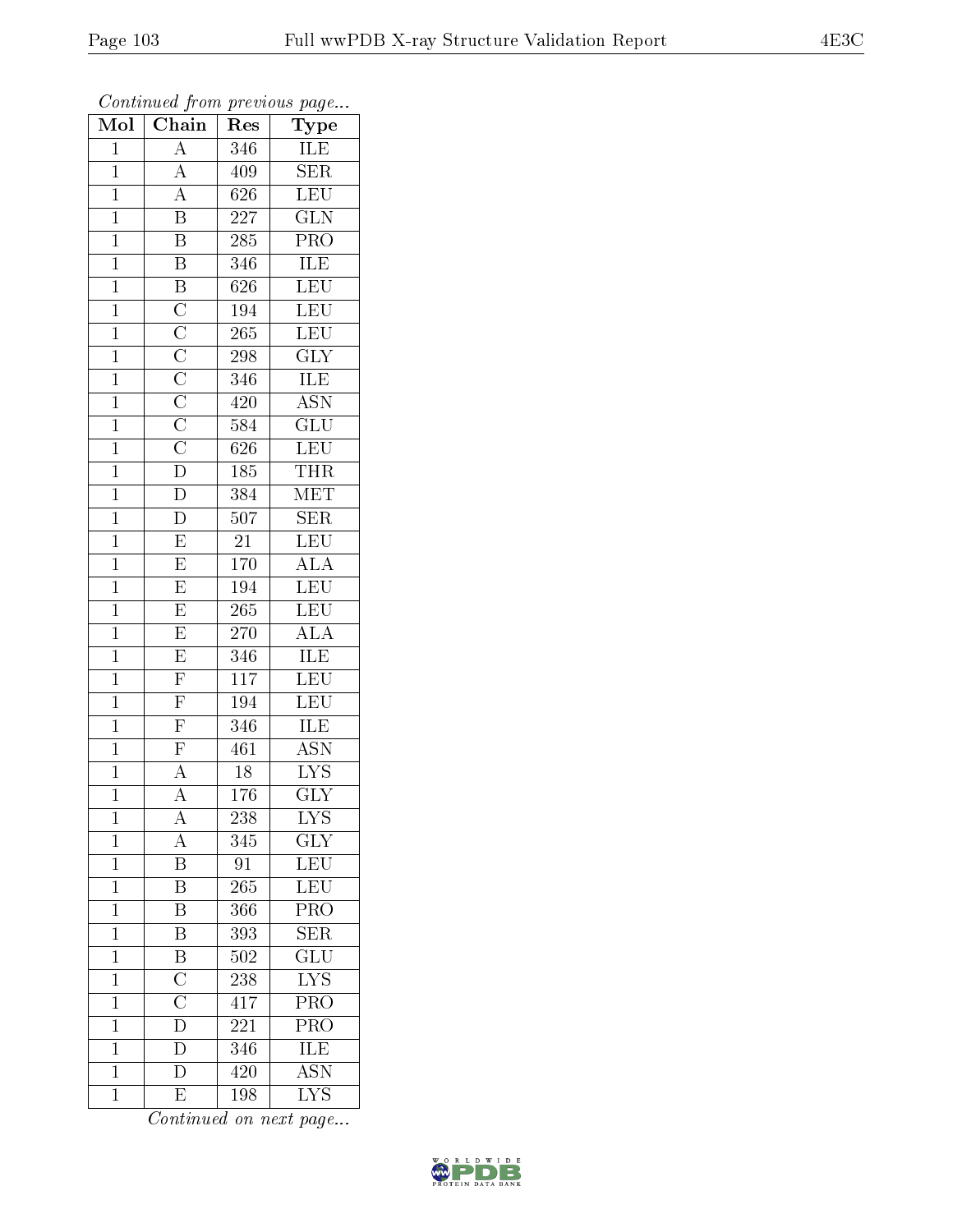| Mol            | $\overline{\text{Chain}}$                                                                                                                                                                                                   | $r \cdot \cdot \cdot$<br>Res | $r \sim \sigma$<br>Type                       |
|----------------|-----------------------------------------------------------------------------------------------------------------------------------------------------------------------------------------------------------------------------|------------------------------|-----------------------------------------------|
| $\mathbf{1}$   | $\overline{A}$                                                                                                                                                                                                              | 346                          | $\overline{\text{ILE}}$                       |
| $\overline{1}$ | $\overline{A}$                                                                                                                                                                                                              | 409                          | $\overline{\text{SER}}$                       |
| $\overline{1}$ | $\overline{A}$                                                                                                                                                                                                              | $\overline{626}$             | $\overline{\text{LEU}}$                       |
| $\mathbf{1}$   | $\overline{\mathbf{B}}$                                                                                                                                                                                                     | 227                          | $\overline{\text{GLN}}$                       |
| $\overline{1}$ | $\overline{\mathbf{B}}$                                                                                                                                                                                                     | 285                          | $\overline{\text{PRO}}$                       |
| $\overline{1}$ | $\overline{\mathrm{B}}$                                                                                                                                                                                                     | 346                          | ILE                                           |
| $\overline{1}$ | $\overline{B}$                                                                                                                                                                                                              | 626                          | LEU                                           |
| $\overline{1}$ |                                                                                                                                                                                                                             | 194                          | LEU                                           |
| $\mathbf{1}$   |                                                                                                                                                                                                                             | 265                          | LEU                                           |
| $\overline{1}$ |                                                                                                                                                                                                                             | 298                          | $\overline{\text{GLY}}$                       |
| $\overline{1}$ |                                                                                                                                                                                                                             | 346                          | <b>ILE</b>                                    |
| $\overline{1}$ |                                                                                                                                                                                                                             | 420                          | $\overline{\mathrm{ASN}}$                     |
| $\overline{1}$ |                                                                                                                                                                                                                             | 584                          | $\overline{\text{GLU}}$                       |
| $\mathbf{1}$   | $\overline{\text{C}}$ $\overline{\text{C}}$ $\overline{\text{C}}$ $\overline{\text{C}}$ $\overline{\text{C}}$ $\overline{\text{C}}$ $\overline{\text{C}}$ $\overline{\text{C}}$ $\overline{\text{D}}$ $\overline{\text{D}}$ | 626                          | LEU                                           |
| $\overline{1}$ |                                                                                                                                                                                                                             | 185                          | <b>THR</b>                                    |
| $\mathbf{1}$   |                                                                                                                                                                                                                             | 384                          | $\mathrm{M} \overline{\mathrm{E} \mathrm{T}}$ |
| $\overline{1}$ | $\overline{D}$                                                                                                                                                                                                              | $\overline{507}$             | $\overline{\text{SER}}$                       |
| $\mathbf{1}$   | $\boldsymbol{\mathrm{E}}$                                                                                                                                                                                                   | 21                           | LEU                                           |
| $\mathbf{1}$   | $\overline{\mathrm{E}}$                                                                                                                                                                                                     | 170                          | $\overline{\rm ALA}$                          |
| $\mathbf{1}$   | $\overline{E}$                                                                                                                                                                                                              | 194                          | LEU                                           |
| $\overline{1}$ | $\overline{E}$                                                                                                                                                                                                              | 265                          | <b>LEU</b>                                    |
| $\overline{1}$ | $\overline{E}$                                                                                                                                                                                                              | <b>270</b>                   | $\overline{\rm ALA}$                          |
| $\mathbf{1}$   | $\overline{\mathrm{E}}$                                                                                                                                                                                                     | 346                          | ILE                                           |
| $\overline{1}$ | $\overline{\mathrm{F}}$                                                                                                                                                                                                     | $\overline{117}$             | $\overline{\text{LEU}}$                       |
| $\mathbf{1}$   | $\overline{\mathrm{F}}$                                                                                                                                                                                                     | 194                          | LEU                                           |
| $\overline{1}$ | $\overline{\mathrm{F}}$                                                                                                                                                                                                     | 346                          | ILE                                           |
| $\overline{1}$ | $\overline{F}$                                                                                                                                                                                                              | 461                          | $\overline{\mathrm{ASN}}$                     |
| $\mathbf{1}$   | $\overline{A}$                                                                                                                                                                                                              | 18                           | <b>LYS</b>                                    |
| $\overline{1}$ | $\overline{\rm A}$                                                                                                                                                                                                          | 176                          | $\overline{\text{GLY}}$                       |
| 1              | A                                                                                                                                                                                                                           | 238                          | <b>LYS</b>                                    |
| $\mathbf 1$    | $\overline{A}$                                                                                                                                                                                                              | 345                          | $\overline{\text{GLY}}$                       |
| $\mathbf{1}$   | $\overline{\mathbf{B}}$                                                                                                                                                                                                     | $\overline{91}$              | $\overline{\text{LEU}}$                       |
| $\mathbf{1}$   | $\overline{\mathbf{B}}$                                                                                                                                                                                                     | $265\,$                      | <b>LEU</b>                                    |
| $\overline{1}$ | $\overline{\mathbf{B}}$                                                                                                                                                                                                     | 366                          | $\overline{\text{PRO}}$                       |
| $\mathbf{1}$   | $\overline{B}$                                                                                                                                                                                                              | 393                          | <b>SER</b>                                    |
| $\overline{1}$ | $\frac{\overline{B}}{\overline{C}}$ $\frac{\overline{C}}{\overline{D}}$ $\frac{\overline{D}}{\overline{D}}$                                                                                                                 | 502                          | $\overline{{\rm GLU}}$                        |
| $\mathbf 1$    |                                                                                                                                                                                                                             | 238                          | $\overline{\text{LYS}}$                       |
| $\mathbf 1$    |                                                                                                                                                                                                                             | 417                          | $\overline{\text{PRO}}$                       |
| $\mathbf 1$    |                                                                                                                                                                                                                             | 221                          | PRO                                           |
| $\mathbf 1$    |                                                                                                                                                                                                                             | 346                          | ILE                                           |
| $\mathbf 1$    | $\overline{\rm D}$                                                                                                                                                                                                          | 420                          | $\overline{\mathrm{ASN}}$                     |
| $\mathbf 1$    | $\overline{\mathrm{E}}$                                                                                                                                                                                                     | 198                          | $\overline{\text{LYS}}$                       |

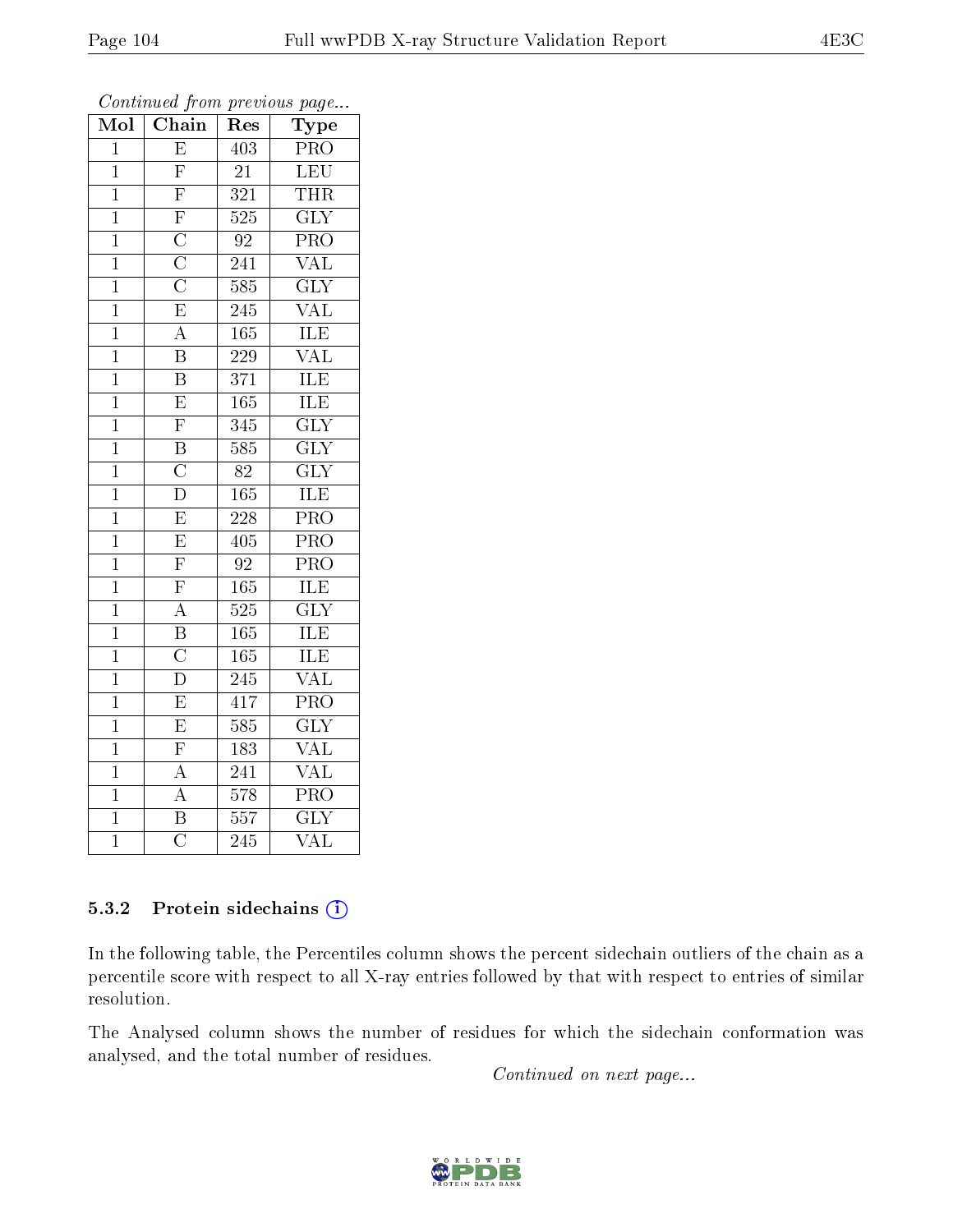| Mol            | $\overline{\text{C}}$ hain                                                                   | $\operatorname{Res}% \left( \mathcal{N}\right) \equiv\operatorname{Res}(\mathcal{N}_{0})\left( \mathcal{N}_{0}\right) ^{2}$ | ${\rm \bar{Ty}pe}$        |
|----------------|----------------------------------------------------------------------------------------------|-----------------------------------------------------------------------------------------------------------------------------|---------------------------|
| $\mathbf 1$    | $\overline{\mathrm{E}}$                                                                      | $\overline{403}$                                                                                                            | PR <sub>O</sub>           |
| $\mathbf{1}$   | $\overline{\mathrm{F}}$                                                                      | 21                                                                                                                          | LEU                       |
| $\overline{1}$ | $\overline{\mathrm{F}}$                                                                      | 321                                                                                                                         | <b>THR</b>                |
| $\mathbf{1}$   |                                                                                              | $\overline{525}$                                                                                                            | $\overline{\text{GLY}}$   |
| $\overline{1}$ |                                                                                              | $\overline{92}$                                                                                                             | $\overline{\text{PRO}}$   |
| $\mathbf{1}$   | $\frac{\overline{\text{F}}\ \overline{\text{C}}}{\overline{\text{C}}\ \overline{\text{C}}}}$ | 241                                                                                                                         | <b>VAL</b>                |
| $\mathbf{1}$   |                                                                                              | 585                                                                                                                         | $\overline{\text{GLY}}$   |
| $\mathbf{1}$   |                                                                                              | 245                                                                                                                         | $\overline{\text{VAL}}$   |
| $\overline{1}$ | $\overline{A}$                                                                               | 165                                                                                                                         | $\overline{\text{ILE}}$   |
| $\overline{1}$ | $\overline{\mathrm{B}}$                                                                      | $\overline{229}$                                                                                                            | VAL                       |
| $\mathbf 1$    | $\overline{\mathrm{B}}$                                                                      | 371                                                                                                                         | ILE                       |
| $\overline{1}$ | $\overline{\mathrm{E}}$                                                                      | $\overline{165}$                                                                                                            | <b>ILE</b>                |
| $\overline{1}$ | $\overline{F}$                                                                               | $\overline{345}$                                                                                                            | $\overline{\text{GLY}}$   |
| $\mathbf{1}$   | $\overline{\mathrm{B}}$                                                                      | 585                                                                                                                         | <b>GLY</b>                |
| $\mathbf{1}$   | $\overline{\rm C}$                                                                           | 82                                                                                                                          | $\overline{\text{GLY}}$   |
| $\mathbf{1}$   | $\overline{\rm D}$                                                                           | 165                                                                                                                         | ILE                       |
| $\overline{1}$ | $\overline{\mathrm{E}}$                                                                      | $\overline{228}$                                                                                                            | $\overline{\text{PRO}}$   |
| $\mathbf{1}$   | $\overline{\mathrm{E}}$                                                                      | 405                                                                                                                         | PRO                       |
| $\mathbf 1$    | $\overline{F}$                                                                               | $\overline{92}$                                                                                                             | PRO                       |
| $\mathbf{1}$   | $\overline{F}$                                                                               | 165                                                                                                                         | ILE                       |
| $\mathbf{1}$   | $\overline{A}$                                                                               | 525                                                                                                                         | $\overline{\text{GLY}}$   |
| $\overline{1}$ | $\frac{\overline{B}}{C}$                                                                     | 165                                                                                                                         | ILE                       |
| $\mathbf 1$    |                                                                                              | 165                                                                                                                         | ILE                       |
| $\overline{1}$ | $\overline{\rm D}$                                                                           | $\overline{24}5$                                                                                                            | $\overline{\text{VAL}}$   |
| $\overline{1}$ | $\overline{E}$                                                                               | 417                                                                                                                         | $\overline{\text{PRO}}$   |
| $\mathbf{1}$   | $\overline{\mathrm{E}}$                                                                      | 585                                                                                                                         | $\overline{\text{GLY}}$   |
| $\mathbf 1$    | $\overline{F}$                                                                               | 183                                                                                                                         | $\overline{\text{VAL}}$   |
| $\overline{1}$ | $\overline{A}$                                                                               | 241                                                                                                                         | $\rm V\overline{AL}$      |
| $\mathbf{1}$   | $\overline{A}$                                                                               | $\overline{578}$                                                                                                            | $\overline{\text{PRO}}$   |
| $\overline{1}$ | $\overline{\mathrm{B}}$                                                                      | 557                                                                                                                         | $\overline{\mathrm{GLY}}$ |
| $\overline{1}$ | $\overline{\text{C}}$                                                                        | 245                                                                                                                         | VAL                       |

Continued from previous page...

## 5.3.2 Protein sidechains (i)

In the following table, the Percentiles column shows the percent sidechain outliers of the chain as a percentile score with respect to all X-ray entries followed by that with respect to entries of similar resolution.

The Analysed column shows the number of residues for which the sidechain conformation was analysed, and the total number of residues.

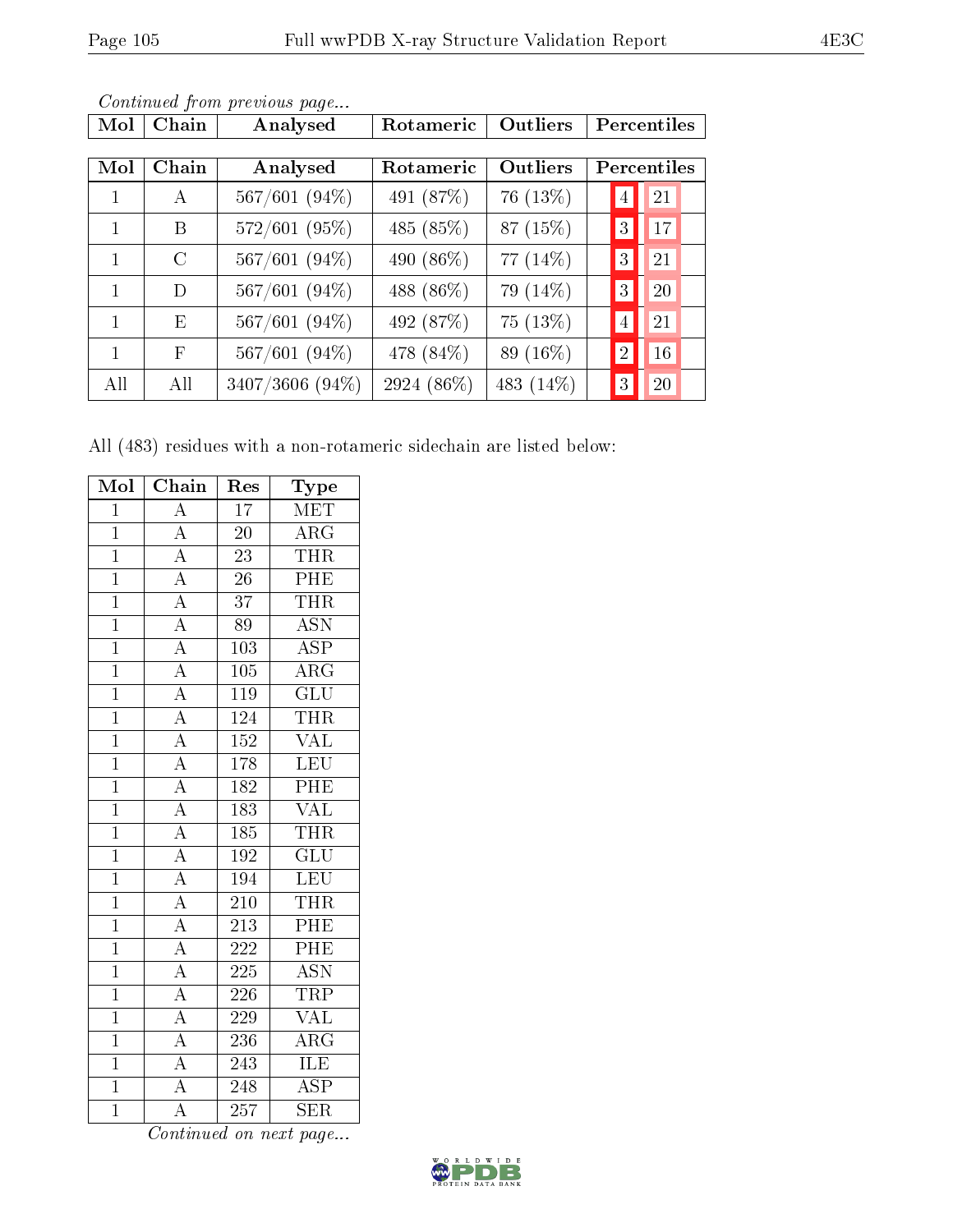| Mol | Chain         | Analysed        | Rotameric  | Outliers  | Percentiles          |  |
|-----|---------------|-----------------|------------|-----------|----------------------|--|
|     |               |                 |            |           |                      |  |
| Mol | Chain         | Analysed        | Rotameric  | Outliers  | Percentiles          |  |
| 1   | $\mathbf{A}$  | 567/601 (94%)   | 491 (87%)  | 76 (13\%) | 21<br>4              |  |
| 1   | B             | 572/601 (95%)   | 485 (85%)  | 87 (15%)  | 17<br>3              |  |
| 1   | $\mathcal{C}$ | $567/601(94\%)$ | 490 (86\%) | 77 (14%)  | 21<br>3 <sup>1</sup> |  |
| 1   | D             | $567/601(94\%)$ | 488 (86%)  | 79 (14%)  | 20<br>3 <sup>1</sup> |  |
| 1   | E             | $567/601(94\%)$ | 492 (87%)  | 75 (13%)  | 21<br>$\overline{4}$ |  |
| 1   | $\mathbf{F}$  | 567/601 (94%)   | 478 (84%)  | 89 (16%)  | 16<br>$\overline{2}$ |  |
| All | All           | 3407/3606 (94%) | 2924 (86%) | 483 (14%) | 20<br>3              |  |

All (483) residues with a non-rotameric sidechain are listed below:

| Mol            | Chain                               | Res              | Type                    |
|----------------|-------------------------------------|------------------|-------------------------|
| $\overline{1}$ | $\overline{A}$                      | $\overline{17}$  | <b>MET</b>              |
| $\mathbf{1}$   | $\overline{A}$                      | 20               | $\rm{ARG}$              |
| $\overline{1}$ | $\overline{A}$                      | 23               | <b>THR</b>              |
| $\overline{1}$ | $\overline{A}$                      | 26               | PHE                     |
| $\overline{1}$ | $\overline{A}$                      | $\overline{37}$  | <b>THR</b>              |
| $\overline{1}$ | $\overline{A}$                      | $\overline{89}$  | $\overline{ASN}$        |
| $\overline{1}$ | $\frac{\overline{A}}{\overline{A}}$ | 103              | $\overline{\text{ASP}}$ |
| $\overline{1}$ |                                     | $\overline{105}$ | $\overline{\rm{ARG}}$   |
| $\overline{1}$ | $\overline{A}$                      | 119              | $\overline{\text{GLU}}$ |
| $\overline{1}$ | $\frac{1}{\mathbf{A}}$              | 124              | <b>THR</b>              |
| $\overline{1}$ | $\overline{A}$                      | 152              | <b>VAL</b>              |
| $\overline{1}$ | $\overline{A}$                      | 178              | <b>LEU</b>              |
| $\overline{1}$ | $\frac{1}{A}$                       | $\overline{182}$ | PHE                     |
| $\overline{1}$ | $\overline{A}$                      | 183              | $\overline{\text{VAL}}$ |
| $\overline{1}$ | $\overline{A}$                      | 185              | <b>THR</b>              |
| $\overline{1}$ | $\overline{A}$                      | 192              | $\overline{\text{GLU}}$ |
| $\overline{1}$ | $\overline{A}$                      | 194              | $\overline{\text{LEU}}$ |
| $\overline{1}$ | $\overline{A}$                      | 210              | <b>THR</b>              |
| $\overline{1}$ | $\frac{1}{\mathbf{A}}$              | 213              | PHE                     |
| $\overline{1}$ | $\overline{A}$                      | $\overline{222}$ | PHE                     |
| $\overline{1}$ | $\overline{A}$                      | 225              | $\overline{ASN}$        |
| $\overline{1}$ | $\overline{A}$                      | $226\,$          | <b>TRP</b>              |
| $\overline{1}$ | $\overline{A}$                      | 229              | <b>VAL</b>              |
| $\overline{1}$ | $\overline{A}$                      | 236              | $\rm{ARG}$              |
| $\overline{1}$ | $\overline{A}$                      | 243              | ILE                     |
| $\overline{1}$ | $\overline{A}$                      | 248              | ASP                     |
| $\overline{1}$ | $\overline{\rm A}$                  | $\overline{257}$ | $\overline{\text{SER}}$ |

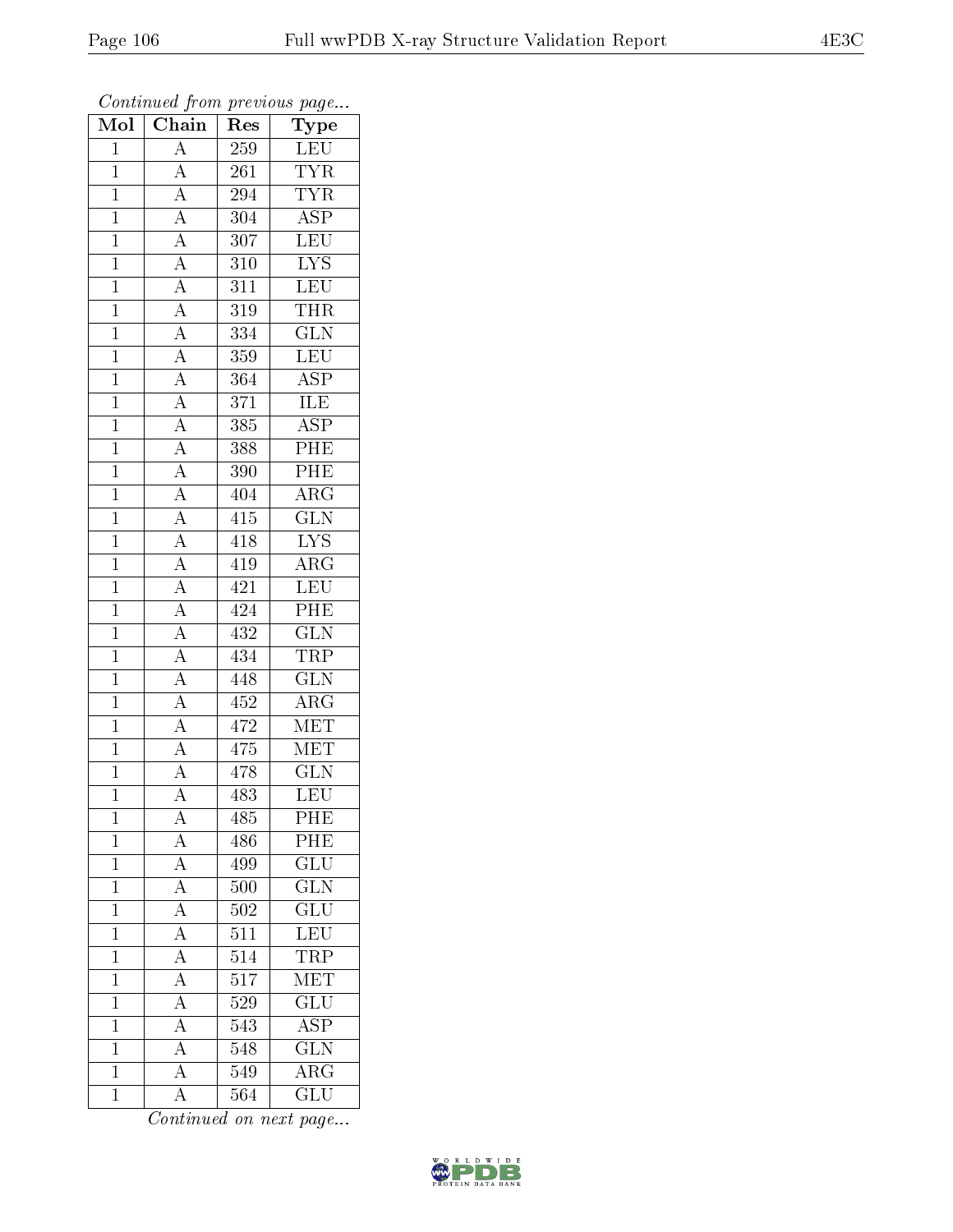| Mol            | Chain                                                                                                       | Res              | ${\bf Type}$            |
|----------------|-------------------------------------------------------------------------------------------------------------|------------------|-------------------------|
| $\mathbf{1}$   | $\overline{\rm A}$                                                                                          | 259              | LEU                     |
| $\mathbf{1}$   | $\overline{A}$                                                                                              | 261              | <b>TYR</b>              |
| $\mathbf{1}$   |                                                                                                             | 294              | $\overline{TYR}$        |
| $\overline{1}$ |                                                                                                             | 304              | $\overline{\text{ASP}}$ |
| $\overline{1}$ | $\frac{\overline{A}}{\overline{A}}$ $\frac{\overline{A}}{\overline{A}}$                                     | 307              | $\overline{\text{LEU}}$ |
| $\mathbf{1}$   |                                                                                                             | 310              | $\overline{\text{LYS}}$ |
| $\mathbf{1}$   | $\frac{\overline{A}}{\overline{A}}$ $\frac{\overline{A}}{\overline{A}}$ $\frac{\overline{A}}{\overline{A}}$ | 311              | LEU                     |
| $\mathbf{1}$   |                                                                                                             | 319              | <b>THR</b>              |
| $\mathbf{1}$   |                                                                                                             | $\overline{334}$ | $\overline{\text{GLN}}$ |
| $\overline{1}$ |                                                                                                             | 359              | LEU                     |
| $\mathbf{1}$   |                                                                                                             | 364              | $\overline{\text{ASP}}$ |
| $\mathbf{1}$   |                                                                                                             | 371              | <b>ILE</b>              |
| $\mathbf{1}$   |                                                                                                             | 385              | <b>ASP</b>              |
| $\overline{1}$ |                                                                                                             | 388              | PHE                     |
| $\overline{1}$ | $\frac{\overline{A}}{\overline{A}}$ $\frac{\overline{A}}{\overline{A}}$                                     | 390              | PHE                     |
| $\mathbf{1}$   |                                                                                                             | 404              | $\overline{\text{ARG}}$ |
| $\overline{1}$ |                                                                                                             | $\overline{415}$ | $\overline{\text{GLN}}$ |
| $\mathbf{1}$   | $\frac{\overline{A}}{\overline{A}}$                                                                         | 418              | <b>LYS</b>              |
| $\overline{1}$ |                                                                                                             | 419              | $\overline{\rm{ARG}}$   |
| $\overline{1}$ | $\overline{A}$                                                                                              | 421              | LEU                     |
| $\mathbf{1}$   | $\overline{A}$                                                                                              | 424              | PHE                     |
| $\mathbf{1}$   | $\frac{\overline{A}}{\overline{A}}$                                                                         | 432              | $\overline{\text{GLN}}$ |
| $\overline{1}$ |                                                                                                             | 434              | <b>TRP</b>              |
| $\overline{1}$ | $\overline{A}$                                                                                              | 448              | $\overline{\text{GLN}}$ |
| $\mathbf{1}$   | $\overline{A}$                                                                                              | 452              | $\rm{ARG}$              |
| $\mathbf{1}$   |                                                                                                             | 472              | MET                     |
| $\mathbf{1}$   | $\frac{\overline{A}}{\overline{A}}$                                                                         | 475              | $\overline{\text{MET}}$ |
| $\overline{1}$ |                                                                                                             | 478              | $\overline{\text{GLN}}$ |
| $\overline{1}$ | $\overline{\rm A}$                                                                                          | 483              | $\overline{\text{LEU}}$ |
| 1              | $\rm A$                                                                                                     | 485              | PHE                     |
| $\mathbf{1}$   | $\overline{A}$                                                                                              | 486              | PHE                     |
| $\mathbf{1}$   | $\overline{A}$                                                                                              | 499              | $\overline{\text{GLU}}$ |
| $\mathbf{1}$   | $\overline{A}$                                                                                              | 500              | GLN                     |
| $\mathbf 1$    | $\overline{A}$                                                                                              | $\overline{502}$ | $\overline{{\rm GLU}}$  |
| $\mathbf{1}$   | $\overline{A}$                                                                                              | 511              | LEU                     |
| $\mathbf{1}$   | $\overline{A}$                                                                                              | $\overline{514}$ | <b>TRP</b>              |
| $\mathbf 1$    | $\overline{A}$                                                                                              | $5\overline{17}$ | MET                     |
| $\overline{1}$ | $\overline{\rm A}$                                                                                          | 529              | $\overline{\text{GLU}}$ |
| $\mathbf 1$    | $\overline{A}$                                                                                              | 543              | $\overline{\rm ASP}$    |
| $\mathbf 1$    | $\overline{A}$                                                                                              | 548              | $\overline{\text{GLN}}$ |
| $\mathbf{1}$   | $\overline{A}$                                                                                              | 549              | $\rm{ARG}$              |
| $\mathbf{1}$   | $\rm A$                                                                                                     | 564              | $\overline{\text{GLU}}$ |

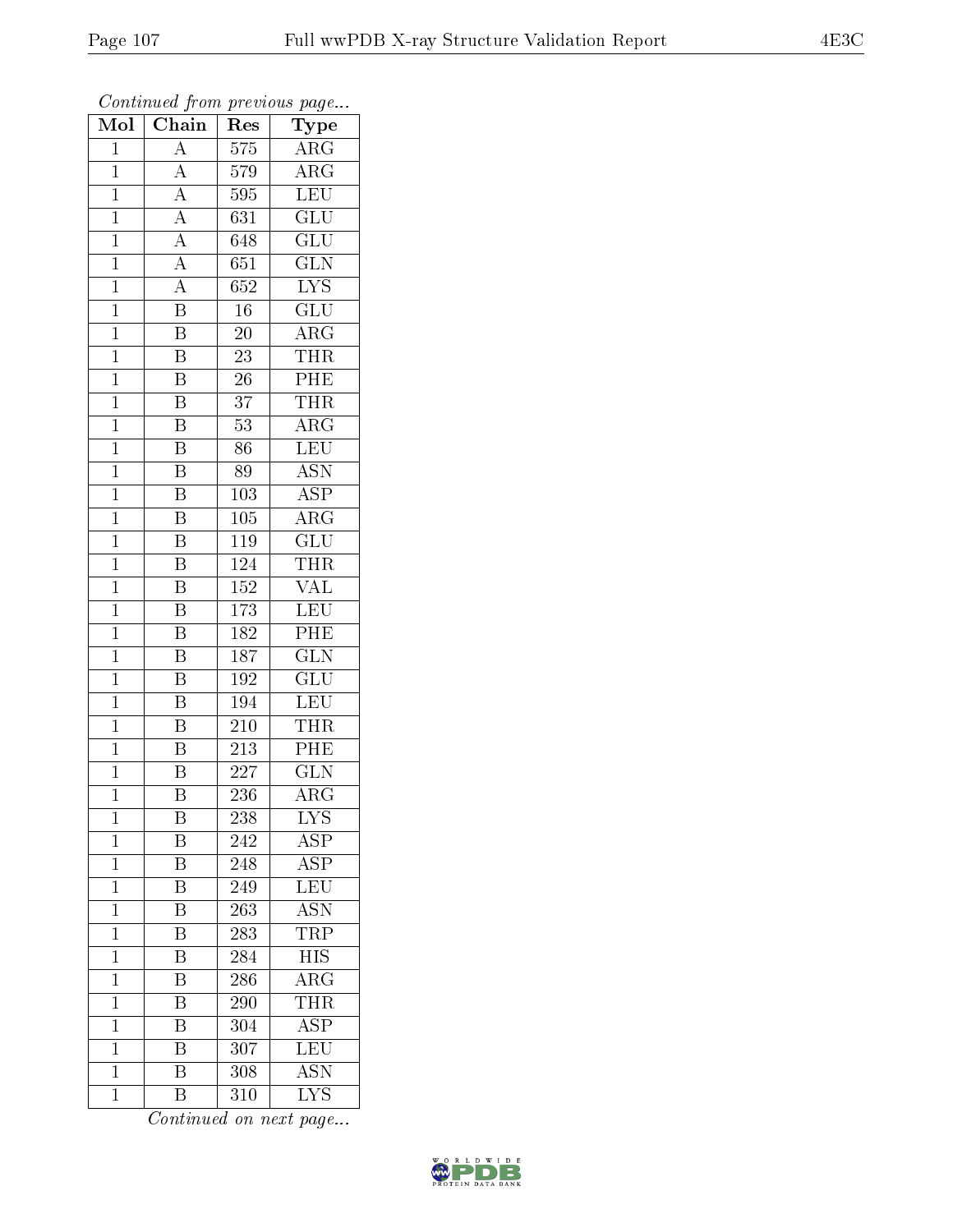| Mol            | $\overline{\text{Chain}}$           | $\mathbf{r}$ .<br>Res | $r \sim 3$<br>Type        |
|----------------|-------------------------------------|-----------------------|---------------------------|
| $\mathbf{1}$   | $\overline{A}$                      | $\overline{575}$      | $\overline{\text{ARG}}$   |
| $\mathbf{1}$   | $\overline{A}$                      | 579                   | $\rm{ARG}$                |
| $\overline{1}$ | $\overline{A}$                      | 595                   | $\overline{\text{LEU}}$   |
| $\mathbf{1}$   |                                     | $\overline{631}$      | $\overline{\text{GLU}}$   |
| $\overline{1}$ | $\frac{\overline{A}}{\overline{A}}$ | 648                   | $\overline{\text{GLU}}$   |
| $\mathbf 1$    | $\overline{A}$                      | 651                   | $\overline{\text{GLN}}$   |
| $\overline{1}$ | $\overline{A}$                      | $\overline{652}$      | $\overline{LYS}$          |
| $\mathbf{1}$   | $\overline{\mathrm{B}}$             | $\overline{16}$       | $\overline{\text{GLU}}$   |
| $\mathbf{1}$   | $\overline{\mathrm{B}}$             | $20\,$                | $\rm{ARG}$                |
| $\overline{1}$ | $\overline{\mathrm{B}}$             | $\overline{23}$       | <b>THR</b>                |
| $\mathbf{1}$   | $\overline{\mathrm{B}}$             | $26\,$                | PHE                       |
| $\overline{1}$ | $\overline{\mathrm{B}}$             | $\overline{37}$       | <b>THR</b>                |
| $\overline{1}$ | $\overline{\mathbf{B}}$             | 53                    | $\overline{\rm ARG}$      |
| $\mathbf{1}$   | $\overline{\mathbf{B}}$             | 86                    | <b>LEU</b>                |
| $\overline{1}$ | $\overline{\mathrm{B}}$             | 89                    | $\overline{\text{ASN}}$   |
| $\mathbf{1}$   | $\overline{\mathrm{B}}$             | 103                   | $\overline{\text{ASP}}$   |
| $\overline{1}$ | $\overline{\mathrm{B}}$             | $\overline{105}$      | $\overline{\rm{ARG}}$     |
| $\mathbf{1}$   | Β                                   | 119                   | GLU                       |
| $\mathbf{1}$   | B                                   | 124                   | THR                       |
| $\mathbf{1}$   | $\overline{\mathrm{B}}$             | 152                   | <b>VAL</b>                |
| $\mathbf{1}$   | $\overline{\mathrm{B}}$             | $1\,73$               | <b>LEU</b>                |
| $\overline{1}$ | $\overline{\mathrm{B}}$             | 182                   | $\overline{\text{PHE}}$   |
| $\mathbf{1}$   | $\overline{\mathrm{B}}$             | $\overline{187}$      | $\overline{\text{GLN}}$   |
| $\mathbf{1}$   | $\overline{\mathrm{B}}$             | 192                   | $\overline{\text{GLU}}$   |
| $\mathbf{1}$   | $\overline{B}$                      | 194                   | LEU                       |
| $\mathbf 1$    | B                                   | 210                   | <b>THR</b>                |
| $\mathbf{1}$   | Β                                   | 213                   | $\overline{\rm{PHE}}$     |
| $\mathbf{1}$   | $\overline{\mathrm{B}}$             | 227                   | <b>GLN</b>                |
| $\overline{1}$ | $\overline{\mathrm{B}}$             | 236                   | $\overline{\rm{ARG}}$     |
| 1              | Β                                   | 238                   | <b>LYS</b>                |
| $\mathbf 1$    | B                                   | 242                   | $\overline{\text{ASP}}$   |
| $\mathbf{1}$   | $\overline{\mathrm{B}}$             | 248                   | $\overline{\text{ASP}}$   |
| $\mathbf{1}$   | $\, {\bf B}$                        | 249                   | LEU                       |
| $\overline{1}$ | $\overline{\mathrm{B}}$             | $\overline{263}$      | $\overline{\text{ASN}}$   |
| $\mathbf 1$    | B                                   | 283                   | TRP                       |
| $\mathbf 1$    | $\overline{\mathrm{B}}$             | 284                   | $\overline{HIS}$          |
| $\mathbf 1$    | Β                                   | 286                   | $\overline{\rm{ARG}}$     |
| $\mathbf 1$    | $\overline{\mathrm{B}}$             | 290                   | THR                       |
| $\mathbf 1$    | Β                                   | 304                   | $\overline{\text{ASP}}$   |
| $\mathbf 1$    | $\overline{\mathrm{B}}$             | 307                   | <b>LEU</b>                |
| $\mathbf 1$    | $\overline{\mathrm{B}}$             | 308                   | $\overline{\mathrm{ASN}}$ |
| $\mathbf 1$    | $\overline{\mathrm{B}}$             | 310                   | <b>LYS</b>                |

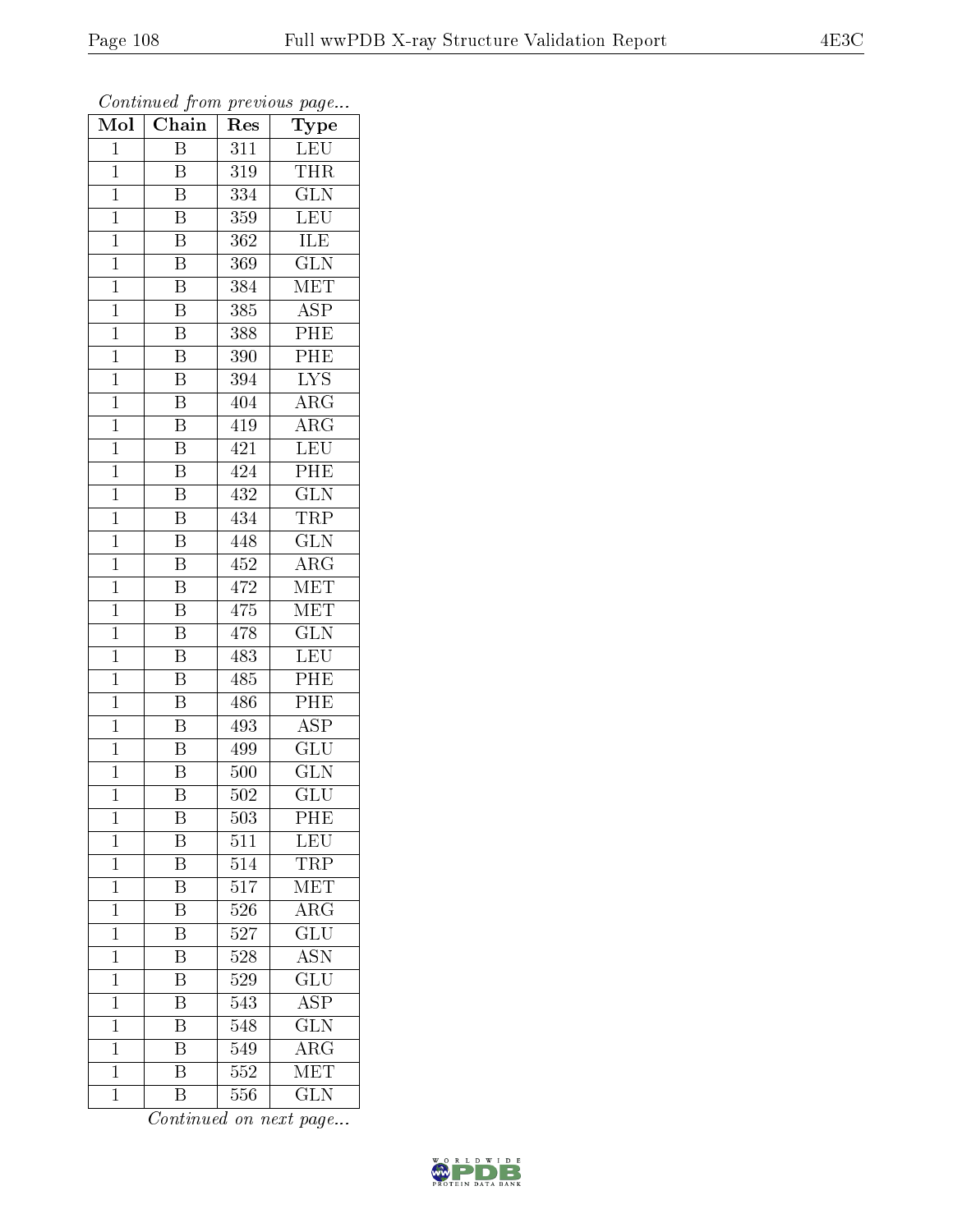| Mol            | Chain                   | Res              | $r \sim 3$<br>Type        |
|----------------|-------------------------|------------------|---------------------------|
| $\mathbf 1$    | Β                       | 311              | LEU                       |
| $\mathbf{1}$   | B                       | 319              | <b>THR</b>                |
| $\mathbf{1}$   | $\overline{\mathrm{B}}$ | 334              | $\overline{\text{GLN}}$   |
| $\mathbf{1}$   | $\overline{\mathrm{B}}$ | 359              | <b>LEU</b>                |
| $\overline{1}$ | $\overline{\mathrm{B}}$ | $\overline{362}$ | <b>ILE</b>                |
| $\mathbf 1$    | B                       | 369              | $\overline{\text{GLN}}$   |
| $\overline{1}$ | Β                       | 384              | $\rm \overline{MET}$      |
| $\mathbf{1}$   | $\overline{\mathrm{B}}$ | 385              | $\overline{\text{ASP}}$   |
| $\mathbf{1}$   | B                       | 388              | PHE                       |
| $\mathbf 1$    | $\overline{\mathrm{B}}$ | $\overline{3}90$ | PHE                       |
| $\mathbf{1}$   | B                       | 394              | $\overline{\text{LYS}}$   |
| $\mathbf{1}$   | $\overline{\mathrm{B}}$ | 404              | $\overline{\rm{ARG}}$     |
| $\mathbf{1}$   | $\overline{\mathrm{B}}$ | 419              | $\rm{ARG}$                |
| $\mathbf{1}$   | $\, {\bf B}$            | 421              | <b>LEU</b>                |
| $\overline{1}$ | $\overline{\mathrm{B}}$ | 424              | PHE                       |
| $\mathbf{1}$   | $\overline{\mathrm{B}}$ | 432              | $\overline{\text{GLN}}$   |
| $\overline{1}$ | $\overline{\mathrm{B}}$ | 434              | <b>TRP</b>                |
| $\mathbf{1}$   | Β                       | 448              | <b>GLN</b>                |
| $\mathbf 1$    | Β                       | 452              | $\rm{ARG}$                |
| $\mathbf{1}$   | $\overline{\mathrm{B}}$ | 472              | MET                       |
| $\overline{1}$ | $\overline{\mathrm{B}}$ | 475              | MET                       |
| $\overline{1}$ | $\overline{\mathrm{B}}$ | 478              | $\overline{\text{GLN}}$   |
| $\mathbf{1}$   | B                       | 483              | $\overline{\text{LEU}}$   |
| $\overline{1}$ | $\overline{\mathrm{B}}$ | 485              | PHE                       |
| $\mathbf{1}$   | $\overline{\mathrm{B}}$ | 486              | PHE                       |
| $\mathbf 1$    | B                       | 493              | <b>ASP</b>                |
| $\mathbf 1$    | Β                       | 499              | $\overline{\mathrm{GLU}}$ |
| $\mathbf{1}$   | Β                       | 500              | GLN                       |
| $\mathbf 1$    | $\overline{\mathrm{B}}$ | 502              | $\overline{\mathrm{GLU}}$ |
| 1              | Β                       | 503              | PHE                       |
| $\mathbf 1$    | B                       | 511              | LEU                       |
| $\mathbf{1}$   | $\overline{\mathrm{B}}$ | 514              | TRP                       |
| $\mathbf 1$    | B                       | 517              | MET                       |
| $\mathbf{1}$   | $\overline{\mathrm{B}}$ | 526              | $\overline{\rm{ARG}}$     |
| $\mathbf{1}$   | B                       | 527              | GLU                       |
| $\overline{1}$ | $\overline{\mathrm{B}}$ | 528              | $\overline{\mathrm{ASN}}$ |
| $\mathbf 1$    | $\overline{\mathrm{B}}$ | 529              | $\overline{\text{GLU}}$   |
| $\overline{1}$ | B                       | 543              | $\overline{\rm ASP}$      |
| $\mathbf 1$    | Β                       | 548              | $\overline{\text{GLN}}$   |
| $\mathbf{1}$   | $\overline{\mathrm{B}}$ | 549              | $\rm{ARG}$                |
| $\mathbf 1$    | $\overline{\mathrm{B}}$ | 552              | $\overline{\text{MET}}$   |
| $\mathbf 1$    | $\overline{\mathrm{B}}$ | 556              | <b>GLN</b>                |

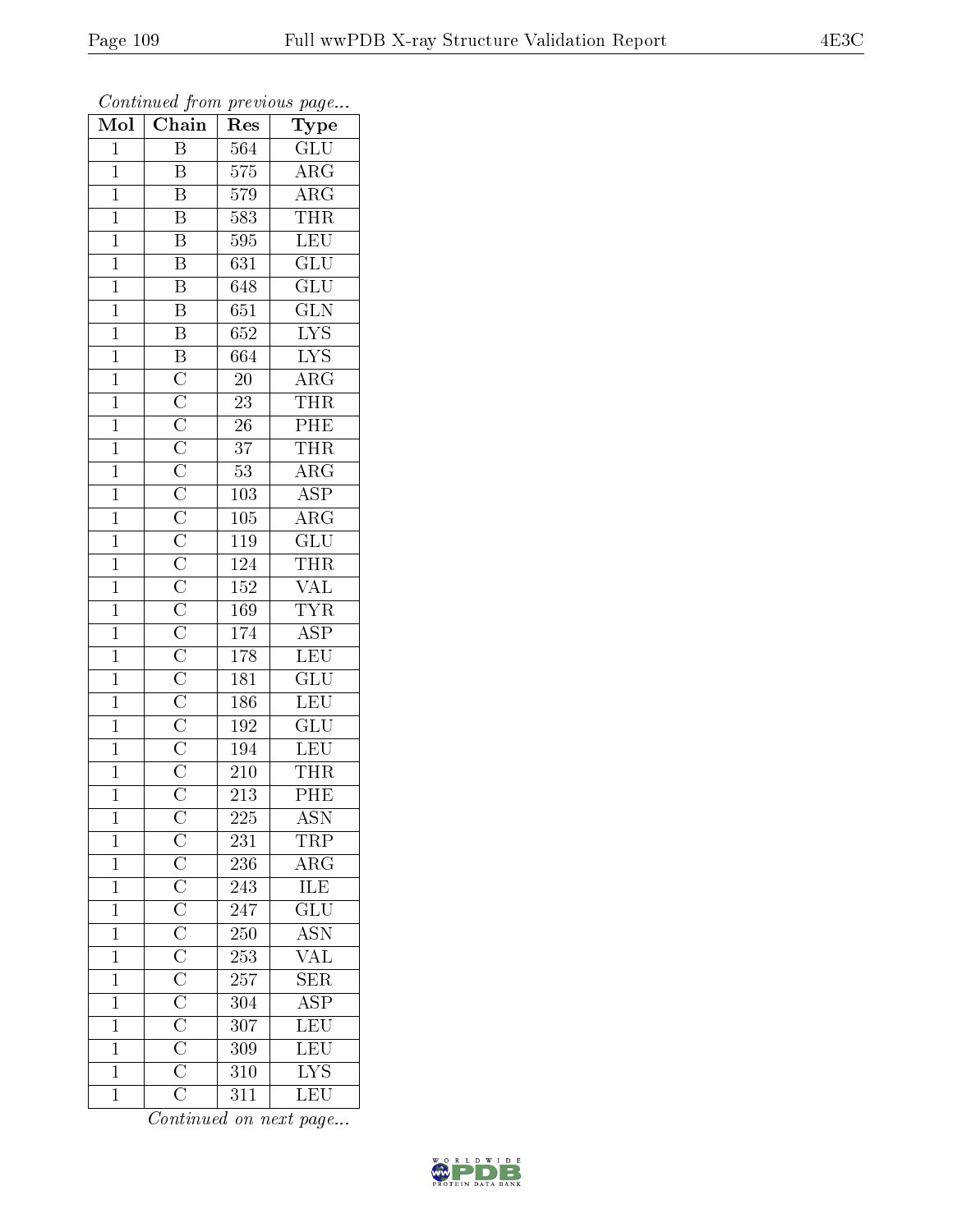| Mol            | $\sum_{i=1}^{n} a_i$<br>Chain | Res              | $r \sim r$<br>Type                             |
|----------------|-------------------------------|------------------|------------------------------------------------|
| $\mathbf 1$    | Β                             | $\overline{564}$ | GLU                                            |
| $\mathbf{1}$   | B                             | 575              | $\rm{ARG}$                                     |
| $\overline{1}$ | $\overline{\mathrm{B}}$       | 579              |                                                |
| $\mathbf{1}$   | $\overline{\mathrm{B}}$       | 583              | $\frac{\overline{\text{ARG}}}{\text{THR}}$     |
| $\overline{1}$ | $\overline{\mathrm{B}}$       | 595              | LEU                                            |
| $\mathbf 1$    | $\overline{\mathrm{B}}$       | 631              | GLU                                            |
| $\overline{1}$ | B                             | 648              | $\widetilde{{\rm GLU}}$                        |
| $\overline{1}$ | $\overline{B}$                | $\overline{651}$ | $\overline{\text{GLN}}$                        |
| $\mathbf{1}$   | $\overline{B}$                | 652              | $\overline{\text{LYS}}$                        |
| $\overline{1}$ | $\overline{\mathbf{B}}$       | 664              | $\overline{\text{LYS}}$                        |
| $\mathbf{1}$   |                               | $20\,$           | $\overline{\rm{ARG}}$                          |
| $\overline{1}$ |                               | $\overline{23}$  | <b>THR</b>                                     |
| $\overline{1}$ |                               | $\overline{26}$  | PHE                                            |
| $\mathbf{1}$   |                               | 37               | <b>THR</b>                                     |
| $\overline{1}$ |                               | $\overline{53}$  | $\overline{\rm{ARG}}$                          |
| $\mathbf{1}$   |                               | 103              | $\overline{\text{ASP}}$                        |
| $\overline{1}$ |                               | $\overline{105}$ | $\overline{\rm ARG}$                           |
| $\mathbf{1}$   |                               | 119              | GLU                                            |
| $\mathbf{1}$   |                               | 124              | THR                                            |
| $\mathbf{1}$   |                               | 152              | <b>VAL</b>                                     |
| $\overline{1}$ |                               | 169              | <b>TYR</b>                                     |
| $\overline{1}$ |                               | 174              | $\overline{\text{ASP}}$                        |
| $\mathbf{1}$   |                               | 178              | $\overline{\text{LEU}}$                        |
| $\mathbf{1}$   |                               | 181              | $\overline{{\rm GLU}}$                         |
| $\mathbf{1}$   |                               | 186              | LEU                                            |
| $\mathbf{1}$   |                               | $\overline{192}$ | $\widetilde{{\rm GLU}}$                        |
| $\overline{1}$ |                               | 194              | $\overline{\text{LEU}}$                        |
| $\mathbf{1}$   |                               | 210              | <b>THR</b>                                     |
| $\overline{1}$ |                               | $\overline{213}$ | $\overline{\mathrm{PHE}}$                      |
| 1              |                               | 225              | $\overline{\text{ASN}}$                        |
| $\mathbf{1}$   |                               | 231              | $\overline{\text{TRP}}$                        |
| $\overline{1}$ |                               | 236              | $\overline{\rm{ARG}}$                          |
| $\mathbf{1}$   |                               | 243              | <b>ILE</b>                                     |
| $\overline{1}$ |                               | 247              | $\frac{1}{\text{GLU}}$                         |
| $\mathbf{1}$   |                               | 250              |                                                |
| $\overline{1}$ |                               | $\overline{253}$ | $\frac{\overline{\mathrm{ASN}}}{\mathrm{VAL}}$ |
| $\mathbf{1}$   |                               | 257              |                                                |
| $\mathbf{1}$   |                               | 304              | $\overline{\text{ASP}}$                        |
| $\mathbf{1}$   |                               | 307              | LEU                                            |
| $\mathbf{1}$   |                               | 309              | LEU                                            |
| $\mathbf 1$    |                               | 310              | $\overline{\text{LYS}}$                        |
| $\overline{1}$ |                               | 311              | LEU                                            |

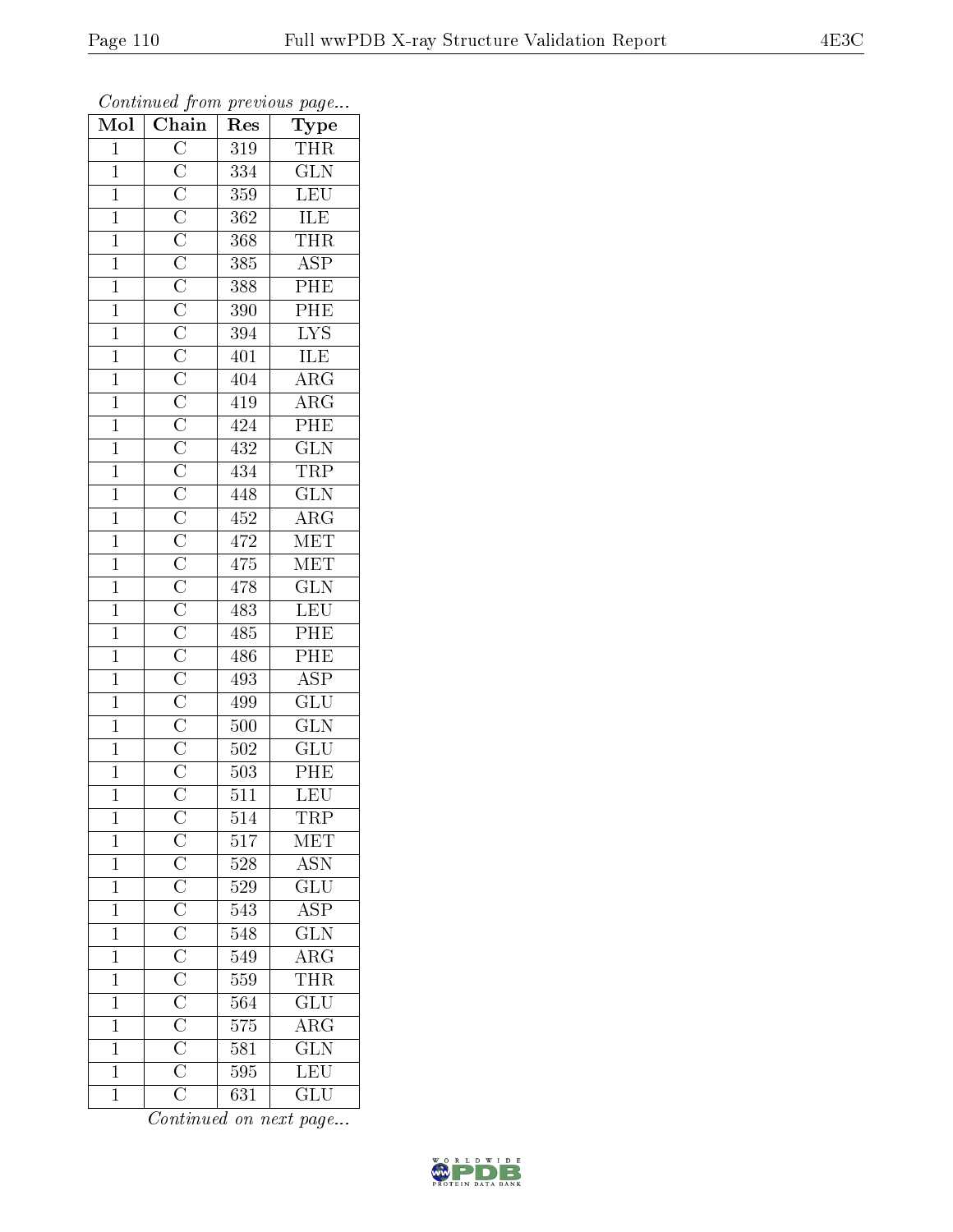| Mol            | $\overline{\text{Chain}}$ | $\mathbf{r}$ . $\sim$ .<br>Res | $r \sim 3$<br>Type                         |
|----------------|---------------------------|--------------------------------|--------------------------------------------|
| $\mathbf{1}$   |                           | 319                            | <b>THR</b>                                 |
| $\mathbf{1}$   |                           | 334                            | $\overline{\text{GLN}}$                    |
| $\overline{1}$ |                           | 359                            |                                            |
| $\mathbf{1}$   |                           | 362                            | $\frac{\overline{\text{LEU}}}{\text{ILE}}$ |
| $\overline{1}$ |                           | 368                            | THR                                        |
| $\overline{1}$ |                           | 385                            | $\overline{\text{ASP}}$                    |
| $\overline{1}$ |                           | 388                            | $\overline{PHE}$                           |
| $\overline{1}$ |                           | 390                            | $\overline{\rm{PHE}}$                      |
| $\mathbf{1}$   |                           | 394                            | $\overline{\text{LYS}}$                    |
| $\overline{1}$ |                           | 401                            | ILE                                        |
| $\mathbf{1}$   |                           | 404                            | $\overline{\rm{ARG}}$                      |
| $\overline{1}$ |                           | 419                            | $\overline{\rm{ARG}}$                      |
| $\overline{1}$ |                           | 424                            | PHE                                        |
| $\mathbf{1}$   |                           | 432                            | $\overline{\text{GLN}}$                    |
| $\overline{1}$ |                           | 434                            | $\overline{\text{TRP}}$                    |
| $\mathbf{1}$   |                           | 448                            | $\overline{\text{GLN}}$                    |
| $\overline{1}$ |                           | 452                            | $\overline{\rm{ARG}}$                      |
| $\mathbf{1}$   |                           | 472                            | MET                                        |
| $\mathbf{1}$   |                           | 475                            | MET                                        |
| $\mathbf{1}$   |                           | 478                            | $\overline{\text{GLN}}$                    |
| $\mathbf{1}$   |                           | 483                            | LEU                                        |
| $\overline{1}$ |                           | 485                            | $\overline{\text{PHE}}$                    |
| $\mathbf{1}$   |                           | 486                            | $\overline{PHE}$                           |
| $\mathbf{1}$   |                           | 493                            | $\overline{\text{ASP}}$                    |
| $\mathbf{1}$   |                           | 499                            | $\overline{\text{GLU}}$                    |
| $\mathbf{1}$   |                           | 500                            | $\overline{\text{GLN}}$                    |
| $\overline{1}$ |                           | 502                            | $\overline{{\rm GLU}}$                     |
| $\mathbf{1}$   |                           | 503                            | $\overline{\text{PHE}}$                    |
| $\overline{1}$ |                           | 511                            | $\overline{\text{LEU}}$                    |
| 1              |                           | 514                            | TRP                                        |
| $\mathbf 1$    |                           | $\overline{5}17$               | $\overline{\text{MET}}$                    |
| $\mathbf{1}$   |                           | 528                            | ASN <sup>-</sup>                           |
| $\mathbf{1}$   |                           | 529                            | $\overline{\text{GLU}}$                    |
| $\overline{1}$ |                           | $5\overline{43}$               | $\overline{\text{ASP}}$                    |
| $\mathbf{1}$   |                           | 548                            | $\overline{\text{GLN}}$                    |
| $\overline{1}$ |                           | $\overline{549}$               | $\overline{\text{ARG}}$                    |
| $\mathbf{1}$   |                           | 559                            | <b>THR</b>                                 |
| $\mathbf 1$    |                           | 564                            | $\overline{{\rm GLU}}$                     |
| $\mathbf 1$    |                           | 575                            | $\overline{\text{ARG}}$                    |
| $\mathbf 1$    |                           | 581                            | $\overline{\text{GLN}}$                    |
| $\mathbf 1$    |                           | 595                            | LEU                                        |
| $\mathbf 1$    |                           | 631                            | $\overline{\text{GLU}}$                    |

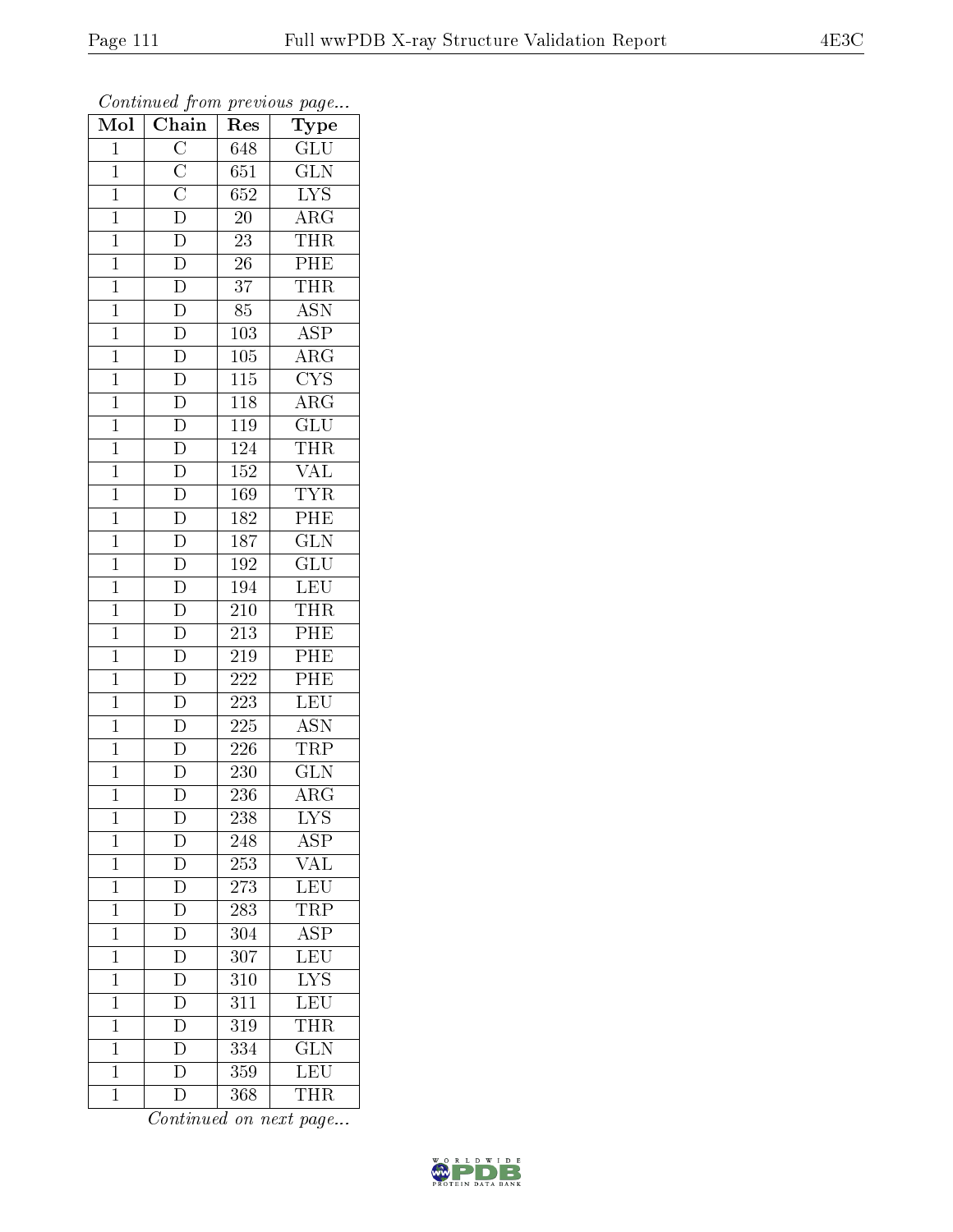| $\overline{\text{Mol}}$ | $\overline{\text{Chain}}$                                                                                   | Res              | $r \sim \sigma$<br>Type |
|-------------------------|-------------------------------------------------------------------------------------------------------------|------------------|-------------------------|
| $\mathbf 1$             |                                                                                                             | 648              | $\overline{\text{GLU}}$ |
| $\mathbf{1}$            |                                                                                                             | 651              | $\overline{\text{GLN}}$ |
| $\mathbf{1}$            |                                                                                                             | 652              | $\overline{\text{LYS}}$ |
| $\mathbf{1}$            |                                                                                                             | 20               | $\overline{\rm ARG}$    |
| $\overline{1}$          | $\frac{\overline{C}}{\overline{C}}$ $\frac{\overline{C}}{\overline{D}}$ $\frac{\overline{D}}{\overline{D}}$ | 23               | <b>THR</b>              |
| $\mathbf 1$             | $\mathbf D$                                                                                                 | 26               | PHE                     |
| $\overline{1}$          | $\overline{\rm D}$                                                                                          | 37               | $\overline{\text{THR}}$ |
| $\mathbf{1}$            | $\overline{D}$                                                                                              | 85               | <b>ASN</b>              |
| $\mathbf{1}$            | $\overline{D}$                                                                                              | 103              | <b>ASP</b>              |
| $\mathbf 1$             | $\overline{D}$                                                                                              | 105              | $\overline{\rm{ARG}}$   |
| $\overline{1}$          | $\overline{D}$                                                                                              | 115              | CYS                     |
| $\overline{1}$          | $\overline{D}$                                                                                              | <b>118</b>       | $\overline{\text{ARG}}$ |
| $\mathbf{1}$            | $\overline{D}$                                                                                              | 119              | $\overline{\text{GLU}}$ |
| $\mathbf{1}$            | $\overline{D}$                                                                                              | 124              | <b>THR</b>              |
| $\overline{1}$          | $\frac{\overline{D}}{D}$                                                                                    | <b>152</b>       | <b>VAL</b>              |
| $\mathbf{1}$            |                                                                                                             | 169              | $\overline{\text{TYR}}$ |
| $\overline{1}$          | $\overline{D}$                                                                                              | 182              | PHE                     |
| $\mathbf{1}$            | $\overline{D}$                                                                                              | 187              | <b>GLN</b>              |
| $\mathbf{1}$            | $\overline{D}$                                                                                              | 192              | $\overline{\text{GLU}}$ |
| $\mathbf{1}$            | $\overline{D}$                                                                                              | 194              | LEU                     |
| $\overline{1}$          | $\overline{\rm D}$                                                                                          | 210              | <b>THR</b>              |
| $\overline{1}$          | $\overline{D}$                                                                                              | 213              | PHE                     |
| $\mathbf{1}$            | $\overline{\rm D}$                                                                                          | 219              | PHE                     |
| $\overline{1}$          | $\overline{\mathbf{D}}$                                                                                     | 222              | PHE                     |
| $\mathbf{1}$            | $\overline{D}$                                                                                              | $\overline{223}$ | LEU                     |
| $\overline{1}$          | $\overline{D}$                                                                                              | 225              | <b>ASN</b>              |
| $\mathbf{1}$            | $\overline{\rm D}$                                                                                          | 226              | <b>TRP</b>              |
| $\mathbf{1}$            | $\overline{\rm D}$                                                                                          | 230              | <b>GLN</b>              |
| $\overline{1}$          | D                                                                                                           | 236              | $\overline{\rm{ARG}}$   |
| 1                       | $\mathbf D$                                                                                                 | 238              | <b>LYS</b>              |
| $\mathbf 1$             | D                                                                                                           | 248              | $\overline{\text{ASP}}$ |
| $\mathbf{1}$            | $\overline{D}$                                                                                              | $25\overline{3}$ | <b>VAL</b>              |
| $\mathbf{1}$            | $\overline{D}$                                                                                              | 273              | LEU                     |
| $\overline{1}$          | $\frac{\overline{D}}{\overline{D}}$                                                                         | $\overline{283}$ | $\overline{\text{TRP}}$ |
| $\mathbf{1}$            |                                                                                                             | 304              | <b>ASP</b>              |
| $\overline{1}$          | $\overline{D}$                                                                                              | 307              | $\overline{\text{LEU}}$ |
| $\mathbf 1$             | $\overline{D}$                                                                                              | 310              | $\overline{\text{LYS}}$ |
| $\mathbf{1}$            | $\overline{\rm D}$                                                                                          | 311              | LEU                     |
| $\mathbf 1$             | $\overline{D}$                                                                                              | 319              | THR                     |
| $\mathbf{1}$            | $\overline{\rm D}$                                                                                          | 334              | $\overline{\text{GLN}}$ |
| $\mathbf 1$             | $\overline{\rm D}$                                                                                          | 359              | $\overline{\text{LEU}}$ |
| $\mathbf 1$             | $\overline{\rm D}$                                                                                          | 368              | <b>THR</b>              |

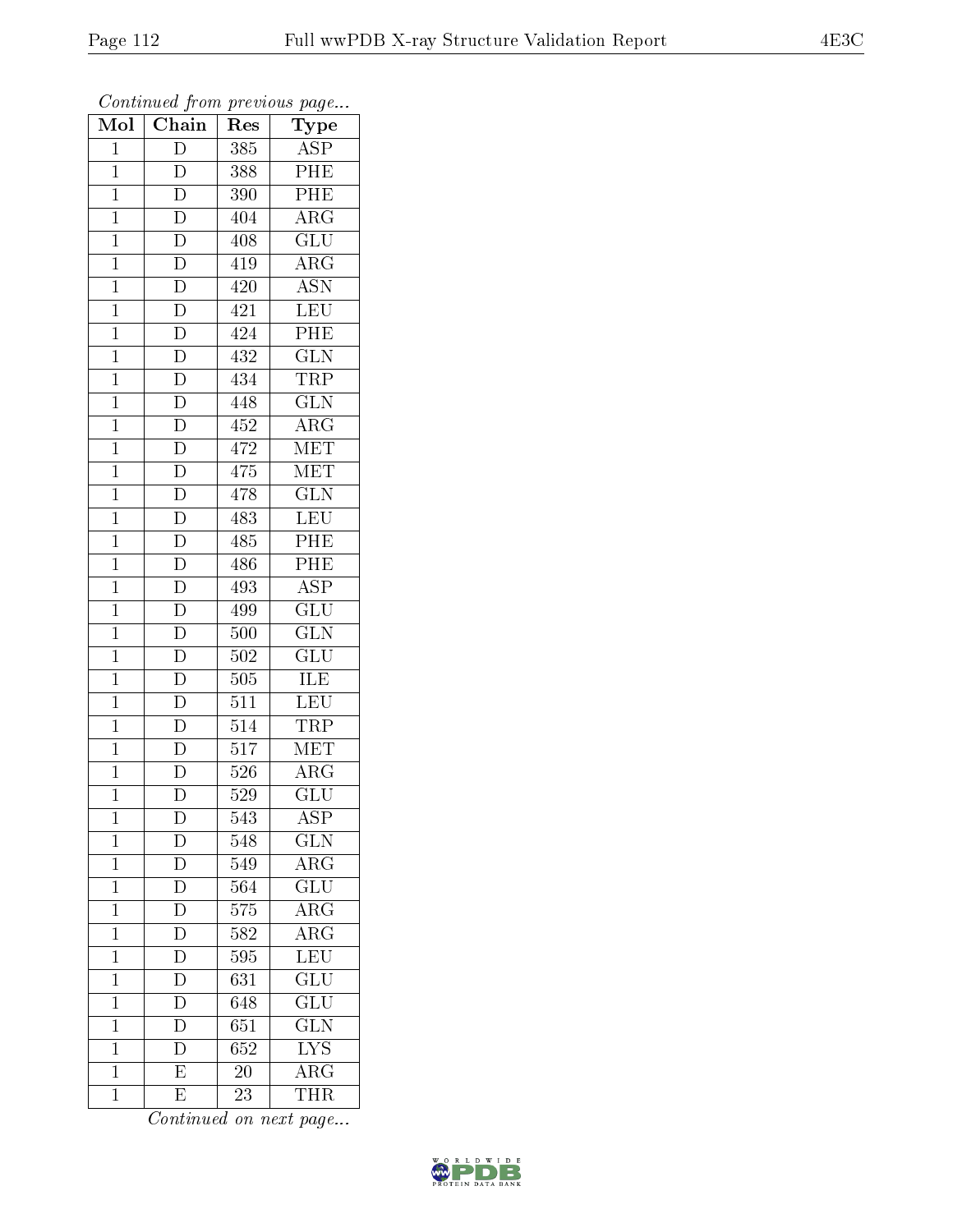| Mol            | .<br>$\cdots$ $\cdots$ $\cdots$<br>Chain | Res              | $r \sim 3$<br>Type      |
|----------------|------------------------------------------|------------------|-------------------------|
| $\mathbf 1$    | $\mathbf D$                              | 385              | <b>ASP</b>              |
| $\overline{1}$ | $\overline{\rm D}$                       | 388              | PHE                     |
| $\mathbf{1}$   | $\overline{D}$                           | 390              | PHE                     |
| $\mathbf{1}$   | $\overline{\rm D}$                       | 404              | $\overline{\rm{ARG}}$   |
| $\mathbf{1}$   | $\overline{\mathbf{D}}$                  | 408              | GLU                     |
| $\mathbf 1$    | D                                        | 419              | $\rm{ARG}$              |
| $\mathbf{1}$   | $\overline{\rm D}$                       | 420              | <b>ASN</b>              |
| $\overline{1}$ | $\overline{D}$                           | 421              | LEU                     |
| $\mathbf{1}$   | $\overline{D}$                           | 424              | $\overline{P}$ HE       |
| $\overline{1}$ | $\overline{D}$                           | 432              | $\overline{\text{GLN}}$ |
| $\mathbf{1}$   | $\overline{D}$                           | 434              | TRP                     |
| $\overline{1}$ | $\overline{D}$                           | 448              | $\overline{\text{GLN}}$ |
| $\mathbf{1}$   | $\overline{D}$                           | 452              | $\rm{ARG}$              |
| $\mathbf{1}$   | $\overline{D}$                           | 472              | $\overline{\text{MET}}$ |
| $\overline{1}$ | $\overline{D}$                           | 475              | $\overline{\text{MET}}$ |
| $\mathbf{1}$   | $\overline{D}$                           | 478              | $\overline{\text{GLN}}$ |
| $\overline{1}$ | $\overline{D}$                           | 483              | LEU                     |
| $\mathbf{1}$   | $\mathbf D$                              | 485              | $\overline{PHE}$        |
| $\mathbf{1}$   | $\overline{D}$                           | 486              | PHE                     |
| $\mathbf{1}$   | $\overline{D}$                           | 493              | $\overline{\text{ASP}}$ |
| $\mathbf{1}$   | $\overline{D}$                           | 499              | GLU                     |
| $\overline{1}$ | $\overline{D}$                           | $\overline{500}$ | $\overline{\text{GLN}}$ |
| $\mathbf{1}$   | $\overline{\rm D}$                       | 502              | $\overline{\text{GLU}}$ |
| $\mathbf{1}$   | $\overline{\rm D}$                       | $\overline{50}5$ | <b>ILE</b>              |
| $\mathbf{1}$   | $\overline{\mathrm{D}}$                  | 511              | LEU                     |
| $\mathbf 1$    | $\overline{D}$                           | 514              | TRP                     |
| $\mathbf{1}$   | $\overline{\rm D}$                       | 517              | MET                     |
| $\mathbf{1}$   | $\overline{\rm D}$                       | 526              | $\rm{ARG}$              |
| $\overline{1}$ | $\overline{\rm D}$                       | $\overline{529}$ | $\overline{{\rm GLU}}$  |
| 1              | $\mathbf{D}$                             | 543              | <b>ASP</b>              |
| $\mathbf 1$    | $\overline{\rm D}$                       | 548              | $\overline{\text{GLN}}$ |
| $\mathbf{1}$   | $\overline{D}$                           | 549              | $\overline{\rm{ARG}}$   |
| $\mathbf{1}$   | $\frac{\overline{D}}{\overline{D}}$      | 564              | $\overline{\text{GLU}}$ |
| $\overline{1}$ |                                          | $\overline{575}$ | $\overline{\rm{ARG}}$   |
| $\mathbf{1}$   | $\overline{D}$                           | 582              | $\overline{\rm{ARG}}$   |
| $\overline{1}$ | $\overline{\mathrm{D}}$                  | 595              | LEU                     |
| $\mathbf 1$    | $\overline{D}$                           | 631              | $\overline{\text{GLU}}$ |
| $\mathbf 1$    | $\overline{\rm D}$                       | 648              | $\overline{\text{GLU}}$ |
| $\mathbf 1$    | $\overline{D}$                           | 651              | $\overline{{\rm GLN}}$  |
| $\mathbf{1}$   | $\overline{\rm D}$                       | 652              | $\overline{L}YS$        |
| $\mathbf 1$    | $\overline{\mathrm{E}}$                  | 20               | $\overline{\rm{ARG}}$   |
| $\mathbf 1$    | $\overline{\mathrm{E}}$                  | 23               | <b>THR</b>              |

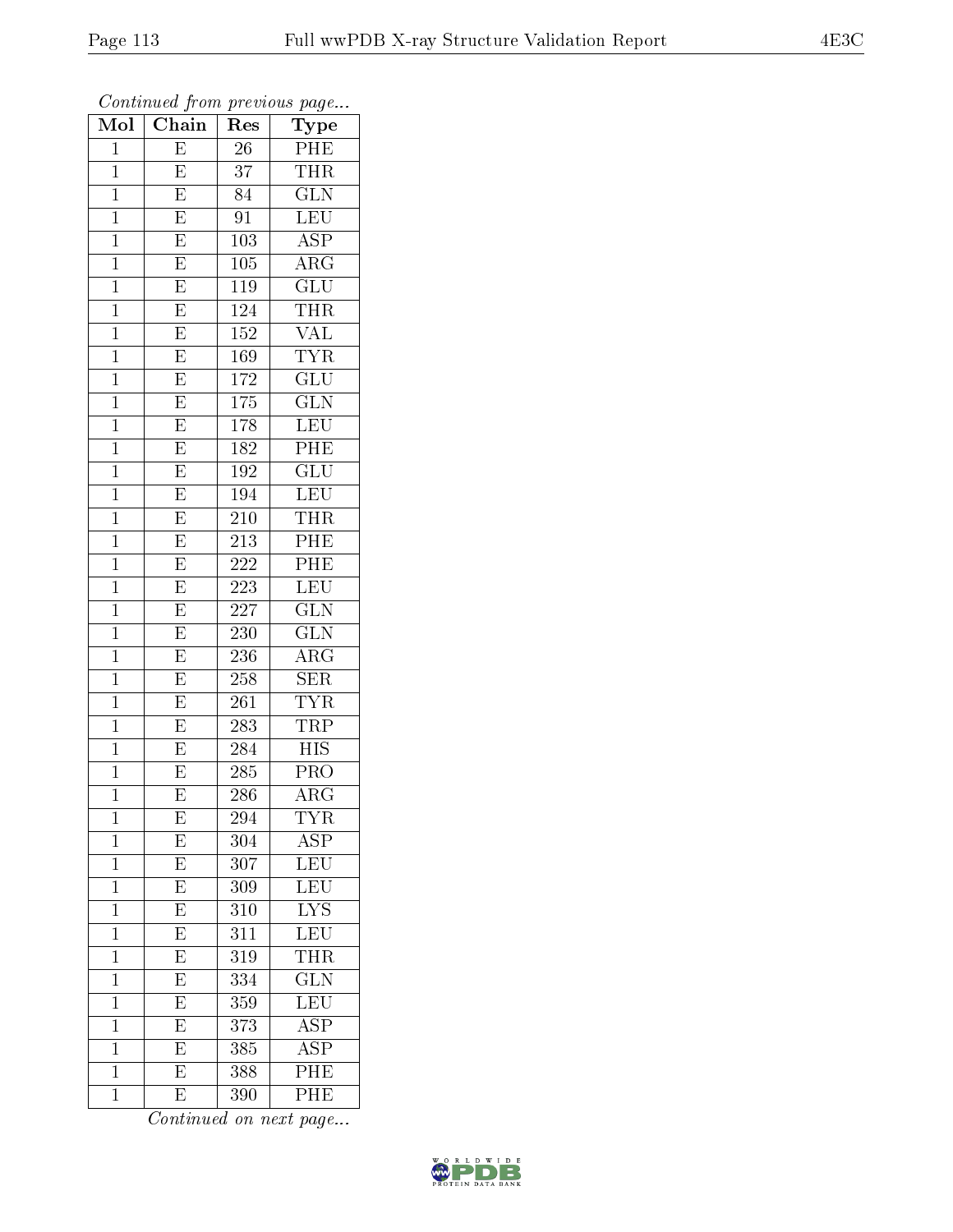| .<br>Mol       | $\cdots$ $\cdots$ $\cdots$<br>Chain | Res              | $r \sim 3$<br>Type         |
|----------------|-------------------------------------|------------------|----------------------------|
| $\mathbf 1$    | E                                   | 26               | PHE                        |
| $\overline{1}$ | E                                   | 37               | THR                        |
| $\mathbf{1}$   | $\overline{E}$                      | 84               | $\overline{\text{GLN}}$    |
| $\mathbf{1}$   | $\overline{\mathrm{E}}$             | 91               | <b>LEU</b>                 |
| $\mathbf{1}$   | $\overline{\mathrm{E}}$             | 103              | $\overline{\text{ASP}}$    |
| $\mathbf 1$    | E                                   | 105              | $\overline{\rm A}{\rm RG}$ |
| $\mathbf 1$    | E                                   | 119              | $\overline{\text{GLU}}$    |
| $\mathbf 1$    | $\overline{\mathrm{E}}$             | $\overline{124}$ | <b>THR</b>                 |
| $\mathbf{1}$   | $\overline{\mathrm{E}}$             | 152              | $\overline{\text{VAL}}$    |
| $\mathbf 1$    | $\overline{\mathrm{E}}$             | 169              | <b>TYR</b>                 |
| $\mathbf{1}$   | $\overline{\mathrm{E}}$             | 172              | GLU                        |
| $\overline{1}$ | $\overline{\mathrm{E}}$             | 175              | $\overline{\text{GLN}}$    |
| $\mathbf{1}$   | $\overline{\mathrm{E}}$             | 178              | LEU                        |
| $\mathbf{1}$   | $\overline{\mathrm{E}}$             | 182              | PHE                        |
| $\overline{1}$ | $\overline{\mathrm{E}}$             | $1\overline{92}$ | $\overline{\text{GLU}}$    |
| $\mathbf{1}$   | E                                   | 194              | LEU                        |
| $\overline{1}$ | $\overline{\mathrm{E}}$             | 210              | <b>THR</b>                 |
| $\mathbf{1}$   | E                                   | 213              | PHE                        |
| $\mathbf{1}$   | E                                   | 222              | PHE                        |
| $\mathbf 1$    | $\overline{\mathrm{E}}$             | 223              | LEU                        |
| $\mathbf{1}$   | $\overline{\mathrm{E}}$             | 227              | $\overline{\text{GLN}}$    |
| $\overline{1}$ | $\overline{\mathrm{E}}$             | 230              | $\overline{\text{GLN}}$    |
| $\mathbf 1$    | $\overline{\mathrm{E}}$             | 236              | ARG                        |
| $\mathbf{1}$   | $\overline{\mathrm{E}}$             | 258              | $\overline{\text{SER}}$    |
| $\mathbf{1}$   | $\overline{\mathrm{E}}$             | 261              | <b>TYR</b>                 |
| $\mathbf 1$    | $\overline{\mathrm{E}}$             | 283              | TRP                        |
| $\mathbf 1$    | E                                   | 284              | $\overline{HIS}$           |
| $\mathbf 1$    | $\overline{\mathrm{E}}$             | 285              | PRO                        |
| $\overline{1}$ | $\overline{\mathrm{E}}$             | 286              | $\overline{\rm{ARG}}$      |
| 1              | E                                   | 294              | TYR                        |
| $\mathbf 1$    | $\overline{E}$                      | 304              | $\overline{\rm ASP}$       |
| $\mathbf{1}$   | $\overline{E}$                      | 307              | <b>LEU</b>                 |
| $\mathbf{1}$   | $\overline{\mathrm{E}}$             | 309              | LEU                        |
| $\overline{1}$ | $\overline{\mathrm{E}}$             | 310              | $\overline{\text{LYS}}$    |
| $\mathbf{1}$   | $\overline{\mathrm{E}}$             | 311              | LEU                        |
| $\overline{1}$ | $\overline{\mathrm{E}}$             | 319              | $\overline{\text{THR}}$    |
| $\mathbf 1$    | E                                   | 334              | $\overline{\text{GLN}}$    |
| $\mathbf 1$    | E                                   | 359              | LEU                        |
| $\mathbf 1$    | $\overline{E}$                      | 373              | $\overline{\text{ASP}}$    |
| $\mathbf 1$    | $\overline{\mathrm{E}}$             | 385              | <b>ASP</b>                 |
| $\mathbf 1$    | $\overline{\mathrm{E}}$             | 388              | $\overline{\text{PHE}}$    |
| $\mathbf 1$    | $\overline{\mathrm{E}}$             | 390              | PHE                        |

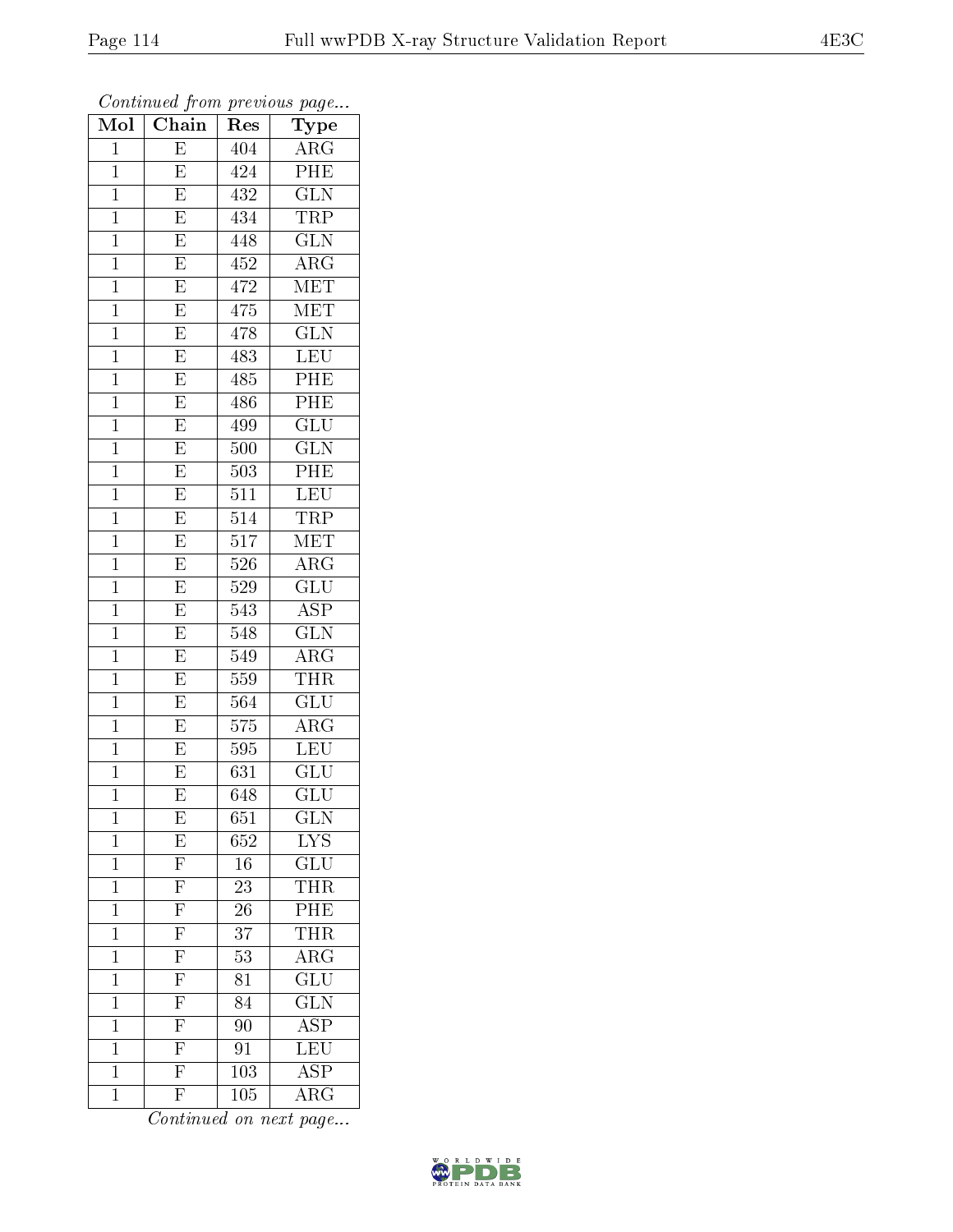| .<br>Mol       | $\cdots$<br>Chain                                 | $\mathbf{r}$ . $\sim$<br>Res | $r \sim 3$<br>Type                  |
|----------------|---------------------------------------------------|------------------------------|-------------------------------------|
| $\mathbf 1$    | E                                                 | 404                          | $\overline{\text{ARG}}$             |
| $\mathbf{1}$   | E                                                 | 424                          | PHE                                 |
| $\mathbf{1}$   | $\overline{\mathrm{E}}$                           | 432                          | $\overline{\text{GLN}}$             |
| $\mathbf{1}$   | $\overline{\mathrm{E}}$                           | 434                          | TRP                                 |
| $\mathbf{1}$   | $\overline{\mathrm{E}}$                           | 448                          | $\overline{\text{GLN}}$             |
| $\mathbf 1$    | E                                                 | 452                          | $\overline{\rm A}{\rm RG}$          |
| $\mathbf 1$    | E                                                 | 472                          | MET                                 |
| $\mathbf 1$    | $\overline{\mathrm{E}}$                           | 475                          | MET                                 |
| $\mathbf{1}$   | $\overline{\mathrm{E}}$                           | 478                          | $\widetilde{{\rm GLN}}$             |
| $\mathbf 1$    | $\overline{E}$                                    | 483                          | LEU                                 |
| $\mathbf{1}$   | $\overline{\mathrm{E}}$                           | 485                          | PHE                                 |
| $\overline{1}$ | $\overline{\mathrm{E}}$                           | 486                          | PHE                                 |
| $\mathbf{1}$   | $\overline{\mathrm{E}}$                           | 499                          | $\overline{\text{GLU}}$             |
| $\mathbf{1}$   | $\overline{\mathrm{E}}$                           | 500                          | <b>GLN</b>                          |
| $\overline{1}$ | $\overline{\mathrm{E}}$                           | 503                          | PHE                                 |
| $\mathbf{1}$   | E                                                 | 511                          | LEU                                 |
| $\overline{1}$ | $\overline{\mathrm{E}}$                           | 514                          | <b>TRP</b>                          |
| $\mathbf{1}$   | E                                                 | 517                          | MET                                 |
| $\mathbf{1}$   | E                                                 | 526                          | $\rm{ARG}$                          |
| $\mathbf 1$    | $\overline{\mathrm{E}}$                           | 529                          | GLU                                 |
| $\mathbf{1}$   | $\overline{\mathrm{E}}$                           | 543                          | <b>ASP</b>                          |
| $\overline{1}$ | $\overline{E}$                                    | 548                          | $\overline{\text{GLN}}$             |
| $\mathbf 1$    | $\overline{\mathrm{E}}$                           | 549                          | $\rm{ARG}$                          |
| $\mathbf{1}$   | $\overline{\mathrm{E}}$                           | $\overline{559}$             | THR                                 |
| $\mathbf 1$    | $\overline{\mathrm{E}}$                           | 564                          | <b>GLU</b>                          |
| $\mathbf 1$    | $\overline{\mathrm{E}}$                           | 575                          | $\rm{A}R\bar{G}$                    |
| $\mathbf 1$    | E                                                 | 595                          | $\overline{\text{LEU}}$             |
| $\mathbf{1}$   | $\overline{\mathrm{E}}$                           | 631                          | $\mathrm{GL} \overline{\mathrm{U}}$ |
| $\mathbf 1$    | $\overline{\mathrm{E}}$                           | 648                          | $\overline{{\rm GLU}}$              |
| 1              | E                                                 | $_{651}$                     | $_{\rm GLN}$                        |
| $\mathbf 1$    | $\overline{E}$                                    | 652                          | ${\rm LYS}$                         |
| $\mathbf{1}$   | $\overline{\mathrm{F}}$                           | 16                           | $\overline{{\rm GLU}}$              |
| $\mathbf{1}$   | $\frac{\overline{F}}{\overline{F}}$               | 23                           | THR                                 |
| $\overline{1}$ |                                                   | $\overline{26}$              | PHE                                 |
| $\mathbf{1}$   | $\overline{F}$                                    | 37                           | <b>THR</b>                          |
| $\overline{1}$ | $\overline{\mathrm{F}}$                           | $\overline{53}$              | $\overline{\rm{ARG}}$               |
| $\mathbf 1$    | $\overline{F}$                                    | 81                           | $\overline{\text{GLU}}$             |
| $\mathbf 1$    | $\overline{F}$                                    | 84                           | $\overline{\text{GLN}}$             |
| $\mathbf 1$    | $\frac{\overline{\text{F}}}{\overline{\text{F}}}$ | 90                           | $\overline{\text{ASP}}$             |
| $\mathbf 1$    |                                                   | 91                           | $\overline{\text{LEU}}$             |
| $\mathbf 1$    |                                                   | 103                          | $\overline{\text{ASP}}$             |
| $\mathbf 1$    | $\overline{\mathrm{F}}$                           | 105                          | $\rm{ARG}$                          |

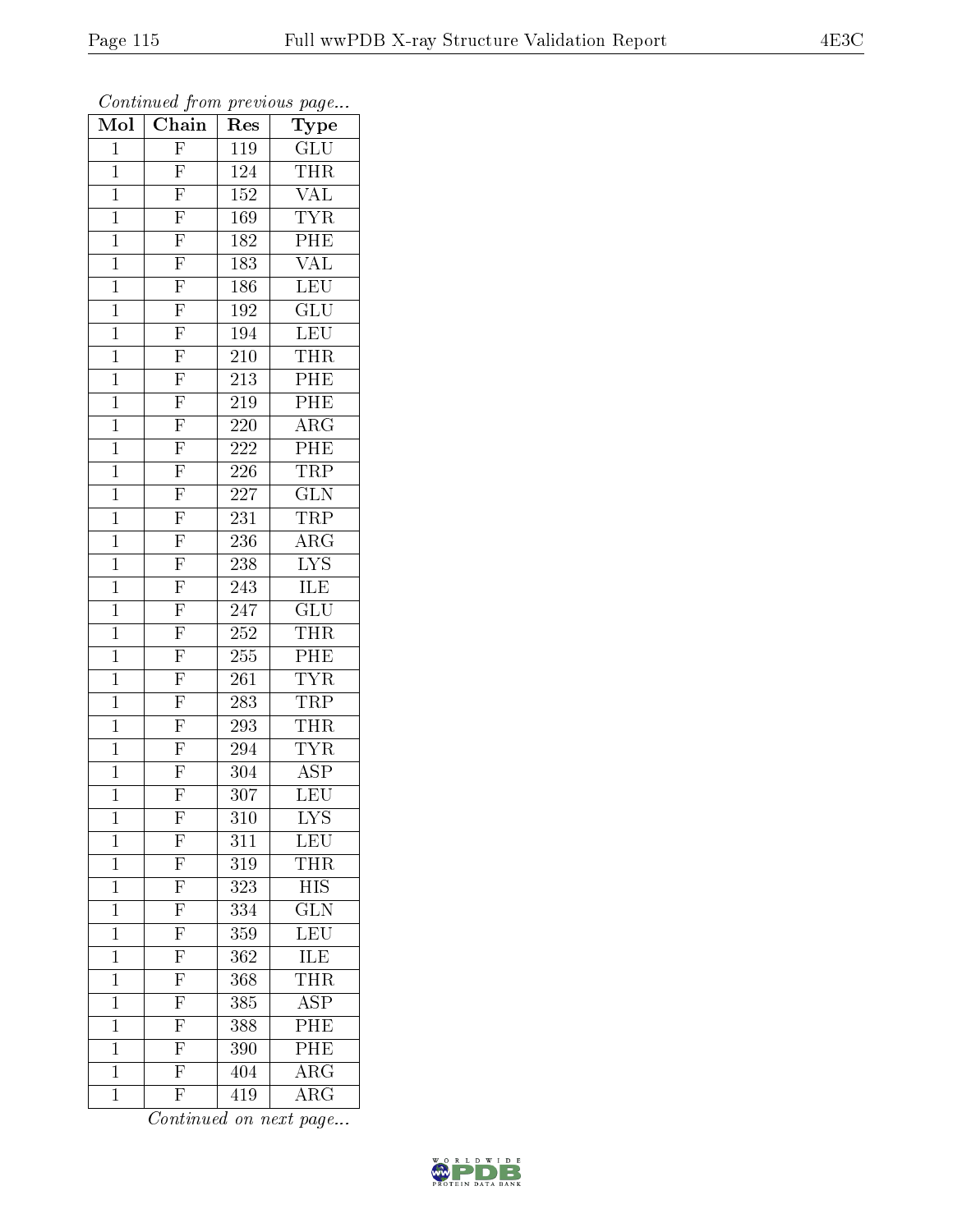| $\cdot$<br>Mol | . <i>.</i><br>$\overline{\text{Chain}}$           | $\mathbf{r}$ .<br>$\bar{R}$ es | $r \sim 3$<br>Type      |
|----------------|---------------------------------------------------|--------------------------------|-------------------------|
| $\mathbf 1$    | $\overline{F}$                                    | 119                            | GLU                     |
| $\mathbf{1}$   | $\mathbf{F}$                                      | 124                            | THR                     |
| $\mathbf{1}$   |                                                   | 152                            | <b>VAL</b>              |
| $\mathbf{1}$   |                                                   | 169                            | <b>TYR</b>              |
| $\mathbf{1}$   | $\frac{\overline{F}}{\overline{F}}$               | 182                            | PHE                     |
| $\mathbf 1$    | F                                                 | 183                            | $\overline{\text{VAL}}$ |
| $\mathbf{1}$   | $\overline{F}$                                    | 186                            | LEU                     |
| $\mathbf{1}$   | $\overline{\mathrm{F}}$                           | 192                            | $\overline{\text{GLU}}$ |
| $\mathbf{1}$   | $\overline{F}$                                    | 194                            | <b>LEU</b>              |
| $\mathbf 1$    | $\overline{\mathrm{F}}$                           | 210                            | <b>THR</b>              |
| $\mathbf{1}$   | $\overline{F}$                                    | 213                            | PHE                     |
| $\mathbf{1}$   | $\overline{\mathrm{F}}$                           | $\overline{2}19$               | PHE                     |
| $\mathbf{1}$   | $\overline{\mathrm{F}}$                           | $220\,$                        | $\rm{ARG}$              |
| $\mathbf{1}$   | $\overline{F}$                                    | 222                            | $\overline{\text{PHE}}$ |
| $\overline{1}$ | $\overline{F}$                                    | $22\overline{6}$               | $\overline{\text{TRP}}$ |
| $\mathbf{1}$   | $\overline{\mathrm{F}}$                           | 227                            | GLN                     |
| $\overline{1}$ | $\overline{F}$                                    | 231                            | <b>TRP</b>              |
| $\mathbf{1}$   | $\overline{F}$                                    | 236                            | $AR\overline{G}$        |
| $\mathbf{1}$   | $\overline{F}$                                    | 238                            | $\overline{\text{LYS}}$ |
| $\mathbf{1}$   | $\overline{F}$                                    | 243                            | ILE                     |
| $\mathbf{1}$   | $\frac{\overline{F}}{\overline{F}}$               | 247                            | GLU                     |
| $\mathbf{1}$   |                                                   | $\overline{252}$               | <b>THR</b>              |
| $\mathbf{1}$   | $\overline{F}$                                    | 255                            | PHE                     |
| $\mathbf{1}$   | $\overline{\mathrm{F}}$                           | 261                            | <b>TYR</b>              |
| $\mathbf{1}$   | $\overline{F}$                                    | 283                            | TRP                     |
| $\mathbf{1}$   | $\overline{\mathrm{F}}$                           | $\overline{293}$               | <b>THR</b>              |
| $\mathbf{1}$   | $\overline{F}$                                    | 294                            | <b>TYR</b>              |
| $\mathbf{1}$   | $\overline{F}$                                    | 304                            | <b>ASP</b>              |
| $\overline{1}$ | $\overline{\mathrm{F}}$                           | $\overline{3}07$               | $\overline{\text{LEU}}$ |
| $\mathbf 1$    | $\boldsymbol{\mathrm{F}}$                         | 310                            | <b>LYS</b>              |
| $\mathbf 1$    | $\frac{\overline{\text{F}}}{\text{F}}$            | 311                            | $\overline{\text{LEU}}$ |
| $\mathbf{1}$   |                                                   | 319                            | <b>THR</b>              |
| $\mathbf{1}$   |                                                   | 323                            | <b>HIS</b>              |
| $\overline{1}$ |                                                   | 334                            | $\overline{\text{GLN}}$ |
| $\mathbf 1$    | $\overline{F}$                                    | 359                            | $\overline{\text{LEU}}$ |
| $\overline{1}$ | $\overline{\mathrm{F}}$                           | $\overline{362}$               | ILE                     |
| $\mathbf 1$    | $\overline{F}$                                    | 368                            | THR                     |
| $\mathbf 1$    | $\overline{F}$                                    | 385                            | $\overline{\text{ASP}}$ |
| $\mathbf 1$    | $\overline{F}$                                    | 388                            | PHE                     |
| $\mathbf 1$    | $\frac{\overline{\text{F}}}{\overline{\text{F}}}$ | 390                            | PHE                     |
| $\mathbf 1$    |                                                   | 404                            | $\overline{\rm{ARG}}$   |
| $\mathbf 1$    | $\overline{\mathrm{F}}$                           | 419                            | $\overline{\rm{ARG}}$   |

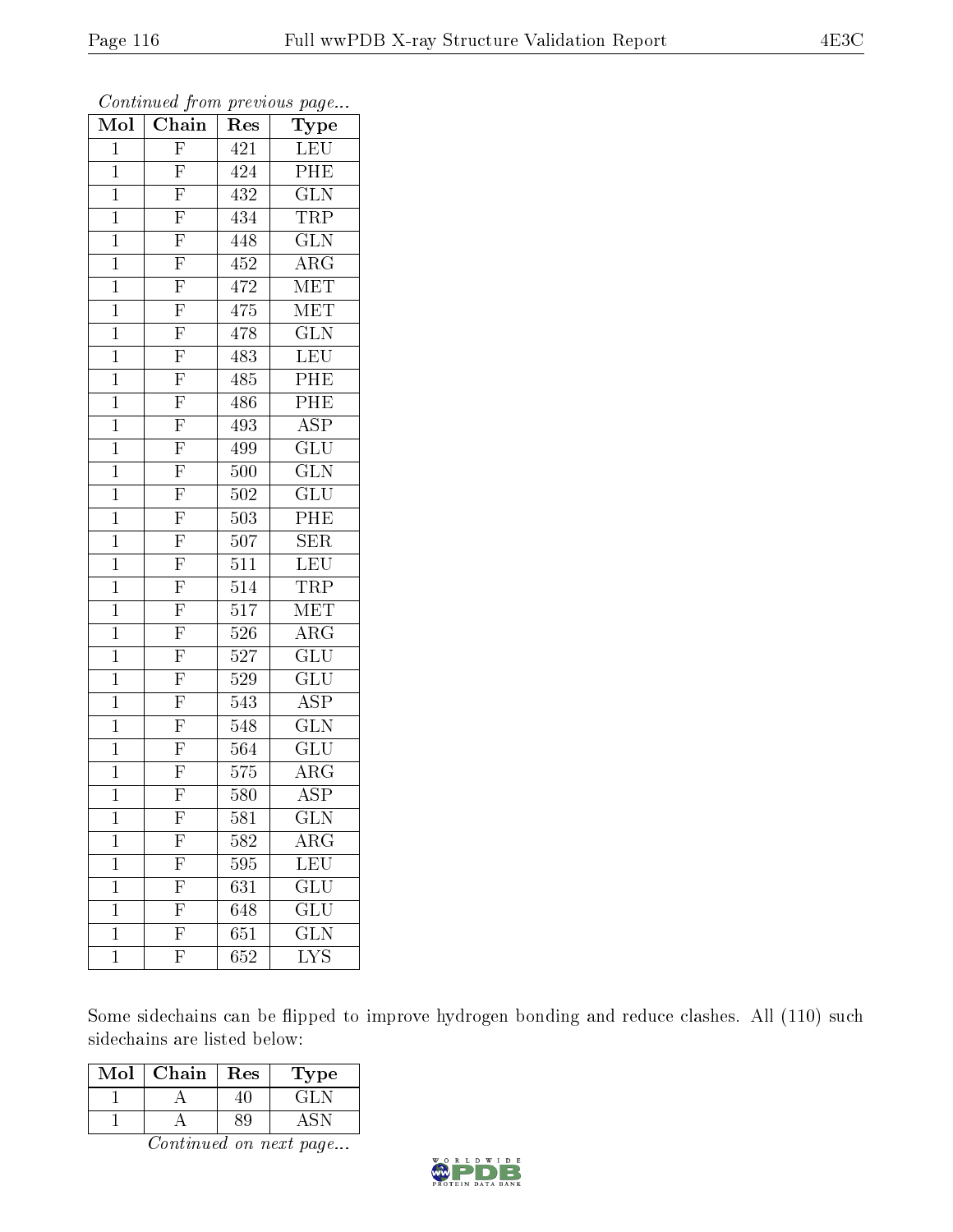| Mol            | Chain                                              | Res              | $_{\rm Type}$           |
|----------------|----------------------------------------------------|------------------|-------------------------|
| $\mathbf{1}$   | $\overline{F}$                                     | 421              | LEU                     |
| $\mathbf 1$    | $\mathbf{F}% _{0}$                                 | 424              | PHE                     |
| $\mathbf{1}$   | $\overline{\mathrm{F}}$                            | 432              | $\overline{\text{GLN}}$ |
| $\mathbf{1}$   | $\frac{\overline{F}}{\overline{F}}$                | 434              | $\overline{\text{TRP}}$ |
| $\overline{1}$ |                                                    | 448              | $\overline{\text{GLN}}$ |
| $\mathbf{1}$   | $\overline{F}$                                     | 452              | ARG                     |
| $\mathbf{1}$   | $\overline{F}$                                     | 472              | <b>MET</b>              |
| $\mathbf{1}$   | $\overline{F}$                                     | 475              | MET                     |
| $\mathbf{1}$   | $\frac{\overline{F}}{\overline{F}}$                | 478              | $\overline{\text{GLN}}$ |
| $\mathbf{1}$   |                                                    | 483              | <b>LEU</b>              |
| $\mathbf{1}$   |                                                    | 485              | PHE                     |
| $\overline{1}$ |                                                    | 486              | $\overline{\text{PHE}}$ |
| $\mathbf{1}$   | $\frac{\overline{\text{F}}}{\overline{\text{F}}}}$ | 493              | <b>ASP</b>              |
| $\mathbf{1}$   |                                                    | 499              | GLU                     |
| $\overline{1}$ | $\overline{F}$                                     | $\overline{500}$ | $\overline{\text{GLN}}$ |
| $\mathbf{1}$   | $\overline{F}$                                     | 502              | GLU                     |
| $\overline{1}$ | $\overline{\mathrm{F}}$                            | 503              | $\overline{\rm{PHE}}$   |
| $\mathbf{1}$   | $\overline{F}$                                     | 507              | <b>SER</b>              |
| $\mathbf{1}$   | $\overline{F}$                                     | 511              | $\overline{\text{LEU}}$ |
| $\mathbf{1}$   | $\overline{\mathrm{F}}$                            | 514              | TRP                     |
| $\mathbf{1}$   | $\overline{\mathrm{F}}$                            | $\bar{5}17$      | $\rm \overline{MET}$    |
| $\overline{1}$ | $\overline{\mathrm{F}}$                            | 526              | $\overline{\rm{ARG}}$   |
| $\mathbf{1}$   | $\frac{\overline{F}}{\overline{F}}$                | 527              | GLU                     |
| $\overline{1}$ |                                                    | 529              | $\overline{{\rm GLU}}$  |
| $\mathbf{1}$   | $\overline{F}$                                     | 543              | $\overline{\text{ASP}}$ |
| $\mathbf{1}$   | $\overline{F}$                                     | 548              | $\overline{\text{GLN}}$ |
| $\mathbf{1}$   | $\overline{F}$                                     | 564              | $\overline{\text{GLU}}$ |
| $\mathbf{1}$   | $\overline{F}$                                     | 575              | ${\rm ARG}$             |
| $\mathbf{1}$   | $\overline{\mathrm{F}}$                            | 580              | $\overline{\text{ASP}}$ |
| 1              | $\mathbf{F}$                                       | 581              | $\overline{\text{GLN}}$ |
| $\mathbf 1$    | $\mathbf{F}$                                       | 582              | ARG                     |
| $\mathbf 1$    | $\overline{\mathrm{F}}$                            | 595              | $\overline{\text{LEU}}$ |
| $\mathbf 1$    | $\overline{\mathrm{F}}$                            | 631              | $\overline{\text{GLU}}$ |
| $\mathbf 1$    | $\overline{\mathrm{F}}$                            | 648              | $\overline{{\rm GLU}}$  |
| $\mathbf 1$    | ${\rm F}$                                          | 651              | $\rm G\overline{LN}$    |
| $\mathbf 1$    | $\overline{\mathrm{F}}$                            | $\overline{652}$ | $\overline{\rm LYS}$    |

Continued from previous page...

Some sidechains can be flipped to improve hydrogen bonding and reduce clashes. All (110) such sidechains are listed below:

| Mol | Chain | Res | L'ype                        |
|-----|-------|-----|------------------------------|
|     |       |     | $\left( \frac{1}{2} \right)$ |
|     |       |     |                              |

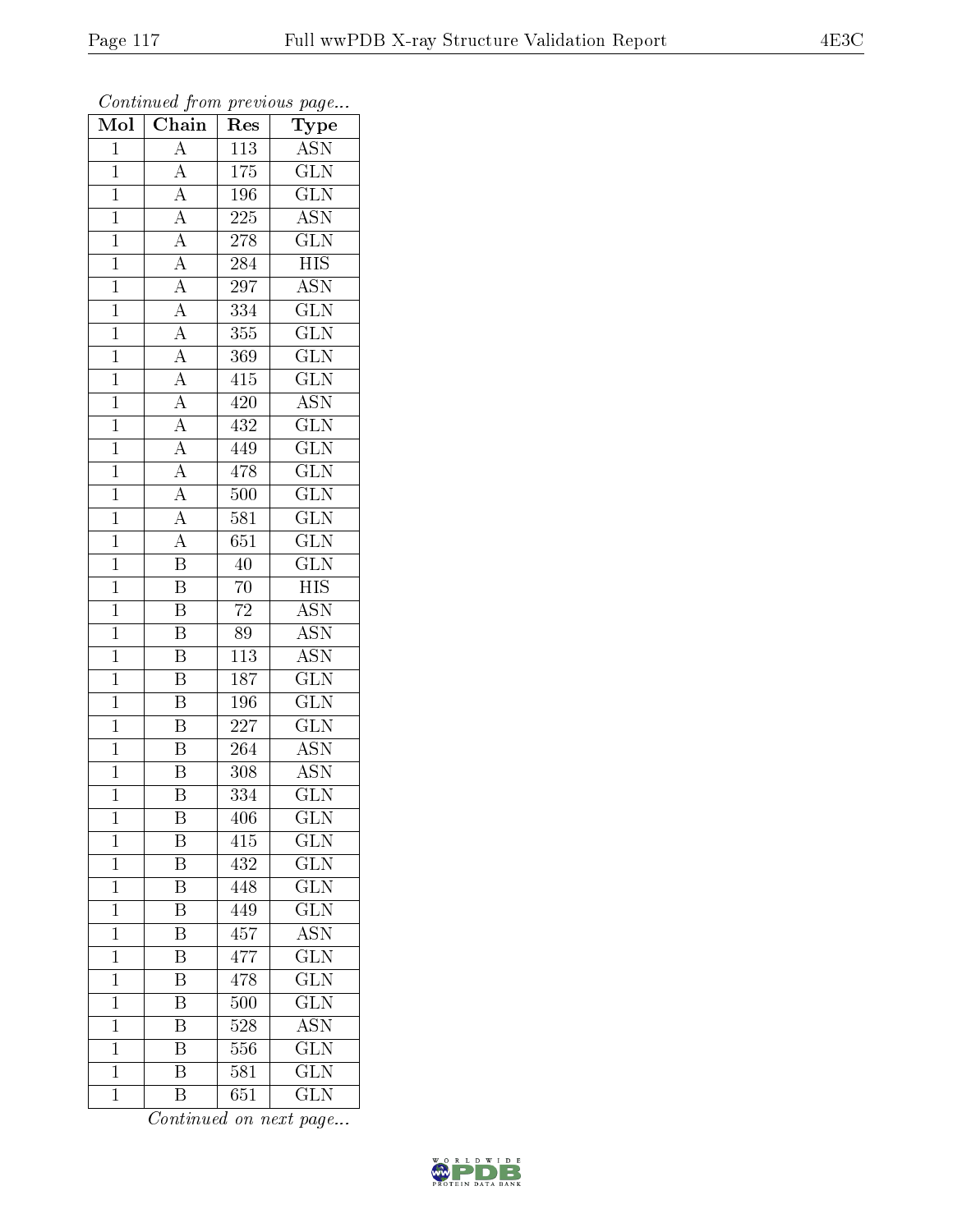| Mol            | $\cdots$ , $\cdots$<br>$\overline{\text{Chain}}$                                                            | r -<br>Res       | x.<br>س ⊶<br>Type         |
|----------------|-------------------------------------------------------------------------------------------------------------|------------------|---------------------------|
| $\mathbf{1}$   | $\overline{A}$                                                                                              | 113              | <b>ASN</b>                |
| $\mathbf{1}$   | $\overline{A}$                                                                                              | 175              | $\overline{\text{GLN}}$   |
| $\overline{1}$ |                                                                                                             | 196              | $\overline{\text{GLN}}$   |
| $\mathbf 1$    |                                                                                                             | 225              | $\overline{\text{ASN}}$   |
| $\overline{1}$ | $\frac{\overline{A}}{\overline{A}}$ $\frac{\overline{A}}{\overline{A}}$                                     | 278              | $\overline{\text{GLN}}$   |
| $\mathbf 1$    |                                                                                                             | 284              | $\overline{\mathrm{HIS}}$ |
| $\mathbf{1}$   | $\overline{A}$                                                                                              | 297              | $\overline{\text{ASN}}$   |
| $\mathbf{1}$   |                                                                                                             | 334              | GLN                       |
| $\overline{1}$ | $\frac{\overline{A}}{\overline{A}}$                                                                         | 355              | $\widetilde{{\rm GLN}}$   |
| $\mathbf{1}$   |                                                                                                             | 369              | $\overline{\text{GLN}}$   |
| $\mathbf{1}$   |                                                                                                             | 415              | $\rm G\overline{LN}$      |
| $\mathbf{1}$   |                                                                                                             | 420              | $\overline{\mathrm{ASN}}$ |
| $\overline{1}$ |                                                                                                             | 432              | $\overline{\text{GLN}}$   |
| $\mathbf{1}$   |                                                                                                             | 449              | $\overline{\text{GLN}}$   |
| $\overline{1}$ | $\frac{\overline{A}}{\overline{A}}$ $\frac{\overline{A}}{\overline{A}}$ $\frac{\overline{A}}{\overline{A}}$ | 478              | $\overline{\text{GLN}}$   |
| $\mathbf{1}$   |                                                                                                             | 500              | GLN                       |
| $\mathbf{1}$   |                                                                                                             | $\overline{581}$ | $\overline{\text{GLN}}$   |
| $\mathbf{1}$   | $\frac{\overline{A}}{\overline{A}}$                                                                         | 651              | <b>GLN</b>                |
| $\mathbf{1}$   | $\overline{\mathrm{B}}$                                                                                     | 40               | $\overline{\text{GLN}}$   |
| $\mathbf{1}$   | $\overline{\mathrm{B}}$                                                                                     | 70               | $\overline{HIS}$          |
| $\mathbf{1}$   | $\overline{\mathrm{B}}$                                                                                     | 72               | <b>ASN</b>                |
| $\mathbf{1}$   | $\overline{\mathrm{B}}$                                                                                     | 89               | $\overline{\text{ASN}}$   |
| $\mathbf 1$    | B                                                                                                           | 113              | ASN                       |
| $\overline{1}$ | $\overline{\mathrm{B}}$                                                                                     | 187              | $\overline{\text{GLN}}$   |
| $\overline{1}$ | $\overline{\mathrm{B}}$                                                                                     | 196              | $\overline{\text{GLN}}$   |
| $\mathbf{1}$   | $\overline{\mathrm{B}}$                                                                                     | 227              | <b>GLN</b>                |
| $\mathbf{1}$   | $\overline{\mathrm{B}}$                                                                                     | 264              | $\overline{\mathrm{ASN}}$ |
| $\overline{1}$ | $\overline{\mathrm{B}}$                                                                                     | 308              | $A\overline{SN}$          |
| $\overline{1}$ | $\overline{\mathrm{B}}$                                                                                     | 334              | $\overline{\text{GLN}}$   |
| 1              | Β                                                                                                           | 406              | $_{\rm GLN}$              |
| $\mathbf{1}$   | Β                                                                                                           | 415              | <b>GLN</b>                |
| $\mathbf{1}$   | $\overline{\mathrm{B}}$                                                                                     | 432              | $\overline{\text{GLN}}$   |
| $\mathbf{1}$   | B                                                                                                           | 448              | <b>GLN</b>                |
| $\overline{1}$ | $\overline{\mathrm{B}}$                                                                                     | $4\overline{49}$ | $\overline{\text{GLN}}$   |
| $\mathbf 1$    | Β                                                                                                           | 457              | $AS\overline{N}$          |
| $\mathbf 1$    | $\overline{\mathrm{B}}$                                                                                     | 477              | $\overline{\text{GLN}}$   |
| $\mathbf 1$    | Β                                                                                                           | 478              | GLN                       |
| $\overline{1}$ | $\overline{\mathrm{B}}$                                                                                     | 500              | $\overline{\text{GLN}}$   |
| $\mathbf 1$    | $\overline{\mathrm{B}}$                                                                                     | 528              | $\overline{\rm ASN}$      |
| $\mathbf 1$    | $\overline{\mathrm{B}}$                                                                                     | 556              | <b>GLN</b>                |
| $\mathbf 1$    | $\overline{\mathrm{B}}$                                                                                     | 581              | $\overline{\text{GLN}}$   |
| $\mathbf{1}$   | B                                                                                                           | 651              | <b>GLN</b>                |

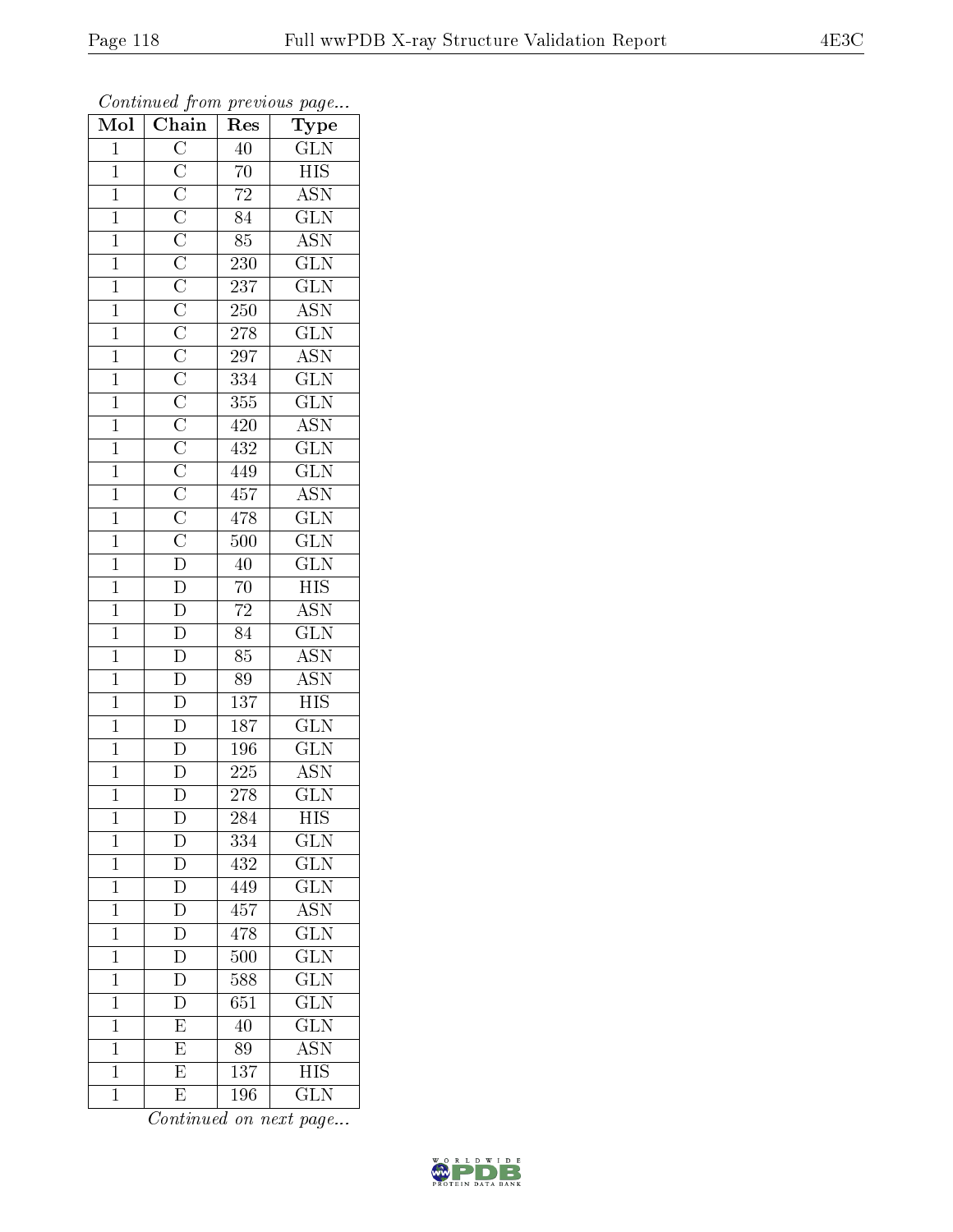| Mol            | $\mathbf{v}$<br>$\overline{\text{Chain}}$ | r -<br>Res       | $\mathbf{r}$ - $\mathbf{v}$<br>Type |
|----------------|-------------------------------------------|------------------|-------------------------------------|
| $\mathbf{1}$   |                                           | 40               | $\frac{\text{GLN}}{\text{HIS}}$     |
| $\mathbf{1}$   |                                           | $\overline{70}$  |                                     |
| $\overline{1}$ |                                           | $\overline{72}$  | $\overline{\mathrm{ASN}}$           |
| $\mathbf{1}$   |                                           | $\overline{84}$  | $\overline{\text{GLN}}$             |
| $\overline{1}$ |                                           | $\overline{85}$  | $\overline{\mathrm{ASN}}$           |
| $\overline{1}$ |                                           | $230\,$          | $\overline{\text{GLN}}$             |
| $\mathbf{1}$   |                                           | 237              | $\overline{\text{GLN}}$             |
| $\overline{1}$ |                                           | 250              | $\overline{\text{ASN}}$             |
| $\overline{1}$ |                                           | 278              | $\overline{\text{GLN}}$             |
| $\overline{1}$ |                                           | 297              | $\overline{\text{ASN}}$             |
| $\mathbf{1}$   |                                           | 334              | $\overline{\text{GLN}}$             |
| $\overline{1}$ |                                           | $\overline{355}$ | $\overline{\text{GLN}}$             |
| $\overline{1}$ |                                           | 420              | <b>ASN</b>                          |
| $\mathbf{1}$   |                                           | 432              | $\overline{\text{GLN}}$             |
| $\overline{1}$ |                                           | 449              | $\overline{\text{GLN}}$             |
| $\mathbf{1}$   |                                           | 457              | $\overline{\mathrm{ASN}}$           |
| $\overline{1}$ |                                           | 478              | $\overline{\text{GLN}}$             |
| $\overline{1}$ |                                           | 500              | $\overline{\text{GLN}}$             |
| $\overline{1}$ |                                           | 40               | $\overline{\text{GLN}}$             |
| $\overline{1}$ |                                           | 70               | $\overline{HIS}$                    |
| $\mathbf{1}$   |                                           | $\overline{72}$  | <b>ASN</b>                          |
| $\overline{1}$ |                                           | $\overline{84}$  | $\overline{\text{GLN}}$             |
| $\mathbf{1}$   |                                           | 85               | <b>ASN</b>                          |
| $\overline{1}$ |                                           | 89               | <b>ASN</b>                          |
| $\overline{1}$ | $\frac{\overline{D}}{D}$                  | 137              | $\overline{HIS}$                    |
| $\mathbf{1}$   |                                           | 187              | $\overline{\text{GLN}}$             |
| $\overline{1}$ | $\frac{\overline{D}}{\overline{D}}$       | 196              | $\overline{\text{GLN}}$             |
| $\overline{1}$ |                                           | $225\,$          | $\overline{\mathrm{ASN}}$           |
| $\overline{1}$ |                                           | $\overline{278}$ | $\overline{\text{GLN}}$             |
| 1              | D                                         | 284              | HIS                                 |
| $\mathbf{1}$   | $\mathbf D$                               | 334              | <b>GLN</b>                          |
| $\mathbf{1}$   | $\overline{D}$                            | 432              | $\overline{{\rm GLN}}$              |
| $\mathbf{1}$   | $\overline{\rm D}$                        | 449              | $\overline{{\rm GLN}}$              |
| $\overline{1}$ | $\overline{\rm D}$                        | 457              | $\overline{\mathrm{ASN}}$           |
| $\mathbf 1$    | $\mathbf{D}$                              | 478              | <b>GLN</b>                          |
| $\mathbf 1$    | $\overline{D}$                            | 500              | $\overline{\text{GLN}}$             |
| $\mathbf 1$    | $\overline{\rm D}$                        | 588              | $\overline{\text{GLN}}$             |
| $\overline{1}$ | $\overline{\rm D}$                        | 651              | $\overline{\text{GLN}}$             |
| $\mathbf 1$    | $\overline{\mathrm{E}}$                   | 40               | $\overline{\text{GLN}}$             |
| $\mathbf 1$    | $\overline{\mathrm{E}}$                   | 89               | ASN                                 |
| $\mathbf 1$    | $\overline{\mathrm{E}}$                   | 137              | $\overline{HIS}$                    |
| $\mathbf{1}$   | E                                         | 196              | $\overline{\text{GLN}}$             |

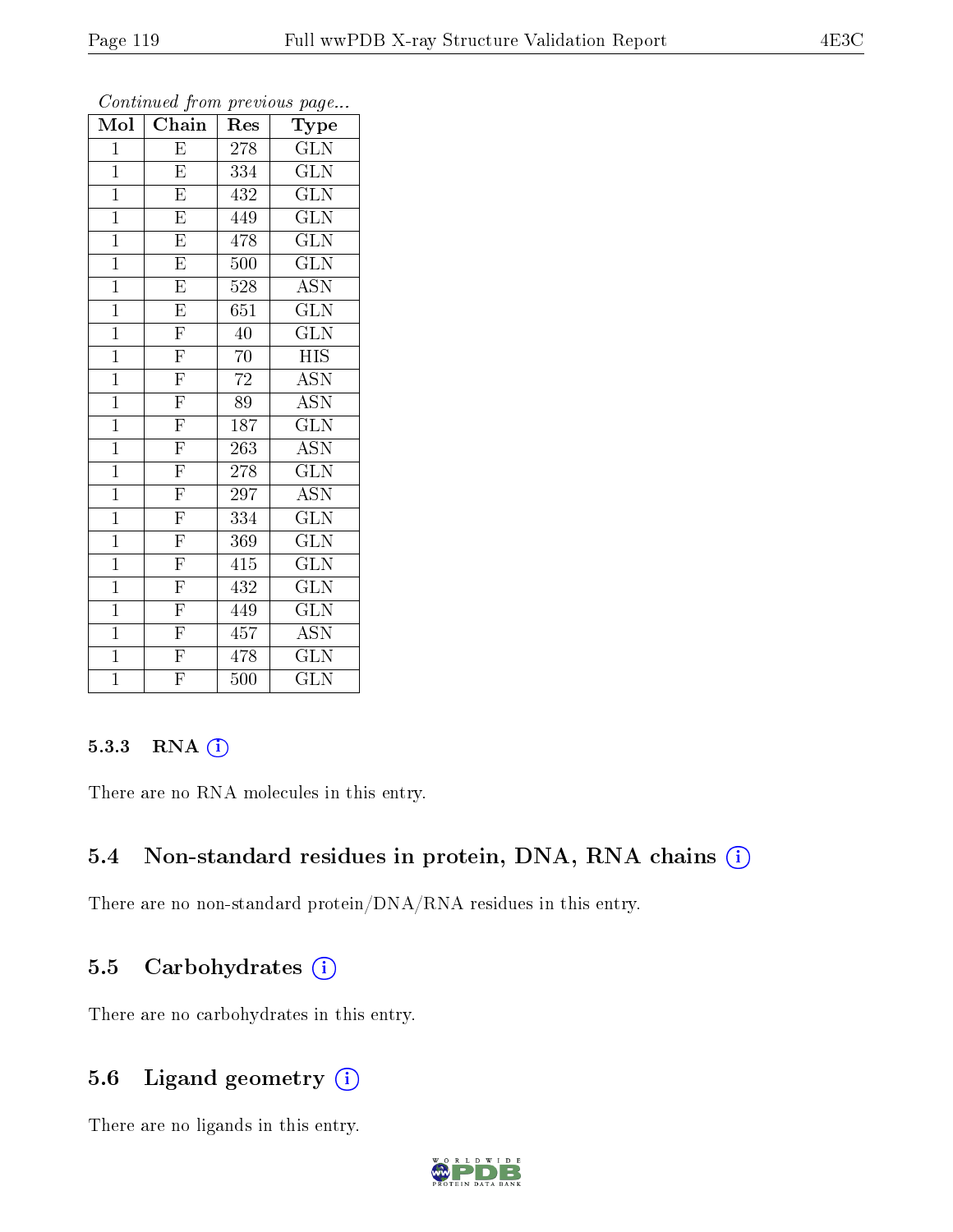| $\overline{\text{Mol}}$ | Chain                   | Res | Type                    |
|-------------------------|-------------------------|-----|-------------------------|
| $\mathbf{1}$            | E                       | 278 | $\overline{\text{GLN}}$ |
| $\overline{1}$          | $\overline{E}$          | 334 | $\overline{\text{GLN}}$ |
| $\mathbf{1}$            | $\overline{\mathrm{E}}$ | 432 | $\overline{\text{GLN}}$ |
| $\mathbf{1}$            | $\overline{\mathrm{E}}$ | 449 | $\overline{\text{GLN}}$ |
| $\mathbf{1}$            | $\overline{\mathrm{E}}$ | 478 | $\overline{\text{GLN}}$ |
| $\mathbf{1}$            | $\overline{\mathrm{E}}$ | 500 | $\rm G\overline{LN}$    |
| $\overline{1}$          | $\overline{\mathrm{E}}$ | 528 | $\overline{\text{ASN}}$ |
| $\overline{1}$          | $\overline{\mathrm{E}}$ | 651 | $\overline{\text{GLN}}$ |
| $\overline{1}$          | $\overline{\mathrm{F}}$ | 40  | $\overline{\text{GLN}}$ |
| $\mathbf{1}$            | $\overline{\mathrm{F}}$ | 70  | $H\overline{IS}$        |
| $\mathbf{1}$            | $\overline{F}$          | 72  | <b>ASN</b>              |
| $\mathbf{1}$            | $\overline{\mathrm{F}}$ | 89  | $\overline{\text{ASN}}$ |
| $\mathbf{1}$            | $\overline{F}$          | 187 | GLN                     |
| $\mathbf{1}$            | $\overline{\mathrm{F}}$ | 263 | <b>ASN</b>              |
| $\mathbf{1}$            | $\overline{\mathrm{F}}$ | 278 | $\overline{\text{GLN}}$ |
| $\mathbf{1}$            | $\overline{\mathrm{F}}$ | 297 | <b>ASN</b>              |
| $\mathbf{1}$            | $\overline{\mathrm{F}}$ | 334 | $\overline{\text{GLN}}$ |
| $\mathbf 1$             | $\overline{\mathrm{F}}$ | 369 | $\widetilde{{\rm GLN}}$ |
| $\mathbf{1}$            | $\overline{\mathrm{F}}$ | 415 | <b>GLN</b>              |
| $\mathbf{1}$            | $\overline{\mathrm{F}}$ | 432 | $\overline{\text{GLN}}$ |
| $\mathbf{1}$            | $\overline{\mathrm{F}}$ | 449 | <b>GLN</b>              |
| $\overline{1}$          | $\overline{F}$          | 457 | $\overline{\text{ASN}}$ |
| $\overline{1}$          | $\overline{\mathrm{F}}$ | 478 | <b>GLN</b>              |
| $\overline{1}$          | $\overline{\mathrm{F}}$ | 500 | $\widehat{{\rm GLN}}$   |

#### 5.3.3 RNA [O](https://www.wwpdb.org/validation/2017/XrayValidationReportHelp#rna)i

There are no RNA molecules in this entry.

### 5.4 Non-standard residues in protein, DNA, RNA chains (i)

There are no non-standard protein/DNA/RNA residues in this entry.

#### 5.5 Carbohydrates  $(i)$

There are no carbohydrates in this entry.

### 5.6 Ligand geometry  $(i)$

There are no ligands in this entry.

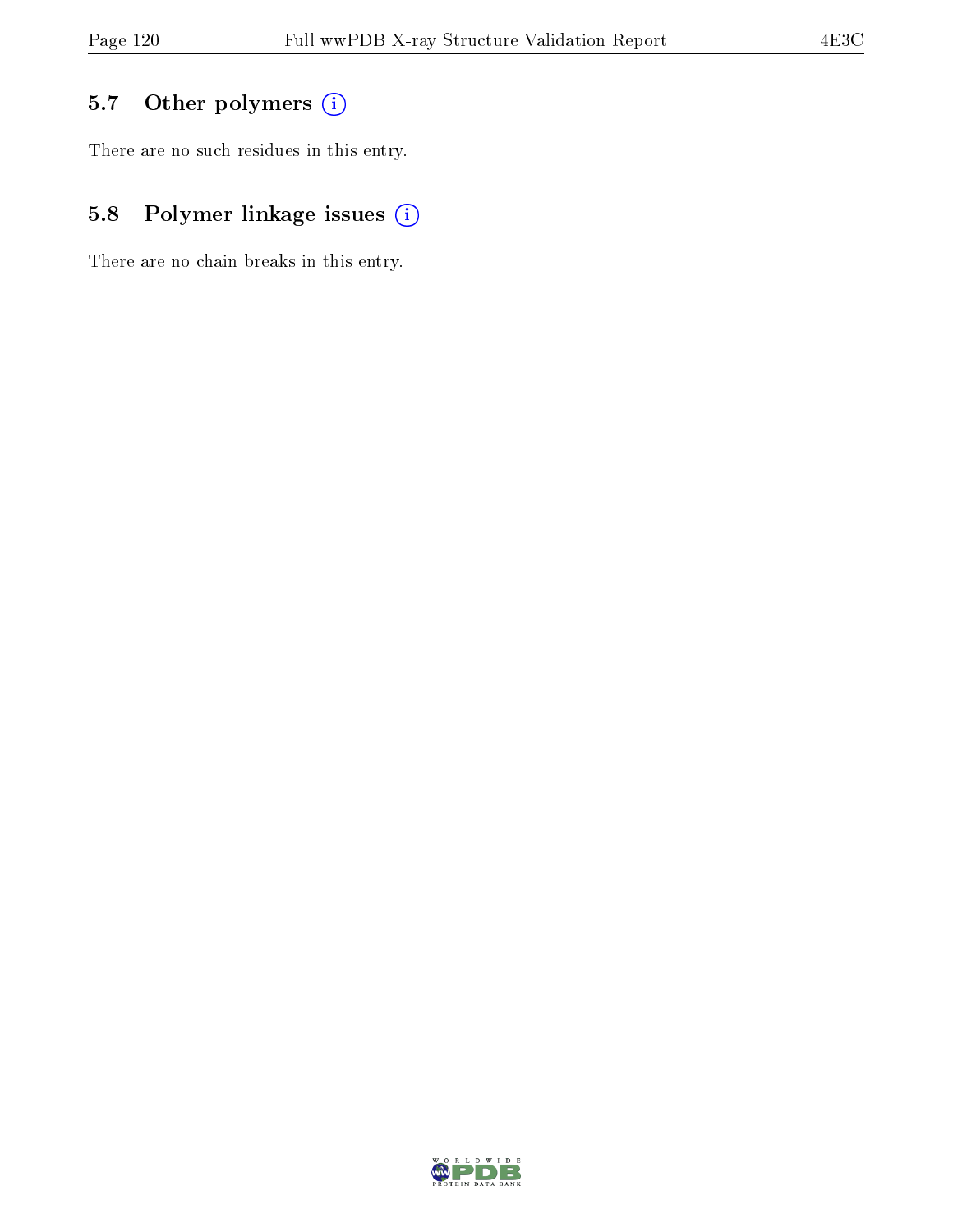# 5.7 [O](https://www.wwpdb.org/validation/2017/XrayValidationReportHelp#nonstandard_residues_and_ligands)ther polymers (i)

There are no such residues in this entry.

# 5.8 Polymer linkage issues (i)

There are no chain breaks in this entry.

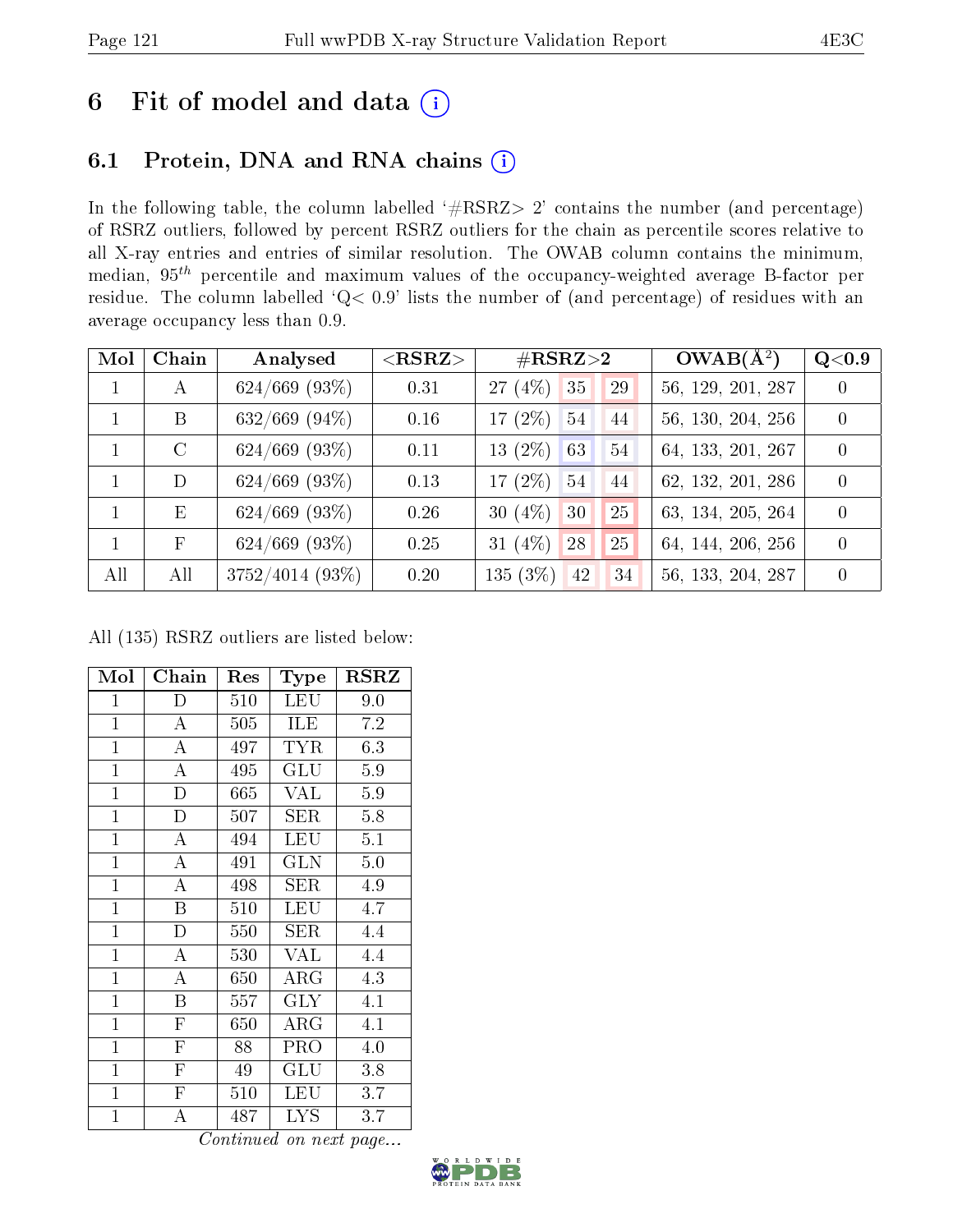# 6 Fit of model and data  $(i)$

# 6.1 Protein, DNA and RNA chains  $(i)$

In the following table, the column labelled  $#RSRZ> 2'$  contains the number (and percentage) of RSRZ outliers, followed by percent RSRZ outliers for the chain as percentile scores relative to all X-ray entries and entries of similar resolution. The OWAB column contains the minimum, median,  $95<sup>th</sup>$  percentile and maximum values of the occupancy-weighted average B-factor per residue. The column labelled ' $Q< 0.9$ ' lists the number of (and percentage) of residues with an average occupancy less than 0.9.

| Mol | Chain         | Analysed           | $<$ RSRZ $>$ | $\#\text{RSRZ}\text{>2}$ |    | $OWAB(A^2)$       | Q< 0.9         |
|-----|---------------|--------------------|--------------|--------------------------|----|-------------------|----------------|
|     | А             | $624/669$ (93\%)   | 0.31         | (4%)<br>35<br>27         | 29 | 56, 129, 201, 287 | $\overline{0}$ |
|     | B             | $632/669$ (94\%)   | 0.16         | 17 $(2\%)$<br>54         | 44 | 56, 130, 204, 256 | $\theta$       |
|     | $\mathcal{C}$ | $624/669$ $(93\%)$ | 0.11         | $(2\%)$<br>63<br>13      | 54 | 64, 133, 201, 267 | $\theta$       |
|     | D             | $624/669$ (93\%)   | 0.13         | 17 $(2\%)$<br>54         | 44 | 62, 132, 201, 286 | $\theta$       |
|     | E             | $624/669$ (93\%)   | 0.26         | 30 $(4\%)$<br>30         | 25 | 63, 134, 205, 264 | $\theta$       |
|     | $\mathbf{F}$  | $624/669$ (93\%)   | 0.25         | 31 $(4\%)$<br>28         | 25 | 64, 144, 206, 256 | $\theta$       |
| All | All           | $3752/4014(93\%)$  | 0.20         | 135(3%)<br>42            | 34 | 56, 133, 204, 287 | $\theta$       |

All (135) RSRZ outliers are listed below:

| Mol            | Chain                   | Res | Type                 | <b>RSRZ</b> |
|----------------|-------------------------|-----|----------------------|-------------|
| $\mathbf{1}$   | D                       | 510 | <b>LEU</b>           | 9.0         |
| $\overline{1}$ | A                       | 505 | <b>ILE</b>           | 7.2         |
| $\mathbf{1}$   | A                       | 497 | <b>TYR</b>           | 6.3         |
| $\mathbf{1}$   | $\mathbf{A}$            | 495 | GLU                  | 5.9         |
| $\mathbf{1}$   | $\overline{D}$          | 665 | VAL                  | 5.9         |
| $\overline{1}$ | D                       | 507 | SER                  | 5.8         |
| $\overline{1}$ | $\overline{\rm A}$      | 494 | LEU                  | 5.1         |
| $\overline{1}$ | $\overline{\rm A}$      | 491 | <b>GLN</b>           | 5.0         |
| $\mathbf{1}$   | $\overline{\rm A}$      | 498 | <b>SER</b>           | 4.9         |
| $\mathbf{1}$   | Β                       | 510 | LEU                  | 4.7         |
| $\mathbf{1}$   | $\mathbf D$             | 550 | SER                  | 4.4         |
| $\mathbf{1}$   | $\overline{\rm A}$      | 530 | VAL                  | 4.4         |
| $\mathbf{1}$   | $\overline{A}$          | 650 | $\rm{ARG}$           | 4.3         |
| $\overline{1}$ | B                       | 557 | <b>GLY</b>           | 4.1         |
| $\overline{1}$ | $\mathbf{F}$            | 650 | $\rm{ARG}$           | 4.1         |
| $\mathbf{1}$   | $\mathbf{F}$            | 88  | PRO                  | 4.0         |
| $\mathbf{1}$   | $\overline{\mathrm{F}}$ | 49  | $\operatorname{GLU}$ | 3.8         |
| $\mathbf{1}$   | $\overline{\mathrm{F}}$ | 510 | LEU                  | 3.7         |
| $\overline{1}$ | A                       | 487 | <b>LYS</b>           | 3.7         |

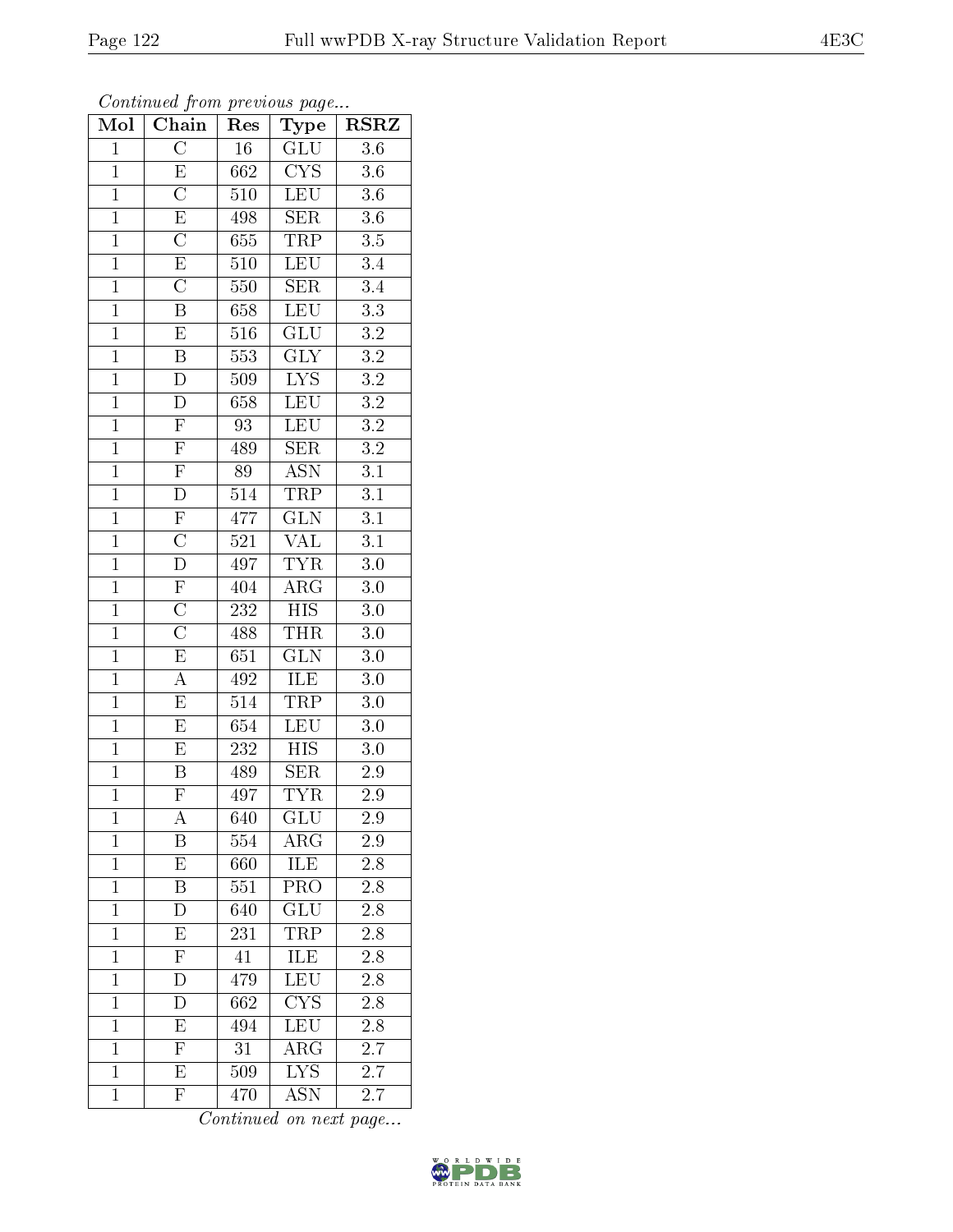| $\overline{\text{Mol}}$ | Continued from previous page<br>Chain | Res    | Type                    | <b>RSRZ</b>      |
|-------------------------|---------------------------------------|--------|-------------------------|------------------|
| $\mathbf{1}$            | $\overline{\rm C}$                    | $16\,$ | GLU                     | 3.6              |
| $\overline{1}$          | $\overline{\mathrm{E}}$               | 662    | $\overline{\text{CYS}}$ | 3.6              |
| $\overline{1}$          | $\overline{\rm C}$                    | 510    | <b>LEU</b>              | $\overline{3.6}$ |
| $\mathbf 1$             | $\overline{E}$                        | 498    | SER                     | $3.6\,$          |
| $\overline{1}$          | $\overline{\text{C}}$                 | 655    | $\overline{\text{TRP}}$ | $3.5\,$          |
| $\mathbf{1}$            | $\overline{E}$                        | 510    | <b>LEU</b>              | 3.4              |
| $\mathbf{1}$            | $\overline{\text{C}}$                 | 550    | <b>SER</b>              | 3.4              |
| $\mathbf 1$             | $\overline{\mathrm{B}}$               | 658    | <b>LEU</b>              | $\overline{3.3}$ |
| $\mathbf{1}$            | $\overline{\mathrm{E}}$               | 516    | GLU                     | $3.2\,$          |
| $\mathbf{1}$            | $\overline{\mathrm{B}}$               | 553    | $\overline{\text{GLY}}$ | $\overline{3.2}$ |
| $\mathbf{1}$            | $\overline{\rm D}$                    | 509    | $\overline{LYS}$        | $\overline{3.2}$ |
| $\mathbf{1}$            | $\overline{\rm D}$                    | 658    | LEU                     | $\overline{3.2}$ |
| $\mathbf{1}$            | $\overline{F}$                        | 93     | <b>LEU</b>              | $\overline{3.2}$ |
| $\mathbf{1}$            | $\mathbf F$                           | 489    | <b>SER</b>              | $\!3.2\!$        |
| $\mathbf{1}$            | $\overline{\mathrm{F}}$               | 89     | $\overline{ASN}$        | $\overline{3.1}$ |
| $\mathbf{1}$            | D                                     | 514    | TRP                     | 3.1              |
| $\overline{1}$          | $\overline{\mathrm{F}}$               | 477    | $\overline{\text{GLN}}$ | $\overline{3.1}$ |
| $\mathbf{1}$            | $\overline{\rm C}$                    | 521    | <b>VAL</b>              | 3.1              |
| $\mathbf{1}$            | $\overline{\rm D}$                    | 497    | <b>TYR</b>              | $3.0\,$          |
| $\overline{1}$          | $\overline{\mathrm{F}}$               | 404    | $\overline{\text{ARG}}$ | $3.0\,$          |
| $\overline{1}$          | $\overline{\text{C}}$                 | 232    | $\overline{HIS}$        | 3.0              |
| $\overline{1}$          | $\overline{\text{C}}$                 | 488    | <b>THR</b>              | 3.0              |
| $\mathbf{1}$            | $\overline{\mathrm{E}}$               | 651    | $\overline{\text{GLN}}$ | 3.0              |
| $\overline{1}$          | $\overline{\rm A}$                    | 492    | ILE                     | $\overline{3}.0$ |
| $\mathbf{1}$            | E                                     | 514    | <b>TRP</b>              | 3.0              |
| $\overline{1}$          | E                                     | 654    | LEU                     | $3.0\,$          |
| $\mathbf{1}$            | $\overline{\mathrm{E}}$               | 232    | $\overline{HIS}$        | $3.0\,$          |
| $\mathbf 1$             | Β                                     | 489    | $\overline{\text{SER}}$ | 2.9              |
| 1                       | F                                     | 497    | <b>TYR</b>              | 2.9              |
| $\mathbf{1}$            | A                                     | 640    | GLU                     | 2.9              |
| $\mathbf{1}$            | B                                     | 554    | $\rm{ARG}$              | 2.9              |
| $\mathbf{1}$            | $\overline{\mathrm{E}}$               | 660    | ILE                     | 2.8              |
| $\mathbf 1$             | Β                                     | 551    | PRO                     | $2.8\,$          |
| $\mathbf{1}$            | $\overline{\rm D}$                    | 640    | GLU                     | 2.8              |
| $\mathbf{1}$            | Ε                                     | 231    | TRP                     | 2.8              |
| $\mathbf{1}$            | $\overline{\mathrm{F}}$               | 41     | <b>ILE</b>              | $\overline{2.8}$ |
| $\mathbf 1$             | D                                     | 479    | LEU                     | $2.8\,$          |
| $\mathbf{1}$            | $\overline{D}$                        | 662    | <b>CYS</b>              | 2.8              |
| $\mathbf{1}$            | E                                     | 494    | LEU                     | 2.8              |
| $\overline{1}$          | $\overline{F}$                        | 31     | $\rm{ARG}$              | 2.7              |
| $\mathbf{1}$            | $\overline{\mathrm{E}}$               | 509    | <b>LYS</b>              | 2.7              |
| $\mathbf{1}$            | $\overline{F}$                        | 470    | <b>ASN</b>              | 2.7              |

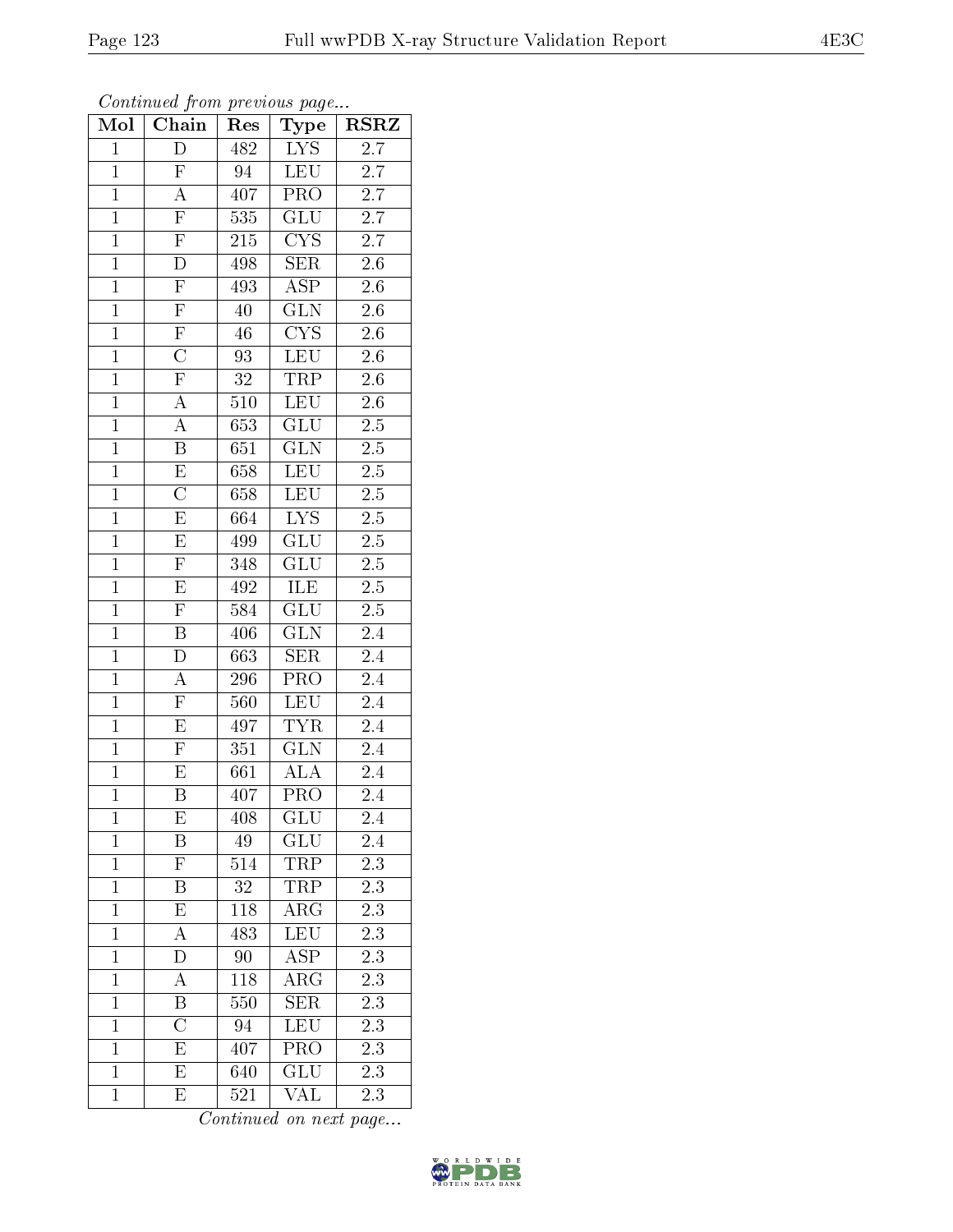Continued from previous page...  $\boxed{\text{Mol} \mid \text{Chain} \mid \text{Res} \mid \text{Type} \mid \text{RSRZ}}$ 

| $\mathbf{1}$   | D                                   | 482              | $\overline{\text{LYS}}$ | 2.7              |
|----------------|-------------------------------------|------------------|-------------------------|------------------|
| $\mathbf{1}$   | $\overline{F}$                      | 94               | <b>LEU</b>              | $\overline{2.7}$ |
| $\mathbf{1}$   | $\overline{A}$                      | 407              | $\overline{\text{PRO}}$ | $\overline{2.7}$ |
| $\mathbf{1}$   | F                                   | 535              | GLU                     | 2.7              |
| $\mathbf{1}$   | $\overline{F}$                      | 215              | $\overline{\text{CYS}}$ | 2.7              |
| $\overline{1}$ |                                     | 498              | <b>SER</b>              | 2.6              |
| $\overline{1}$ | $\frac{\overline{D}}{\overline{F}}$ | 493              | $\overline{\text{ASP}}$ | $2.\overline{6}$ |
| $\overline{1}$ | $\overline{F}$                      | $\overline{40}$  | $\overline{\text{GLN}}$ | $\overline{2.6}$ |
| $\mathbf{1}$   | $\frac{\overline{F}}{C}$            | 46               | $\overline{\text{CYS}}$ | $2.\overline{6}$ |
| $\overline{1}$ |                                     | $\overline{93}$  | LEU                     | $\overline{2.6}$ |
| $\overline{1}$ | $\overline{\mathrm{F}}$             | 32               | TRP                     | $2.6\,$          |
| $\overline{1}$ | $\overline{\rm A}$                  | $\overline{510}$ | <b>LEU</b>              | $\overline{2.6}$ |
| $\overline{1}$ | A                                   | 653              | $\overline{\text{GLU}}$ | $2.\overline{5}$ |
| $\overline{1}$ | $\overline{\mathrm{B}}$             | 651              | $\overline{\text{GLN}}$ | $2.5\,$          |
| $\overline{1}$ | $\overline{\mathrm{E}}$             | 658              | <b>LEU</b>              | 2.5              |
| $\overline{1}$ | $\overline{\text{C}}$               | 658              | <b>LEU</b>              | $\overline{2.5}$ |
| $\overline{1}$ | $\overline{\mathrm{E}}$             | 664              | $\overline{\text{LYS}}$ | $\overline{2.5}$ |
| $\mathbf{1}$   | $\overline{E}$                      | 499              | GLU                     | $2.5\,$          |
| $\mathbf{1}$   | $\overline{\mathrm{F}}$             | 348              | <b>GLU</b>              | $2.5\,$          |
| $\overline{1}$ | $\overline{E}$                      | 492              | ILE                     | 2.5              |
| $\overline{1}$ | $\mathbf{F}$                        | 584              | $\overline{\text{GLU}}$ | $2.5\,$          |
| $\overline{1}$ | $\overline{\mathrm{B}}$             | 406              | $\overline{\text{GLN}}$ | $\overline{2.4}$ |
| $\mathbf{1}$   | $\mathbf D$                         | 663              | <b>SER</b>              | 2.4              |
| $\overline{1}$ | $\overline{A}$                      | 296              | $\overline{\text{PRO}}$ | 2.4              |
| $\overline{1}$ | $\overline{F}$                      | 560              | LEU                     | 2.4              |
| $\overline{1}$ | $\overline{\mathrm{E}}$             | 497              | <b>TYR</b>              | $2.4\,$          |
| $\overline{1}$ | $\overline{\mathrm{F}}$             | $\overline{351}$ | $\overline{\text{GLN}}$ | $\overline{2.4}$ |
| $\mathbf{1}$   | $\overline{\mathrm{E}}$             | 661              | ALA                     | 2.4              |
| $\overline{1}$ | $\overline{\mathrm{B}}$             | 407              | $\overline{\text{PRO}}$ | 2.4              |
| $\overline{1}$ | E                                   | 408              | GLU                     | 2.4              |
| $\mathbf 1$    | Β                                   | 49               | GLU                     | $\overline{2.4}$ |
| $\mathbf{1}$   | ${\rm F}$                           | 514              | TRP                     | $2.\overline{3}$ |
| $\mathbf{1}$   | B                                   | 32               | TRP                     | 2.3              |
| $\mathbf{1}$   | E                                   | 118              | $\overline{\rm{ARG}}$   | 2.3              |
| $\mathbf{1}$   | А                                   | 483              | <b>LEU</b>              | 2.3              |
| $\mathbf{1}$   | $\overline{\rm D}$                  | 90               | $\overline{\rm ASP}$    | $2.\overline{3}$ |
| $\mathbf{1}$   | А                                   | 118              | $\rm{ARG}$              | 2.3              |
| $\mathbf{1}$   | Β                                   | 550              | <b>SER</b>              | 2.3              |
| $\mathbf{1}$   | $\overline{\rm C}$                  | 94               | LEU                     | 2.3              |
| $\mathbf{1}$   | E                                   | 407              | PRO                     | 2.3              |
| $\mathbf{1}$   | E                                   | 640              | $\overline{\text{GLU}}$ | 2.3              |
| $\mathbf{1}$   | Е                                   | 521              | VAL                     | 2.3              |

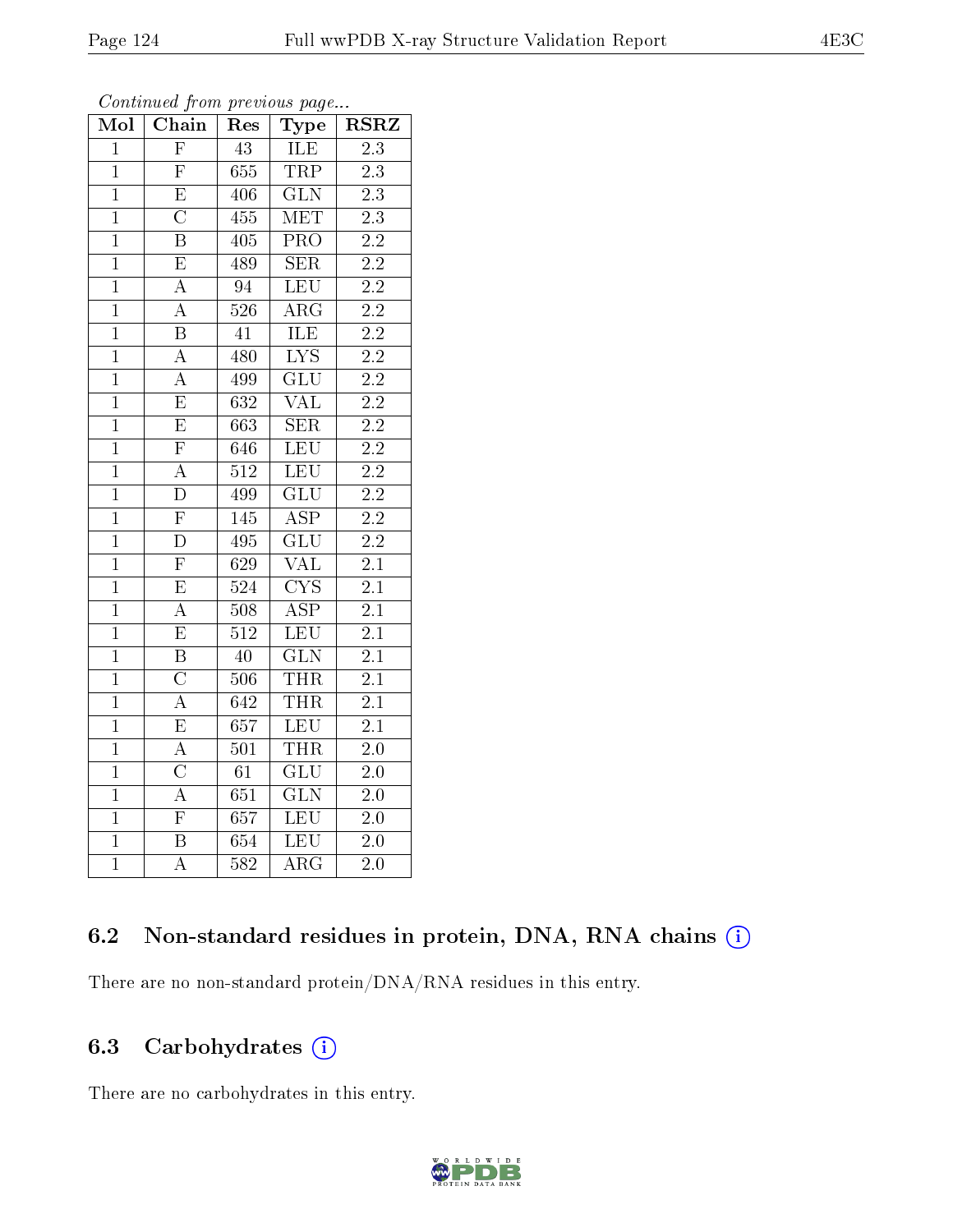| Mol            | Chain                   | Res              | Type                    | <b>RSRZ</b>      |
|----------------|-------------------------|------------------|-------------------------|------------------|
| $\mathbf{1}$   | $\overline{\mathrm{F}}$ | 43               | ILE                     | 2.3              |
| $\mathbf{1}$   | $\overline{\mathrm{F}}$ | 655              | <b>TRP</b>              | $2.3\,$          |
| $\overline{1}$ | $\overline{\mathrm{E}}$ | 406              | $\overline{\text{GLN}}$ | $\overline{2.3}$ |
| $\mathbf{1}$   | $\overline{\text{C}}$   | 455              | MET                     | 2.3              |
| $\overline{1}$ | $\overline{\mathrm{B}}$ | 405              | $\overline{\text{PRO}}$ | $\overline{2.2}$ |
| $\mathbf{1}$   | $\overline{\mathrm{E}}$ | 489              | <b>SER</b>              | $\overline{2.2}$ |
| $\mathbf{1}$   | $\overline{\rm A}$      | 94               | LEU                     | $\overline{2.2}$ |
| $\overline{1}$ | $\overline{\rm A}$      | 526              | $AR\overline{G}$        | $\overline{2.2}$ |
| $\mathbf{1}$   | $\overline{\mathrm{B}}$ | 41               | <b>ILE</b>              | $\overline{2.2}$ |
| $\overline{1}$ | $\overline{\rm A}$      | 480              | $\overline{\text{LYS}}$ | $\overline{2.2}$ |
| $\overline{1}$ | $\overline{\rm A}$      | 499              | $\overline{\text{GLU}}$ | $\overline{2.2}$ |
| $\mathbf{1}$   | $\overline{\mathrm{E}}$ | $\overline{632}$ | $\rm \overline{VAL}$    | $\overline{2.2}$ |
| $\overline{1}$ | $\overline{\mathrm{E}}$ | 663              | $\overline{\text{SER}}$ | $\overline{2.2}$ |
| $\overline{1}$ | $\overline{\mathrm{F}}$ | 646              | <b>LEU</b>              | $\overline{2.2}$ |
| $\overline{1}$ | $\overline{\rm A}$      | 512              | <b>LEU</b>              | $2.2\,$          |
| $\mathbf{1}$   | D                       | 499              | $\overline{\text{GLU}}$ | $2.2\,$          |
| $\overline{1}$ | $\overline{\mathrm{F}}$ | 145              | $\overline{\text{ASP}}$ | $\overline{2.2}$ |
| $\mathbf{1}$   | $\overline{\rm D}$      | 495              | GLU                     | $\overline{2.2}$ |
| $\overline{1}$ | $\overline{\mathrm{F}}$ | 629              | <b>VAL</b>              | 2.1              |
| $\overline{1}$ | $\overline{\mathrm{E}}$ | 524              | $\overline{\text{CYS}}$ | $\overline{2.1}$ |
| $\overline{1}$ | $\overline{\rm A}$      | 508              | $\overline{\text{ASP}}$ | $\overline{2.1}$ |
| $\mathbf{1}$   | $\overline{\mathrm{E}}$ | $\overline{512}$ | LEU                     | $2.\overline{1}$ |
| $\mathbf{1}$   | $\overline{\mathrm{B}}$ | 40               | $\overline{\text{GLN}}$ | 2.1              |
| $\overline{1}$ | $\overline{\rm C}$      | $\overline{506}$ | <b>THR</b>              | $\overline{2.1}$ |
| $\overline{1}$ | $\overline{\rm A}$      | 642              | <b>THR</b>              | $\overline{2.1}$ |
| $\overline{1}$ | E                       | 657              | <b>LEU</b>              | 2.1              |
| $\overline{1}$ | $\overline{\rm A}$      | 501              | <b>THR</b>              | $\overline{2.0}$ |
| $\mathbf{1}$   | $\overline{\rm C}$      | 61               | <b>GLU</b>              | $\overline{2.0}$ |
| $\overline{1}$ | $\overline{\rm A}$      | 651              | $\overline{\text{GLN}}$ | $\overline{2}.0$ |
| $\overline{1}$ | $\overline{\mathrm{F}}$ | $\overline{657}$ | LEU                     | $2.0\,$          |
| $\overline{1}$ | $\overline{\mathrm{B}}$ | 654              | <b>LEU</b>              | 2.0              |
| $\overline{1}$ | $\overline{\rm A}$      | $\overline{582}$ | $\overline{\text{ARG}}$ | $\overline{2.0}$ |

Continued from previous page...

## 6.2 Non-standard residues in protein, DNA, RNA chains (i)

There are no non-standard protein/DNA/RNA residues in this entry.

## 6.3 Carbohydrates (i)

There are no carbohydrates in this entry.